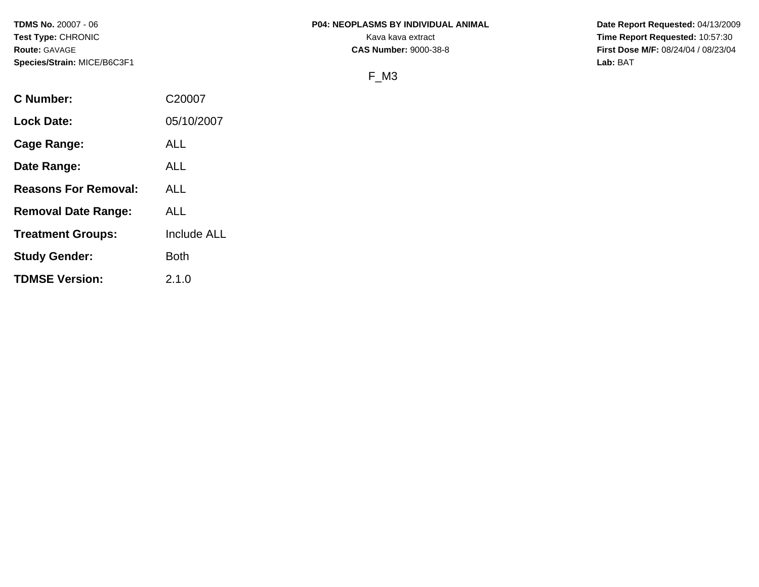**Species/Strain:** MICE/B6C3F1 **Lab:** BAT

## **TDMS No.** 20007 - 06 **P04: NEOPLASMS BY INDIVIDUAL ANIMAL** Date Report Requested: 04/13/2009

**Test Type:** CHRONIC **Transfer CHRONIC** Kava **Report Requested:** 10:57:30 **Route:** GAVAGE **CAS Number:** 9000-38-8 **First Dose M/F:** 08/24/04 / 08/23/04

# F\_M3

| C Number:                   | C20007      |
|-----------------------------|-------------|
| <b>Lock Date:</b>           | 05/10/2007  |
| Cage Range:                 | <b>ALL</b>  |
| Date Range:                 | ALL         |
| <b>Reasons For Removal:</b> | ALL         |
| <b>Removal Date Range:</b>  | ALL         |
| <b>Treatment Groups:</b>    | Include ALL |
| <b>Study Gender:</b>        | <b>Both</b> |
| <b>TDMSE Version:</b>       | 2.1.0       |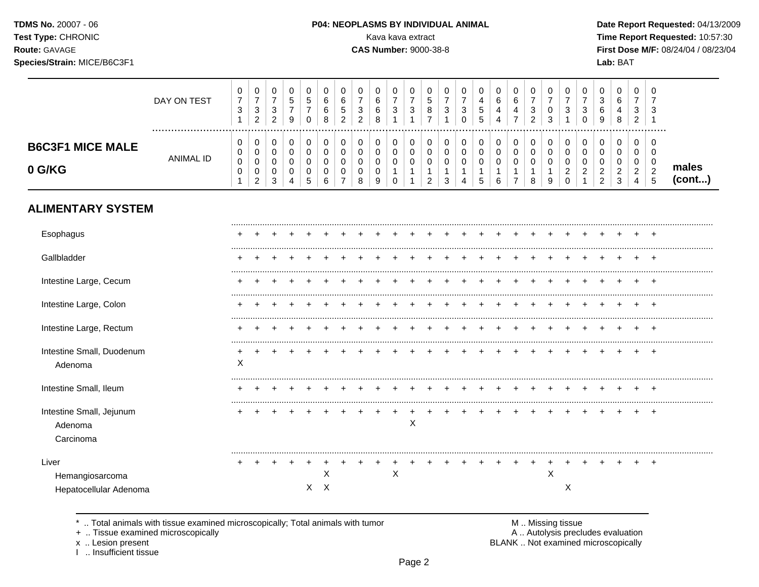## Species/Strain: MICE/B6C3F1

#### P04: NEOPLASMS BY INDIVIDUAL ANIMAL

Kava kava extract

CAS Number: 9000-38-8

Date Report Requested: 04/13/2009 Time Report Requested: 10:57:30 First Dose M/F: 08/24/04 / 08/23/04 Lab: BAT

|                                                    | DAY ON TEST      | 0<br>$\overline{7}$<br>$\sqrt{3}$<br>1  | 0<br>$\overline{7}$<br>$\ensuremath{\mathsf{3}}$<br>$\overline{c}$ | 0<br>$\overline{7}$<br>$\sqrt{3}$<br>$\overline{2}$ | 0<br>5<br>$\overline{7}$<br>$\boldsymbol{9}$ | 0<br>$\sqrt{5}$<br>$\overline{7}$<br>$\mathbf 0$ | 0<br>6<br>6<br>8                | 0<br>6<br>5<br>2                             | 0<br>$\overline{7}$<br>$\sqrt{3}$<br>$\overline{2}$ | 0<br>$\,6\,$<br>$\,6\,$<br>8  | 0<br>$\overline{7}$<br>$\sqrt{3}$<br>$\overline{1}$                       | 0<br>$\overline{7}$<br>$\sqrt{3}$                    | 0<br>5<br>8<br>$\overline{7}$                | 0<br>7<br>3                     | 0<br>$\overline{7}$<br>$\ensuremath{\mathsf{3}}$<br>0 | 0<br>4<br>$\sqrt{5}$<br>5                  | 0<br>6<br>4<br>$\overline{4}$           | 0<br>6<br>4<br>$\overline{7}$              | 0<br>$\overline{7}$<br>$\ensuremath{\mathsf{3}}$<br>$\overline{c}$ | 0<br>$\overline{7}$<br>0<br>3              | 0<br>$\overline{7}$<br>3               | 0<br>$\overline{7}$<br>3<br>0                     | 0<br>3<br>6<br>9                                          | 0<br>6<br>4<br>8                             | 0<br>$\overline{7}$<br>3<br>$\overline{c}$                | 0<br>3                               |                 |
|----------------------------------------------------|------------------|-----------------------------------------|--------------------------------------------------------------------|-----------------------------------------------------|----------------------------------------------|--------------------------------------------------|---------------------------------|----------------------------------------------|-----------------------------------------------------|-------------------------------|---------------------------------------------------------------------------|------------------------------------------------------|----------------------------------------------|---------------------------------|-------------------------------------------------------|--------------------------------------------|-----------------------------------------|--------------------------------------------|--------------------------------------------------------------------|--------------------------------------------|----------------------------------------|---------------------------------------------------|-----------------------------------------------------------|----------------------------------------------|-----------------------------------------------------------|--------------------------------------|-----------------|
| <b>B6C3F1 MICE MALE</b><br>0 G/KG                  | <b>ANIMAL ID</b> | 0<br>0<br>$\pmb{0}$<br>$\mathbf 0$<br>1 | 0<br>0<br>$\boldsymbol{0}$<br>$\pmb{0}$<br>$\overline{c}$          | 0<br>$\mathbf 0$<br>$\mathbf 0$<br>0<br>3           | 0<br>$\mathbf 0$<br>0<br>$\mathbf 0$<br>4    | 0<br>$\mathbf 0$<br>0<br>0<br>$\sqrt{5}$         | 0<br>$\mathbf 0$<br>0<br>0<br>6 | 0<br>$\mathbf 0$<br>0<br>0<br>$\overline{7}$ | 0<br>$\mathbf 0$<br>0<br>0<br>8                     | 0<br>$\pmb{0}$<br>0<br>0<br>9 | 0<br>$\mathbf 0$<br>$\mathbf 0$<br>$\overline{\mathbf{1}}$<br>$\mathbf 0$ | 0<br>0<br>$\mathbf 0$<br>$\mathbf{1}$<br>$\mathbf 1$ | 0<br>$\mathbf 0$<br>0<br>1<br>$\overline{2}$ | 0<br>$\mathbf 0$<br>0<br>1<br>3 | 0<br>$\mathbf 0$<br>0<br>-1<br>$\overline{4}$         | 0<br>$\mathbf 0$<br>0<br>$\mathbf{1}$<br>5 | 0<br>$\pmb{0}$<br>0<br>$\mathbf 1$<br>6 | 0<br>$\pmb{0}$<br>0<br>1<br>$\overline{7}$ | 0<br>$\pmb{0}$<br>$\boldsymbol{0}$<br>$\mathbf{1}$<br>8            | 0<br>$\mathbf 0$<br>0<br>$\mathbf{1}$<br>9 | 0<br>$\mathbf 0$<br>0<br>2<br>$\Omega$ | $\mathbf 0$<br>$\mathbf 0$<br>0<br>$\overline{2}$ | 0<br>$\mathbf 0$<br>0<br>$\overline{c}$<br>$\overline{c}$ | 0<br>$\mathbf 0$<br>0<br>$\overline{c}$<br>3 | 0<br>$\mathbf 0$<br>0<br>$\overline{a}$<br>$\overline{4}$ | 0<br>0<br>$\pmb{0}$<br>$\frac{2}{5}$ | males<br>(cont) |
| <b>ALIMENTARY SYSTEM</b>                           |                  |                                         |                                                                    |                                                     |                                              |                                                  |                                 |                                              |                                                     |                               |                                                                           |                                                      |                                              |                                 |                                                       |                                            |                                         |                                            |                                                                    |                                            |                                        |                                                   |                                                           |                                              |                                                           |                                      |                 |
| Esophagus                                          |                  |                                         |                                                                    |                                                     |                                              |                                                  |                                 |                                              |                                                     |                               |                                                                           |                                                      |                                              |                                 |                                                       |                                            |                                         |                                            |                                                                    |                                            |                                        |                                                   |                                                           |                                              |                                                           |                                      |                 |
| Gallbladder                                        |                  |                                         |                                                                    |                                                     |                                              |                                                  |                                 |                                              |                                                     |                               |                                                                           |                                                      |                                              |                                 |                                                       |                                            |                                         |                                            |                                                                    |                                            |                                        |                                                   |                                                           |                                              |                                                           |                                      |                 |
| Intestine Large, Cecum                             |                  |                                         |                                                                    |                                                     |                                              |                                                  |                                 |                                              |                                                     |                               |                                                                           |                                                      |                                              |                                 |                                                       |                                            |                                         |                                            |                                                                    |                                            |                                        |                                                   |                                                           |                                              |                                                           |                                      |                 |
| Intestine Large, Colon                             |                  |                                         |                                                                    |                                                     |                                              |                                                  |                                 |                                              |                                                     |                               |                                                                           |                                                      |                                              |                                 |                                                       |                                            |                                         |                                            |                                                                    |                                            |                                        |                                                   |                                                           |                                              |                                                           |                                      |                 |
| Intestine Large, Rectum                            |                  |                                         |                                                                    |                                                     |                                              |                                                  |                                 |                                              |                                                     |                               |                                                                           |                                                      |                                              |                                 |                                                       |                                            |                                         |                                            |                                                                    |                                            |                                        |                                                   |                                                           |                                              |                                                           | $\overline{1}$                       |                 |
| Intestine Small, Duodenum<br>Adenoma               |                  | X                                       |                                                                    |                                                     |                                              |                                                  |                                 |                                              |                                                     |                               |                                                                           |                                                      |                                              |                                 |                                                       |                                            |                                         |                                            |                                                                    |                                            |                                        |                                                   |                                                           |                                              |                                                           | $\overline{1}$                       |                 |
| Intestine Small, Ileum                             |                  |                                         |                                                                    |                                                     |                                              |                                                  |                                 |                                              |                                                     |                               |                                                                           |                                                      |                                              |                                 |                                                       |                                            |                                         |                                            |                                                                    |                                            |                                        |                                                   |                                                           |                                              |                                                           |                                      |                 |
| Intestine Small, Jejunum<br>Adenoma<br>Carcinoma   |                  |                                         |                                                                    |                                                     |                                              |                                                  |                                 |                                              |                                                     |                               |                                                                           | X                                                    |                                              |                                 |                                                       |                                            |                                         |                                            |                                                                    |                                            |                                        |                                                   |                                                           |                                              |                                                           | $\pm$                                |                 |
| Liver<br>Hemangiosarcoma<br>Hepatocellular Adenoma |                  |                                         |                                                                    |                                                     |                                              | $X$ $X$                                          | X                               |                                              |                                                     |                               | $\mathsf X$                                                               |                                                      |                                              |                                 |                                                       |                                            |                                         |                                            | $\ddot{}$                                                          | X                                          | X                                      |                                                   |                                                           |                                              |                                                           | $^{+}$                               |                 |

\* .. Total animals with tissue examined microscopically; Total animals with tumor

+ .. Tissue examined microscopically

x .. Lesion present<br>I .. Insufficient tissue

M .. Missing tissue<br>A .. Autolysis precludes evaluation BLANK .. Not examined microscopically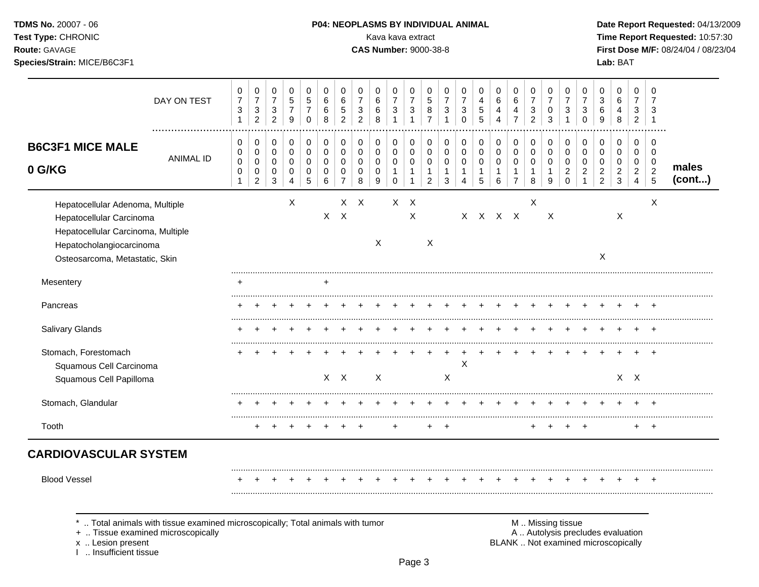#### **Species/Strain:** MICE/B6C3F1 **Lab:** BAT

## **TDMS No.** 20007 - 06 **P04: NEOPLASMS BY INDIVIDUAL ANIMAL** Date Report Requested: 04/13/2009

**Test Type:** CHRONIC **Transfer CHRONIC** Kava Rava extract Kava extract **Time Report Requested:** 10:57:30 **Route:** GAVAGE **CAS Number:** 9000-38-8 **First Dose M/F:** 08/24/04 / 08/23/04

| 0<br>0<br>0<br>0<br>0<br>$\mathbf 0$<br>0<br>0<br>$\mathbf 0$<br>0<br>$\mathbf 0$<br>$\mathbf 0$<br>0<br>0<br>0<br>$\pmb{0}$<br>$\mathbf 0$<br>0<br>1<br>$\mathbf{1}$<br>8<br>9<br>0<br>$\mathbf{1}$<br>$X$ $X$<br>$X$ $X$<br>$\boldsymbol{\mathsf{X}}$<br>X<br>X | 0<br>0<br>0<br>0<br>0<br>0<br>0<br>0<br>0<br>0<br>0<br>0<br>0<br>0<br>$\mathsf{O}\xspace$<br>0<br>$\mathbf 0$<br>0<br>$\mathbf 0$<br>0<br>$\mathbf 0$<br>$\mathbf 0$<br>$\mathbf 0$<br>0<br>0<br>$\mathbf 0$<br>0<br>$\mathbf 0$<br>$\pmb{0}$<br>0<br>0<br>0<br>0<br>0<br>0<br>0<br>0<br>$\mathbf 0$<br>0<br>0<br>0<br>0<br>males<br>$\sqrt{2}$<br>$\overline{c}$<br>$\overline{c}$<br>$\sqrt{2}$<br>$\overline{c}$<br>$\mathbf{1}$<br>$\mathbf{1}$<br>$\mathbf{1}$<br>$\mathbf{1}$<br>$\overline{c}$<br>$\overline{1}$<br>$\mathbf{1}$<br>$\mathbf{1}$<br>1<br>(cont)<br>$\overline{2}$<br>$\mathbf{3}$<br>$\overline{c}$<br>5<br>$6\phantom{1}$<br>$\overline{7}$<br>$\overline{4}$<br>$\overline{5}$<br>3<br>8<br>9<br>$\mathbf 0$<br>$\overline{1}$<br>$\overline{4}$<br>$\boldsymbol{\mathsf{X}}$<br>Χ<br>X X X X<br>X<br>X |
|-------------------------------------------------------------------------------------------------------------------------------------------------------------------------------------------------------------------------------------------------------------------|----------------------------------------------------------------------------------------------------------------------------------------------------------------------------------------------------------------------------------------------------------------------------------------------------------------------------------------------------------------------------------------------------------------------------------------------------------------------------------------------------------------------------------------------------------------------------------------------------------------------------------------------------------------------------------------------------------------------------------------------------------------------------------------------------------------------------------|
|                                                                                                                                                                                                                                                                   |                                                                                                                                                                                                                                                                                                                                                                                                                                                                                                                                                                                                                                                                                                                                                                                                                                  |
|                                                                                                                                                                                                                                                                   | Χ<br>X                                                                                                                                                                                                                                                                                                                                                                                                                                                                                                                                                                                                                                                                                                                                                                                                                           |
|                                                                                                                                                                                                                                                                   |                                                                                                                                                                                                                                                                                                                                                                                                                                                                                                                                                                                                                                                                                                                                                                                                                                  |
|                                                                                                                                                                                                                                                                   |                                                                                                                                                                                                                                                                                                                                                                                                                                                                                                                                                                                                                                                                                                                                                                                                                                  |
|                                                                                                                                                                                                                                                                   |                                                                                                                                                                                                                                                                                                                                                                                                                                                                                                                                                                                                                                                                                                                                                                                                                                  |
| $X$ $X$<br>X                                                                                                                                                                                                                                                      | Χ<br>X<br>$X \times$                                                                                                                                                                                                                                                                                                                                                                                                                                                                                                                                                                                                                                                                                                                                                                                                             |
|                                                                                                                                                                                                                                                                   |                                                                                                                                                                                                                                                                                                                                                                                                                                                                                                                                                                                                                                                                                                                                                                                                                                  |
| $\ddot{}$                                                                                                                                                                                                                                                         | $\ddot{}$<br>$\ddot{}$<br>$+$<br>$+$                                                                                                                                                                                                                                                                                                                                                                                                                                                                                                                                                                                                                                                                                                                                                                                             |
|                                                                                                                                                                                                                                                                   |                                                                                                                                                                                                                                                                                                                                                                                                                                                                                                                                                                                                                                                                                                                                                                                                                                  |
|                                                                                                                                                                                                                                                                   |                                                                                                                                                                                                                                                                                                                                                                                                                                                                                                                                                                                                                                                                                                                                                                                                                                  |
|                                                                                                                                                                                                                                                                   |                                                                                                                                                                                                                                                                                                                                                                                                                                                                                                                                                                                                                                                                                                                                                                                                                                  |

x .. Lesion present<br>I .. Insufficient tissue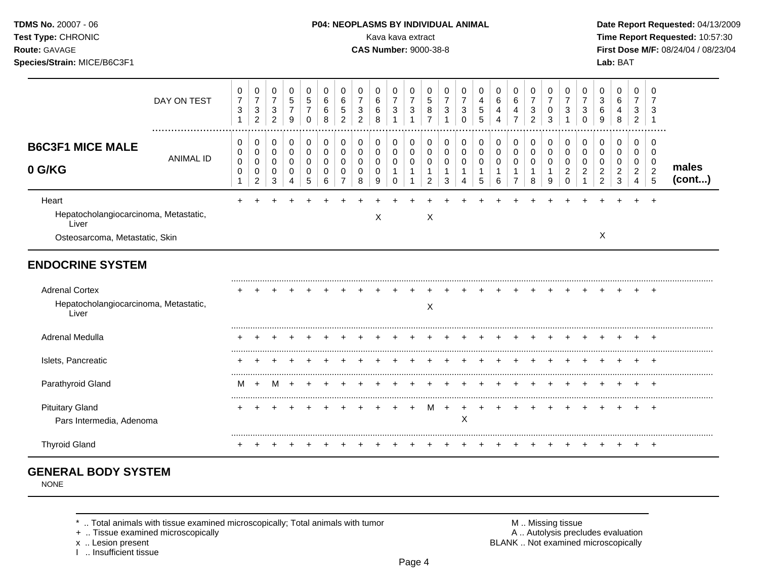#### **TDMS No.** 20007 - 06 **P04: NEOPLASMS BY INDIVIDUAL ANIMAL** Date Report Requested: 04/13/2009

**Test Type:** CHRONIC Kava kava extract **Time Report Requested:** 10:57:30 **Route:** GAVAGE **CAS Number:** 9000-38-8 **First Dose M/F:** 08/24/04 / 08/23/04 **Species/Strain:** MICE/B6C3F1 **Lab:** BAT

|                                                                                           | DAY ON TEST      | 0<br>$\overline{7}$<br>$\ensuremath{\mathsf{3}}$<br>1 | 0<br>$\overline{7}$<br>$\sqrt{3}$<br>$\overline{2}$ | 0<br>$\overline{7}$<br>$\mathbf{3}$<br>$\overline{c}$ | 0<br>$\,$ 5 $\,$<br>$\overline{7}$<br>9 | 0<br>5<br>7<br>$\Omega$ | 0<br>6<br>6<br>8 | 0<br>6<br>5<br>$\overline{2}$      | 0<br>$\overline{7}$<br>3<br>$\overline{2}$ | 0<br>$\,6\,$<br>6<br>8 | 0<br>$\overline{7}$<br>3 | 0<br>$\overline{7}$<br>3 | 0<br>5<br>8<br>$\overline{7}$ | 0<br>$\overline{7}$<br>3 | 0<br>$\overline{7}$<br>3<br>$\Omega$ | 0<br>4<br>5<br>5 | 0<br>6<br>4<br>$\overline{4}$ | 0<br>6<br>4<br>$\overline{7}$               | 0<br>$\overline{7}$<br>3<br>$\overline{2}$ | 0<br>$\overline{7}$<br>0<br>3 | 0<br>$\overline{7}$<br>3 | 0<br>3<br>$\Omega$ | 0<br>3<br>6<br>9                                | 0<br>6<br>4<br>8                   | $\mathbf 0$<br>$\overline{7}$<br>3<br>$\overline{c}$ | 0<br>$\overline{7}$<br>3       |                 |
|-------------------------------------------------------------------------------------------|------------------|-------------------------------------------------------|-----------------------------------------------------|-------------------------------------------------------|-----------------------------------------|-------------------------|------------------|------------------------------------|--------------------------------------------|------------------------|--------------------------|--------------------------|-------------------------------|--------------------------|--------------------------------------|------------------|-------------------------------|---------------------------------------------|--------------------------------------------|-------------------------------|--------------------------|--------------------|-------------------------------------------------|------------------------------------|------------------------------------------------------|--------------------------------|-----------------|
| <b>B6C3F1 MICE MALE</b><br>0 G/KG                                                         | <b>ANIMAL ID</b> | 0<br>0<br>0<br>0                                      | 0<br>0<br>0<br>0<br>2                               | 0<br>0<br>$\mathbf 0$<br>0<br>3                       | 0<br>0<br>0<br>0<br>4                   | 0<br>0<br>0<br>0<br>5   | 0<br>0<br>0<br>6 | 0<br>0<br>0<br>0<br>$\overline{7}$ | 0<br>0<br>0<br>0<br>8                      | 0<br>0<br>0<br>0<br>9  | 0<br>0<br>0<br>1<br>0    | 0<br>0<br>0<br>1         | 0<br>0<br>0<br>1<br>2         | 0<br>0<br>0<br>3         | 0<br>0<br>0<br>4                     | 0<br>0<br>0<br>5 | 0<br>$\mathbf 0$<br>0<br>6    | 0<br>$\pmb{0}$<br>0<br>-1<br>$\overline{7}$ | 0<br>$\,0\,$<br>0<br>-1<br>8               | 0<br>0<br>0<br>9              | 0<br>0<br>0<br>2<br>0    | 0<br>0<br>0<br>2   | 0<br>0<br>0<br>$\overline{c}$<br>$\overline{2}$ | 0<br>0<br>0<br>$\overline{2}$<br>3 | 0<br>0<br>0<br>$\overline{2}$<br>4                   | 0<br>0<br>0<br>$\sqrt{2}$<br>5 | males<br>(cont) |
| Heart<br>Hepatocholangiocarcinoma, Metastatic,<br>Liver<br>Osteosarcoma, Metastatic, Skin |                  |                                                       |                                                     |                                                       |                                         |                         |                  |                                    |                                            | X                      |                          |                          | X                             |                          |                                      |                  |                               |                                             |                                            |                               |                          |                    | X                                               |                                    |                                                      |                                |                 |
| <b>ENDOCRINE SYSTEM</b>                                                                   |                  |                                                       |                                                     |                                                       |                                         |                         |                  |                                    |                                            |                        |                          |                          |                               |                          |                                      |                  |                               |                                             |                                            |                               |                          |                    |                                                 |                                    |                                                      |                                |                 |
| <b>Adrenal Cortex</b><br>Hepatocholangiocarcinoma, Metastatic,<br>Liver                   |                  |                                                       |                                                     |                                                       |                                         |                         |                  |                                    |                                            |                        |                          |                          | X                             |                          |                                      |                  |                               |                                             |                                            |                               |                          |                    |                                                 |                                    |                                                      | $\pm$                          |                 |
| Adrenal Medulla                                                                           |                  |                                                       |                                                     |                                                       |                                         |                         |                  |                                    |                                            |                        |                          |                          |                               |                          |                                      |                  |                               |                                             |                                            |                               |                          |                    |                                                 |                                    |                                                      |                                |                 |
| Islets, Pancreatic                                                                        |                  |                                                       |                                                     |                                                       |                                         |                         |                  |                                    |                                            |                        |                          |                          |                               |                          |                                      |                  |                               |                                             |                                            |                               |                          |                    |                                                 |                                    |                                                      |                                |                 |
| Parathyroid Gland                                                                         |                  | м                                                     |                                                     |                                                       |                                         |                         |                  |                                    |                                            |                        |                          |                          |                               |                          |                                      |                  |                               |                                             |                                            |                               |                          |                    |                                                 |                                    |                                                      | +                              |                 |
| <b>Pituitary Gland</b><br>Pars Intermedia, Adenoma                                        |                  | $\div$                                                |                                                     |                                                       |                                         |                         |                  |                                    |                                            |                        |                          |                          | м                             |                          | X                                    |                  |                               |                                             |                                            |                               |                          |                    |                                                 |                                    |                                                      | $\overline{ }$                 |                 |
| <b>Thyroid Gland</b>                                                                      |                  |                                                       |                                                     |                                                       |                                         |                         |                  |                                    |                                            |                        |                          |                          |                               |                          |                                      |                  |                               |                                             |                                            |                               |                          |                    |                                                 |                                    |                                                      | $\overline{+}$                 |                 |

# **GENERAL BODY SYSTEM**

NONE

+ .. Tissue examined microscopically

I .. Insufficient tissue

\* .. Total animals with tissue examined microscopically; Total animals with tumor <br>
+ .. Tissue examined microscopically<br>
+ .. Tissue examined microscopically x .. Lesion present **BLANK** .. Not examined microscopically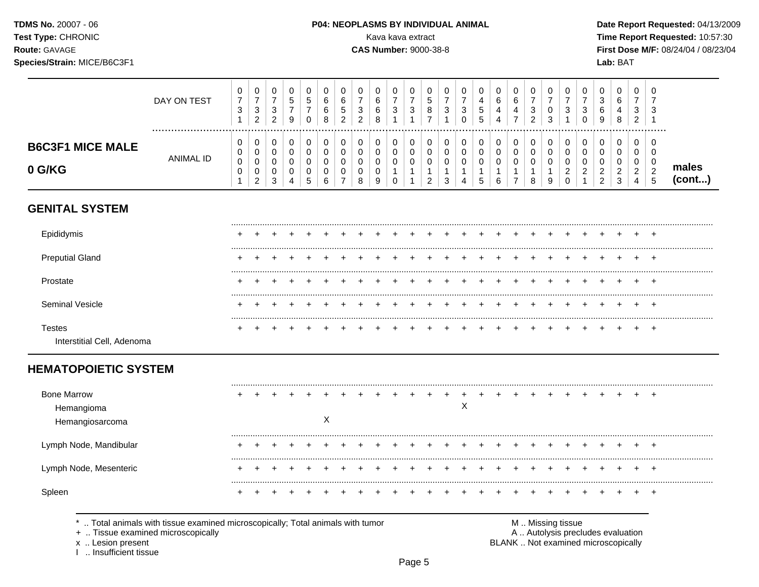#### Species/Strain: MICE/B6C3F1

#### P04: NEOPLASMS BY INDIVIDUAL ANIMAL

Kava kava extract

**CAS Number: 9000-38-8** 

Date Report Requested: 04/13/2009 Time Report Requested: 10:57:30 First Dose M/F: 08/24/04 / 08/23/04 Lab: BAT

|                                                     | DAY ON TEST                                                                                                        | 0<br>$\overline{7}$<br>$\sqrt{3}$<br>$\mathbf{1}$ | 0<br>$\overline{7}$<br>$\mathbf{3}$<br>$\overline{2}$                  | 0<br>$\overline{7}$<br>$\sqrt{3}$<br>$\overline{c}$        | 0<br>$\sqrt{5}$<br>$\overline{7}$<br>$\boldsymbol{9}$ | 0<br>5<br>$\overline{7}$<br>$\mathbf 0$             | 0<br>6<br>6<br>8                                    | 0<br>6<br>$\sqrt{5}$<br>$\overline{c}$                 | 0<br>$\overline{7}$<br>$\mathbf{3}$<br>$\overline{2}$ | 0<br>$\,6$<br>6<br>8                            | 0<br>$\overline{7}$<br>$\sqrt{3}$<br>$\overline{1}$       | 0<br>$\overline{7}$<br>$\mathbf{3}$<br>$\mathbf{1}$ | 0<br>5<br>8<br>$\overline{7}$                                 | 0<br>$\overline{7}$<br>$\mathbf{3}$<br>$\mathbf{1}$  | 0<br>$\overline{7}$<br>$\mathbf{3}$<br>$\Omega$                       | 0<br>$\overline{4}$<br>$\sqrt{5}$<br>5            | 0<br>$\,6\,$<br>4<br>4        | 0<br>6<br>4<br>$\overline{7}$                                | 0<br>$\overline{7}$<br>3<br>$\overline{2}$         | 0<br>$\overline{7}$<br>0<br>$\mathbf{3}$ | 0<br>$\overline{7}$<br>3<br>$\mathbf 1$                                    | 0<br>$\overline{7}$<br>3<br>$\Omega$         | 0<br>$\sqrt{3}$<br>6<br>9                                                | 0<br>6<br>4<br>8                                                | 0<br>$\overline{7}$<br>3<br>$\overline{a}$              | 0<br>$\overline{7}$<br>3<br>$\overline{1}$ |                 |
|-----------------------------------------------------|--------------------------------------------------------------------------------------------------------------------|---------------------------------------------------|------------------------------------------------------------------------|------------------------------------------------------------|-------------------------------------------------------|-----------------------------------------------------|-----------------------------------------------------|--------------------------------------------------------|-------------------------------------------------------|-------------------------------------------------|-----------------------------------------------------------|-----------------------------------------------------|---------------------------------------------------------------|------------------------------------------------------|-----------------------------------------------------------------------|---------------------------------------------------|-------------------------------|--------------------------------------------------------------|----------------------------------------------------|------------------------------------------|----------------------------------------------------------------------------|----------------------------------------------|--------------------------------------------------------------------------|-----------------------------------------------------------------|---------------------------------------------------------|--------------------------------------------|-----------------|
| <b>B6C3F1 MICE MALE</b><br>0 G/KG                   | ANIMAL ID                                                                                                          | $\mathbf 0$<br>$\mathbf 0$<br>$\pmb{0}$<br>0<br>1 | $\mathbf 0$<br>$\mathbf 0$<br>$\pmb{0}$<br>$\pmb{0}$<br>$\overline{c}$ | $\pmb{0}$<br>$\mathbf 0$<br>$\pmb{0}$<br>0<br>$\mathbf{3}$ | 0<br>$\boldsymbol{0}$<br>$\mathbf 0$<br>0<br>4        | $\,0\,$<br>$\pmb{0}$<br>$\pmb{0}$<br>$\pmb{0}$<br>5 | $\mathbf 0$<br>$\mathbf 0$<br>$\mathbf 0$<br>0<br>6 | 0<br>$\mathbf 0$<br>$\mathbf 0$<br>0<br>$\overline{7}$ | $\mathbf 0$<br>$\mathbf 0$<br>$\mathbf 0$<br>0<br>8   | $\pmb{0}$<br>$\pmb{0}$<br>$\mathbf 0$<br>0<br>9 | $\pmb{0}$<br>$\mathbf 0$<br>$\pmb{0}$<br>1<br>$\mathbf 0$ | 0<br>$\mathbf 0$<br>0<br>1<br>$\mathbf{1}$          | $\pmb{0}$<br>$\pmb{0}$<br>0<br>$\mathbf{1}$<br>$\overline{c}$ | $\mathbf 0$<br>$\mathbf 0$<br>0<br>$\mathbf{1}$<br>3 | $\pmb{0}$<br>$\pmb{0}$<br>$\pmb{0}$<br>$\mathbf{1}$<br>$\overline{4}$ | $\pmb{0}$<br>$\mathbf 0$<br>$\mathbf 0$<br>1<br>5 | 0<br>0<br>$\pmb{0}$<br>1<br>6 | $\pmb{0}$<br>$\pmb{0}$<br>$\mathbf 0$<br>1<br>$\overline{7}$ | 0<br>$\mathbf 0$<br>$\pmb{0}$<br>$\mathbf{1}$<br>8 | $\pmb{0}$<br>$\pmb{0}$<br>0<br>1<br>9    | $\mathbf 0$<br>$\mathbf 0$<br>$\mathbf 0$<br>$\overline{c}$<br>$\mathbf 0$ | 0<br>$\mathbf 0$<br>0<br>$\overline{c}$<br>1 | 0<br>$\mathbf 0$<br>$\mathbf 0$<br>$\overline{c}$<br>$\overline{2}$      | 0<br>$\mathbf 0$<br>$\mathbf 0$<br>$\sqrt{2}$<br>$\mathfrak{S}$ | 0<br>0<br>$\pmb{0}$<br>$\overline{a}$<br>$\overline{4}$ | 0<br>$\mathbf 0$<br>0<br>$\frac{2}{5}$     | males<br>(cont) |
| <b>GENITAL SYSTEM</b>                               |                                                                                                                    |                                                   |                                                                        |                                                            |                                                       |                                                     |                                                     |                                                        |                                                       |                                                 |                                                           |                                                     |                                                               |                                                      |                                                                       |                                                   |                               |                                                              |                                                    |                                          |                                                                            |                                              |                                                                          |                                                                 |                                                         |                                            |                 |
| Epididymis                                          |                                                                                                                    |                                                   |                                                                        |                                                            |                                                       |                                                     |                                                     |                                                        |                                                       |                                                 |                                                           |                                                     |                                                               |                                                      |                                                                       |                                                   |                               |                                                              |                                                    |                                          |                                                                            |                                              |                                                                          |                                                                 |                                                         |                                            |                 |
| <b>Preputial Gland</b>                              |                                                                                                                    |                                                   |                                                                        |                                                            |                                                       |                                                     |                                                     |                                                        |                                                       |                                                 |                                                           |                                                     |                                                               |                                                      |                                                                       |                                                   |                               |                                                              |                                                    |                                          |                                                                            |                                              |                                                                          |                                                                 |                                                         |                                            |                 |
| Prostate                                            |                                                                                                                    |                                                   |                                                                        |                                                            |                                                       |                                                     |                                                     |                                                        |                                                       |                                                 |                                                           |                                                     |                                                               |                                                      |                                                                       |                                                   |                               |                                                              |                                                    |                                          |                                                                            |                                              |                                                                          |                                                                 |                                                         |                                            |                 |
| Seminal Vesicle                                     |                                                                                                                    |                                                   |                                                                        |                                                            |                                                       |                                                     |                                                     |                                                        |                                                       |                                                 |                                                           |                                                     |                                                               |                                                      |                                                                       |                                                   |                               |                                                              |                                                    |                                          |                                                                            |                                              |                                                                          |                                                                 |                                                         |                                            |                 |
| <b>Testes</b><br>Interstitial Cell, Adenoma         |                                                                                                                    |                                                   |                                                                        |                                                            |                                                       |                                                     |                                                     |                                                        |                                                       |                                                 |                                                           |                                                     |                                                               |                                                      |                                                                       |                                                   |                               |                                                              |                                                    |                                          |                                                                            |                                              |                                                                          |                                                                 |                                                         | $+$                                        |                 |
| <b>HEMATOPOIETIC SYSTEM</b>                         |                                                                                                                    |                                                   |                                                                        |                                                            |                                                       |                                                     |                                                     |                                                        |                                                       |                                                 |                                                           |                                                     |                                                               |                                                      |                                                                       |                                                   |                               |                                                              |                                                    |                                          |                                                                            |                                              |                                                                          |                                                                 |                                                         |                                            |                 |
| <b>Bone Marrow</b><br>Hemangioma<br>Hemangiosarcoma |                                                                                                                    |                                                   |                                                                        |                                                            |                                                       |                                                     | X                                                   |                                                        |                                                       |                                                 |                                                           |                                                     |                                                               |                                                      | X                                                                     |                                                   |                               |                                                              |                                                    |                                          |                                                                            |                                              |                                                                          |                                                                 | $\div$                                                  | $\pm$                                      |                 |
| Lymph Node, Mandibular                              |                                                                                                                    |                                                   |                                                                        |                                                            |                                                       |                                                     |                                                     |                                                        |                                                       |                                                 |                                                           |                                                     |                                                               |                                                      |                                                                       |                                                   |                               |                                                              |                                                    |                                          |                                                                            |                                              |                                                                          |                                                                 |                                                         |                                            |                 |
| Lymph Node, Mesenteric                              |                                                                                                                    |                                                   |                                                                        |                                                            |                                                       |                                                     |                                                     |                                                        |                                                       |                                                 |                                                           |                                                     |                                                               |                                                      |                                                                       |                                                   |                               |                                                              |                                                    |                                          |                                                                            |                                              |                                                                          |                                                                 |                                                         |                                            |                 |
| Spleen                                              |                                                                                                                    |                                                   |                                                                        |                                                            |                                                       |                                                     |                                                     |                                                        |                                                       |                                                 |                                                           |                                                     |                                                               |                                                      |                                                                       |                                                   |                               |                                                              |                                                    |                                          |                                                                            |                                              |                                                                          |                                                                 |                                                         |                                            |                 |
| x  Lesion present<br>1  Insufficient tissue         | Total animals with tissue examined microscopically; Total animals with tumor<br>+  Tissue examined microscopically |                                                   |                                                                        |                                                            |                                                       |                                                     |                                                     |                                                        |                                                       |                                                 |                                                           |                                                     |                                                               |                                                      |                                                                       |                                                   |                               |                                                              |                                                    |                                          | M  Missing tissue                                                          |                                              | A  Autolysis precludes evaluation<br>BLANK  Not examined microscopically |                                                                 |                                                         |                                            |                 |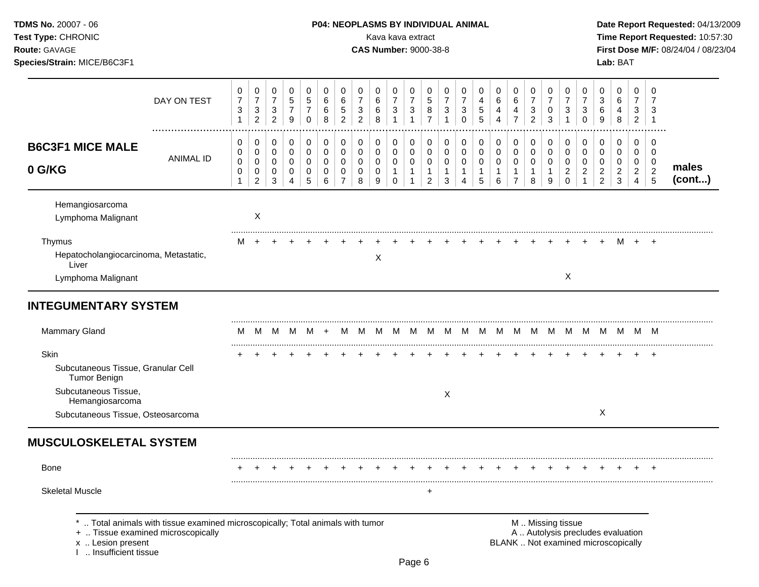| <b>TDMS No. 20007 - 06</b><br>Test Type: CHRONIC<br><b>Route: GAVAGE</b><br>Species/Strain: MICE/B6C3F1 |             |               |             |                          |                               |                               | <b>P04: NEOPLASMS BY INDIVIDUAL ANIMAL</b> |             |             |             |                               | Kava kava extract<br><b>CAS Number: 9000-38-8</b> |             |   |   |                  |                    |                                         |                               |               |   |             |                         | Date Report Requ<br><b>Time Report Req</b><br>First Dose M/F: 0<br>Lab: BAT |                  |  |
|---------------------------------------------------------------------------------------------------------|-------------|---------------|-------------|--------------------------|-------------------------------|-------------------------------|--------------------------------------------|-------------|-------------|-------------|-------------------------------|---------------------------------------------------|-------------|---|---|------------------|--------------------|-----------------------------------------|-------------------------------|---------------|---|-------------|-------------------------|-----------------------------------------------------------------------------|------------------|--|
|                                                                                                         | DAY ON TEST | U<br>⇁<br>3   | 0<br>3<br>2 | 0<br>3<br>$\overline{2}$ | 0<br>5<br>$\overline{ }$<br>9 | $\overline{0}$<br>5<br>⇁<br>0 | 0<br>6<br>6<br>8                           | 6<br>5<br>2 | –<br>3<br>ົ | 6<br>6<br>8 | $\overline{\phantom{0}}$<br>3 | ⇁<br>3                                            | 0<br>5<br>8 | ◠ | 3 | 0<br>4<br>5<br>5 | $\Omega$<br>6<br>4 | 0<br>6<br>4<br>$\overline{\phantom{0}}$ | 0<br>$\overline{ }$<br>3<br>2 | $\Omega$<br>3 | 3 | 0<br>3<br>0 | $\Omega$<br>3<br>6<br>9 | 0<br>6<br>4<br>8                                                            | 0<br>⇁<br>3<br>2 |  |
| <b>RGC3F1 MICF MAI F</b>                                                                                |             | $\Omega$<br>υ | 0           | 0                        | 0                             | 0                             |                                            |             |             |             |                               |                                                   | 0           |   |   | 0                |                    | 0                                       |                               | $\Omega$      |   |             |                         | 0                                                                           | 0                |  |

| DUUJE I MIUL MALL<br>0 G/KG                    | ANIMAL ID | 0<br>0<br>0 | 0<br>0<br>0<br>$\overline{2}$ | U<br>v<br>U.<br>3 | 0<br>0<br>0<br>4 | $\mathbf 0$<br>0<br>0<br>5 | 0<br>0<br>0<br>6 | - ს | 0<br>0<br>8 | 0<br>0<br>0<br>9 | $\mathbf{0}$<br>0<br>0 | 0<br>0 | 0<br>U<br>2 | 0<br>0<br>3 | $\overline{0}$<br>$\sim$<br>4 | 0<br>$\Omega$<br>υ<br>5 | - 6 | 0<br>0 | $\mathbf{0}$<br>8 | $\mathbf{0}$<br>0<br>9 | $\mathbf{0}$<br>0<br>2 | 0<br>U<br>2 | 0<br>0<br>2<br>$\overline{2}$ | $\mathbf{0}$<br>$\sim$<br>U<br>ົ<br><u>.</u><br>3 | 0<br>0<br>ົ<br>∼<br>4 | C<br>-2 | males<br>(cont) |  |
|------------------------------------------------|-----------|-------------|-------------------------------|-------------------|------------------|----------------------------|------------------|-----|-------------|------------------|------------------------|--------|-------------|-------------|-------------------------------|-------------------------|-----|--------|-------------------|------------------------|------------------------|-------------|-------------------------------|---------------------------------------------------|-----------------------|---------|-----------------|--|
| Hemangiosarcoma<br>Lymphoma Malignant          |           |             | ⋏                             |                   |                  |                            |                  |     |             |                  |                        |        |             |             |                               |                         |     |        |                   |                        |                        |             |                               |                                                   |                       |         |                 |  |
| Thymus                                         |           | Μ           |                               |                   |                  |                            |                  |     |             |                  |                        |        |             |             |                               |                         |     |        |                   |                        |                        |             |                               | M                                                 |                       | +       |                 |  |
| Hepatocholangiocarcinoma, Metastatic,<br>Liver |           |             |                               |                   |                  |                            |                  |     |             | Х                |                        |        |             |             |                               |                         |     |        |                   |                        |                        |             |                               |                                                   |                       |         |                 |  |
| Lymphoma Malignant                             |           |             |                               |                   |                  |                            |                  |     |             |                  |                        |        |             |             |                               |                         |     |        |                   |                        | $\lambda$              |             |                               |                                                   |                       |         |                 |  |
|                                                |           |             |                               |                   |                  |                            |                  |     |             |                  |                        |        |             |             |                               |                         |     |        |                   |                        |                        |             |                               |                                                   |                       |         |                 |  |

Date Report Requested: 04/13/2009 **Time Report Requested: 10:57:30 First Dose M/F:** 08/24/04 / 08/23/04

# **INTEGUMENTARY SYSTEM**

| Mammary Gland                                      |  |  | M |  | M | M | - M | M | M | M | M | M | M | M | M |  |  | M |
|----------------------------------------------------|--|--|---|--|---|---|-----|---|---|---|---|---|---|---|---|--|--|---|
| Skin                                               |  |  |   |  |   |   |     |   |   |   |   |   |   |   |   |  |  |   |
| Subcutaneous Tissue, Granular Cell<br>Tumor Benign |  |  |   |  |   |   |     |   |   |   |   |   |   |   |   |  |  |   |
| Subcutaneous Tissue,<br>Hemangiosarcoma            |  |  |   |  |   |   |     |   |   |   |   |   |   |   |   |  |  |   |
| Subcutaneous Tissue, Osteosarcoma                  |  |  |   |  |   |   |     |   |   |   |   |   |   |   |   |  |  |   |

# **MUSCULOSKELETAL SYSTEM**

| Bone                                                                         |  |  |  |  |  |  |  |                                     |                                   |  |  |  |  |  |
|------------------------------------------------------------------------------|--|--|--|--|--|--|--|-------------------------------------|-----------------------------------|--|--|--|--|--|
|                                                                              |  |  |  |  |  |  |  |                                     |                                   |  |  |  |  |  |
| <b>Skeletal Muscle</b>                                                       |  |  |  |  |  |  |  |                                     |                                   |  |  |  |  |  |
|                                                                              |  |  |  |  |  |  |  |                                     |                                   |  |  |  |  |  |
|                                                                              |  |  |  |  |  |  |  |                                     |                                   |  |  |  |  |  |
| Total animals with tissue examined microscopically; Total animals with tumor |  |  |  |  |  |  |  |                                     | M  Missing tissue                 |  |  |  |  |  |
| +  Tissue examined microscopically                                           |  |  |  |  |  |  |  |                                     | A  Autolysis precludes evaluation |  |  |  |  |  |
| x  Lesion present                                                            |  |  |  |  |  |  |  | BLANK  Not examined microscopically |                                   |  |  |  |  |  |
| Insufficient tissue                                                          |  |  |  |  |  |  |  |                                     |                                   |  |  |  |  |  |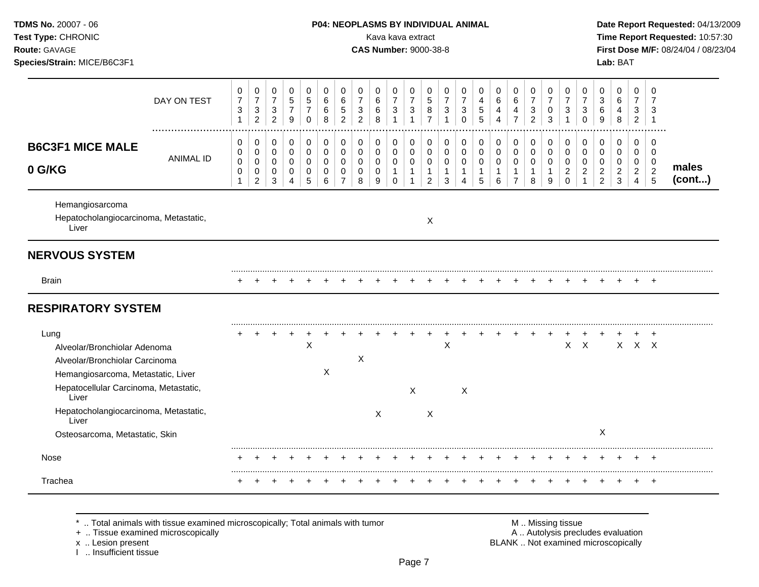| TDMS No. 20007 - 06<br>Test Type: CHRONIC<br>Route: GAVAGE<br>Species/Strain: MICE/B6C3F1                    |                  |                                            |                                                                    |                                                                         |                                           |                                                   |                                                          | P04: NEOPLASMS BY INDIVIDUAL ANIMAL                          |                                                                    | Kava kava extract<br><b>CAS Number: 9000-38-8</b> |                                                                                        |                                                                                     |                                                                   |                                            |                                                   |                                                     |                                                      |                                               |                                            |                                                    |                                                                  |                                                                   |                                                      | Lab: BAT                                                       |                                                                               |                                                                  | Date Report Requested: 04/13/2009<br>Time Report Requested: 10:57:30<br>First Dose M/F: 08/24/04 / 08/23/04 |
|--------------------------------------------------------------------------------------------------------------|------------------|--------------------------------------------|--------------------------------------------------------------------|-------------------------------------------------------------------------|-------------------------------------------|---------------------------------------------------|----------------------------------------------------------|--------------------------------------------------------------|--------------------------------------------------------------------|---------------------------------------------------|----------------------------------------------------------------------------------------|-------------------------------------------------------------------------------------|-------------------------------------------------------------------|--------------------------------------------|---------------------------------------------------|-----------------------------------------------------|------------------------------------------------------|-----------------------------------------------|--------------------------------------------|----------------------------------------------------|------------------------------------------------------------------|-------------------------------------------------------------------|------------------------------------------------------|----------------------------------------------------------------|-------------------------------------------------------------------------------|------------------------------------------------------------------|-------------------------------------------------------------------------------------------------------------|
|                                                                                                              | DAY ON TEST      | 0<br>$\boldsymbol{7}$<br>3<br>$\mathbf{1}$ | 0<br>$\overline{7}$<br>$\ensuremath{\mathsf{3}}$<br>$\overline{c}$ | 0<br>$\overline{7}$<br>$\sqrt{3}$<br>$\overline{2}$                     | 0<br>5<br>$\overline{7}$<br>9             | $\mathbf 0$<br>5<br>$\overline{7}$<br>$\mathbf 0$ | $\mathbf 0$<br>6<br>6<br>8                               | $\mathbf 0$<br>6<br>$\sqrt{5}$<br>$\overline{2}$             | 0<br>$\overline{7}$<br>$\ensuremath{\mathsf{3}}$<br>$\overline{2}$ | $\mathbf 0$<br>$\,6\,$<br>6<br>8                  | $\pmb{0}$<br>$\overline{7}$<br>$\ensuremath{\mathsf{3}}$<br>$\overline{1}$             | $\pmb{0}$<br>$\overline{7}$<br>$\ensuremath{\mathsf{3}}$<br>$\mathbf{1}$            | $\mathbf 0$<br>$\overline{5}$<br>8<br>$\overline{7}$              | 0<br>$\overline{7}$<br>3<br>$\mathbf{1}$   | 0<br>$\overline{7}$<br>3<br>$\mathbf 0$           | 0<br>4<br>$\,$ 5 $\,$<br>$\overline{5}$             | 0<br>$\,6\,$<br>4<br>4                               | 0<br>6<br>4<br>$\overline{7}$                 | 0<br>$\overline{7}$<br>3<br>$\overline{2}$ | 0<br>$\overline{7}$<br>$\mathbf 0$<br>$\mathbf{3}$ | 0<br>$\overline{7}$<br>$\ensuremath{\mathsf{3}}$<br>$\mathbf{1}$ | 0<br>$\overline{7}$<br>$\mathbf{3}$<br>$\mathbf 0$                | $\mathbf 0$<br>$\mathbf{3}$<br>6<br>$\boldsymbol{9}$ | $\mathbf 0$<br>$\,6\,$<br>4<br>8                               | $\mathbf 0$<br>$\overline{7}$<br>3<br>$\overline{2}$                          | $\mathbf 0$<br>$\overline{7}$<br>$\mathbf{3}$<br>$\overline{1}$  |                                                                                                             |
| <b>B6C3F1 MICE MALE</b><br>0 G/KG                                                                            | <b>ANIMAL ID</b> | $\mathbf 0$<br>0<br>0<br>0<br>$\mathbf{1}$ | 0<br>0<br>$\mathbf 0$<br>0<br>$\overline{c}$                       | $\pmb{0}$<br>0<br>$\pmb{0}$<br>$\mathbf 0$<br>$\ensuremath{\mathsf{3}}$ | 0<br>$\mathbf 0$<br>$\mathbf 0$<br>0<br>4 | 0<br>0<br>0<br>0<br>5                             | $\pmb{0}$<br>$\mathbf 0$<br>$\Omega$<br>$\mathsf 0$<br>6 | $\pmb{0}$<br>$\mathbf 0$<br>0<br>$\pmb{0}$<br>$\overline{7}$ | $\mathbf 0$<br>0<br>$\mathbf 0$<br>0<br>8                          | 0<br>0<br>$\mathbf 0$<br>$\mathbf 0$<br>9         | $\pmb{0}$<br>$\mathsf{O}\xspace$<br>$\mathsf{O}\xspace$<br>$\mathbf{1}$<br>$\mathbf 0$ | $\pmb{0}$<br>$\boldsymbol{0}$<br>$\boldsymbol{0}$<br>$\mathbf{1}$<br>$\overline{1}$ | 0<br>$\mathbf 0$<br>$\mathbf 0$<br>$\mathbf{1}$<br>$\overline{2}$ | 0<br>$\mathbf 0$<br>0<br>$\mathbf{1}$<br>3 | 0<br>$\mathbf 0$<br>$\Omega$<br>$\mathbf{1}$<br>4 | 0<br>$\mathbf 0$<br>$\mathbf 0$<br>$\mathbf 1$<br>5 | 0<br>$\mathbf 0$<br>$\mathbf 0$<br>$\mathbf{1}$<br>6 | 0<br>0<br>0<br>$\mathbf{1}$<br>$\overline{7}$ | 0<br>0<br>0<br>$\mathbf{1}$<br>8           | 0<br>$\mathbf 0$<br>0<br>$\mathbf{1}$<br>9         | $\pmb{0}$<br>0<br>$\pmb{0}$<br>$\overline{2}$<br>$\mathbf 0$     | $\mathbf 0$<br>0<br>$\mathbf 0$<br>$\overline{c}$<br>$\mathbf{1}$ | 0<br>0<br>0<br>$\overline{2}$<br>$\overline{2}$      | $\pmb{0}$<br>$\mathbf 0$<br>$\mathbf 0$<br>$\overline{2}$<br>3 | $\mathbf 0$<br>$\mathbf 0$<br>$\mathbf 0$<br>$\overline{2}$<br>$\overline{4}$ | $\mathbf 0$<br>$\mathbf 0$<br>$\mathbf 0$<br>$\overline{2}$<br>5 | males<br>(cont)                                                                                             |
| Hemangiosarcoma<br>Hepatocholangiocarcinoma, Metastatic,<br>Liver                                            |                  |                                            |                                                                    |                                                                         |                                           |                                                   |                                                          |                                                              |                                                                    |                                                   |                                                                                        |                                                                                     | X                                                                 |                                            |                                                   |                                                     |                                                      |                                               |                                            |                                                    |                                                                  |                                                                   |                                                      |                                                                |                                                                               |                                                                  |                                                                                                             |
| <b>NERVOUS SYSTEM</b>                                                                                        |                  |                                            |                                                                    |                                                                         |                                           |                                                   |                                                          |                                                              |                                                                    |                                                   |                                                                                        |                                                                                     |                                                                   |                                            |                                                   |                                                     |                                                      |                                               |                                            |                                                    |                                                                  |                                                                   |                                                      |                                                                |                                                                               |                                                                  |                                                                                                             |
| <b>Brain</b>                                                                                                 |                  |                                            |                                                                    |                                                                         |                                           |                                                   |                                                          |                                                              |                                                                    |                                                   |                                                                                        |                                                                                     |                                                                   | $\div$                                     |                                                   |                                                     |                                                      |                                               |                                            | $\ddot{}$                                          | $\ddot{}$                                                        | $\ddot{}$                                                         | $\pm$                                                |                                                                | $\ddot{}$                                                                     | $^{+}$                                                           |                                                                                                             |
| <b>RESPIRATORY SYSTEM</b>                                                                                    |                  |                                            |                                                                    |                                                                         |                                           |                                                   |                                                          |                                                              |                                                                    |                                                   |                                                                                        |                                                                                     |                                                                   |                                            |                                                   |                                                     |                                                      |                                               |                                            |                                                    |                                                                  |                                                                   |                                                      |                                                                |                                                                               |                                                                  |                                                                                                             |
|                                                                                                              |                  |                                            |                                                                    |                                                                         |                                           |                                                   |                                                          |                                                              |                                                                    |                                                   |                                                                                        |                                                                                     |                                                                   |                                            |                                                   |                                                     |                                                      |                                               |                                            |                                                    |                                                                  |                                                                   |                                                      |                                                                |                                                                               |                                                                  |                                                                                                             |
| Lung<br>Alveolar/Bronchiolar Adenoma<br>Alveolar/Bronchiolar Carcinoma<br>Hemangiosarcoma, Metastatic, Liver |                  |                                            | $\ddot{}$                                                          | $\ddot{}$                                                               | $\ddot{}$                                 | $\ddot{}$<br>X                                    | $\ddot{}$<br>X                                           |                                                              | $\boldsymbol{\mathsf{X}}$                                          |                                                   |                                                                                        |                                                                                     | $\ddot{}$                                                         | $\ddot{}$<br>$\mathsf X$                   |                                                   |                                                     |                                                      |                                               |                                            | $\div$                                             | $\ddot{}$<br>$X$ $X$                                             | $\ddot{}$                                                         | $\ddot{}$                                            | $\overline{1}$                                                 | $\pm$<br>$X$ $X$ $X$                                                          | $+$                                                              |                                                                                                             |
| Hepatocellular Carcinoma, Metastatic,<br>Liver                                                               |                  |                                            |                                                                    |                                                                         |                                           |                                                   |                                                          |                                                              |                                                                    |                                                   |                                                                                        | $\sf X$                                                                             |                                                                   |                                            | $\boldsymbol{X}$                                  |                                                     |                                                      |                                               |                                            |                                                    |                                                                  |                                                                   |                                                      |                                                                |                                                                               |                                                                  |                                                                                                             |
| Hepatocholangiocarcinoma, Metastatic,<br>Liver                                                               |                  |                                            |                                                                    |                                                                         |                                           |                                                   |                                                          |                                                              |                                                                    | X                                                 |                                                                                        |                                                                                     | X                                                                 |                                            |                                                   |                                                     |                                                      |                                               |                                            |                                                    |                                                                  |                                                                   |                                                      |                                                                |                                                                               |                                                                  |                                                                                                             |
| Osteosarcoma, Metastatic, Skin                                                                               |                  |                                            |                                                                    |                                                                         |                                           |                                                   |                                                          |                                                              |                                                                    |                                                   |                                                                                        |                                                                                     |                                                                   |                                            |                                                   |                                                     |                                                      |                                               |                                            |                                                    |                                                                  |                                                                   | X                                                    |                                                                |                                                                               |                                                                  |                                                                                                             |
| Nose                                                                                                         |                  |                                            |                                                                    |                                                                         |                                           |                                                   |                                                          |                                                              |                                                                    |                                                   |                                                                                        |                                                                                     |                                                                   |                                            |                                                   |                                                     |                                                      |                                               |                                            |                                                    |                                                                  |                                                                   |                                                      |                                                                |                                                                               | $\ddot{}$                                                        |                                                                                                             |

\* .. Total animals with tissue examined microscopically; Total animals with tumor + .. Tissue examined microscopically

x .. Lesion present<br>I .. Insufficient tissue

M .. Missing tissue<br>A .. Autolysis precludes evaluation<br>BLANK .. Not examined microscopically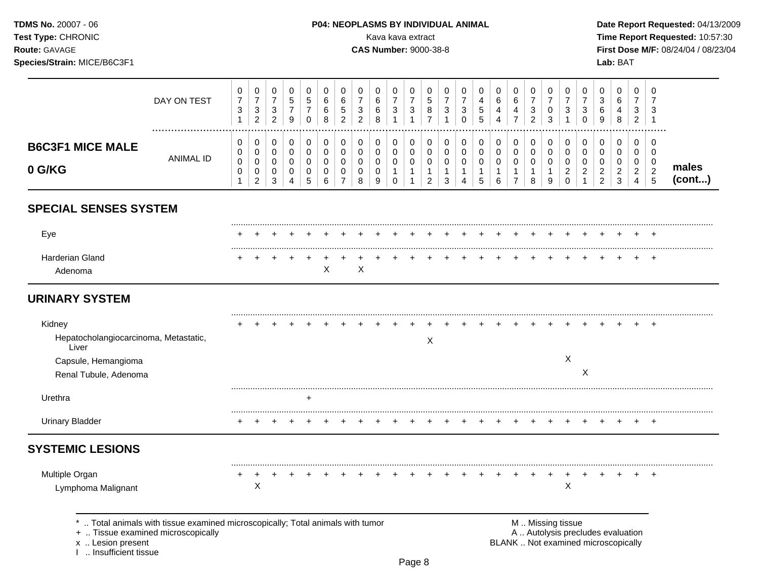#### Species/Strain: MICE/B6C3F1

Kava kava extract

**CAS Number: 9000-38-8** 

Date Report Requested: 04/13/2009 Time Report Requested: 10:57:30 First Dose M/F: 08/24/04 / 08/23/04 Lab: BAT

|                                                          | DAY ON TEST                                                                                                        | 0<br>$\boldsymbol{7}$<br>3<br>$\mathbf{1}$           | $\pmb{0}$<br>$\overline{7}$<br>$\ensuremath{\mathsf{3}}$<br>$\overline{2}$ | 0<br>$\overline{7}$<br>$\sqrt{3}$<br>$\overline{c}$ | 0<br>$5\phantom{.0}$<br>$\boldsymbol{7}$<br>$\boldsymbol{9}$ | $\mathbf 0$<br>$\overline{5}$<br>$\overline{7}$<br>0 | 0<br>6<br>6<br>8                | 0<br>6<br>5<br>$\overline{2}$      | 0<br>$\overline{7}$<br>3<br>$\overline{2}$ | 0<br>$\,6$<br>6<br>8                                          | 0<br>$\boldsymbol{7}$<br>3<br>$\overline{1}$ | 0<br>$\overline{7}$<br>3<br>$\mathbf{1}$ | 0<br>$\,$ 5 $\,$<br>8<br>$\overline{7}$                             | 0<br>$\boldsymbol{7}$<br>$\mathbf{3}$<br>$\mathbf{1}$       | 0<br>$\overline{7}$<br>3<br>$\Omega$                 | 0<br>4<br>$\sqrt{5}$<br>5       | 0<br>6<br>4<br>4              | 0<br>$\,6\,$<br>4<br>$\overline{7}$                     | $\mathbf 0$<br>$\overline{7}$<br>3<br>$\overline{2}$ | 0<br>$\overline{7}$<br>0<br>3   | 0<br>$\overline{7}$<br>3                                                                      | 0<br>$\overline{7}$<br>3<br>$\Omega$                           | 0<br>3<br>$\,6$<br>9                                      | 0<br>6<br>4<br>8                     | $\mathbf 0$<br>$\overline{7}$<br>3<br>$\overline{a}$                          | 0<br>$\overline{7}$<br>3<br>$\overline{1}$ |                 |
|----------------------------------------------------------|--------------------------------------------------------------------------------------------------------------------|------------------------------------------------------|----------------------------------------------------------------------------|-----------------------------------------------------|--------------------------------------------------------------|------------------------------------------------------|---------------------------------|------------------------------------|--------------------------------------------|---------------------------------------------------------------|----------------------------------------------|------------------------------------------|---------------------------------------------------------------------|-------------------------------------------------------------|------------------------------------------------------|---------------------------------|-------------------------------|---------------------------------------------------------|------------------------------------------------------|---------------------------------|-----------------------------------------------------------------------------------------------|----------------------------------------------------------------|-----------------------------------------------------------|--------------------------------------|-------------------------------------------------------------------------------|--------------------------------------------|-----------------|
| <b>B6C3F1 MICE MALE</b><br>0 G/KG                        | <b>ANIMAL ID</b>                                                                                                   | 0<br>0<br>$\mathbf 0$<br>$\mathbf 0$<br>$\mathbf{1}$ | 0<br>$\mathbf 0$<br>$\pmb{0}$<br>$\pmb{0}$<br>$\boldsymbol{2}$             | 0<br>0<br>0<br>$\mathbf 0$<br>3                     | 0<br>0<br>$\mathbf 0$<br>$\mathbf 0$<br>$\overline{4}$       | $\mathbf 0$<br>$\mathbf 0$<br>0<br>0<br>$\sqrt{5}$   | 0<br>0<br>$\mathbf 0$<br>0<br>6 | 0<br>0<br>0<br>0<br>$\overline{7}$ | 0<br>$\mathbf 0$<br>0<br>0<br>8            | $\mathbf 0$<br>$\mathbf 0$<br>$\mathbf 0$<br>$\mathbf 0$<br>9 | 0<br>0<br>0<br>$\mathbf{1}$<br>$\mathbf 0$   | 0<br>0<br>$\mathbf 0$<br>-1<br>1         | $\pmb{0}$<br>$\pmb{0}$<br>$\,0\,$<br>$\mathbf{1}$<br>$\overline{2}$ | $\pmb{0}$<br>0<br>$\mathbf 0$<br>$\mathbf{1}$<br>$\sqrt{3}$ | $\mathbf 0$<br>0<br>$\pmb{0}$<br>1<br>$\overline{4}$ | 0<br>0<br>$\mathbf 0$<br>1<br>5 | 0<br>0<br>$\pmb{0}$<br>1<br>6 | 0<br>0<br>$\mathbf 0$<br>$\mathbf{1}$<br>$\overline{7}$ | $\mathbf 0$<br>$\mathbf 0$<br>0<br>$\mathbf{1}$<br>8 | 0<br>0<br>$\mathbf 0$<br>1<br>9 | $\mathbf 0$<br>0<br>$\mathbf 0$<br>$\overline{2}$<br>$\mathbf 0$                              | $\pmb{0}$<br>$\mathbf 0$<br>$\mathbf 0$<br>$\overline{c}$<br>1 | 0<br>0<br>$\mathbf 0$<br>$\overline{c}$<br>$\overline{2}$ | 0<br>0<br>0<br>$\boldsymbol{2}$<br>3 | $\mathbf 0$<br>$\mathbf 0$<br>$\mathbf 0$<br>$\overline{2}$<br>$\overline{4}$ | $\mathbf 0$<br>0<br>0<br>$\sqrt{2}$<br>5   | males<br>(cont) |
| <b>SPECIAL SENSES SYSTEM</b>                             |                                                                                                                    |                                                      |                                                                            |                                                     |                                                              |                                                      |                                 |                                    |                                            |                                                               |                                              |                                          |                                                                     |                                                             |                                                      |                                 |                               |                                                         |                                                      |                                 |                                                                                               |                                                                |                                                           |                                      |                                                                               |                                            |                 |
| Eye                                                      |                                                                                                                    |                                                      |                                                                            |                                                     |                                                              |                                                      |                                 |                                    |                                            |                                                               |                                              |                                          |                                                                     |                                                             |                                                      |                                 |                               |                                                         |                                                      |                                 |                                                                                               |                                                                |                                                           |                                      |                                                                               |                                            |                 |
| <b>Harderian Gland</b><br>Adenoma                        |                                                                                                                    |                                                      | +                                                                          | +                                                   | $\ddot{}$                                                    |                                                      | X                               |                                    | X                                          |                                                               |                                              |                                          |                                                                     |                                                             |                                                      |                                 |                               |                                                         |                                                      |                                 |                                                                                               |                                                                |                                                           |                                      |                                                                               | $\overline{+}$                             |                 |
| <b>URINARY SYSTEM</b>                                    |                                                                                                                    |                                                      |                                                                            |                                                     |                                                              |                                                      |                                 |                                    |                                            |                                                               |                                              |                                          |                                                                     |                                                             |                                                      |                                 |                               |                                                         |                                                      |                                 |                                                                                               |                                                                |                                                           |                                      |                                                                               |                                            |                 |
| Kidney<br>Hepatocholangiocarcinoma, Metastatic,<br>Liver |                                                                                                                    |                                                      |                                                                            |                                                     |                                                              |                                                      |                                 |                                    |                                            |                                                               |                                              |                                          | X                                                                   |                                                             |                                                      |                                 |                               |                                                         |                                                      |                                 |                                                                                               |                                                                |                                                           |                                      |                                                                               | ÷.                                         |                 |
| Capsule, Hemangioma<br>Renal Tubule, Adenoma             |                                                                                                                    |                                                      |                                                                            |                                                     |                                                              |                                                      |                                 |                                    |                                            |                                                               |                                              |                                          |                                                                     |                                                             |                                                      |                                 |                               |                                                         |                                                      |                                 | $\times$                                                                                      | X                                                              |                                                           |                                      |                                                                               |                                            |                 |
| Urethra                                                  |                                                                                                                    |                                                      |                                                                            |                                                     |                                                              |                                                      |                                 |                                    |                                            |                                                               |                                              |                                          |                                                                     |                                                             |                                                      |                                 |                               |                                                         |                                                      |                                 |                                                                                               |                                                                |                                                           |                                      |                                                                               |                                            |                 |
| <b>Urinary Bladder</b>                                   |                                                                                                                    |                                                      |                                                                            |                                                     |                                                              |                                                      |                                 |                                    |                                            |                                                               |                                              |                                          |                                                                     |                                                             |                                                      |                                 |                               |                                                         |                                                      |                                 |                                                                                               |                                                                |                                                           |                                      |                                                                               | $\overline{+}$                             |                 |
| <b>SYSTEMIC LESIONS</b>                                  |                                                                                                                    |                                                      |                                                                            |                                                     |                                                              |                                                      |                                 |                                    |                                            |                                                               |                                              |                                          |                                                                     |                                                             |                                                      |                                 |                               |                                                         |                                                      |                                 |                                                                                               |                                                                |                                                           |                                      |                                                                               |                                            |                 |
| Multiple Organ<br>Lymphoma Malignant                     |                                                                                                                    |                                                      | X                                                                          |                                                     |                                                              |                                                      |                                 |                                    |                                            |                                                               |                                              |                                          |                                                                     |                                                             |                                                      |                                 |                               |                                                         |                                                      |                                 | X                                                                                             |                                                                |                                                           |                                      |                                                                               | ÷                                          |                 |
| x  Lesion present<br>Insufficient tissue                 | Total animals with tissue examined microscopically; Total animals with tumor<br>+  Tissue examined microscopically |                                                      |                                                                            |                                                     |                                                              |                                                      |                                 |                                    |                                            |                                                               |                                              |                                          |                                                                     |                                                             |                                                      |                                 |                               |                                                         |                                                      |                                 | M  Missing tissue<br>A  Autolysis precludes evaluation<br>BLANK  Not examined microscopically |                                                                |                                                           |                                      |                                                                               |                                            |                 |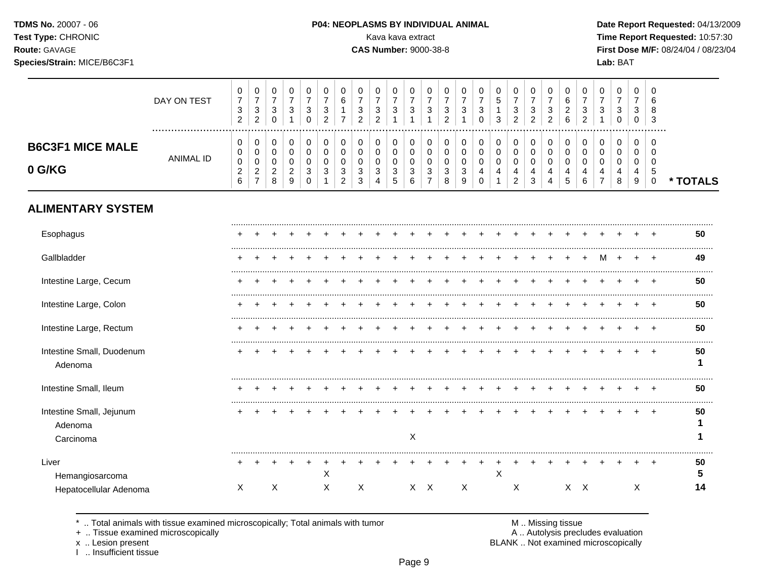## Species/Strain: MICE/B6C3F1

#### P04: NEOPLASMS BY INDIVIDUAL ANIMAL

Kava kava extract

CAS Number: 9000-38-8

Date Report Requested: 04/13/2009 Time Report Requested: 10:57:30 First Dose M/F: 08/24/04 / 08/23/04 Lab: BAT

|                                                    | DAY ON TEST      | $\pmb{0}$<br>$\boldsymbol{7}$<br>$\sqrt{3}$<br>$\overline{2}$ | $\pmb{0}$<br>$\overline{7}$<br>3<br>$\overline{c}$ | $\boldsymbol{0}$<br>$\overline{7}$<br>$\ensuremath{\mathsf{3}}$<br>$\mathbf 0$ | 0<br>$\boldsymbol{7}$<br>$\mathbf{3}$                          | 0<br>$\overline{7}$<br>3<br>0                                 | 0<br>$\overline{7}$<br>3<br>$\overline{2}$ | 0<br>6                                              | 0<br>$\overline{7}$<br>3<br>$\overline{2}$ | 0<br>$\overline{7}$<br>$\mathbf{3}$<br>$\overline{2}$             | 0<br>$\overline{7}$<br>3                              | 0<br>$\boldsymbol{7}$<br>$\sqrt{3}$           | 0<br>$\overline{7}$<br>$\sqrt{3}$                               | 0<br>$\overline{7}$<br>$\ensuremath{\mathsf{3}}$<br>$\overline{2}$ | 0<br>$\overline{7}$<br>3                             | 0<br>7<br>3<br>0                              | 0<br>5<br>3                          | 0<br>$\overline{7}$<br>3<br>$\overline{2}$   | 0<br>$\overline{7}$<br>$\mathbf{3}$<br>$\overline{2}$ | 0<br>$\overline{7}$<br>$\mathbf{3}$<br>$\overline{2}$ | 0<br>$\,6\,$<br>$\boldsymbol{2}$<br>6       | 0<br>$\overline{7}$<br>$\mathbf{3}$<br>$\overline{c}$ | 0<br>$\overline{7}$<br>3                         | 0<br>$\overline{7}$<br>3<br>0 | 0<br>$\overline{7}$<br>3<br>0                    | 0<br>6<br>8<br>3                            |               |
|----------------------------------------------------|------------------|---------------------------------------------------------------|----------------------------------------------------|--------------------------------------------------------------------------------|----------------------------------------------------------------|---------------------------------------------------------------|--------------------------------------------|-----------------------------------------------------|--------------------------------------------|-------------------------------------------------------------------|-------------------------------------------------------|-----------------------------------------------|-----------------------------------------------------------------|--------------------------------------------------------------------|------------------------------------------------------|-----------------------------------------------|--------------------------------------|----------------------------------------------|-------------------------------------------------------|-------------------------------------------------------|---------------------------------------------|-------------------------------------------------------|--------------------------------------------------|-------------------------------|--------------------------------------------------|---------------------------------------------|---------------|
| <b>B6C3F1 MICE MALE</b><br>0 G/KG                  | <b>ANIMAL ID</b> | 0<br>0<br>$\pmb{0}$<br>$\sqrt{2}$<br>6                        | 0<br>0<br>0<br>$\frac{2}{7}$                       | $\pmb{0}$<br>$\overline{0}$<br>$\mathbf 0$<br>$\sqrt{2}$<br>$\,8\,$            | $\pmb{0}$<br>$\mathbf 0$<br>$\mathbf 0$<br>$\overline{2}$<br>9 | $\mathbf 0$<br>$\mathbf 0$<br>$\mathbf 0$<br>3<br>$\mathbf 0$ | 0<br>$\mathbf 0$<br>$\Omega$<br>3          | 0<br>$\mathbf 0$<br>$\Omega$<br>3<br>$\overline{c}$ | 0<br>$\mathbf 0$<br>$\Omega$<br>3<br>3     | 0<br>$\mathbf 0$<br>$\mathbf 0$<br>$\ensuremath{\mathsf{3}}$<br>4 | 0<br>$\mathbf{0}$<br>$\mathbf 0$<br>$\mathbf{3}$<br>5 | 0<br>0<br>0<br>$\ensuremath{\mathsf{3}}$<br>6 | 0<br>$\mathbf 0$<br>$\mathbf 0$<br>$\sqrt{3}$<br>$\overline{7}$ | 0<br>$\mathbf 0$<br>$\mathbf 0$<br>$\ensuremath{\mathsf{3}}$<br>8  | 0<br>$\mathbf 0$<br>$\mathbf 0$<br>$\mathbf{3}$<br>9 | 0<br>$\Omega$<br>$\mathbf 0$<br>4<br>$\Omega$ | 0<br>$\mathbf 0$<br>$\mathbf 0$<br>4 | 0<br>$\mathbf 0$<br>0<br>4<br>$\overline{2}$ | 0<br>$\pmb{0}$<br>0<br>4<br>$\mathbf{3}$              | 0<br>$\mathbf 0$<br>$\mathbf 0$<br>4<br>4             | $\,0\,$<br>$\pmb{0}$<br>$\pmb{0}$<br>4<br>5 | 0<br>$\mathbf 0$<br>$\Omega$<br>4<br>6                | 0<br>$\Omega$<br>$\Omega$<br>4<br>$\overline{7}$ | 0<br>$\Omega$<br>0<br>4<br>8  | $\mathbf 0$<br>$\Omega$<br>$\mathbf 0$<br>4<br>9 | 0<br>$\Omega$<br>$\Omega$<br>5<br>$\pmb{0}$ | * TOTALS      |
| <b>ALIMENTARY SYSTEM</b>                           |                  |                                                               |                                                    |                                                                                |                                                                |                                                               |                                            |                                                     |                                            |                                                                   |                                                       |                                               |                                                                 |                                                                    |                                                      |                                               |                                      |                                              |                                                       |                                                       |                                             |                                                       |                                                  |                               |                                                  |                                             |               |
| Esophagus                                          |                  |                                                               |                                                    |                                                                                |                                                                |                                                               |                                            |                                                     |                                            |                                                                   |                                                       |                                               |                                                                 |                                                                    |                                                      |                                               |                                      |                                              |                                                       |                                                       |                                             |                                                       |                                                  |                               |                                                  |                                             | 50            |
| Gallbladder                                        |                  |                                                               |                                                    |                                                                                |                                                                |                                                               |                                            |                                                     |                                            |                                                                   |                                                       |                                               |                                                                 |                                                                    |                                                      |                                               |                                      |                                              |                                                       |                                                       |                                             |                                                       | м                                                |                               |                                                  |                                             | 49            |
| Intestine Large, Cecum                             |                  |                                                               |                                                    |                                                                                |                                                                |                                                               |                                            |                                                     |                                            |                                                                   |                                                       |                                               |                                                                 |                                                                    |                                                      |                                               |                                      |                                              |                                                       |                                                       |                                             |                                                       |                                                  |                               |                                                  |                                             | 50            |
| Intestine Large, Colon                             |                  |                                                               |                                                    |                                                                                |                                                                |                                                               |                                            |                                                     |                                            |                                                                   |                                                       |                                               |                                                                 |                                                                    |                                                      |                                               |                                      |                                              |                                                       |                                                       |                                             |                                                       |                                                  |                               |                                                  |                                             | 50            |
| Intestine Large, Rectum                            |                  |                                                               |                                                    |                                                                                |                                                                |                                                               |                                            |                                                     |                                            |                                                                   |                                                       |                                               |                                                                 |                                                                    |                                                      |                                               |                                      |                                              |                                                       |                                                       |                                             |                                                       |                                                  |                               |                                                  | $\ddot{}$                                   | 50            |
| Intestine Small, Duodenum<br>Adenoma               |                  |                                                               |                                                    |                                                                                |                                                                |                                                               |                                            |                                                     |                                            |                                                                   |                                                       |                                               |                                                                 |                                                                    |                                                      |                                               |                                      |                                              |                                                       |                                                       |                                             |                                                       |                                                  |                               |                                                  |                                             | 50            |
| Intestine Small, Ileum                             |                  |                                                               |                                                    |                                                                                |                                                                |                                                               |                                            |                                                     |                                            |                                                                   |                                                       |                                               |                                                                 |                                                                    |                                                      |                                               |                                      |                                              |                                                       |                                                       |                                             |                                                       |                                                  |                               |                                                  | $\div$                                      | 50            |
| Intestine Small, Jejunum<br>Adenoma<br>Carcinoma   |                  |                                                               |                                                    |                                                                                |                                                                |                                                               |                                            |                                                     |                                            |                                                                   |                                                       | X                                             |                                                                 |                                                                    |                                                      |                                               |                                      |                                              |                                                       |                                                       |                                             |                                                       |                                                  |                               |                                                  |                                             | 50            |
| Liver<br>Hemangiosarcoma<br>Hepatocellular Adenoma |                  | X                                                             |                                                    | X                                                                              |                                                                |                                                               | X<br>X                                     |                                                     | X                                          |                                                                   |                                                       |                                               | $X$ $X$                                                         |                                                                    | X                                                    |                                               | X                                    | X                                            |                                                       |                                                       |                                             | $X$ $X$                                               |                                                  |                               | X                                                |                                             | 50<br>5<br>14 |

\* .. Total animals with tissue examined microscopically; Total animals with tumor

+ .. Tissue examined microscopically

x .. Lesion present<br>I .. Insufficient tissue

M .. Missing tissue<br>A .. Autolysis precludes evaluation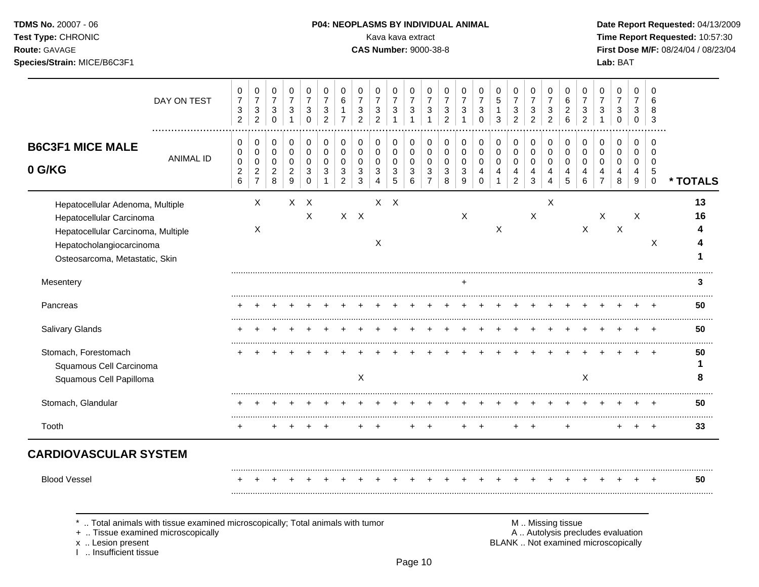## **TDMS No.** 20007 - 06 **P04: NEOPLASMS BY INDIVIDUAL ANIMAL** Date Report Requested: 04/13/2009

**Test Type:** CHRONIC **Transfer CHRONIC** Kava Rava extract Kava extract **Time Report Requested:** 10:57:30 **Route:** GAVAGE **CAS Number:** 9000-38-8 **First Dose M/F:** 08/24/04 / 08/23/04 **Species/Strain:** MICE/B6C3F1 **Lab:** BAT

|                                                            | DAY ON TEST      | 0<br>$\overline{7}$<br>$\sqrt{3}$<br>$\overline{2}$ | $\pmb{0}$<br>$\boldsymbol{7}$<br>$\mathsf 3$<br>$\overline{2}$ | 0<br>$\boldsymbol{7}$<br>3<br>$\mathbf 0$ | 0<br>$\overline{7}$<br>3<br>$\mathbf{1}$      | 0<br>$\overline{7}$<br>3<br>$\Omega$ | $\mathbf 0$<br>$\overline{7}$<br>3<br>$\overline{2}$ | $\mathbf 0$<br>$\,6\,$<br>1<br>$\overline{7}$           | 0<br>$\overline{7}$<br>3<br>$\overline{2}$                 | 0<br>$\boldsymbol{7}$<br>$\mathbf{3}$<br>$\overline{2}$ | 0<br>$\boldsymbol{7}$<br>3<br>$\mathbf{1}$ | 0<br>$\overline{7}$<br>3<br>$\mathbf{1}$      | 0<br>$\overline{7}$<br>3<br>$\mathbf{1}$ | 0<br>$\overline{7}$<br>3<br>$\overline{2}$ | $\mathbf 0$<br>$\overline{7}$<br>3 | 0<br>$\overline{7}$<br>3<br>$\Omega$ | 0<br>$\sqrt{5}$<br>$\mathbf{1}$<br>$\mathbf{3}$ | $\mathbf 0$<br>$\boldsymbol{7}$<br>$\sqrt{3}$<br>$\overline{2}$ | 0<br>$\overline{7}$<br>$\sqrt{3}$<br>$\overline{2}$ | $\mathbf 0$<br>$\overline{7}$<br>3<br>$\overline{2}$ | 0<br>6<br>$\overline{c}$<br>6 | $\mathbf 0$<br>$\overline{7}$<br>3<br>$\overline{2}$ | 0<br>$\overline{7}$<br>3        | 0<br>$\overline{7}$<br>3<br>$\mathbf 0$ | 0<br>$\overline{7}$<br>3<br>$\mathbf 0$ | $\mathbf 0$<br>6<br>8<br>3             |          |
|------------------------------------------------------------|------------------|-----------------------------------------------------|----------------------------------------------------------------|-------------------------------------------|-----------------------------------------------|--------------------------------------|------------------------------------------------------|---------------------------------------------------------|------------------------------------------------------------|---------------------------------------------------------|--------------------------------------------|-----------------------------------------------|------------------------------------------|--------------------------------------------|------------------------------------|--------------------------------------|-------------------------------------------------|-----------------------------------------------------------------|-----------------------------------------------------|------------------------------------------------------|-------------------------------|------------------------------------------------------|---------------------------------|-----------------------------------------|-----------------------------------------|----------------------------------------|----------|
| <b>B6C3F1 MICE MALE</b>                                    |                  | 0<br>0                                              | $\mathbf 0$<br>$\pmb{0}$                                       | $\mathbf 0$<br>$\mathbf 0$                | 0<br>$\pmb{0}$                                | $\mathbf 0$<br>$\mathbf 0$           | $\mathbf 0$<br>$\mathbf 0$                           | $\mathbf 0$<br>$\mathbf 0$                              | 0<br>0                                                     | 0<br>$\mathbf 0$                                        | $\mathbf 0$<br>$\mathbf 0$                 | $\pmb{0}$<br>$\pmb{0}$                        | $\mathbf 0$<br>$\mathbf 0$               | 0<br>0                                     | $\mathbf 0$<br>$\mathbf 0$         | 0<br>$\mathsf 0$                     | 0<br>$\pmb{0}$                                  | $\mathbf 0$<br>$\mathbf 0$                                      | $\mathbf 0$<br>$\pmb{0}$                            | $\mathbf 0$<br>$\mathbf 0$                           | 0<br>0                        | $\mathbf 0$<br>$\mathbf 0$                           | $\mathbf 0$<br>$\mathbf 0$      | $\mathbf 0$<br>0                        | $\mathbf 0$<br>$\mathbf 0$              | $\Omega$<br>$\mathbf 0$                |          |
| 0 G/KG                                                     | <b>ANIMAL ID</b> | $\mathbf 0$<br>$\sqrt{2}$<br>$\,6\,$                | $\pmb{0}$<br>$\sqrt{2}$<br>$\overline{7}$                      | $\mathbf 0$<br>$\overline{2}$<br>8        | $\mathbf 0$<br>$\sqrt{2}$<br>$\boldsymbol{9}$ | $\Omega$<br>3<br>$\mathbf 0$         | $\Omega$<br>$\mathbf{3}$                             | $\Omega$<br>$\ensuremath{\mathsf{3}}$<br>$\overline{2}$ | $\mathbf 0$<br>$\ensuremath{\mathsf{3}}$<br>$\mathfrak{Z}$ | 0<br>$\ensuremath{\mathsf{3}}$<br>$\overline{4}$        | $\mathbf 0$<br>$\sqrt{3}$<br>5             | $\mathbf 0$<br>$\ensuremath{\mathsf{3}}$<br>6 | $\Omega$<br>3<br>$\overline{7}$          | $\mathbf 0$<br>3<br>$\,8\,$                | $\mathbf 0$<br>$\sqrt{3}$<br>9     | $\mathbf 0$<br>4<br>$\Omega$         | $\mathbf 0$<br>4<br>1                           | $\mathbf 0$<br>4<br>$\overline{2}$                              | $\mathbf 0$<br>4<br>$\mathbf{3}$                    | $\Omega$<br>4<br>4                                   | $\Omega$<br>4<br>5            | $\Omega$<br>4<br>6                                   | $\Omega$<br>4<br>$\overline{7}$ | $\mathbf 0$<br>4<br>8                   | $\mathbf 0$<br>4<br>9                   | $\mathbf 0$<br>$\sqrt{5}$<br>$\pmb{0}$ | * TOTALS |
| Hepatocellular Adenoma, Multiple                           |                  |                                                     | X                                                              |                                           | X                                             | $\boldsymbol{\mathsf{X}}$            |                                                      |                                                         |                                                            |                                                         | $X$ $X$                                    |                                               |                                          |                                            |                                    |                                      |                                                 |                                                                 |                                                     | X                                                    |                               |                                                      |                                 |                                         |                                         |                                        | 13       |
| Hepatocellular Carcinoma                                   |                  |                                                     |                                                                |                                           |                                               | X                                    |                                                      |                                                         | $X$ $X$                                                    |                                                         |                                            |                                               |                                          |                                            | X                                  |                                      |                                                 |                                                                 | X                                                   |                                                      |                               |                                                      | X                               |                                         | X                                       |                                        | 16       |
| Hepatocellular Carcinoma, Multiple                         |                  |                                                     | X                                                              |                                           |                                               |                                      |                                                      |                                                         |                                                            | $\boldsymbol{\mathsf{X}}$                               |                                            |                                               |                                          |                                            |                                    |                                      | X                                               |                                                                 |                                                     |                                                      |                               | $\mathsf X$                                          |                                 | $\mathsf X$                             |                                         | X                                      |          |
| Hepatocholangiocarcinoma<br>Osteosarcoma, Metastatic, Skin |                  |                                                     |                                                                |                                           |                                               |                                      |                                                      |                                                         |                                                            |                                                         |                                            |                                               |                                          |                                            |                                    |                                      |                                                 |                                                                 |                                                     |                                                      |                               |                                                      |                                 |                                         |                                         |                                        |          |
| Mesentery                                                  |                  |                                                     |                                                                |                                           |                                               |                                      |                                                      |                                                         |                                                            |                                                         |                                            |                                               |                                          |                                            | $\ddot{}$                          |                                      |                                                 |                                                                 |                                                     |                                                      |                               |                                                      |                                 |                                         |                                         |                                        | 3        |
| Pancreas                                                   |                  |                                                     |                                                                |                                           |                                               |                                      |                                                      |                                                         |                                                            |                                                         |                                            |                                               |                                          |                                            |                                    |                                      |                                                 |                                                                 |                                                     |                                                      |                               |                                                      |                                 |                                         |                                         | $\div$                                 | 50       |
| Salivary Glands                                            |                  |                                                     |                                                                |                                           |                                               |                                      |                                                      |                                                         |                                                            |                                                         |                                            |                                               |                                          |                                            |                                    |                                      |                                                 |                                                                 |                                                     |                                                      |                               |                                                      |                                 |                                         |                                         |                                        | 50       |
| Stomach, Forestomach                                       |                  |                                                     |                                                                |                                           |                                               |                                      |                                                      |                                                         |                                                            |                                                         |                                            |                                               |                                          |                                            |                                    |                                      |                                                 |                                                                 |                                                     |                                                      |                               |                                                      |                                 |                                         |                                         |                                        | 50<br>1  |
| Squamous Cell Carcinoma<br>Squamous Cell Papilloma         |                  |                                                     |                                                                |                                           |                                               |                                      |                                                      |                                                         | X                                                          |                                                         |                                            |                                               |                                          |                                            |                                    |                                      |                                                 |                                                                 |                                                     |                                                      |                               | X                                                    |                                 |                                         |                                         |                                        | 8        |
| Stomach, Glandular                                         |                  |                                                     |                                                                |                                           |                                               |                                      |                                                      |                                                         |                                                            |                                                         |                                            |                                               |                                          |                                            |                                    |                                      |                                                 |                                                                 |                                                     |                                                      |                               |                                                      |                                 |                                         |                                         | <b>+</b>                               | 50       |
| Tooth                                                      |                  | $\ddot{}$                                           |                                                                |                                           |                                               |                                      |                                                      |                                                         |                                                            |                                                         |                                            |                                               |                                          |                                            |                                    |                                      |                                                 |                                                                 | $\ddot{}$                                           |                                                      | $\ddot{}$                     |                                                      |                                 | +                                       |                                         | $\overline{+}$                         | 33       |
| <b>CARDIOVASCULAR SYSTEM</b>                               |                  |                                                     |                                                                |                                           |                                               |                                      |                                                      |                                                         |                                                            |                                                         |                                            |                                               |                                          |                                            |                                    |                                      |                                                 |                                                                 |                                                     |                                                      |                               |                                                      |                                 |                                         |                                         |                                        |          |
|                                                            |                  |                                                     |                                                                |                                           |                                               |                                      |                                                      |                                                         |                                                            |                                                         |                                            |                                               |                                          |                                            |                                    |                                      |                                                 |                                                                 |                                                     |                                                      |                               |                                                      |                                 |                                         |                                         |                                        | 50       |

x .. Lesion present<br>I .. Insufficient tissue

+ .. Tissue examined microscopically and the state of the state of the state of the A .. Autolysis precludes evaluation BLANK .. Not examined microscopically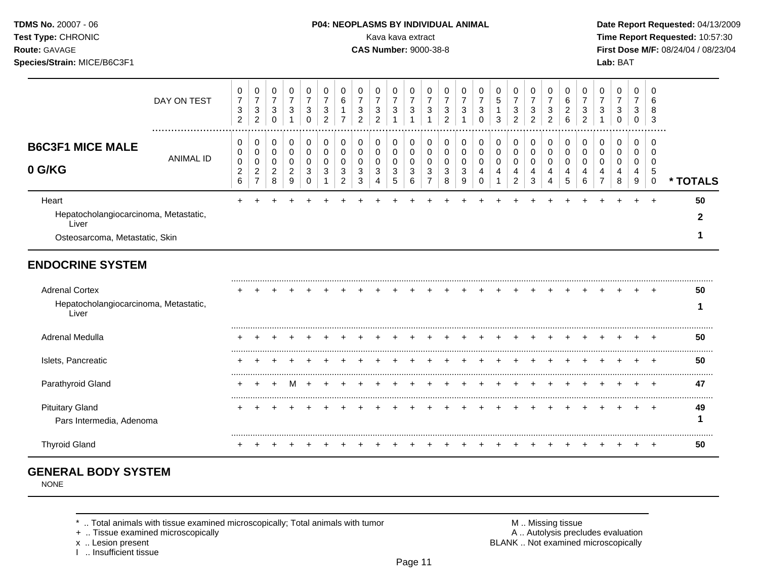#### **TDMS No.** 20007 - 06 **P04: NEOPLASMS BY INDIVIDUAL ANIMAL** Date Report Requested: 04/13/2009

**Test Type:** CHRONIC **Transfer CHRONIC Report Requested:** 10:57:30 **Route:** GAVAGE **CAS Number:** 9000-38-8 **First Dose M/F:** 08/24/04 / 08/23/04 **Species/Strain:** MICE/B6C3F1 **Lab:** BAT

|                                                    | DAY ON TEST      | 0<br>$\boldsymbol{7}$<br>$\sqrt{3}$<br>$\overline{2}$ | 0<br>$\boldsymbol{7}$<br>$\mathsf 3$<br>$\overline{c}$ | 0<br>$\overline{7}$<br>$\mathbf{3}$<br>0 | 0<br>$\overline{7}$<br>$\ensuremath{\mathsf{3}}$<br>1 | 0<br>$\overline{7}$<br>3<br>0 | 0<br>$\overline{7}$<br>3<br>$\overline{2}$ | 0<br>6              | 0<br>$\overline{7}$<br>3<br>$\mathcal{P}$ | 0<br>$\overline{7}$<br>$\mathbf{3}$<br>2 | 0<br>$\overline{7}$<br>3 | 0<br>$\overline{7}$<br>3 | 0<br>$\overline{7}$<br>3 | 0<br>$\overline{7}$<br>3<br>2 | 0<br>$\overline{7}$<br>3 | 0<br>$\overline{7}$<br>3<br>$\Omega$ | 0<br>$\,$ 5 $\,$<br>$\mathbf 1$<br>3 | 0<br>$\overline{7}$<br>$\ensuremath{\mathsf{3}}$<br>2 | 0<br>$\overline{7}$<br>3<br>2 | 0<br>$\overline{7}$<br>3<br>2 | 0<br>6<br>$\overline{c}$<br>6 | 0<br>3<br>$\overline{2}$ | 0<br>$\overline{7}$<br>3 | 0<br>$\overline{7}$<br>3<br>0 | 0<br>$\overline{7}$<br>3<br>0 | $\Omega$<br>6<br>8<br>3          |          |
|----------------------------------------------------|------------------|-------------------------------------------------------|--------------------------------------------------------|------------------------------------------|-------------------------------------------------------|-------------------------------|--------------------------------------------|---------------------|-------------------------------------------|------------------------------------------|--------------------------|--------------------------|--------------------------|-------------------------------|--------------------------|--------------------------------------|--------------------------------------|-------------------------------------------------------|-------------------------------|-------------------------------|-------------------------------|--------------------------|--------------------------|-------------------------------|-------------------------------|----------------------------------|----------|
| <b>B6C3F1 MICE MALE</b>                            | <b>ANIMAL ID</b> | 0<br>0<br>0                                           | 0<br>0<br>0                                            | 0<br>0<br>0                              | $\,0\,$<br>0<br>0                                     | 0<br>0<br>$\Omega$            | 0<br>0<br>0                                | 0<br>0<br>$\Omega$  | 0<br>0<br>$\Omega$                        | 0<br>0<br>0                              | 0<br>0<br>$\mathbf 0$    | 0<br>0<br>0              | 0<br>0<br>0              | 0<br>0<br>0                   | 0<br>0<br>$\Omega$       | 0<br>0<br>0                          | 0<br>0<br>$\mathbf 0$                | 0<br>0<br>0                                           | 0<br>0<br>0                   | 0<br>0<br>0                   | 0<br>0<br>0                   | 0<br>0<br>$\Omega$       | 0<br>0<br>$\Omega$       | 0<br>0<br>$\Omega$            | 0<br>0<br>0                   | $\Omega$<br>$\Omega$<br>$\Omega$ |          |
| 0 G/KG                                             |                  | $\overline{2}$<br>6                                   | $\overline{2}$<br>$\overline{7}$                       | $\overline{2}$<br>8                      | $\overline{c}$<br>9                                   | 3<br>0                        | 3                                          | 3<br>$\overline{2}$ | 3<br>3                                    | 3<br>4                                   | 3<br>5                   | 3<br>6                   | 3<br>$\overline{7}$      | 3<br>8                        | 3<br>9                   | 4<br>$\Omega$                        | 4                                    | 4<br>2                                                | 4<br>3                        |                               | 5                             | 6                        | $\overline{7}$           | 4<br>8                        | 4<br>9                        | $\sqrt{5}$<br>$\mathbf 0$        | * TOTALS |
| Heart                                              |                  |                                                       |                                                        |                                          |                                                       |                               |                                            |                     |                                           |                                          |                          |                          |                          |                               |                          |                                      |                                      |                                                       |                               |                               |                               |                          |                          |                               |                               |                                  | 50       |
| Hepatocholangiocarcinoma, Metastatic,<br>Liver     |                  |                                                       |                                                        |                                          |                                                       |                               |                                            |                     |                                           |                                          |                          |                          |                          |                               |                          |                                      |                                      |                                                       |                               |                               |                               |                          |                          |                               |                               |                                  |          |
| Osteosarcoma, Metastatic, Skin                     |                  |                                                       |                                                        |                                          |                                                       |                               |                                            |                     |                                           |                                          |                          |                          |                          |                               |                          |                                      |                                      |                                                       |                               |                               |                               |                          |                          |                               |                               |                                  |          |
| <b>ENDOCRINE SYSTEM</b>                            |                  |                                                       |                                                        |                                          |                                                       |                               |                                            |                     |                                           |                                          |                          |                          |                          |                               |                          |                                      |                                      |                                                       |                               |                               |                               |                          |                          |                               |                               |                                  |          |
| <b>Adrenal Cortex</b>                              |                  |                                                       |                                                        |                                          |                                                       |                               |                                            |                     |                                           |                                          |                          |                          |                          |                               |                          |                                      |                                      |                                                       |                               |                               |                               |                          |                          |                               |                               |                                  | 50       |
| Hepatocholangiocarcinoma, Metastatic,<br>Liver     |                  |                                                       |                                                        |                                          |                                                       |                               |                                            |                     |                                           |                                          |                          |                          |                          |                               |                          |                                      |                                      |                                                       |                               |                               |                               |                          |                          |                               |                               |                                  | 1        |
| Adrenal Medulla                                    |                  |                                                       |                                                        |                                          |                                                       |                               |                                            |                     |                                           |                                          |                          |                          |                          |                               |                          |                                      |                                      |                                                       |                               |                               |                               |                          |                          |                               |                               |                                  | 50       |
| Islets, Pancreatic                                 |                  |                                                       |                                                        |                                          |                                                       |                               |                                            |                     |                                           |                                          |                          |                          |                          |                               |                          |                                      |                                      |                                                       |                               |                               |                               |                          |                          |                               |                               |                                  | 50       |
| Parathyroid Gland                                  |                  |                                                       |                                                        |                                          |                                                       |                               |                                            |                     |                                           |                                          |                          |                          |                          |                               |                          |                                      |                                      |                                                       |                               |                               |                               |                          |                          |                               |                               |                                  | 47       |
| <b>Pituitary Gland</b><br>Pars Intermedia, Adenoma |                  |                                                       |                                                        |                                          |                                                       |                               |                                            |                     |                                           |                                          |                          |                          |                          |                               |                          |                                      |                                      |                                                       |                               |                               |                               |                          |                          |                               |                               |                                  | 49       |
| <b>Thyroid Gland</b>                               |                  |                                                       |                                                        |                                          |                                                       |                               |                                            |                     |                                           |                                          |                          |                          |                          |                               |                          |                                      |                                      |                                                       |                               |                               |                               |                          |                          |                               |                               |                                  | 50       |

# **GENERAL BODY SYSTEM**

NONE

+ .. Tissue examined microscopically

I .. Insufficient tissue

\* .. Total animals with tissue examined microscopically; Total animals with tumor <br>
+ .. Tissue examined microscopically<br>
+ .. Tissue examined microscopically x .. Lesion present **BLANK** .. Not examined microscopically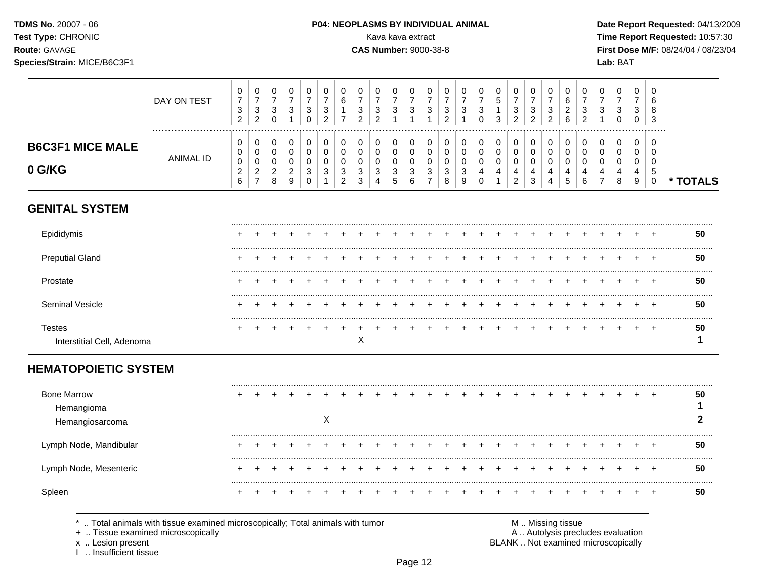#### Species/Strain: MICE/B6C3F1

#### P04: NEOPLASMS BY INDIVIDUAL ANIMAL

Kava kava extract

CAS Number: 9000-38-8

Date Report Requested: 04/13/2009 Time Report Requested: 10:57:30 First Dose M/F: 08/24/04 / 08/23/04 Lab: BAT

|                                                                                           | DAY ON TEST      | 0<br>$\overline{7}$<br>3<br>$\overline{2}$                   | 0<br>$\overline{7}$<br>3<br>$\overline{2}$                  | 0<br>$\overline{7}$<br>3<br>$\pmb{0}$                 | 0<br>$\overline{7}$<br>3<br>$\mathbf{1}$                        | 0<br>$\overline{7}$<br>3<br>$\Omega$                                             | 0<br>7<br>3<br>$\overline{2}$                                     | 0<br>6<br>1<br>7                   | 0<br>$\overline{7}$<br>3<br>$\overline{2}$ | 0<br>$\overline{7}$<br>3<br>$\overline{2}$ | 0<br>$\overline{7}$<br>3       | 0<br>7<br>3<br>1                | 0<br>$\overline{7}$<br>3<br>1                          | 0<br>$\overline{7}$<br>3<br>$\overline{2}$ | 0<br>7<br>3<br>$\mathbf{1}$     | 0<br>7<br>3<br>$\Omega$                      | 0<br>5<br>$\mathbf 1$<br>3                             | 0<br>$\overline{7}$<br>3<br>$\overline{2}$           | 0<br>$\overline{7}$<br>3<br>$\overline{2}$ | 0<br>$\overline{7}$<br>$\sqrt{3}$<br>2 | 0<br>$6\phantom{1}6$<br>$\overline{c}$<br>6           | 0<br>3<br>2                  | 0<br>$\overline{7}$<br>3                     | 0<br>$\overline{7}$<br>3<br>$\Omega$ | 0<br>7<br>3<br>0                     | 0<br>6<br>8<br>3                       |                         |
|-------------------------------------------------------------------------------------------|------------------|--------------------------------------------------------------|-------------------------------------------------------------|-------------------------------------------------------|-----------------------------------------------------------------|----------------------------------------------------------------------------------|-------------------------------------------------------------------|------------------------------------|--------------------------------------------|--------------------------------------------|--------------------------------|---------------------------------|--------------------------------------------------------|--------------------------------------------|---------------------------------|----------------------------------------------|--------------------------------------------------------|------------------------------------------------------|--------------------------------------------|----------------------------------------|-------------------------------------------------------|------------------------------|----------------------------------------------|--------------------------------------|--------------------------------------|----------------------------------------|-------------------------|
| <b>B6C3F1 MICE MALE</b><br>0 G/KG                                                         | <b>ANIMAL ID</b> | 0<br>0<br>$\pmb{0}$<br>$\begin{array}{c} 2 \\ 6 \end{array}$ | 0<br>0<br>$\mathbf 0$<br>$\boldsymbol{2}$<br>$\overline{7}$ | $\,0\,$<br>$\pmb{0}$<br>0<br>$\overline{c}$<br>$\, 8$ | 0<br>$\pmb{0}$<br>$\mathbf 0$<br>$\sqrt{2}$<br>$\boldsymbol{9}$ | 0<br>$\mathsf 0$<br>$\boldsymbol{0}$<br>$\ensuremath{\mathsf{3}}$<br>$\mathbf 0$ | 0<br>$\mathbf 0$<br>$\mathbf 0$<br>$\ensuremath{\mathsf{3}}$<br>1 | 0<br>0<br>0<br>3<br>$\overline{c}$ | 0<br>$\mathbf 0$<br>0<br>3<br>3            | 0<br>0<br>0<br>3<br>4                      | 0<br>0<br>0<br>$\sqrt{3}$<br>5 | 0<br>$\mathbf 0$<br>0<br>3<br>6 | 0<br>$\mathbf 0$<br>$\mathbf 0$<br>3<br>$\overline{7}$ | 0<br>0<br>0<br>$\sqrt{3}$<br>8             | 0<br>$\mathbf 0$<br>0<br>3<br>9 | 0<br>0<br>0<br>$\overline{4}$<br>$\mathbf 0$ | 0<br>$\mathbf 0$<br>$\mathbf 0$<br>$\overline{4}$<br>1 | 0<br>$\pmb{0}$<br>$\mathbf 0$<br>4<br>$\overline{c}$ | 0<br>$\pmb{0}$<br>0<br>4<br>$\mathbf{3}$   | 0<br>0<br>0<br>4<br>4                  | 0<br>$\mathbf 0$<br>0<br>$\overline{4}$<br>$\sqrt{5}$ | 0<br>$\Omega$<br>0<br>4<br>6 | 0<br>$\mathbf 0$<br>0<br>4<br>$\overline{7}$ | 0<br>0<br>0<br>4<br>8                | 0<br>0<br>0<br>4<br>$\boldsymbol{9}$ | 0<br>$\Omega$<br>0<br>5<br>$\mathbf 0$ | * TOTALS                |
| <b>GENITAL SYSTEM</b>                                                                     |                  |                                                              |                                                             |                                                       |                                                                 |                                                                                  |                                                                   |                                    |                                            |                                            |                                |                                 |                                                        |                                            |                                 |                                              |                                                        |                                                      |                                            |                                        |                                                       |                              |                                              |                                      |                                      |                                        |                         |
| Epididymis                                                                                |                  |                                                              |                                                             |                                                       |                                                                 |                                                                                  |                                                                   |                                    |                                            |                                            |                                |                                 |                                                        |                                            |                                 |                                              |                                                        |                                                      |                                            |                                        |                                                       |                              |                                              |                                      |                                      |                                        | 50                      |
| <b>Preputial Gland</b>                                                                    |                  |                                                              |                                                             |                                                       |                                                                 |                                                                                  |                                                                   |                                    |                                            |                                            |                                |                                 |                                                        |                                            |                                 |                                              |                                                        |                                                      |                                            |                                        |                                                       |                              |                                              |                                      |                                      |                                        | 50                      |
| Prostate                                                                                  |                  |                                                              |                                                             |                                                       |                                                                 |                                                                                  |                                                                   |                                    |                                            |                                            |                                |                                 |                                                        |                                            |                                 |                                              |                                                        |                                                      |                                            |                                        |                                                       |                              |                                              |                                      |                                      |                                        | 50                      |
| Seminal Vesicle                                                                           |                  |                                                              |                                                             |                                                       |                                                                 |                                                                                  |                                                                   |                                    |                                            |                                            |                                |                                 |                                                        |                                            |                                 |                                              |                                                        |                                                      |                                            |                                        |                                                       |                              |                                              |                                      |                                      |                                        | 50                      |
| <b>Testes</b><br>Interstitial Cell, Adenoma                                               |                  |                                                              |                                                             |                                                       |                                                                 |                                                                                  |                                                                   |                                    | X                                          |                                            |                                |                                 |                                                        |                                            |                                 |                                              |                                                        |                                                      |                                            |                                        |                                                       |                              |                                              |                                      |                                      | $\ddot{}$                              | 50<br>1                 |
| <b>HEMATOPOIETIC SYSTEM</b>                                                               |                  |                                                              |                                                             |                                                       |                                                                 |                                                                                  |                                                                   |                                    |                                            |                                            |                                |                                 |                                                        |                                            |                                 |                                              |                                                        |                                                      |                                            |                                        |                                                       |                              |                                              |                                      |                                      |                                        |                         |
| <b>Bone Marrow</b><br>Hemangioma<br>Hemangiosarcoma                                       |                  |                                                              |                                                             |                                                       |                                                                 |                                                                                  | $\boldsymbol{\mathsf{X}}$                                         |                                    |                                            |                                            |                                |                                 |                                                        |                                            |                                 |                                              |                                                        |                                                      |                                            |                                        |                                                       |                              |                                              |                                      |                                      |                                        | 50<br>1<br>$\mathbf{2}$ |
| Lymph Node, Mandibular                                                                    |                  |                                                              |                                                             |                                                       |                                                                 |                                                                                  |                                                                   |                                    |                                            |                                            |                                |                                 |                                                        |                                            |                                 |                                              |                                                        |                                                      |                                            |                                        |                                                       |                              |                                              |                                      |                                      |                                        | 50                      |
| Lymph Node, Mesenteric                                                                    |                  |                                                              |                                                             |                                                       |                                                                 |                                                                                  |                                                                   |                                    |                                            |                                            |                                |                                 |                                                        |                                            |                                 |                                              |                                                        |                                                      |                                            |                                        |                                                       |                              |                                              |                                      |                                      | $\ddot{}$                              | 50                      |
| Spleen<br>*  Total animals with tissue examined microscopically; Total animals with tumor |                  |                                                              |                                                             |                                                       |                                                                 |                                                                                  |                                                                   |                                    |                                            |                                            |                                |                                 |                                                        |                                            |                                 |                                              |                                                        |                                                      |                                            |                                        |                                                       |                              |                                              |                                      |                                      | $\ddot{}$                              | 50                      |

+ .. Tissue examined microscopically

x .. Lesion present<br>I .. Insufficient tissue

M .. Missing tissue A .. Autolysis precludes evaluation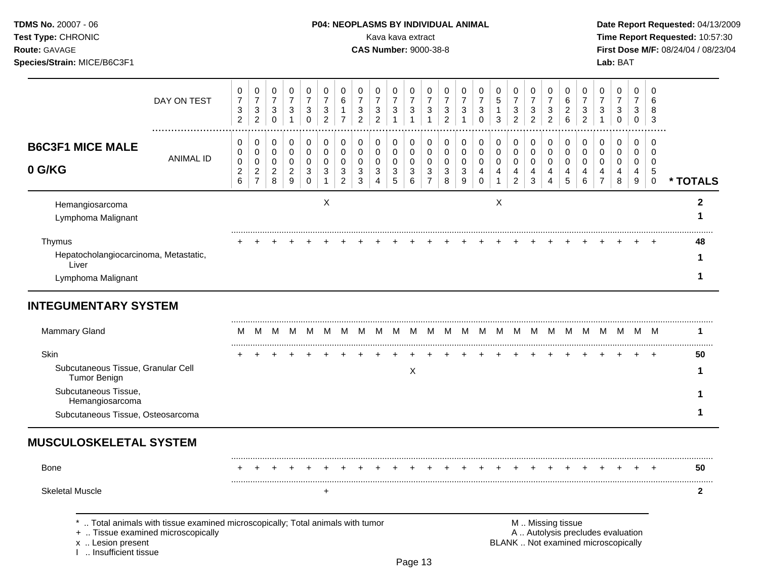| <b>TDMS No. 20007 - 06</b> |
|----------------------------|
| <b>Test Type: CHRONIC</b>  |
| <b>Route: GAVAGE</b>       |

**P04: NEOPLASMS BY INDIVIDUAL ANIMAL Date Report Requested:** 04/13/2009 **Kava kava extract CHRONIC CHRONIC CHRONIC Time Report Requested:** 10:57:30 **CAS Number:** 9000-38-8 **First Dose M/F:** 08/24/04 / 08/23/04 **Species/Strain:** MICE/B6C3F1 **Lab:** BAT

|                                                     | DAY ON TEST                                                                                                        | 0<br>$\overline{7}$<br>3<br>$\overline{2}$ | 0<br>$\overline{7}$<br>$\ensuremath{\mathsf{3}}$<br>$\overline{2}$ | 0<br>$\overline{7}$<br>3<br>$\mathbf 0$ | 0<br>$\overline{7}$<br>3<br>$\mathbf{1}$ | 0<br>$\overline{7}$<br>$\mathbf{3}$<br>$\mathbf 0$ | 0<br>$\overline{7}$<br>$\mathbf{3}$<br>$\overline{c}$ | 0<br>6<br>$\mathbf{1}$<br>$\overline{7}$ | 0<br>$\overline{7}$<br>$\sqrt{3}$<br>$\overline{2}$ | 0<br>$\overline{7}$<br>$\ensuremath{\mathsf{3}}$<br>$\overline{2}$ | 0<br>$\overline{7}$<br>$\mathbf{3}$<br>$\mathbf{1}$ | 0<br>$\overline{7}$<br>$\sqrt{3}$<br>$\mathbf{1}$ | 0<br>$\overline{7}$<br>$\sqrt{3}$<br>$\mathbf{1}$ | 0<br>$\overline{7}$<br>$\sqrt{3}$<br>$\overline{c}$ | 0<br>$\overline{7}$<br>3<br>$\mathbf{1}$ | 0<br>$\overline{7}$<br>3<br>0                   | 0<br>$\mathbf 5$<br>$\mathbf{1}$<br>3 | 0<br>$\overline{7}$<br>3<br>$\overline{2}$ | 0<br>$\overline{7}$<br>3<br>$\overline{2}$ | 0<br>$\overline{7}$<br>$\mathbf{3}$<br>$\overline{c}$ | 0<br>6<br>$\overline{2}$<br>$6\phantom{a}$ | 0<br>$\overline{7}$<br>3<br>$\overline{2}$ | 0<br>$\overline{7}$<br>$\mathbf{3}$<br>$\mathbf{1}$                      | 0<br>$\overline{7}$<br>3<br>$\mathbf 0$ | 0<br>$\overline{7}$<br>3<br>$\mathbf 0$   | 0<br>6<br>8<br>3             |                   |
|-----------------------------------------------------|--------------------------------------------------------------------------------------------------------------------|--------------------------------------------|--------------------------------------------------------------------|-----------------------------------------|------------------------------------------|----------------------------------------------------|-------------------------------------------------------|------------------------------------------|-----------------------------------------------------|--------------------------------------------------------------------|-----------------------------------------------------|---------------------------------------------------|---------------------------------------------------|-----------------------------------------------------|------------------------------------------|-------------------------------------------------|---------------------------------------|--------------------------------------------|--------------------------------------------|-------------------------------------------------------|--------------------------------------------|--------------------------------------------|--------------------------------------------------------------------------|-----------------------------------------|-------------------------------------------|------------------------------|-------------------|
| <b>B6C3F1 MICE MALE</b><br>0 G/KG                   | <b>ANIMAL ID</b>                                                                                                   | $\mathbf 0$<br>$\mathbf 0$<br>$\pmb{0}$    | 0<br>$\mathsf{O}\xspace$<br>$\mathsf{O}\xspace$                    | $\mathbf 0$<br>$\mathbf 0$<br>$\pmb{0}$ | 0<br>$\mathbf 0$<br>$\mathbf 0$          | $\pmb{0}$<br>$\mathbf 0$<br>$\pmb{0}$              | $\mathbf 0$<br>$\mathbf 0$<br>$\mathbf 0$             | $\pmb{0}$<br>$\mathbf 0$<br>$\pmb{0}$    | $\mathbf 0$<br>$\Omega$<br>0                        | 0<br>$\mathbf 0$<br>$\mathbf 0$                                    | 0<br>$\mathbf 0$<br>$\mathbf 0$                     | $\mathbf 0$<br>$\mathbf 0$<br>$\pmb{0}$           | 0<br>$\mathbf 0$<br>$\pmb{0}$                     | $\mathbf 0$<br>$\mathbf 0$<br>$\mathsf{O}\xspace$   | 0<br>$\mathbf 0$<br>$\pmb{0}$            | 0<br>$\mathsf{O}\xspace$<br>$\mathsf{O}\xspace$ | 0<br>$\mathbf 0$<br>$\mathbf 0$       | 0<br>$\mathbf 0$<br>$\mathbf 0$            | 0<br>$\mathbf 0$<br>$\pmb{0}$              | $\mathbf 0$<br>$\mathbf 0$<br>0                       | 0<br>$\mathbf 0$<br>$\pmb{0}$              | $\mathbf 0$<br>$\Omega$<br>$\mathbf 0$     | 0<br>$\mathbf 0$<br>0                                                    | 0<br>$\mathbf 0$<br>$\mathbf 0$         | $\mathbf 0$<br>$\mathbf 0$<br>$\mathbf 0$ | 0<br>$\Omega$<br>$\mathbf 0$ |                   |
|                                                     |                                                                                                                    | $\overline{a}$<br>$\,6$                    | $\frac{2}{7}$                                                      | $\overline{c}$<br>$\,8\,$               | $\overline{2}$<br>$9\,$                  | $\sqrt{3}$<br>$\pmb{0}$                            | $\sqrt{3}$<br>$\mathbf{1}$                            | $\sqrt{3}$<br>$\overline{c}$             | $\sqrt{3}$<br>$\sqrt{3}$                            | $\mathbf{3}$<br>4                                                  | $\sqrt{3}$<br>$\sqrt{5}$                            | $\mathbf{3}$<br>6                                 | $\sqrt{3}$<br>$\overline{7}$                      | $\ensuremath{\mathsf{3}}$<br>8                      | $\sqrt{3}$<br>9                          | $\overline{4}$<br>$\mathsf 0$                   | 4<br>$\mathbf{1}$                     | 4<br>$\overline{2}$                        | $\overline{\mathbf{4}}$<br>$\mathbf{3}$    | 4<br>4                                                | 4<br>5                                     | 4<br>6                                     | 4<br>$\overline{7}$                                                      | 4<br>8                                  | 4<br>$\boldsymbol{9}$                     | 5<br>$\mathbf 0$             | * TOTALS          |
| Hemangiosarcoma<br>Lymphoma Malignant               |                                                                                                                    |                                            |                                                                    |                                         |                                          |                                                    | $\mathsf{X}$                                          |                                          |                                                     |                                                                    |                                                     |                                                   |                                                   |                                                     |                                          |                                                 | $\mathsf X$                           |                                            |                                            |                                                       |                                            |                                            |                                                                          |                                         |                                           |                              | $\mathbf{2}$<br>1 |
| Thymus                                              |                                                                                                                    |                                            |                                                                    |                                         |                                          |                                                    |                                                       |                                          |                                                     |                                                                    |                                                     |                                                   |                                                   |                                                     |                                          |                                                 |                                       |                                            |                                            |                                                       |                                            |                                            |                                                                          |                                         |                                           |                              | 48                |
| Hepatocholangiocarcinoma, Metastatic,<br>Liver      |                                                                                                                    |                                            |                                                                    |                                         |                                          |                                                    |                                                       |                                          |                                                     |                                                                    |                                                     |                                                   |                                                   |                                                     |                                          |                                                 |                                       |                                            |                                            |                                                       |                                            |                                            |                                                                          |                                         |                                           |                              | 1                 |
| Lymphoma Malignant                                  |                                                                                                                    |                                            |                                                                    |                                         |                                          |                                                    |                                                       |                                          |                                                     |                                                                    |                                                     |                                                   |                                                   |                                                     |                                          |                                                 |                                       |                                            |                                            |                                                       |                                            |                                            |                                                                          |                                         |                                           |                              | 1                 |
| <b>INTEGUMENTARY SYSTEM</b><br><b>Mammary Gland</b> |                                                                                                                    | м                                          | M                                                                  | M                                       | M                                        | M                                                  | M                                                     | M                                        | M                                                   | M                                                                  |                                                     |                                                   | M M M                                             |                                                     | M M M M                                  |                                                 |                                       | M                                          | M                                          |                                                       | M M                                        |                                            | M M M M M                                                                |                                         |                                           |                              | 1                 |
| Skin                                                |                                                                                                                    |                                            |                                                                    |                                         |                                          |                                                    |                                                       |                                          |                                                     |                                                                    |                                                     |                                                   |                                                   |                                                     |                                          |                                                 |                                       |                                            |                                            |                                                       |                                            |                                            |                                                                          |                                         |                                           |                              | 50                |
| Subcutaneous Tissue, Granular Cell<br>Tumor Benign  |                                                                                                                    |                                            |                                                                    |                                         |                                          |                                                    |                                                       |                                          |                                                     |                                                                    |                                                     | $\boldsymbol{\mathsf{X}}$                         |                                                   |                                                     |                                          |                                                 |                                       |                                            |                                            |                                                       |                                            |                                            |                                                                          |                                         |                                           |                              | 1                 |
| Subcutaneous Tissue,<br>Hemangiosarcoma             |                                                                                                                    |                                            |                                                                    |                                         |                                          |                                                    |                                                       |                                          |                                                     |                                                                    |                                                     |                                                   |                                                   |                                                     |                                          |                                                 |                                       |                                            |                                            |                                                       |                                            |                                            |                                                                          |                                         |                                           |                              | 1                 |
| Subcutaneous Tissue, Osteosarcoma                   |                                                                                                                    |                                            |                                                                    |                                         |                                          |                                                    |                                                       |                                          |                                                     |                                                                    |                                                     |                                                   |                                                   |                                                     |                                          |                                                 |                                       |                                            |                                            |                                                       |                                            |                                            |                                                                          |                                         |                                           |                              | 1                 |
| <b>MUSCULOSKELETAL SYSTEM</b>                       |                                                                                                                    |                                            |                                                                    |                                         |                                          |                                                    |                                                       |                                          |                                                     |                                                                    |                                                     |                                                   |                                                   |                                                     |                                          |                                                 |                                       |                                            |                                            |                                                       |                                            |                                            |                                                                          |                                         |                                           |                              |                   |
| Bone                                                |                                                                                                                    |                                            |                                                                    |                                         |                                          |                                                    |                                                       |                                          |                                                     |                                                                    |                                                     |                                                   |                                                   |                                                     |                                          |                                                 |                                       |                                            |                                            |                                                       |                                            |                                            |                                                                          |                                         |                                           |                              | 50                |
| <b>Skeletal Muscle</b>                              |                                                                                                                    |                                            |                                                                    |                                         |                                          |                                                    | $\ddot{}$                                             |                                          |                                                     |                                                                    |                                                     |                                                   |                                                   |                                                     |                                          |                                                 |                                       |                                            |                                            |                                                       |                                            |                                            |                                                                          |                                         |                                           |                              | $\mathbf{2}$      |
| x  Lesion present<br>1  Insufficient tissue         | Total animals with tissue examined microscopically; Total animals with tumor<br>+  Tissue examined microscopically |                                            |                                                                    |                                         |                                          |                                                    |                                                       |                                          |                                                     |                                                                    |                                                     |                                                   |                                                   |                                                     |                                          |                                                 |                                       |                                            |                                            | M  Missing tissue                                     |                                            |                                            | A  Autolysis precludes evaluation<br>BLANK  Not examined microscopically |                                         |                                           |                              |                   |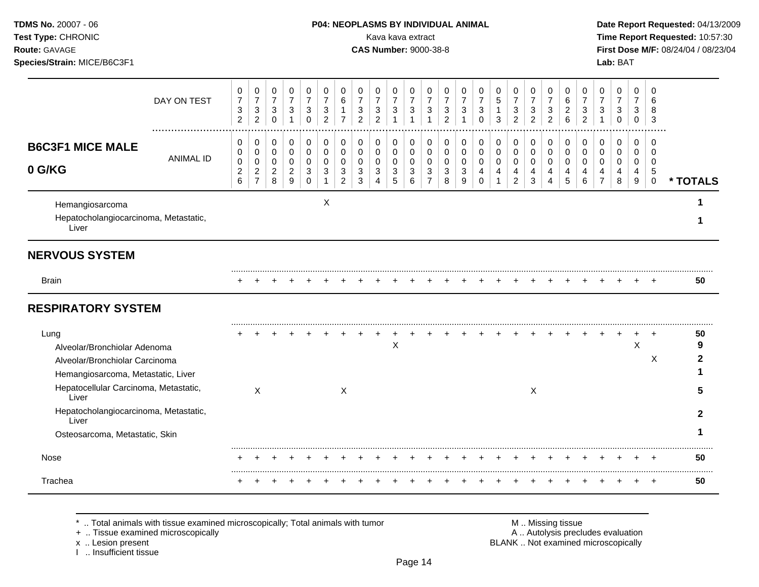| TDMS No. 20007 - 06<br>Test Type: CHRONIC<br>Route: GAVAGE<br>Species/Strain: MICE/B6C3F1                    |                  |                                          |                                                                     |                                                                |                                                        |                                                             |                                                        |                                                                  |                                                                    | Kava kava extract<br><b>CAS Number: 9000-38-8</b>             |                                                 |                                                           |                                                                          |                                                   | P04: NEOPLASMS BY INDIVIDUAL ANIMAL                              |                                                                |                                               |                                            |                                                     |                                            |                                                          |                                                                    |                                                               | Lab: BAT                                                         |                                                     |                                                      | Date Report Requested: 04/13/2009<br>Time Report Requested: 10:57:30<br>First Dose M/F: 08/24/04 / 08/23/04 |
|--------------------------------------------------------------------------------------------------------------|------------------|------------------------------------------|---------------------------------------------------------------------|----------------------------------------------------------------|--------------------------------------------------------|-------------------------------------------------------------|--------------------------------------------------------|------------------------------------------------------------------|--------------------------------------------------------------------|---------------------------------------------------------------|-------------------------------------------------|-----------------------------------------------------------|--------------------------------------------------------------------------|---------------------------------------------------|------------------------------------------------------------------|----------------------------------------------------------------|-----------------------------------------------|--------------------------------------------|-----------------------------------------------------|--------------------------------------------|----------------------------------------------------------|--------------------------------------------------------------------|---------------------------------------------------------------|------------------------------------------------------------------|-----------------------------------------------------|------------------------------------------------------|-------------------------------------------------------------------------------------------------------------|
|                                                                                                              | DAY ON TEST      | 0<br>$\boldsymbol{7}$<br>3<br>$\sqrt{2}$ | 0<br>$\overline{7}$<br>$\ensuremath{\mathsf{3}}$<br>$\overline{c}$  | 0<br>$\overline{7}$<br>$\ensuremath{\mathsf{3}}$<br>$\pmb{0}$  | 0<br>$\overline{7}$<br>3<br>$\mathbf{1}$               | 0<br>$\overline{7}$<br>$\mathbf{3}$<br>$\mathbf 0$          | 0<br>$\overline{7}$<br>$\mathbf{3}$<br>$\overline{2}$  | 0<br>6<br>$\mathbf{1}$<br>$\overline{7}$                         | 0<br>$\overline{7}$<br>$\ensuremath{\mathsf{3}}$<br>$\overline{2}$ | 0<br>$\overline{7}$<br>$\mathbf{3}$<br>$\overline{c}$         | $\pmb{0}$<br>$\overline{7}$<br>$\sqrt{3}$       | $\pmb{0}$<br>$\overline{7}$<br>$\sqrt{3}$<br>$\mathbf{1}$ | $\mathbf 0$<br>$\overline{7}$<br>$\sqrt{3}$<br>$\overline{1}$            | 0<br>$\overline{7}$<br>3<br>$\overline{c}$        | 0<br>$\overline{7}$<br>$\ensuremath{\mathsf{3}}$<br>$\mathbf{1}$ | 0<br>$\overline{7}$<br>$\sqrt{3}$<br>$\mathbf 0$               | $\Omega$<br>5<br>1<br>3                       | 0<br>$\overline{7}$<br>3<br>$\overline{c}$ | 0<br>$\overline{7}$<br>3<br>$\overline{c}$          | 0<br>$\overline{7}$<br>3<br>$\overline{a}$ | $\mathbf 0$<br>$\,6$<br>$\overline{c}$<br>$6\phantom{a}$ | 0<br>$\overline{7}$<br>$\ensuremath{\mathsf{3}}$<br>$\overline{2}$ | 0<br>$\overline{7}$<br>3                                      | $\mathbf 0$<br>$\overline{7}$<br>3<br>$\mathbf 0$                | $\mathbf 0$<br>$\overline{7}$<br>3<br>$\mathbf 0$   | $\Omega$<br>6<br>8<br>$\mathbf{3}$                   |                                                                                                             |
| <b>B6C3F1 MICE MALE</b><br>0 G/KG                                                                            | <b>ANIMAL ID</b> | 0<br>0<br>0<br>$\overline{c}$<br>6       | 0<br>$\mathbf 0$<br>$\mathbf 0$<br>$\overline{c}$<br>$\overline{7}$ | $\pmb{0}$<br>$\mathbf 0$<br>$\mathbf 0$<br>$\overline{c}$<br>8 | 0<br>$\mathbf 0$<br>$\mathbf 0$<br>$\overline{c}$<br>9 | 0<br>$\mathbf 0$<br>$\mathbf 0$<br>$\mathbf{3}$<br>$\Omega$ | 0<br>$\mathbf 0$<br>$\mathbf 0$<br>3<br>$\overline{1}$ | $\mathbf 0$<br>$\mathbf 0$<br>$\mathbf 0$<br>3<br>$\overline{c}$ | $\mathbf 0$<br>$\mathbf 0$<br>$\mathbf 0$<br>3<br>3                | $\mathbf 0$<br>$\mathbf 0$<br>$\Omega$<br>3<br>$\overline{4}$ | $\pmb{0}$<br>$\pmb{0}$<br>$\mathbf 0$<br>3<br>5 | $\pmb{0}$<br>$\mathsf{O}\xspace$<br>$\mathbf 0$<br>3<br>6 | $\mathbf 0$<br>$\mathsf{O}\xspace$<br>$\mathbf 0$<br>3<br>$\overline{7}$ | $\pmb{0}$<br>$\mathbf 0$<br>$\mathbf 0$<br>3<br>8 | $\mathbf 0$<br>$\mathbf 0$<br>$\mathbf 0$<br>3<br>9              | 0<br>$\pmb{0}$<br>$\mathbf 0$<br>$\overline{4}$<br>$\mathbf 0$ | $\Omega$<br>$\mathbf 0$<br>$\Omega$<br>4<br>1 | 0<br>0<br>0<br>4<br>$\overline{2}$         | $\mathbf 0$<br>$\mathbf 0$<br>$\mathbf 0$<br>4<br>3 | 0<br>$\mathbf 0$<br>$\mathbf 0$<br>4<br>4  | $\mathbf 0$<br>0<br>$\mathbf 0$<br>4<br>$\overline{5}$   | $\mathbf 0$<br>$\mathbf 0$<br>$\mathbf 0$<br>4<br>6                | $\mathbf 0$<br>$\mathbf 0$<br>$\Omega$<br>4<br>$\overline{7}$ | $\mathbf 0$<br>$\mathbf 0$<br>$\mathbf 0$<br>$\overline{4}$<br>8 | $\mathbf 0$<br>$\mathbf 0$<br>$\mathbf 0$<br>4<br>9 | $\Omega$<br>$\Omega$<br>$\Omega$<br>5<br>$\mathbf 0$ | * TOTALS                                                                                                    |
| Hemangiosarcoma<br>Hepatocholangiocarcinoma, Metastatic,<br>Liver                                            |                  |                                          |                                                                     |                                                                |                                                        |                                                             | X                                                      |                                                                  |                                                                    |                                                               |                                                 |                                                           |                                                                          |                                                   |                                                                  |                                                                |                                               |                                            |                                                     |                                            |                                                          |                                                                    |                                                               |                                                                  |                                                     |                                                      | 1<br>1                                                                                                      |
| <b>NERVOUS SYSTEM</b>                                                                                        |                  |                                          |                                                                     |                                                                |                                                        |                                                             |                                                        |                                                                  |                                                                    |                                                               |                                                 |                                                           |                                                                          |                                                   |                                                                  |                                                                |                                               |                                            |                                                     |                                            |                                                          |                                                                    |                                                               |                                                                  |                                                     |                                                      |                                                                                                             |
| <b>Brain</b>                                                                                                 |                  |                                          |                                                                     |                                                                |                                                        |                                                             |                                                        |                                                                  |                                                                    |                                                               |                                                 |                                                           | $\div$                                                                   | $\div$                                            |                                                                  | $+$                                                            |                                               |                                            |                                                     |                                            | $\div$                                                   | $+$                                                                |                                                               |                                                                  |                                                     |                                                      | 50                                                                                                          |
| <b>RESPIRATORY SYSTEM</b>                                                                                    |                  |                                          |                                                                     |                                                                |                                                        |                                                             |                                                        |                                                                  |                                                                    |                                                               |                                                 |                                                           |                                                                          |                                                   |                                                                  |                                                                |                                               |                                            |                                                     |                                            |                                                          |                                                                    |                                                               |                                                                  |                                                     |                                                      |                                                                                                             |
| Lung<br>Alveolar/Bronchiolar Adenoma<br>Alveolar/Bronchiolar Carcinoma<br>Hemangiosarcoma, Metastatic, Liver |                  |                                          |                                                                     |                                                                |                                                        |                                                             |                                                        |                                                                  |                                                                    |                                                               | $\mathsf X$                                     |                                                           |                                                                          |                                                   |                                                                  |                                                                |                                               |                                            |                                                     |                                            |                                                          |                                                                    |                                                               |                                                                  | +<br>$\mathsf{X}$                                   | $\ddot{}$<br>X                                       | 50<br>9<br>2                                                                                                |
| Hepatocellular Carcinoma, Metastatic,<br>Liver                                                               |                  |                                          | X                                                                   |                                                                |                                                        |                                                             |                                                        | X                                                                |                                                                    |                                                               |                                                 |                                                           |                                                                          |                                                   |                                                                  |                                                                |                                               |                                            | $\boldsymbol{\mathsf{X}}$                           |                                            |                                                          |                                                                    |                                                               |                                                                  |                                                     |                                                      | 5                                                                                                           |
| Hepatocholangiocarcinoma, Metastatic,<br>Liver                                                               |                  |                                          |                                                                     |                                                                |                                                        |                                                             |                                                        |                                                                  |                                                                    |                                                               |                                                 |                                                           |                                                                          |                                                   |                                                                  |                                                                |                                               |                                            |                                                     |                                            |                                                          |                                                                    |                                                               |                                                                  |                                                     |                                                      | $\mathbf{2}$                                                                                                |
| Osteosarcoma, Metastatic, Skin                                                                               |                  |                                          |                                                                     |                                                                |                                                        |                                                             |                                                        |                                                                  |                                                                    |                                                               |                                                 |                                                           |                                                                          |                                                   |                                                                  |                                                                |                                               |                                            |                                                     |                                            |                                                          |                                                                    |                                                               |                                                                  |                                                     |                                                      |                                                                                                             |
| Nose                                                                                                         |                  |                                          |                                                                     |                                                                |                                                        |                                                             |                                                        |                                                                  |                                                                    |                                                               |                                                 |                                                           |                                                                          |                                                   |                                                                  |                                                                |                                               |                                            |                                                     |                                            |                                                          |                                                                    |                                                               |                                                                  |                                                     |                                                      | 50                                                                                                          |
| Trachea                                                                                                      |                  |                                          |                                                                     |                                                                |                                                        |                                                             |                                                        |                                                                  |                                                                    |                                                               |                                                 |                                                           |                                                                          |                                                   |                                                                  |                                                                |                                               |                                            |                                                     |                                            |                                                          |                                                                    |                                                               |                                                                  |                                                     |                                                      | 50                                                                                                          |

\* .. Total animals with tissue examined microscopically; Total animals with tumor M .. Missing tissue M .. Missing tissue<br>
+ .. Tissue examined microscopically<br>
+ .. Tissue examined microscopically

+ .. Tissue examined microscopically

x .. Lesion present<br>I .. Insufficient tissue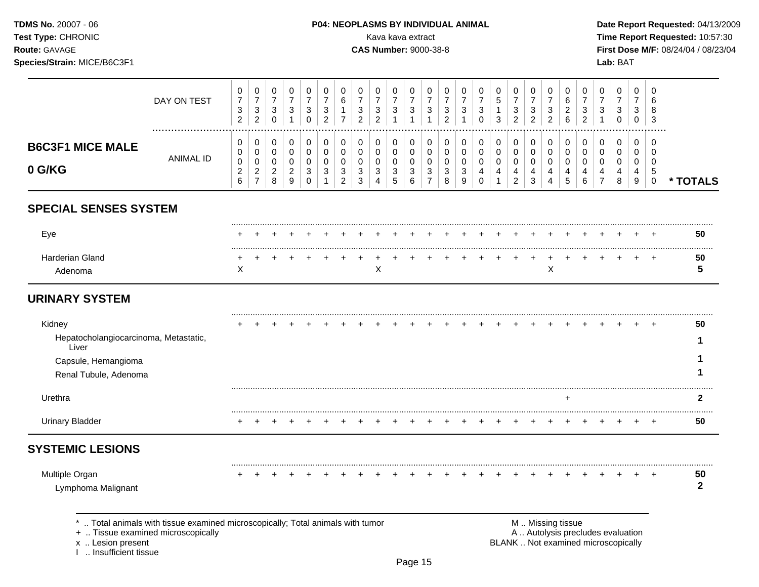Species/Strain: MICE/B6C3F1

#### P04: NEOPLASMS BY INDIVIDUAL ANIMAL

Kava kava extract

**CAS Number: 9000-38-8** 

Date Report Requested: 04/13/2009 Time Report Requested: 10:57:30 First Dose M/F: 08/24/04 / 08/23/04 Lab: BAT

|                                                                                                          | DAY ON TEST                                                                                                        | 0<br>$\boldsymbol{7}$<br>$\ensuremath{\mathsf{3}}$<br>$\overline{2}$ | 0<br>$\overline{7}$<br>$\ensuremath{\mathsf{3}}$<br>$\overline{2}$ | 0<br>$\overline{7}$<br>$\ensuremath{\mathsf{3}}$<br>$\pmb{0}$ | 0<br>$\overline{7}$<br>$\ensuremath{\mathsf{3}}$<br>$\mathbf{1}$ | 0<br>$\overline{7}$<br>3<br>$\pmb{0}$             | 0<br>7<br>3<br>$\overline{c}$ | 0<br>6<br>$\mathbf{1}$<br>$\overline{7}$     | 0<br>$\overline{7}$<br>3<br>$\overline{2}$ | 0<br>$\overline{7}$<br>$\ensuremath{\mathsf{3}}$<br>$\overline{2}$ | 0<br>$\overline{7}$<br>$\sqrt{3}$<br>$\overline{1}$ | 0<br>$\overline{7}$<br>$\ensuremath{\mathsf{3}}$<br>$\mathbf{1}$ | 0<br>$\overline{7}$<br>$\ensuremath{\mathsf{3}}$<br>1 | 0<br>7<br>$\mathbf 3$<br>$\overline{c}$  | 0<br>$\overline{7}$<br>3<br>$\mathbf{1}$ | 0<br>$\overline{7}$<br>3<br>$\mathbf 0$ | 0<br>$\,$ 5 $\,$<br>1<br>3       | 0<br>$\overline{7}$<br>$\sqrt{3}$<br>$\overline{2}$ | 0<br>$\overline{7}$<br>$\ensuremath{\mathsf{3}}$<br>$\overline{2}$ | 0<br>$\overline{7}$<br>$\ensuremath{\mathsf{3}}$<br>$\overline{2}$ | 0<br>6<br>$\overline{c}$<br>$6\phantom{a}$ | 0<br>$\overline{7}$<br>3<br>$\overline{2}$ | 0<br>$\overline{7}$<br>3                                                 | 0<br>$\overline{7}$<br>3<br>$\Omega$ | 0<br>$\overline{7}$<br>3<br>$\mathbf 0$ | $\Omega$<br>6<br>8<br>3                             |                   |
|----------------------------------------------------------------------------------------------------------|--------------------------------------------------------------------------------------------------------------------|----------------------------------------------------------------------|--------------------------------------------------------------------|---------------------------------------------------------------|------------------------------------------------------------------|---------------------------------------------------|-------------------------------|----------------------------------------------|--------------------------------------------|--------------------------------------------------------------------|-----------------------------------------------------|------------------------------------------------------------------|-------------------------------------------------------|------------------------------------------|------------------------------------------|-----------------------------------------|----------------------------------|-----------------------------------------------------|--------------------------------------------------------------------|--------------------------------------------------------------------|--------------------------------------------|--------------------------------------------|--------------------------------------------------------------------------|--------------------------------------|-----------------------------------------|-----------------------------------------------------|-------------------|
| <b>B6C3F1 MICE MALE</b><br>0 G/KG                                                                        | <b>ANIMAL ID</b>                                                                                                   | 0<br>0<br>$\mathbf 0$<br>$\boldsymbol{2}$<br>6                       | 0<br>0<br>$\mathsf 0$<br>$\overline{c}$<br>$\overline{7}$          | 0<br>0<br>$\mathbf 0$<br>$\overline{c}$<br>8                  | 0<br>$\pmb{0}$<br>$\mathbf 0$<br>$\overline{2}$<br>9             | 0<br>$\pmb{0}$<br>$\mathbf 0$<br>3<br>$\mathbf 0$ | 0<br>0<br>$\Omega$<br>3<br>1  | 0<br>0<br>$\mathbf 0$<br>3<br>$\overline{2}$ | 0<br>0<br>$\mathbf 0$<br>3<br>3            | 0<br>0<br>0<br>3<br>4                                              | 0<br>0<br>$\mathbf 0$<br>$\mathbf{3}$<br>5          | 0<br>0<br>$\mathbf 0$<br>3<br>6                                  | 0<br>$\pmb{0}$<br>0<br>$\mathbf{3}$<br>$\overline{7}$ | 0<br>0<br>$\mathbf 0$<br>$\sqrt{3}$<br>8 | 0<br>0<br>0<br>$\sqrt{3}$<br>9           | 0<br>0<br>$\mathbf 0$<br>4<br>$\Omega$  | 0<br>0<br>0<br>4<br>$\mathbf{1}$ | 0<br>0<br>$\mathbf 0$<br>4<br>$\boldsymbol{2}$      | 0<br>0<br>$\mathbf 0$<br>4<br>3                                    | 0<br>$\pmb{0}$<br>$\mathbf 0$<br>4<br>4                            | 0<br>0<br>$\mathbf 0$<br>4<br>5            | 0<br>0<br>$\mathbf 0$<br>4<br>6            | 0<br>0<br>$\mathbf 0$<br>4<br>$\overline{7}$                             | 0<br>0<br>0<br>4<br>$\,8\,$          | 0<br>0<br>$\mathbf 0$<br>4<br>9         | 0<br>0<br>$\Omega$<br>$\overline{5}$<br>$\mathbf 0$ | * TOTALS          |
| <b>SPECIAL SENSES SYSTEM</b>                                                                             |                                                                                                                    |                                                                      |                                                                    |                                                               |                                                                  |                                                   |                               |                                              |                                            |                                                                    |                                                     |                                                                  |                                                       |                                          |                                          |                                         |                                  |                                                     |                                                                    |                                                                    |                                            |                                            |                                                                          |                                      |                                         |                                                     |                   |
| Eye                                                                                                      |                                                                                                                    |                                                                      |                                                                    |                                                               |                                                                  |                                                   |                               |                                              |                                            |                                                                    |                                                     |                                                                  |                                                       |                                          |                                          |                                         |                                  |                                                     |                                                                    |                                                                    |                                            |                                            |                                                                          |                                      |                                         |                                                     | 50                |
| Harderian Gland<br>Adenoma                                                                               |                                                                                                                    | Χ                                                                    |                                                                    |                                                               |                                                                  |                                                   |                               |                                              |                                            | Χ                                                                  |                                                     |                                                                  |                                                       |                                          |                                          |                                         |                                  |                                                     |                                                                    | Χ                                                                  |                                            |                                            |                                                                          |                                      |                                         |                                                     | 50<br>5           |
| <b>URINARY SYSTEM</b>                                                                                    |                                                                                                                    |                                                                      |                                                                    |                                                               |                                                                  |                                                   |                               |                                              |                                            |                                                                    |                                                     |                                                                  |                                                       |                                          |                                          |                                         |                                  |                                                     |                                                                    |                                                                    |                                            |                                            |                                                                          |                                      |                                         |                                                     |                   |
| Kidney<br>Hepatocholangiocarcinoma, Metastatic,<br>Liver<br>Capsule, Hemangioma<br>Renal Tubule, Adenoma |                                                                                                                    |                                                                      |                                                                    |                                                               |                                                                  |                                                   |                               |                                              |                                            |                                                                    |                                                     |                                                                  |                                                       |                                          |                                          |                                         |                                  |                                                     |                                                                    |                                                                    |                                            |                                            |                                                                          |                                      |                                         |                                                     | 50                |
| Urethra                                                                                                  |                                                                                                                    |                                                                      |                                                                    |                                                               |                                                                  |                                                   |                               |                                              |                                            |                                                                    |                                                     |                                                                  |                                                       |                                          |                                          |                                         |                                  |                                                     |                                                                    |                                                                    | $\ddot{}$                                  |                                            |                                                                          |                                      |                                         |                                                     | $\mathbf{2}$      |
| <b>Urinary Bladder</b>                                                                                   |                                                                                                                    |                                                                      |                                                                    |                                                               |                                                                  |                                                   |                               |                                              |                                            |                                                                    |                                                     |                                                                  |                                                       |                                          |                                          |                                         |                                  |                                                     |                                                                    |                                                                    |                                            |                                            |                                                                          | +                                    | $\pm$                                   | $\pm$                                               | 50                |
| <b>SYSTEMIC LESIONS</b>                                                                                  |                                                                                                                    |                                                                      |                                                                    |                                                               |                                                                  |                                                   |                               |                                              |                                            |                                                                    |                                                     |                                                                  |                                                       |                                          |                                          |                                         |                                  |                                                     |                                                                    |                                                                    |                                            |                                            |                                                                          |                                      |                                         |                                                     |                   |
| Multiple Organ<br>Lymphoma Malignant                                                                     |                                                                                                                    |                                                                      |                                                                    |                                                               |                                                                  |                                                   |                               |                                              |                                            |                                                                    |                                                     |                                                                  |                                                       |                                          |                                          |                                         |                                  |                                                     |                                                                    |                                                                    |                                            |                                            |                                                                          |                                      |                                         |                                                     | 50<br>$\mathbf 2$ |
| x  Lesion present<br>1  Insufficient tissue                                                              | Total animals with tissue examined microscopically; Total animals with tumor<br>+  Tissue examined microscopically |                                                                      |                                                                    |                                                               |                                                                  |                                                   |                               |                                              |                                            |                                                                    |                                                     |                                                                  |                                                       |                                          |                                          |                                         |                                  |                                                     | M  Missing tissue                                                  |                                                                    |                                            |                                            | A  Autolysis precludes evaluation<br>BLANK  Not examined microscopically |                                      |                                         |                                                     |                   |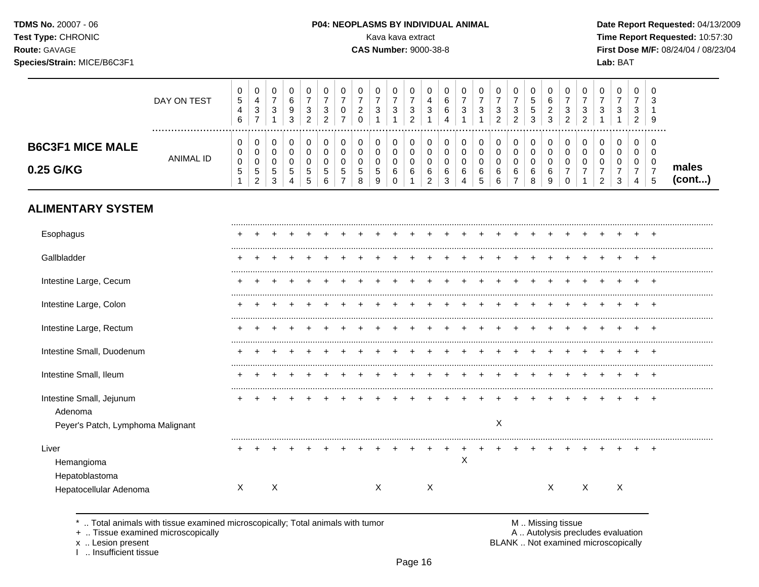## Species/Strain: MICE/B6C3F1

#### P04: NEOPLASMS BY INDIVIDUAL ANIMAL

Kava kava extract

CAS Number: 9000-38-8

Date Report Requested: 04/13/2009 Time Report Requested: 10:57:30 First Dose M/F: 08/24/04 / 08/23/04 Lab: BAT

|                                                                              | DAY ON TEST      | 0<br>$\,$ 5 $\,$<br>4<br>6                         | 0<br>$\overline{\mathbf{4}}$<br>$\frac{3}{7}$ | $\mathbf 0$<br>$\boldsymbol{7}$<br>$\sqrt{3}$<br>$\mathbf{1}$ | 0<br>6<br>9<br>3                                                | 0<br>$\overline{7}$<br>$\sqrt{3}$<br>$\overline{2}$ | 0<br>$\overline{7}$<br>3<br>$\overline{2}$ | 0<br>$\overline{7}$<br>0<br>$\overline{7}$   | 0<br>$\overline{7}$<br>2<br>$\mathbf 0$ | 0<br>$\overline{7}$<br>3        | 0<br>$\overline{7}$<br>3<br>1                       | 0<br>$\overline{7}$<br>3<br>$\overline{2}$ | 0<br>4<br>3<br>1                   | 0<br>$\,6$<br>6<br>$\overline{4}$        | 0<br>$\overline{7}$<br>$\mathbf{3}$<br>$\mathbf{1}$ | 0<br>$\overline{7}$<br>3<br>1 | 0<br>$\overline{7}$<br>3<br>$\overline{2}$ | 0<br>$\overline{7}$<br>3<br>$\overline{2}$         | 0<br>$\sqrt{5}$<br>5<br>3     | 0<br>$\,6$<br>$\overline{c}$<br>3       | 0<br>$\overline{7}$<br>$\sqrt{3}$<br>$\overline{c}$    | 0<br>$\overline{7}$<br>3<br>$\overline{2}$ | 0<br>$\overline{7}$<br>3<br>1      | 0<br>$\overline{7}$<br>3<br>1 | 0<br>$\overline{7}$<br>3<br>$\overline{c}$   | 0<br>3<br>-1<br>9                               |                 |
|------------------------------------------------------------------------------|------------------|----------------------------------------------------|-----------------------------------------------|---------------------------------------------------------------|-----------------------------------------------------------------|-----------------------------------------------------|--------------------------------------------|----------------------------------------------|-----------------------------------------|---------------------------------|-----------------------------------------------------|--------------------------------------------|------------------------------------|------------------------------------------|-----------------------------------------------------|-------------------------------|--------------------------------------------|----------------------------------------------------|-------------------------------|-----------------------------------------|--------------------------------------------------------|--------------------------------------------|------------------------------------|-------------------------------|----------------------------------------------|-------------------------------------------------|-----------------|
| <b>B6C3F1 MICE MALE</b><br>0.25 G/KG                                         | <b>ANIMAL ID</b> | 0<br>0<br>$\pmb{0}$<br>$\,$ 5 $\,$<br>$\mathbf{1}$ | 0<br>0<br>0<br>5<br>$\overline{c}$            | 0<br>$\mathbf 0$<br>$\pmb{0}$<br>$\,$ 5 $\,$<br>$\mathbf{3}$  | 0<br>$\mathbf 0$<br>$\mathbf 0$<br>$\sqrt{5}$<br>$\overline{4}$ | $\mathbf 0$<br>$\mathbf 0$<br>0<br>$\sqrt{5}$<br>5  | 0<br>$\mathbf 0$<br>0<br>5<br>6            | 0<br>$\mathbf 0$<br>0<br>5<br>$\overline{7}$ | 0<br>$\Omega$<br>0<br>5<br>8            | 0<br>$\mathbf 0$<br>0<br>5<br>9 | 0<br>$\mathbf 0$<br>$\mathbf 0$<br>6<br>$\mathbf 0$ | 0<br>0<br>$\pmb{0}$<br>6<br>$\mathbf{1}$   | 0<br>0<br>0<br>6<br>$\overline{2}$ | 0<br>$\pmb{0}$<br>0<br>6<br>$\mathbf{3}$ | 0<br>$\mathbf 0$<br>0<br>6<br>4                     | 0<br>0<br>0<br>6<br>5         | $\mathbf 0$<br>0<br>0<br>6<br>6            | 0<br>$\pmb{0}$<br>$\pmb{0}$<br>6<br>$\overline{7}$ | 0<br>0<br>$\pmb{0}$<br>6<br>8 | 0<br>$\mathbf 0$<br>$\pmb{0}$<br>6<br>9 | 0<br>$\mathbf 0$<br>0<br>$\overline{7}$<br>$\mathbf 0$ | 0<br>$\mathbf 0$<br>0<br>7<br>$\mathbf{1}$ | 0<br>0<br>0<br>7<br>$\overline{2}$ | 0<br>$\Omega$<br>0<br>7<br>3  | 0<br>$\mathbf 0$<br>0<br>$\overline{7}$<br>4 | 0<br>0<br>0<br>$\overline{7}$<br>$\overline{5}$ | males<br>(cont) |
| <b>ALIMENTARY SYSTEM</b>                                                     |                  |                                                    |                                               |                                                               |                                                                 |                                                     |                                            |                                              |                                         |                                 |                                                     |                                            |                                    |                                          |                                                     |                               |                                            |                                                    |                               |                                         |                                                        |                                            |                                    |                               |                                              |                                                 |                 |
| Esophagus                                                                    |                  |                                                    |                                               |                                                               |                                                                 |                                                     |                                            |                                              |                                         |                                 |                                                     |                                            |                                    |                                          |                                                     |                               |                                            |                                                    |                               |                                         |                                                        |                                            |                                    |                               |                                              |                                                 |                 |
| Gallbladder                                                                  |                  |                                                    |                                               |                                                               |                                                                 |                                                     |                                            |                                              |                                         |                                 |                                                     |                                            |                                    |                                          |                                                     |                               |                                            |                                                    |                               |                                         |                                                        |                                            |                                    |                               |                                              |                                                 |                 |
| Intestine Large, Cecum                                                       |                  |                                                    |                                               |                                                               |                                                                 |                                                     |                                            |                                              |                                         |                                 |                                                     |                                            |                                    |                                          |                                                     |                               |                                            |                                                    |                               |                                         |                                                        |                                            |                                    |                               |                                              |                                                 |                 |
| Intestine Large, Colon                                                       |                  |                                                    |                                               |                                                               |                                                                 |                                                     |                                            |                                              |                                         |                                 |                                                     |                                            |                                    |                                          |                                                     |                               |                                            |                                                    |                               |                                         |                                                        |                                            |                                    |                               |                                              |                                                 |                 |
| Intestine Large, Rectum                                                      |                  |                                                    |                                               |                                                               |                                                                 |                                                     |                                            |                                              |                                         |                                 |                                                     |                                            |                                    |                                          |                                                     |                               |                                            |                                                    |                               |                                         |                                                        |                                            |                                    |                               |                                              |                                                 |                 |
| Intestine Small, Duodenum                                                    |                  |                                                    |                                               |                                                               |                                                                 |                                                     |                                            |                                              |                                         |                                 |                                                     |                                            |                                    |                                          |                                                     |                               |                                            |                                                    |                               |                                         |                                                        |                                            |                                    |                               |                                              |                                                 |                 |
| Intestine Small, Ileum                                                       |                  |                                                    |                                               |                                                               |                                                                 |                                                     |                                            |                                              |                                         |                                 |                                                     |                                            |                                    |                                          |                                                     |                               |                                            |                                                    |                               |                                         |                                                        |                                            |                                    |                               | ÷                                            | $+$                                             |                 |
| Intestine Small, Jejunum<br>Adenoma                                          |                  |                                                    |                                               |                                                               |                                                                 |                                                     |                                            |                                              |                                         |                                 |                                                     |                                            |                                    |                                          |                                                     |                               |                                            |                                                    |                               |                                         |                                                        |                                            |                                    |                               | ٠                                            | $+$                                             |                 |
| Peyer's Patch, Lymphoma Malignant                                            |                  |                                                    |                                               |                                                               |                                                                 |                                                     |                                            |                                              |                                         |                                 |                                                     |                                            |                                    |                                          |                                                     |                               | $\boldsymbol{\mathsf{X}}$                  |                                                    |                               |                                         |                                                        |                                            |                                    |                               |                                              |                                                 |                 |
| Liver<br>Hemangioma<br>Hepatoblastoma                                        |                  |                                                    |                                               |                                                               |                                                                 |                                                     |                                            |                                              |                                         |                                 |                                                     |                                            |                                    |                                          | X                                                   |                               |                                            |                                                    |                               |                                         |                                                        |                                            |                                    |                               |                                              |                                                 |                 |
| Hepatocellular Adenoma                                                       |                  | $\mathsf{X}$                                       |                                               | X                                                             |                                                                 |                                                     |                                            |                                              |                                         | $\mathsf X$                     |                                                     |                                            | $\boldsymbol{X}$                   |                                          |                                                     |                               |                                            |                                                    |                               | X                                       |                                                        | $\boldsymbol{\mathsf{X}}$                  |                                    | $\boldsymbol{X}$              |                                              |                                                 |                 |
| Total animals with tissue examined microscopically: Total animals with tumor |                  |                                                    |                                               |                                                               |                                                                 |                                                     |                                            |                                              |                                         |                                 |                                                     |                                            |                                    |                                          |                                                     |                               |                                            |                                                    |                               |                                         | M Missing tissue                                       |                                            |                                    |                               |                                              |                                                 |                 |

+ .. Tissue examined microscopically

x .. Lesion present<br>I .. Insufficient tissue

A .. Autolysis precludes evaluation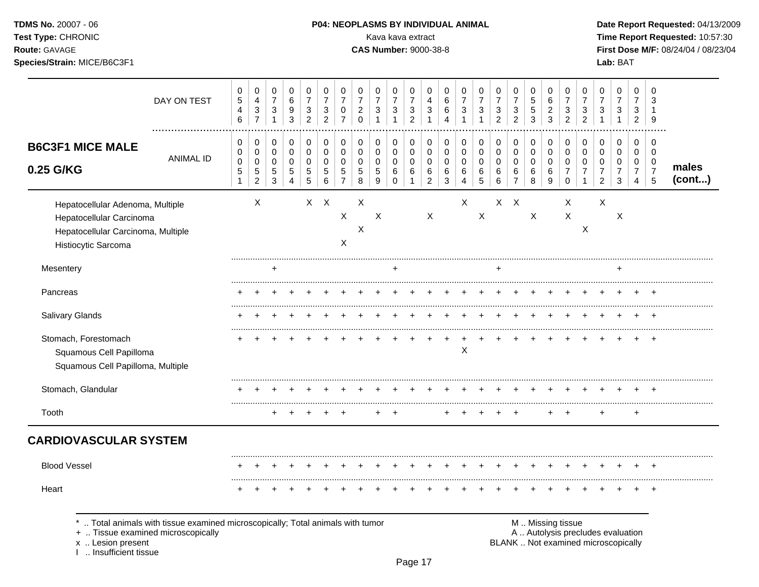## **Species/Strain:** MICE/B6C3F1 **Lab:** BAT

## **TDMS No.** 20007 - 06 **P04: NEOPLASMS BY INDIVIDUAL ANIMAL** Date Report Requested: 04/13/2009

**Test Type:** CHRONIC **Transfer CHRONIC** Kava Rava extract Kava extract **Time Report Requested:** 10:57:30 **Route:** GAVAGE **CAS Number:** 9000-38-8 **First Dose M/F:** 08/24/04 / 08/23/04

| DAY ON TEST                                                                                                               | 0<br>$\sqrt{5}$<br>$\overline{4}$<br>6               | 0<br>4<br>$\ensuremath{\mathsf{3}}$<br>$\overline{7}$            | 0<br>$\overline{7}$<br>$\ensuremath{\mathsf{3}}$<br>$\mathbf{1}$ | $\pmb{0}$<br>$\,6$<br>9<br>$\mathbf{3}$            | 0<br>$\overline{7}$<br>3<br>$\overline{c}$ | 0<br>$\overline{7}$<br>$\mathbf{3}$<br>$\overline{c}$ | 0<br>$\overline{7}$<br>0<br>$\overline{7}$ | 0<br>$\overline{7}$<br>$\overline{c}$<br>$\Omega$   | 0<br>$\overline{7}$<br>3                                         | 0<br>$\overline{7}$<br>3<br>$\mathbf{1}$ | 0<br>$\overline{7}$<br>3<br>$\overline{c}$           | 0<br>4<br>3<br>1                                           | 0<br>$\,6$<br>6<br>4                      | 0<br>$\overline{7}$<br>3     | 0<br>$\overline{7}$<br>3                      | 0<br>$\overline{7}$<br>3<br>$\overline{c}$ | 0<br>$\overline{7}$<br>3<br>$\overline{c}$   | $\mathbf 0$<br>5<br>$\sqrt{5}$<br>3             | 0<br>$\,6$<br>$\overline{c}$<br>3         | 0<br>$\overline{7}$<br>3<br>$\overline{2}$                 | 0<br>$\overline{7}$<br>3<br>$\overline{c}$ | 0<br>$\overline{7}$<br>3                                      | 0<br>$\overline{7}$<br>3<br>1                          | 0<br>$\overline{7}$<br>3<br>$\overline{2}$ | $\mathbf 0$<br>3<br>-1<br>9                                      |                 |
|---------------------------------------------------------------------------------------------------------------------------|------------------------------------------------------|------------------------------------------------------------------|------------------------------------------------------------------|----------------------------------------------------|--------------------------------------------|-------------------------------------------------------|--------------------------------------------|-----------------------------------------------------|------------------------------------------------------------------|------------------------------------------|------------------------------------------------------|------------------------------------------------------------|-------------------------------------------|------------------------------|-----------------------------------------------|--------------------------------------------|----------------------------------------------|-------------------------------------------------|-------------------------------------------|------------------------------------------------------------|--------------------------------------------|---------------------------------------------------------------|--------------------------------------------------------|--------------------------------------------|------------------------------------------------------------------|-----------------|
| <b>B6C3F1 MICE MALE</b><br><b>ANIMAL ID</b><br>0.25 G/KG                                                                  | 0<br>0<br>$\mathbf 0$<br>$\mathbf 5$<br>$\mathbf{1}$ | 0<br>$\mathbf 0$<br>$\mathbf 0$<br>$\mathbf 5$<br>$\overline{2}$ | 0<br>$\pmb{0}$<br>0<br>5<br>$\ensuremath{\mathsf{3}}$            | 0<br>$\mathbf 0$<br>$\mathbf 0$<br>$\sqrt{5}$<br>4 | 0<br>$\mathbf 0$<br>$\mathbf 0$<br>5<br>5  | 0<br>$\Omega$<br>$\mathbf 0$<br>$\sqrt{5}$<br>6       | 0<br>$\Omega$<br>$\Omega$<br>5             | 0<br>$\mathbf 0$<br>$\mathbf 0$<br>$\,$ 5 $\,$<br>8 | 0<br>$\pmb{0}$<br>$\mathbf 0$<br>$\,$ 5 $\,$<br>$\boldsymbol{9}$ | 0<br>$\pmb{0}$<br>0<br>6<br>$\pmb{0}$    | 0<br>$\mathbf 0$<br>$\mathbf 0$<br>6<br>$\mathbf{1}$ | 0<br>$\pmb{0}$<br>$\mathbf 0$<br>$\,6\,$<br>$\overline{a}$ | 0<br>$\mathbf 0$<br>$\mathbf 0$<br>6<br>3 | 0<br>$\Omega$<br>0<br>6<br>4 | 0<br>$\mathbf 0$<br>$\mathbf 0$<br>$\,6$<br>5 | 0<br>$\mathbf 0$<br>$\mathbf 0$<br>6<br>6  | 0<br>$\mathbf 0$<br>0<br>6<br>$\overline{7}$ | 0<br>$\mathbf 0$<br>$\mathbf 0$<br>6<br>$\,8\,$ | 0<br>$\mathbf 0$<br>$\mathbf 0$<br>6<br>9 | 0<br>$\Omega$<br>$\mathbf 0$<br>$\overline{7}$<br>$\Omega$ | 0<br>$\Omega$<br>$\Omega$<br>7             | 0<br>$\Omega$<br>$\Omega$<br>$\overline{7}$<br>$\overline{2}$ | 0<br>$\mathbf 0$<br>$\mathbf 0$<br>$\overline{7}$<br>3 | 0<br>0<br>0<br>$\overline{7}$<br>4         | 0<br>$\Omega$<br>$\mathbf 0$<br>$\overline{7}$<br>$\overline{5}$ | males<br>(cont) |
| Hepatocellular Adenoma, Multiple<br>Hepatocellular Carcinoma<br>Hepatocellular Carcinoma, Multiple<br>Histiocytic Sarcoma |                                                      | Χ                                                                |                                                                  |                                                    |                                            | $X$ $X$                                               | X<br>$\sf X$                               | $\mathsf X$<br>X                                    | X                                                                |                                          |                                                      | X                                                          |                                           | X                            | $\boldsymbol{\mathsf{X}}$                     |                                            | $X$ $X$                                      | X                                               |                                           | X<br>X                                                     | $\boldsymbol{\mathsf{X}}$                  | $\mathsf X$                                                   | X                                                      |                                            |                                                                  |                 |
| Mesentery                                                                                                                 |                                                      |                                                                  |                                                                  |                                                    |                                            |                                                       |                                            |                                                     |                                                                  |                                          |                                                      |                                                            |                                           |                              |                                               |                                            |                                              |                                                 |                                           |                                                            |                                            |                                                               |                                                        |                                            |                                                                  |                 |
| Pancreas                                                                                                                  |                                                      |                                                                  |                                                                  |                                                    |                                            |                                                       |                                            |                                                     |                                                                  |                                          |                                                      |                                                            |                                           |                              |                                               |                                            |                                              |                                                 |                                           |                                                            |                                            |                                                               |                                                        |                                            |                                                                  |                 |
| Salivary Glands                                                                                                           |                                                      |                                                                  |                                                                  |                                                    |                                            |                                                       |                                            |                                                     |                                                                  |                                          |                                                      |                                                            |                                           |                              |                                               |                                            |                                              |                                                 |                                           |                                                            |                                            |                                                               |                                                        |                                            |                                                                  |                 |
| Stomach, Forestomach<br>Squamous Cell Papilloma<br>Squamous Cell Papilloma, Multiple                                      |                                                      |                                                                  |                                                                  |                                                    |                                            |                                                       |                                            |                                                     |                                                                  |                                          |                                                      |                                                            |                                           | X                            |                                               |                                            |                                              |                                                 |                                           |                                                            |                                            |                                                               |                                                        |                                            |                                                                  |                 |
| Stomach, Glandular                                                                                                        |                                                      |                                                                  |                                                                  |                                                    |                                            |                                                       |                                            |                                                     |                                                                  |                                          |                                                      |                                                            |                                           |                              |                                               |                                            |                                              |                                                 |                                           |                                                            |                                            |                                                               |                                                        |                                            |                                                                  |                 |
| Tooth                                                                                                                     |                                                      |                                                                  |                                                                  |                                                    |                                            |                                                       |                                            |                                                     |                                                                  | $\div$                                   |                                                      |                                                            |                                           |                              |                                               |                                            |                                              |                                                 | $\pm$                                     | $\div$                                                     |                                            | $\ddot{}$                                                     |                                                        | $\ddot{}$                                  |                                                                  |                 |
| <b>CARDIOVASCULAR SYSTEM</b>                                                                                              |                                                      |                                                                  |                                                                  |                                                    |                                            |                                                       |                                            |                                                     |                                                                  |                                          |                                                      |                                                            |                                           |                              |                                               |                                            |                                              |                                                 |                                           |                                                            |                                            |                                                               |                                                        |                                            |                                                                  |                 |
| <b>Blood Vessel</b>                                                                                                       |                                                      |                                                                  |                                                                  |                                                    |                                            |                                                       |                                            |                                                     |                                                                  |                                          |                                                      |                                                            |                                           |                              |                                               |                                            |                                              |                                                 |                                           |                                                            |                                            |                                                               |                                                        |                                            |                                                                  |                 |
| Heart                                                                                                                     |                                                      |                                                                  |                                                                  |                                                    |                                            |                                                       |                                            |                                                     |                                                                  |                                          |                                                      |                                                            |                                           |                              |                                               |                                            |                                              |                                                 |                                           |                                                            |                                            |                                                               |                                                        |                                            |                                                                  |                 |
| Total animals with tissue examined microscopically; Total animals with tumor<br>+  Tissue examined microscopically        |                                                      |                                                                  |                                                                  |                                                    |                                            |                                                       |                                            |                                                     |                                                                  |                                          |                                                      |                                                            |                                           |                              |                                               |                                            |                                              |                                                 | M  Missing tissue                         |                                                            |                                            |                                                               | A  Autolysis precludes evaluation                      |                                            |                                                                  |                 |

x .. Lesion present<br>I .. Insufficient tissue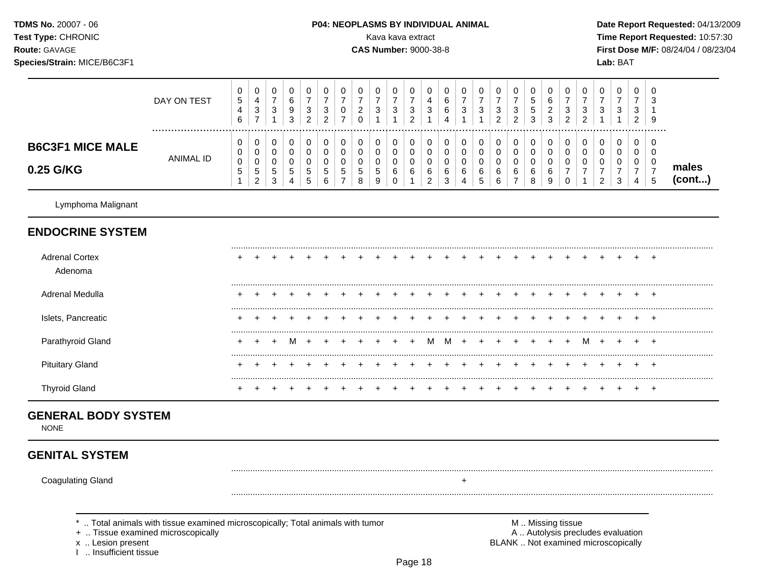| <b>TDMS No. 20007 - 06</b>  | <b>P04: NEOPLASMS BY INDIVIDUAL ANIMAL</b> | Date Rep         |
|-----------------------------|--------------------------------------------|------------------|
| <b>Test Type: CHRONIC</b>   | Kava kava extract                          | Time Rep         |
| <b>Route: GAVAGE</b>        | <b>CAS Number: 9000-38-8</b>               | <b>First Dos</b> |
| Species/Strain: MICE/B6C3F1 |                                            | Lab: BAT         |

**Kava kava extract CHRONIC CHRONIC CHRONIC Time Report Requested:** 10:57:30 **CAS Number:** 9000-38-8 **First Dose M/F:** 08/24/04 / 08/23/04

|                                           | DAY ON TEST                                                                                                        | 0<br>$\mathbf 5$<br>4<br>$\,6\,$ | $\pmb{0}$<br>$\overline{4}$<br>$\mathbf{3}$<br>$\overline{7}$ | 0<br>$\overline{7}$<br>$\mathbf{3}$<br>$\mathbf{1}$           | 0<br>6<br>9<br>$\mathbf{3}$                  | 0<br>$\overline{7}$<br>$\sqrt{3}$<br>$\overline{2}$ | 0<br>$\overline{7}$<br>3<br>$\overline{c}$ | 0<br>7<br>0<br>$\overline{7}$             | 0<br>$\overline{7}$<br>$\overline{c}$<br>$\mathbf 0$ | 0<br>$\overline{7}$<br>3<br>$\overline{1}$ | 0<br>$\overline{7}$<br>3<br>$\overline{1}$ | 0<br>$\overline{7}$<br>$\mathbf{3}$<br>$\overline{c}$ | 0<br>4<br>$\sqrt{3}$<br>1                    | 0<br>6<br>6<br>4                | 0<br>$\overline{7}$<br>$\mathbf{3}$<br>1     | 0<br>$\overline{7}$<br>$\mathbf{3}$                    | 0<br>$\overline{7}$<br>$\sqrt{3}$<br>$\overline{c}$ | 0<br>$\overline{7}$<br>3<br>$\overline{c}$           | 0<br>5<br>5<br>$\mathbf{3}$               | 0<br>6<br>$\overline{a}$<br>3                          | 0<br>7<br>3<br>$\overline{2}$             | 0<br>$\overline{7}$<br>3<br>$\overline{c}$ | 0<br>$\overline{7}$<br>3                                            | 0<br>$\overline{7}$<br>3<br>$\mathbf{1}$ | 0<br>$\overline{7}$<br>3<br>$\overline{2}$      | 0<br>3<br>-1<br>9                            |                 |
|-------------------------------------------|--------------------------------------------------------------------------------------------------------------------|----------------------------------|---------------------------------------------------------------|---------------------------------------------------------------|----------------------------------------------|-----------------------------------------------------|--------------------------------------------|-------------------------------------------|------------------------------------------------------|--------------------------------------------|--------------------------------------------|-------------------------------------------------------|----------------------------------------------|---------------------------------|----------------------------------------------|--------------------------------------------------------|-----------------------------------------------------|------------------------------------------------------|-------------------------------------------|--------------------------------------------------------|-------------------------------------------|--------------------------------------------|---------------------------------------------------------------------|------------------------------------------|-------------------------------------------------|----------------------------------------------|-----------------|
| <b>B6C3F1 MICE MALE</b><br>0.25 G/KG      | <b>ANIMAL ID</b>                                                                                                   | 0<br>0<br>$\mathbf 0$<br>5<br>1  | 0<br>0<br>$\mathbf 0$<br>$\mathbf 5$<br>$\overline{2}$        | 0<br>$\mathbf 0$<br>$\mathbf 0$<br>$\sqrt{5}$<br>$\mathbf{3}$ | 0<br>0<br>$\mathbf 0$<br>5<br>$\overline{4}$ | 0<br>$\mathbf 0$<br>$\mathbf 0$<br>5<br>5           | 0<br>0<br>$\Omega$<br>5<br>6               | 0<br>0<br>$\Omega$<br>5<br>$\overline{7}$ | 0<br>0<br>$\mathbf 0$<br>5<br>8                      | 0<br>0<br>$\mathbf 0$<br>5<br>9            | 0<br>0<br>$\mathbf 0$<br>6<br>$\mathbf 0$  | 0<br>$\mathbf 0$<br>$\mathbf 0$<br>6<br>-1            | 0<br>0<br>$\mathbf 0$<br>6<br>$\overline{c}$ | 0<br>0<br>$\mathbf 0$<br>6<br>3 | 0<br>0<br>$\mathbf 0$<br>6<br>$\overline{4}$ | 0<br>$\mathbf 0$<br>$\mathbf 0$<br>6<br>$\overline{5}$ | 0<br>$\mathbf 0$<br>$\mathbf 0$<br>6<br>6           | 0<br>$\pmb{0}$<br>$\mathbf 0$<br>6<br>$\overline{7}$ | 0<br>$\mathbf 0$<br>$\mathbf 0$<br>6<br>8 | 0<br>$\pmb{0}$<br>$\mathbf 0$<br>6<br>$\boldsymbol{9}$ | 0<br>0<br>$\mathbf 0$<br>7<br>$\mathbf 0$ | 0<br>$\mathbf 0$<br>$\mathbf 0$<br>7       | 0<br>$\mathbf 0$<br>$\mathbf 0$<br>$\overline{7}$<br>$\overline{2}$ | 0<br>0<br>0<br>$\overline{7}$<br>3       | 0<br>0<br>0<br>$\overline{7}$<br>$\overline{4}$ | 0<br>0<br>$\mathbf 0$<br>$\overline{7}$<br>5 | males<br>(cont) |
| Lymphoma Malignant                        |                                                                                                                    |                                  |                                                               |                                                               |                                              |                                                     |                                            |                                           |                                                      |                                            |                                            |                                                       |                                              |                                 |                                              |                                                        |                                                     |                                                      |                                           |                                                        |                                           |                                            |                                                                     |                                          |                                                 |                                              |                 |
| <b>ENDOCRINE SYSTEM</b>                   |                                                                                                                    |                                  |                                                               |                                                               |                                              |                                                     |                                            |                                           |                                                      |                                            |                                            |                                                       |                                              |                                 |                                              |                                                        |                                                     |                                                      |                                           |                                                        |                                           |                                            |                                                                     |                                          |                                                 |                                              |                 |
| <b>Adrenal Cortex</b><br>Adenoma          |                                                                                                                    |                                  |                                                               |                                                               |                                              |                                                     |                                            |                                           |                                                      |                                            |                                            |                                                       |                                              |                                 |                                              |                                                        |                                                     |                                                      |                                           |                                                        |                                           |                                            |                                                                     |                                          |                                                 |                                              |                 |
| Adrenal Medulla                           |                                                                                                                    |                                  |                                                               |                                                               |                                              |                                                     |                                            |                                           |                                                      |                                            |                                            |                                                       |                                              |                                 |                                              |                                                        |                                                     |                                                      |                                           |                                                        |                                           |                                            |                                                                     |                                          |                                                 |                                              |                 |
| Islets, Pancreatic                        |                                                                                                                    |                                  |                                                               |                                                               |                                              |                                                     |                                            |                                           |                                                      |                                            |                                            |                                                       |                                              |                                 |                                              |                                                        |                                                     |                                                      |                                           |                                                        |                                           |                                            |                                                                     |                                          |                                                 |                                              |                 |
| Parathyroid Gland                         |                                                                                                                    |                                  |                                                               | $\ddot{}$                                                     |                                              |                                                     |                                            |                                           |                                                      |                                            |                                            |                                                       | м                                            |                                 |                                              |                                                        |                                                     |                                                      |                                           |                                                        |                                           |                                            |                                                                     |                                          |                                                 |                                              |                 |
| <b>Pituitary Gland</b>                    |                                                                                                                    |                                  |                                                               |                                                               |                                              |                                                     |                                            |                                           |                                                      |                                            |                                            |                                                       |                                              |                                 |                                              |                                                        |                                                     |                                                      |                                           |                                                        |                                           |                                            |                                                                     |                                          |                                                 |                                              |                 |
| <b>Thyroid Gland</b>                      |                                                                                                                    |                                  |                                                               |                                                               |                                              |                                                     |                                            |                                           |                                                      |                                            |                                            |                                                       |                                              |                                 |                                              |                                                        |                                                     |                                                      |                                           |                                                        |                                           |                                            |                                                                     |                                          | +                                               | $\overline{ }$                               |                 |
| <b>GENERAL BODY SYSTEM</b><br><b>NONE</b> |                                                                                                                    |                                  |                                                               |                                                               |                                              |                                                     |                                            |                                           |                                                      |                                            |                                            |                                                       |                                              |                                 |                                              |                                                        |                                                     |                                                      |                                           |                                                        |                                           |                                            |                                                                     |                                          |                                                 |                                              |                 |
| <b>GENITAL SYSTEM</b>                     |                                                                                                                    |                                  |                                                               |                                                               |                                              |                                                     |                                            |                                           |                                                      |                                            |                                            |                                                       |                                              |                                 |                                              |                                                        |                                                     |                                                      |                                           |                                                        |                                           |                                            |                                                                     |                                          |                                                 |                                              |                 |
| <b>Coagulating Gland</b>                  |                                                                                                                    |                                  |                                                               |                                                               |                                              |                                                     |                                            |                                           |                                                      |                                            |                                            |                                                       |                                              |                                 | $\ddot{}$                                    |                                                        |                                                     |                                                      |                                           |                                                        |                                           |                                            |                                                                     |                                          |                                                 |                                              |                 |
|                                           | Total animals with tissue examined microscopically; Total animals with tumor<br>+  Tissue examined microscopically |                                  |                                                               |                                                               |                                              |                                                     |                                            |                                           |                                                      |                                            |                                            |                                                       |                                              |                                 |                                              |                                                        |                                                     |                                                      |                                           |                                                        | M  Missing tissue                         |                                            | A  Autolysis precludes evaluation                                   |                                          |                                                 |                                              |                 |

x .. Lesion present<br>I .. Insufficient tissue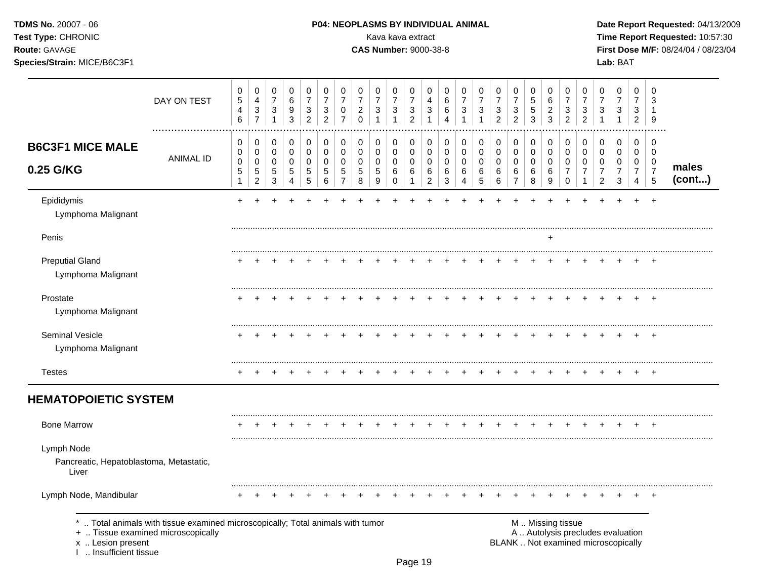| <b>TDMS No. 20007 - 06</b> |
|----------------------------|
| <b>Test Type: CHRONIC</b>  |
|                            |

**Kava kava extract CHRONIC CHRONIC CHRONIC Time Report Requested:** 10:57:30 **Route:** GAVAGE **CAS Number:** 9000-38-8 **First Dose M/F:** 08/24/04 / 08/23/04 **Species/Strain:** MICE/B6C3F1 **Lab:** BAT

|                                                                                                                                                                      | DAY ON TEST      | 0<br>$\,$ 5 $\,$<br>$\overline{\mathbf{4}}$<br>6 | 0<br>$\overline{4}$<br>$\sqrt{3}$<br>$\overline{7}$ | 0<br>$\boldsymbol{7}$<br>$\ensuremath{\mathsf{3}}$<br>$\mathbf{1}$ | $\mathbf 0$<br>6<br>9<br>$\mathbf{3}$ | 0<br>$\overline{7}$<br>3<br>$\overline{a}$ | 0<br>$\overline{7}$<br>3<br>$\overline{c}$ | 0<br>$\overline{7}$<br>$\pmb{0}$<br>$\overline{7}$ | 0<br>$\overline{7}$<br>$\overline{c}$<br>$\mathbf 0$ | 0<br>$\overline{7}$<br>$\mathbf{3}$<br>$\overline{1}$ | 0<br>$\overline{7}$<br>3<br>$\mathbf{1}$ | 0<br>$\overline{7}$<br>3<br>$\overline{c}$ | 0<br>4<br>3<br>1              | 0<br>6<br>6<br>$\overline{4}$ | 0<br>$\overline{7}$<br>3<br>1             | 0<br>$\overline{7}$<br>3        | 0<br>$\overline{7}$<br>$\sqrt{3}$<br>$\overline{2}$ | 0<br>$\overline{7}$<br>3<br>$\overline{2}$ | 0<br>5<br>5<br>3    | 0<br>$\,6$<br>$\sqrt{2}$<br>3             | 0<br>$\overline{7}$<br>3<br>$\overline{c}$ | 0<br>$\overline{7}$<br>3<br>$\overline{c}$ | 0<br>$\overline{7}$<br>3<br>1                                            | 0<br>$\overline{7}$<br>3<br>$\mathbf{1}$ | $\mathbf 0$<br>$\overline{7}$<br>3<br>$\overline{2}$ | 0<br>3<br>-1<br>9            |                 |
|----------------------------------------------------------------------------------------------------------------------------------------------------------------------|------------------|--------------------------------------------------|-----------------------------------------------------|--------------------------------------------------------------------|---------------------------------------|--------------------------------------------|--------------------------------------------|----------------------------------------------------|------------------------------------------------------|-------------------------------------------------------|------------------------------------------|--------------------------------------------|-------------------------------|-------------------------------|-------------------------------------------|---------------------------------|-----------------------------------------------------|--------------------------------------------|---------------------|-------------------------------------------|--------------------------------------------|--------------------------------------------|--------------------------------------------------------------------------|------------------------------------------|------------------------------------------------------|------------------------------|-----------------|
| <b>B6C3F1 MICE MALE</b>                                                                                                                                              | <b>ANIMAL ID</b> | $\pmb{0}$<br>$\pmb{0}$<br>$\mathbf 0$            | $\mathbf 0$<br>$\pmb{0}$<br>$\mathbf 0$             | $\mathbf 0$<br>0<br>$\mathbf 0$                                    | $\mathbf 0$<br>$\mathbf 0$<br>0       | 0<br>$\mathbf 0$<br>0                      | $\mathbf 0$<br>$\mathbf 0$<br>0            | $\mathbf 0$<br>$\mathbf 0$<br>0                    | 0<br>0<br>$\mathbf 0$                                | 0<br>$\mathbf 0$<br>0                                 | 0<br>$\mathbf 0$<br>$\mathbf 0$          | 0<br>$\mathbf 0$<br>$\mathbf 0$            | $\pmb{0}$<br>$\mathbf 0$<br>0 | 0<br>0<br>0                   | $\mathbf 0$<br>$\mathbf 0$<br>$\mathbf 0$ | 0<br>$\mathbf 0$<br>$\mathbf 0$ | $\mathbf 0$<br>$\mathbf 0$<br>$\mathbf 0$           | 0<br>$\mathbf 0$<br>$\mathbf 0$            | 0<br>$\pmb{0}$<br>0 | $\mathbf 0$<br>$\mathbf 0$<br>$\mathbf 0$ | $\mathbf 0$<br>$\mathbf 0$<br>0            | 0<br>$\mathbf 0$<br>$\mathbf 0$            | 0<br>$\mathbf 0$<br>$\pmb{0}$                                            | 0<br>$\mathbf 0$<br>$\pmb{0}$            | $\mathbf 0$<br>$\mathbf 0$<br>0                      | $\Omega$<br>$\mathbf 0$<br>0 |                 |
| 0.25 G/KG                                                                                                                                                            |                  | $\sqrt{5}$<br>1                                  | $\,$ 5 $\,$<br>$\sqrt{2}$                           | $\sqrt{5}$<br>3                                                    | $\sqrt{5}$<br>$\overline{4}$          | $\,$ 5 $\,$<br>5                           | 5<br>6                                     | 5<br>$\overline{7}$                                | $\,$ 5 $\,$<br>8                                     | $\sqrt{5}$<br>9                                       | 6<br>$\mathbf 0$                         | 6<br>1                                     | 6<br>$\overline{c}$           | 6<br>3                        | $\,6$<br>4                                | 6<br>5                          | 6<br>6                                              | 6<br>$\overline{7}$                        | $\,6\,$<br>8        | $\,6$<br>9                                | $\overline{7}$<br>$\pmb{0}$                | $\overline{7}$                             | $\overline{7}$<br>$\boldsymbol{2}$                                       | $\overline{7}$<br>$\sqrt{3}$             | $\overline{7}$<br>4                                  | $\overline{7}$<br>5          | males<br>(cont) |
| Epididymis<br>Lymphoma Malignant                                                                                                                                     |                  |                                                  |                                                     |                                                                    |                                       |                                            |                                            |                                                    |                                                      |                                                       |                                          |                                            |                               |                               |                                           |                                 |                                                     |                                            |                     |                                           |                                            |                                            |                                                                          |                                          |                                                      | $+$                          |                 |
| Penis                                                                                                                                                                |                  |                                                  |                                                     |                                                                    |                                       |                                            |                                            |                                                    |                                                      |                                                       |                                          |                                            |                               |                               |                                           |                                 |                                                     |                                            |                     | ٠                                         |                                            |                                            |                                                                          |                                          |                                                      |                              |                 |
| <b>Preputial Gland</b><br>Lymphoma Malignant                                                                                                                         |                  |                                                  |                                                     |                                                                    |                                       |                                            |                                            |                                                    |                                                      |                                                       |                                          |                                            |                               |                               |                                           |                                 |                                                     |                                            |                     |                                           |                                            |                                            |                                                                          |                                          |                                                      |                              |                 |
| Prostate<br>Lymphoma Malignant                                                                                                                                       |                  |                                                  | ÷                                                   |                                                                    |                                       |                                            |                                            |                                                    |                                                      |                                                       |                                          |                                            |                               |                               |                                           |                                 |                                                     |                                            |                     |                                           |                                            |                                            |                                                                          |                                          |                                                      | $\ddot{}$                    |                 |
| Seminal Vesicle<br>Lymphoma Malignant                                                                                                                                |                  |                                                  |                                                     |                                                                    |                                       |                                            |                                            |                                                    |                                                      |                                                       |                                          |                                            |                               |                               |                                           |                                 |                                                     |                                            |                     |                                           |                                            |                                            |                                                                          |                                          |                                                      | $\div$                       |                 |
| <b>Testes</b>                                                                                                                                                        |                  |                                                  |                                                     |                                                                    |                                       |                                            |                                            |                                                    |                                                      |                                                       |                                          |                                            |                               |                               |                                           |                                 |                                                     |                                            |                     |                                           |                                            |                                            |                                                                          |                                          |                                                      | $\div$                       |                 |
| <b>HEMATOPOIETIC SYSTEM</b>                                                                                                                                          |                  |                                                  |                                                     |                                                                    |                                       |                                            |                                            |                                                    |                                                      |                                                       |                                          |                                            |                               |                               |                                           |                                 |                                                     |                                            |                     |                                           |                                            |                                            |                                                                          |                                          |                                                      |                              |                 |
| <b>Bone Marrow</b>                                                                                                                                                   |                  |                                                  |                                                     |                                                                    |                                       |                                            |                                            |                                                    |                                                      |                                                       |                                          |                                            |                               |                               |                                           |                                 |                                                     |                                            |                     |                                           |                                            |                                            |                                                                          |                                          |                                                      |                              |                 |
| Lymph Node                                                                                                                                                           |                  |                                                  |                                                     |                                                                    |                                       |                                            |                                            |                                                    |                                                      |                                                       |                                          |                                            |                               |                               |                                           |                                 |                                                     |                                            |                     |                                           |                                            |                                            |                                                                          |                                          |                                                      |                              |                 |
| Pancreatic, Hepatoblastoma, Metastatic,<br>Liver                                                                                                                     |                  |                                                  |                                                     |                                                                    |                                       |                                            |                                            |                                                    |                                                      |                                                       |                                          |                                            |                               |                               |                                           |                                 |                                                     |                                            |                     |                                           |                                            |                                            |                                                                          |                                          |                                                      |                              |                 |
| Lymph Node, Mandibular                                                                                                                                               |                  |                                                  |                                                     |                                                                    |                                       |                                            |                                            |                                                    |                                                      |                                                       |                                          |                                            |                               |                               |                                           |                                 |                                                     |                                            |                     |                                           |                                            |                                            |                                                                          |                                          |                                                      |                              |                 |
| *  Total animals with tissue examined microscopically; Total animals with tumor<br>+  Tissue examined microscopically<br>x  Lesion present<br>I  Insufficient tissue |                  |                                                  |                                                     |                                                                    |                                       |                                            |                                            |                                                    |                                                      |                                                       |                                          |                                            |                               |                               |                                           |                                 |                                                     |                                            |                     |                                           | M  Missing tissue                          |                                            | A  Autolysis precludes evaluation<br>BLANK  Not examined microscopically |                                          |                                                      |                              |                 |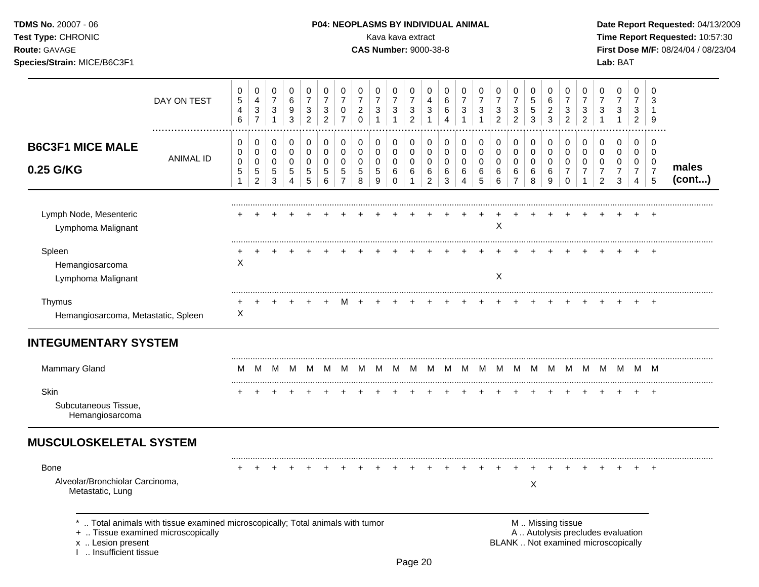| TDMS No. 20007 - 06<br>Test Type: CHRONIC<br>Route: GAVAGE<br>Species/Strain: MICE/B6C3F1 |                                                                                                                    | P04: NEOPLASMS BY INDIVIDUAL ANIMAL<br>Kava kava extract<br><b>CAS Number: 9000-38-8</b><br>Lab: BAT |                                        |                                                     |                                 |                                            |                                                     |                                              |                                                      |                                           |                                      |                                            |                                                            |                          | Date Report Requested: 04/13/2009<br>Time Report Requested: 10:57:30<br>First Dose M/F: 08/24/04 / 08/23/04 |                          |                                              |                                              |                                                                                               |                                     |                                                     |                                                                    |                |                               |                                              |                               |        |
|-------------------------------------------------------------------------------------------|--------------------------------------------------------------------------------------------------------------------|------------------------------------------------------------------------------------------------------|----------------------------------------|-----------------------------------------------------|---------------------------------|--------------------------------------------|-----------------------------------------------------|----------------------------------------------|------------------------------------------------------|-------------------------------------------|--------------------------------------|--------------------------------------------|------------------------------------------------------------|--------------------------|-------------------------------------------------------------------------------------------------------------|--------------------------|----------------------------------------------|----------------------------------------------|-----------------------------------------------------------------------------------------------|-------------------------------------|-----------------------------------------------------|--------------------------------------------------------------------|----------------|-------------------------------|----------------------------------------------|-------------------------------|--------|
|                                                                                           | DAY ON TEST<br>                                                                                                    | 0<br>$\,$ 5 $\,$<br>4<br>6                                                                           | 0<br>4<br>$\sqrt{3}$<br>$\overline{7}$ | 0<br>$\boldsymbol{7}$<br>$\sqrt{3}$<br>$\mathbf{1}$ | 0<br>$\,6\,$<br>9<br>3          | 0<br>$\overline{7}$<br>3<br>$\overline{2}$ | 0<br>$\overline{7}$<br>$\sqrt{3}$<br>$\overline{c}$ | 0<br>$\boldsymbol{7}$<br>0<br>$\overline{7}$ | 0<br>$\overline{7}$<br>$\overline{c}$<br>$\mathbf 0$ | 0<br>$\boldsymbol{7}$<br>3<br>$\mathbf 1$ | 0<br>$\overline{7}$<br>$\sqrt{3}$    | 0<br>$\overline{7}$<br>3<br>$\overline{c}$ | 0<br>$\overline{\mathbf{4}}$<br>$\sqrt{3}$<br>$\mathbf{1}$ | 0<br>$\,6$<br>6<br>4     | 0<br>$\overline{7}$<br>3                                                                                    | 0<br>$\overline{7}$<br>3 | 0<br>$\boldsymbol{7}$<br>3<br>$\overline{2}$ | 0<br>$\boldsymbol{7}$<br>3<br>$\overline{c}$ | 0<br>5<br>5<br>3                                                                              | 0<br>$\,6\,$<br>$\overline{c}$<br>3 | 0<br>$\overline{7}$<br>$\sqrt{3}$<br>$\overline{2}$ | 0<br>$\overline{7}$<br>$\ensuremath{\mathsf{3}}$<br>$\overline{2}$ | 0<br>7<br>3    | 0<br>$\overline{7}$<br>3      | 0<br>$\boldsymbol{7}$<br>3<br>$\overline{2}$ | 0<br>3<br>-1<br>9             |        |
| <b>B6C3F1 MICE MALE</b><br>0.25 G/KG                                                      | <b>ANIMAL ID</b>                                                                                                   | 0<br>0<br>$\pmb{0}$<br>5                                                                             | 0<br>0<br>$\mathbf 0$<br>$\sqrt{5}$    | 0<br>$\mathbf 0$<br>0<br>5                          | 0<br>$\boldsymbol{0}$<br>0<br>5 | 0<br>$\pmb{0}$<br>0<br>5                   | 0<br>$\pmb{0}$<br>$\pmb{0}$<br>$\,$ 5 $\,$          | 0<br>$\mathsf 0$<br>0<br>$\sqrt{5}$          | 0<br>$\pmb{0}$<br>$\mathbf 0$<br>$\mathbf 5$         | 0<br>0<br>0<br>5                          | 0<br>$\mathbf 0$<br>$\mathbf 0$<br>6 | 0<br>$\mathbf 0$<br>0<br>6                 | 0<br>$\pmb{0}$<br>$\mathbf 0$<br>6                         | 0<br>$\pmb{0}$<br>0<br>6 | 0<br>$\mathbf 0$<br>0<br>6                                                                                  | 0<br>0<br>0<br>6         | 0<br>$\pmb{0}$<br>$\mathbf 0$<br>6           | 0<br>0<br>0<br>6                             | 0<br>0<br>0<br>6                                                                              | 0<br>$\pmb{0}$<br>0<br>6            | 0<br>$\pmb{0}$<br>$\pmb{0}$<br>$\overline{7}$       | 0<br>$\pmb{0}$<br>$\pmb{0}$<br>7                                   | 0<br>0<br>0    | 0<br>0<br>0<br>$\overline{7}$ | 0<br>$\mathbf 0$<br>0<br>$\overline{7}$      | 0<br>0<br>0<br>$\overline{7}$ | males  |
|                                                                                           |                                                                                                                    | $\mathbf{1}$                                                                                         | $\overline{2}$                         | 3                                                   | 4                               | 5                                          | 6                                                   | $\overline{7}$                               | 8                                                    | 9                                         | $\Omega$                             | $\overline{1}$                             | $\overline{2}$                                             | 3                        | 4                                                                                                           | 5                        | 6                                            | $\overline{7}$                               | 8                                                                                             | 9                                   | $\mathbf 0$                                         |                                                                    | $\overline{2}$ | 3                             | 4                                            | 5                             | (cont) |
| Lymph Node, Mesenteric<br>Lymphoma Malignant                                              |                                                                                                                    |                                                                                                      |                                        |                                                     |                                 |                                            |                                                     |                                              |                                                      |                                           |                                      |                                            |                                                            |                          |                                                                                                             |                          | $\mathsf X$                                  |                                              |                                                                                               |                                     |                                                     |                                                                    |                |                               |                                              |                               |        |
| Spleen<br>Hemangiosarcoma<br>Lymphoma Malignant                                           |                                                                                                                    | X                                                                                                    |                                        |                                                     |                                 |                                            |                                                     |                                              |                                                      |                                           |                                      |                                            |                                                            |                          |                                                                                                             |                          | X                                            |                                              |                                                                                               |                                     |                                                     |                                                                    |                |                               |                                              | $+$                           |        |
| Thymus<br>Hemangiosarcoma, Metastatic, Spleen                                             |                                                                                                                    | Χ                                                                                                    |                                        |                                                     |                                 |                                            |                                                     |                                              |                                                      |                                           |                                      |                                            |                                                            |                          |                                                                                                             |                          |                                              |                                              |                                                                                               |                                     |                                                     |                                                                    |                |                               |                                              |                               |        |
| <b>INTEGUMENTARY SYSTEM</b>                                                               |                                                                                                                    |                                                                                                      |                                        |                                                     |                                 |                                            |                                                     |                                              |                                                      |                                           |                                      |                                            |                                                            |                          |                                                                                                             |                          |                                              |                                              |                                                                                               |                                     |                                                     |                                                                    |                |                               |                                              |                               |        |
| Mammary Gland                                                                             |                                                                                                                    | м                                                                                                    | M                                      | M                                                   | M                               | M                                          | M                                                   | M                                            | M                                                    | M                                         | M                                    | M                                          | M                                                          | M                        | M                                                                                                           | M                        | - M                                          | M.                                           | M                                                                                             |                                     |                                                     |                                                                    | M M M M        |                               | MMM                                          |                               |        |
| Skin<br>Subcutaneous Tissue,<br>Hemangiosarcoma                                           |                                                                                                                    |                                                                                                      |                                        |                                                     |                                 |                                            |                                                     |                                              |                                                      |                                           |                                      |                                            |                                                            |                          |                                                                                                             |                          |                                              |                                              |                                                                                               |                                     |                                                     |                                                                    |                |                               |                                              |                               |        |
| <b>MUSCULOSKELETAL SYSTEM</b>                                                             |                                                                                                                    |                                                                                                      |                                        |                                                     |                                 |                                            |                                                     |                                              |                                                      |                                           |                                      |                                            |                                                            |                          |                                                                                                             |                          |                                              |                                              |                                                                                               |                                     |                                                     |                                                                    |                |                               |                                              |                               |        |
| <b>Bone</b><br>Alveolar/Bronchiolar Carcinoma,<br>Metastatic, Lung                        |                                                                                                                    |                                                                                                      |                                        |                                                     |                                 |                                            |                                                     |                                              |                                                      |                                           |                                      |                                            |                                                            |                          |                                                                                                             |                          |                                              |                                              | Χ                                                                                             |                                     |                                                     |                                                                    |                |                               |                                              |                               |        |
| x  Lesion present<br>I. hsufficient tissue                                                | Total animals with tissue examined microscopically; Total animals with tumor<br>+  Tissue examined microscopically |                                                                                                      |                                        |                                                     |                                 |                                            |                                                     |                                              |                                                      |                                           |                                      | Page 20                                    |                                                            |                          |                                                                                                             |                          |                                              |                                              | M  Missing tissue<br>A  Autolysis precludes evaluation<br>BLANK  Not examined microscopically |                                     |                                                     |                                                                    |                |                               |                                              |                               |        |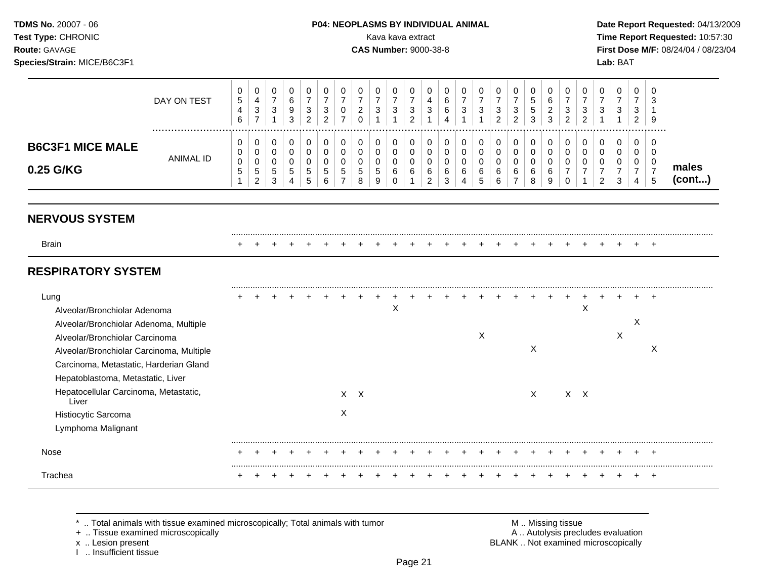| <b>TDMS No. 20007 - 06</b>         | <b>P04: NEOPLASMS BY INDIVIDUAL ANIMAL</b> | Date Rep         |
|------------------------------------|--------------------------------------------|------------------|
| <b>Test Type: CHRONIC</b>          | Kava kava extract                          | Time Rer         |
| <b>Route: GAVAGE</b>               | <b>CAS Number: 9000-38-8</b>               | <b>First Dos</b> |
| <b>Species/Strain: MICE/B6C3F1</b> |                                            | <b>Lab: BAT</b>  |

Kava kava extract **Time Report Requested:** 10:57:30 **CAS Number:** 9000-38-8 **First Dose M/F:** 08/24/04 / 08/23/04

|                                                                                                                         | DAY ON TEST<br>. | 0<br>$\,$ 5 $\,$<br>4<br>6          | 0<br>$\overline{4}$<br>$\mathbf{3}$<br>$\overline{7}$ | 0<br>$\boldsymbol{7}$<br>$\sqrt{3}$<br>$\mathbf{1}$ | 0<br>$\,6\,$<br>9<br>3                 | 0<br>$\overline{7}$<br>3<br>$\overline{2}$ | 0<br>3<br>2                  | 0<br>$\overline{7}$<br>$\mathbf 0$ | 0<br>$\overline{7}$<br>$\overline{2}$<br>$\Omega$ | 0<br>$\overline{7}$<br>$\mathbf{3}$ | 0<br>$\boldsymbol{7}$<br>$\mathbf{3}$       | 0<br>$\overline{7}$<br>3<br>2             | 0<br>4<br>3                     | 0<br>6<br>6<br>4      | 0<br>$\overline{7}$<br>3        | 0<br>$\overline{7}$<br>3            | 0<br>$\overline{7}$<br>3<br>$\overline{2}$ | 0<br>$\overline{7}$<br>3<br>$\overline{2}$           | 0<br>5<br>5<br>3              | 0<br>6<br>$\overline{c}$<br>3          | 0<br>$\overline{7}$<br>3<br>$\overline{2}$ | 0<br>$\overline{7}$<br>3<br>2 | 0<br>3                  | 0<br>$\overline{7}$<br>3 | 0<br>7<br>3<br>$\overline{2}$   | 0<br>3<br>-1<br>9                            |                 |
|-------------------------------------------------------------------------------------------------------------------------|------------------|-------------------------------------|-------------------------------------------------------|-----------------------------------------------------|----------------------------------------|--------------------------------------------|------------------------------|------------------------------------|---------------------------------------------------|-------------------------------------|---------------------------------------------|-------------------------------------------|---------------------------------|-----------------------|---------------------------------|-------------------------------------|--------------------------------------------|------------------------------------------------------|-------------------------------|----------------------------------------|--------------------------------------------|-------------------------------|-------------------------|--------------------------|---------------------------------|----------------------------------------------|-----------------|
| <b>B6C3F1 MICE MALE</b><br>0.25 G/KG                                                                                    | <b>ANIMAL ID</b> | 0<br>0<br>$\mathbf 0$<br>$\sqrt{5}$ | 0<br>$\pmb{0}$<br>0<br>$\sqrt{5}$<br>$\overline{2}$   | 0<br>0<br>0<br>$\,$ 5 $\,$<br>3                     | 0<br>$\pmb{0}$<br>0<br>$\sqrt{5}$<br>4 | 0<br>$\pmb{0}$<br>$\mathbf 0$<br>5<br>5    | 0<br>0<br>$\Omega$<br>5<br>6 | $\mathbf 0$<br>0<br>$\Omega$<br>5  | 0<br>$\pmb{0}$<br>$\mathbf 0$<br>$\sqrt{5}$<br>8  | 0<br>0<br>0<br>$\sqrt{5}$<br>9      | 0<br>$\boldsymbol{0}$<br>0<br>6<br>$\Omega$ | 0<br>$\mathbf 0$<br>$\mathbf 0$<br>6<br>1 | 0<br>0<br>$\mathbf 0$<br>6<br>2 | 0<br>0<br>0<br>6<br>3 | 0<br>$\mathbf 0$<br>0<br>6<br>Δ | 0<br>$\mathbf 0$<br>0<br>$\,6$<br>5 | 0<br>$\mathbf 0$<br>0<br>6<br>6            | 0<br>$\pmb{0}$<br>$\mathbf 0$<br>6<br>$\overline{7}$ | 0<br>$\pmb{0}$<br>0<br>6<br>8 | 0<br>$\mathbf 0$<br>$\Omega$<br>6<br>9 | 0<br>0<br>$\Omega$<br>$\Omega$             | 0<br>$\mathbf 0$<br>$\Omega$  | 0<br>0<br>$\Omega$<br>2 | 0<br>0<br>0<br>7<br>3    | 0<br>0<br>$\mathbf 0$<br>7<br>4 | 0<br>$\mathbf 0$<br>0<br>$\overline{7}$<br>5 | males<br>(cont) |
| <b>NERVOUS SYSTEM</b>                                                                                                   |                  |                                     |                                                       |                                                     |                                        |                                            |                              |                                    |                                                   |                                     |                                             |                                           |                                 |                       |                                 |                                     |                                            |                                                      |                               |                                        |                                            |                               |                         |                          |                                 |                                              |                 |
| <b>Brain</b>                                                                                                            |                  |                                     |                                                       |                                                     |                                        |                                            |                              |                                    |                                                   |                                     |                                             |                                           |                                 |                       |                                 |                                     |                                            |                                                      |                               |                                        |                                            |                               |                         |                          |                                 | $^{+}$                                       |                 |
| <b>RESPIRATORY SYSTEM</b>                                                                                               |                  |                                     |                                                       |                                                     |                                        |                                            |                              |                                    |                                                   |                                     |                                             |                                           |                                 |                       |                                 |                                     |                                            |                                                      |                               |                                        |                                            |                               |                         |                          |                                 |                                              |                 |
| Lung<br>Alveolar/Bronchiolar Adenoma<br>Alveolar/Bronchiolar Adenoma, Multiple<br>Alveolar/Bronchiolar Carcinoma        |                  |                                     |                                                       |                                                     |                                        |                                            |                              |                                    |                                                   |                                     | X                                           |                                           |                                 |                       |                                 | X                                   |                                            |                                                      |                               |                                        |                                            | X                             |                         | X                        | $\boldsymbol{\mathsf{X}}$       | +                                            |                 |
| Alveolar/Bronchiolar Carcinoma, Multiple<br>Carcinoma, Metastatic, Harderian Gland<br>Hepatoblastoma, Metastatic, Liver |                  |                                     |                                                       |                                                     |                                        |                                            |                              |                                    |                                                   |                                     |                                             |                                           |                                 |                       |                                 |                                     |                                            |                                                      | X                             |                                        |                                            |                               |                         |                          |                                 | X                                            |                 |
| Hepatocellular Carcinoma, Metastatic,<br>Liver                                                                          |                  |                                     |                                                       |                                                     |                                        |                                            |                              |                                    | $X$ $X$                                           |                                     |                                             |                                           |                                 |                       |                                 |                                     |                                            |                                                      | X                             |                                        |                                            | $X$ $X$                       |                         |                          |                                 |                                              |                 |
| Histiocytic Sarcoma<br>Lymphoma Malignant                                                                               |                  |                                     |                                                       |                                                     |                                        |                                            |                              | $\boldsymbol{\mathsf{X}}$          |                                                   |                                     |                                             |                                           |                                 |                       |                                 |                                     |                                            |                                                      |                               |                                        |                                            |                               |                         |                          |                                 |                                              |                 |
| Nose                                                                                                                    |                  |                                     |                                                       |                                                     |                                        |                                            |                              |                                    |                                                   |                                     |                                             |                                           |                                 |                       |                                 |                                     |                                            |                                                      |                               |                                        |                                            |                               |                         |                          |                                 | +                                            |                 |
| Trachea                                                                                                                 |                  |                                     |                                                       |                                                     |                                        |                                            |                              |                                    |                                                   |                                     |                                             |                                           |                                 |                       |                                 |                                     |                                            |                                                      |                               |                                        |                                            |                               |                         |                          |                                 | $\div$                                       |                 |

 $*$  .. Total animals with tissue examined microscopically; Total animals with tumor  $\blacksquare$  M .. Missing tissue

x .. Lesion present<br>I .. Insufficient tissue

+ .. Tissue examined microscopically  $\blacksquare$  A .. Autolysis precludes evaluation M .. Missing tissue<br>A .. Autolysis precludes evaluation<br>BLANK .. Not examined microscopically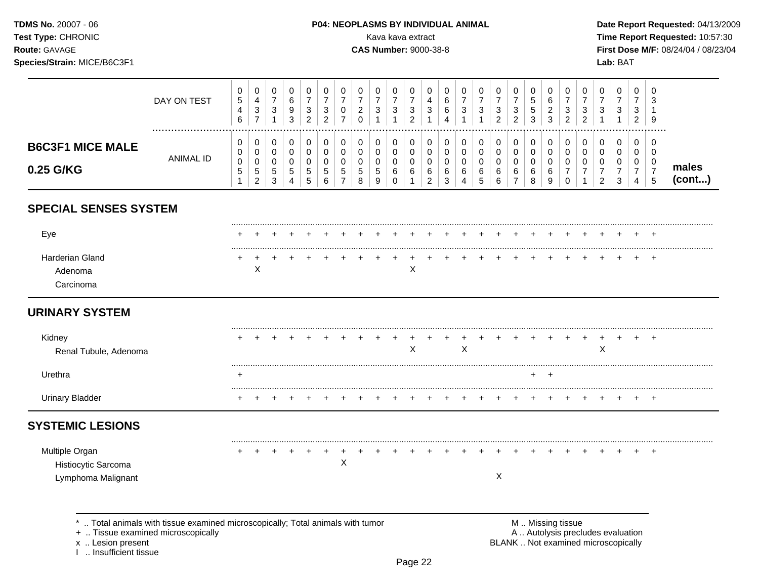## **TDMS No.** 20007 - 06 **P04: NEOPLASMS BY INDIVIDUAL ANIMAL** Date Report Requested: 04/13/2009

**Test Type:** CHRONIC **Transfer CHRONIC Report Requested:** 10:57:30 **Route:** GAVAGE **CAS Number:** 9000-38-8 **First Dose M/F:** 08/24/04 / 08/23/04 **Species/Strain:** MICE/B6C3F1 **Lab:** BAT

|                                                             | DAY ON TEST                                                                                                           | 0<br>$\sqrt{5}$<br>$\overline{4}$<br>6               | 0<br>$\overline{4}$<br>$\ensuremath{\mathsf{3}}$<br>$\overline{7}$ | 0<br>$\overline{7}$<br>$\mathbf{3}$<br>$\overline{1}$ | 0<br>6<br>9<br>3      | 0<br>$\overline{7}$<br>$\mathbf{3}$<br>$\overline{2}$      | 0<br>$\overline{7}$<br>$\sqrt{3}$<br>$\overline{c}$ | 0<br>$\overline{7}$<br>0<br>$\overline{7}$   | 0<br>$\overline{7}$<br>$\overline{c}$<br>$\Omega$   | 0<br>$\overline{7}$<br>3<br>$\mathbf 1$ | 0<br>$\overline{7}$<br>3<br>$\mathbf{1}$ | 0<br>$\overline{7}$<br>3<br>$\boldsymbol{2}$ | 0<br>4<br>3<br>$\mathbf{1}$                | 0<br>6<br>6<br>$\overline{4}$            | 0<br>$\overline{7}$<br>3<br>$\mathbf 1$   | 0<br>$\overline{7}$<br>3                  | 0<br>$\overline{7}$<br>3<br>$\overline{2}$ | 0<br>$\overline{7}$<br>$\sqrt{3}$<br>$\overline{2}$ | 0<br>5<br>$\,$ 5 $\,$<br>$\mathbf{3}$   | 0<br>6<br>$\overline{2}$<br>3             | 0<br>$\overline{7}$<br>3<br>$\overline{2}$ | $\mathbf 0$<br>$\overline{7}$<br>3<br>$\overline{2}$    | 0<br>$\overline{7}$<br>3                                                 | 0<br>$\overline{7}$<br>3<br>$\mathbf 1$      | 0<br>$\overline{7}$<br>3<br>$\overline{a}$      | $\mathbf 0$<br>3<br>-1<br>9                           |                 |
|-------------------------------------------------------------|-----------------------------------------------------------------------------------------------------------------------|------------------------------------------------------|--------------------------------------------------------------------|-------------------------------------------------------|-----------------------|------------------------------------------------------------|-----------------------------------------------------|----------------------------------------------|-----------------------------------------------------|-----------------------------------------|------------------------------------------|----------------------------------------------|--------------------------------------------|------------------------------------------|-------------------------------------------|-------------------------------------------|--------------------------------------------|-----------------------------------------------------|-----------------------------------------|-------------------------------------------|--------------------------------------------|---------------------------------------------------------|--------------------------------------------------------------------------|----------------------------------------------|-------------------------------------------------|-------------------------------------------------------|-----------------|
| <b>B6C3F1 MICE MALE</b><br>0.25 G/KG                        | <b>ANIMAL ID</b>                                                                                                      | 0<br>0<br>$\mathbf 0$<br>$\mathbf 5$<br>$\mathbf{1}$ | 0<br>0<br>$\mathbf 0$<br>$\,$ 5 $\,$<br>$\overline{a}$             | 0<br>0<br>$\mathbf 0$<br>$\sqrt{5}$<br>3              | 0<br>0<br>0<br>5<br>4 | 0<br>$\pmb{0}$<br>$\mathbf 0$<br>$\,$ 5 $\,$<br>$\sqrt{5}$ | 0<br>$\mathbf 0$<br>$\mathbf 0$<br>5<br>6           | 0<br>0<br>$\mathbf 0$<br>5<br>$\overline{7}$ | 0<br>$\mathbf 0$<br>$\mathbf 0$<br>$\mathbf 5$<br>8 | 0<br>$\mathbf 0$<br>0<br>5<br>9         | 0<br>0<br>0<br>6<br>$\mathbf 0$          | 0<br>0<br>$\mathbf 0$<br>6<br>$\mathbf{1}$   | 0<br>$\pmb{0}$<br>0<br>6<br>$\overline{c}$ | 0<br>0<br>$\mathbf 0$<br>6<br>$\sqrt{3}$ | 0<br>$\mathbf 0$<br>$\mathbf 0$<br>6<br>4 | 0<br>$\mathbf 0$<br>$\mathbf 0$<br>6<br>5 | 0<br>$\pmb{0}$<br>$\mathbf 0$<br>6<br>6    | 0<br>0<br>0<br>6<br>$\overline{7}$                  | 0<br>$\pmb{0}$<br>$\mathbf 0$<br>6<br>8 | 0<br>$\mathbf 0$<br>$\mathbf 0$<br>6<br>9 | 0<br>0<br>$\mathbf 0$<br>7<br>$\mathbf 0$  | 0<br>$\mathbf 0$<br>$\mathbf 0$<br>$\overline{7}$<br>-1 | 0<br>$\pmb{0}$<br>$\pmb{0}$<br>$\overline{7}$<br>$\overline{2}$          | 0<br>$\mathbf 0$<br>0<br>$\overline{7}$<br>3 | 0<br>0<br>0<br>$\overline{7}$<br>$\overline{4}$ | 0<br>$\mathbf 0$<br>0<br>$\overline{7}$<br>$\sqrt{5}$ | males<br>(cont) |
| <b>SPECIAL SENSES SYSTEM</b>                                |                                                                                                                       |                                                      |                                                                    |                                                       |                       |                                                            |                                                     |                                              |                                                     |                                         |                                          |                                              |                                            |                                          |                                           |                                           |                                            |                                                     |                                         |                                           |                                            |                                                         |                                                                          |                                              |                                                 |                                                       |                 |
| Eye                                                         |                                                                                                                       |                                                      |                                                                    |                                                       |                       |                                                            |                                                     |                                              |                                                     |                                         |                                          |                                              |                                            |                                          |                                           |                                           |                                            |                                                     |                                         |                                           |                                            |                                                         |                                                                          |                                              |                                                 | <b>+</b>                                              |                 |
| <b>Harderian Gland</b><br>Adenoma<br>Carcinoma              |                                                                                                                       |                                                      | Χ                                                                  |                                                       |                       |                                                            |                                                     |                                              |                                                     |                                         |                                          | $\mathsf X$                                  |                                            |                                          |                                           |                                           |                                            |                                                     |                                         |                                           |                                            |                                                         |                                                                          |                                              |                                                 | $\pm$                                                 |                 |
| <b>URINARY SYSTEM</b>                                       |                                                                                                                       |                                                      |                                                                    |                                                       |                       |                                                            |                                                     |                                              |                                                     |                                         |                                          |                                              |                                            |                                          |                                           |                                           |                                            |                                                     |                                         |                                           |                                            |                                                         |                                                                          |                                              |                                                 |                                                       |                 |
| Kidney<br>Renal Tubule, Adenoma                             |                                                                                                                       |                                                      |                                                                    |                                                       |                       |                                                            |                                                     |                                              |                                                     |                                         |                                          | X                                            |                                            |                                          | X                                         |                                           |                                            |                                                     |                                         |                                           |                                            |                                                         | ٠<br>X                                                                   |                                              |                                                 | $\overline{+}$                                        |                 |
| Urethra                                                     |                                                                                                                       | ÷                                                    |                                                                    |                                                       |                       |                                                            |                                                     |                                              |                                                     |                                         |                                          |                                              |                                            |                                          |                                           |                                           |                                            |                                                     | $\pm$                                   | $\ddot{}$                                 |                                            |                                                         |                                                                          |                                              |                                                 |                                                       |                 |
| <b>Urinary Bladder</b>                                      |                                                                                                                       |                                                      |                                                                    |                                                       |                       |                                                            |                                                     |                                              |                                                     |                                         |                                          |                                              |                                            |                                          |                                           |                                           |                                            |                                                     |                                         |                                           |                                            |                                                         |                                                                          |                                              |                                                 |                                                       |                 |
| <b>SYSTEMIC LESIONS</b>                                     |                                                                                                                       |                                                      |                                                                    |                                                       |                       |                                                            |                                                     |                                              |                                                     |                                         |                                          |                                              |                                            |                                          |                                           |                                           |                                            |                                                     |                                         |                                           |                                            |                                                         |                                                                          |                                              |                                                 |                                                       |                 |
| Multiple Organ<br>Histiocytic Sarcoma<br>Lymphoma Malignant |                                                                                                                       |                                                      |                                                                    |                                                       |                       |                                                            |                                                     | X                                            |                                                     |                                         |                                          |                                              |                                            |                                          |                                           |                                           | X                                          |                                                     |                                         |                                           |                                            |                                                         |                                                                          |                                              | $\div$                                          | $\overline{+}$                                        |                 |
| x  Lesion present<br>I  Insufficient tissue                 | *  Total animals with tissue examined microscopically; Total animals with tumor<br>+  Tissue examined microscopically |                                                      |                                                                    |                                                       |                       |                                                            |                                                     |                                              |                                                     |                                         |                                          |                                              |                                            |                                          |                                           |                                           |                                            |                                                     |                                         | M  Missing tissue                         |                                            |                                                         | A  Autolysis precludes evaluation<br>BLANK  Not examined microscopically |                                              |                                                 |                                                       |                 |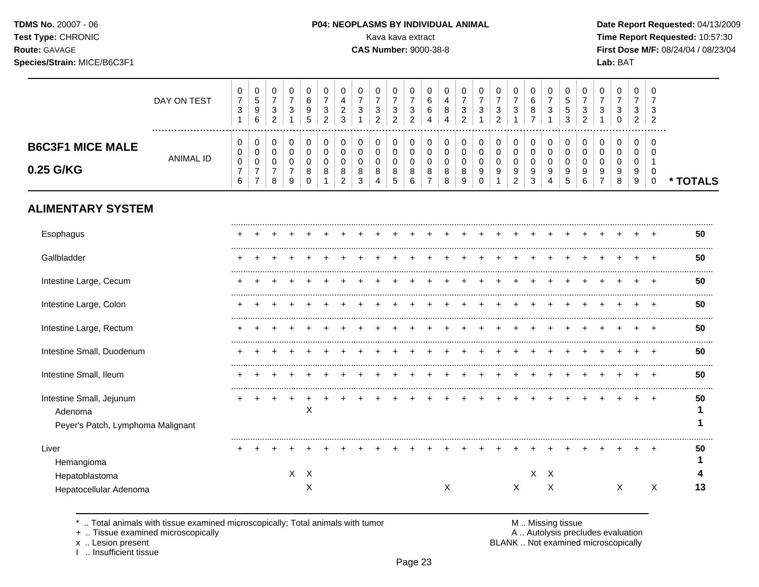## Species/Strain: MICE/B6C3F1

#### P04: NEOPLASMS BY INDIVIDUAL ANIMAL

Kava kava extract

CAS Number: 9000-38-8

Date Report Requested: 04/13/2009 Time Report Requested: 10:57:30 First Dose M/F: 08/24/04 / 08/23/04 Lab: BAT

|                                                                          | DAY ON TEST      | 0<br>$\overline{7}$<br>$\sqrt{3}$<br>$\mathbf{1}$ | 0<br>$\,$ 5 $\,$<br>$\boldsymbol{9}$<br>6               | 0<br>$\boldsymbol{7}$<br>$\mathsf 3$<br>$\overline{c}$ | 0<br>$\overline{7}$<br>$\ensuremath{\mathsf{3}}$<br>1 | 0<br>$\,6\,$<br>$\boldsymbol{9}$<br>5     | 0<br>$\overline{7}$<br>$\mathbf{3}$<br>$\overline{2}$ | 0<br>4<br>$\overline{\mathbf{c}}$<br>3    | 0<br>$\overline{7}$<br>3                   | 0<br>$\overline{7}$<br>3<br>$\overline{c}$ | 0<br>$\overline{7}$<br>$\ensuremath{\mathsf{3}}$<br>$\overline{c}$ | 0<br>$\overline{7}$<br>$\sqrt{3}$<br>$\overline{c}$ | 0<br>6<br>6<br>4                             | 0<br>4<br>8<br>4                | 0<br>$\overline{7}$<br>$\ensuremath{\mathsf{3}}$<br>$\overline{2}$ | 0<br>$\overline{7}$<br>$\ensuremath{\mathsf{3}}$ | $\pmb{0}$<br>$\overline{7}$<br>$\sqrt{3}$<br>$\overline{c}$ | 0<br>$\overline{7}$<br>$\sqrt{3}$                      | 0<br>6<br>8<br>$\overline{7}$   | 0<br>$\overline{7}$<br>3        | 0<br>5<br>5<br>3                | 0<br>$\overline{7}$<br>3<br>$\overline{c}$ | 0<br>$\overline{7}$<br>$\sqrt{3}$            | 0<br>7<br>3<br>0                | 0<br>$\overline{7}$<br>3<br>$\overline{2}$ | 0<br>7<br>3<br>$\overline{c}$           |              |
|--------------------------------------------------------------------------|------------------|---------------------------------------------------|---------------------------------------------------------|--------------------------------------------------------|-------------------------------------------------------|-------------------------------------------|-------------------------------------------------------|-------------------------------------------|--------------------------------------------|--------------------------------------------|--------------------------------------------------------------------|-----------------------------------------------------|----------------------------------------------|---------------------------------|--------------------------------------------------------------------|--------------------------------------------------|-------------------------------------------------------------|--------------------------------------------------------|---------------------------------|---------------------------------|---------------------------------|--------------------------------------------|----------------------------------------------|---------------------------------|--------------------------------------------|-----------------------------------------|--------------|
| <b>B6C3F1 MICE MALE</b><br>0.25 G/KG                                     | <b>ANIMAL ID</b> | 0<br>0<br>$\pmb{0}$<br>$\overline{7}$<br>6        | 0<br>0<br>$\pmb{0}$<br>$\overline{7}$<br>$\overline{7}$ | 0<br>0<br>$\mathbf 0$<br>7<br>8                        | 0<br>$\pmb{0}$<br>$\pmb{0}$<br>$\overline{7}$<br>9    | 0<br>$\mathbf 0$<br>0<br>8<br>$\mathbf 0$ | 0<br>$\Omega$<br>0<br>8                               | 0<br>$\Omega$<br>0<br>8<br>$\overline{c}$ | 0<br>$\mathbf 0$<br>0<br>8<br>$\mathbf{3}$ | 0<br>0<br>0<br>8<br>$\overline{4}$         | 0<br>0<br>0<br>8<br>5                                              | 0<br>$\mathbf 0$<br>$\mathbf 0$<br>8<br>6           | 0<br>$\mathbf 0$<br>0<br>8<br>$\overline{7}$ | 0<br>$\mathbf 0$<br>0<br>8<br>8 | 0<br>$\mathbf 0$<br>0<br>8<br>9                                    | 0<br>$\pmb{0}$<br>$\pmb{0}$<br>9<br>$\mathbf 0$  | 0<br>$\pmb{0}$<br>$\mathbf 0$<br>9<br>$\mathbf{1}$          | 0<br>$\mathbf 0$<br>$\mathbf 0$<br>9<br>$\overline{2}$ | 0<br>$\mathbf 0$<br>0<br>9<br>3 | 0<br>$\mathbf 0$<br>0<br>9<br>4 | 0<br>$\mathbf 0$<br>0<br>9<br>5 | 0<br>$\Omega$<br>0<br>9<br>6               | 0<br>$\mathbf 0$<br>0<br>9<br>$\overline{7}$ | 0<br>0<br>$\mathbf 0$<br>9<br>8 | 0<br>$\mathbf 0$<br>$\mathbf 0$<br>9<br>9  | 0<br>$\Omega$<br>-1<br>0<br>$\mathbf 0$ | * TOTALS     |
| <b>ALIMENTARY SYSTEM</b>                                                 |                  |                                                   |                                                         |                                                        |                                                       |                                           |                                                       |                                           |                                            |                                            |                                                                    |                                                     |                                              |                                 |                                                                    |                                                  |                                                             |                                                        |                                 |                                 |                                 |                                            |                                              |                                 |                                            |                                         |              |
| Esophagus                                                                |                  |                                                   |                                                         |                                                        |                                                       |                                           |                                                       |                                           |                                            |                                            |                                                                    |                                                     |                                              |                                 |                                                                    |                                                  |                                                             |                                                        |                                 |                                 |                                 |                                            |                                              |                                 |                                            |                                         | 50           |
| Gallbladder                                                              |                  |                                                   |                                                         |                                                        |                                                       |                                           |                                                       |                                           |                                            |                                            |                                                                    |                                                     |                                              |                                 |                                                                    |                                                  |                                                             |                                                        |                                 |                                 |                                 |                                            |                                              |                                 |                                            |                                         | 50           |
| Intestine Large, Cecum                                                   |                  |                                                   |                                                         |                                                        |                                                       |                                           |                                                       |                                           |                                            |                                            |                                                                    |                                                     |                                              |                                 |                                                                    |                                                  |                                                             |                                                        |                                 |                                 |                                 |                                            |                                              |                                 |                                            |                                         | 50           |
| Intestine Large, Colon                                                   |                  |                                                   |                                                         |                                                        |                                                       |                                           |                                                       |                                           |                                            |                                            |                                                                    |                                                     |                                              |                                 |                                                                    |                                                  |                                                             |                                                        |                                 |                                 |                                 |                                            |                                              |                                 |                                            |                                         | 50           |
| Intestine Large, Rectum                                                  |                  |                                                   |                                                         |                                                        |                                                       |                                           |                                                       |                                           |                                            |                                            |                                                                    |                                                     |                                              |                                 |                                                                    |                                                  |                                                             |                                                        |                                 |                                 |                                 |                                            |                                              |                                 |                                            |                                         | 50           |
| Intestine Small, Duodenum                                                |                  |                                                   |                                                         |                                                        |                                                       |                                           |                                                       |                                           |                                            |                                            |                                                                    |                                                     |                                              |                                 |                                                                    |                                                  |                                                             |                                                        |                                 |                                 |                                 |                                            |                                              |                                 |                                            |                                         | 50           |
| Intestine Small, Ileum                                                   |                  |                                                   |                                                         |                                                        |                                                       |                                           |                                                       |                                           |                                            |                                            |                                                                    |                                                     |                                              |                                 |                                                                    |                                                  |                                                             |                                                        |                                 |                                 |                                 |                                            |                                              |                                 |                                            |                                         | 50           |
| Intestine Small, Jejunum<br>Adenoma<br>Peyer's Patch, Lymphoma Malignant |                  |                                                   |                                                         |                                                        |                                                       | $\boldsymbol{\mathsf{X}}$                 |                                                       |                                           |                                            |                                            |                                                                    |                                                     |                                              |                                 |                                                                    |                                                  |                                                             |                                                        |                                 |                                 |                                 |                                            |                                              |                                 |                                            |                                         | 50<br>1<br>1 |
| Liver<br>Hemangioma                                                      |                  |                                                   |                                                         |                                                        |                                                       | $X$ $X$                                   |                                                       |                                           |                                            |                                            |                                                                    |                                                     |                                              |                                 |                                                                    |                                                  |                                                             |                                                        | $\mathsf{X}$                    | $\mathsf{X}$                    |                                 |                                            |                                              |                                 |                                            |                                         | 50<br>1      |
| Hepatoblastoma<br>Hepatocellular Adenoma                                 |                  |                                                   |                                                         |                                                        |                                                       | X                                         |                                                       |                                           |                                            |                                            |                                                                    |                                                     |                                              | X                               |                                                                    |                                                  |                                                             | X                                                      |                                 | X                               |                                 |                                            |                                              | $\mathsf{X}$                    |                                            | X                                       | 13           |

\* .. Total animals with tissue examined microscopically; Total animals with tumor

+ .. Tissue examined microscopically

x .. Lesion present<br>I .. Insufficient tissue

M .. Missing tissue<br>A .. Autolysis precludes evaluation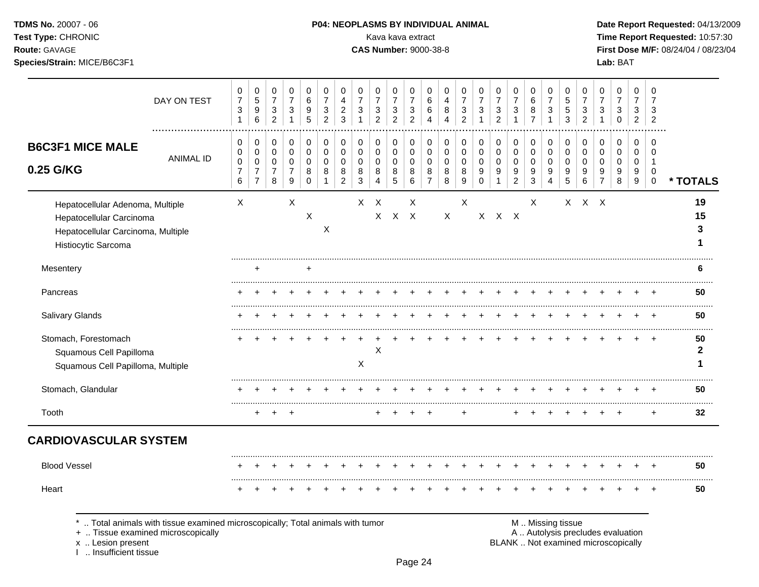## **TDMS No.** 20007 - 06 **P04: NEOPLASMS BY INDIVIDUAL ANIMAL** Date Report Requested: 04/13/2009

**Test Type:** CHRONIC **Transfer CHRONIC** Kava Rava extract Kava extract **Time Report Requested:** 10:57:30 **Route:** GAVAGE **CAS Number:** 9000-38-8 **First Dose M/F:** 08/24/04 / 08/23/04 **Species/Strain:** MICE/B6C3F1 **Lab:** BAT

|                                                                                                                           | DAY ON TEST                                                                  | 0<br>$\boldsymbol{7}$    | 0<br>$\,$ 5 $\,$                                  | 0<br>$\boldsymbol{7}$                       | 0<br>$\overline{7}$                | 0<br>6                       | 0<br>$\overline{7}$ | 0<br>4                             | 0<br>$\overline{7}$   | 0<br>$\overline{7}$                       | 0<br>$\overline{7}$ | 0<br>$\overline{7}$                         | 0<br>$\,6$                         | 0<br>4                     | 0<br>$\overline{7}$   | 0<br>$\overline{7}$          | 0<br>$\overline{7}$ | 0<br>$\boldsymbol{7}$    | 0<br>$\,6$            | 0<br>$\overline{7}$    | 0<br>$\,$ 5 $\,$      | 0<br>$\overline{7}$ | 0<br>$\overline{7}$             | 0<br>$\overline{7}$   | 0<br>7              | 0<br>$\overline{7}$              |               |
|---------------------------------------------------------------------------------------------------------------------------|------------------------------------------------------------------------------|--------------------------|---------------------------------------------------|---------------------------------------------|------------------------------------|------------------------------|---------------------|------------------------------------|-----------------------|-------------------------------------------|---------------------|---------------------------------------------|------------------------------------|----------------------------|-----------------------|------------------------------|---------------------|--------------------------|-----------------------|------------------------|-----------------------|---------------------|---------------------------------|-----------------------|---------------------|----------------------------------|---------------|
|                                                                                                                           |                                                                              | 3<br>$\mathbf{1}$        | 9<br>6                                            | $\ensuremath{\mathsf{3}}$<br>$\overline{2}$ | 3<br>$\mathbf{1}$                  | 9<br>5                       | 3<br>$\overline{2}$ | 2<br>3                             | 3                     | 3<br>$\overline{2}$                       | 3<br>$\overline{2}$ | $\ensuremath{\mathsf{3}}$<br>$\overline{2}$ | 6<br>4                             | 8<br>4                     | 3<br>$\overline{2}$   | 3                            | 3<br>$\overline{2}$ | $\mathbf{3}$             | 8<br>$\overline{7}$   | 3<br>$\mathbf{1}$      | 5<br>3                | 3<br>$\overline{2}$ | 3<br>1                          | 3<br>$\mathbf 0$      | 3<br>$\overline{2}$ | 3<br>$\overline{2}$              |               |
| <b>B6C3F1 MICE MALE</b>                                                                                                   |                                                                              | 0<br>0                   | $\pmb{0}$<br>0                                    | 0<br>$\mathbf 0$                            | 0<br>$\mathbf 0$                   | 0<br>$\mathbf 0$             | 0<br>$\mathbf 0$    | 0<br>$\mathbf 0$                   | 0<br>$\mathbf 0$      | 0<br>0                                    | 0<br>$\mathbf 0$    | 0<br>0                                      | 0<br>$\mathbf 0$                   | $\mathbf 0$<br>$\mathbf 0$ | 0<br>$\mathbf 0$      | 0<br>$\mathbf 0$             | 0<br>$\mathbf 0$    | 0<br>$\mathbf 0$         | 0<br>$\mathbf 0$      | $\pmb{0}$<br>$\pmb{0}$ | 0<br>0                | 0<br>$\mathbf 0$    | 0<br>$\Omega$                   | 0<br>$\mathbf 0$      | 0<br>0              | 0<br>$\Omega$                    |               |
| 0.25 G/KG                                                                                                                 | <b>ANIMAL ID</b>                                                             | 0<br>$\overline{7}$<br>6 | $\mathbf 0$<br>$\boldsymbol{7}$<br>$\overline{7}$ | $\mathbf 0$<br>$\boldsymbol{7}$<br>8        | $\mathbf 0$<br>$\overline{7}$<br>9 | $\Omega$<br>8<br>$\mathbf 0$ | $\Omega$<br>8       | $\mathbf 0$<br>8<br>$\overline{c}$ | $\mathbf 0$<br>8<br>3 | $\mathbf 0$<br>8<br>4                     | 0<br>8<br>5         | $\mathbf 0$<br>8<br>6                       | $\mathbf 0$<br>8<br>$\overline{7}$ | $\mathbf 0$<br>8<br>8      | $\mathbf 0$<br>8<br>9 | $\mathbf 0$<br>9<br>$\Omega$ | $\mathbf 0$<br>9    | 0<br>9<br>$\overline{2}$ | $\mathbf 0$<br>9<br>3 | $\mathbf 0$<br>9<br>4  | $\mathbf 0$<br>9<br>5 | 0<br>9<br>6         | $\Omega$<br>9<br>$\overline{7}$ | $\mathbf 0$<br>9<br>8 | 0<br>9<br>9         | $\mathbf{1}$<br>0<br>$\mathbf 0$ | * TOTALS      |
| Hepatocellular Adenoma, Multiple<br>Hepatocellular Carcinoma<br>Hepatocellular Carcinoma, Multiple<br>Histiocytic Sarcoma |                                                                              | X                        |                                                   |                                             | $\times$                           | $\mathsf X$                  | X                   |                                    | X                     | $\boldsymbol{\mathsf{X}}$<br>$\mathsf{X}$ |                     | X<br>$X$ $X$                                |                                    | X                          | $\mathsf X$           |                              | $X$ $X$ $X$         |                          | $\times$              |                        | $\mathsf{X}$          |                     | $X$ $X$                         |                       |                     |                                  | 19<br>15<br>3 |
| Mesentery                                                                                                                 |                                                                              |                          | +                                                 |                                             |                                    |                              |                     |                                    |                       |                                           |                     |                                             |                                    |                            |                       |                              |                     |                          |                       |                        |                       |                     |                                 |                       |                     |                                  | 6             |
| Pancreas                                                                                                                  |                                                                              |                          |                                                   |                                             |                                    |                              |                     |                                    |                       |                                           |                     |                                             |                                    |                            |                       |                              |                     |                          |                       |                        |                       |                     |                                 |                       |                     |                                  | 50            |
| <b>Salivary Glands</b>                                                                                                    |                                                                              |                          |                                                   |                                             |                                    |                              |                     |                                    |                       |                                           |                     |                                             |                                    |                            |                       |                              |                     |                          |                       |                        |                       |                     |                                 |                       |                     | $\div$                           | 50            |
| Stomach, Forestomach<br>Squamous Cell Papilloma                                                                           |                                                                              |                          |                                                   |                                             |                                    |                              |                     |                                    | X                     | Χ                                         |                     |                                             |                                    |                            |                       |                              |                     |                          |                       |                        |                       |                     |                                 |                       |                     |                                  | 50<br>2       |
| Squamous Cell Papilloma, Multiple                                                                                         |                                                                              |                          |                                                   |                                             |                                    |                              |                     |                                    |                       |                                           |                     |                                             |                                    |                            |                       |                              |                     |                          |                       |                        |                       |                     |                                 |                       |                     |                                  |               |
| Stomach, Glandular                                                                                                        |                                                                              |                          |                                                   |                                             |                                    |                              |                     |                                    |                       |                                           |                     |                                             |                                    |                            |                       |                              |                     |                          |                       |                        |                       |                     |                                 |                       |                     |                                  | 50            |
| Tooth                                                                                                                     |                                                                              |                          | $\ddot{}$                                         | $+$                                         | $\overline{+}$                     |                              |                     |                                    |                       | ÷                                         |                     |                                             | $\ddot{}$                          |                            | $\ddot{}$             |                              |                     |                          |                       |                        |                       |                     |                                 |                       |                     | $\ddot{}$                        | 32            |
| <b>CARDIOVASCULAR SYSTEM</b>                                                                                              |                                                                              |                          |                                                   |                                             |                                    |                              |                     |                                    |                       |                                           |                     |                                             |                                    |                            |                       |                              |                     |                          |                       |                        |                       |                     |                                 |                       |                     |                                  |               |
| <b>Blood Vessel</b>                                                                                                       |                                                                              |                          |                                                   |                                             |                                    |                              |                     |                                    |                       |                                           |                     |                                             |                                    |                            |                       |                              |                     |                          |                       |                        |                       |                     |                                 |                       |                     |                                  | 50            |
| Heart                                                                                                                     |                                                                              |                          |                                                   |                                             |                                    |                              |                     |                                    |                       |                                           |                     |                                             |                                    |                            |                       |                              |                     |                          |                       |                        |                       |                     |                                 |                       |                     | $\ddot{}$                        | 50            |
|                                                                                                                           | Total animals with tissue examined microscopically; Total animals with tumor |                          |                                                   |                                             |                                    |                              |                     |                                    |                       |                                           |                     |                                             |                                    |                            |                       |                              |                     |                          |                       | M  Missing tissue      |                       |                     |                                 |                       |                     |                                  |               |

x .. Lesion present<br>I .. Insufficient tissue

+ .. Tissue examined microscopically and the state of the state of the state of the A .. Autolysis precludes evaluation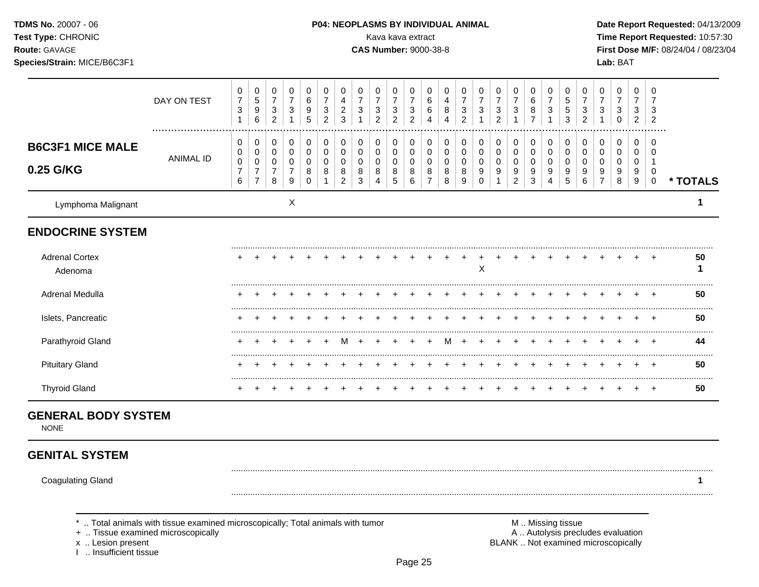| <b>TDMS No. 20007 - 06</b><br>Test Type: CHRONIC<br><b>Route: GAVAGE</b><br>Species/Strain: MICE/B6C3F1 |             | <b>P04: NEOPLASMS BY INDIVIDUAL ANIMAL</b><br>Kava kava extract<br><b>CAS Number: 9000-38-8</b> |                                    |                                                         |                                           |                              |                                                     |                                          |                                 |                         |                                     |                                            |                                    |                       | Lab: BAT              |                                        |                                            | Date Report Requested: 04/13/2009<br>Time Report Requested: 10:57:30<br>First Dose M/F: 08/24/04 / 08/23/04 |                               |                          |                                      |                                          |             |                  |                                            |                  |          |  |
|---------------------------------------------------------------------------------------------------------|-------------|-------------------------------------------------------------------------------------------------|------------------------------------|---------------------------------------------------------|-------------------------------------------|------------------------------|-----------------------------------------------------|------------------------------------------|---------------------------------|-------------------------|-------------------------------------|--------------------------------------------|------------------------------------|-----------------------|-----------------------|----------------------------------------|--------------------------------------------|-------------------------------------------------------------------------------------------------------------|-------------------------------|--------------------------|--------------------------------------|------------------------------------------|-------------|------------------|--------------------------------------------|------------------|----------|--|
|                                                                                                         | DAY ON TEST | 0<br>$\overline{7}$<br>3                                                                        | 0<br>$\,$ 5 $\,$<br>9<br>6         | 0<br>$\boldsymbol{7}$<br>$\mathbf{3}$<br>$\overline{2}$ | 0<br>$\overline{7}$<br>$\sqrt{3}$         | 0<br>6<br>9<br>5             | 0<br>$\overline{7}$<br>$\sqrt{3}$<br>$\overline{2}$ | 0<br>4<br>$\overline{2}$<br>$\mathbf{3}$ | $\overline{7}$<br>$\sqrt{3}$    | 3<br>2                  | $\overline{7}$<br>$\mathbf{3}$<br>2 | 0<br>$\overline{7}$<br>3<br>$\overline{2}$ | 0<br>6<br>6                        | 0<br>4<br>8           | $\mathbf{3}$<br>2     | 0<br>$\overline{7}$<br>$\mathbf{3}$    | 0<br>$\overline{7}$<br>3<br>$\overline{c}$ | 0<br>$\overline{7}$<br>3                                                                                    | 0<br>6<br>8<br>$\overline{7}$ | 0<br>$\overline{7}$<br>3 | 0<br>$\,$ 5 $\,$<br>$\,$ 5 $\,$<br>3 | 0<br>$\overline{7}$<br>$\mathbf{3}$<br>2 | 0<br>3      | 3                | 0<br>$\overline{7}$<br>3<br>$\overline{2}$ | 2                |          |  |
| <b>B6C3F1 MICE MALE</b><br>0.25 G/KG                                                                    | ANIMAL ID   | 0<br>0<br>0<br>$\overline{7}$<br>6                                                              | 0<br>0<br>0<br>7<br>$\overline{ }$ | 0<br>0<br>0<br>8                                        | 0<br>$\mathbf 0$<br>$\mathbf 0$<br>7<br>9 | 0<br>0<br>0<br>8<br>$\Omega$ | 0<br>0<br>0<br>8                                    | 0<br>0<br>0<br>8<br>$\overline{2}$       | 0<br>0<br>$\mathbf 0$<br>8<br>3 | 0<br>0<br>$\Omega$<br>8 | 0<br>0<br>0<br>8                    | 0<br>0<br>0<br>8<br>6                      | 0<br>0<br>0<br>8<br>$\overline{7}$ | 0<br>0<br>0<br>8<br>8 | 0<br>0<br>0<br>8<br>9 | 0<br>0<br>$\mathbf 0$<br>9<br>$\Omega$ | 0<br>0<br>0<br>9                           | 0<br>0<br>$\mathbf 0$<br>9<br>2                                                                             | 0<br>0<br>0<br>9<br>3         | 0<br>0<br>0<br>9         | 0<br>0<br>0<br>9<br>5                | 0<br>0<br>$\mathbf 0$<br>9<br>6          | 0<br>0<br>9 | 0<br>0<br>9<br>8 | 0<br>0<br>0<br>9<br>9                      | 0<br>$\mathbf 0$ | * TOTALS |  |
| Lymphoma Malignant                                                                                      |             |                                                                                                 |                                    |                                                         | X                                         |                              |                                                     |                                          |                                 |                         |                                     |                                            |                                    |                       |                       |                                        |                                            |                                                                                                             |                               |                          |                                      |                                          |             |                  |                                            |                  |          |  |
| <b>ENDOCRINE SYSTEM</b>                                                                                 |             |                                                                                                 |                                    |                                                         |                                           |                              |                                                     |                                          |                                 |                         |                                     |                                            |                                    |                       |                       |                                        |                                            |                                                                                                             |                               |                          |                                      |                                          |             |                  |                                            |                  |          |  |
| <b>Adrenal Cortex</b><br>Adenoma                                                                        |             |                                                                                                 |                                    |                                                         |                                           |                              |                                                     |                                          |                                 |                         |                                     |                                            |                                    |                       |                       | X                                      |                                            |                                                                                                             |                               |                          |                                      |                                          |             |                  |                                            |                  | 50       |  |
| Adrenal Medulla                                                                                         |             |                                                                                                 |                                    |                                                         |                                           |                              |                                                     |                                          |                                 |                         |                                     |                                            |                                    |                       |                       |                                        |                                            |                                                                                                             |                               |                          |                                      |                                          |             |                  |                                            |                  | 50       |  |
| Islets, Pancreatic                                                                                      |             |                                                                                                 |                                    |                                                         |                                           |                              |                                                     |                                          |                                 |                         |                                     |                                            |                                    |                       |                       |                                        |                                            |                                                                                                             |                               |                          |                                      |                                          |             |                  |                                            | $\div$           | 50       |  |
| Parathyroid Gland                                                                                       |             |                                                                                                 |                                    |                                                         |                                           |                              |                                                     | м                                        |                                 |                         |                                     |                                            |                                    | м                     |                       |                                        |                                            |                                                                                                             |                               |                          |                                      |                                          |             |                  |                                            | $\div$           | 44       |  |

Pituitary Gland + + + + + + + + + + + + + + + + + + + + + + + + + **50**

Thyroid Gland + + + + + + + + + + + + + + + + + + + + + + + + + **50**

# **GENERAL BODY SYSTEM**

NONE

# **GENITAL SYSTEM**

**Coagulating Gland 1** 

\* .. Total animals with tissue examined microscopically; Total animals with tumor **M** . Missing tissue M .. Missing tissue<br> **A** .. Tissue examined microscopically **M** .. Autolysis precludes evaluation

+ .. Tissue examined microscopically

I .. Insufficient tissue

x .. Lesion present **BLANK** .. Not examined microscopically

.........................................................................................................................................................................................................

.........................................................................................................................................................................................................

.........................................................................................................................................................................................................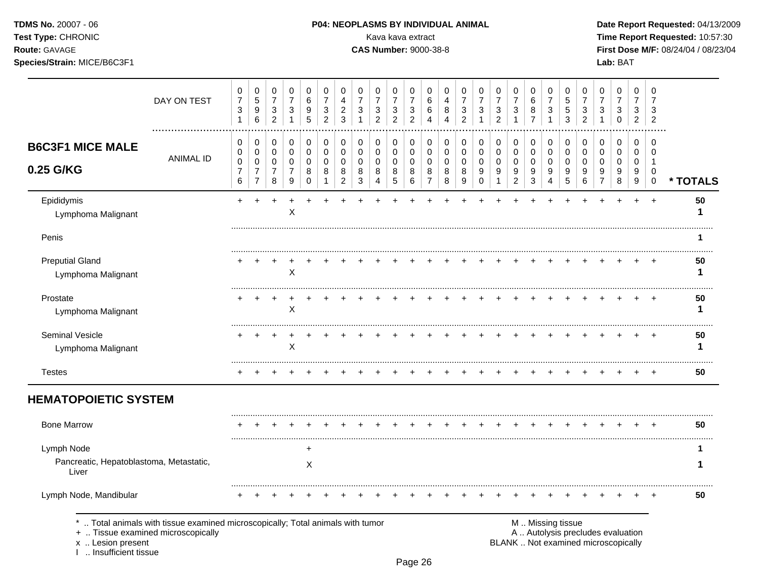## **TDMS No.** 20007 - 06 **P04: NEOPLASMS BY INDIVIDUAL ANIMAL** Date Report Requested: 04/13/2009

**Test Type:** CHRONIC **Transfer CHRONIC** Kava **Report Requested:** 10:57:30 **Route:** GAVAGE **CAS Number:** 9000-38-8 **First Dose M/F:** 08/24/04 / 08/23/04 **Species/Strain:** MICE/B6C3F1 **Lab:** BAT

|                                                                                                                                                                   | DAY ON TEST      | $\pmb{0}$<br>$\boldsymbol{7}$<br>$\ensuremath{\mathsf{3}}$ | 0<br>$\,$ 5 $\,$<br>$\boldsymbol{9}$          | 0<br>$\overline{7}$<br>$\ensuremath{\mathsf{3}}$ | 0<br>$\overline{7}$<br>$\ensuremath{\mathsf{3}}$ | 0<br>$\,6$<br>9 | 0<br>$\overline{7}$<br>3 | 0<br>$\overline{4}$<br>$\boldsymbol{2}$ | 0<br>$\overline{7}$<br>3 | 0<br>$\overline{7}$<br>$\ensuremath{\mathsf{3}}$ | 0<br>$\overline{7}$<br>3 | 0<br>$\overline{7}$<br>3 | 0<br>$\,6$<br>6 | 0<br>4<br>8             | 0<br>$\overline{7}$<br>$\ensuremath{\mathsf{3}}$ | 0<br>$\overline{7}$<br>3 | 0<br>$\overline{7}$<br>$\ensuremath{\mathsf{3}}$ | 0<br>$\boldsymbol{7}$<br>3 | 0<br>6<br>8    | 0<br>$\overline{7}$<br>3 | 0<br>$\sqrt{5}$<br>5 | 0<br>$\overline{7}$<br>3 | 0<br>$\overline{7}$<br>3                                                 | 0<br>$\overline{7}$<br>3 | 0<br>$\overline{7}$<br>3 | 0<br>$\overline{7}$<br>3 |             |
|-------------------------------------------------------------------------------------------------------------------------------------------------------------------|------------------|------------------------------------------------------------|-----------------------------------------------|--------------------------------------------------|--------------------------------------------------|-----------------|--------------------------|-----------------------------------------|--------------------------|--------------------------------------------------|--------------------------|--------------------------|-----------------|-------------------------|--------------------------------------------------|--------------------------|--------------------------------------------------|----------------------------|----------------|--------------------------|----------------------|--------------------------|--------------------------------------------------------------------------|--------------------------|--------------------------|--------------------------|-------------|
|                                                                                                                                                                   |                  | $\mathbf{1}$                                               | 6                                             | $\overline{2}$                                   | 1                                                | 5               | $\overline{2}$           | 3                                       | $\mathbf{1}$             | $\overline{2}$                                   | $\overline{2}$           | $\overline{2}$           | 4               | $\overline{\mathbf{4}}$ | $\overline{2}$                                   | 1                        | $\overline{2}$                                   | 1                          | $\overline{7}$ | $\mathbf{1}$             | 3                    | $\overline{2}$           | 1                                                                        | $\mathbf 0$              | $\overline{2}$           | $\overline{2}$           |             |
| <b>B6C3F1 MICE MALE</b>                                                                                                                                           | <b>ANIMAL ID</b> | 0<br>$\pmb{0}$                                             | 0<br>$\mathbf 0$                              | 0<br>0                                           | 0<br>$\mathbf 0$                                 | 0<br>0          | 0<br>0                   | 0<br>0                                  | 0<br>0                   | 0<br>$\mathbf 0$                                 | 0<br>0                   | 0<br>$\mathbf 0$         | 0<br>0          | 0<br>0                  | 0<br>$\mathbf 0$                                 | 0<br>0                   | 0<br>$\mathbf 0$                                 | 0<br>$\mathbf 0$           | 0<br>0         | 0<br>$\mathbf 0$         | 0<br>0               | 0<br>$\mathbf 0$         | 0<br>$\mathbf 0$                                                         | 0<br>0                   | 0<br>0                   | 0<br>0                   |             |
| 0.25 G/KG                                                                                                                                                         |                  | $\pmb{0}$<br>$\overline{7}$<br>$\,6\,$                     | $\pmb{0}$<br>$\overline{7}$<br>$\overline{7}$ | $\pmb{0}$<br>$\boldsymbol{7}$<br>$\bf 8$         | 0<br>$\overline{7}$<br>9                         | 0<br>8<br>0     | 0<br>8                   | 0<br>8<br>$\overline{2}$                | 0<br>8<br>3              | 0<br>8<br>$\overline{4}$                         | 0<br>8<br>5              | 0<br>8<br>$\,6$          | 0<br>8<br>7     | 0<br>8<br>$\bf 8$       | 0<br>8<br>9                                      | 0<br>9<br>$\mathbf 0$    | 0<br>9<br>$\mathbf{1}$                           | 0<br>9<br>$\overline{c}$   | 0<br>9<br>3    | 0<br>9<br>4              | 0<br>9<br>5          | 0<br>9<br>6              | 0<br>9<br>$\overline{7}$                                                 | $\pmb{0}$<br>9<br>8      | 0<br>9<br>9              | -1<br>0<br>$\pmb{0}$     | * TOTALS    |
| Epididymis<br>Lymphoma Malignant                                                                                                                                  |                  | $\ddot{}$                                                  | $\ddot{}$                                     | $\ddot{}$                                        | $\ddot{}$<br>X                                   |                 |                          |                                         |                          |                                                  |                          |                          |                 |                         |                                                  |                          |                                                  |                            |                |                          |                      |                          |                                                                          |                          | ÷                        | $\ddot{}$                | 50<br>1     |
| Penis                                                                                                                                                             |                  |                                                            |                                               |                                                  |                                                  |                 |                          |                                         |                          |                                                  |                          |                          |                 |                         |                                                  |                          |                                                  |                            |                |                          |                      |                          |                                                                          |                          |                          |                          | 1           |
| <b>Preputial Gland</b><br>Lymphoma Malignant                                                                                                                      |                  |                                                            |                                               |                                                  | X                                                |                 |                          |                                         |                          |                                                  |                          |                          |                 |                         |                                                  |                          |                                                  |                            |                |                          |                      |                          |                                                                          |                          |                          |                          | 50<br>1     |
| Prostate<br>Lymphoma Malignant                                                                                                                                    |                  |                                                            |                                               |                                                  | X                                                |                 |                          |                                         |                          |                                                  |                          |                          |                 |                         |                                                  |                          |                                                  |                            |                |                          |                      |                          |                                                                          |                          |                          |                          | 50<br>1     |
| Seminal Vesicle<br>Lymphoma Malignant                                                                                                                             |                  |                                                            |                                               |                                                  | X                                                |                 |                          |                                         |                          |                                                  |                          |                          |                 |                         |                                                  |                          |                                                  |                            |                |                          |                      |                          |                                                                          |                          |                          |                          | 50<br>1     |
| <b>Testes</b>                                                                                                                                                     |                  |                                                            |                                               |                                                  |                                                  |                 |                          |                                         |                          |                                                  |                          |                          |                 |                         |                                                  |                          |                                                  |                            |                |                          |                      |                          |                                                                          |                          |                          |                          | 50          |
| <b>HEMATOPOIETIC SYSTEM</b>                                                                                                                                       |                  |                                                            |                                               |                                                  |                                                  |                 |                          |                                         |                          |                                                  |                          |                          |                 |                         |                                                  |                          |                                                  |                            |                |                          |                      |                          |                                                                          |                          |                          |                          |             |
| <b>Bone Marrow</b>                                                                                                                                                |                  |                                                            |                                               |                                                  |                                                  |                 |                          |                                         |                          |                                                  |                          |                          |                 |                         |                                                  |                          |                                                  |                            |                |                          |                      |                          |                                                                          |                          |                          |                          | 50          |
| Lymph Node                                                                                                                                                        |                  |                                                            |                                               |                                                  |                                                  | ÷               |                          |                                         |                          |                                                  |                          |                          |                 |                         |                                                  |                          |                                                  |                            |                |                          |                      |                          |                                                                          |                          |                          |                          | 1           |
| Pancreatic, Hepatoblastoma, Metastatic,<br>Liver                                                                                                                  |                  |                                                            |                                               |                                                  |                                                  | X               |                          |                                         |                          |                                                  |                          |                          |                 |                         |                                                  |                          |                                                  |                            |                |                          |                      |                          |                                                                          |                          |                          |                          | $\mathbf 1$ |
| Lymph Node, Mandibular                                                                                                                                            |                  |                                                            |                                               |                                                  |                                                  |                 |                          |                                         |                          |                                                  |                          |                          |                 |                         |                                                  |                          |                                                  |                            |                |                          |                      |                          |                                                                          |                          |                          |                          | 50          |
| Total animals with tissue examined microscopically; Total animals with tumor<br>+  Tissue examined microscopically<br>x  Lesion present<br>I  Insufficient tissue |                  |                                                            |                                               |                                                  |                                                  |                 |                          |                                         |                          |                                                  |                          |                          |                 |                         |                                                  |                          |                                                  |                            |                |                          | M  Missing tissue    |                          | A  Autolysis precludes evaluation<br>BLANK  Not examined microscopically |                          |                          |                          |             |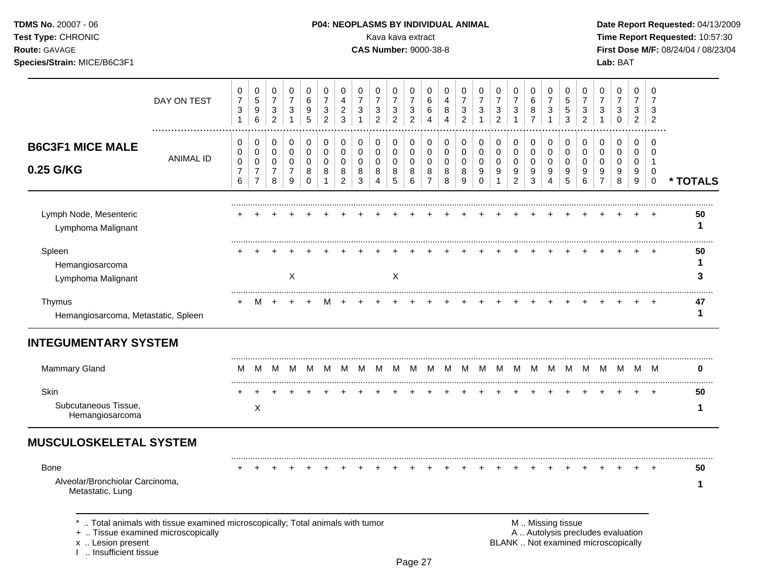| <b>TDMS No. 20007 - 06</b> |  |
|----------------------------|--|
| <b>Test Type: CHRONIC</b>  |  |
| <b>Route: GAVAGE</b>       |  |

# **Species/Strain:** MICE/B6C3F1 **Lab:** BAT

**P04: NEOPLASMS BY INDIVIDUAL ANIMAL Date Report Requested:** 04/13/2009 **Kava kava extract CHRONIC CHRONIC CHRONIC Time Report Requested:** 10:57:30 **CAS Number:** 9000-38-8 **First Dose M/F:** 08/24/04 / 08/23/04

|                                                     | DAY ON TEST                                                                                                        | 0<br>$\boldsymbol{7}$<br>3<br>$\mathbf{1}$ | 0<br>$\sqrt{5}$<br>9<br>6        | 0<br>$\overline{7}$<br>$\mathbf{3}$<br>$\overline{a}$ | 0<br>$\overline{7}$<br>3<br>$\overline{1}$ | 0<br>6<br>9<br>5                          | 0<br>$\overline{7}$<br>3<br>$\overline{2}$ | 0<br>4<br>$\overline{2}$<br>3             | 0<br>$\overline{7}$<br>3<br>1          | 0<br>$\overline{7}$<br>3<br>2 | 0<br>$\overline{7}$<br>3<br>$\overline{2}$ | 0<br>$\overline{7}$<br>3<br>$\overline{2}$ | $\Omega$<br>6<br>6<br>4                   | $\Omega$<br>4<br>8<br>4 | 0<br>$\overline{7}$<br>$\ensuremath{\mathsf{3}}$<br>$\overline{c}$ | 0<br>$\overline{7}$<br>3     | 0<br>$\overline{7}$<br>3<br>$\overline{a}$ | 0<br>$\overline{7}$<br>3        | 0<br>6<br>8<br>$\overline{7}$             | 0<br>$\overline{7}$<br>3<br>1 | 0<br>$\sqrt{5}$<br>5<br>3              | 0<br>$\overline{7}$<br>3<br>$\overline{2}$ | 0<br>$\overline{7}$<br>3                                                 | 0<br>$\overline{7}$<br>3<br>0 | 0<br>$\overline{7}$<br>3<br>$\overline{2}$ | $\Omega$<br>$\overline{7}$<br>3<br>$\overline{2}$ |              |
|-----------------------------------------------------|--------------------------------------------------------------------------------------------------------------------|--------------------------------------------|----------------------------------|-------------------------------------------------------|--------------------------------------------|-------------------------------------------|--------------------------------------------|-------------------------------------------|----------------------------------------|-------------------------------|--------------------------------------------|--------------------------------------------|-------------------------------------------|-------------------------|--------------------------------------------------------------------|------------------------------|--------------------------------------------|---------------------------------|-------------------------------------------|-------------------------------|----------------------------------------|--------------------------------------------|--------------------------------------------------------------------------|-------------------------------|--------------------------------------------|---------------------------------------------------|--------------|
| <b>B6C3F1 MICE MALE</b><br>0.25 G/KG                | <b>ANIMAL ID</b>                                                                                                   | 0<br>0<br>0                                | 0<br>$\mathbf 0$<br>0            | 0<br>0<br>0                                           | 0<br>$\mathbf 0$<br>0                      | $\mathbf 0$<br>$\mathbf 0$<br>$\mathbf 0$ | $\pmb{0}$<br>$\mathbf 0$<br>0              | $\mathbf 0$<br>$\mathbf 0$<br>$\mathbf 0$ | $\mathbf 0$<br>$\mathbf 0$<br>$\Omega$ | 0<br>$\mathbf 0$<br>$\Omega$  | 0<br>$\mathbf 0$<br>$\Omega$               | 0<br>0<br>$\mathbf 0$                      | $\mathbf 0$<br>$\mathbf 0$<br>$\mathbf 0$ | 0<br>$\mathbf 0$<br>0   | 0<br>$\mathbf 0$<br>$\mathbf 0$                                    | 0<br>$\mathbf 0$<br>$\Omega$ | 0<br>0<br>$\mathbf 0$                      | 0<br>$\mathbf 0$<br>$\mathbf 0$ | $\mathbf 0$<br>$\mathbf 0$<br>$\mathbf 0$ | 0<br>0<br>$\mathbf 0$         | $\mathbf 0$<br>$\mathbf 0$<br>$\Omega$ | $\mathbf 0$<br>$\mathbf 0$<br>$\Omega$     | $\mathbf 0$<br>$\Omega$<br>$\Omega$                                      | 0<br>$\mathbf 0$<br>$\Omega$  | $\mathbf 0$<br>$\mathbf 0$<br>0            | $\Omega$<br>$\Omega$<br>$\mathbf 1$               |              |
|                                                     |                                                                                                                    | $\overline{7}$<br>6                        | $\overline{7}$<br>$\overline{7}$ | $\overline{7}$<br>$\,8\,$                             | $\overline{7}$<br>9                        | 8<br>$\mathbf 0$                          | 8<br>1                                     | 8<br>$\overline{c}$                       | 8<br>3                                 | 8<br>4                        | 8<br>5                                     | 8<br>6                                     | 8<br>$\overline{7}$                       | 8<br>8                  | 8<br>9                                                             | 9<br>$\Omega$                | 9<br>$\mathbf{1}$                          | 9<br>$\overline{2}$             | 9<br>3                                    | 9<br>4                        | 9<br>5                                 | 9<br>6                                     | 9                                                                        | 9<br>8                        | 9<br>9                                     | $\mathbf 0$<br>$\mathbf 0$                        | * TOTALS     |
| Lymph Node, Mesenteric<br>Lymphoma Malignant        |                                                                                                                    |                                            |                                  |                                                       |                                            |                                           |                                            |                                           |                                        |                               |                                            |                                            |                                           |                         |                                                                    |                              |                                            |                                 |                                           |                               |                                        |                                            |                                                                          |                               |                                            |                                                   | 50<br>1      |
| Spleen<br>Hemangiosarcoma<br>Lymphoma Malignant     |                                                                                                                    |                                            |                                  |                                                       | X                                          |                                           |                                            |                                           |                                        |                               | X                                          |                                            |                                           |                         |                                                                    |                              |                                            |                                 |                                           |                               |                                        |                                            |                                                                          |                               |                                            |                                                   | 50<br>1<br>3 |
| Thymus<br>Hemangiosarcoma, Metastatic, Spleen       |                                                                                                                    |                                            | м                                |                                                       |                                            |                                           | м                                          |                                           |                                        |                               |                                            |                                            |                                           |                         |                                                                    |                              |                                            |                                 |                                           |                               |                                        |                                            |                                                                          |                               |                                            |                                                   | 47<br>1      |
| <b>INTEGUMENTARY SYSTEM</b>                         |                                                                                                                    |                                            |                                  |                                                       |                                            |                                           |                                            |                                           |                                        |                               |                                            |                                            |                                           |                         |                                                                    |                              |                                            |                                 |                                           |                               |                                        |                                            |                                                                          |                               |                                            |                                                   |              |
| <b>Mammary Gland</b>                                |                                                                                                                    | M                                          | M                                | M                                                     | - M                                        | M                                         | M                                          | M                                         | M                                      | M                             | M                                          | M M                                        |                                           | M                       |                                                                    | M M M M M M                  |                                            |                                 |                                           |                               |                                        |                                            | M M M M M M                                                              |                               |                                            |                                                   | $\Omega$     |
| Skin                                                |                                                                                                                    |                                            |                                  |                                                       |                                            |                                           |                                            |                                           |                                        |                               |                                            |                                            |                                           |                         |                                                                    |                              |                                            |                                 |                                           |                               |                                        |                                            |                                                                          |                               |                                            |                                                   | 50           |
| Subcutaneous Tissue,<br>Hemangiosarcoma             |                                                                                                                    |                                            | X                                |                                                       |                                            |                                           |                                            |                                           |                                        |                               |                                            |                                            |                                           |                         |                                                                    |                              |                                            |                                 |                                           |                               |                                        |                                            |                                                                          |                               |                                            |                                                   | 1            |
| <b>MUSCULOSKELETAL SYSTEM</b>                       |                                                                                                                    |                                            |                                  |                                                       |                                            |                                           |                                            |                                           |                                        |                               |                                            |                                            |                                           |                         |                                                                    |                              |                                            |                                 |                                           |                               |                                        |                                            |                                                                          |                               |                                            |                                                   |              |
| <b>Bone</b>                                         |                                                                                                                    |                                            |                                  |                                                       |                                            |                                           |                                            |                                           |                                        |                               |                                            |                                            |                                           |                         |                                                                    |                              |                                            |                                 |                                           |                               |                                        |                                            |                                                                          |                               |                                            |                                                   | 50           |
| Alveolar/Bronchiolar Carcinoma,<br>Metastatic, Lung |                                                                                                                    |                                            |                                  |                                                       |                                            |                                           |                                            |                                           |                                        |                               |                                            |                                            |                                           |                         |                                                                    |                              |                                            |                                 |                                           |                               |                                        |                                            |                                                                          |                               |                                            |                                                   | -1           |
| x  Lesion present<br>1  Insufficient tissue         | Total animals with tissue examined microscopically; Total animals with tumor<br>+  Tissue examined microscopically |                                            |                                  |                                                       |                                            |                                           |                                            |                                           |                                        |                               |                                            |                                            |                                           |                         |                                                                    |                              |                                            |                                 |                                           | M  Missing tissue             |                                        |                                            | A  Autolysis precludes evaluation<br>BLANK  Not examined microscopically |                               |                                            |                                                   |              |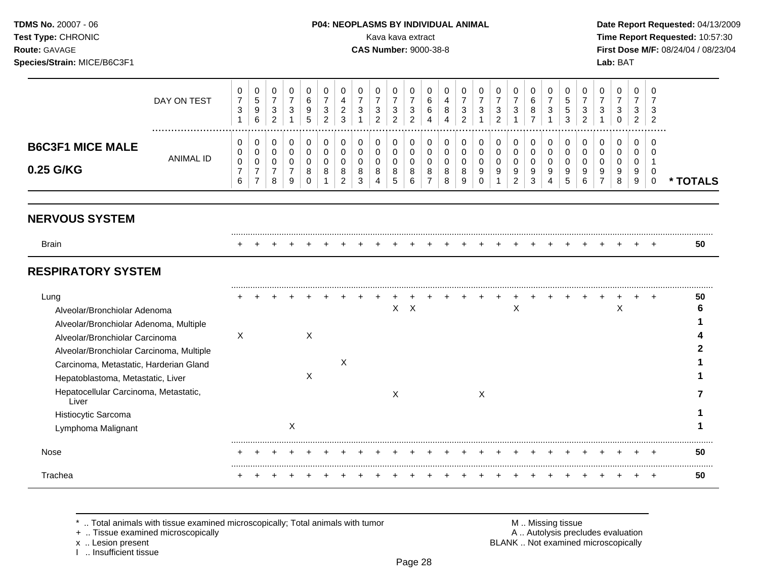| <b>TDMS No. 20007 - 06</b>         | <b>P04: NEOPLASMS BY INDIVIDUAL ANIMAL</b> | Date Rep         |
|------------------------------------|--------------------------------------------|------------------|
| <b>Test Type: CHRONIC</b>          | Kava kava extract                          | <b>Time Rep</b>  |
| <b>Route: GAVAGE</b>               | <b>CAS Number: 9000-38-8</b>               | <b>First Dos</b> |
| <b>Species/Strain: MICE/B6C3F1</b> |                                            | Lab: BAT         |

Kava kava extract **Time Report Requested:** 10:57:30 **CAS Number:** 9000-38-8 **First Dose M/F:** 08/24/04 / 08/23/04

|                                                                                                                      | DAY ON TEST      | 0<br>$\overline{7}$<br>$\mathbf{3}$          | 0<br>$\sqrt{5}$<br>$9\,$<br>6                             | 0<br>$\boldsymbol{7}$<br>$\sqrt{3}$<br>$\overline{c}$ | 0<br>$\overline{7}$<br>$\sqrt{3}$            | 0<br>6<br>$\boldsymbol{9}$<br>5                  | $\mathbf 0$<br>$\overline{7}$<br>3<br>$\overline{2}$ | 0<br>4<br>$\overline{c}$<br>3          | 0<br>$\overline{7}$<br>3        | 0<br>$\overline{7}$<br>$\sqrt{3}$<br>$\overline{2}$ | 0<br>$\overline{7}$<br>3<br>$\overline{c}$ | 0<br>$\overline{7}$<br>$\mathbf{3}$<br>$\overline{2}$ | $\Omega$<br>6<br>6                           | 0<br>4<br>8<br>4                | 0<br>$\overline{7}$<br>3<br>$\overline{2}$ | 0<br>$\overline{7}$<br>$\mathbf{3}$  | 0<br>$\overline{7}$<br>$\sqrt{3}$<br>$\overline{2}$ | 0<br>$\overline{7}$<br>$\mathfrak{3}$                  | 0<br>$\,6\,$<br>8                         | $\Omega$<br>$\overline{7}$<br>3 | 0<br>$\,$ 5 $\,$<br>$\sqrt{5}$<br>3              | 0<br>$\overline{7}$<br>3<br>$\overline{2}$ | 0<br>$\overline{7}$<br>$\mathbf{3}$               | 0<br>$\overline{7}$<br>$\sqrt{3}$<br>$\mathbf 0$ | 0<br>$\overline{7}$<br>3<br>2   | 0<br>3<br>$\overline{2}$          |          |
|----------------------------------------------------------------------------------------------------------------------|------------------|----------------------------------------------|-----------------------------------------------------------|-------------------------------------------------------|----------------------------------------------|--------------------------------------------------|------------------------------------------------------|----------------------------------------|---------------------------------|-----------------------------------------------------|--------------------------------------------|-------------------------------------------------------|----------------------------------------------|---------------------------------|--------------------------------------------|--------------------------------------|-----------------------------------------------------|--------------------------------------------------------|-------------------------------------------|---------------------------------|--------------------------------------------------|--------------------------------------------|---------------------------------------------------|--------------------------------------------------|---------------------------------|-----------------------------------|----------|
| <b>B6C3F1 MICE MALE</b><br>0.25 G/KG                                                                                 | <b>ANIMAL ID</b> | 0<br>0<br>$\mathbf 0$<br>$\overline{7}$<br>6 | 0<br>$\mathbf 0$<br>0<br>$\overline{7}$<br>$\overline{7}$ | 0<br>0<br>0<br>$\overline{7}$<br>8                    | 0<br>$\mathbf 0$<br>0<br>$\overline{7}$<br>9 | $\mathbf 0$<br>$\mathbf 0$<br>0<br>8<br>$\Omega$ | 0<br>0<br>$\Omega$<br>8                              | 0<br>$\mathbf 0$<br>$\Omega$<br>8<br>2 | 0<br>$\mathbf 0$<br>0<br>8<br>3 | 0<br>0<br>0<br>8<br>4                               | 0<br>0<br>0<br>8<br>5                      | $\mathbf 0$<br>$\mathbf 0$<br>0<br>8<br>6             | 0<br>0<br>$\mathbf 0$<br>8<br>$\overline{7}$ | 0<br>0<br>$\mathbf 0$<br>8<br>8 | 0<br>$\mathbf 0$<br>$\mathbf 0$<br>8<br>9  | 0<br>$\pmb{0}$<br>0<br>9<br>$\Omega$ | 0<br>0<br>0<br>9<br>$\mathbf{1}$                    | $\mathbf 0$<br>0<br>$\mathbf 0$<br>9<br>$\overline{2}$ | 0<br>$\mathbf 0$<br>$\mathbf 0$<br>9<br>3 | 0<br>0<br>$\Omega$<br>9<br>4    | $\mathbf 0$<br>$\mathbf 0$<br>$\Omega$<br>9<br>5 | 0<br>0<br>$\Omega$<br>9<br>6               | 0<br>0<br>0<br>$\boldsymbol{9}$<br>$\overline{7}$ | 0<br>$\mathbf 0$<br>0<br>9<br>8                  | $\mathbf 0$<br>0<br>0<br>9<br>9 | $\Omega$<br>0<br>0<br>$\mathbf 0$ | * TOTALS |
| <b>NERVOUS SYSTEM</b>                                                                                                |                  |                                              |                                                           |                                                       |                                              |                                                  |                                                      |                                        |                                 |                                                     |                                            |                                                       |                                              |                                 |                                            |                                      |                                                     |                                                        |                                           |                                 |                                                  |                                            |                                                   |                                                  |                                 |                                   |          |
| <b>Brain</b>                                                                                                         |                  |                                              |                                                           |                                                       |                                              |                                                  |                                                      |                                        |                                 |                                                     |                                            |                                                       |                                              |                                 |                                            |                                      |                                                     |                                                        |                                           |                                 |                                                  |                                            |                                                   |                                                  |                                 |                                   | 50       |
| <b>RESPIRATORY SYSTEM</b>                                                                                            |                  |                                              |                                                           |                                                       |                                              |                                                  |                                                      |                                        |                                 |                                                     |                                            |                                                       |                                              |                                 |                                            |                                      |                                                     |                                                        |                                           |                                 |                                                  |                                            |                                                   |                                                  |                                 |                                   |          |
| Lung<br>Alveolar/Bronchiolar Adenoma<br>Alveolar/Bronchiolar Adenoma, Multiple                                       |                  |                                              |                                                           |                                                       |                                              |                                                  |                                                      |                                        |                                 |                                                     | X                                          | $\mathsf{X}$                                          |                                              |                                 |                                            |                                      |                                                     | $\mathsf X$                                            |                                           |                                 |                                                  |                                            |                                                   | $\mathsf X$                                      |                                 | $\div$                            | 50<br>6  |
| Alveolar/Bronchiolar Carcinoma<br>Alveolar/Bronchiolar Carcinoma, Multiple<br>Carcinoma, Metastatic, Harderian Gland |                  | X                                            |                                                           |                                                       |                                              | X                                                |                                                      | $\boldsymbol{\mathsf{X}}$              |                                 |                                                     |                                            |                                                       |                                              |                                 |                                            |                                      |                                                     |                                                        |                                           |                                 |                                                  |                                            |                                                   |                                                  |                                 |                                   |          |
| Hepatoblastoma, Metastatic, Liver<br>Hepatocellular Carcinoma, Metastatic,<br>Liver                                  |                  |                                              |                                                           |                                                       |                                              | X                                                |                                                      |                                        |                                 |                                                     | X                                          |                                                       |                                              |                                 |                                            | X                                    |                                                     |                                                        |                                           |                                 |                                                  |                                            |                                                   |                                                  |                                 |                                   |          |
| Histiocytic Sarcoma<br>Lymphoma Malignant                                                                            |                  |                                              |                                                           |                                                       | $\sf X$                                      |                                                  |                                                      |                                        |                                 |                                                     |                                            |                                                       |                                              |                                 |                                            |                                      |                                                     |                                                        |                                           |                                 |                                                  |                                            |                                                   |                                                  |                                 |                                   |          |
| Nose                                                                                                                 |                  |                                              |                                                           |                                                       |                                              |                                                  |                                                      |                                        |                                 |                                                     |                                            |                                                       |                                              |                                 |                                            |                                      |                                                     |                                                        |                                           |                                 |                                                  |                                            |                                                   |                                                  |                                 |                                   | 50       |
| Trachea                                                                                                              |                  |                                              |                                                           |                                                       |                                              |                                                  |                                                      |                                        |                                 |                                                     |                                            |                                                       |                                              |                                 |                                            |                                      |                                                     |                                                        |                                           |                                 |                                                  |                                            |                                                   |                                                  |                                 | $\pm$                             | 50       |

+ .. Tissue examined microscopically

x .. Lesion present<br>I .. Insufficient tissue

\* .. Total animals with tissue examined microscopically; Total animals with tumor **M** metally more than M .. Missing tissue<br>  $\blacksquare$  Tissue examined microscopically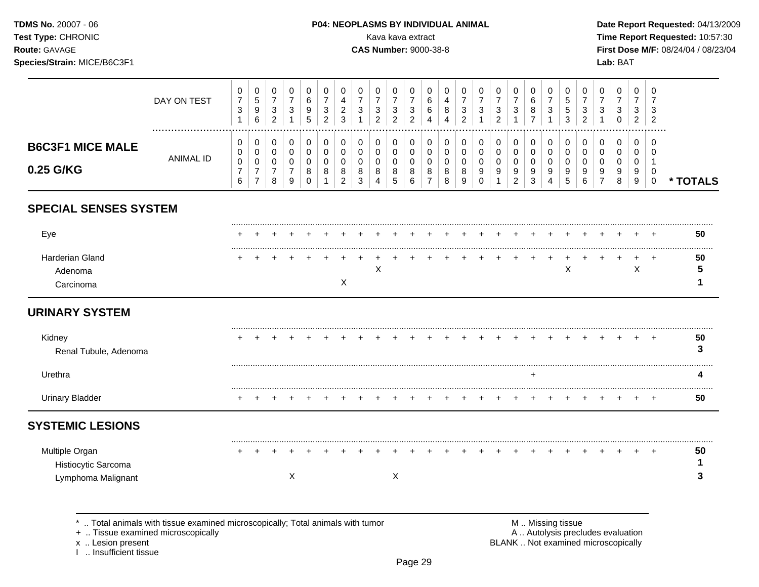## **Species/Strain:** MICE/B6C3F1 **Lab:** BAT

**Test Type:** CHRONIC Kava kava extract **Time Report Requested:** 10:57:30 **Route:** GAVAGE **CAS Number:** 9000-38-8 **First Dose M/F:** 08/24/04 / 08/23/04

|                                                             | DAY ON TEST      | 0<br>$\overline{7}$<br>$\mathbf{3}$<br>$\mathbf{1}$ | 0<br>$\sqrt{5}$<br>9<br>$\,6$                   | 0<br>$\overline{7}$<br>$\mathbf{3}$<br>$\overline{c}$ | 0<br>$\overline{7}$<br>$\mathbf{3}$                    | 0<br>6<br>9<br>5                          | 0<br>$\overline{7}$<br>$\sqrt{3}$<br>$\overline{c}$ | 0<br>4<br>$\overline{c}$<br>3      | 0<br>7<br>3           | 0<br>3<br>$\overline{2}$                  | 0<br>7<br>3<br>$\overline{2}$ | 0<br>$\overline{7}$<br>3<br>$\overline{c}$ | 0<br>6<br>6<br>4                           | 0<br>4<br>8<br>$\overline{4}$   | 0<br>7<br>3<br>$\overline{2}$   | 0<br>$\overline{7}$<br>3            | 0<br>7<br>3<br>$\overline{2}$ | 0<br>7<br>3                        | 0<br>6<br>8<br>$\overline{7}$           | 0<br>$\overline{7}$<br>$\mathbf{3}$<br>1  | 0<br>$\mathbf 5$<br>$\mathbf 5$<br>3 | 0<br>3<br>$\overline{c}$     | 0<br>$\overline{7}$<br>3                  | 0<br>$\overline{7}$<br>3<br>$\mathbf 0$ | 0<br>$\overline{7}$<br>3<br>$\overline{c}$ | 0<br>7<br>3<br>$\boldsymbol{2}$                   |          |
|-------------------------------------------------------------|------------------|-----------------------------------------------------|-------------------------------------------------|-------------------------------------------------------|--------------------------------------------------------|-------------------------------------------|-----------------------------------------------------|------------------------------------|-----------------------|-------------------------------------------|-------------------------------|--------------------------------------------|--------------------------------------------|---------------------------------|---------------------------------|-------------------------------------|-------------------------------|------------------------------------|-----------------------------------------|-------------------------------------------|--------------------------------------|------------------------------|-------------------------------------------|-----------------------------------------|--------------------------------------------|---------------------------------------------------|----------|
| <b>B6C3F1 MICE MALE</b><br>0.25 G/KG                        | <b>ANIMAL ID</b> | 0<br>0<br>0<br>$\overline{7}$<br>6                  | 0<br>0<br>0<br>$\overline{7}$<br>$\overline{7}$ | 0<br>0<br>$\mathbf 0$<br>$\overline{7}$<br>8          | 0<br>$\mathbf 0$<br>$\mathbf 0$<br>$\overline{7}$<br>9 | 0<br>$\mathbf 0$<br>$\mathbf 0$<br>8<br>0 | 0<br>$\pmb{0}$<br>$\pmb{0}$<br>8<br>$\mathbf{1}$    | 0<br>0<br>0<br>8<br>$\overline{2}$ | 0<br>0<br>0<br>8<br>3 | 0<br>$\mathbf 0$<br>$\mathbf 0$<br>8<br>4 | 0<br>0<br>0<br>8<br>5         | 0<br>0<br>$\mathbf 0$<br>8<br>6            | 0<br>0<br>$\pmb{0}$<br>8<br>$\overline{7}$ | 0<br>$\mathbf 0$<br>0<br>8<br>8 | 0<br>$\mathbf 0$<br>0<br>8<br>9 | 0<br>$\Omega$<br>0<br>9<br>$\Omega$ | 0<br>$\mathbf 0$<br>0<br>9    | 0<br>0<br>0<br>9<br>$\overline{c}$ | 0<br>$\pmb{0}$<br>$\mathbf 0$<br>9<br>3 | 0<br>$\mathbf 0$<br>$\mathbf 0$<br>9<br>4 | 0<br>$\mathbf 0$<br>0<br>9<br>5      | 0<br>$\Omega$<br>0<br>9<br>6 | 0<br>$\Omega$<br>0<br>9<br>$\overline{7}$ | 0<br>$\mathbf 0$<br>0<br>9<br>8         | 0<br>$\mathbf 0$<br>0<br>9<br>9            | 0<br>$\Omega$<br>$\mathbf{1}$<br>0<br>$\mathbf 0$ | * TOTALS |
| <b>SPECIAL SENSES SYSTEM</b>                                |                  |                                                     |                                                 |                                                       |                                                        |                                           |                                                     |                                    |                       |                                           |                               |                                            |                                            |                                 |                                 |                                     |                               |                                    |                                         |                                           |                                      |                              |                                           |                                         |                                            |                                                   |          |
| Eye                                                         |                  |                                                     |                                                 |                                                       |                                                        |                                           |                                                     |                                    |                       |                                           |                               |                                            |                                            |                                 |                                 |                                     |                               |                                    |                                         |                                           |                                      |                              |                                           |                                         |                                            | $\ddot{}$                                         | 50       |
| Harderian Gland<br>Adenoma<br>Carcinoma                     |                  |                                                     |                                                 |                                                       |                                                        |                                           |                                                     | $\mathsf X$                        |                       | $\boldsymbol{\mathsf{X}}$                 |                               |                                            |                                            |                                 |                                 |                                     |                               |                                    |                                         |                                           | $\boldsymbol{\mathsf{X}}$            |                              |                                           |                                         | $\boldsymbol{\mathsf{X}}$                  | $\ddot{}$                                         | 50<br>5  |
| <b>URINARY SYSTEM</b>                                       |                  |                                                     |                                                 |                                                       |                                                        |                                           |                                                     |                                    |                       |                                           |                               |                                            |                                            |                                 |                                 |                                     |                               |                                    |                                         |                                           |                                      |                              |                                           |                                         |                                            |                                                   |          |
| Kidney<br>Renal Tubule, Adenoma                             |                  |                                                     |                                                 |                                                       |                                                        |                                           |                                                     |                                    |                       |                                           |                               |                                            |                                            |                                 |                                 |                                     |                               |                                    |                                         |                                           |                                      |                              |                                           |                                         |                                            | $\ddot{}$                                         | 50<br>3  |
| Urethra                                                     |                  |                                                     |                                                 |                                                       |                                                        |                                           |                                                     |                                    |                       |                                           |                               |                                            |                                            |                                 |                                 |                                     |                               |                                    |                                         |                                           |                                      |                              |                                           |                                         |                                            |                                                   | 4        |
| <b>Urinary Bladder</b>                                      |                  |                                                     |                                                 |                                                       |                                                        |                                           |                                                     |                                    |                       |                                           |                               |                                            |                                            |                                 |                                 |                                     |                               |                                    |                                         |                                           |                                      |                              |                                           |                                         |                                            |                                                   | 50       |
| <b>SYSTEMIC LESIONS</b>                                     |                  |                                                     |                                                 |                                                       |                                                        |                                           |                                                     |                                    |                       |                                           |                               |                                            |                                            |                                 |                                 |                                     |                               |                                    |                                         |                                           |                                      |                              |                                           |                                         |                                            |                                                   |          |
| Multiple Organ<br>Histiocytic Sarcoma<br>Lymphoma Malignant |                  |                                                     |                                                 |                                                       | X                                                      |                                           |                                                     |                                    |                       |                                           | X                             |                                            |                                            |                                 |                                 |                                     |                               |                                    |                                         |                                           |                                      |                              |                                           |                                         |                                            | $\overline{+}$                                    | 50<br>3  |

\* .. Total animals with tissue examined microscopically; Total animals with tumor M .. Missing tissue M .. Missing tissue<br>
+ .. Tissue examined microscopically

+ .. Tissue examined microscopically

x .. Lesion present<br>I .. Insufficient tissue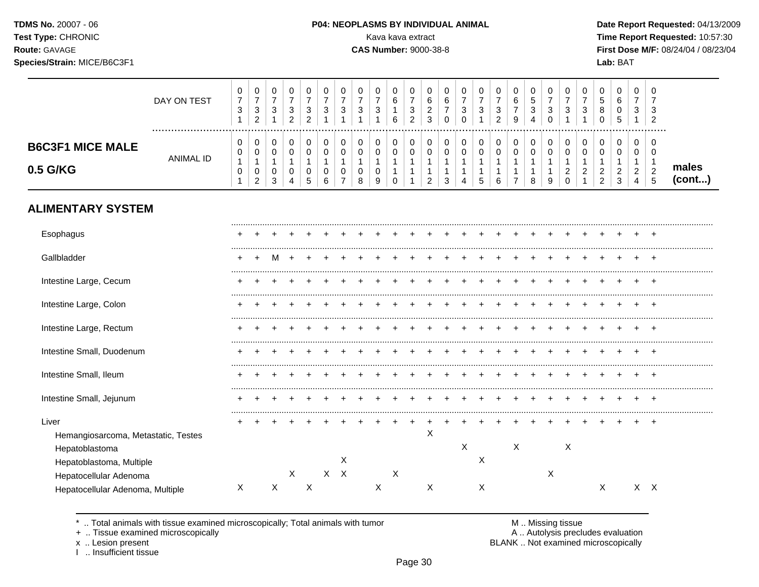## **Species/Strain:** MICE/B6C3F1 **Lab:** BAT

## **TDMS No.** 20007 - 06 **P04: NEOPLASMS BY INDIVIDUAL ANIMAL** Date Report Requested: 04/13/2009

**Test Type:** CHRONIC Kava kava extract **Time Report Requested:** 10:57:30 **Route:** GAVAGE **CAS Number:** 9000-38-8 **First Dose M/F:** 08/24/04 / 08/23/04

|                                                                                                          | DAY ON TEST      | 0<br>$\boldsymbol{7}$<br>$\mathbf{3}$<br>1                    | 0<br>$\overline{\mathbf{7}}$<br>$\ensuremath{\mathsf{3}}$<br>$\overline{c}$ | $\boldsymbol{0}$<br>$\boldsymbol{7}$<br>$\sqrt{3}$<br>$\mathbf{1}$      | 0<br>$\boldsymbol{7}$<br>$\sqrt{3}$<br>$\overline{c}$   | 0<br>$\overline{7}$<br>$\sqrt{3}$<br>$\overline{2}$         | 0<br>$\overline{7}$<br>3<br>1   | 0<br>$\overline{7}$<br>$\ensuremath{\mathsf{3}}$ | 0<br>$\overline{7}$<br>$\mathbf{3}$<br>1                   | $\pmb{0}$<br>$\overline{7}$<br>$\mathbf{3}$<br>1   | 0<br>$\,6\,$<br>$\mathbf{1}$<br>6                               | $\mathbf 0$<br>$\overline{7}$<br>$\sqrt{3}$<br>$\overline{2}$  | 0<br>$\,6\,$<br>$\boldsymbol{2}$<br>3                                        | 0<br>6<br>$\overline{7}$<br>$\Omega$        | 0<br>$\overline{7}$<br>3<br>$\mathbf 0$               | 0<br>$\overline{7}$<br>3                                        | 0<br>$\overline{7}$<br>$\sqrt{3}$<br>$\overline{c}$ | 0<br>$\,6\,$<br>$\overline{7}$<br>$\boldsymbol{9}$                         | 0<br>$\sqrt{5}$<br>$\sqrt{3}$<br>$\overline{4}$             | 0<br>$\overline{7}$<br>$\mathbf{3}$<br>$\mathbf 0$                   | 0<br>$\overline{7}$<br>3<br>$\mathbf 1$               | 0<br>$\overline{7}$<br>3<br>$\mathbf 1$                           | 0<br>$\sqrt{5}$<br>8<br>$\mathbf 0$             | 0<br>$\,6\,$<br>$\mathbf 0$<br>5                        | 0<br>$\overline{7}$<br>3<br>1                   | 0<br>$\overline{7}$<br>3<br>$\overline{c}$ |                 |
|----------------------------------------------------------------------------------------------------------|------------------|---------------------------------------------------------------|-----------------------------------------------------------------------------|-------------------------------------------------------------------------|---------------------------------------------------------|-------------------------------------------------------------|---------------------------------|--------------------------------------------------|------------------------------------------------------------|----------------------------------------------------|-----------------------------------------------------------------|----------------------------------------------------------------|------------------------------------------------------------------------------|---------------------------------------------|-------------------------------------------------------|-----------------------------------------------------------------|-----------------------------------------------------|----------------------------------------------------------------------------|-------------------------------------------------------------|----------------------------------------------------------------------|-------------------------------------------------------|-------------------------------------------------------------------|-------------------------------------------------|---------------------------------------------------------|-------------------------------------------------|--------------------------------------------|-----------------|
| <b>B6C3F1 MICE MALE</b><br>0.5 G/KG                                                                      | <b>ANIMAL ID</b> | 0<br>$\pmb{0}$<br>$\mathbf{1}$<br>$\mathbf 0$<br>$\mathbf{1}$ | $\pmb{0}$<br>$\pmb{0}$<br>$\mathbf{1}$<br>$\pmb{0}$<br>$\overline{a}$       | $\pmb{0}$<br>$\mathbf 0$<br>$\mathbf{1}$<br>$\mathbf 0$<br>$\mathbf{3}$ | 0<br>0<br>$\mathbf{1}$<br>$\mathbf 0$<br>$\overline{4}$ | 0<br>$\pmb{0}$<br>$\mathbf{1}$<br>$\mathbf 0$<br>$\sqrt{5}$ | 0<br>$\mathbf 0$<br>1<br>0<br>6 | $\pmb{0}$<br>0<br>0<br>$\overline{7}$            | $\,0\,$<br>$\mathbf 0$<br>$\mathbf{1}$<br>$\mathbf 0$<br>8 | 0<br>$\pmb{0}$<br>$\mathbf{1}$<br>$\mathbf 0$<br>9 | 0<br>$\mathbf 0$<br>$\mathbf{1}$<br>$\mathbf{1}$<br>$\mathbf 0$ | 0<br>$\pmb{0}$<br>$\mathbf{1}$<br>$\mathbf{1}$<br>$\mathbf{1}$ | $\mathbf 0$<br>$\pmb{0}$<br>$\overline{1}$<br>$\mathbf{1}$<br>$\overline{c}$ | 0<br>0<br>$\mathbf{1}$<br>$\mathbf{1}$<br>3 | 0<br>$\mathbf 0$<br>$\mathbf{1}$<br>$\mathbf{1}$<br>4 | $\mathbf 0$<br>$\mathbf 0$<br>$\mathbf{1}$<br>$\mathbf{1}$<br>5 | $\pmb{0}$<br>$\pmb{0}$<br>1<br>6                    | $\pmb{0}$<br>$\mathbf 0$<br>$\mathbf{1}$<br>$\mathbf{1}$<br>$\overline{7}$ | $\pmb{0}$<br>$\pmb{0}$<br>$\mathbf{1}$<br>$\mathbf{1}$<br>8 | 0<br>$\mathbf 0$<br>$\mathbf{1}$<br>$\mathbf{1}$<br>$\boldsymbol{9}$ | 0<br>$\pmb{0}$<br>$\mathbf{1}$<br>$\overline{c}$<br>0 | $\mathbf 0$<br>$\mathbf 0$<br>$\mathbf{1}$<br>$\overline{2}$<br>1 | 0<br>0<br>1<br>$\overline{c}$<br>$\overline{c}$ | 0<br>$\mathbf 0$<br>1<br>$\overline{2}$<br>$\mathbf{3}$ | 0<br>0<br>1<br>$\overline{2}$<br>$\overline{4}$ | 0<br>0<br>$\mathbf{1}$<br>$\frac{2}{5}$    | males<br>(cont) |
| <b>ALIMENTARY SYSTEM</b>                                                                                 |                  |                                                               |                                                                             |                                                                         |                                                         |                                                             |                                 |                                                  |                                                            |                                                    |                                                                 |                                                                |                                                                              |                                             |                                                       |                                                                 |                                                     |                                                                            |                                                             |                                                                      |                                                       |                                                                   |                                                 |                                                         |                                                 |                                            |                 |
| Esophagus                                                                                                |                  |                                                               |                                                                             |                                                                         |                                                         |                                                             |                                 |                                                  |                                                            |                                                    |                                                                 |                                                                |                                                                              |                                             |                                                       |                                                                 |                                                     |                                                                            |                                                             |                                                                      |                                                       |                                                                   |                                                 |                                                         |                                                 |                                            |                 |
| Gallbladder                                                                                              |                  |                                                               |                                                                             | M                                                                       |                                                         |                                                             |                                 |                                                  |                                                            |                                                    |                                                                 |                                                                |                                                                              |                                             |                                                       |                                                                 |                                                     |                                                                            |                                                             |                                                                      |                                                       |                                                                   |                                                 |                                                         |                                                 |                                            |                 |
| Intestine Large, Cecum                                                                                   |                  |                                                               |                                                                             |                                                                         |                                                         |                                                             |                                 |                                                  |                                                            |                                                    |                                                                 |                                                                |                                                                              |                                             |                                                       |                                                                 |                                                     |                                                                            |                                                             |                                                                      |                                                       |                                                                   |                                                 |                                                         |                                                 |                                            |                 |
| Intestine Large, Colon                                                                                   |                  |                                                               |                                                                             |                                                                         |                                                         |                                                             |                                 |                                                  |                                                            |                                                    |                                                                 |                                                                |                                                                              |                                             |                                                       |                                                                 |                                                     |                                                                            |                                                             |                                                                      |                                                       |                                                                   |                                                 |                                                         |                                                 |                                            |                 |
| Intestine Large, Rectum                                                                                  |                  |                                                               |                                                                             |                                                                         |                                                         |                                                             |                                 |                                                  |                                                            |                                                    |                                                                 |                                                                |                                                                              |                                             |                                                       |                                                                 |                                                     |                                                                            |                                                             |                                                                      |                                                       |                                                                   |                                                 |                                                         |                                                 |                                            |                 |
| Intestine Small, Duodenum                                                                                |                  |                                                               |                                                                             |                                                                         |                                                         |                                                             |                                 |                                                  |                                                            |                                                    |                                                                 |                                                                |                                                                              |                                             |                                                       |                                                                 |                                                     |                                                                            |                                                             |                                                                      |                                                       |                                                                   |                                                 |                                                         |                                                 |                                            |                 |
| Intestine Small, Ileum                                                                                   |                  |                                                               |                                                                             |                                                                         |                                                         |                                                             |                                 |                                                  |                                                            |                                                    |                                                                 |                                                                |                                                                              |                                             |                                                       |                                                                 |                                                     |                                                                            |                                                             |                                                                      |                                                       |                                                                   |                                                 |                                                         |                                                 |                                            |                 |
| Intestine Small, Jejunum                                                                                 |                  |                                                               |                                                                             |                                                                         |                                                         |                                                             |                                 |                                                  |                                                            |                                                    |                                                                 |                                                                |                                                                              |                                             |                                                       |                                                                 |                                                     |                                                                            |                                                             |                                                                      |                                                       |                                                                   |                                                 |                                                         |                                                 |                                            |                 |
| Liver<br>Hemangiosarcoma, Metastatic, Testes                                                             |                  |                                                               |                                                                             |                                                                         |                                                         |                                                             |                                 |                                                  |                                                            |                                                    |                                                                 | $\pm$                                                          | X                                                                            |                                             |                                                       |                                                                 |                                                     |                                                                            |                                                             |                                                                      |                                                       |                                                                   |                                                 |                                                         |                                                 |                                            |                 |
| Hepatoblastoma<br>Hepatoblastoma, Multiple<br>Hepatocellular Adenoma<br>Hepatocellular Adenoma, Multiple |                  | $\boldsymbol{\mathsf{X}}$                                     |                                                                             | $\boldsymbol{\mathsf{X}}$                                               | X                                                       | $\boldsymbol{\mathsf{X}}$                                   |                                 | X<br>$X$ $X$                                     |                                                            | Χ                                                  | X                                                               |                                                                | $\mathsf{X}$                                                                 |                                             | X                                                     | X<br>X                                                          |                                                     | X                                                                          |                                                             | X                                                                    | $\boldsymbol{\mathsf{X}}$                             |                                                                   | Χ                                               |                                                         | $X$ $X$                                         |                                            |                 |
|                                                                                                          |                  |                                                               |                                                                             |                                                                         |                                                         |                                                             |                                 |                                                  |                                                            |                                                    |                                                                 |                                                                |                                                                              |                                             |                                                       |                                                                 |                                                     |                                                                            |                                                             |                                                                      |                                                       |                                                                   |                                                 |                                                         |                                                 |                                            |                 |

\* .. Total animals with tissue examined microscopically; Total animals with tumor M .. Missing tissue M .. Missing tissue<br>
+ .. Tissue examined microscopically

+ .. Tissue examined microscopically

x .. Lesion present<br>I .. Insufficient tissue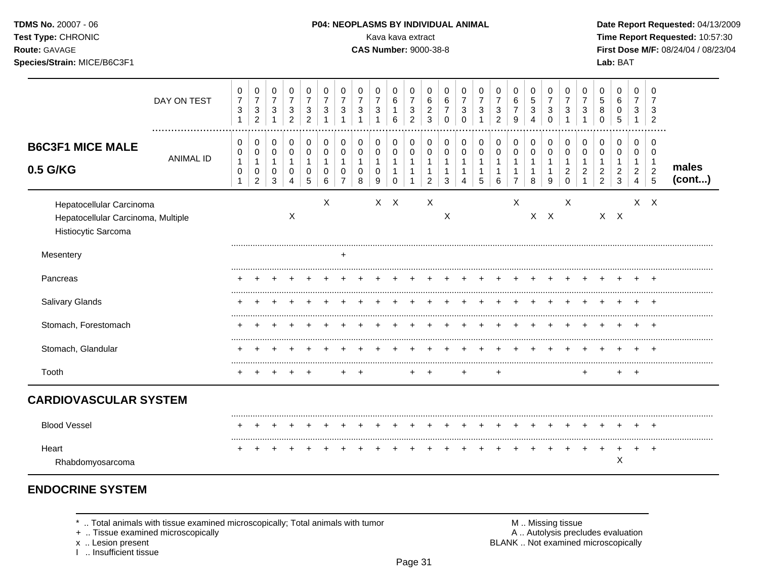| <b>TDMS No. 20007 - 06</b><br>Test Type: CHRONIC<br><b>Route: GAVAGE</b><br>Species/Strain: MICE/B6C3F1 |             |                                 |             |             |                          |                               |                       |                           |   |   |        | <b>P04: NEOPLASMS BY INDIVIDUAL ANIMAL</b><br>Kava kava extract<br><b>CAS Number: 9000-38-8</b> |                          |                          |                          |        |                               |                               |                  |                               |                                    |                                    |                  | Date Rep<br><b>Time Rep</b><br><b>First Dos</b><br>Lab: BAT |  |
|---------------------------------------------------------------------------------------------------------|-------------|---------------------------------|-------------|-------------|--------------------------|-------------------------------|-----------------------|---------------------------|---|---|--------|-------------------------------------------------------------------------------------------------|--------------------------|--------------------------|--------------------------|--------|-------------------------------|-------------------------------|------------------|-------------------------------|------------------------------------|------------------------------------|------------------|-------------------------------------------------------------|--|
|                                                                                                         | DAY ON TEST | 0<br>$\overline{ }$<br>3        | 0<br>3<br>2 | 0<br>3      | 0<br>3<br>$\overline{2}$ | 0<br>$\overline{ }$<br>3<br>2 | $\mathbf 0$<br>7<br>3 | 0<br>3                    | 3 | 3 | 6<br>6 | $\overline{7}$<br>3<br>2                                                                        | 6<br>$\overline{c}$<br>3 | 0<br>6<br>$\overline{ }$ | 0<br>$\overline{7}$<br>3 | 7<br>3 | 0<br>7<br>3<br>$\overline{2}$ | 0<br>6<br>$\overline{ }$<br>9 | 0<br>5<br>3<br>4 | 0<br>$\overline{7}$<br>3<br>0 | 0<br>$\overline{ }$<br>3           | 0<br>$\overline{\phantom{a}}$<br>3 | 0<br>5<br>8<br>0 | 0<br>6<br>0<br>5                                            |  |
| <b>B6C3F1 MICE MALE</b><br>0.5 G/KG                                                                     | ANIMAL ID   | $\mathbf 0$<br>$\mathbf 0$<br>0 | 0<br>0<br>0 | 0<br>0<br>0 | 0<br>0                   | 0<br>0<br>0                   | $\mathbf 0$<br>0<br>0 | 0<br>$\Omega$<br>$\Omega$ |   |   |        |                                                                                                 | $\mathbf 0$<br>$\Omega$  | $\mathbf 0$<br>$\Omega$  | 0<br>0                   | 0      | 0<br>0                        | 0<br>0                        | 0<br>0           | $\mathbf 0$<br>0              | 0<br>$\mathbf 0$<br>$\overline{2}$ | 0<br>0<br>$\overline{2}$           | 0<br>0<br>2      | $\Omega$<br>0<br>2                                          |  |

**TINDIVIDUAL ANIMAL CO. 2000** Date Report Requested: 04/13/2009 **Time Report Requested:** 10:57:30 **Route:** GAVAGE **CAS Number:** 9000-38-8 **First Dose M/F:** 08/24/04 / 08/23/04

|                                                                                       | DAY ON TEST      | $\mathbf 0$<br>$\overline{7}$<br>$\sqrt{3}$<br>1 | 0<br>$\boldsymbol{7}$<br>$\ensuremath{\mathsf{3}}$<br>$\overline{2}$ | 0<br>$\overline{7}$<br>$\sqrt{3}$<br>1 | 0<br>$\overline{7}$<br>3<br>$\overline{2}$ | 0<br>$\overline{7}$<br>$\mathbf{3}$<br>$\overline{2}$ | 0<br>$\overline{7}$<br>$\ensuremath{\mathsf{3}}$ | 0<br>$\overline{7}$<br>$\ensuremath{\mathsf{3}}$ | 0<br>$\overline{7}$<br>$\mathbf{3}$<br>1 | 0<br>$\boldsymbol{7}$<br>$\ensuremath{\mathsf{3}}$<br>$\mathbf{1}$ | 0<br>$\,6$<br>6                                      | 0<br>$\overline{7}$<br>$\ensuremath{\mathsf{3}}$<br>$\overline{2}$ | 0<br>6<br>$\overline{\mathbf{c}}$<br>$\mathbf{3}$ | 0<br>$\,6$<br>$\overline{7}$<br>$\mathbf 0$ | 0<br>$\overline{7}$<br>$\ensuremath{\mathsf{3}}$<br>$\Omega$ | 0<br>$\overline{7}$<br>$\sqrt{3}$<br>1        | 0<br>$\boldsymbol{7}$<br>$\ensuremath{\mathsf{3}}$<br>$\overline{c}$ | 0<br>$\,6$<br>$\overline{7}$<br>9                                | 0<br>$\mathbf 5$<br>3<br>4       | 0<br>$\overline{7}$<br>3<br>$\mathbf 0$ | 0<br>$\overline{7}$<br>3                  | 0<br>$\overline{7}$<br>3 | 0<br>5<br>8<br>$\Omega$                         | 0<br>$\,6\,$<br>$\pmb{0}$<br>5                                   | 0<br>$\overline{7}$<br>3<br>1                 | 0<br>$\overline{7}$<br>3<br>$\overline{2}$       |                 |
|---------------------------------------------------------------------------------------|------------------|--------------------------------------------------|----------------------------------------------------------------------|----------------------------------------|--------------------------------------------|-------------------------------------------------------|--------------------------------------------------|--------------------------------------------------|------------------------------------------|--------------------------------------------------------------------|------------------------------------------------------|--------------------------------------------------------------------|---------------------------------------------------|---------------------------------------------|--------------------------------------------------------------|-----------------------------------------------|----------------------------------------------------------------------|------------------------------------------------------------------|----------------------------------|-----------------------------------------|-------------------------------------------|--------------------------|-------------------------------------------------|------------------------------------------------------------------|-----------------------------------------------|--------------------------------------------------|-----------------|
| <b>B6C3F1 MICE MALE</b><br>0.5 G/KG                                                   | <b>ANIMAL ID</b> | 0<br>0<br>$\mathbf{1}$<br>0                      | 0<br>0<br>$\mathbf{1}$<br>$\pmb{0}$<br>$\overline{2}$                | 0<br>0<br>$\mathbf{1}$<br>0<br>3       | 0<br>0<br>$\mathbf{1}$<br>0                | 0<br>$\Omega$<br>0<br>5                               | 0<br>0<br>1<br>0<br>6                            | $\,0\,$<br>$\pmb{0}$<br>1<br>0<br>7              | 0<br>0<br>$\mathbf{1}$<br>0<br>8         | 0<br>0<br>$\mathbf{1}$<br>0<br>9                                   | 0<br>0<br>$\mathbf{1}$<br>$\mathbf 1$<br>$\mathbf 0$ | 0<br>0<br>$\mathbf{1}$<br>1                                        | 0<br>0<br>$\mathbf 1$<br>$\overline{c}$           | 0<br>0<br>1<br>1<br>3                       | 0<br>$\pmb{0}$<br>Δ                                          | 0<br>0<br>$\mathbf{1}$<br>1<br>$\overline{5}$ | 0<br>0<br>$\mathbf{1}$<br>1<br>6                                     | 0<br>$\mathbf 0$<br>$\mathbf 1$<br>$\mathbf 1$<br>$\overline{7}$ | 0<br>$\mathbf 0$<br>-1<br>1<br>8 | $\mathbf 0$<br>$\Omega$<br>9            | 0<br>0<br>1<br>$\overline{c}$<br>$\Omega$ | 0<br>0<br>$\overline{c}$ | 0<br>0<br>1<br>$\overline{c}$<br>$\overline{2}$ | 0<br>$\pmb{0}$<br>$\mathbf{1}$<br>$\overline{c}$<br>$\mathbf{3}$ | 0<br>0<br>$\mathbf{1}$<br>$\overline{2}$<br>4 | 0<br>0<br>-1<br>$\overline{c}$<br>$\overline{5}$ | males<br>(cont) |
| Hepatocellular Carcinoma<br>Hepatocellular Carcinoma, Multiple<br>Histiocytic Sarcoma |                  |                                                  |                                                                      |                                        | $\boldsymbol{\mathsf{X}}$                  |                                                       | X                                                |                                                  |                                          | $X$ $X$                                                            |                                                      |                                                                    | $\times$                                          | X                                           |                                                              |                                               |                                                                      | $\mathsf{X}$                                                     |                                  | $X$ $X$                                 | $\boldsymbol{\mathsf{X}}$                 |                          |                                                 | $X$ $X$                                                          | $X$ $X$                                       |                                                  |                 |
| Mesentery                                                                             |                  |                                                  |                                                                      |                                        |                                            |                                                       |                                                  | $\ddot{}$                                        |                                          |                                                                    |                                                      |                                                                    |                                                   |                                             |                                                              |                                               |                                                                      |                                                                  |                                  |                                         |                                           |                          |                                                 |                                                                  |                                               |                                                  |                 |
| Pancreas                                                                              |                  |                                                  |                                                                      |                                        |                                            |                                                       |                                                  |                                                  |                                          |                                                                    |                                                      |                                                                    |                                                   |                                             |                                                              |                                               |                                                                      |                                                                  |                                  |                                         |                                           |                          |                                                 |                                                                  |                                               |                                                  |                 |
| <b>Salivary Glands</b>                                                                |                  |                                                  |                                                                      |                                        |                                            |                                                       |                                                  |                                                  |                                          |                                                                    |                                                      |                                                                    |                                                   |                                             |                                                              |                                               |                                                                      |                                                                  |                                  |                                         |                                           |                          |                                                 |                                                                  |                                               |                                                  |                 |
| Stomach, Forestomach                                                                  |                  |                                                  |                                                                      |                                        |                                            |                                                       |                                                  |                                                  |                                          |                                                                    |                                                      |                                                                    |                                                   |                                             |                                                              |                                               |                                                                      |                                                                  |                                  |                                         |                                           |                          |                                                 |                                                                  |                                               | $\pm$                                            |                 |
| Stomach, Glandular                                                                    |                  |                                                  |                                                                      |                                        |                                            |                                                       |                                                  |                                                  |                                          |                                                                    |                                                      |                                                                    |                                                   |                                             |                                                              |                                               |                                                                      |                                                                  |                                  |                                         |                                           |                          |                                                 |                                                                  |                                               |                                                  |                 |
| Tooth                                                                                 |                  |                                                  |                                                                      |                                        |                                            |                                                       |                                                  |                                                  |                                          |                                                                    |                                                      |                                                                    |                                                   |                                             |                                                              |                                               | $\pm$                                                                |                                                                  |                                  |                                         |                                           | $\ddot{}$                |                                                 | +                                                                | $+$                                           |                                                  |                 |
| <b>CARDIOVASCULAR SYSTEM</b>                                                          |                  |                                                  |                                                                      |                                        |                                            |                                                       |                                                  |                                                  |                                          |                                                                    |                                                      |                                                                    |                                                   |                                             |                                                              |                                               |                                                                      |                                                                  |                                  |                                         |                                           |                          |                                                 |                                                                  |                                               |                                                  |                 |
| <b>Blood Vessel</b>                                                                   |                  |                                                  |                                                                      |                                        |                                            |                                                       |                                                  |                                                  |                                          |                                                                    |                                                      |                                                                    |                                                   |                                             |                                                              |                                               |                                                                      |                                                                  |                                  |                                         |                                           |                          |                                                 |                                                                  |                                               |                                                  |                 |
| Heart<br>Rhabdomyosarcoma                                                             |                  |                                                  |                                                                      |                                        |                                            |                                                       |                                                  |                                                  |                                          |                                                                    |                                                      |                                                                    |                                                   |                                             |                                                              |                                               |                                                                      |                                                                  |                                  |                                         |                                           |                          |                                                 | +<br>X                                                           |                                               | $\ddot{}$                                        |                 |

# **ENDOCRINE SYSTEM**

+ .. Tissue examined microscopically

x .. Lesion present<br>I .. Insufficient tissue

\* .. Total animals with tissue examined microscopically; Total animals with tumor **M** metal metal M .. Missing tissue<br>  $\blacksquare$  . Tissue examined microscopically BLANK .. Not examined microscopically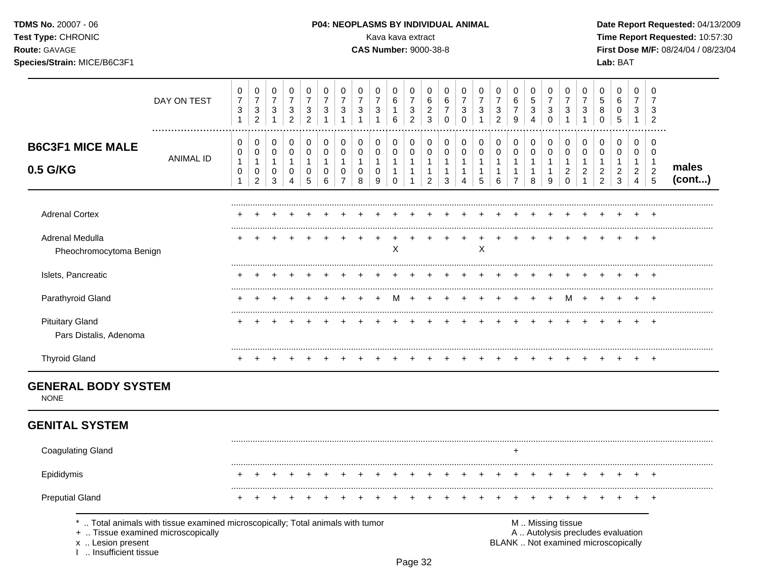| <b>TDMS No. 20007 - 06</b> |
|----------------------------|
| <b>Test Type: CHRONIC</b>  |
| <b>Route: GAVAGE</b>       |

Species/Strain: MICE/B6C3F1

#### P04: NEOPLASMS BY INDIVIDUAL ANIMAL

Kava kava extract

**CAS Number: 9000-38-8** 

Date Report Requested: 04/13/2009 Time Report Requested: 10:57:30 First Dose M/F: 08/24/04 / 08/23/04 Lab: BAT

|                                                  | DAY ON TEST                                                                                                        | 0<br>$\overline{7}$<br>3<br>$\overline{1}$                      | 0<br>$\boldsymbol{7}$<br>$\mathbf{3}$<br>$\overline{2}$ | 0<br>$\boldsymbol{7}$<br>$\sqrt{3}$<br>$\mathbf{1}$        | 0<br>$\overline{7}$<br>$\mathbf{3}$<br>$\overline{c}$ | $\pmb{0}$<br>$\overline{7}$<br>$\ensuremath{\mathsf{3}}$<br>$\overline{2}$ | $\mathbf 0$<br>$\boldsymbol{7}$<br>$\mathbf{3}$<br>$\overline{1}$ | 0<br>$\overline{7}$<br>3<br>$\overline{1}$                      | 0<br>$\overline{7}$<br>3<br>$\mathbf 1$             | 0<br>$\boldsymbol{7}$<br>$\sqrt{3}$<br>$\mathbf{1}$  | 0<br>6<br>$\mathbf{1}$<br>6                                           | 0<br>$\overline{7}$<br>$\ensuremath{\mathsf{3}}$<br>$\overline{c}$ | 0<br>$\,6$<br>$\sqrt{2}$<br>$\mathbf{3}$                                     | 0<br>$\,6\,$<br>$\overline{7}$<br>$\pmb{0}$                                | 0<br>$\overline{7}$<br>3<br>$\mathbf 0$  | 0<br>$\overline{7}$<br>$\sqrt{3}$<br>$\overline{1}$             | 0<br>$\overline{7}$<br>$\ensuremath{\mathsf{3}}$<br>$\overline{c}$ | 0<br>$\,6\,$<br>$\boldsymbol{7}$<br>9                            | $\mathbf 0$<br>$\sqrt{5}$<br>$\sqrt{3}$<br>$\overline{4}$       | 0<br>$\overline{7}$<br>3<br>$\pmb{0}$                       | 0<br>$\overline{7}$<br>3<br>$\overline{1}$                    | 0<br>$\overline{7}$<br>3<br>$\mathbf{1}$                                     | 0<br>5<br>$\bf8$<br>$\mathbf 0$                                          | 0<br>$\,6\,$<br>$\pmb{0}$<br>$\overline{5}$                                    | 0<br>$\overline{7}$<br>3<br>$\mathbf{1}$                                       | 0<br>$\overline{7}$<br>3<br>$\overline{c}$                            |                 |
|--------------------------------------------------|--------------------------------------------------------------------------------------------------------------------|-----------------------------------------------------------------|---------------------------------------------------------|------------------------------------------------------------|-------------------------------------------------------|----------------------------------------------------------------------------|-------------------------------------------------------------------|-----------------------------------------------------------------|-----------------------------------------------------|------------------------------------------------------|-----------------------------------------------------------------------|--------------------------------------------------------------------|------------------------------------------------------------------------------|----------------------------------------------------------------------------|------------------------------------------|-----------------------------------------------------------------|--------------------------------------------------------------------|------------------------------------------------------------------|-----------------------------------------------------------------|-------------------------------------------------------------|---------------------------------------------------------------|------------------------------------------------------------------------------|--------------------------------------------------------------------------|--------------------------------------------------------------------------------|--------------------------------------------------------------------------------|-----------------------------------------------------------------------|-----------------|
| <b>B6C3F1 MICE MALE</b><br>0.5 G/KG              | .<br><b>ANIMAL ID</b>                                                                                              | 0<br>$\mathbf 0$<br>$\mathbf{1}$<br>$\mathbf 0$<br>$\mathbf{1}$ | 0<br>0<br>$\mathbf{1}$<br>$\mathbf 0$<br>$\overline{c}$ | $\pmb{0}$<br>$\mathsf 0$<br>$\mathbf{1}$<br>$\pmb{0}$<br>3 | 0<br>$\mathbf 0$<br>$\mathbf{1}$<br>$\mathbf 0$<br>4  | 0<br>$\pmb{0}$<br>$\mathbf{1}$<br>$\mathbf 0$<br>5                         | $\mathbf 0$<br>$\mathbf 0$<br>$\mathbf{1}$<br>0<br>$\,6$          | $\pmb{0}$<br>$\mathbf 0$<br>$\mathbf{1}$<br>0<br>$\overline{7}$ | $\mathbf 0$<br>$\mathbf 0$<br>1<br>$\mathbf 0$<br>8 | 0<br>$\mathbf 0$<br>$\mathbf{1}$<br>$\mathbf 0$<br>9 | $\pmb{0}$<br>$\mathsf 0$<br>$\mathbf{1}$<br>$\mathbf{1}$<br>$\pmb{0}$ | 0<br>$\pmb{0}$<br>$\mathbf{1}$<br>$\mathbf{1}$<br>$\mathbf{1}$     | $\mathbf 0$<br>$\mathsf 0$<br>$\mathbf{1}$<br>$\mathbf{1}$<br>$\overline{2}$ | $\mathbf 0$<br>$\mathbf 0$<br>$\mathbf{1}$<br>$\mathbf{1}$<br>$\mathbf{3}$ | 0<br>$\pmb{0}$<br>1<br>$\mathbf{1}$<br>4 | $\mathbf 0$<br>$\mathsf 0$<br>$\mathbf{1}$<br>$\mathbf{1}$<br>5 | 0<br>$\mathsf 0$<br>$\mathbf{1}$<br>$\mathbf{1}$<br>6              | 0<br>$\pmb{0}$<br>$\mathbf{1}$<br>$\mathbf{1}$<br>$\overline{7}$ | $\mathbf 0$<br>$\mathbf 0$<br>$\mathbf{1}$<br>$\mathbf{1}$<br>8 | $\pmb{0}$<br>$\pmb{0}$<br>$\mathbf{1}$<br>$\mathbf{1}$<br>9 | $\mathbf 0$<br>$\mathbf 0$<br>$\mathbf{1}$<br>$\sqrt{2}$<br>0 | $\pmb{0}$<br>$\mathbf 0$<br>$\mathbf{1}$<br>$\boldsymbol{2}$<br>$\mathbf{1}$ | 0<br>$\pmb{0}$<br>$\mathbf{1}$<br>$\overline{c}$<br>$\overline{2}$       | $\mathbf 0$<br>$\mathbf 0$<br>$\mathbf{1}$<br>$\boldsymbol{2}$<br>$\mathbf{3}$ | $\mathbf 0$<br>$\mathbf 0$<br>$\mathbf{1}$<br>$\overline{c}$<br>$\overline{4}$ | $\mathbf 0$<br>$\mathbf 0$<br>$\overline{1}$<br>$\boldsymbol{2}$<br>5 | males<br>(cont) |
| <b>Adrenal Cortex</b>                            |                                                                                                                    |                                                                 |                                                         |                                                            |                                                       |                                                                            |                                                                   |                                                                 |                                                     |                                                      |                                                                       |                                                                    |                                                                              |                                                                            |                                          |                                                                 |                                                                    |                                                                  |                                                                 |                                                             |                                                               |                                                                              |                                                                          |                                                                                |                                                                                |                                                                       |                 |
| Adrenal Medulla<br>Pheochromocytoma Benign       |                                                                                                                    |                                                                 |                                                         |                                                            |                                                       |                                                                            |                                                                   |                                                                 |                                                     |                                                      | $\pmb{\times}$                                                        |                                                                    |                                                                              |                                                                            |                                          | X                                                               |                                                                    |                                                                  |                                                                 |                                                             |                                                               |                                                                              |                                                                          |                                                                                |                                                                                |                                                                       |                 |
| Islets, Pancreatic                               |                                                                                                                    |                                                                 |                                                         |                                                            |                                                       |                                                                            |                                                                   |                                                                 |                                                     |                                                      |                                                                       |                                                                    |                                                                              |                                                                            |                                          |                                                                 |                                                                    |                                                                  |                                                                 |                                                             |                                                               |                                                                              |                                                                          |                                                                                |                                                                                |                                                                       |                 |
| Parathyroid Gland                                |                                                                                                                    |                                                                 |                                                         |                                                            |                                                       |                                                                            |                                                                   |                                                                 |                                                     |                                                      |                                                                       |                                                                    |                                                                              |                                                                            |                                          |                                                                 |                                                                    |                                                                  |                                                                 |                                                             | м                                                             |                                                                              |                                                                          |                                                                                |                                                                                |                                                                       |                 |
| <b>Pituitary Gland</b><br>Pars Distalis, Adenoma |                                                                                                                    |                                                                 |                                                         |                                                            |                                                       |                                                                            |                                                                   |                                                                 |                                                     |                                                      |                                                                       |                                                                    |                                                                              |                                                                            |                                          |                                                                 |                                                                    |                                                                  |                                                                 |                                                             |                                                               |                                                                              |                                                                          |                                                                                |                                                                                |                                                                       |                 |
| <b>Thyroid Gland</b>                             |                                                                                                                    |                                                                 |                                                         |                                                            |                                                       |                                                                            |                                                                   |                                                                 |                                                     |                                                      |                                                                       |                                                                    |                                                                              |                                                                            |                                          |                                                                 |                                                                    |                                                                  |                                                                 |                                                             |                                                               |                                                                              |                                                                          |                                                                                |                                                                                |                                                                       |                 |
| <b>GENERAL BODY SYSTEM</b><br><b>NONE</b>        |                                                                                                                    |                                                                 |                                                         |                                                            |                                                       |                                                                            |                                                                   |                                                                 |                                                     |                                                      |                                                                       |                                                                    |                                                                              |                                                                            |                                          |                                                                 |                                                                    |                                                                  |                                                                 |                                                             |                                                               |                                                                              |                                                                          |                                                                                |                                                                                |                                                                       |                 |
| <b>GENITAL SYSTEM</b>                            |                                                                                                                    |                                                                 |                                                         |                                                            |                                                       |                                                                            |                                                                   |                                                                 |                                                     |                                                      |                                                                       |                                                                    |                                                                              |                                                                            |                                          |                                                                 |                                                                    |                                                                  |                                                                 |                                                             |                                                               |                                                                              |                                                                          |                                                                                |                                                                                |                                                                       |                 |
| <b>Coagulating Gland</b>                         |                                                                                                                    |                                                                 |                                                         |                                                            |                                                       |                                                                            |                                                                   |                                                                 |                                                     |                                                      |                                                                       |                                                                    |                                                                              |                                                                            |                                          |                                                                 |                                                                    | $\div$                                                           |                                                                 |                                                             |                                                               |                                                                              |                                                                          |                                                                                |                                                                                |                                                                       |                 |
| Epididymis                                       |                                                                                                                    |                                                                 |                                                         |                                                            |                                                       |                                                                            |                                                                   |                                                                 |                                                     |                                                      |                                                                       |                                                                    |                                                                              |                                                                            |                                          |                                                                 |                                                                    |                                                                  |                                                                 |                                                             |                                                               |                                                                              |                                                                          |                                                                                |                                                                                |                                                                       |                 |
| <b>Preputial Gland</b>                           |                                                                                                                    |                                                                 |                                                         |                                                            |                                                       |                                                                            |                                                                   |                                                                 |                                                     |                                                      |                                                                       |                                                                    |                                                                              |                                                                            |                                          |                                                                 |                                                                    |                                                                  |                                                                 |                                                             |                                                               |                                                                              |                                                                          |                                                                                |                                                                                |                                                                       |                 |
| x  Lesion present<br>Insufficient tissue         | Total animals with tissue examined microscopically; Total animals with tumor<br>+  Tissue examined microscopically |                                                                 |                                                         |                                                            |                                                       |                                                                            |                                                                   |                                                                 |                                                     |                                                      |                                                                       |                                                                    |                                                                              |                                                                            |                                          |                                                                 |                                                                    |                                                                  |                                                                 |                                                             | M  Missing tissue                                             |                                                                              | A  Autolysis precludes evaluation<br>BLANK  Not examined microscopically |                                                                                |                                                                                |                                                                       |                 |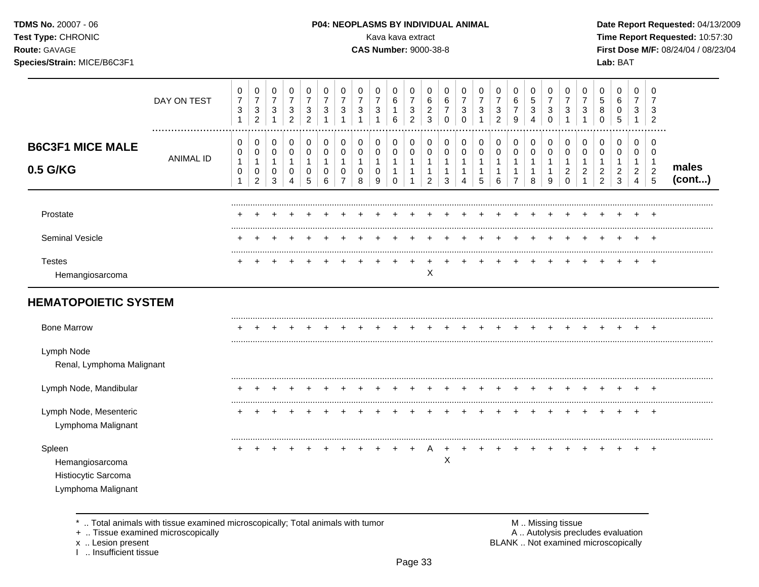| <b>TDMS No. 20007 - 06</b> |  |
|----------------------------|--|
| <b>Test Type: CHRONIC</b>  |  |
| <b>Route: GAVAGE</b>       |  |

Species/Strain: MICE/B6C3F1

#### P04: NEOPLASMS BY INDIVIDUAL ANIMAL

Kava kava extract

CAS Number: 9000-38-8

Date Report Requested: 04/13/2009 Time Report Requested: 10:57:30 First Dose M/F: 08/24/04 / 08/23/04 Lab: BAT

|                                              | DAY ON TEST      | 0<br>$\overline{7}$<br>$\sqrt{3}$<br>$\overline{1}$ | $\pmb{0}$<br>$\overline{7}$<br>$\ensuremath{\mathsf{3}}$<br>$\overline{c}$ | $\mathbf 0$<br>$\overline{7}$<br>$\mathbf{3}$<br>$\mathbf{1}$ | $\pmb{0}$<br>$\boldsymbol{7}$<br>$\ensuremath{\mathsf{3}}$<br>$\overline{2}$ | $\mathbf 0$<br>$\overline{7}$<br>$\sqrt{3}$<br>$\overline{2}$ | 0<br>$\overline{7}$<br>3<br>1   | 0<br>$\overline{7}$<br>$\mathbf{3}$<br>1      | 0<br>$\overline{7}$<br>3                | 0<br>$\overline{7}$<br>3                                   | 0<br>$\,6\,$<br>$\mathbf{1}$<br>6                             | 0<br>$\overline{7}$<br>$\ensuremath{\mathsf{3}}$<br>$\overline{2}$ | $\mathbf 0$<br>6<br>$\overline{c}$<br>$\mathfrak{Z}$ | 0<br>$\,6\,$<br>$\overline{7}$<br>$\mathbf 0$ | 0<br>$\overline{7}$<br>$\mathbf{3}$<br>$\mathbf 0$    | 0<br>$\overline{7}$<br>3                 | 0<br>$\overline{7}$<br>$\ensuremath{\mathsf{3}}$<br>$\overline{c}$ | 0<br>$\,6\,$<br>$\boldsymbol{7}$<br>$\boldsymbol{9}$                     | 0<br>$\sqrt{5}$<br>$\ensuremath{\mathsf{3}}$<br>$\overline{4}$ | 0<br>$\overline{7}$<br>$\sqrt{3}$<br>$\mathbf 0$      | 0<br>$\overline{7}$<br>3<br>$\mathbf{1}$    | 0<br>$\overline{7}$<br>3<br>1          | 0<br>5<br>8<br>$\Omega$                                         | 0<br>6<br>0<br>5                                         | 0<br>$\overline{7}$<br>3<br>$\mathbf{1}$                                         | $\mathbf 0$<br>$\overline{7}$<br>3<br>2                              |                 |
|----------------------------------------------|------------------|-----------------------------------------------------|----------------------------------------------------------------------------|---------------------------------------------------------------|------------------------------------------------------------------------------|---------------------------------------------------------------|---------------------------------|-----------------------------------------------|-----------------------------------------|------------------------------------------------------------|---------------------------------------------------------------|--------------------------------------------------------------------|------------------------------------------------------|-----------------------------------------------|-------------------------------------------------------|------------------------------------------|--------------------------------------------------------------------|--------------------------------------------------------------------------|----------------------------------------------------------------|-------------------------------------------------------|---------------------------------------------|----------------------------------------|-----------------------------------------------------------------|----------------------------------------------------------|----------------------------------------------------------------------------------|----------------------------------------------------------------------|-----------------|
| <b>B6C3F1 MICE MALE</b><br>0.5 G/KG          | <b>ANIMAL ID</b> | 0<br>0<br>$\mathbf{1}$<br>0<br>$\mathbf{1}$         | $\,0\,$<br>$\,0\,$<br>$\mathbf{1}$<br>$\pmb{0}$<br>$\overline{c}$          | 0<br>$\mathbf 0$<br>$\mathbf{1}$<br>0<br>$\mathbf{3}$         | 0<br>$\mathbf 0$<br>$\mathbf{1}$<br>$\mathbf 0$<br>$\overline{4}$            | 0<br>$\mathbf 0$<br>$\overline{1}$<br>0<br>5                  | 0<br>0<br>$\mathbf 1$<br>0<br>6 | $\mathbf 0$<br>0<br>-1<br>0<br>$\overline{7}$ | 0<br>$\pmb{0}$<br>1<br>$\mathbf 0$<br>8 | $\pmb{0}$<br>$\pmb{0}$<br>$\mathbf{1}$<br>$\mathbf 0$<br>9 | 0<br>$\pmb{0}$<br>$\mathbf{1}$<br>$\mathbf{1}$<br>$\mathbf 0$ | 0<br>$\mathbf 0$<br>$\overline{1}$<br>$\mathbf{1}$<br>$\mathbf{1}$ | 0<br>0<br>1<br>$\mathbf{1}$<br>$\overline{2}$        | 0<br>0<br>1<br>$\mathbf{1}$<br>3              | $\mathbf 0$<br>0<br>$\mathbf{1}$<br>$\mathbf{1}$<br>4 | 0<br>$\pmb{0}$<br>1<br>$\mathbf{1}$<br>5 | $\pmb{0}$<br>$\pmb{0}$<br>$\mathbf{1}$<br>$\mathbf{1}$<br>6        | $\pmb{0}$<br>$\pmb{0}$<br>$\mathbf{1}$<br>$\mathbf{1}$<br>$\overline{7}$ | 0<br>$\mathbf 0$<br>1<br>$\mathbf{1}$<br>8                     | 0<br>$\mathbf 0$<br>$\mathbf{1}$<br>$\mathbf{1}$<br>9 | 0<br>0<br>1<br>$\overline{\mathbf{c}}$<br>0 | $\pmb{0}$<br>0<br>-1<br>$\overline{c}$ | $\pmb{0}$<br>$\pmb{0}$<br>1<br>$\overline{c}$<br>$\overline{2}$ | 0<br>0<br>$\mathbf{1}$<br>$\overline{c}$<br>$\mathbf{3}$ | $\mathbf 0$<br>$\mathbf 0$<br>$\overline{1}$<br>$\overline{2}$<br>$\overline{4}$ | $\mathbf 0$<br>$\mathbf 0$<br>-1<br>$\overline{2}$<br>$\overline{5}$ | males<br>(cont) |
| Prostate                                     |                  |                                                     |                                                                            |                                                               |                                                                              |                                                               |                                 |                                               |                                         |                                                            |                                                               |                                                                    |                                                      |                                               |                                                       |                                          |                                                                    |                                                                          |                                                                |                                                       |                                             |                                        |                                                                 |                                                          |                                                                                  |                                                                      |                 |
| <b>Seminal Vesicle</b>                       |                  |                                                     |                                                                            |                                                               |                                                                              |                                                               |                                 |                                               |                                         |                                                            |                                                               |                                                                    |                                                      |                                               |                                                       |                                          |                                                                    |                                                                          |                                                                |                                                       |                                             |                                        |                                                                 |                                                          |                                                                                  |                                                                      |                 |
| <b>Testes</b><br>Hemangiosarcoma             |                  |                                                     |                                                                            |                                                               |                                                                              |                                                               |                                 |                                               |                                         |                                                            |                                                               |                                                                    | X                                                    |                                               |                                                       |                                          |                                                                    |                                                                          |                                                                |                                                       |                                             |                                        |                                                                 |                                                          |                                                                                  |                                                                      |                 |
| <b>HEMATOPOIETIC SYSTEM</b>                  |                  |                                                     |                                                                            |                                                               |                                                                              |                                                               |                                 |                                               |                                         |                                                            |                                                               |                                                                    |                                                      |                                               |                                                       |                                          |                                                                    |                                                                          |                                                                |                                                       |                                             |                                        |                                                                 |                                                          |                                                                                  |                                                                      |                 |
|                                              |                  |                                                     |                                                                            |                                                               |                                                                              |                                                               |                                 |                                               |                                         |                                                            |                                                               |                                                                    |                                                      |                                               |                                                       |                                          |                                                                    |                                                                          |                                                                |                                                       |                                             |                                        |                                                                 |                                                          |                                                                                  |                                                                      |                 |
| <b>Bone Marrow</b>                           |                  |                                                     |                                                                            |                                                               |                                                                              |                                                               |                                 |                                               |                                         |                                                            |                                                               |                                                                    |                                                      |                                               |                                                       |                                          |                                                                    |                                                                          |                                                                |                                                       |                                             |                                        |                                                                 |                                                          |                                                                                  |                                                                      |                 |
| Lymph Node<br>Renal, Lymphoma Malignant      |                  |                                                     |                                                                            |                                                               |                                                                              |                                                               |                                 |                                               |                                         |                                                            |                                                               |                                                                    |                                                      |                                               |                                                       |                                          |                                                                    |                                                                          |                                                                |                                                       |                                             |                                        |                                                                 |                                                          |                                                                                  |                                                                      |                 |
| Lymph Node, Mandibular                       |                  |                                                     |                                                                            |                                                               |                                                                              |                                                               |                                 |                                               |                                         |                                                            |                                                               |                                                                    |                                                      |                                               |                                                       |                                          |                                                                    |                                                                          |                                                                |                                                       |                                             |                                        |                                                                 |                                                          |                                                                                  |                                                                      |                 |
| Lymph Node, Mesenteric<br>Lymphoma Malignant |                  |                                                     |                                                                            |                                                               |                                                                              |                                                               |                                 |                                               |                                         |                                                            |                                                               |                                                                    |                                                      |                                               |                                                       |                                          |                                                                    |                                                                          |                                                                |                                                       |                                             |                                        |                                                                 |                                                          |                                                                                  | $\pm$                                                                |                 |

+ .. Tissue examined microscopically

x .. Lesion present<br>I .. Insufficient tissue

A .. Autolysis precludes evaluation BLANK .. Not examined microscopically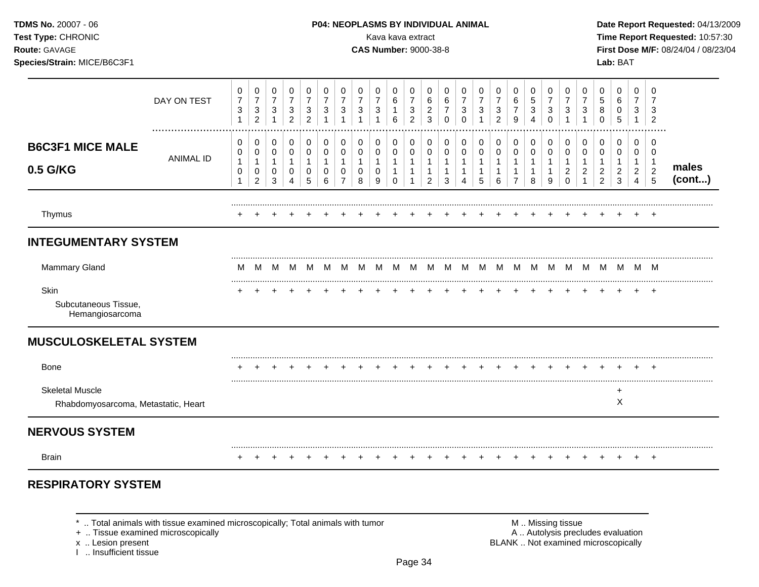| <b>TDMS No. 20007 - 06</b> |  |
|----------------------------|--|
| <b>Test Type: CHRONIC</b>  |  |
| <b>Route: GAVAGE</b>       |  |

#### Species/Strain: MICE/B6C3F1

#### P04: NEOPLASMS BY INDIVIDUAL ANIMAL

Kava kava extract

**CAS Number: 9000-38-8** 

Date Report Requested: 04/13/2009 Time Report Requested: 10:57:30 First Dose M/F: 08/24/04 / 08/23/04 Lab: BAT

|                                                               | DAY ON TEST          | 0<br>$\overline{7}$<br>3<br>$\mathbf{1}$              | 0<br>$\overline{7}$<br>$\ensuremath{\mathsf{3}}$<br>$\overline{2}$ | 0<br>$\overline{7}$<br>3                   | 0<br>$\overline{7}$<br>3<br>2            | 0<br>$\overline{7}$<br>3<br>2                | 0<br>$\overline{7}$<br>3                     | 0<br>$\overline{7}$<br>3            | 0<br>$\overline{7}$<br>3 | 0<br>$\overline{7}$<br>3         | 0<br>6<br>$\mathbf{1}$<br>6                                  | 0<br>$\overline{7}$<br>$\mathbf{3}$<br>$\overline{2}$     | 0<br>6<br>$\overline{2}$<br>3 | 0<br>6<br>$\overline{7}$<br>$\Omega$ | 0<br>$\overline{7}$<br>3<br>$\Omega$  | 0<br>$\overline{7}$<br>3 | 0<br>$\overline{7}$<br>3<br>$\overline{2}$ | 0<br>6<br>$\overline{7}$<br>9                                            | 0<br>5<br>3<br>4                | 0<br>3<br>0        | 0<br>$\overline{7}$<br>3          | 0<br>$\overline{7}$<br>3                                           | 0<br>$\sqrt{5}$<br>8<br>$\Omega$                                       | 0<br>6<br>0<br>5                                        | 0<br>$\overline{7}$<br>3                                | $\Omega$<br>$\overline{7}$<br>3<br>$\overline{2}$                   |                 |
|---------------------------------------------------------------|----------------------|-------------------------------------------------------|--------------------------------------------------------------------|--------------------------------------------|------------------------------------------|----------------------------------------------|----------------------------------------------|-------------------------------------|--------------------------|----------------------------------|--------------------------------------------------------------|-----------------------------------------------------------|-------------------------------|--------------------------------------|---------------------------------------|--------------------------|--------------------------------------------|--------------------------------------------------------------------------|---------------------------------|--------------------|-----------------------------------|--------------------------------------------------------------------|------------------------------------------------------------------------|---------------------------------------------------------|---------------------------------------------------------|---------------------------------------------------------------------|-----------------|
| <b>B6C3F1 MICE MALE</b><br>0.5 G/KG                           | <br><b>ANIMAL ID</b> | $\mathbf 0$<br>0<br>$\mathbf{1}$<br>0<br>$\mathbf{1}$ | 0<br>0<br>$\mathbf 1$<br>0<br>$\overline{2}$                       | 0<br>$\mathbf 0$<br>$\mathbf{1}$<br>0<br>3 | 0<br>$\pmb{0}$<br>$\mathbf{1}$<br>0<br>4 | $\,0\,$<br>$\,0\,$<br>$\mathbf{1}$<br>0<br>5 | 0<br>$\mathbf 0$<br>$\overline{1}$<br>0<br>6 | 0<br>0<br>-1<br>0<br>$\overline{7}$ | 0<br>0<br>0<br>8         | 0<br>0<br>$\mathbf{1}$<br>0<br>9 | 0<br>$\mathbf 0$<br>$\mathbf{1}$<br>$\mathbf{1}$<br>$\Omega$ | $\mathbf 0$<br>$\mathbf 0$<br>$\mathbf{1}$<br>$\mathbf 1$ | 0<br>$\mathbf 0$<br>2         | 0<br>0<br>-1<br>3                    | 0<br>$\mathbf 0$<br>$\mathbf{1}$<br>4 | 0<br>0<br>1<br>5         | 0<br>$\mathbf 0$<br>$\mathbf{1}$<br>6      | $\pmb{0}$<br>$\pmb{0}$<br>$\mathbf{1}$<br>$\mathbf{1}$<br>$\overline{7}$ | 0<br>$\mathbf 0$<br>1<br>1<br>8 | 0<br>$\Omega$<br>9 | 0<br>$\mathbf 0$<br>2<br>$\Omega$ | 0<br>$\pmb{0}$<br>$\mathbf{1}$<br>$\overline{c}$<br>$\overline{1}$ | 0<br>$\mathbf 0$<br>$\overline{1}$<br>$\overline{2}$<br>$\overline{2}$ | 0<br>$\mathbf 0$<br>$\mathbf{1}$<br>$\overline{c}$<br>3 | $\mathbf 0$<br>0<br>$\mathbf{1}$<br>$\overline{2}$<br>4 | $\mathbf 0$<br>$\mathbf 0$<br>$\overline{1}$<br>$\overline{2}$<br>5 | males<br>(cont) |
| Thymus                                                        |                      |                                                       |                                                                    |                                            |                                          |                                              |                                              |                                     |                          |                                  |                                                              |                                                           |                               |                                      |                                       |                          |                                            |                                                                          |                                 |                    |                                   |                                                                    |                                                                        |                                                         |                                                         |                                                                     |                 |
| <b>INTEGUMENTARY SYSTEM</b>                                   |                      |                                                       |                                                                    |                                            |                                          |                                              |                                              |                                     |                          |                                  |                                                              |                                                           |                               |                                      |                                       |                          |                                            |                                                                          |                                 |                    |                                   |                                                                    |                                                                        |                                                         |                                                         |                                                                     |                 |
| Mammary Gland                                                 |                      | M                                                     | M                                                                  | M                                          | M                                        | M                                            | M                                            | M                                   | M                        | M                                | M                                                            | M                                                         | M                             | M                                    | M                                     |                          | M M M                                      |                                                                          | M                               | M                  |                                   | MMM                                                                |                                                                        | M                                                       | M                                                       | M                                                                   |                 |
| Skin<br>Subcutaneous Tissue,<br>Hemangiosarcoma               |                      |                                                       |                                                                    |                                            |                                          |                                              |                                              |                                     |                          |                                  |                                                              |                                                           |                               |                                      |                                       |                          |                                            |                                                                          |                                 |                    |                                   |                                                                    |                                                                        |                                                         |                                                         |                                                                     |                 |
| <b>MUSCULOSKELETAL SYSTEM</b>                                 |                      |                                                       |                                                                    |                                            |                                          |                                              |                                              |                                     |                          |                                  |                                                              |                                                           |                               |                                      |                                       |                          |                                            |                                                                          |                                 |                    |                                   |                                                                    |                                                                        |                                                         |                                                         |                                                                     |                 |
| <b>Bone</b>                                                   |                      |                                                       |                                                                    |                                            |                                          |                                              |                                              |                                     |                          |                                  |                                                              |                                                           |                               |                                      |                                       |                          |                                            |                                                                          |                                 |                    |                                   |                                                                    |                                                                        |                                                         |                                                         |                                                                     |                 |
| <b>Skeletal Muscle</b><br>Rhabdomyosarcoma, Metastatic, Heart |                      |                                                       |                                                                    |                                            |                                          |                                              |                                              |                                     |                          |                                  |                                                              |                                                           |                               |                                      |                                       |                          |                                            |                                                                          |                                 |                    |                                   |                                                                    |                                                                        | $\ddot{}$<br>X                                          |                                                         |                                                                     |                 |
| <b>NERVOUS SYSTEM</b>                                         |                      |                                                       |                                                                    |                                            |                                          |                                              |                                              |                                     |                          |                                  |                                                              |                                                           |                               |                                      |                                       |                          |                                            |                                                                          |                                 |                    |                                   |                                                                    |                                                                        |                                                         |                                                         |                                                                     |                 |
| <b>Brain</b>                                                  |                      |                                                       |                                                                    |                                            |                                          |                                              |                                              |                                     |                          |                                  |                                                              |                                                           |                               |                                      |                                       |                          |                                            |                                                                          |                                 |                    |                                   |                                                                    |                                                                        |                                                         |                                                         | $\div$                                                              |                 |

# **RESPIRATORY SYSTEM**

\* .. Total animals with tissue examined microscopically; Total animals with tumor

+ .. Tissue examined microscopically

x .. Lesion present<br>I .. Insufficient tissue

M .. Missing tissue<br>A .. Autolysis precludes evaluation BLANK .. Not examined microscopically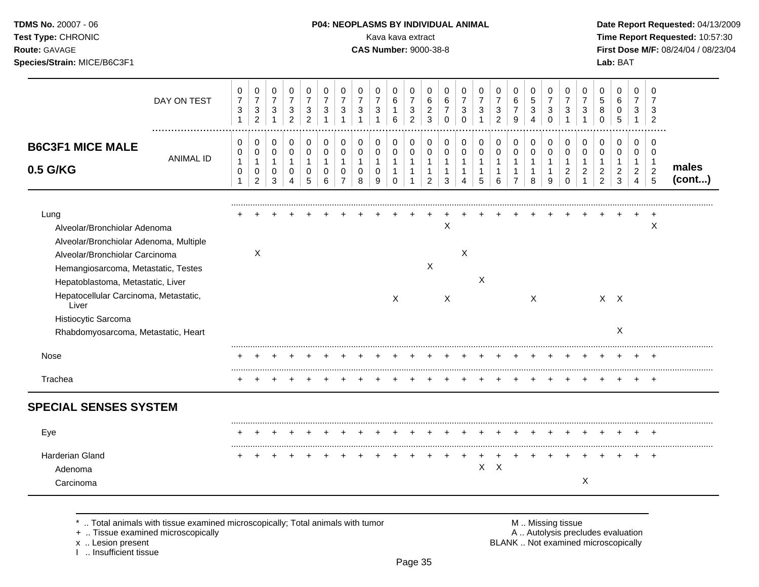| <b>TDMS No. 20007 - 06</b> |
|----------------------------|
| <b>Test Type: CHRONIC</b>  |
| <b>Route: GAVAGE</b>       |
|                            |

Kava kava extract **Time Report Requested:** 10:57:30 **CAS Number:** 9000-38-8 **First Dose M/F:** 08/24/04 / 08/23/04 **Species/Strain:** MICE/B6C3F1 **Lab:** BAT

|                                                                                                                                                                                                                                       |                  | 3<br>-1          | $\boldsymbol{7}$<br>$\sqrt{3}$<br>$\overline{2}$                  | $\overline{7}$<br>$\ensuremath{\mathsf{3}}$<br>$\mathbf{1}$ | $\boldsymbol{7}$<br>$\sqrt{3}$<br>$\overline{2}$                            | $\overline{7}$<br>3<br>$\overline{2}$              | $\overline{7}$<br>3                                  | $\overline{7}$<br>3<br>1                                       | $\overline{7}$<br>3<br>1                   | $\overline{7}$<br>$\mathbf{3}$<br>-1         | 6<br>1<br>6                                                  | $\overline{7}$<br>$\sqrt{3}$<br>$\overline{2}$ | $\,6$<br>$\sqrt{2}$<br>3                                | 6<br>$\overline{7}$<br>$\Omega$                    | $\overline{7}$<br>3<br>$\Omega$ | $\overline{7}$<br>3                       | $\overline{7}$<br>$\sqrt{3}$<br>$\overline{2}$ | $\,6\,$<br>$\overline{7}$<br>9                                   | 5<br>3<br>4                              | $\overline{7}$<br>3<br>$\Omega$ | $\overline{7}$<br>3<br>1                                       | $\overline{7}$<br>3<br>1                 | 5<br>8<br>$\Omega$                                        | 6<br>0<br>5                                             | 0<br>$\overline{7}$<br>3<br>1                                   | $\overline{7}$<br>3<br>2                                               |                 |
|---------------------------------------------------------------------------------------------------------------------------------------------------------------------------------------------------------------------------------------|------------------|------------------|-------------------------------------------------------------------|-------------------------------------------------------------|-----------------------------------------------------------------------------|----------------------------------------------------|------------------------------------------------------|----------------------------------------------------------------|--------------------------------------------|----------------------------------------------|--------------------------------------------------------------|------------------------------------------------|---------------------------------------------------------|----------------------------------------------------|---------------------------------|-------------------------------------------|------------------------------------------------|------------------------------------------------------------------|------------------------------------------|---------------------------------|----------------------------------------------------------------|------------------------------------------|-----------------------------------------------------------|---------------------------------------------------------|-----------------------------------------------------------------|------------------------------------------------------------------------|-----------------|
| <b>B6C3F1 MICE MALE</b><br>0.5 G/KG                                                                                                                                                                                                   | <b>ANIMAL ID</b> | 0<br>0<br>1<br>0 | 0<br>$\mathbf 0$<br>$\mathbf{1}$<br>$\mathbf 0$<br>$\overline{c}$ | 0<br>0<br>$\mathbf{1}$<br>0<br>3                            | $\mathbf 0$<br>$\mathbf 0$<br>$\mathbf{1}$<br>$\mathbf 0$<br>$\overline{A}$ | 0<br>$\pmb{0}$<br>$\mathbf{1}$<br>$\mathbf 0$<br>5 | 0<br>$\mathbf 0$<br>$\mathbf{1}$<br>$\mathbf 0$<br>6 | 0<br>$\mathbf 0$<br>$\mathbf{1}$<br>$\Omega$<br>$\overline{7}$ | 0<br>$\mathbf 0$<br>$\mathbf{1}$<br>0<br>8 | 0<br>0<br>$\overline{1}$<br>$\mathbf 0$<br>9 | 0<br>$\mathbf 0$<br>$\mathbf{1}$<br>$\mathbf{1}$<br>$\Omega$ | 0<br>$\pmb{0}$<br>$\mathbf{1}$<br>$\mathbf{1}$ | 0<br>$\mathbf 0$<br>$\mathbf{1}$<br>1<br>$\overline{2}$ | 0<br>$\pmb{0}$<br>$\mathbf{1}$<br>$\mathbf 1$<br>3 | 0<br>$\mathbf 0$<br>1<br>Δ      | 0<br>$\mathbf 0$<br>$\mathbf 1$<br>1<br>5 | 0<br>0<br>$\mathbf{1}$<br>$\mathbf{1}$<br>6    | 0<br>$\pmb{0}$<br>$\mathbf{1}$<br>$\mathbf{1}$<br>$\overline{7}$ | 0<br>$\pmb{0}$<br>$\mathbf{1}$<br>1<br>8 | 0<br>$\mathbf 0$<br>1<br>9      | 0<br>$\pmb{0}$<br>$\mathbf{1}$<br>$\boldsymbol{2}$<br>$\Omega$ | 0<br>0<br>$\mathbf{1}$<br>$\overline{a}$ | 0<br>0<br>$\mathbf 1$<br>$\overline{c}$<br>$\overline{2}$ | 0<br>$\mathbf 0$<br>$\mathbf{1}$<br>$\overline{c}$<br>3 | $\pmb{0}$<br>$\mathbf 0$<br>$\mathbf{1}$<br>$\overline{2}$<br>4 | 0<br>$\mathbf 0$<br>$\overline{1}$<br>$\overline{c}$<br>$5\phantom{1}$ | males<br>(cont) |
| Lung<br>Alveolar/Bronchiolar Adenoma<br>Alveolar/Bronchiolar Adenoma, Multiple<br>Alveolar/Bronchiolar Carcinoma<br>Hemangiosarcoma, Metastatic, Testes<br>Hepatoblastoma, Metastatic, Liver<br>Hepatocellular Carcinoma, Metastatic, |                  |                  | X                                                                 |                                                             |                                                                             |                                                    |                                                      |                                                                |                                            |                                              | $\sf X$                                                      |                                                | X                                                       | X<br>X                                             | X                               | $\boldsymbol{X}$                          |                                                |                                                                  | $\boldsymbol{\mathsf{X}}$                |                                 |                                                                |                                          | $X$ $X$                                                   |                                                         |                                                                 | X                                                                      |                 |
| Liver<br>Histiocytic Sarcoma<br>Rhabdomyosarcoma, Metastatic, Heart                                                                                                                                                                   |                  |                  |                                                                   |                                                             |                                                                             |                                                    |                                                      |                                                                |                                            |                                              |                                                              |                                                |                                                         |                                                    |                                 |                                           |                                                |                                                                  |                                          |                                 |                                                                |                                          |                                                           | X                                                       |                                                                 |                                                                        |                 |
| Nose                                                                                                                                                                                                                                  |                  |                  |                                                                   |                                                             |                                                                             |                                                    |                                                      |                                                                |                                            |                                              |                                                              |                                                |                                                         |                                                    |                                 |                                           |                                                |                                                                  |                                          |                                 |                                                                |                                          |                                                           |                                                         |                                                                 |                                                                        |                 |
| Trachea                                                                                                                                                                                                                               |                  |                  |                                                                   |                                                             |                                                                             |                                                    |                                                      |                                                                |                                            |                                              |                                                              |                                                |                                                         |                                                    |                                 |                                           |                                                |                                                                  |                                          |                                 |                                                                |                                          |                                                           |                                                         |                                                                 |                                                                        |                 |
| <b>SPECIAL SENSES SYSTEM</b>                                                                                                                                                                                                          |                  |                  |                                                                   |                                                             |                                                                             |                                                    |                                                      |                                                                |                                            |                                              |                                                              |                                                |                                                         |                                                    |                                 |                                           |                                                |                                                                  |                                          |                                 |                                                                |                                          |                                                           |                                                         |                                                                 |                                                                        |                 |
| Eye                                                                                                                                                                                                                                   |                  |                  |                                                                   |                                                             |                                                                             |                                                    |                                                      |                                                                |                                            |                                              |                                                              |                                                |                                                         |                                                    |                                 |                                           |                                                |                                                                  |                                          |                                 |                                                                |                                          |                                                           |                                                         |                                                                 |                                                                        |                 |
| Harderian Gland<br>Adenoma<br>Carcinoma                                                                                                                                                                                               |                  |                  |                                                                   |                                                             |                                                                             |                                                    |                                                      |                                                                |                                            |                                              |                                                              |                                                |                                                         |                                                    |                                 | $\mathsf{X}$                              | $\mathsf{X}$                                   |                                                                  |                                          |                                 |                                                                | X                                        |                                                           |                                                         |                                                                 | $\ddot{}$                                                              |                 |

\* .. Total animals with tissue examined microscopically; Total animals with tumor <br>
+ .. Tissue examined microscopically<br>
+ .. Tissue examined microscopically

+ .. Tissue examined microscopically

x .. Lesion present<br>I .. Insufficient tissue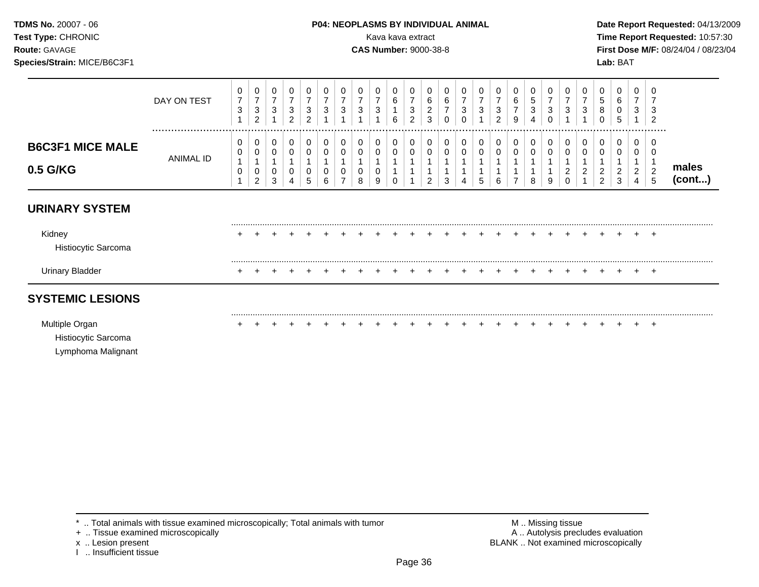| <b>TDMS No. 20007 - 06</b>         | <b>P04: NEOPLASMS BY INDIVIDUAL ANIMAL</b> | Date Rep         |
|------------------------------------|--------------------------------------------|------------------|
| <b>Test Type: CHRONIC</b>          | Kava kava extract                          | Time Rer         |
| <b>Route: GAVAGE</b>               | <b>CAS Number: 9000-38-8</b>               | <b>First Dos</b> |
| <b>Species/Strain: MICE/B6C3F1</b> |                                            | <b>Lab: BAT</b>  |

**Time Report Requested:** 10:57:30 **CAS Number:** 9000-38-8 **First Dose M/F:** 08/24/04 / 08/23/04

|                                                             | DAY ON TEST   | 0<br>$\overline{7}$<br>$\mathbf{3}$ | 0<br>7<br>3<br>$\overline{c}$ | 0<br>$\boldsymbol{7}$<br>3 | 0<br>$\overline{7}$<br>3<br>2 | 0<br>$\overline{7}$<br>3<br>2 | 0<br>3      | 0 | 0<br>$\overline{7}$<br>$\mathbf{3}$ | 0<br>$\overline{7}$<br>3 | 0<br>6<br>6                  | 0<br>3<br>$\overline{2}$ | 0<br>6<br>2<br>3 | 0<br>6<br>0 | 3 | 0<br>$\overline{7}$<br>3 | 0<br>$\overline{7}$<br>3<br>$\overline{2}$ | 0<br>6<br>7<br>9 | 0<br>5<br>3         | 0<br>3<br>$\Omega$ | 0<br>3 | 0<br>3      | 0<br>5<br>8<br>0                           | 0<br>6<br>0<br>5                   | 0<br>$\overline{7}$<br>3                             | O<br>3<br>$\overline{2}$      |                       |
|-------------------------------------------------------------|---------------|-------------------------------------|-------------------------------|----------------------------|-------------------------------|-------------------------------|-------------|---|-------------------------------------|--------------------------|------------------------------|--------------------------|------------------|-------------|---|--------------------------|--------------------------------------------|------------------|---------------------|--------------------|--------|-------------|--------------------------------------------|------------------------------------|------------------------------------------------------|-------------------------------|-----------------------|
| <b>B6C3F1 MICE MALE</b><br>0.5 G/KG                         | <br>ANIMAL ID | 0<br>0<br>0                         | 0<br>0<br>0<br>$\overline{c}$ | $\pmb{0}$<br>0<br>0<br>3   | 0<br>0<br>0<br>4              | 0<br>0<br>0<br>5              | 0<br>0<br>6 | 0 | 0<br>$\pmb{0}$<br>0<br>8            | 0<br>0<br>0<br>9         | 0<br>$\mathbf 0$<br>$\Omega$ | 0<br>0                   | 0<br>0<br>2      | 0<br>3      | 0 | 0<br>0<br>5              | 0<br>0<br>6                                | 0<br>0           | $\pmb{0}$<br>0<br>8 | 0<br>9             | 2      | 0<br>0<br>2 | 0<br>0<br>$\overline{c}$<br>$\overline{2}$ | 0<br>0<br>1<br>$\overline{c}$<br>3 | $\mathbf 0$<br>0<br>$\overline{c}$<br>$\overline{4}$ | .<br>0<br>$\overline{c}$<br>5 | males<br>$($ cont $)$ |
| <b>URINARY SYSTEM</b>                                       |               |                                     |                               |                            |                               |                               |             |   |                                     |                          |                              |                          |                  |             |   |                          |                                            |                  |                     |                    |        |             |                                            |                                    |                                                      |                               |                       |
| Kidney<br>Histiocytic Sarcoma                               |               |                                     |                               |                            |                               |                               |             |   |                                     |                          |                              |                          |                  |             |   |                          |                                            |                  |                     |                    |        |             |                                            |                                    |                                                      |                               |                       |
| <b>Urinary Bladder</b>                                      |               |                                     |                               |                            |                               |                               |             |   |                                     |                          |                              |                          |                  |             |   |                          |                                            |                  |                     |                    |        |             |                                            |                                    |                                                      | $\div$                        |                       |
| <b>SYSTEMIC LESIONS</b>                                     |               |                                     |                               |                            |                               |                               |             |   |                                     |                          |                              |                          |                  |             |   |                          |                                            |                  |                     |                    |        |             |                                            |                                    |                                                      |                               |                       |
| Multiple Organ<br>Histiocytic Sarcoma<br>Lymphoma Malignant |               |                                     |                               |                            |                               |                               |             |   |                                     |                          |                              |                          |                  |             |   |                          |                                            |                  |                     |                    |        |             |                                            |                                    |                                                      | $\div$                        |                       |

 $*$  .. Total animals with tissue examined microscopically; Total animals with tumor  $\blacksquare$  M .. Missing tissue

x .. Lesion present<br>I .. Insufficient tissue

+ .. Tissue examined microscopically  $\blacksquare$  A .. Autolysis precludes evaluation M .. Missing tissue<br>A .. Autolysis precludes evaluation<br>BLANK .. Not examined microscopically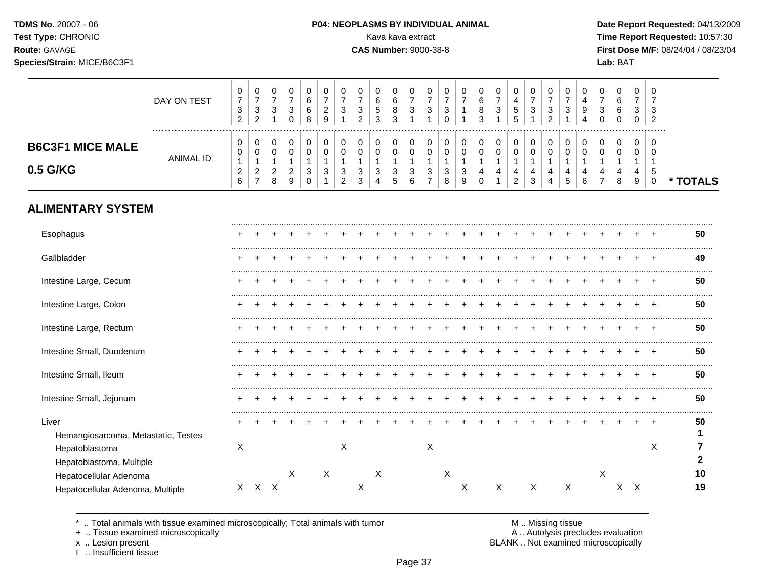## **TDMS No.** 20007 - 06 **P04: NEOPLASMS BY INDIVIDUAL ANIMAL** Date Report Requested: 04/13/2009

**Test Type:** CHRONIC Kava kava extract **Time Report Requested:** 10:57:30 **Route:** GAVAGE **CAS Number:** 9000-38-8 **First Dose M/F:** 08/24/04 / 08/23/04

|                                                                                            | DAY ON TEST      | 0<br>$\overline{7}$<br>3<br>$\overline{c}$ | 0<br>$\overline{7}$<br>$\mathbf{3}$<br>$\overline{c}$        | 0<br>$\overline{7}$<br>$\mathbf{3}$<br>$\overline{1}$     | 0<br>$\overline{7}$<br>3<br>$\pmb{0}$                     | 0<br>6<br>6<br>8                                  | 0<br>$\overline{7}$<br>$\overline{2}$<br>$\boldsymbol{9}$ | 0<br>$\overline{7}$<br>3                                                   | 0<br>$\overline{7}$<br>$\ensuremath{\mathsf{3}}$<br>$\overline{2}$ | 0<br>6<br>5<br>$\mathfrak{S}$                            | 0<br>$\,6\,$<br>$\bf 8$<br>$\mathfrak{S}$         | 0<br>$\overline{7}$<br>$\sqrt{3}$<br>1    | 0<br>$\overline{7}$<br>3                                         | 0<br>$\overline{7}$<br>$\sqrt{3}$<br>$\mathbf 0$                  | 0<br>7<br>$\mathbf{1}$                           | 0<br>$\,6$<br>8<br>3                                        | 0<br>$\overline{7}$<br>$\mathbf{3}$   | 0<br>$\overline{4}$<br>$\sqrt{5}$<br>5                                        | 0<br>$\overline{7}$<br>$\mathbf{3}$                                       | 0<br>$\overline{7}$<br>$\mathbf{3}$<br>$\overline{c}$ | 0<br>$\overline{7}$<br>3         | 0<br>$\overline{4}$<br>9<br>4    | $\mathbf 0$<br>$\overline{7}$<br>3<br>0                           | 0<br>6<br>6<br>$\mathbf 0$       | 0<br>$\overline{7}$<br>3<br>0        | 0<br>7<br>3<br>$\overline{c}$                              |          |
|--------------------------------------------------------------------------------------------|------------------|--------------------------------------------|--------------------------------------------------------------|-----------------------------------------------------------|-----------------------------------------------------------|---------------------------------------------------|-----------------------------------------------------------|----------------------------------------------------------------------------|--------------------------------------------------------------------|----------------------------------------------------------|---------------------------------------------------|-------------------------------------------|------------------------------------------------------------------|-------------------------------------------------------------------|--------------------------------------------------|-------------------------------------------------------------|---------------------------------------|-------------------------------------------------------------------------------|---------------------------------------------------------------------------|-------------------------------------------------------|----------------------------------|----------------------------------|-------------------------------------------------------------------|----------------------------------|--------------------------------------|------------------------------------------------------------|----------|
| <b>B6C3F1 MICE MALE</b><br>0.5 G/KG                                                        | <b>ANIMAL ID</b> | 0<br>0<br>$\mathbf{1}$<br>$\frac{2}{6}$    | 0<br>0<br>$\mathbf{1}$<br>$\boldsymbol{2}$<br>$\overline{7}$ | 0<br>$\mathbf 0$<br>$\overline{1}$<br>$\overline{2}$<br>8 | 0<br>$\mathbf 0$<br>$\overline{1}$<br>$\overline{2}$<br>9 | $\mathbf 0$<br>0<br>$\mathbf{1}$<br>3<br>$\Omega$ | 0<br>$\mathbf 0$<br>3                                     | $\mathbf 0$<br>$\mathbf 0$<br>$\mathbf{1}$<br>$\sqrt{3}$<br>$\overline{c}$ | 0<br>$\pmb{0}$<br>$\mathbf{1}$<br>$\mathbf{3}$<br>3                | 0<br>0<br>$\mathbf{1}$<br>$\mathbf{3}$<br>$\overline{4}$ | 0<br>$\pmb{0}$<br>$\mathbf{1}$<br>$\sqrt{3}$<br>5 | 0<br>0<br>$\mathbf{1}$<br>$\sqrt{3}$<br>6 | 0<br>$\mathbf 0$<br>$\mathbf{1}$<br>$\sqrt{3}$<br>$\overline{7}$ | $\mathbf 0$<br>$\mathbf 0$<br>$\overline{1}$<br>$\mathbf{3}$<br>8 | 0<br>$\pmb{0}$<br>$\mathbf 1$<br>$\sqrt{3}$<br>9 | $\mathbf 0$<br>$\mathbf 0$<br>$\mathbf{1}$<br>4<br>$\Omega$ | 0<br>$\mathbf 0$<br>$\mathbf{1}$<br>4 | 0<br>$\mathbf 0$<br>$\mathbf{1}$<br>$\overline{\mathbf{4}}$<br>$\overline{2}$ | 0<br>$\pmb{0}$<br>$\mathbf{1}$<br>$\overline{\mathbf{4}}$<br>$\mathbf{3}$ | 0<br>$\pmb{0}$<br>$\mathbf{1}$<br>4<br>$\overline{4}$ | 0<br>0<br>$\mathbf{1}$<br>4<br>5 | 0<br>0<br>$\mathbf{1}$<br>4<br>6 | $\mathbf 0$<br>$\mathbf 0$<br>$\mathbf{1}$<br>4<br>$\overline{7}$ | 0<br>0<br>$\mathbf{1}$<br>4<br>8 | $\mathbf 0$<br>$\mathbf 0$<br>4<br>9 | $\Omega$<br>$\Omega$<br>$\overline{1}$<br>5<br>$\mathbf 0$ | * TOTALS |
| <b>ALIMENTARY SYSTEM</b>                                                                   |                  |                                            |                                                              |                                                           |                                                           |                                                   |                                                           |                                                                            |                                                                    |                                                          |                                                   |                                           |                                                                  |                                                                   |                                                  |                                                             |                                       |                                                                               |                                                                           |                                                       |                                  |                                  |                                                                   |                                  |                                      |                                                            |          |
| Esophagus                                                                                  |                  |                                            |                                                              |                                                           |                                                           |                                                   |                                                           |                                                                            |                                                                    |                                                          |                                                   |                                           |                                                                  |                                                                   |                                                  |                                                             |                                       |                                                                               |                                                                           |                                                       |                                  |                                  |                                                                   |                                  |                                      |                                                            | 50       |
| Gallbladder                                                                                |                  |                                            |                                                              |                                                           |                                                           |                                                   |                                                           |                                                                            |                                                                    |                                                          |                                                   |                                           |                                                                  |                                                                   |                                                  |                                                             |                                       |                                                                               |                                                                           |                                                       |                                  |                                  |                                                                   |                                  |                                      | $\pm$                                                      | 49       |
| Intestine Large, Cecum                                                                     |                  |                                            |                                                              |                                                           |                                                           |                                                   |                                                           |                                                                            |                                                                    |                                                          |                                                   |                                           |                                                                  |                                                                   |                                                  |                                                             |                                       |                                                                               |                                                                           |                                                       |                                  |                                  |                                                                   |                                  |                                      |                                                            | 50       |
| Intestine Large, Colon                                                                     |                  |                                            |                                                              |                                                           |                                                           |                                                   |                                                           |                                                                            |                                                                    |                                                          |                                                   |                                           |                                                                  |                                                                   |                                                  |                                                             |                                       |                                                                               |                                                                           |                                                       |                                  |                                  |                                                                   |                                  |                                      |                                                            | 50       |
| Intestine Large, Rectum                                                                    |                  |                                            |                                                              |                                                           |                                                           |                                                   |                                                           |                                                                            |                                                                    |                                                          |                                                   |                                           |                                                                  |                                                                   |                                                  |                                                             |                                       |                                                                               |                                                                           |                                                       |                                  |                                  |                                                                   |                                  |                                      |                                                            | 50       |
| Intestine Small, Duodenum                                                                  |                  |                                            |                                                              |                                                           |                                                           |                                                   |                                                           |                                                                            |                                                                    |                                                          |                                                   |                                           |                                                                  |                                                                   |                                                  |                                                             |                                       |                                                                               |                                                                           |                                                       |                                  |                                  |                                                                   |                                  |                                      | $\div$                                                     | 50       |
| Intestine Small, Ileum                                                                     |                  |                                            |                                                              |                                                           |                                                           |                                                   |                                                           |                                                                            |                                                                    |                                                          |                                                   |                                           |                                                                  |                                                                   |                                                  |                                                             |                                       |                                                                               |                                                                           |                                                       |                                  |                                  |                                                                   |                                  |                                      |                                                            | 50       |
| Intestine Small, Jejunum                                                                   |                  |                                            |                                                              |                                                           |                                                           |                                                   |                                                           |                                                                            |                                                                    |                                                          |                                                   |                                           |                                                                  |                                                                   |                                                  |                                                             |                                       |                                                                               |                                                                           |                                                       |                                  |                                  |                                                                   |                                  |                                      |                                                            | 50       |
| Liver<br>Hemangiosarcoma, Metastatic, Testes<br>Hepatoblastoma<br>Hepatoblastoma, Multiple |                  | X                                          |                                                              |                                                           |                                                           |                                                   |                                                           | $\boldsymbol{\mathsf{X}}$                                                  |                                                                    |                                                          |                                                   |                                           | X                                                                |                                                                   |                                                  |                                                             |                                       |                                                                               |                                                                           |                                                       |                                  |                                  |                                                                   |                                  |                                      | Χ                                                          | 50       |
| Hepatocellular Adenoma<br>Hepatocellular Adenoma, Multiple                                 |                  | X                                          |                                                              | X X                                                       | $\boldsymbol{\mathsf{X}}$                                 |                                                   | X                                                         |                                                                            | X                                                                  | X                                                        |                                                   |                                           |                                                                  | $\times$                                                          | X                                                |                                                             | X                                     |                                                                               | X                                                                         |                                                       | X                                |                                  | $\boldsymbol{\mathsf{X}}$                                         |                                  | $X$ $X$                              |                                                            | 10<br>19 |

\* .. Total animals with tissue examined microscopically; Total animals with tumor M .. Missing tissue M .. Missing tissue<br>
+ .. Tissue examined microscopically

+ .. Tissue examined microscopically

x .. Lesion present<br>I .. Insufficient tissue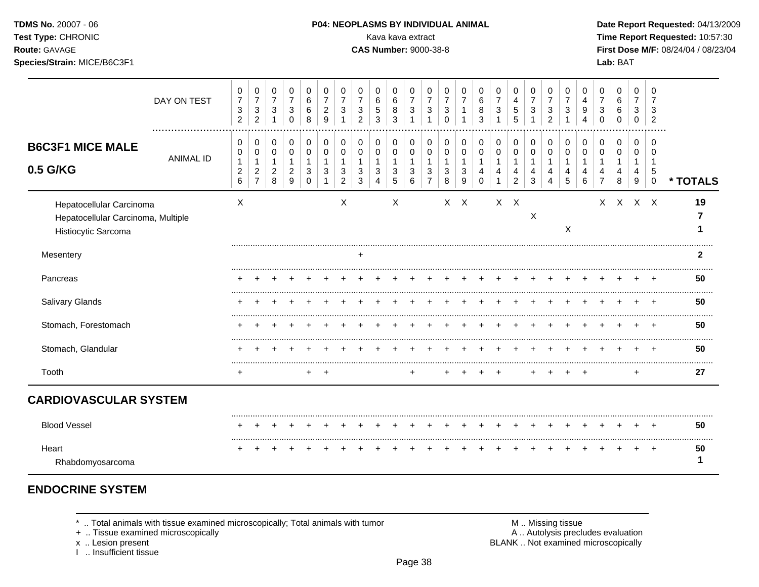| <b>TDMS No. 20007 - 06</b> |
|----------------------------|
| Test Type: CHRONIC         |

**Time Report Requested:** 10:57:30 **Route:** GAVAGE **CAS Number:** 9000-38-8 **First Dose M/F:** 08/24/04 / 08/23/04 **Species/Strain:** MICE/B6C3F1 **Lab:** BAT

|                                                                                       | DAY ON TEST           | 0<br>$\overline{7}$<br>$\ensuremath{\mathsf{3}}$<br>$\overline{2}$ | 0<br>$\overline{7}$<br>$\mathsf 3$<br>$\overline{2}$       | 0<br>$\overline{7}$<br>$\ensuremath{\mathsf{3}}$<br>1 | 0<br>$\overline{7}$<br>3<br>$\Omega$                                | 0<br>6<br>6<br>8                | 0<br>$\overline{c}$<br>9 | 0<br>$\overline{7}$<br>3      | 0<br>$\overline{7}$<br>3<br>$\overline{2}$ | 0<br>6<br>$\sqrt{5}$<br>3 | 0<br>$\,6\,$<br>8<br>3 | 0<br>$\overline{7}$<br>$\sqrt{3}$<br>1 | 0<br>$\overline{7}$<br>3           | 0<br>$\overline{7}$<br>$\mathbf{3}$<br>$\Omega$ | 0<br>$\overline{7}$ | 0<br>6<br>$\bf 8$<br>3             | 0<br>$\overline{7}$<br>$\sqrt{3}$ | 0<br>$\overline{4}$<br>5<br>5      | 0<br>$\overline{7}$<br>$\mathbf{3}$          | 0<br>$\overline{7}$<br>3<br>$\overline{2}$ | 0<br>3           | 0<br>4<br>9           | 0<br>$\overline{7}$<br>$\ensuremath{\mathsf{3}}$<br>$\Omega$ | 0<br>6<br>6<br>$\Omega$ | 0<br>$\overline{7}$<br>3<br>0 | 0<br>3<br>$\overline{2}$                |          |
|---------------------------------------------------------------------------------------|-----------------------|--------------------------------------------------------------------|------------------------------------------------------------|-------------------------------------------------------|---------------------------------------------------------------------|---------------------------------|--------------------------|-------------------------------|--------------------------------------------|---------------------------|------------------------|----------------------------------------|------------------------------------|-------------------------------------------------|---------------------|------------------------------------|-----------------------------------|------------------------------------|----------------------------------------------|--------------------------------------------|------------------|-----------------------|--------------------------------------------------------------|-------------------------|-------------------------------|-----------------------------------------|----------|
| <b>B6C3F1 MICE MALE</b><br>0.5 G/KG                                                   | .<br><b>ANIMAL ID</b> | 0<br>0<br>$\overline{c}$<br>6                                      | 0<br>0<br>$\mathbf{1}$<br>$\overline{2}$<br>$\overline{7}$ | 0<br>$\pmb{0}$<br>$\mathbf{1}$<br>$\overline{a}$<br>8 | $\mathbf 0$<br>$\mathbf 0$<br>$\overline{1}$<br>$\overline{2}$<br>9 | 0<br>0<br>1<br>3<br>$\mathbf 0$ | 0<br>0<br>3              | 0<br>0<br>3<br>$\overline{c}$ | 0<br>0<br>3<br>$\mathbf{3}$                | 0<br>0<br>1<br>3<br>4     | 0<br>0<br>1<br>3<br>5  | 0<br>0<br>$\mathbf 1$<br>3<br>6        | 0<br>0<br>1<br>3<br>$\overline{7}$ | 0<br>0<br>3<br>8                                | 0<br>0<br>3<br>9    | 0<br>$\pmb{0}$<br>4<br>$\mathbf 0$ | 0<br>0<br>1<br>4<br>$\mathbf{1}$  | 0<br>0<br>1<br>4<br>$\overline{c}$ | 0<br>$\mathbf 0$<br>$\overline{1}$<br>4<br>3 | 0<br>0<br>4                                | 0<br>0<br>4<br>5 | $\mathbf 0$<br>0<br>6 | 0<br>0<br>$\overline{7}$                                     | 0<br>0<br>1<br>4<br>8   | 0<br>0<br>1<br>4<br>9         | 0<br>$\Omega$<br>-1<br>5<br>$\mathbf 0$ | * TOTALS |
| Hepatocellular Carcinoma<br>Hepatocellular Carcinoma, Multiple<br>Histiocytic Sarcoma |                       | Χ                                                                  |                                                            |                                                       |                                                                     |                                 |                          | X                             |                                            |                           | X                      |                                        |                                    |                                                 | $X$ $X$             |                                    |                                   | $X$ $X$                            | $\times$                                     |                                            | X                |                       |                                                              |                         | X X X X                       |                                         | 19       |
| Mesentery                                                                             |                       |                                                                    |                                                            |                                                       |                                                                     |                                 |                          |                               |                                            |                           |                        |                                        |                                    |                                                 |                     |                                    |                                   |                                    |                                              |                                            |                  |                       |                                                              |                         |                               |                                         | 2        |
| Pancreas                                                                              |                       |                                                                    |                                                            |                                                       |                                                                     |                                 |                          |                               |                                            |                           |                        |                                        |                                    |                                                 |                     |                                    |                                   |                                    |                                              |                                            |                  |                       |                                                              |                         |                               |                                         | 50       |
| Salivary Glands                                                                       |                       |                                                                    |                                                            |                                                       |                                                                     |                                 |                          |                               |                                            |                           |                        |                                        |                                    |                                                 |                     |                                    |                                   |                                    |                                              |                                            |                  |                       |                                                              |                         |                               |                                         | 50       |
| Stomach, Forestomach                                                                  |                       |                                                                    |                                                            |                                                       |                                                                     |                                 |                          |                               |                                            |                           |                        |                                        |                                    |                                                 |                     |                                    |                                   |                                    |                                              |                                            |                  |                       |                                                              |                         |                               |                                         | 50       |
| Stomach, Glandular                                                                    |                       |                                                                    |                                                            |                                                       |                                                                     |                                 |                          |                               |                                            |                           |                        |                                        |                                    |                                                 |                     |                                    |                                   |                                    |                                              |                                            |                  |                       |                                                              |                         |                               |                                         | 50       |
| Tooth                                                                                 |                       |                                                                    |                                                            |                                                       |                                                                     |                                 |                          |                               |                                            |                           |                        |                                        |                                    |                                                 |                     |                                    |                                   |                                    |                                              |                                            |                  |                       |                                                              |                         |                               |                                         | <br>27   |
| <b>CARDIOVASCULAR SYSTEM</b>                                                          |                       |                                                                    |                                                            |                                                       |                                                                     |                                 |                          |                               |                                            |                           |                        |                                        |                                    |                                                 |                     |                                    |                                   |                                    |                                              |                                            |                  |                       |                                                              |                         |                               |                                         |          |
| <b>Blood Vessel</b>                                                                   |                       |                                                                    |                                                            |                                                       |                                                                     |                                 |                          |                               |                                            |                           |                        |                                        |                                    |                                                 |                     |                                    |                                   |                                    |                                              |                                            |                  |                       |                                                              |                         |                               |                                         | 50       |
| Heart<br>Rhabdomyosarcoma                                                             |                       |                                                                    |                                                            |                                                       |                                                                     |                                 |                          |                               |                                            |                           |                        |                                        |                                    |                                                 |                     |                                    |                                   |                                    |                                              |                                            |                  |                       |                                                              |                         |                               | $^+$                                    | 50       |

# **ENDOCRINE SYSTEM**

\* .. Total animals with tissue examined microscopically; Total animals with tumor <br>
+ .. Tissue examined microscopically<br>
+ .. Tissue examined microscopically

+ .. Tissue examined microscopically

x .. Lesion present<br>I .. Insufficient tissue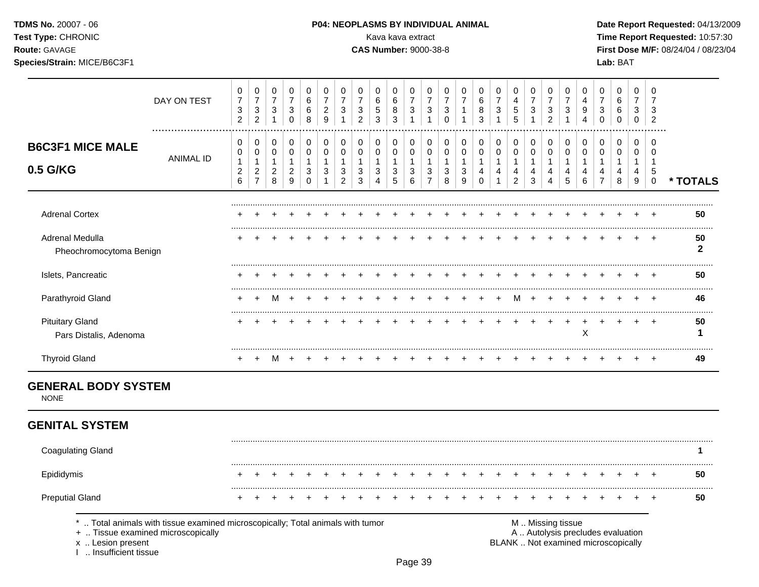TDMS No. 20007 - 06 Test Type: CHRONIC

Species/Strain: MICE/B6C3F1

Route: GAVAGE

#### P04: NEOPLASMS BY INDIVIDUAL ANIMAL

Kava kava extract

CAS Number: 9000-38-8

Date Report Requested: 04/13/2009 Time Report Requested: 10:57:30 First Dose M/F: 08/24/04 / 08/23/04 Lab: BAT

|                                                  | DAY ON TEST      | 0<br>$\overline{7}$<br>$\sqrt{3}$<br>$\overline{2}$                    | 0<br>$\overline{7}$<br>$\mathbf 3$<br>$\overline{2}$ | 0<br>$\overline{7}$<br>$\mathsf 3$<br>$\overline{1}$          | 0<br>$\overline{7}$<br>3<br>$\Omega$ | 0<br>$\,6$<br>6<br>8                                  | 0<br>$\overline{7}$<br>$\overline{2}$<br>9 | 0<br>$\overline{7}$<br>3<br>$\overline{1}$ | 0<br>$\overline{7}$<br>$\sqrt{3}$<br>$\overline{2}$ | 0<br>6<br>5<br>3                      | 0<br>6<br>$\bf 8$<br>$\overline{3}$                           | 0<br>$\overline{7}$<br>$\sqrt{3}$<br>$\mathbf{1}$ | 0<br>$\overline{7}$<br>3<br>$\mathbf{1}$     | 0<br>$\overline{7}$<br>3<br>$\Omega$               | 0<br>$\overline{7}$<br>-1<br>$\overline{1}$ | 0<br>$\,6$<br>8<br>3              | 0<br>$\overline{7}$<br>$\sqrt{3}$<br>$\overline{1}$ | 0<br>$\overline{\mathbf{4}}$<br>$\sqrt{5}$<br>5                         | 0<br>$\overline{7}$<br>$\sqrt{3}$<br>$\mathbf{1}$ | 0<br>$\overline{7}$<br>3<br>$\overline{2}$ | 0<br>$\overline{7}$<br>$\mathbf{3}$<br>$\overline{1}$ | $\mathbf 0$<br>4<br>9<br>4 | $\mathbf 0$<br>3<br>$\Omega$ | 0<br>6<br>6<br>$\Omega$    | 0<br>$\overline{7}$<br>3<br>$\mathbf 0$ | $\mathbf 0$<br>$\overline{7}$<br>3<br>2              |                    |
|--------------------------------------------------|------------------|------------------------------------------------------------------------|------------------------------------------------------|---------------------------------------------------------------|--------------------------------------|-------------------------------------------------------|--------------------------------------------|--------------------------------------------|-----------------------------------------------------|---------------------------------------|---------------------------------------------------------------|---------------------------------------------------|----------------------------------------------|----------------------------------------------------|---------------------------------------------|-----------------------------------|-----------------------------------------------------|-------------------------------------------------------------------------|---------------------------------------------------|--------------------------------------------|-------------------------------------------------------|----------------------------|------------------------------|----------------------------|-----------------------------------------|------------------------------------------------------|--------------------|
| <b>B6C3F1 MICE MALE</b><br>0.5 G/KG              | <b>ANIMAL ID</b> | 0<br>$\mathbf 0$<br>$\mathbf{1}$<br>$\boldsymbol{2}$<br>$6\phantom{1}$ | 0<br>0<br>1<br>$\overline{a}$<br>$\overline{7}$      | $\mathbf 0$<br>0<br>$\mathbf{1}$<br>$\overline{c}$<br>$\,8\,$ | 0<br>0<br>1<br>$\overline{2}$<br>9   | $\,0\,$<br>$\pmb{0}$<br>$\mathbf{1}$<br>3<br>$\Omega$ | $\pmb{0}$<br>0<br>3                        | $\pmb{0}$<br>0<br>1<br>3<br>$\overline{2}$ | 0<br>$\mathbf 0$<br>3<br>3                          | 0<br>$\mathbf 0$<br>$\mathbf{3}$<br>4 | $\boldsymbol{0}$<br>0<br>-1<br>$\ensuremath{\mathsf{3}}$<br>5 | 0<br>0<br>1<br>$\sqrt{3}$<br>6                    | 0<br>0<br>$\mathbf 1$<br>3<br>$\overline{7}$ | $\pmb{0}$<br>$\mathbf 0$<br>$\mathbf{1}$<br>3<br>8 | $\mathbf 0$<br>0<br>$\mathbf{1}$<br>3<br>9  | 0<br>$\mathbf 0$<br>4<br>$\Omega$ | 0<br>0<br>4                                         | $\boldsymbol{0}$<br>0<br>1<br>$\overline{\mathbf{4}}$<br>$\overline{c}$ | 0<br>0<br>1<br>4<br>3                             | 0<br>0<br>$\mathbf 1$<br>4<br>4            | $\pmb{0}$<br>$\mathbf 0$<br>-1<br>4<br>5              | 0<br>0<br>1<br>4<br>6      | 0<br>$\Omega$<br>4           | 0<br>$\mathbf 0$<br>4<br>8 | 0<br>0<br>-1<br>4<br>9                  | $\mathbf 0$<br>$\mathbf 0$<br>-1<br>5<br>$\mathbf 0$ | * TOTALS           |
| <b>Adrenal Cortex</b>                            |                  |                                                                        |                                                      |                                                               |                                      |                                                       |                                            |                                            |                                                     |                                       |                                                               |                                                   |                                              |                                                    |                                             |                                   |                                                     |                                                                         |                                                   |                                            |                                                       |                            |                              |                            |                                         |                                                      | 50                 |
| Adrenal Medulla<br>Pheochromocytoma Benign       |                  |                                                                        |                                                      |                                                               |                                      |                                                       |                                            |                                            |                                                     |                                       |                                                               |                                                   |                                              |                                                    |                                             |                                   |                                                     |                                                                         |                                                   |                                            |                                                       |                            |                              |                            |                                         |                                                      | 50<br>$\mathbf{2}$ |
| Islets, Pancreatic                               |                  |                                                                        |                                                      |                                                               |                                      |                                                       |                                            |                                            |                                                     |                                       |                                                               |                                                   |                                              |                                                    |                                             |                                   |                                                     |                                                                         |                                                   |                                            |                                                       |                            |                              |                            |                                         |                                                      | 50                 |
| Parathyroid Gland                                |                  |                                                                        |                                                      |                                                               |                                      |                                                       |                                            |                                            |                                                     |                                       |                                                               |                                                   |                                              |                                                    |                                             |                                   |                                                     | м                                                                       |                                                   |                                            |                                                       |                            |                              |                            |                                         |                                                      | 46                 |
| <b>Pituitary Gland</b><br>Pars Distalis, Adenoma |                  |                                                                        |                                                      |                                                               |                                      |                                                       |                                            |                                            |                                                     |                                       |                                                               |                                                   |                                              |                                                    |                                             |                                   |                                                     |                                                                         |                                                   |                                            |                                                       | $\mathsf X$                |                              |                            |                                         |                                                      | 50<br>1            |
| <b>Thyroid Gland</b>                             |                  | +                                                                      | +                                                    | M                                                             | $^+$                                 |                                                       |                                            |                                            |                                                     |                                       |                                                               |                                                   |                                              |                                                    |                                             |                                   |                                                     |                                                                         |                                                   |                                            |                                                       |                            |                              |                            |                                         |                                                      | 49                 |
| <b>GENERAL BODY SYSTEM</b><br><b>NONE</b>        |                  |                                                                        |                                                      |                                                               |                                      |                                                       |                                            |                                            |                                                     |                                       |                                                               |                                                   |                                              |                                                    |                                             |                                   |                                                     |                                                                         |                                                   |                                            |                                                       |                            |                              |                            |                                         |                                                      |                    |
| <b>GENITAL SYSTEM</b>                            |                  |                                                                        |                                                      |                                                               |                                      |                                                       |                                            |                                            |                                                     |                                       |                                                               |                                                   |                                              |                                                    |                                             |                                   |                                                     |                                                                         |                                                   |                                            |                                                       |                            |                              |                            |                                         |                                                      |                    |
| <b>Coagulating Gland</b>                         |                  |                                                                        |                                                      |                                                               |                                      |                                                       |                                            |                                            |                                                     |                                       |                                                               |                                                   |                                              |                                                    |                                             |                                   |                                                     |                                                                         |                                                   |                                            |                                                       |                            |                              |                            |                                         |                                                      | 1                  |
| Epididymis                                       |                  |                                                                        |                                                      |                                                               |                                      |                                                       |                                            |                                            |                                                     |                                       |                                                               |                                                   |                                              |                                                    |                                             |                                   |                                                     |                                                                         |                                                   |                                            |                                                       |                            |                              |                            |                                         | $\pm$                                                | 50                 |
| <b>Preputial Gland</b>                           |                  |                                                                        |                                                      |                                                               |                                      |                                                       |                                            |                                            |                                                     |                                       |                                                               |                                                   |                                              |                                                    |                                             |                                   |                                                     |                                                                         |                                                   |                                            |                                                       |                            |                              |                            |                                         | ÷                                                    | 50                 |

\* .. Total animals with tissue examined microscopically; Total animals with tumor

+ .. Tissue examined microscopically

x .. Lesion present<br>I .. Insufficient tissue

M .. Missing tissue A .. Autolysis precludes evaluation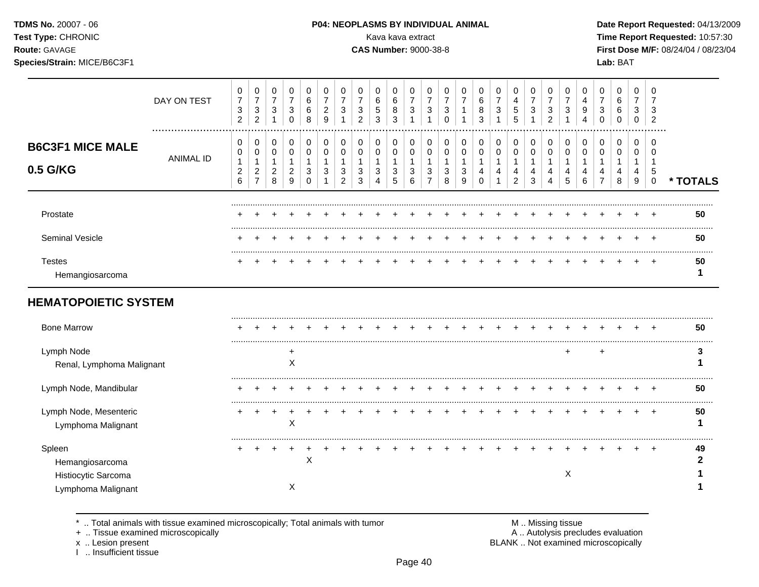TDMS No. 20007 - 06 Test Type: CHRONIC

Species/Strain: MICE/B6C3F1

Route: GAVAGE

#### P04: NEOPLASMS BY INDIVIDUAL ANIMAL

Kava kava extract

CAS Number: 9000-38-8

Date Report Requested: 04/13/2009 Time Report Requested: 10:57:30 First Dose M/F: 08/24/04 / 08/23/04 Lab: BAT

|                                         | DAY ON TEST      | 0<br>$\overline{7}$<br>$\sqrt{3}$<br>$\overline{c}$     | 0<br>$\overline{7}$<br>3<br>$\overline{c}$                 | 0<br>$\boldsymbol{7}$<br>$\sqrt{3}$<br>1                   | 0<br>$\boldsymbol{7}$<br>3<br>$\Omega$                          | 0<br>$\,6$<br>6<br>8                               | 0<br>$\overline{7}$<br>$\overline{c}$<br>9 | 0<br>$\overline{7}$<br>3                              | 0<br>$\overline{7}$<br>3<br>$\overline{2}$ | 0<br>$\,6$<br>$\sqrt{5}$<br>3                       | 0<br>$\,6$<br>8<br>3             | 0<br>$\boldsymbol{7}$<br>$\ensuremath{\mathsf{3}}$ | 0<br>$\overline{7}$<br>$\sqrt{3}$<br>1                    | 0<br>7<br>3<br>$\Omega$                    | 0                                | 0<br>6<br>8<br>3        | 0<br>$\overline{7}$<br>3   | 0<br>4<br>5<br>5                                       | 0<br>$\overline{7}$<br>3         | 0<br>$\boldsymbol{7}$<br>3<br>$\overline{c}$   | 0<br>$\overline{7}$<br>3                        | 0<br>4<br>9<br>4                           | 0<br>3<br>$\Omega$                  | 0<br>6<br>6<br>0                | 0<br>7<br>3<br>$\Omega$              | 0<br>3<br>$\overline{c}$                |          |
|-----------------------------------------|------------------|---------------------------------------------------------|------------------------------------------------------------|------------------------------------------------------------|-----------------------------------------------------------------|----------------------------------------------------|--------------------------------------------|-------------------------------------------------------|--------------------------------------------|-----------------------------------------------------|----------------------------------|----------------------------------------------------|-----------------------------------------------------------|--------------------------------------------|----------------------------------|-------------------------|----------------------------|--------------------------------------------------------|----------------------------------|------------------------------------------------|-------------------------------------------------|--------------------------------------------|-------------------------------------|---------------------------------|--------------------------------------|-----------------------------------------|----------|
| <b>B6C3F1 MICE MALE</b><br>0.5 G/KG     | <b>ANIMAL ID</b> | 0<br>0<br>$\mathbf{1}$<br>$\sqrt{2}$<br>$6\phantom{1}6$ | 0<br>0<br>$\mathbf{1}$<br>$\overline{c}$<br>$\overline{7}$ | $\pmb{0}$<br>$\mathbf 0$<br>1<br>$\overline{c}$<br>$\,8\,$ | $\pmb{0}$<br>$\pmb{0}$<br>$\mathbf{1}$<br>$\boldsymbol{2}$<br>9 | 0<br>$\pmb{0}$<br>$\mathbf{1}$<br>3<br>$\mathbf 0$ | 0<br>$\mathbf 0$<br>1<br>3                 | $\pmb{0}$<br>0<br>$\mathbf{1}$<br>3<br>$\overline{2}$ | $\,0\,$<br>0<br>$\mathbf{1}$<br>3<br>3     | 0<br>$\,0\,$<br>$\mathbf{1}$<br>3<br>$\overline{4}$ | 0<br>0<br>$\mathbf{1}$<br>3<br>5 | 0<br>0<br>$\mathbf{1}$<br>3<br>6                   | $\mathbf 0$<br>0<br>$\overline{1}$<br>3<br>$\overline{7}$ | $\mathbf 0$<br>0<br>$\mathbf{1}$<br>3<br>8 | 0<br>0<br>$\mathbf{1}$<br>3<br>9 | 0<br>0<br>1<br>$\Omega$ | 0<br>$\mathbf 0$<br>1<br>4 | 0<br>$\mathbf 0$<br>$\mathbf 1$<br>4<br>$\overline{c}$ | 0<br>0<br>$\mathbf{1}$<br>4<br>3 | $\,0\,$<br>$\pmb{0}$<br>$\mathbf{1}$<br>4<br>4 | 0<br>$\boldsymbol{0}$<br>$\mathbf{1}$<br>4<br>5 | $\pmb{0}$<br>0<br>$\overline{1}$<br>4<br>6 | 0<br>0<br>-1<br>4<br>$\overline{7}$ | $\mathbf 0$<br>0<br>1<br>4<br>8 | 0<br>0<br>1<br>4<br>$\boldsymbol{9}$ | 0<br>0<br>1<br>$\,$ 5 $\,$<br>$\pmb{0}$ | * TOTALS |
| Prostate                                |                  |                                                         |                                                            |                                                            |                                                                 |                                                    |                                            |                                                       |                                            |                                                     |                                  |                                                    |                                                           |                                            |                                  |                         |                            |                                                        |                                  |                                                |                                                 |                                            |                                     |                                 |                                      | $\div$                                  | 50       |
| Seminal Vesicle                         |                  |                                                         |                                                            |                                                            |                                                                 |                                                    |                                            |                                                       |                                            |                                                     |                                  |                                                    |                                                           |                                            |                                  |                         |                            |                                                        |                                  |                                                |                                                 |                                            |                                     |                                 |                                      | $\overline{ }$                          | 50       |
| <b>Testes</b><br>Hemangiosarcoma        |                  |                                                         |                                                            |                                                            |                                                                 |                                                    |                                            |                                                       |                                            |                                                     |                                  |                                                    |                                                           |                                            |                                  |                         |                            |                                                        |                                  |                                                |                                                 |                                            |                                     |                                 |                                      | $\overline{ }$                          | 50       |
| <b>HEMATOPOIETIC SYSTEM</b>             |                  |                                                         |                                                            |                                                            |                                                                 |                                                    |                                            |                                                       |                                            |                                                     |                                  |                                                    |                                                           |                                            |                                  |                         |                            |                                                        |                                  |                                                |                                                 |                                            |                                     |                                 |                                      |                                         |          |
| <b>Bone Marrow</b>                      |                  |                                                         |                                                            |                                                            |                                                                 |                                                    |                                            |                                                       |                                            |                                                     |                                  |                                                    |                                                           |                                            |                                  |                         |                            |                                                        |                                  |                                                |                                                 |                                            |                                     |                                 |                                      |                                         | 50       |
| Lymph Node<br>Renal, Lymphoma Malignant |                  |                                                         |                                                            |                                                            | +<br>$\mathsf{X}$                                               |                                                    |                                            |                                                       |                                            |                                                     |                                  |                                                    |                                                           |                                            |                                  |                         |                            |                                                        |                                  |                                                |                                                 |                                            | $\ddot{}$                           |                                 |                                      |                                         | 3        |
| Lymph Node, Mandibular                  |                  |                                                         |                                                            |                                                            |                                                                 |                                                    |                                            |                                                       |                                            |                                                     |                                  |                                                    |                                                           |                                            |                                  |                         |                            |                                                        |                                  |                                                |                                                 |                                            |                                     |                                 |                                      |                                         | 50       |
| Lymph Node, Mesenteric                  |                  |                                                         |                                                            |                                                            | X                                                               |                                                    |                                            |                                                       |                                            |                                                     |                                  |                                                    |                                                           |                                            |                                  |                         |                            |                                                        |                                  |                                                |                                                 |                                            |                                     |                                 |                                      | $+$                                     | 50       |
| Lymphoma Malignant                      |                  |                                                         |                                                            |                                                            |                                                                 |                                                    |                                            |                                                       |                                            |                                                     |                                  |                                                    |                                                           |                                            |                                  |                         |                            |                                                        |                                  |                                                |                                                 |                                            |                                     |                                 |                                      |                                         |          |

\* .. Total animals with tissue examined microscopically; Total animals with tumor

+ .. Tissue examined microscopically

x .. Lesion present<br>I .. Insufficient tissue

M .. Missing tissue A .. Autolysis precludes evaluation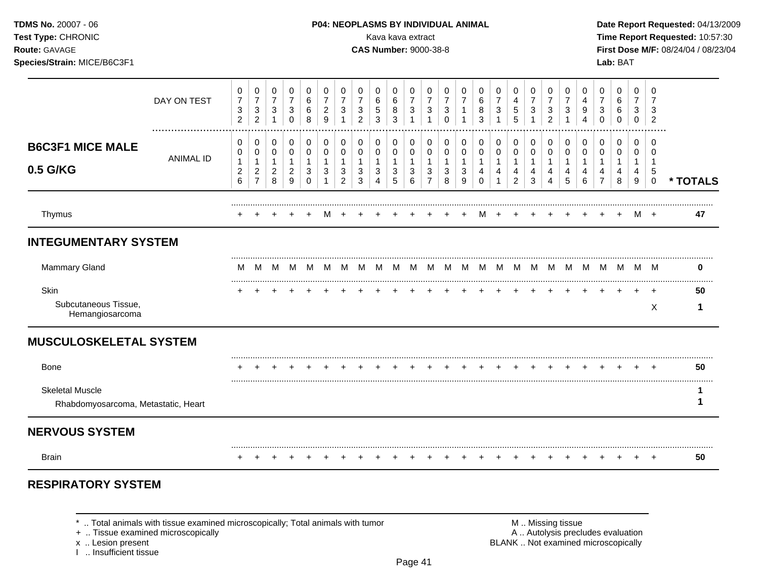| <b>TDMS No. 20007 - 06</b> |  |
|----------------------------|--|
| <b>Test Type: CHRONIC</b>  |  |
| <b>Route: GAVAGE</b>       |  |

Species/Strain: MICE/B6C3F1

#### P04: NEOPLASMS BY INDIVIDUAL ANIMAL

Kava kava extract

**CAS Number: 9000-38-8** 

Date Report Requested: 04/13/2009 Time Report Requested: 10:57:30 First Dose M/F: 08/24/04 / 08/23/04 Lab: BAT

|                                                               | DAY ON TEST      | 0<br>$\overline{7}$<br>$\ensuremath{\mathsf{3}}$<br>$\overline{2}$ | 0<br>$\overline{7}$<br>$\mathbf{3}$<br>$\overline{2}$ | 0<br>$\overline{7}$<br>3<br>$\mathbf{1}$ | 0<br>$\overline{7}$<br>$\mathbf{3}$<br>$\Omega$ | 0<br>6<br>6<br>8 | 0<br>$\overline{7}$<br>$\overline{c}$<br>9 | 0<br>$\overline{7}$<br>$\mathbf{3}$ | 0<br>$\overline{7}$<br>3<br>$\overline{2}$ | 0<br>6<br>$\,$ 5 $\,$<br>3 | 0<br>6<br>$\bf 8$<br>3 | 0<br>$\overline{7}$<br>$\ensuremath{\mathsf{3}}$ | 0<br>$\overline{7}$<br>3<br>1 | 0<br>$\overline{7}$<br>3<br>$\Omega$ | 0<br>$\overline{7}$ | 0<br>6<br>8<br>3 | 0<br>$\overline{7}$<br>$\mathbf{3}$ | 0<br>$\overline{4}$<br>$\sqrt{5}$<br>5 | 0<br>$\overline{7}$<br>3 | 0<br>3<br>$\overline{2}$ | 0<br>$\overline{7}$<br>3 | 0<br>$\overline{4}$<br>$\boldsymbol{9}$<br>$\boldsymbol{\Lambda}$ | 0<br>$\overline{7}$<br>3<br>$\Omega$ | 0<br>$\,6\,$<br>6<br>$\Omega$ | 0<br>$\overline{7}$<br>3<br>$\Omega$ | 0<br>7<br>3<br>$\overline{2}$ |          |
|---------------------------------------------------------------|------------------|--------------------------------------------------------------------|-------------------------------------------------------|------------------------------------------|-------------------------------------------------|------------------|--------------------------------------------|-------------------------------------|--------------------------------------------|----------------------------|------------------------|--------------------------------------------------|-------------------------------|--------------------------------------|---------------------|------------------|-------------------------------------|----------------------------------------|--------------------------|--------------------------|--------------------------|-------------------------------------------------------------------|--------------------------------------|-------------------------------|--------------------------------------|-------------------------------|----------|
| <b>B6C3F1 MICE MALE</b>                                       | .                | 0<br>0                                                             | 0<br>0                                                | 0<br>$\mathsf{O}\xspace$                 | 0<br>$\mathbf 0$                                | 0<br>0           | 0<br>0                                     | 0<br>0                              | 0<br>0                                     | 0<br>$\mathbf 0$           | 0<br>$\mathbf 0$       | 0<br>$\pmb{0}$                                   | 0<br>0                        | 0<br>0                               | 0<br>0              | 0<br>0           | 0<br>$\boldsymbol{0}$               | 0<br>0                                 | 0<br>0                   | 0<br>$\Omega$            | 0<br>0                   | 0<br>$\mathbf 0$                                                  | 0<br>$\mathbf 0$                     | 0<br>$\mathbf 0$              | $\mathbf 0$<br>$\mathbf 0$           | 0<br>0                        |          |
| 0.5 G/KG                                                      | <b>ANIMAL ID</b> | $\boldsymbol{2}$<br>$6\phantom{a}$                                 | $\mathbf{1}$<br>$\boldsymbol{2}$<br>$\overline{7}$    | $\mathbf{1}$<br>$\overline{a}$<br>8      | $\overline{1}$<br>$\overline{2}$<br>9           | 3<br>$\Omega$    | 3                                          | $\mathbf 1$<br>$\mathbf{3}$<br>2    | 3<br>3                                     | 3<br>Δ                     | $\mathbf{1}$<br>3<br>5 | 3<br>6                                           | 1<br>3<br>$\overline{ }$      | 3<br>8                               | 3<br>9              | 4<br>$\Omega$    | 4                                   | $\mathbf{1}$<br>4<br>$\overline{2}$    | 1<br>4<br>3              | 4                        | 5                        | 6                                                                 | 1<br>4<br>$\overline{7}$             | $\mathbf{1}$<br>4<br>8        | $\overline{1}$<br>4<br>9             | 5<br>$\Omega$                 | * TOTALS |
| Thymus                                                        |                  |                                                                    | $\overline{ }$                                        | $\ddot{}$                                | $\overline{+}$                                  | $\ddot{}$        | M                                          | $\pm$                               | $\div$                                     | $\ddot{}$                  |                        | $\ddot{}$                                        | $\div$                        |                                      | $\div$              |                  | $M +$                               | $+$                                    | $+$                      | $+$                      |                          | $\overline{+}$                                                    | $+$                                  | $+$                           | M +                                  |                               | 47       |
| <b>INTEGUMENTARY SYSTEM</b>                                   |                  |                                                                    |                                                       |                                          |                                                 |                  |                                            |                                     |                                            |                            |                        |                                                  |                               |                                      |                     |                  |                                     |                                        |                          |                          |                          |                                                                   |                                      |                               |                                      |                               |          |
| Mammary Gland                                                 |                  | M                                                                  | M                                                     | M                                        | M                                               | M                | M                                          | M                                   | M                                          | M                          | M                      | M                                                | M                             | M                                    | M                   | M                | M M                                 |                                        | M                        | M                        |                          |                                                                   | M M M M                              |                               | M                                    | M                             | 0        |
| Skin<br>Subcutaneous Tissue,<br>Hemangiosarcoma               |                  |                                                                    |                                                       |                                          |                                                 |                  |                                            |                                     |                                            |                            |                        |                                                  |                               |                                      |                     |                  |                                     |                                        |                          |                          |                          |                                                                   |                                      |                               |                                      | X                             | 50<br>1  |
| <b>MUSCULOSKELETAL SYSTEM</b>                                 |                  |                                                                    |                                                       |                                          |                                                 |                  |                                            |                                     |                                            |                            |                        |                                                  |                               |                                      |                     |                  |                                     |                                        |                          |                          |                          |                                                                   |                                      |                               |                                      |                               |          |
| <b>Bone</b>                                                   |                  |                                                                    |                                                       |                                          |                                                 |                  |                                            |                                     |                                            |                            |                        |                                                  |                               |                                      |                     |                  |                                     |                                        |                          |                          |                          |                                                                   |                                      |                               |                                      |                               | 50       |
| <b>Skeletal Muscle</b><br>Rhabdomyosarcoma, Metastatic, Heart |                  |                                                                    |                                                       |                                          |                                                 |                  |                                            |                                     |                                            |                            |                        |                                                  |                               |                                      |                     |                  |                                     |                                        |                          |                          |                          |                                                                   |                                      |                               |                                      |                               | 1        |
| <b>NERVOUS SYSTEM</b>                                         |                  |                                                                    |                                                       |                                          |                                                 |                  |                                            |                                     |                                            |                            |                        |                                                  |                               |                                      |                     |                  |                                     |                                        |                          |                          |                          |                                                                   |                                      |                               |                                      |                               |          |
| <b>Brain</b>                                                  |                  |                                                                    |                                                       |                                          |                                                 |                  |                                            |                                     |                                            |                            |                        |                                                  |                               |                                      |                     |                  |                                     |                                        |                          |                          |                          |                                                                   |                                      |                               |                                      |                               | 50       |

# **RESPIRATORY SYSTEM**

\* .. Total animals with tissue examined microscopically; Total animals with tumor

+ .. Tissue examined microscopically

x .. Lesion present<br>I .. Insufficient tissue

M .. Missing tissue<br>A .. Autolysis precludes evaluation BLANK .. Not examined microscopically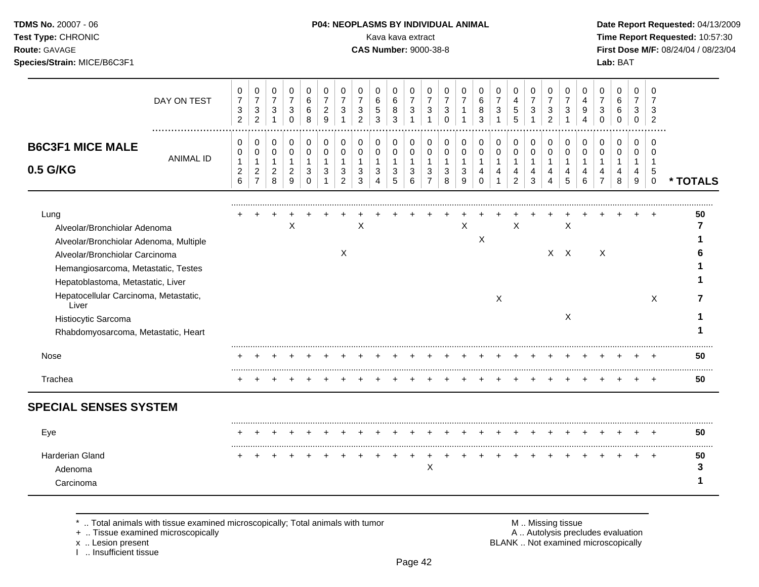| <b>TDMS No. 20007 - 06</b> |
|----------------------------|
| <b>Test Type: CHRONIC</b>  |
| <b>Route: GAVAGE</b>       |

## **P04: NEOPLASMS BY INDIVIDUAL ANIMAL Date Report Requested: 04/13/2009**

**Time Report Requested:** 10:57:30 **CAS Number:** 9000-38-8 **First Dose M/F:** 08/24/04 / 08/23/04

|                                                                                                                                                                                                                                                                       | DAY ON TEST      | 0<br>$\overline{7}$<br>$\ensuremath{\mathsf{3}}$<br>$\overline{c}$ | $\pmb{0}$<br>$\overline{7}$<br>$\sqrt{3}$<br>$\overline{2}$        | $\pmb{0}$<br>$\overline{7}$<br>$\ensuremath{\mathsf{3}}$<br>1         | 0<br>$\overline{7}$<br>$\mathbf{3}$<br>$\Omega$         | 0<br>6<br>6<br>8                                  | 0<br>$\overline{7}$<br>$\sqrt{2}$<br>9 | 0<br>$\overline{7}$<br>3                   | 0<br>$\overline{7}$<br>$\sqrt{3}$<br>$\overline{2}$ | 0<br>6<br>5<br>3                      | 0<br>6<br>8<br>$\mathbf{3}$                        | 0<br>$\overline{7}$<br>$\sqrt{3}$               | 0<br>$\overline{7}$<br>$\sqrt{3}$                       | 0<br>$\overline{7}$<br>3<br>0              | 0<br>$\overline{7}$<br>1        | 0<br>6<br>8<br>3                                  | 0<br>$\overline{7}$<br>3   | 0<br>4<br>$\sqrt{5}$<br>5                    | 0<br>$\overline{7}$<br>$\ensuremath{\mathsf{3}}$ | 0<br>$\overline{7}$<br>3<br>$\overline{c}$            | 0<br>3                        | 0<br>4<br>9                  | 0<br>$\overline{7}$<br>3<br>$\Omega$ | 0<br>6<br>6<br>0                | 0<br>$\overline{7}$<br>3<br>0        | $\Omega$<br>3<br>$\overline{2}$                |          |
|-----------------------------------------------------------------------------------------------------------------------------------------------------------------------------------------------------------------------------------------------------------------------|------------------|--------------------------------------------------------------------|--------------------------------------------------------------------|-----------------------------------------------------------------------|---------------------------------------------------------|---------------------------------------------------|----------------------------------------|--------------------------------------------|-----------------------------------------------------|---------------------------------------|----------------------------------------------------|-------------------------------------------------|---------------------------------------------------------|--------------------------------------------|---------------------------------|---------------------------------------------------|----------------------------|----------------------------------------------|--------------------------------------------------|-------------------------------------------------------|-------------------------------|------------------------------|--------------------------------------|---------------------------------|--------------------------------------|------------------------------------------------|----------|
| <b>B6C3F1 MICE MALE</b><br>0.5 G/KG                                                                                                                                                                                                                                   | <b>ANIMAL ID</b> | 0<br>0<br>$\mathbf{1}$<br>$\overline{c}$<br>6                      | 0<br>$\pmb{0}$<br>$\mathbf{1}$<br>$\overline{c}$<br>$\overline{7}$ | 0<br>$\mathsf{O}\xspace$<br>$\mathbf{1}$<br>$\overline{2}$<br>$\,8\,$ | 0<br>$\mathbf 0$<br>$\mathbf{1}$<br>$\overline{2}$<br>9 | 0<br>$\mathbf 0$<br>$\mathbf{1}$<br>3<br>$\Omega$ | 0<br>$\mathbf 0$<br>3                  | 0<br>$\mathbf 0$<br>$\mathbf{1}$<br>3<br>2 | 0<br>$\mathbf 0$<br>$\mathbf{1}$<br>3<br>3          | 0<br>$\mathsf 0$<br>$\mathbf{1}$<br>3 | 0<br>$\pmb{0}$<br>$\mathbf 1$<br>$\mathbf{3}$<br>5 | 0<br>$\boldsymbol{0}$<br>$\mathbf{1}$<br>3<br>6 | 0<br>$\mathbf 0$<br>$\mathbf{1}$<br>3<br>$\overline{7}$ | 0<br>$\mathbf 0$<br>$\mathbf{1}$<br>3<br>8 | 0<br>$\mathbf 0$<br>1<br>3<br>9 | 0<br>$\mathbf 0$<br>$\mathbf{1}$<br>4<br>$\Omega$ | 0<br>$\mathbf 0$<br>1<br>4 | 0<br>$\mathsf 0$<br>1<br>4<br>$\overline{c}$ | 0<br>$\pmb{0}$<br>$\mathbf{1}$<br>4<br>3         | 0<br>$\pmb{0}$<br>$\mathbf{1}$<br>4<br>$\overline{4}$ | 0<br>$\Omega$<br>-1<br>4<br>5 | 0<br>$\Omega$<br>1<br>4<br>6 | 0<br>$\Omega$<br>4                   | 0<br>$\mathbf 0$<br>1<br>4<br>8 | 0<br>0<br>$\mathbf{1}$<br>4<br>$9\,$ | $\Omega$<br>$\Omega$<br>-1<br>5<br>$\mathbf 0$ | * TOTALS |
| Lung<br>Alveolar/Bronchiolar Adenoma<br>Alveolar/Bronchiolar Adenoma, Multiple<br>Alveolar/Bronchiolar Carcinoma<br>Hemangiosarcoma, Metastatic, Testes<br>Hepatoblastoma, Metastatic, Liver<br>Hepatocellular Carcinoma, Metastatic,<br>Liver<br>Histiocytic Sarcoma |                  |                                                                    |                                                                    |                                                                       | $\mathsf X$                                             |                                                   |                                        | X                                          | Χ                                                   |                                       |                                                    |                                                 |                                                         |                                            | X                               | X                                                 | X                          | $\mathsf X$                                  |                                                  |                                                       | X<br>$X$ $X$<br>$\times$      |                              | X                                    |                                 |                                      | X                                              | 50       |
| Rhabdomyosarcoma, Metastatic, Heart<br>Nose                                                                                                                                                                                                                           |                  |                                                                    |                                                                    |                                                                       |                                                         |                                                   |                                        |                                            |                                                     |                                       |                                                    |                                                 |                                                         |                                            |                                 |                                                   |                            |                                              |                                                  |                                                       |                               |                              |                                      |                                 |                                      |                                                | 50       |
| Trachea                                                                                                                                                                                                                                                               |                  |                                                                    |                                                                    |                                                                       |                                                         |                                                   |                                        |                                            |                                                     |                                       |                                                    |                                                 |                                                         |                                            |                                 |                                                   |                            |                                              |                                                  |                                                       |                               |                              |                                      |                                 |                                      |                                                | 50       |
| <b>SPECIAL SENSES SYSTEM</b>                                                                                                                                                                                                                                          |                  |                                                                    |                                                                    |                                                                       |                                                         |                                                   |                                        |                                            |                                                     |                                       |                                                    |                                                 |                                                         |                                            |                                 |                                                   |                            |                                              |                                                  |                                                       |                               |                              |                                      |                                 |                                      |                                                |          |
| Eye                                                                                                                                                                                                                                                                   |                  |                                                                    |                                                                    |                                                                       |                                                         |                                                   |                                        |                                            |                                                     |                                       |                                                    |                                                 |                                                         |                                            |                                 |                                                   |                            |                                              |                                                  |                                                       |                               |                              |                                      |                                 |                                      |                                                | 50       |
| Harderian Gland<br>Adenoma<br>Carcinoma                                                                                                                                                                                                                               |                  |                                                                    |                                                                    |                                                                       |                                                         |                                                   |                                        |                                            |                                                     |                                       |                                                    |                                                 | $\times$                                                |                                            |                                 |                                                   |                            |                                              |                                                  |                                                       |                               |                              |                                      |                                 |                                      |                                                | 50<br>3  |

 $*$  .. Total animals with tissue examined microscopically; Total animals with tumor  $\blacksquare$  M .. Missing tissue

+ .. Tissue examined microscopically  $\blacksquare$  A .. Autolysis precludes evaluation

x .. Lesion present<br>I .. Insufficient tissue

M .. Missing tissue<br>A .. Autolysis precludes evaluation<br>BLANK .. Not examined microscopically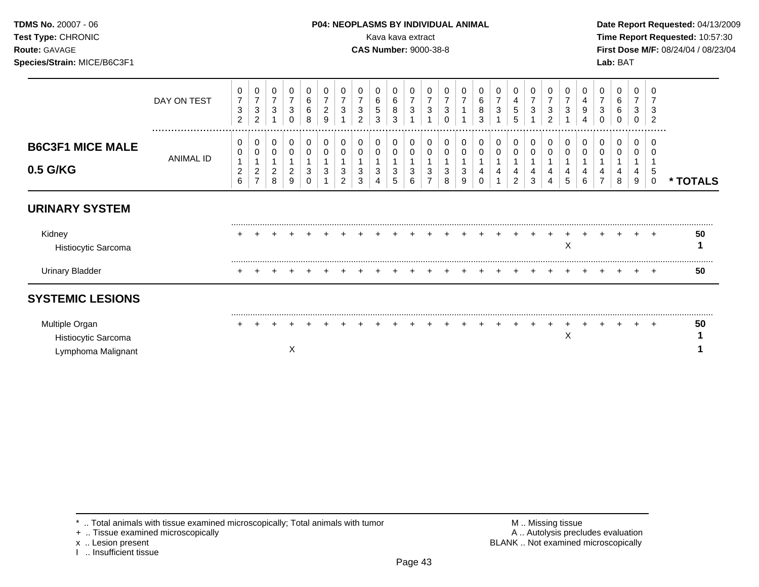| <b>TDMS No. 20007 - 06</b>  | <b>P04: NEOPLASMS BY INDIVIDUAL ANIMAL</b> | Date Repo         |
|-----------------------------|--------------------------------------------|-------------------|
| <b>Test Type: CHRONIC</b>   | Kava kava extract                          | Time Rep          |
| <b>Route: GAVAGE</b>        | <b>CAS Number: 9000-38-8</b>               | <b>First Dose</b> |
| Species/Strain: MICE/B6C3F1 |                                            | Lab: BAT          |

Kava kava extract **Time Report Requested:** 10:57:30 **CAS Number:** 9000-38-8 **First Dose M/F:** 08/24/04 / 08/23/04

|                                                             | DAY ON TEST   | 0<br>$\overline{7}$<br>$\mathbf{3}$<br>$\overline{2}$ | 0<br>$\overline{7}$<br>3<br>$\overline{2}$ | 0<br>$\overline{7}$<br>3                | 0<br>$\overline{7}$<br>3<br>$\Omega$         | 0<br>$\,6$<br>$\,6$<br>8 | 0<br>$\overline{7}$<br>2<br>9 | 7                        | 0<br>$\overline{7}$<br>3<br>2 | 0<br>6<br>5<br>3 | 0<br>6<br>8<br>3 | $\overline{7}$<br>3 | 0<br>$\overline{7}$<br>3 | 0<br>$\overline{7}$<br>3<br>$\Omega$ | 7           | 0<br>6<br>8<br>3        | 0<br>$\boldsymbol{7}$<br>3 | 0<br>$\overline{\mathbf{4}}$<br>5<br>5 | 0<br>$\overline{7}$<br>3 | 0<br>$\overline{7}$<br>3<br>2 | 0<br>3           | 4<br>9 | 0<br>7<br>$\ensuremath{\mathsf{3}}$<br>0 | 0<br>6<br>6<br>$\Omega$ | 0<br>$\overline{7}$<br>3<br>$\Omega$ | 0<br>3<br>$\overline{2}$      |          |
|-------------------------------------------------------------|---------------|-------------------------------------------------------|--------------------------------------------|-----------------------------------------|----------------------------------------------|--------------------------|-------------------------------|--------------------------|-------------------------------|------------------|------------------|---------------------|--------------------------|--------------------------------------|-------------|-------------------------|----------------------------|----------------------------------------|--------------------------|-------------------------------|------------------|--------|------------------------------------------|-------------------------|--------------------------------------|-------------------------------|----------|
| <b>B6C3F1 MICE MALE</b><br>0.5 G/KG                         | <br>ANIMAL ID | 0<br>0<br>1<br>$\boldsymbol{2}$<br>6                  | 0<br>0<br>$\frac{2}{7}$                    | 0<br>$\mathbf 0$<br>$\overline{c}$<br>8 | 0<br>$\mathbf 0$<br>1<br>$\overline{c}$<br>9 | 0<br>0<br>3<br>0         | 0<br>0<br>3                   | 0<br>3<br>$\mathfrak{p}$ | 0<br>0<br>3<br>3              | 0<br>0<br>3      | 0<br>0<br>3<br>5 | 0<br>0<br>3<br>6    | 0<br>$\mathbf 0$<br>3    | 0<br>0<br>3<br>8                     | 0<br>3<br>g | 0<br>0<br>4<br>$\Omega$ | 0<br>0<br>4                | 0<br>0<br>4<br>$\overline{2}$          | 0<br>0<br>4<br>3         | 0<br>$\Omega$                 | 0<br>0<br>4<br>5 | 0<br>4 | 0<br>0<br>4<br>$\overline{ }$            | 0<br>0<br>4<br>8        | 0<br>0<br>4<br>9                     | .<br>0<br>0<br>5<br>$\pmb{0}$ | * TOTALS |
| <b>URINARY SYSTEM</b>                                       |               |                                                       |                                            |                                         |                                              |                          |                               |                          |                               |                  |                  |                     |                          |                                      |             |                         |                            |                                        |                          |                               |                  |        |                                          |                         |                                      |                               |          |
| Kidney<br>Histiocytic Sarcoma                               |               |                                                       |                                            |                                         |                                              |                          |                               |                          |                               |                  |                  |                     |                          |                                      |             |                         |                            |                                        |                          |                               | X                |        |                                          |                         |                                      |                               | 50       |
| <b>Urinary Bladder</b>                                      |               |                                                       |                                            |                                         |                                              |                          |                               |                          |                               |                  |                  |                     |                          |                                      |             |                         |                            |                                        |                          |                               |                  |        |                                          |                         |                                      |                               | 50       |
| <b>SYSTEMIC LESIONS</b>                                     |               |                                                       |                                            |                                         |                                              |                          |                               |                          |                               |                  |                  |                     |                          |                                      |             |                         |                            |                                        |                          |                               |                  |        |                                          |                         |                                      |                               |          |
| Multiple Organ<br>Histiocytic Sarcoma<br>Lymphoma Malignant |               |                                                       |                                            |                                         | X                                            |                          |                               |                          |                               |                  |                  |                     |                          |                                      |             |                         |                            |                                        |                          |                               | Χ                |        |                                          |                         | $+$                                  | $+$                           | 50       |

+ .. Tissue examined microscopically

x .. Lesion present<br>I .. Insufficient tissue

\* .. Total animals with tissue examined microscopically; Total animals with tumor **M** metally more than M .. Missing tissue<br>  $\blacksquare$  Tissue examined microscopically BLANK .. Not examined microscopically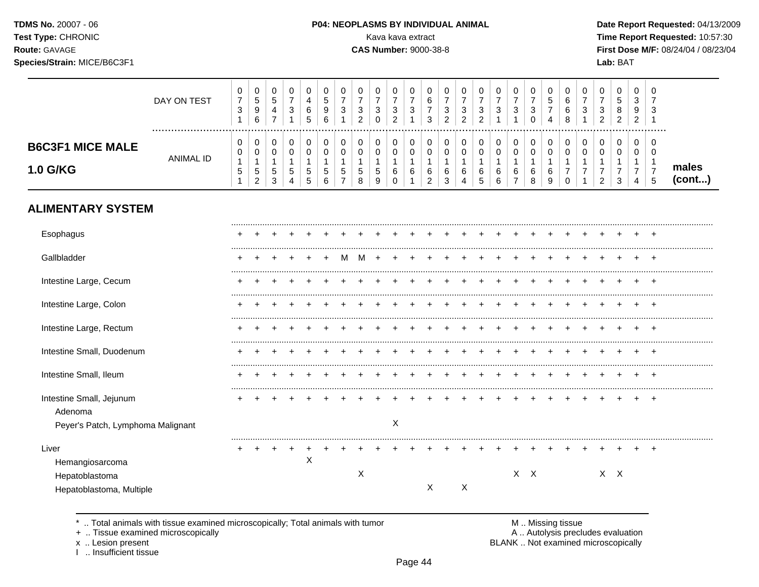TDMS No. 20007 - 06 Test Type: CHRONIC Route: GAVAGE

## Species/Strain: MICE/B6C3F1

#### P04: NEOPLASMS BY INDIVIDUAL ANIMAL

Kava kava extract

CAS Number: 9000-38-8

Date Report Requested: 04/13/2009 Time Report Requested: 10:57:30 First Dose M/F: 08/24/04 / 08/23/04 Lab: BAT

|                                                                          | DAY ON TEST      | 0<br>$\overline{7}$<br>3<br>1                         | 0<br>$\mathbf 5$<br>$\boldsymbol{9}$<br>$\,6$                    | 0<br>$\mathbf 5$<br>$\overline{4}$<br>$\overline{7}$ | 0<br>$\boldsymbol{7}$<br>3<br>$\mathbf{1}$             | 0<br>4<br>$\,6$<br>5                                         | 0<br>$\sqrt{5}$<br>9<br>6                           | 0<br>$\overline{7}$<br>$\mathbf{3}$                                          | 0<br>$\overline{7}$<br>3<br>$\overline{2}$ | 0<br>$\overline{7}$<br>3<br>$\Omega$ | 0<br>$\overline{7}$<br>3<br>$\overline{2}$ | 0<br>$\boldsymbol{7}$<br>$\ensuremath{\mathsf{3}}$ | 0<br>6<br>$\overline{7}$<br>3                 | 0<br>$\overline{7}$<br>$\sqrt{3}$<br>$\overline{c}$       | 0<br>$\overline{7}$<br>$\sqrt{3}$<br>$\overline{c}$ | 0<br>$\overline{7}$<br>$\sqrt{3}$<br>$\overline{c}$ | 0<br>$\overline{7}$<br>3                   | 0<br>$\overline{7}$<br>3                                | 0<br>$\overline{7}$<br>$\mathbf{3}$<br>0 | 0<br>5<br>$\overline{7}$<br>4                    | 0<br>$\,6$<br>$\,6$<br>8                                          | 0<br>$\overline{7}$<br>3           | 0<br>$\overline{7}$<br>3<br>$\overline{c}$                 | 0<br>$\sqrt{5}$<br>8<br>$\overline{c}$        | 0<br>3<br>9<br>$\overline{c}$                 | 0<br>$\overline{7}$<br>3<br>$\overline{1}$                         |                 |
|--------------------------------------------------------------------------|------------------|-------------------------------------------------------|------------------------------------------------------------------|------------------------------------------------------|--------------------------------------------------------|--------------------------------------------------------------|-----------------------------------------------------|------------------------------------------------------------------------------|--------------------------------------------|--------------------------------------|--------------------------------------------|----------------------------------------------------|-----------------------------------------------|-----------------------------------------------------------|-----------------------------------------------------|-----------------------------------------------------|--------------------------------------------|---------------------------------------------------------|------------------------------------------|--------------------------------------------------|-------------------------------------------------------------------|------------------------------------|------------------------------------------------------------|-----------------------------------------------|-----------------------------------------------|--------------------------------------------------------------------|-----------------|
| <b>B6C3F1 MICE MALE</b><br><b>1.0 G/KG</b>                               | <b>ANIMAL ID</b> | $\mathbf 0$<br>0<br>$\mathbf{1}$<br>5<br>$\mathbf{1}$ | 0<br>$\mathbf 0$<br>$\mathbf{1}$<br>$\sqrt{5}$<br>$\overline{c}$ | 0<br>0<br>1<br>5<br>3                                | 0<br>0<br>$\mathbf{1}$<br>$\sqrt{5}$<br>$\overline{4}$ | 0<br>$\mathbf 0$<br>$\mathbf{1}$<br>$\sqrt{5}$<br>$\sqrt{5}$ | 0<br>$\mathbf 0$<br>$\mathbf{1}$<br>$\sqrt{5}$<br>6 | $\mathbf 0$<br>$\mathbf 0$<br>$\overline{1}$<br>$\sqrt{5}$<br>$\overline{7}$ | 0<br>0<br>$\mathbf{1}$<br>5<br>8           | 0<br>0<br>$\mathbf{1}$<br>5<br>9     | 0<br>0<br>$\mathbf 1$<br>6<br>$\mathbf 0$  | 0<br>$\mathbf 0$<br>$\mathbf{1}$<br>6              | 0<br>0<br>$\mathbf{1}$<br>6<br>$\overline{c}$ | 0<br>$\pmb{0}$<br>$\mathbf{1}$<br>$\,6\,$<br>$\mathbf{3}$ | 0<br>$\mathbf 0$<br>$\mathbf{1}$<br>6<br>4          | 0<br>0<br>$\mathbf{1}$<br>$\,6\,$<br>5              | $\mathbf 0$<br>0<br>$\mathbf{1}$<br>6<br>6 | 0<br>$\mathbf 0$<br>$\mathbf{1}$<br>6<br>$\overline{7}$ | 0<br>0<br>$\mathbf{1}$<br>$\,6\,$<br>8   | 0<br>$\mathbf 0$<br>$\mathbf{1}$<br>$\,6\,$<br>9 | 0<br>$\mathbf 0$<br>$\mathbf{1}$<br>$\overline{7}$<br>$\mathbf 0$ | 0<br>0<br>1<br>$\overline{7}$<br>1 | 0<br>0<br>$\mathbf{1}$<br>$\overline{7}$<br>$\overline{c}$ | 0<br>0<br>$\mathbf{1}$<br>$\overline{7}$<br>3 | 0<br>0<br>$\mathbf{1}$<br>$\overline{7}$<br>4 | 0<br>$\mathbf 0$<br>$\overline{1}$<br>$\overline{7}$<br>$\sqrt{5}$ | males<br>(cont) |
| <b>ALIMENTARY SYSTEM</b>                                                 |                  |                                                       |                                                                  |                                                      |                                                        |                                                              |                                                     |                                                                              |                                            |                                      |                                            |                                                    |                                               |                                                           |                                                     |                                                     |                                            |                                                         |                                          |                                                  |                                                                   |                                    |                                                            |                                               |                                               |                                                                    |                 |
| Esophagus                                                                |                  |                                                       |                                                                  |                                                      |                                                        |                                                              |                                                     |                                                                              |                                            |                                      |                                            |                                                    |                                               |                                                           |                                                     |                                                     |                                            |                                                         |                                          |                                                  |                                                                   |                                    |                                                            |                                               |                                               |                                                                    |                 |
| Gallbladder                                                              |                  |                                                       |                                                                  |                                                      |                                                        |                                                              |                                                     |                                                                              |                                            |                                      |                                            |                                                    |                                               |                                                           |                                                     |                                                     |                                            |                                                         |                                          |                                                  |                                                                   |                                    |                                                            |                                               |                                               |                                                                    |                 |
| Intestine Large, Cecum                                                   |                  |                                                       |                                                                  |                                                      |                                                        |                                                              |                                                     |                                                                              |                                            |                                      |                                            |                                                    |                                               |                                                           |                                                     |                                                     |                                            |                                                         |                                          |                                                  |                                                                   |                                    |                                                            |                                               |                                               |                                                                    |                 |
| Intestine Large, Colon                                                   |                  |                                                       |                                                                  |                                                      |                                                        |                                                              |                                                     |                                                                              |                                            |                                      |                                            |                                                    |                                               |                                                           |                                                     |                                                     |                                            |                                                         |                                          |                                                  |                                                                   |                                    |                                                            |                                               |                                               |                                                                    |                 |
| Intestine Large, Rectum                                                  |                  |                                                       |                                                                  |                                                      |                                                        |                                                              |                                                     |                                                                              |                                            |                                      |                                            |                                                    |                                               |                                                           |                                                     |                                                     |                                            |                                                         |                                          |                                                  |                                                                   |                                    |                                                            |                                               |                                               |                                                                    |                 |
| Intestine Small, Duodenum                                                |                  |                                                       |                                                                  |                                                      |                                                        |                                                              |                                                     |                                                                              |                                            |                                      |                                            |                                                    |                                               |                                                           |                                                     |                                                     |                                            |                                                         |                                          |                                                  |                                                                   |                                    |                                                            |                                               |                                               |                                                                    |                 |
| Intestine Small, Ileum                                                   |                  |                                                       |                                                                  |                                                      |                                                        |                                                              |                                                     |                                                                              |                                            |                                      |                                            |                                                    |                                               |                                                           |                                                     |                                                     |                                            |                                                         |                                          |                                                  |                                                                   |                                    |                                                            |                                               |                                               |                                                                    |                 |
| Intestine Small, Jejunum<br>Adenoma<br>Peyer's Patch, Lymphoma Malignant |                  |                                                       |                                                                  |                                                      |                                                        |                                                              |                                                     |                                                                              |                                            |                                      | Χ                                          |                                                    |                                               |                                                           |                                                     |                                                     |                                            |                                                         |                                          |                                                  |                                                                   |                                    |                                                            |                                               |                                               |                                                                    |                 |
| Liver<br>Hemangiosarcoma<br>Hepatoblastoma<br>Hepatoblastoma, Multiple   |                  |                                                       |                                                                  |                                                      |                                                        | $\times$                                                     |                                                     |                                                                              | $\mathsf X$                                |                                      |                                            |                                                    | X                                             |                                                           | X                                                   |                                                     |                                            | $X$ $X$                                                 |                                          |                                                  |                                                                   |                                    |                                                            | $X$ $X$                                       |                                               |                                                                    |                 |

\* .. Total animals with tissue examined microscopically; Total animals with tumor

+ .. Tissue examined microscopically

x .. Lesion present<br>I .. Insufficient tissue

M .. Missing tissue<br>A .. Autolysis precludes evaluation BLANK .. Not examined microscopically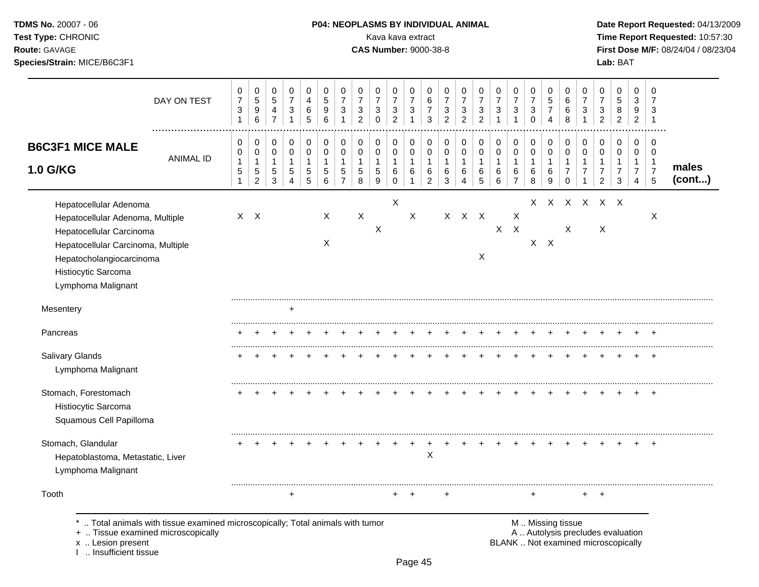| <b>TDMS No. 20007 - 06</b> |  |
|----------------------------|--|
| <b>Test Type: CHRONIC</b>  |  |
| <b>Route: GAVAGE</b>       |  |

Kava kava extract **Time Report Requested:** 10:57:30 **CAS Number:** 9000-38-8 **First Dose M/F:** 08/24/04 / 08/23/04 **Species/Strain:** MICE/B6C3F1 **Lab:** BAT

| DAY ON TEST                                                                                                                                                                                           | 0<br>$\boldsymbol{7}$<br>$\sqrt{3}$<br>$\mathbf{1}$ | 0<br>$\sqrt{5}$<br>$\boldsymbol{9}$<br>$6\phantom{1}6$ | 0<br>$\sqrt{5}$<br>$\overline{4}$<br>$\overline{7}$                      | 0<br>$\overline{7}$<br>3<br>$\mathbf{1}$                      | 0<br>$\overline{4}$<br>6<br>5                      | 0<br>5<br>9<br>6                      | 0<br>$\overline{7}$<br>3<br>$\mathbf{1}$                      | 0<br>$\overline{7}$<br>3<br>$\overline{2}$           | 0<br>$\overline{7}$<br>3<br>$\Omega$                 | 0<br>$\overline{7}$<br>$\sqrt{3}$<br>$\overline{2}$       | 0<br>$\overline{7}$<br>$\sqrt{3}$<br>$\mathbf{1}$ | 0<br>6<br>$\boldsymbol{7}$<br>3                       | 0<br>$\overline{7}$<br>3<br>$\overline{2}$       | 0<br>$\overline{7}$<br>3<br>$\overline{c}$    | 0<br>$\overline{7}$<br>3<br>$\overline{2}$         | 0<br>$\overline{7}$<br>3<br>1 | 0<br>$\overline{7}$<br>$\sqrt{3}$<br>$\mathbf{1}$           | 0<br>$\overline{7}$<br>3<br>$\mathbf 0$ | 0<br>$\overline{5}$<br>$\boldsymbol{7}$<br>$\overline{4}$         | 0<br>6<br>6<br>8                                                | 0<br>$\overline{7}$<br>3<br>1                                | 0<br>$\overline{7}$<br>3<br>$\overline{2}$                               | 0<br>5<br>8<br>$\overline{c}$                | 0<br>3<br>9<br>$\overline{c}$                                     | 0<br>7<br>3<br>$\overline{1}$                             |                 |
|-------------------------------------------------------------------------------------------------------------------------------------------------------------------------------------------------------|-----------------------------------------------------|--------------------------------------------------------|--------------------------------------------------------------------------|---------------------------------------------------------------|----------------------------------------------------|---------------------------------------|---------------------------------------------------------------|------------------------------------------------------|------------------------------------------------------|-----------------------------------------------------------|---------------------------------------------------|-------------------------------------------------------|--------------------------------------------------|-----------------------------------------------|----------------------------------------------------|-------------------------------|-------------------------------------------------------------|-----------------------------------------|-------------------------------------------------------------------|-----------------------------------------------------------------|--------------------------------------------------------------|--------------------------------------------------------------------------|----------------------------------------------|-------------------------------------------------------------------|-----------------------------------------------------------|-----------------|
| <b>B6C3F1 MICE MALE</b><br><b>ANIMAL ID</b><br>1.0 G/KG                                                                                                                                               | 0<br>$\pmb{0}$<br>$\mathbf{1}$<br>5<br>$\mathbf{1}$ | 0<br>$\pmb{0}$<br>1<br>$\mathbf 5$<br>$\overline{c}$   | $\mathbf 0$<br>$\mathbf 0$<br>$\mathbf{1}$<br>$\sqrt{5}$<br>$\mathbf{3}$ | $\pmb{0}$<br>$\pmb{0}$<br>$\mathbf{1}$<br>5<br>$\overline{4}$ | $\mathbf 0$<br>$\mathbf 0$<br>1<br>5<br>$\sqrt{5}$ | $\pmb{0}$<br>$\pmb{0}$<br>1<br>5<br>6 | $\pmb{0}$<br>$\pmb{0}$<br>$\mathbf{1}$<br>5<br>$\overline{7}$ | $\mathbf 0$<br>$\mathbf 0$<br>$\mathbf{1}$<br>5<br>8 | $\mathbf 0$<br>$\mathbf 0$<br>$\mathbf{1}$<br>5<br>9 | $\pmb{0}$<br>$\pmb{0}$<br>$\mathbf 1$<br>6<br>$\mathbf 0$ | 0<br>$\mathbf 0$<br>$\mathbf{1}$<br>6<br>1        | 0<br>$\pmb{0}$<br>$\mathbf{1}$<br>6<br>$\overline{c}$ | $\pmb{0}$<br>$\pmb{0}$<br>$\mathbf{1}$<br>6<br>3 | 0<br>0<br>$\mathbf{1}$<br>6<br>$\overline{4}$ | $\mathbf 0$<br>$\pmb{0}$<br>$\mathbf{1}$<br>6<br>5 | 0<br>$\pmb{0}$<br>1<br>6<br>6 | 0<br>$\mathbf 0$<br>$\mathbf{1}$<br>$\,6$<br>$\overline{7}$ | 0<br>$\pmb{0}$<br>1<br>6<br>8           | $\mathbf 0$<br>$\pmb{0}$<br>$\mathbf{1}$<br>6<br>$\boldsymbol{9}$ | $\mathbf 0$<br>$\pmb{0}$<br>$\mathbf{1}$<br>$\overline{7}$<br>0 | $\mathbf 0$<br>$\mathbf 0$<br>$\mathbf{1}$<br>$\overline{7}$ | 0<br>$\mathbf 0$<br>$\mathbf 1$<br>$\overline{7}$<br>2                   | 0<br>$\mathbf 0$<br>1<br>$\overline{7}$<br>3 | $\mathbf 0$<br>$\mathbf 0$<br>$\mathbf{1}$<br>$\overline{7}$<br>4 | 0<br>$\mathbf 0$<br>$\overline{1}$<br>$\overline{7}$<br>5 | males<br>(cont) |
| Hepatocellular Adenoma<br>Hepatocellular Adenoma, Multiple<br>Hepatocellular Carcinoma<br>Hepatocellular Carcinoma, Multiple<br>Hepatocholangiocarcinoma<br>Histiocytic Sarcoma<br>Lymphoma Malignant | X                                                   | $\mathsf{X}$                                           |                                                                          |                                                               |                                                    | X<br>X                                |                                                               | X                                                    | X                                                    | X                                                         | X                                                 |                                                       |                                                  | X X X                                         | $\boldsymbol{\mathsf{X}}$                          | X                             | X<br>$\boldsymbol{\mathsf{X}}$                              | X.                                      | X.<br>$X$ $X$                                                     | X                                                               |                                                              | x x x x<br>Χ                                                             |                                              |                                                                   | X                                                         |                 |
| Mesentery                                                                                                                                                                                             |                                                     |                                                        |                                                                          | +                                                             |                                                    |                                       |                                                               |                                                      |                                                      |                                                           |                                                   |                                                       |                                                  |                                               |                                                    |                               |                                                             |                                         |                                                                   |                                                                 |                                                              |                                                                          |                                              |                                                                   |                                                           |                 |
| Pancreas                                                                                                                                                                                              |                                                     |                                                        |                                                                          |                                                               |                                                    |                                       |                                                               |                                                      |                                                      |                                                           |                                                   |                                                       |                                                  |                                               |                                                    |                               |                                                             |                                         |                                                                   |                                                                 |                                                              |                                                                          |                                              |                                                                   |                                                           |                 |
| Salivary Glands<br>Lymphoma Malignant                                                                                                                                                                 |                                                     |                                                        |                                                                          |                                                               |                                                    |                                       |                                                               |                                                      |                                                      |                                                           |                                                   |                                                       |                                                  |                                               |                                                    |                               |                                                             |                                         |                                                                   |                                                                 |                                                              |                                                                          |                                              |                                                                   | $+$                                                       |                 |
| Stomach, Forestomach<br>Histiocytic Sarcoma<br>Squamous Cell Papilloma                                                                                                                                |                                                     |                                                        |                                                                          |                                                               |                                                    |                                       |                                                               |                                                      |                                                      |                                                           |                                                   |                                                       |                                                  |                                               |                                                    |                               |                                                             |                                         |                                                                   |                                                                 |                                                              |                                                                          |                                              |                                                                   |                                                           |                 |
| Stomach, Glandular<br>Hepatoblastoma, Metastatic, Liver<br>Lymphoma Malignant                                                                                                                         |                                                     |                                                        |                                                                          |                                                               |                                                    |                                       |                                                               |                                                      |                                                      |                                                           |                                                   | X                                                     |                                                  |                                               |                                                    |                               |                                                             |                                         |                                                                   |                                                                 |                                                              |                                                                          |                                              |                                                                   |                                                           |                 |
| Tooth                                                                                                                                                                                                 |                                                     |                                                        |                                                                          | +                                                             |                                                    |                                       |                                                               |                                                      |                                                      | $+$                                                       | $+$                                               |                                                       | $\ddot{}$                                        |                                               |                                                    |                               |                                                             |                                         |                                                                   |                                                                 | $+$                                                          | $^{+}$                                                                   |                                              |                                                                   |                                                           |                 |
| Total animals with tissue examined microscopically; Total animals with tumor<br>+  Tissue examined microscopically<br>x  Lesion present<br>1  Insufficient tissue                                     |                                                     |                                                        |                                                                          |                                                               |                                                    |                                       |                                                               |                                                      |                                                      |                                                           |                                                   |                                                       |                                                  |                                               |                                                    |                               |                                                             | M  Missing tissue                       |                                                                   |                                                                 |                                                              | A  Autolysis precludes evaluation<br>BLANK  Not examined microscopically |                                              |                                                                   |                                                           |                 |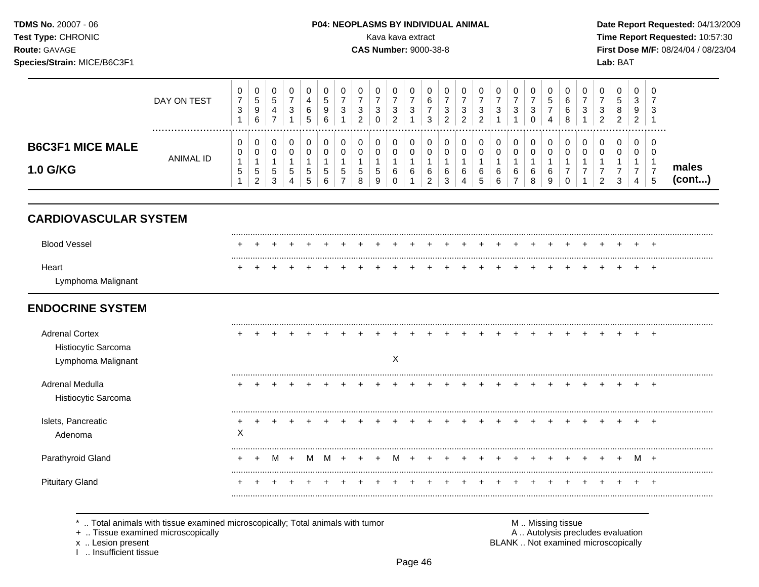| <b>TDMS No. 20007 - 06</b>  | <b>P04: NEOPLASMS BY INDIVIDUAL ANIMAL</b> | Date Rep         |
|-----------------------------|--------------------------------------------|------------------|
| <b>Test Type: CHRONIC</b>   | Kava kava extract                          | Time Rep         |
| <b>Route: GAVAGE</b>        | <b>CAS Number: 9000-38-8</b>               | <b>First Dos</b> |
| Species/Strain: MICE/B6C3F1 |                                            | Lab: BAT         |

Kava kava extract **Time Report Requested:** 10:57:30 **CAS Number:** 9000-38-8 **First Dose M/F:** 08/24/04 / 08/23/04

|                                                                    | DAY ON TEST      | 0<br>$\overline{7}$<br>$\ensuremath{\mathsf{3}}$<br>$\mathbf{1}$ | 0<br>$\sqrt{5}$<br>$\boldsymbol{9}$<br>6                     | 0<br>$\sqrt{5}$<br>$\overline{4}$<br>$\overline{7}$ | 0<br>$\overline{7}$<br>$\ensuremath{\mathsf{3}}$<br>1             | 0<br>4<br>$\,6\,$<br>5                               | 0<br>$\sqrt{5}$<br>9<br>6                            | 0<br>$\overline{7}$<br>$\sqrt{3}$                     | 0<br>$\overline{7}$<br>$\sqrt{3}$<br>$\overline{2}$ | 0<br>$\overline{7}$<br>$\mathbf{3}$<br>0 | 0<br>$\boldsymbol{7}$<br>$\ensuremath{\mathsf{3}}$<br>$\overline{2}$ | 0<br>$\overline{7}$<br>$\sqrt{3}$<br>1     | 0<br>6<br>$\overline{7}$<br>3                                     | 0<br>$\overline{7}$<br>$\sqrt{3}$<br>$\overline{c}$ | 0<br>$\overline{7}$<br>$\sqrt{3}$<br>$\overline{2}$  | 0<br>$\overline{7}$<br>$\sqrt{3}$<br>$\overline{2}$ | 0<br>$\overline{7}$<br>$\ensuremath{\mathsf{3}}$ | 0<br>$\overline{7}$<br>$\sqrt{3}$                               | 0<br>$\overline{7}$<br>3<br>0                  | 0<br>$\sqrt{5}$<br>$\overline{7}$<br>4                 | 0<br>6<br>6<br>8                             | 0<br>$\overline{7}$<br>$\ensuremath{\mathsf{3}}$ | 0<br>$\overline{7}$<br>$\mathbf{3}$<br>$\overline{c}$                | 0<br>5<br>8<br>$\overline{c}$                                              | 0<br>3<br>9<br>$\overline{c}$                                     | 0<br>7<br>3<br>-1                                         |                 |
|--------------------------------------------------------------------|------------------|------------------------------------------------------------------|--------------------------------------------------------------|-----------------------------------------------------|-------------------------------------------------------------------|------------------------------------------------------|------------------------------------------------------|-------------------------------------------------------|-----------------------------------------------------|------------------------------------------|----------------------------------------------------------------------|--------------------------------------------|-------------------------------------------------------------------|-----------------------------------------------------|------------------------------------------------------|-----------------------------------------------------|--------------------------------------------------|-----------------------------------------------------------------|------------------------------------------------|--------------------------------------------------------|----------------------------------------------|--------------------------------------------------|----------------------------------------------------------------------|----------------------------------------------------------------------------|-------------------------------------------------------------------|-----------------------------------------------------------|-----------------|
| <b>B6C3F1 MICE MALE</b><br><b>1.0 G/KG</b>                         | <b>ANIMAL ID</b> | $\mathbf 0$<br>0<br>$\mathbf{1}$<br>$\,$ 5 $\,$<br>$\mathbf{1}$  | $\boldsymbol{0}$<br>0<br>$\mathbf{1}$<br>5<br>$\overline{c}$ | $\pmb{0}$<br>0<br>$\overline{1}$<br>$\sqrt{5}$<br>3 | $\mathbf 0$<br>$\mathbf 0$<br>$\mathbf{1}$<br>5<br>$\overline{4}$ | 0<br>$\mathbf 0$<br>$\mathbf{1}$<br>$\mathbf 5$<br>5 | $\mathbf 0$<br>$\mathbf 0$<br>$\mathbf{1}$<br>5<br>6 | $\pmb{0}$<br>0<br>$\mathbf{1}$<br>5<br>$\overline{7}$ | $\mathbf 0$<br>$\mathbf 0$<br>5<br>8                | 0<br>0<br>$\mathbf{1}$<br>5<br>9         | 0<br>$\mathbf 0$<br>$\mathbf{1}$<br>6<br>$\mathbf 0$                 | $\mathbf 0$<br>0<br>$\mathbf{1}$<br>6<br>1 | $\mathbf 0$<br>$\mathbf 0$<br>$\mathbf{1}$<br>6<br>$\overline{a}$ | $\mathbf 0$<br>0<br>$\mathbf{1}$<br>6<br>3          | $\mathbf 0$<br>$\mathbf 0$<br>$\mathbf{1}$<br>6<br>4 | $\mathbf 0$<br>$\mathbf 0$<br>1<br>6<br>5           | $\mathbf 0$<br>0<br>$\mathbf{1}$<br>$\,6\,$<br>6 | $\pmb{0}$<br>$\mathbf 0$<br>$\mathbf{1}$<br>6<br>$\overline{7}$ | 0<br>$\mathbf 0$<br>$\mathbf{1}$<br>$\,6$<br>8 | $\mathbf 0$<br>$\mathbf 0$<br>$\overline{1}$<br>6<br>9 | 0<br>$\mathbf 0$<br>1<br>$\overline{7}$<br>0 | 0<br>$\mathbf 0$<br>$\overline{7}$               | 0<br>$\mathbf 0$<br>$\mathbf{1}$<br>$\overline{7}$<br>$\overline{c}$ | $\pmb{0}$<br>$\mathbf 0$<br>$\mathbf{1}$<br>$\overline{7}$<br>$\mathbf{3}$ | $\mathbf 0$<br>$\mathbf 0$<br>$\mathbf{1}$<br>$\overline{7}$<br>4 | $\mathbf 0$<br>0<br>$\overline{1}$<br>$\overline{7}$<br>5 | males<br>(cont) |
| <b>CARDIOVASCULAR SYSTEM</b>                                       |                  |                                                                  |                                                              |                                                     |                                                                   |                                                      |                                                      |                                                       |                                                     |                                          |                                                                      |                                            |                                                                   |                                                     |                                                      |                                                     |                                                  |                                                                 |                                                |                                                        |                                              |                                                  |                                                                      |                                                                            |                                                                   |                                                           |                 |
| <b>Blood Vessel</b>                                                |                  |                                                                  |                                                              |                                                     |                                                                   |                                                      |                                                      |                                                       |                                                     |                                          |                                                                      |                                            |                                                                   |                                                     |                                                      |                                                     |                                                  |                                                                 |                                                |                                                        |                                              |                                                  |                                                                      |                                                                            |                                                                   |                                                           |                 |
| Heart<br>Lymphoma Malignant                                        |                  |                                                                  |                                                              |                                                     |                                                                   |                                                      |                                                      |                                                       |                                                     |                                          |                                                                      |                                            |                                                                   |                                                     |                                                      |                                                     |                                                  |                                                                 |                                                |                                                        |                                              |                                                  |                                                                      |                                                                            |                                                                   | $\ddot{}$                                                 |                 |
| <b>ENDOCRINE SYSTEM</b>                                            |                  |                                                                  |                                                              |                                                     |                                                                   |                                                      |                                                      |                                                       |                                                     |                                          |                                                                      |                                            |                                                                   |                                                     |                                                      |                                                     |                                                  |                                                                 |                                                |                                                        |                                              |                                                  |                                                                      |                                                                            |                                                                   |                                                           |                 |
| <b>Adrenal Cortex</b><br>Histiocytic Sarcoma<br>Lymphoma Malignant |                  |                                                                  |                                                              |                                                     |                                                                   |                                                      |                                                      |                                                       |                                                     |                                          | X                                                                    |                                            |                                                                   |                                                     |                                                      |                                                     |                                                  |                                                                 |                                                |                                                        |                                              |                                                  |                                                                      |                                                                            |                                                                   |                                                           |                 |
| Adrenal Medulla<br>Histiocytic Sarcoma                             |                  |                                                                  |                                                              |                                                     |                                                                   |                                                      |                                                      |                                                       |                                                     |                                          |                                                                      |                                            |                                                                   |                                                     |                                                      |                                                     |                                                  |                                                                 |                                                |                                                        |                                              |                                                  |                                                                      |                                                                            |                                                                   | $\div$                                                    |                 |
| Islets, Pancreatic<br>Adenoma                                      |                  | X                                                                | $\div$                                                       |                                                     |                                                                   |                                                      |                                                      |                                                       |                                                     |                                          |                                                                      |                                            |                                                                   |                                                     |                                                      |                                                     |                                                  |                                                                 |                                                |                                                        |                                              |                                                  |                                                                      |                                                                            |                                                                   |                                                           |                 |
| Parathyroid Gland                                                  |                  |                                                                  | $\ddot{}$                                                    | M                                                   | $+$                                                               | M                                                    | M                                                    |                                                       |                                                     |                                          | м                                                                    |                                            |                                                                   |                                                     |                                                      |                                                     |                                                  |                                                                 |                                                |                                                        |                                              |                                                  |                                                                      | $\ddot{}$                                                                  | м                                                                 |                                                           |                 |
| <b>Pituitary Gland</b>                                             |                  |                                                                  |                                                              |                                                     |                                                                   |                                                      |                                                      |                                                       |                                                     |                                          |                                                                      |                                            |                                                                   |                                                     |                                                      |                                                     |                                                  |                                                                 |                                                |                                                        |                                              |                                                  |                                                                      |                                                                            |                                                                   |                                                           |                 |

 $*$  .. Total animals with tissue examined microscopically; Total animals with tumor  $\blacksquare$  M .. Missing tissue

+ .. Tissue examined microscopically  $\blacksquare$  A .. Autolysis precludes evaluation

x .. Lesion present<br>I .. Insufficient tissue

M .. Missing tissue<br>A .. Autolysis precludes evaluation<br>BLANK .. Not examined microscopically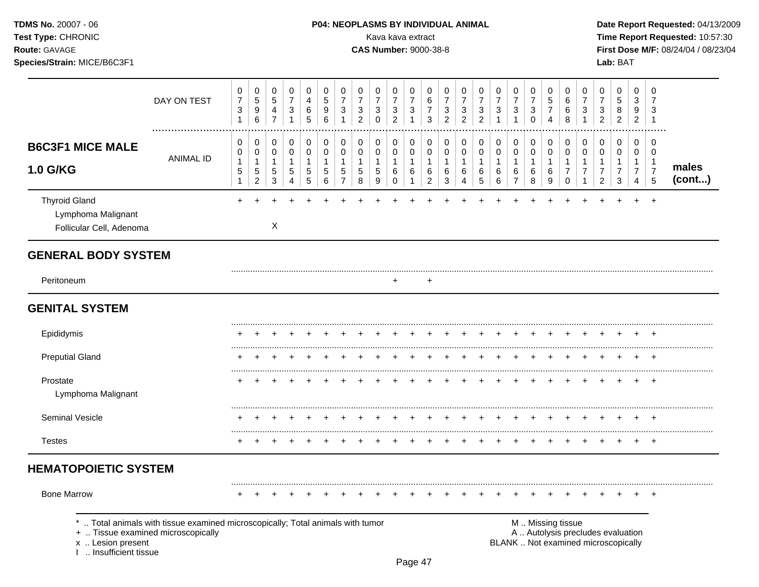| <b>TDMS No. 20007 - 06</b> |
|----------------------------|
| <b>Test Type: CHRONIC</b>  |
| <b>Route: GAVAGE</b>       |
|                            |

**Kava kava extract CHRONIC CHRONIC CHRONIC Time Report Requested:** 10:57:30 **CAS Number:** 9000-38-8 **First Dose M/F:** 08/24/04 / 08/23/04 **Species/Strain:** MICE/B6C3F1 **Lab:** BAT

|                                                                                   | DAY ON TEST                                                                     | 0<br>$\overline{7}$<br>3<br>$\mathbf{1}$    | 0<br>5<br>$\boldsymbol{9}$<br>$\,6$                            | 0<br>5<br>4<br>$\overline{7}$                                         | 0<br>$\overline{7}$<br>$\mathbf{3}$<br>$\mathbf{1}$ | 0<br>4<br>6<br>5                      | 0<br>$\,$ 5 $\,$<br>9<br>6      | 0<br>$\overline{7}$<br>3<br>$\mathbf{1}$                | 0<br>7<br>3<br>$\overline{2}$              | 0<br>$\overline{7}$<br>$\sqrt{3}$<br>$\Omega$ | 0<br>$\boldsymbol{7}$<br>$\mathbf{3}$<br>$\overline{2}$ | 0<br>$\overline{7}$<br>3<br>$\mathbf{1}$   | 0<br>$\,6$<br>$\boldsymbol{7}$<br>3                         | 0<br>7<br>3<br>$\overline{2}$                         | 0<br>$\overline{7}$<br>3<br>$\overline{c}$ | 0<br>$\overline{7}$<br>$\ensuremath{\mathsf{3}}$<br>$\overline{2}$ | 0<br>$\overline{7}$<br>3<br>$\mathbf{1}$ | 0<br>$\boldsymbol{7}$<br>$\mathbf{3}$<br>$\mathbf{1}$   | 0<br>$\overline{7}$<br>3<br>$\mathbf 0$      | 0<br>5<br>$\overline{7}$<br>4              | 0<br>6<br>$\,6$<br>$\,8\,$                                       | 0<br>7<br>3<br>1                                      | 0<br>$\overline{7}$<br>3<br>$\overline{c}$                               | 0<br>5<br>8<br>$\overline{2}$                                     | 0<br>3<br>9<br>$\boldsymbol{2}$                                      | 0<br>7<br>3<br>$\mathbf 1$          |                 |
|-----------------------------------------------------------------------------------|---------------------------------------------------------------------------------|---------------------------------------------|----------------------------------------------------------------|-----------------------------------------------------------------------|-----------------------------------------------------|---------------------------------------|---------------------------------|---------------------------------------------------------|--------------------------------------------|-----------------------------------------------|---------------------------------------------------------|--------------------------------------------|-------------------------------------------------------------|-------------------------------------------------------|--------------------------------------------|--------------------------------------------------------------------|------------------------------------------|---------------------------------------------------------|----------------------------------------------|--------------------------------------------|------------------------------------------------------------------|-------------------------------------------------------|--------------------------------------------------------------------------|-------------------------------------------------------------------|----------------------------------------------------------------------|-------------------------------------|-----------------|
| <b>B6C3F1 MICE MALE</b><br><b>1.0 G/KG</b>                                        | ANIMAL ID                                                                       | 0<br>0<br>$\mathbf{1}$<br>5<br>$\mathbf{1}$ | 0<br>$\pmb{0}$<br>$\mathbf{1}$<br>$\sqrt{5}$<br>$\overline{c}$ | $\pmb{0}$<br>$\mathbf 0$<br>$\mathbf 1$<br>$\sqrt{5}$<br>$\mathbf{3}$ | 0<br>$\mathbf 0$<br>$\mathbf{1}$<br>5<br>4          | 0<br>$\,0\,$<br>$\mathbf 1$<br>5<br>5 | 0<br>$\mathbf 0$<br>1<br>5<br>6 | 0<br>$\mathbf 0$<br>$\mathbf{1}$<br>5<br>$\overline{7}$ | 0<br>$\mathbf 0$<br>$\mathbf{1}$<br>5<br>8 | 0<br>0<br>1<br>5<br>9                         | 0<br>$\pmb{0}$<br>$\mathbf{1}$<br>6<br>$\mathbf 0$      | 0<br>$\mathbf 0$<br>$\mathbf{1}$<br>6<br>1 | 0<br>$\pmb{0}$<br>$\mathbf{1}$<br>$\,6\,$<br>$\overline{a}$ | 0<br>$\pmb{0}$<br>$\overline{1}$<br>6<br>$\mathbf{3}$ | 0<br>0<br>1<br>6<br>4                      | 0<br>$\mathbf 0$<br>1<br>6<br>5                                    | 0<br>0<br>$\mathbf{1}$<br>6<br>$\,6$     | 0<br>$\mathbf 0$<br>$\mathbf{1}$<br>6<br>$\overline{7}$ | 0<br>$\mathbf 0$<br>$\overline{1}$<br>6<br>8 | 0<br>$\mathbf 0$<br>$\mathbf{1}$<br>6<br>9 | $\mathbf 0$<br>$\mathbf 0$<br>1<br>$\overline{7}$<br>$\mathbf 0$ | 0<br>$\pmb{0}$<br>$\mathbf{1}$<br>$\overline{7}$<br>1 | 0<br>0<br>$\mathbf 1$<br>$\overline{7}$<br>$\overline{2}$                | $\mathbf 0$<br>$\mathbf 0$<br>$\mathbf{1}$<br>$\overline{7}$<br>3 | 0<br>$\mathbf 0$<br>$\mathbf{1}$<br>$\overline{7}$<br>$\overline{4}$ | 0<br>0<br>-1<br>$\overline{7}$<br>5 | males<br>(cont) |
| <b>Thyroid Gland</b><br>Lymphoma Malignant<br>Follicular Cell, Adenoma            |                                                                                 |                                             |                                                                | $\mathsf{X}$                                                          |                                                     |                                       |                                 |                                                         |                                            |                                               |                                                         |                                            |                                                             |                                                       |                                            |                                                                    |                                          |                                                         |                                              |                                            |                                                                  |                                                       |                                                                          |                                                                   |                                                                      | $\overline{+}$                      |                 |
| <b>GENERAL BODY SYSTEM</b>                                                        |                                                                                 |                                             |                                                                |                                                                       |                                                     |                                       |                                 |                                                         |                                            |                                               |                                                         |                                            |                                                             |                                                       |                                            |                                                                    |                                          |                                                         |                                              |                                            |                                                                  |                                                       |                                                                          |                                                                   |                                                                      |                                     |                 |
| Peritoneum                                                                        |                                                                                 |                                             |                                                                |                                                                       |                                                     |                                       |                                 |                                                         |                                            |                                               | $\ddot{}$                                               |                                            | $\ddot{}$                                                   |                                                       |                                            |                                                                    |                                          |                                                         |                                              |                                            |                                                                  |                                                       |                                                                          |                                                                   |                                                                      |                                     |                 |
| <b>GENITAL SYSTEM</b>                                                             |                                                                                 |                                             |                                                                |                                                                       |                                                     |                                       |                                 |                                                         |                                            |                                               |                                                         |                                            |                                                             |                                                       |                                            |                                                                    |                                          |                                                         |                                              |                                            |                                                                  |                                                       |                                                                          |                                                                   |                                                                      |                                     |                 |
| Epididymis                                                                        |                                                                                 |                                             |                                                                |                                                                       |                                                     |                                       |                                 |                                                         |                                            |                                               |                                                         |                                            |                                                             |                                                       |                                            |                                                                    |                                          |                                                         |                                              |                                            |                                                                  |                                                       |                                                                          |                                                                   |                                                                      |                                     |                 |
| <b>Preputial Gland</b>                                                            |                                                                                 |                                             |                                                                |                                                                       |                                                     |                                       |                                 |                                                         |                                            |                                               |                                                         |                                            |                                                             |                                                       |                                            |                                                                    |                                          |                                                         |                                              |                                            |                                                                  |                                                       |                                                                          | $\div$                                                            |                                                                      | $\overline{ }$                      |                 |
| Prostate<br>Lymphoma Malignant                                                    |                                                                                 |                                             |                                                                |                                                                       |                                                     |                                       |                                 |                                                         |                                            |                                               |                                                         |                                            |                                                             |                                                       |                                            |                                                                    |                                          |                                                         |                                              |                                            |                                                                  |                                                       |                                                                          |                                                                   |                                                                      | $\overline{+}$                      |                 |
| Seminal Vesicle                                                                   |                                                                                 |                                             |                                                                |                                                                       |                                                     |                                       |                                 |                                                         |                                            |                                               |                                                         |                                            |                                                             |                                                       |                                            |                                                                    |                                          |                                                         |                                              |                                            |                                                                  |                                                       |                                                                          |                                                                   |                                                                      |                                     |                 |
| <b>Testes</b>                                                                     |                                                                                 |                                             |                                                                |                                                                       |                                                     |                                       |                                 |                                                         |                                            |                                               |                                                         |                                            |                                                             |                                                       |                                            |                                                                    |                                          |                                                         |                                              |                                            |                                                                  |                                                       |                                                                          |                                                                   |                                                                      | $\overline{+}$                      |                 |
| <b>HEMATOPOIETIC SYSTEM</b>                                                       |                                                                                 |                                             |                                                                |                                                                       |                                                     |                                       |                                 |                                                         |                                            |                                               |                                                         |                                            |                                                             |                                                       |                                            |                                                                    |                                          |                                                         |                                              |                                            |                                                                  |                                                       |                                                                          |                                                                   |                                                                      |                                     |                 |
| <b>Bone Marrow</b>                                                                |                                                                                 |                                             |                                                                |                                                                       |                                                     |                                       |                                 |                                                         |                                            |                                               |                                                         |                                            |                                                             |                                                       |                                            |                                                                    |                                          |                                                         |                                              |                                            |                                                                  |                                                       |                                                                          |                                                                   |                                                                      |                                     |                 |
| +  Tissue examined microscopically<br>x  Lesion present<br>I  Insufficient tissue | *  Total animals with tissue examined microscopically; Total animals with tumor |                                             |                                                                |                                                                       |                                                     |                                       |                                 |                                                         |                                            |                                               |                                                         |                                            |                                                             |                                                       |                                            |                                                                    |                                          |                                                         |                                              |                                            | M  Missing tissue                                                |                                                       | A  Autolysis precludes evaluation<br>BLANK  Not examined microscopically |                                                                   |                                                                      |                                     |                 |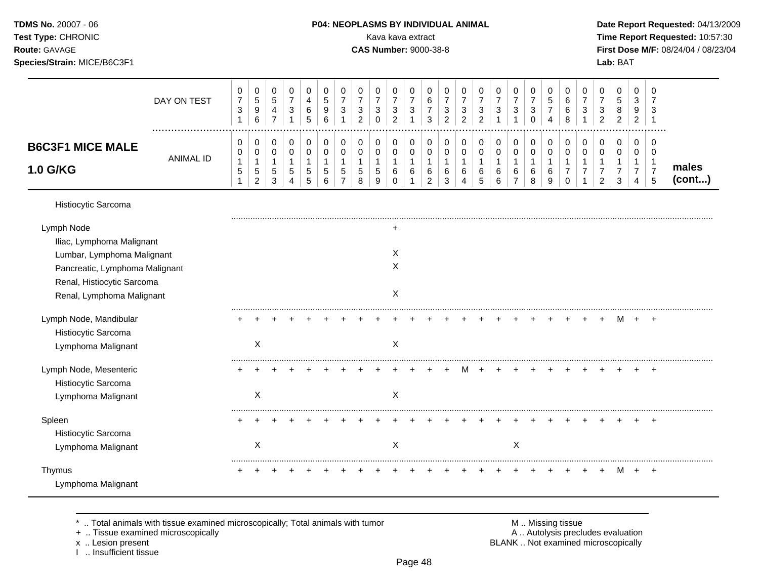| <b>TDMS No. 20007 - 06</b>  | <b>P04: NEOPLASMS BY INDIVIDUAL ANIMAL</b> | Date Rep         |
|-----------------------------|--------------------------------------------|------------------|
| <b>Test Type: CHRONIC</b>   | Kava kava extract                          | Time Rer         |
| <b>Route: GAVAGE</b>        | <b>CAS Number: 9000-38-8</b>               | <b>First Dos</b> |
| Species/Strain: MICE/B6C3F1 |                                            | <b>Lab: BAT</b>  |

Kava kava extract **Time Report Requested:** 10:57:30 **CAS Number:** 9000-38-8 **First Dose M/F:** 08/24/04 / 08/23/04

|                                                                                                                                                                    | DAY ON TEST      | 0<br>$\overline{\mathbf{7}}$<br>$\ensuremath{\mathsf{3}}$<br>$\mathbf{1}$ | 0<br>$\sqrt{5}$<br>$\boldsymbol{9}$<br>$\,6\,$          | 0<br>$\sqrt{5}$<br>4<br>$\overline{7}$   | 0<br>$\overline{7}$<br>$\sqrt{3}$                              | 0<br>4<br>6<br>5                                   | 0<br>$\sqrt{5}$<br>9<br>6                  | 0<br>$\overline{7}$<br>3      | 0<br>$\overline{7}$<br>3<br>$\overline{2}$ | 0<br>$\overline{7}$<br>3<br>$\Omega$              | 0<br>$\overline{7}$<br>$\sqrt{3}$<br>$\overline{2}$ | 0<br>$\overline{7}$<br>$\sqrt{3}$          | $\Omega$<br>6<br>7<br>3                                 | 0<br>$\overline{7}$<br>3<br>$\overline{c}$ | 0<br>$\overline{7}$<br>3<br>$\overline{c}$ | 0<br>$\overline{7}$<br>3<br>$\overline{2}$ | 0<br>$\overline{7}$<br>3                        | 0<br>$\overline{7}$<br>3                                   | 0<br>$\overline{7}$<br>3<br>$\Omega$     | 0<br>5<br>$\overline{7}$<br>4          | 0<br>6<br>6<br>8                                               | 0<br>$\overline{7}$<br>3 | 0<br>$\overline{7}$<br>3<br>$\overline{2}$ | 0<br>5<br>8<br>$\overline{c}$           | 0<br>3<br>9<br>$\overline{2}$ | $\Omega$<br>$\overline{7}$<br>3<br>-1                                  |                 |
|--------------------------------------------------------------------------------------------------------------------------------------------------------------------|------------------|---------------------------------------------------------------------------|---------------------------------------------------------|------------------------------------------|----------------------------------------------------------------|----------------------------------------------------|--------------------------------------------|-------------------------------|--------------------------------------------|---------------------------------------------------|-----------------------------------------------------|--------------------------------------------|---------------------------------------------------------|--------------------------------------------|--------------------------------------------|--------------------------------------------|-------------------------------------------------|------------------------------------------------------------|------------------------------------------|----------------------------------------|----------------------------------------------------------------|--------------------------|--------------------------------------------|-----------------------------------------|-------------------------------|------------------------------------------------------------------------|-----------------|
| <b>B6C3F1 MICE MALE</b><br>1.0 G/KG                                                                                                                                | <b>ANIMAL ID</b> | 0<br>0<br>$\mathbf{1}$<br>$\mathbf 5$<br>$\mathbf{1}$                     | 0<br>0<br>$\mathbf{1}$<br>$\mathbf 5$<br>$\overline{2}$ | 0<br>$\pmb{0}$<br>$\mathbf{1}$<br>5<br>3 | 0<br>$\pmb{0}$<br>$\mathbf{1}$<br>$\sqrt{5}$<br>$\overline{4}$ | 0<br>$\pmb{0}$<br>$\mathbf{1}$<br>$\,$ 5 $\,$<br>5 | 0<br>$\mathbf 0$<br>$\mathbf{1}$<br>5<br>6 | 0<br>0<br>5<br>$\overline{7}$ | 0<br>$\mathbf 0$<br>1<br>5<br>8            | 0<br>$\pmb{0}$<br>$\mathbf{1}$<br>$\sqrt{5}$<br>9 | 0<br>0<br>$\mathbf{1}$<br>6<br>$\Omega$             | 0<br>$\boldsymbol{0}$<br>$\mathbf{1}$<br>6 | 0<br>$\mathbf 0$<br>$\mathbf{1}$<br>6<br>$\overline{2}$ | 0<br>$\mathbf 0$<br>1<br>6<br>3            | 0<br>0<br>$\mathbf{1}$<br>6<br>4           | 0<br>0<br>$\mathbf{1}$<br>6<br>5           | 0<br>$\boldsymbol{0}$<br>$\mathbf{1}$<br>6<br>6 | 0<br>$\pmb{0}$<br>$\mathbf 1$<br>$\,6\,$<br>$\overline{7}$ | 0<br>$\pmb{0}$<br>$\mathbf{1}$<br>6<br>8 | 0<br>$\,0\,$<br>$\mathbf{1}$<br>6<br>9 | 0<br>$\mathbf 0$<br>$\mathbf{1}$<br>$\overline{7}$<br>$\Omega$ | 0<br>0<br>7              | 0<br>$\Omega$<br>$\mathcal{P}$             | 0<br>$\mathbf 0$<br>$\overline{7}$<br>3 | 0<br>0<br>$\overline{7}$<br>4 | 0<br>$\mathbf 0$<br>$\overline{1}$<br>$\overline{7}$<br>$\overline{5}$ | males<br>(cont) |
| Histiocytic Sarcoma                                                                                                                                                |                  |                                                                           |                                                         |                                          |                                                                |                                                    |                                            |                               |                                            |                                                   |                                                     |                                            |                                                         |                                            |                                            |                                            |                                                 |                                                            |                                          |                                        |                                                                |                          |                                            |                                         |                               |                                                                        |                 |
| Lymph Node<br>Iliac, Lymphoma Malignant<br>Lumbar, Lymphoma Malignant<br>Pancreatic, Lymphoma Malignant<br>Renal, Histiocytic Sarcoma<br>Renal, Lymphoma Malignant |                  |                                                                           |                                                         |                                          |                                                                |                                                    |                                            |                               |                                            |                                                   | +<br>X<br>X<br>X                                    |                                            |                                                         |                                            |                                            |                                            |                                                 |                                                            |                                          |                                        |                                                                |                          |                                            |                                         |                               |                                                                        |                 |
| Lymph Node, Mandibular<br>Histiocytic Sarcoma<br>Lymphoma Malignant                                                                                                |                  |                                                                           | $\mathsf{X}$                                            |                                          |                                                                |                                                    |                                            |                               |                                            |                                                   | X                                                   |                                            |                                                         |                                            |                                            |                                            |                                                 |                                                            |                                          |                                        |                                                                |                          |                                            | м                                       |                               | $\overline{ }$                                                         |                 |
| Lymph Node, Mesenteric<br>Histiocytic Sarcoma<br>Lymphoma Malignant                                                                                                |                  |                                                                           | $\pmb{\times}$                                          |                                          |                                                                |                                                    |                                            |                               |                                            |                                                   | X                                                   |                                            |                                                         |                                            |                                            |                                            |                                                 |                                                            |                                          |                                        |                                                                |                          |                                            |                                         |                               |                                                                        |                 |
| Spleen<br>Histiocytic Sarcoma<br>Lymphoma Malignant                                                                                                                |                  |                                                                           | $\mathsf{X}$                                            |                                          |                                                                |                                                    |                                            |                               |                                            |                                                   | X                                                   |                                            |                                                         |                                            |                                            |                                            |                                                 | X                                                          |                                          |                                        |                                                                |                          |                                            |                                         |                               |                                                                        |                 |
| Thymus<br>Lymphoma Malignant                                                                                                                                       |                  |                                                                           |                                                         |                                          |                                                                |                                                    |                                            |                               |                                            |                                                   |                                                     |                                            |                                                         |                                            |                                            |                                            |                                                 |                                                            |                                          |                                        |                                                                |                          |                                            | M                                       | $+$                           | $+$                                                                    |                 |

 $*$  .. Total animals with tissue examined microscopically; Total animals with tumor  $\blacksquare$  M .. Missing tissue

+ .. Tissue examined microscopically  $\blacksquare$  A .. Autolysis precludes evaluation

x .. Lesion present<br>I .. Insufficient tissue

M .. Missing tissue<br>A .. Autolysis precludes evaluation<br>BLANK .. Not examined microscopically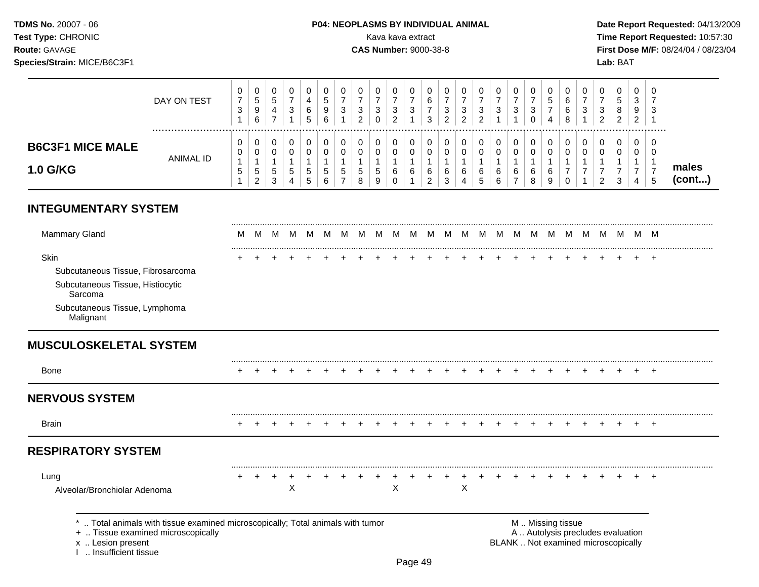## **TDMS No.** 20007 - 06 **P04: NEOPLASMS BY INDIVIDUAL ANIMAL** Date Report Requested: 04/13/2009

**Test Type:** CHRONIC **Transfer CHRONIC** Kava Rava extract Kava extract **Time Report Requested:** 10:57:30 **Route:** GAVAGE **CAS Number:** 9000-38-8 **First Dose M/F:** 08/24/04 / 08/23/04

|                         | DAY ON TEST | υ<br>3 | 0<br>ູວ<br>9<br>6 | $\rightarrow$    | v<br>3           | 4<br>6<br>.5      | 0<br>đ<br>9<br>6  | 0<br>ົ<br>د | U<br>3<br>っ<br><u>.</u> | ◡<br>3 | $\sim$<br>J<br>$\sim$ | v<br>3 | 3      | U<br>3<br><u>_</u> | 0<br>ົ<br>ັ<br>ົ<br><u>_</u> | υ<br>3<br>ົ<br><u>.</u> | ◡<br>3      | ົ<br>دت             | U<br>3<br>U | Đ<br>-<br>4 | υ<br>b<br>6<br>8 | 0<br>ົ<br>J | U<br>3<br>າ<br><u>L</u> | O<br>≎<br>8<br><u>_</u> | 0<br>J<br>9<br>$\sim$<br>$\epsilon$ | 0<br>3       |                 |
|-------------------------|-------------|--------|-------------------|------------------|------------------|-------------------|-------------------|-------------|-------------------------|--------|-----------------------|--------|--------|--------------------|------------------------------|-------------------------|-------------|---------------------|-------------|-------------|------------------|-------------|-------------------------|-------------------------|-------------------------------------|--------------|-----------------|
| <b>B6C3F1 MICE MALE</b> | ANIMAL ID   | υ<br>J | U                 |                  | v<br>v           |                   | 0<br>U            | 0<br>0      | U<br>U                  |        |                       | U<br>U |        | U<br>U             | 0<br>0                       | u<br>u                  |             |                     | 0<br>υ      |             | Ü                | 0<br>0      | u<br>U                  | U                       |                                     | 0<br>0       |                 |
| <b>1.0 G/KG</b>         |             | ≎      | ಾ<br>2            | b<br>$\sim$<br>د | $5^{\circ}$<br>4 | $\mathbf{p}$<br>৩ | $\mathbf{p}$<br>6 | C.<br>-     | <sub>5</sub><br>8       | .5     | 6                     | 6      | 6<br>c | 6<br>دت            | 6                            | 6                       | 6<br>$\sim$ | 6<br>$\overline{ }$ | 6<br>8      | 6           |                  |             | າ<br>_                  | c                       |                                     | $\mathbf{p}$ | males<br>(cont) |

# **INTEGUMENTARY SYSTEM**

| Mammary Gland                               | м |  | M | M | MMM |  |  |  | M M M M M M M M |  | M | M | M | M | <b>M</b> | - M | M | M M |          |  |
|---------------------------------------------|---|--|---|---|-----|--|--|--|-----------------|--|---|---|---|---|----------|-----|---|-----|----------|--|
| Skin                                        |   |  |   |   |     |  |  |  |                 |  |   |   |   |   |          |     |   |     | <b>+</b> |  |
| Subcutaneous Tissue, Fibrosarcoma           |   |  |   |   |     |  |  |  |                 |  |   |   |   |   |          |     |   |     |          |  |
| Subcutaneous Tissue, Histiocytic<br>Sarcoma |   |  |   |   |     |  |  |  |                 |  |   |   |   |   |          |     |   |     |          |  |
| Subcutaneous Tissue, Lymphoma<br>Malignant  |   |  |   |   |     |  |  |  |                 |  |   |   |   |   |          |     |   |     |          |  |

# **MUSCULOSKELETAL SYSTEM**

| <b>Bone</b>                                                                                                                             |  |   |  |  |   |  |   |  |  |                   |                                                                          |  |        |  |
|-----------------------------------------------------------------------------------------------------------------------------------------|--|---|--|--|---|--|---|--|--|-------------------|--------------------------------------------------------------------------|--|--------|--|
| <b>NERVOUS SYSTEM</b>                                                                                                                   |  |   |  |  |   |  |   |  |  |                   |                                                                          |  |        |  |
| <b>Brain</b>                                                                                                                            |  |   |  |  |   |  |   |  |  |                   |                                                                          |  | $\div$ |  |
| <b>RESPIRATORY SYSTEM</b>                                                                                                               |  |   |  |  |   |  |   |  |  |                   |                                                                          |  |        |  |
| Lung<br>Alveolar/Bronchiolar Adenoma                                                                                                    |  | ⋏ |  |  | X |  | X |  |  |                   |                                                                          |  |        |  |
| Total animals with tissue examined microscopically; Total animals with tumor<br>+  Tissue examined microscopically<br>x  Lesion present |  |   |  |  |   |  |   |  |  | M  Missing tissue | A  Autolysis precludes evaluation<br>BLANK  Not examined microscopically |  |        |  |

I .. Insufficient tissue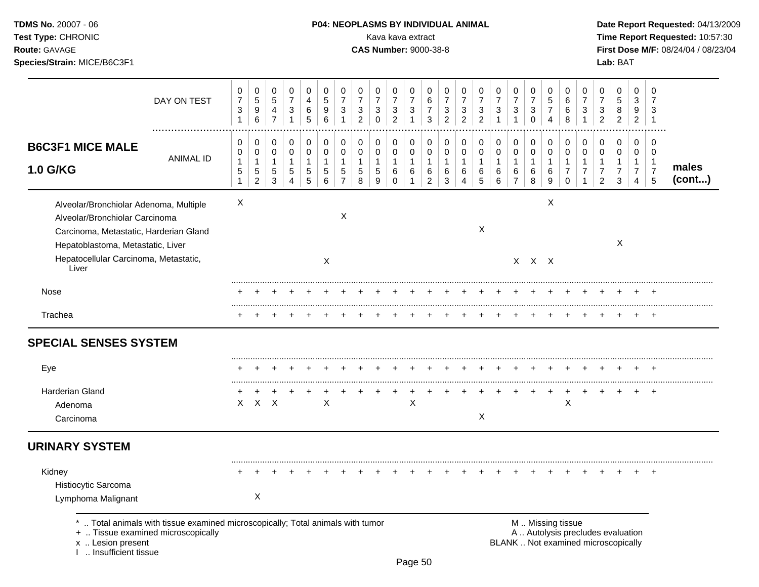| Test Type: CHRONIC<br>Route: GAVAGE<br>Species/Strain: MICE/B6C3F1                                                                                                                                        |                                                                                                                    |                                            |                                              |                                                              |                                                                  |                                 |                           |                                                     |                                                                    | Kava kava extract                    |                                                                    |                                                                    | <b>CAS Number: 9000-38-8</b>                          |                                                     |                                                                    |                                                     |                                                                    |                                                                    |                                                                |                                                     |                         |                                          |                                                                      | Lab: BAT                                |                                               |                                               | Time Report Requested: 10:57:30<br>First Dose M/F: 08/24/04 / 08/23/04 |
|-----------------------------------------------------------------------------------------------------------------------------------------------------------------------------------------------------------|--------------------------------------------------------------------------------------------------------------------|--------------------------------------------|----------------------------------------------|--------------------------------------------------------------|------------------------------------------------------------------|---------------------------------|---------------------------|-----------------------------------------------------|--------------------------------------------------------------------|--------------------------------------|--------------------------------------------------------------------|--------------------------------------------------------------------|-------------------------------------------------------|-----------------------------------------------------|--------------------------------------------------------------------|-----------------------------------------------------|--------------------------------------------------------------------|--------------------------------------------------------------------|----------------------------------------------------------------|-----------------------------------------------------|-------------------------|------------------------------------------|----------------------------------------------------------------------|-----------------------------------------|-----------------------------------------------|-----------------------------------------------|------------------------------------------------------------------------|
|                                                                                                                                                                                                           | DAY ON TEST                                                                                                        | 0<br>$\boldsymbol{7}$<br>3<br>$\mathbf{1}$ | 0<br>$\mathbf 5$<br>$\boldsymbol{9}$<br>6    | 0<br>$\sqrt{5}$<br>$\overline{\mathbf{4}}$<br>$\overline{7}$ | 0<br>$\overline{7}$<br>$\ensuremath{\mathsf{3}}$<br>$\mathbf{1}$ | 0<br>4<br>$\,6\,$<br>5          | 0<br>$\sqrt{5}$<br>9<br>6 | 0<br>$\overline{7}$<br>$\mathbf{3}$<br>$\mathbf{1}$ | 0<br>$\overline{7}$<br>$\ensuremath{\mathsf{3}}$<br>$\overline{2}$ | 0<br>$\overline{7}$<br>3<br>$\Omega$ | 0<br>$\overline{7}$<br>$\ensuremath{\mathsf{3}}$<br>$\overline{2}$ | 0<br>$\overline{7}$<br>$\ensuremath{\mathsf{3}}$<br>$\overline{1}$ | 0<br>6<br>$\boldsymbol{7}$<br>3                       | 0<br>$\overline{7}$<br>$\sqrt{3}$<br>$\overline{2}$ | 0<br>$\overline{7}$<br>$\ensuremath{\mathsf{3}}$<br>$\overline{2}$ | 0<br>$\overline{7}$<br>$\sqrt{3}$<br>$\overline{2}$ | 0<br>$\overline{7}$<br>$\ensuremath{\mathsf{3}}$<br>$\overline{1}$ | 0<br>$\overline{7}$<br>$\ensuremath{\mathsf{3}}$<br>$\overline{1}$ | 0<br>$\boldsymbol{7}$<br>$\ensuremath{\mathsf{3}}$<br>$\Omega$ | 0<br>$\sqrt{5}$<br>$\overline{7}$<br>$\overline{4}$ | 0<br>6<br>6<br>8        | 0<br>$\overline{7}$<br>3<br>$\mathbf{1}$ | 0<br>$\boldsymbol{7}$<br>$\ensuremath{\mathsf{3}}$<br>$\overline{2}$ | 0<br>$\,$ 5 $\,$<br>8<br>$\overline{2}$ | 0<br>3<br>9<br>$\overline{2}$                 | 0<br>7<br>3<br>$\overline{1}$                 |                                                                        |
| <b>B6C3F1 MICE MALE</b><br><b>1.0 G/KG</b>                                                                                                                                                                | <b>ANIMAL ID</b>                                                                                                   | 0<br>0<br>5<br>1                           | 0<br>0<br>1<br>$\,$ 5 $\,$<br>$\overline{c}$ | 0<br>0<br>1<br>5<br>3                                        | 0<br>$\,0\,$<br>$\mathbf 1$<br>5<br>4                            | 0<br>0<br>$\mathbf 1$<br>5<br>5 | 0<br>0<br>-1<br>5<br>6    | 0<br>$\,0\,$<br>1<br>5<br>$\overline{7}$            | 0<br>0<br>$\mathbf{1}$<br>5<br>8                                   | 0<br>0<br>1<br>5<br>9                | 0<br>0<br>$\mathbf{1}$<br>6<br>0                                   | 0<br>$\pmb{0}$<br>$\mathbf{1}$<br>6                                | 0<br>$\pmb{0}$<br>$\mathbf{1}$<br>6<br>$\overline{c}$ | 0<br>$\pmb{0}$<br>$\overline{1}$<br>6<br>3          | 0<br>0<br>1<br>6<br>4                                              | 0<br>0<br>1<br>6<br>5                               | 0<br>$\pmb{0}$<br>6<br>6                                           | 0<br>0<br>$\mathbf{1}$<br>6<br>$\overline{7}$                      | 0<br>0<br>$\mathbf 1$<br>6<br>8                                | 0<br>0<br>1<br>6<br>9                               | 0<br>0<br>7<br>$\Omega$ | 0<br>0<br>1<br>7                         | 0<br>0<br>$\mathbf{1}$<br>$\overline{7}$<br>$\overline{a}$           | 0<br>0<br>$\mathbf{1}$<br>7<br>3        | 0<br>0<br>$\mathbf{1}$<br>$\overline{7}$<br>4 | 0<br>0<br>$\mathbf{1}$<br>$\overline{7}$<br>5 | males<br>(cont)                                                        |
| Alveolar/Bronchiolar Adenoma, Multiple<br>Alveolar/Bronchiolar Carcinoma<br>Carcinoma, Metastatic, Harderian Gland<br>Hepatoblastoma, Metastatic, Liver<br>Hepatocellular Carcinoma, Metastatic,<br>Liver |                                                                                                                    | Χ                                          |                                              |                                                              |                                                                  |                                 | $\mathsf X$               | X                                                   |                                                                    |                                      |                                                                    |                                                                    |                                                       |                                                     |                                                                    | $\mathsf X$                                         |                                                                    |                                                                    | X X X                                                          | X                                                   |                         |                                          |                                                                      | X                                       |                                               |                                               |                                                                        |
| Nose                                                                                                                                                                                                      |                                                                                                                    |                                            |                                              |                                                              |                                                                  |                                 |                           |                                                     |                                                                    |                                      |                                                                    |                                                                    |                                                       |                                                     |                                                                    |                                                     |                                                                    |                                                                    |                                                                |                                                     |                         |                                          |                                                                      |                                         |                                               |                                               |                                                                        |
| Trachea                                                                                                                                                                                                   |                                                                                                                    |                                            |                                              |                                                              |                                                                  |                                 |                           |                                                     |                                                                    |                                      |                                                                    |                                                                    |                                                       |                                                     |                                                                    |                                                     |                                                                    |                                                                    |                                                                |                                                     |                         |                                          |                                                                      |                                         |                                               |                                               |                                                                        |
| <b>SPECIAL SENSES SYSTEM</b>                                                                                                                                                                              |                                                                                                                    |                                            |                                              |                                                              |                                                                  |                                 |                           |                                                     |                                                                    |                                      |                                                                    |                                                                    |                                                       |                                                     |                                                                    |                                                     |                                                                    |                                                                    |                                                                |                                                     |                         |                                          |                                                                      |                                         |                                               |                                               |                                                                        |
| Eye                                                                                                                                                                                                       |                                                                                                                    |                                            |                                              |                                                              |                                                                  |                                 |                           |                                                     |                                                                    |                                      |                                                                    |                                                                    |                                                       |                                                     |                                                                    |                                                     |                                                                    |                                                                    |                                                                |                                                     |                         |                                          |                                                                      |                                         |                                               |                                               |                                                                        |
| Harderian Gland<br>Adenoma<br>Carcinoma                                                                                                                                                                   |                                                                                                                    | $\mathsf{X}$                               |                                              | $X$ $X$                                                      |                                                                  |                                 | X                         |                                                     |                                                                    |                                      |                                                                    | X                                                                  |                                                       |                                                     |                                                                    | X                                                   |                                                                    |                                                                    |                                                                |                                                     | X                       |                                          |                                                                      |                                         |                                               |                                               |                                                                        |
| <b>URINARY SYSTEM</b>                                                                                                                                                                                     |                                                                                                                    |                                            |                                              |                                                              |                                                                  |                                 |                           |                                                     |                                                                    |                                      |                                                                    |                                                                    |                                                       |                                                     |                                                                    |                                                     |                                                                    |                                                                    |                                                                |                                                     |                         |                                          |                                                                      |                                         |                                               |                                               |                                                                        |
| Kidney<br>Histiocytic Sarcoma<br>Lymphoma Malignant                                                                                                                                                       |                                                                                                                    |                                            | $\mathsf X$                                  |                                                              |                                                                  |                                 |                           |                                                     |                                                                    |                                      |                                                                    |                                                                    |                                                       |                                                     |                                                                    |                                                     |                                                                    |                                                                    |                                                                |                                                     |                         |                                          |                                                                      |                                         |                                               |                                               |                                                                        |
| x  Lesion present<br>Insufficient tissue                                                                                                                                                                  | Total animals with tissue examined microscopically; Total animals with tumor<br>+  Tissue examined microscopically |                                            |                                              |                                                              |                                                                  |                                 |                           |                                                     |                                                                    |                                      |                                                                    |                                                                    |                                                       |                                                     |                                                                    |                                                     |                                                                    |                                                                    |                                                                | M  Missing tissue                                   |                         |                                          |                                                                      | BLANK  Not examined microscopically     | A  Autolysis precludes evaluation             |                                               |                                                                        |

**TDMS No.** 20007 - 06 **P04: NEOPLASMS BY INDIVIDUAL ANIMAL** Date Report Requested: 04/13/2009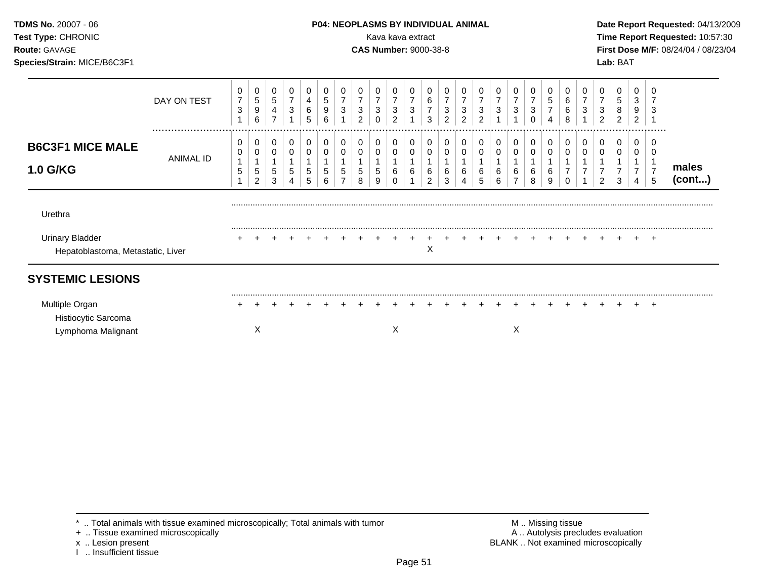| Test Type: CHRONIC<br>Route: GAVAGE<br>Species/Strain: MICE/B6C3F1 |                  |                                                  |                  |                               |             |                  |                      |                          |                          | Kava kava extract<br><b>CAS Number: 9000-38-8</b> |                     |                          |                               |                                       |                     |        |                  |                               |                        |             |             |                          |                                                     | Lab: BAT                      |                                      |                                                          | Time Report Requested: 10:57:30<br>First Dose M/F: 08/24/04 / 08/23/04 |
|--------------------------------------------------------------------|------------------|--------------------------------------------------|------------------|-------------------------------|-------------|------------------|----------------------|--------------------------|--------------------------|---------------------------------------------------|---------------------|--------------------------|-------------------------------|---------------------------------------|---------------------|--------|------------------|-------------------------------|------------------------|-------------|-------------|--------------------------|-----------------------------------------------------|-------------------------------|--------------------------------------|----------------------------------------------------------|------------------------------------------------------------------------|
|                                                                    | DAY ON TEST      | 0<br>$\overline{7}$<br>$\ensuremath{\mathsf{3}}$ | 0<br>5<br>9<br>6 | 0<br>5<br>4<br>$\overline{7}$ | 0<br>3      | 0<br>4<br>6<br>5 | $\sqrt{5}$<br>9<br>6 | 0<br>$\overline{7}$<br>3 | $\overline{7}$<br>3<br>2 | 7<br>3<br>0                                       | 3<br>$\overline{2}$ | 0<br>$\overline{7}$<br>3 | 0<br>6<br>$\overline{7}$<br>3 | $\overline{7}$<br>3<br>$\overline{2}$ | 3<br>$\overline{2}$ | 3<br>2 | 3                | 0<br>$\overline{7}$<br>3      | $\sqrt{3}$<br>$\Omega$ | 0<br>5<br>4 | 6<br>6<br>8 | 0<br>$\overline{7}$<br>3 | 0<br>$\overline{7}$<br>$\sqrt{3}$<br>$\overline{2}$ | 0<br>5<br>8<br>$\overline{2}$ | 0<br>3<br>9<br>2                     | 3                                                        |                                                                        |
| <b>B6C3F1 MICE MALE</b><br><b>1.0 G/KG</b>                         | <b>ANIMAL ID</b> | 0<br>5                                           | 0<br>0<br>5<br>2 | 0<br>0<br>5<br>3              | 0<br>0<br>5 | 0<br>0<br>5<br>5 | 0<br>6               | 0<br>0<br>5              | 0<br>0<br>1<br>8         | 0<br>0<br>9                                       | 0                   | 0<br>0<br>6              | 0<br>0<br>6<br>2              | 0<br>0<br>6<br>3                      | 0<br>0              | 5      | 0<br>0<br>6<br>6 | 0<br>0<br>6<br>$\overline{7}$ | 0<br>6<br>8            | 0<br>6<br>9 | $\Omega$    | 0<br>0                   | 0<br>0<br>$\overline{2}$                            | 0<br>0<br>3                   | $\Omega$<br>0<br>$\overline{7}$<br>4 | 0<br>0<br>$\overline{\mathbf{1}}$<br>$\overline{7}$<br>5 | males<br>(cont)                                                        |
| Urethra                                                            |                  |                                                  |                  |                               |             |                  |                      |                          |                          |                                                   |                     |                          |                               |                                       |                     |        |                  |                               |                        |             |             |                          |                                                     |                               |                                      |                                                          |                                                                        |
| <b>Urinary Bladder</b><br>Hepatoblastoma, Metastatic, Liver        |                  |                                                  |                  |                               |             |                  |                      |                          |                          |                                                   |                     |                          | X                             |                                       |                     |        |                  |                               |                        |             |             |                          |                                                     |                               |                                      | $\div$                                                   |                                                                        |
| <b>SYSTEMIC LESIONS</b>                                            |                  |                                                  |                  |                               |             |                  |                      |                          |                          |                                                   |                     |                          |                               |                                       |                     |        |                  |                               |                        |             |             |                          |                                                     |                               |                                      |                                                          |                                                                        |
| Multiple Organ<br>Histiocytic Sarcoma<br>Lymphoma Malignant        |                  |                                                  | X                |                               |             |                  |                      |                          |                          |                                                   | X                   |                          |                               |                                       |                     |        |                  | X                             |                        |             |             |                          |                                                     |                               |                                      | $\pm$                                                    |                                                                        |

**TDMS No.** 20007 - 06 **P04: NEOPLASMS BY INDIVIDUAL ANIMAL Date Report Requested:** 04/13/2009

 $*$  .. Total animals with tissue examined microscopically; Total animals with tumor  $\blacksquare$  M .. Missing tissue

x .. Lesion present<br>I .. Insufficient tissue

+ .. Tissue examined microscopically  $\blacksquare$  A .. Autolysis precludes evaluation M .. Missing tissue<br>A .. Autolysis precludes evaluation<br>BLANK .. Not examined microscopically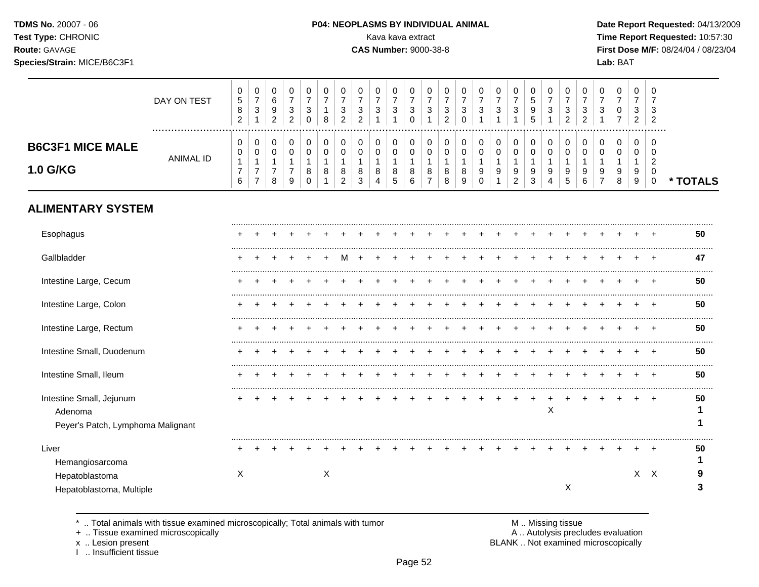TDMS No. 20007 - 06 Test Type: CHRONIC Route: GAVAGE

Species/Strain: MICE/B6C3F1

## P04: NEOPLASMS BY INDIVIDUAL ANIMAL

Kava kava extract

CAS Number: 9000-38-8

Date Report Requested: 04/13/2009 Time Report Requested: 10:57:30 First Dose M/F: 08/24/04 / 08/23/04 Lab: BAT

|                                                                          | DAY ON TEST      | 0<br>$\mathbf 5$<br>$\bf 8$<br>$\overline{2}$ | 0<br>$\overline{7}$<br>$\mathbf{3}$<br>$\mathbf{1}$                | $\pmb{0}$<br>6<br>$\boldsymbol{9}$<br>$\overline{c}$  | $\pmb{0}$<br>$\overline{7}$<br>$\mathbf 3$<br>$\overline{2}$ | $\pmb{0}$<br>$\overline{7}$<br>$\sqrt{3}$<br>$\Omega$ | 0<br>$\overline{7}$<br>$\mathbf 1$<br>8           | 0<br>$\overline{7}$<br>$\ensuremath{\mathsf{3}}$<br>$\overline{2}$ | 0<br>$\overline{7}$<br>$\ensuremath{\mathsf{3}}$<br>$\overline{2}$ | 0<br>$\overline{7}$<br>$\sqrt{3}$ | 0<br>$\overline{7}$<br>$\ensuremath{\mathsf{3}}$<br>$\overline{\mathbf{1}}$ | 0<br>$\overline{7}$<br>$\sqrt{3}$<br>$\Omega$ | 0<br>$\overline{7}$<br>$\sqrt{3}$<br>1        | 0<br>$\overline{7}$<br>$\sqrt{3}$<br>$\overline{c}$ | 0<br>$\overline{7}$<br>3<br>$\Omega$ | $\pmb{0}$<br>$\overline{7}$<br>3                  | 0<br>$\overline{7}$<br>$\ensuremath{\mathsf{3}}$    | 0<br>$\overline{7}$<br>$\ensuremath{\mathsf{3}}$<br>$\overline{\mathbf{1}}$ | 0<br>$\overline{5}$<br>9<br>5                         | 0<br>$\overline{7}$<br>$\sqrt{3}$<br>$\mathbf{1}$ | 0<br>$\overline{7}$<br>$\sqrt{3}$<br>$\overline{2}$ | 0<br>$\overline{7}$<br>$\ensuremath{\mathsf{3}}$<br>$\overline{2}$ | 0<br>$\overline{7}$<br>$\mathbf{3}$<br>$\overline{1}$ | 0<br>$\overline{7}$<br>$\pmb{0}$<br>$\overline{7}$ | 0<br>$\overline{7}$<br>3<br>$\overline{2}$ | 0<br>$\overline{7}$<br>3<br>$\overline{2}$          |          |
|--------------------------------------------------------------------------|------------------|-----------------------------------------------|--------------------------------------------------------------------|-------------------------------------------------------|--------------------------------------------------------------|-------------------------------------------------------|---------------------------------------------------|--------------------------------------------------------------------|--------------------------------------------------------------------|-----------------------------------|-----------------------------------------------------------------------------|-----------------------------------------------|-----------------------------------------------|-----------------------------------------------------|--------------------------------------|---------------------------------------------------|-----------------------------------------------------|-----------------------------------------------------------------------------|-------------------------------------------------------|---------------------------------------------------|-----------------------------------------------------|--------------------------------------------------------------------|-------------------------------------------------------|----------------------------------------------------|--------------------------------------------|-----------------------------------------------------|----------|
| <b>B6C3F1 MICE MALE</b><br><b>1.0 G/KG</b>                               | <b>ANIMAL ID</b> | 0<br>0<br>$\mathbf{1}$<br>$\overline{7}$<br>6 | 0<br>$\pmb{0}$<br>$\mathbf{1}$<br>$\overline{7}$<br>$\overline{7}$ | 0<br>$\pmb{0}$<br>$\mathbf{1}$<br>$\overline{7}$<br>8 | 0<br>$\pmb{0}$<br>$\mathbf{1}$<br>$\overline{7}$<br>9        | 0<br>$\mathbf 0$<br>1<br>8<br>$\Omega$                | $\mathbf 0$<br>$\mathbf 0$<br>$\overline{1}$<br>8 | $\pmb{0}$<br>0<br>$\mathbf{1}$<br>8<br>2                           | $\mathbf 0$<br>0<br>$\mathbf{1}$<br>8<br>3                         | 0<br>0<br>$\mathbf{1}$<br>8<br>4  | 0<br>$\mathbf 0$<br>$\mathbf{1}$<br>8<br>$\sqrt{5}$                         | 0<br>$\pmb{0}$<br>$\mathbf{1}$<br>8<br>6      | 0<br>0<br>$\mathbf{1}$<br>8<br>$\overline{7}$ | 0<br>0<br>$\mathbf{1}$<br>8<br>8                    | 0<br>0<br>$\mathbf{1}$<br>8<br>9     | $\mathbf 0$<br>0<br>$\mathbf{1}$<br>9<br>$\Omega$ | 0<br>$\pmb{0}$<br>$\mathbf{1}$<br>9<br>$\mathbf{1}$ | $\pmb{0}$<br>$\mathbf 0$<br>$\mathbf{1}$<br>9<br>$\overline{2}$             | 0<br>$\mathbf 0$<br>$\mathbf{1}$<br>9<br>$\mathbf{3}$ | 0<br>$\mathbf 0$<br>1<br>9<br>4                   | 0<br>0<br>1<br>9<br>5                               | 0<br>0<br>9<br>6                                                   | $\pmb{0}$<br>0<br>1<br>9<br>$\overline{7}$            | 0<br>0<br>$\mathbf{1}$<br>9<br>8                   | 0<br>$\mathbf 0$<br>$\mathbf{1}$<br>9<br>9 | 0<br>$\Omega$<br>$\overline{c}$<br>0<br>$\mathbf 0$ | * TOTALS |
| <b>ALIMENTARY SYSTEM</b>                                                 |                  |                                               |                                                                    |                                                       |                                                              |                                                       |                                                   |                                                                    |                                                                    |                                   |                                                                             |                                               |                                               |                                                     |                                      |                                                   |                                                     |                                                                             |                                                       |                                                   |                                                     |                                                                    |                                                       |                                                    |                                            |                                                     |          |
| Esophagus                                                                |                  |                                               |                                                                    |                                                       |                                                              |                                                       |                                                   |                                                                    |                                                                    |                                   |                                                                             |                                               |                                               |                                                     |                                      |                                                   |                                                     |                                                                             |                                                       |                                                   |                                                     |                                                                    |                                                       |                                                    |                                            |                                                     | 50       |
| Gallbladder                                                              |                  |                                               |                                                                    |                                                       |                                                              |                                                       |                                                   |                                                                    |                                                                    |                                   |                                                                             |                                               |                                               |                                                     |                                      |                                                   |                                                     |                                                                             |                                                       |                                                   |                                                     |                                                                    |                                                       |                                                    |                                            | $\pm$                                               | 47       |
| Intestine Large, Cecum                                                   |                  |                                               |                                                                    |                                                       |                                                              |                                                       |                                                   |                                                                    |                                                                    |                                   |                                                                             |                                               |                                               |                                                     |                                      |                                                   |                                                     |                                                                             |                                                       |                                                   |                                                     |                                                                    |                                                       |                                                    |                                            | $\div$                                              | 50       |
| Intestine Large, Colon                                                   |                  |                                               |                                                                    |                                                       |                                                              |                                                       |                                                   |                                                                    |                                                                    |                                   |                                                                             |                                               |                                               |                                                     |                                      |                                                   |                                                     |                                                                             |                                                       |                                                   |                                                     |                                                                    |                                                       |                                                    |                                            | $\ddot{}$                                           | <br>50   |
| Intestine Large, Rectum                                                  |                  |                                               |                                                                    |                                                       |                                                              |                                                       |                                                   |                                                                    |                                                                    |                                   |                                                                             |                                               |                                               |                                                     |                                      |                                                   |                                                     |                                                                             |                                                       |                                                   |                                                     |                                                                    |                                                       |                                                    |                                            |                                                     | 50       |
| Intestine Small, Duodenum                                                |                  |                                               |                                                                    |                                                       |                                                              |                                                       |                                                   |                                                                    |                                                                    |                                   |                                                                             |                                               |                                               |                                                     |                                      |                                                   |                                                     |                                                                             |                                                       |                                                   |                                                     |                                                                    |                                                       |                                                    |                                            |                                                     | 50       |
| Intestine Small, Ileum                                                   |                  |                                               |                                                                    |                                                       |                                                              |                                                       |                                                   |                                                                    |                                                                    |                                   |                                                                             |                                               |                                               |                                                     |                                      |                                                   |                                                     |                                                                             |                                                       |                                                   |                                                     |                                                                    |                                                       |                                                    |                                            | $\pm$                                               | 50       |
| Intestine Small, Jejunum<br>Adenoma<br>Peyer's Patch, Lymphoma Malignant |                  |                                               |                                                                    |                                                       |                                                              |                                                       |                                                   |                                                                    |                                                                    |                                   |                                                                             |                                               |                                               |                                                     |                                      |                                                   |                                                     |                                                                             |                                                       | X                                                 |                                                     |                                                                    |                                                       |                                                    |                                            | $\overline{+}$                                      | 50       |
| Liver                                                                    |                  |                                               |                                                                    |                                                       |                                                              |                                                       |                                                   |                                                                    |                                                                    |                                   |                                                                             |                                               |                                               |                                                     |                                      |                                                   |                                                     |                                                                             |                                                       |                                                   |                                                     |                                                                    |                                                       |                                                    | +                                          | $\overline{+}$                                      | 50       |
| Hemangiosarcoma<br>Hepatoblastoma<br>Hepatoblastoma, Multiple            |                  | X                                             |                                                                    |                                                       |                                                              |                                                       | $\boldsymbol{\mathsf{X}}$                         |                                                                    |                                                                    |                                   |                                                                             |                                               |                                               |                                                     |                                      |                                                   |                                                     |                                                                             |                                                       |                                                   | $\times$                                            |                                                                    |                                                       |                                                    |                                            | $X$ $X$                                             | 9<br>3   |

\* .. Total animals with tissue examined microscopically; Total animals with tumor

+ .. Tissue examined microscopically

x .. Lesion present<br>I .. Insufficient tissue

M .. Missing tissue

A .. Autolysis precludes evaluation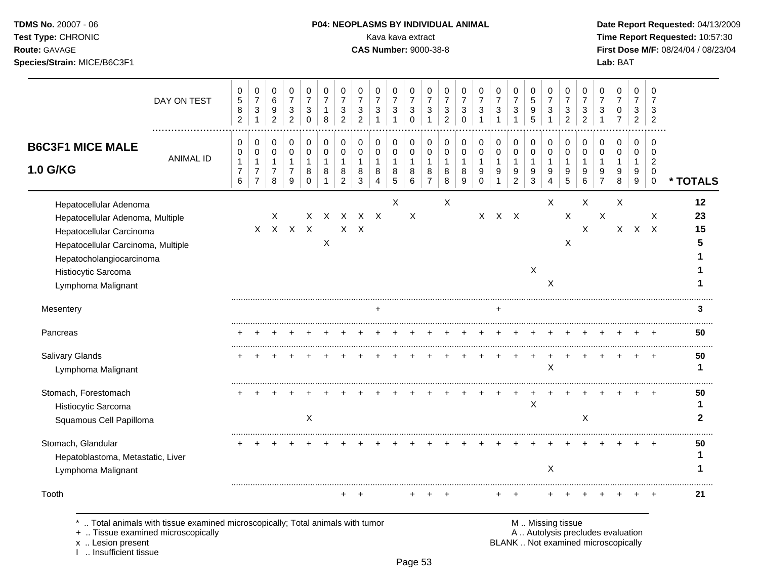**Test Type:** CHRONIC **Transfer CHRONIC** Kava Rava extract Kava extract **Time Report Requested:** 10:57:30 **Route:** GAVAGE **CAS Number:** 9000-38-8 **First Dose M/F:** 08/24/04 / 08/23/04

| 0<br>$\pmb{0}$<br>$\mathbf 0$<br>0<br>0<br>0<br>0<br>0<br>0<br><b>B6C3F1 MICE MALE</b><br>$\mathbf 0$<br>0<br>$\mathbf 0$<br>$\mathbf 0$<br>$\mathbf 0$<br>$\mathbf{0}$<br>$\mathbf 0$<br>0<br>0<br><b>ANIMAL ID</b><br>$\mathbf{1}$<br>$\mathbf{1}$<br>$\overline{1}$<br>$\mathbf{1}$<br>$\mathbf{1}$<br>$\mathbf{1}$<br>$\mathbf{1}$<br>1<br>$\mathbf{1}$<br>1.0 G/KG<br>$\overline{7}$<br>$\overline{7}$<br>$\overline{7}$<br>$\overline{7}$<br>8<br>8<br>8<br>8<br>8<br>$\overline{7}$<br>6<br>8<br>9<br>$\overline{2}$<br>3<br>$\Omega$<br>4<br>1<br>Hepatocellular Adenoma<br>$X$ $X$ $X$ $X$<br>$\times$<br>$\times$<br>Hepatocellular Adenoma, Multiple<br>$X$ $X$ $X$ $X$<br>$X$ $X$<br>Hepatocellular Carcinoma<br>X<br>Hepatocellular Carcinoma, Multiple<br>Hepatocholangiocarcinoma<br>Histiocytic Sarcoma<br>Lymphoma Malignant<br>Mesentery<br>Pancreas<br>Salivary Glands<br>Lymphoma Malignant<br>Stomach, Forestomach<br>Histiocytic Sarcoma<br>$\boldsymbol{\mathsf{X}}$<br>Squamous Cell Papilloma<br>Stomach, Glandular<br>Hepatoblastoma, Metastatic, Liver<br>Lymphoma Malignant |                                                                                                                                                                                                                                                                                 | 0<br>0<br>0<br>0<br>$\Omega$<br>0<br>0<br>0<br>$\Omega$<br>$\overline{7}$<br>5<br>$\overline{7}$<br>$\overline{7}$<br>$\overline{7}$<br>$\overline{7}$<br>$\overline{7}$<br>$\overline{7}$<br>$\overline{7}$<br>$\ensuremath{\mathsf{3}}$<br>$\sqrt{3}$<br>$\boldsymbol{9}$<br>$\ensuremath{\mathsf{3}}$<br>3<br>3<br>3<br>0<br>3<br>$\overline{c}$<br>5<br>$\overline{2}$<br>$\overline{7}$<br>2                                    | $\Omega$<br>7<br>3<br>$\overline{2}$                                      |
|---------------------------------------------------------------------------------------------------------------------------------------------------------------------------------------------------------------------------------------------------------------------------------------------------------------------------------------------------------------------------------------------------------------------------------------------------------------------------------------------------------------------------------------------------------------------------------------------------------------------------------------------------------------------------------------------------------------------------------------------------------------------------------------------------------------------------------------------------------------------------------------------------------------------------------------------------------------------------------------------------------------------------------------------------------------------------------------------------------|---------------------------------------------------------------------------------------------------------------------------------------------------------------------------------------------------------------------------------------------------------------------------------|--------------------------------------------------------------------------------------------------------------------------------------------------------------------------------------------------------------------------------------------------------------------------------------------------------------------------------------------------------------------------------------------------------------------------------------|---------------------------------------------------------------------------|
|                                                                                                                                                                                                                                                                                                                                                                                                                                                                                                                                                                                                                                                                                                                                                                                                                                                                                                                                                                                                                                                                                                         | 0<br>0<br>0<br>0<br>0<br>0<br>$\mathbf 0$<br>$\mathbf 0$<br>$\mathbf 0$<br>$\mathbf 0$<br>$\mathbf 0$<br>0<br>$\mathbf{1}$<br>$\mathbf{1}$<br>$\mathbf{1}$<br>$\mathbf{1}$<br>$\mathbf{1}$<br>1<br>8<br>8<br>8<br>8<br>9<br>8<br>5<br>6<br>$\overline{7}$<br>8<br>9<br>$\Omega$ | 0<br>$\pmb{0}$<br>0<br>0<br>0<br>0<br>0<br>0<br>0<br>$\mathbf 0$<br>$\mathbf 0$<br>$\mathbf 0$<br>$\mathbf 0$<br>$\mathbf 0$<br>$\mathbf 0$<br>0<br>$\Omega$<br>$\Omega$<br>$\mathbf{1}$<br>$\mathbf{1}$<br>$\mathbf{1}$<br>$\mathbf{1}$<br>$\mathbf{1}$<br>1<br>$\mathbf{1}$<br>1<br>-1<br>$\boldsymbol{9}$<br>9<br>9<br>9<br>9<br>9<br>9<br>9<br>9<br>$\overline{c}$<br>$\sqrt{3}$<br>5<br>6<br>$\overline{7}$<br>8<br>9<br>4<br>1 | 0<br>$\Omega$<br>$\overline{c}$<br>$\mathbf 0$<br>$\mathbf 0$<br>* TOTALS |
|                                                                                                                                                                                                                                                                                                                                                                                                                                                                                                                                                                                                                                                                                                                                                                                                                                                                                                                                                                                                                                                                                                         | $\mathsf X$<br>$\times$<br>$\mathsf{X}$<br>$\times$                                                                                                                                                                                                                             | $\times$<br>X<br>$\sf X$<br>$\times$<br>$X$ $X$<br>X<br>$X$ $X$ $X$<br>X<br>X<br>$\boldsymbol{\mathsf{X}}$<br>X                                                                                                                                                                                                                                                                                                                      | 12<br>23<br>$\times$<br>15                                                |
|                                                                                                                                                                                                                                                                                                                                                                                                                                                                                                                                                                                                                                                                                                                                                                                                                                                                                                                                                                                                                                                                                                         |                                                                                                                                                                                                                                                                                 |                                                                                                                                                                                                                                                                                                                                                                                                                                      | 3                                                                         |
|                                                                                                                                                                                                                                                                                                                                                                                                                                                                                                                                                                                                                                                                                                                                                                                                                                                                                                                                                                                                                                                                                                         |                                                                                                                                                                                                                                                                                 |                                                                                                                                                                                                                                                                                                                                                                                                                                      | 50                                                                        |
|                                                                                                                                                                                                                                                                                                                                                                                                                                                                                                                                                                                                                                                                                                                                                                                                                                                                                                                                                                                                                                                                                                         |                                                                                                                                                                                                                                                                                 | $\sf X$                                                                                                                                                                                                                                                                                                                                                                                                                              | 50<br>1                                                                   |
|                                                                                                                                                                                                                                                                                                                                                                                                                                                                                                                                                                                                                                                                                                                                                                                                                                                                                                                                                                                                                                                                                                         |                                                                                                                                                                                                                                                                                 | $\ddot{}$<br>$\times$<br>X                                                                                                                                                                                                                                                                                                                                                                                                           | 50                                                                        |
|                                                                                                                                                                                                                                                                                                                                                                                                                                                                                                                                                                                                                                                                                                                                                                                                                                                                                                                                                                                                                                                                                                         |                                                                                                                                                                                                                                                                                 |                                                                                                                                                                                                                                                                                                                                                                                                                                      | 50                                                                        |
| Tooth<br>+                                                                                                                                                                                                                                                                                                                                                                                                                                                                                                                                                                                                                                                                                                                                                                                                                                                                                                                                                                                                                                                                                              |                                                                                                                                                                                                                                                                                 | X                                                                                                                                                                                                                                                                                                                                                                                                                                    |                                                                           |

\* .. Total animals with tissue examined microscopically; Total animals with tumor **M** . M . Missing tissue examined microscopically<br>
+ .. Tissue examined microscopically

+ .. Tissue examined microscopically

x .. Lesion present<br>I .. Insufficient tissue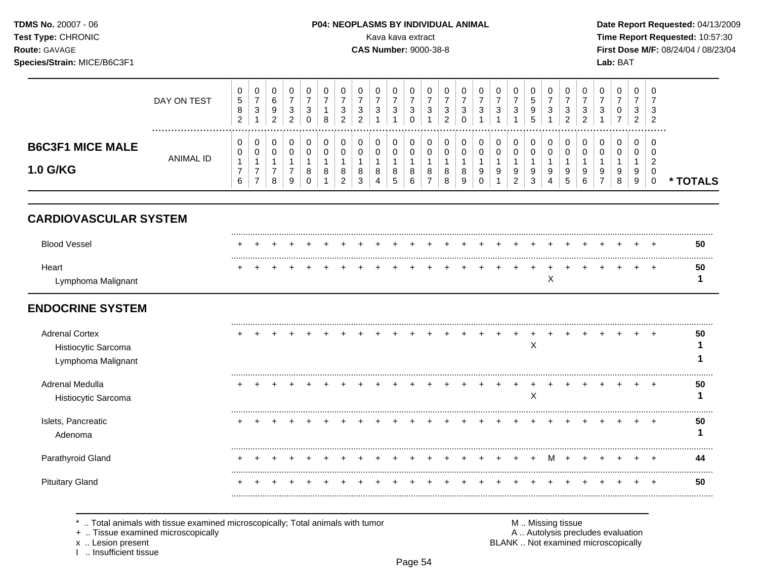| <b>TDMS No. 20007 - 06</b>  | <b>P04: NEOPLASMS BY INDIVIDUAL ANIMAL</b> | Date Rep         |
|-----------------------------|--------------------------------------------|------------------|
| <b>Test Type: CHRONIC</b>   | Kava kava extract                          | Time Rer         |
| <b>Route: GAVAGE</b>        | <b>CAS Number: 9000-38-8</b>               | <b>First Dos</b> |
| Species/Strain: MICE/B6C3F1 |                                            | <b>Lab: BAT</b>  |

Kava kava extract **Time Report Requested:** 10:57:30 **CAS Number:** 9000-38-8 **First Dose M/F:** 08/24/04 / 08/23/04

|                                                                    | DAY ON TEST      | 0<br>$\,$ 5 $\,$<br>8<br>$\overline{c}$         | $\pmb{0}$<br>$\overline{7}$<br>$\sqrt{3}$<br>1             | 0<br>$\,6$<br>$\boldsymbol{9}$<br>$\overline{2}$ | 0<br>$\overline{7}$<br>$\ensuremath{\mathsf{3}}$<br>$\overline{c}$ | 0<br>$\overline{7}$<br>$\sqrt{3}$<br>$\Omega$      | 0<br>$\overline{7}$<br>1<br>8       | 0<br>$\overline{7}$<br>$\mathbf{3}$<br>$\overline{2}$   | 0<br>$\overline{7}$<br>3<br>$\overline{2}$ | 0<br>$\overline{7}$<br>$\mathbf{3}$           | 0<br>$\overline{7}$<br>3         | 0<br>$\overline{7}$<br>$\ensuremath{\mathsf{3}}$<br>$\Omega$ | 0<br>$\overline{7}$<br>3<br>1                           | 0<br>$\overline{7}$<br>3<br>$\overline{c}$ | 0<br>$\overline{7}$<br>3<br>$\Omega$                   | 0<br>7<br>3                             | 0<br>3                  | 0<br>$\overline{7}$<br>$\ensuremath{\mathsf{3}}$ | 0<br>5<br>9<br>5                                              | 0<br>$\overline{7}$<br>3                             | 0<br>$\overline{7}$<br>3<br>$\overline{2}$   | 0<br>3<br>2                               | 0<br>7<br>3                                  | 0<br>$\overline{7}$<br>0<br>7   | 0<br>$\overline{7}$<br>3<br>2                        | 0<br>3<br>$\overline{2}$                                      |          |
|--------------------------------------------------------------------|------------------|-------------------------------------------------|------------------------------------------------------------|--------------------------------------------------|--------------------------------------------------------------------|----------------------------------------------------|-------------------------------------|---------------------------------------------------------|--------------------------------------------|-----------------------------------------------|----------------------------------|--------------------------------------------------------------|---------------------------------------------------------|--------------------------------------------|--------------------------------------------------------|-----------------------------------------|-------------------------|--------------------------------------------------|---------------------------------------------------------------|------------------------------------------------------|----------------------------------------------|-------------------------------------------|----------------------------------------------|---------------------------------|------------------------------------------------------|---------------------------------------------------------------|----------|
| <b>B6C3F1 MICE MALE</b><br>1.0 G/KG                                | <b>ANIMAL ID</b> | 0<br>0<br>$\mathbf{1}$<br>$\boldsymbol{7}$<br>6 | 0<br>0<br>$\mathbf{1}$<br>$\overline{7}$<br>$\overline{7}$ | 0<br>0<br>$\mathbf{1}$<br>$\overline{7}$<br>8    | $\pmb{0}$<br>0<br>$\mathbf{1}$<br>$\overline{7}$<br>9              | 0<br>$\pmb{0}$<br>$\mathbf{1}$<br>8<br>$\mathbf 0$ | $\pmb{0}$<br>0<br>$\mathbf{1}$<br>8 | 0<br>$\mathbf 0$<br>$\mathbf{1}$<br>8<br>$\overline{c}$ | 0<br>0<br>$\mathbf{1}$<br>8<br>3           | $\pmb{0}$<br>$\mathbf 0$<br>$\mathbf{1}$<br>8 | 0<br>0<br>$\mathbf{1}$<br>8<br>5 | 0<br>0<br>$\mathbf{1}$<br>8<br>6                             | 0<br>$\mathbf 0$<br>$\mathbf{1}$<br>8<br>$\overline{7}$ | 0<br>0<br>$\mathbf{1}$<br>8<br>8           | $\mathbf 0$<br>$\mathbf 0$<br>$\overline{1}$<br>8<br>9 | 0<br>0<br>$\mathbf{1}$<br>9<br>$\Omega$ | 0<br>$\Omega$<br>1<br>9 | 0<br>0<br>$\mathbf{1}$<br>9<br>$\overline{2}$    | $\pmb{0}$<br>$\mathbf 0$<br>$\mathbf{1}$<br>9<br>$\mathbf{3}$ | $\mathbf 0$<br>$\mathbf 0$<br>$\mathbf{1}$<br>9<br>4 | 0<br>$\mathbf 0$<br>$\overline{1}$<br>9<br>5 | 0<br>$\mathbf 0$<br>$\mathbf 1$<br>9<br>6 | 0<br>$\mathbf 0$<br>1<br>9<br>$\overline{7}$ | 0<br>$\mathbf 0$<br>1<br>9<br>8 | $\mathbf 0$<br>$\mathbf 0$<br>$\mathbf{1}$<br>9<br>9 | 0<br>$\Omega$<br>$\overline{2}$<br>$\mathbf 0$<br>$\mathbf 0$ | * TOTALS |
| <b>CARDIOVASCULAR SYSTEM</b>                                       |                  |                                                 |                                                            |                                                  |                                                                    |                                                    |                                     |                                                         |                                            |                                               |                                  |                                                              |                                                         |                                            |                                                        |                                         |                         |                                                  |                                                               |                                                      |                                              |                                           |                                              |                                 |                                                      |                                                               |          |
| <b>Blood Vessel</b>                                                |                  |                                                 |                                                            |                                                  |                                                                    |                                                    |                                     |                                                         |                                            |                                               |                                  |                                                              |                                                         |                                            |                                                        |                                         |                         |                                                  |                                                               |                                                      |                                              |                                           |                                              |                                 |                                                      |                                                               | 50       |
| Heart<br>Lymphoma Malignant                                        |                  |                                                 |                                                            |                                                  |                                                                    |                                                    |                                     |                                                         |                                            |                                               |                                  |                                                              |                                                         |                                            |                                                        |                                         |                         |                                                  |                                                               | $\boldsymbol{\mathsf{X}}$                            |                                              |                                           |                                              |                                 |                                                      |                                                               | 50<br>1  |
| <b>ENDOCRINE SYSTEM</b>                                            |                  |                                                 |                                                            |                                                  |                                                                    |                                                    |                                     |                                                         |                                            |                                               |                                  |                                                              |                                                         |                                            |                                                        |                                         |                         |                                                  |                                                               |                                                      |                                              |                                           |                                              |                                 |                                                      |                                                               |          |
| <b>Adrenal Cortex</b><br>Histiocytic Sarcoma<br>Lymphoma Malignant |                  |                                                 |                                                            |                                                  |                                                                    |                                                    |                                     |                                                         |                                            |                                               |                                  |                                                              |                                                         |                                            |                                                        |                                         |                         |                                                  | $\boldsymbol{\mathsf{X}}$                                     |                                                      |                                              |                                           |                                              |                                 |                                                      |                                                               | 50       |
| Adrenal Medulla<br>Histiocytic Sarcoma                             |                  |                                                 |                                                            |                                                  |                                                                    |                                                    |                                     |                                                         |                                            |                                               |                                  |                                                              |                                                         |                                            |                                                        |                                         |                         |                                                  | X                                                             |                                                      |                                              |                                           |                                              |                                 |                                                      | $\ddot{}$                                                     | 50       |
| Islets, Pancreatic<br>Adenoma                                      |                  |                                                 |                                                            |                                                  |                                                                    |                                                    |                                     |                                                         |                                            |                                               |                                  |                                                              |                                                         |                                            |                                                        |                                         |                         |                                                  |                                                               |                                                      |                                              |                                           |                                              |                                 |                                                      | $\pm$                                                         | 50       |
| Parathyroid Gland                                                  |                  |                                                 |                                                            |                                                  |                                                                    |                                                    |                                     |                                                         |                                            |                                               |                                  |                                                              |                                                         |                                            |                                                        |                                         |                         |                                                  |                                                               | M                                                    |                                              |                                           |                                              |                                 |                                                      |                                                               | 44       |
| <b>Pituitary Gland</b>                                             |                  |                                                 |                                                            |                                                  |                                                                    |                                                    |                                     |                                                         |                                            |                                               |                                  |                                                              |                                                         |                                            |                                                        |                                         |                         |                                                  |                                                               |                                                      |                                              |                                           |                                              |                                 |                                                      |                                                               | 50       |

 $*$  .. Total animals with tissue examined microscopically; Total animals with tumor  $\blacksquare$  M .. Missing tissue

+ .. Tissue examined microscopically  $\blacksquare$  A .. Autolysis precludes evaluation

x .. Lesion present<br>I .. Insufficient tissue

M .. Missing tissue<br>A .. Autolysis precludes evaluation<br>BLANK .. Not examined microscopically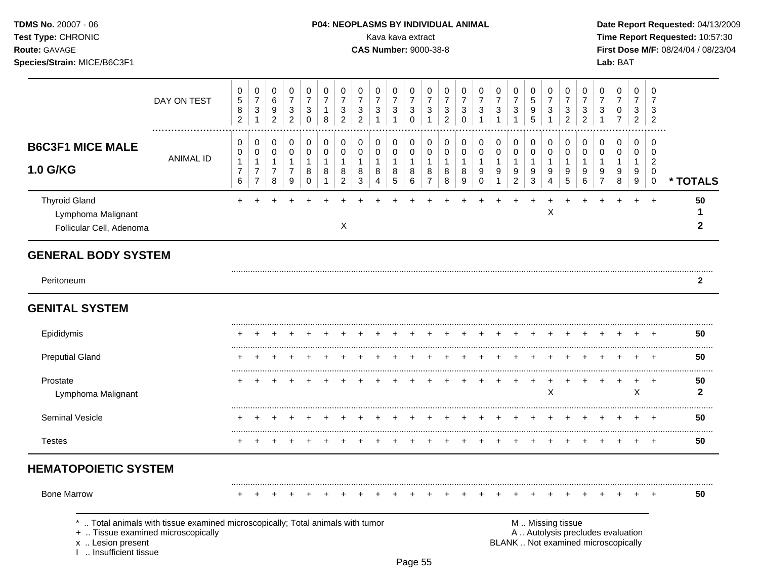| <b>TDMS No. 20007 - 06</b> |
|----------------------------|
| <b>Test Type: CHRONIC</b>  |
| <b>Route: GAVAGE</b>       |

**Kava kava extract CHRONIC CHRONIC CHRONIC Time Report Requested:** 10:57:30 **CAS Number:** 9000-38-8 **First Dose M/F:** 08/24/04 / 08/23/04 **Species/Strain:** MICE/B6C3F1 **Lab:** BAT

|                                                                                   | DAY ON TEST                                                                  | 0<br>$\mathbf 5$<br>$\bf8$<br>$\overline{2}$              | $\pmb{0}$<br>$\overline{7}$<br>$\ensuremath{\mathsf{3}}$  | 0<br>6<br>9<br>$\overline{2}$                 | $\pmb{0}$<br>$\overline{7}$<br>$\mathbf{3}$<br>$\overline{2}$        | 0<br>$\overline{7}$<br>$\sqrt{3}$<br>$\mathbf 0$     | 0<br>$\overline{7}$<br>$\mathbf{1}$<br>8 | 0<br>$\overline{7}$<br>$\ensuremath{\mathsf{3}}$<br>$\overline{2}$ | 0<br>$\overline{7}$<br>$\sqrt{3}$<br>$\overline{2}$ | 0<br>$\overline{7}$<br>$\sqrt{3}$<br>$\mathbf{1}$ | 0<br>$\overline{7}$<br>$\sqrt{3}$<br>$\overline{1}$ | 0<br>$\overline{7}$<br>$\mathbf{3}$<br>$\Omega$ | 0<br>$\overline{7}$<br>$\ensuremath{\mathsf{3}}$<br>$\mathbf{1}$ | 0<br>7<br>$\mathbf{3}$<br>$\overline{c}$       | 0<br>$\overline{7}$<br>3<br>$\mathbf 0$  | 0<br>$\overline{7}$<br>3<br>1                     | 0<br>$\overline{7}$<br>$\sqrt{3}$<br>1             | 0<br>$\overline{7}$<br>$\ensuremath{\mathsf{3}}$<br>$\overline{1}$ | 0<br>5<br>9<br>5                                  | 0<br>$\overline{7}$<br>$\ensuremath{\mathsf{3}}$<br>$\mathbf{1}$ | 0<br>$\overline{7}$<br>3<br>$\overline{2}$ | 0<br>$\overline{7}$<br>$\sqrt{3}$<br>$\overline{2}$ | 0<br>$\overline{7}$<br>3                                                 | 0<br>$\overline{7}$<br>0<br>$\overline{7}$ | 0<br>$\overline{7}$<br>3<br>$\overline{2}$ | $\mathbf 0$<br>$\overline{7}$<br>3<br>$\overline{2}$ |                    |
|-----------------------------------------------------------------------------------|------------------------------------------------------------------------------|-----------------------------------------------------------|-----------------------------------------------------------|-----------------------------------------------|----------------------------------------------------------------------|------------------------------------------------------|------------------------------------------|--------------------------------------------------------------------|-----------------------------------------------------|---------------------------------------------------|-----------------------------------------------------|-------------------------------------------------|------------------------------------------------------------------|------------------------------------------------|------------------------------------------|---------------------------------------------------|----------------------------------------------------|--------------------------------------------------------------------|---------------------------------------------------|------------------------------------------------------------------|--------------------------------------------|-----------------------------------------------------|--------------------------------------------------------------------------|--------------------------------------------|--------------------------------------------|------------------------------------------------------|--------------------|
| <b>B6C3F1 MICE MALE</b><br>1.0 G/KG                                               | <b>ANIMAL ID</b>                                                             | 0<br>$\mathbf 0$<br>$\mathbf{1}$<br>$\boldsymbol{7}$<br>6 | 0<br>$\mathbf 0$<br>1<br>$\overline{7}$<br>$\overline{7}$ | 0<br>0<br>$\mathbf{1}$<br>$\overline{7}$<br>8 | 0<br>$\pmb{0}$<br>$\mathbf{1}$<br>$\boldsymbol{7}$<br>$\overline{9}$ | 0<br>$\mathbf 0$<br>$\mathbf{1}$<br>8<br>$\mathbf 0$ | 0<br>$\pmb{0}$<br>$\mathbf{1}$<br>8<br>1 | 0<br>$\pmb{0}$<br>$\mathbf{1}$<br>8<br>$\overline{2}$              | 0<br>$\mathbf 0$<br>$\mathbf{1}$<br>8<br>3          | 0<br>$\pmb{0}$<br>$\mathbf{1}$<br>8<br>4          | 0<br>$\pmb{0}$<br>$\mathbf{1}$<br>8<br>$\sqrt{5}$   | 0<br>$\pmb{0}$<br>1<br>8<br>6                   | 0<br>$\mathbf 0$<br>$\mathbf{1}$<br>8<br>$\overline{7}$          | 0<br>$\pmb{0}$<br>$\mathbf{1}$<br>8<br>$\bf 8$ | 0<br>$\pmb{0}$<br>$\mathbf{1}$<br>8<br>9 | 0<br>$\mathbf 0$<br>$\mathbf{1}$<br>9<br>$\Omega$ | 0<br>$\pmb{0}$<br>$\mathbf{1}$<br>9<br>$\mathbf 1$ | 0<br>$\pmb{0}$<br>$\mathbf{1}$<br>9<br>$\overline{2}$              | 0<br>$\pmb{0}$<br>$\mathbf{1}$<br>9<br>$\sqrt{3}$ | 0<br>$\pmb{0}$<br>$\mathbf{1}$<br>9<br>4                         | 0<br>$\pmb{0}$<br>$\overline{1}$<br>9<br>5 | 0<br>$\pmb{0}$<br>1<br>9<br>6                       | 0<br>$\mathbf 0$<br>$\mathbf{1}$<br>9<br>$\overline{7}$                  | 0<br>$\mathbf 0$<br>1<br>9<br>8            | 0<br>0<br>$\mathbf{1}$<br>9<br>9           | 0<br>$\mathbf 0$<br>$\overline{2}$<br>0<br>$\pmb{0}$ | * TOTALS           |
| <b>Thyroid Gland</b><br>Lymphoma Malignant<br>Follicular Cell, Adenoma            |                                                                              |                                                           |                                                           |                                               |                                                                      |                                                      |                                          | $\mathsf{X}$                                                       |                                                     |                                                   |                                                     |                                                 |                                                                  |                                                |                                          |                                                   |                                                    |                                                                    | $\ddot{}$                                         | $\ddot{}$<br>$\mathsf X$                                         | ÷                                          |                                                     |                                                                          |                                            | $\ddot{}$                                  | $+$                                                  | 50<br>$\mathbf{2}$ |
| <b>GENERAL BODY SYSTEM</b>                                                        |                                                                              |                                                           |                                                           |                                               |                                                                      |                                                      |                                          |                                                                    |                                                     |                                                   |                                                     |                                                 |                                                                  |                                                |                                          |                                                   |                                                    |                                                                    |                                                   |                                                                  |                                            |                                                     |                                                                          |                                            |                                            |                                                      |                    |
| Peritoneum                                                                        |                                                                              |                                                           |                                                           |                                               |                                                                      |                                                      |                                          |                                                                    |                                                     |                                                   |                                                     |                                                 |                                                                  |                                                |                                          |                                                   |                                                    |                                                                    |                                                   |                                                                  |                                            |                                                     |                                                                          |                                            |                                            |                                                      | $\mathbf{2}$       |
| <b>GENITAL SYSTEM</b>                                                             |                                                                              |                                                           |                                                           |                                               |                                                                      |                                                      |                                          |                                                                    |                                                     |                                                   |                                                     |                                                 |                                                                  |                                                |                                          |                                                   |                                                    |                                                                    |                                                   |                                                                  |                                            |                                                     |                                                                          |                                            |                                            |                                                      |                    |
| Epididymis                                                                        |                                                                              |                                                           |                                                           |                                               |                                                                      |                                                      |                                          |                                                                    |                                                     |                                                   |                                                     |                                                 |                                                                  |                                                |                                          |                                                   |                                                    |                                                                    |                                                   |                                                                  |                                            |                                                     |                                                                          |                                            |                                            |                                                      | 50                 |
| <b>Preputial Gland</b>                                                            |                                                                              |                                                           |                                                           |                                               |                                                                      |                                                      |                                          |                                                                    |                                                     |                                                   |                                                     |                                                 |                                                                  |                                                |                                          |                                                   |                                                    |                                                                    |                                                   |                                                                  |                                            |                                                     |                                                                          |                                            |                                            |                                                      | 50                 |
| Prostate<br>Lymphoma Malignant                                                    |                                                                              |                                                           |                                                           |                                               |                                                                      |                                                      |                                          |                                                                    |                                                     |                                                   |                                                     |                                                 |                                                                  |                                                |                                          |                                                   |                                                    |                                                                    | $\div$                                            | X                                                                |                                            |                                                     |                                                                          | $\ddot{}$                                  | +<br>$\mathsf{X}$                          | $\overline{+}$                                       | 50<br>$\mathbf{2}$ |
| Seminal Vesicle                                                                   |                                                                              |                                                           |                                                           |                                               |                                                                      |                                                      |                                          |                                                                    |                                                     |                                                   |                                                     |                                                 |                                                                  |                                                |                                          |                                                   |                                                    |                                                                    |                                                   |                                                                  |                                            |                                                     |                                                                          |                                            |                                            |                                                      | 50                 |
| <b>Testes</b>                                                                     |                                                                              |                                                           |                                                           |                                               |                                                                      |                                                      |                                          |                                                                    |                                                     |                                                   |                                                     |                                                 |                                                                  |                                                |                                          |                                                   |                                                    |                                                                    |                                                   |                                                                  |                                            |                                                     |                                                                          |                                            |                                            | $\overline{ }$                                       | 50                 |
| <b>HEMATOPOIETIC SYSTEM</b>                                                       |                                                                              |                                                           |                                                           |                                               |                                                                      |                                                      |                                          |                                                                    |                                                     |                                                   |                                                     |                                                 |                                                                  |                                                |                                          |                                                   |                                                    |                                                                    |                                                   |                                                                  |                                            |                                                     |                                                                          |                                            |                                            |                                                      |                    |
| <b>Bone Marrow</b>                                                                |                                                                              |                                                           |                                                           |                                               |                                                                      |                                                      |                                          |                                                                    |                                                     |                                                   |                                                     |                                                 |                                                                  |                                                |                                          |                                                   |                                                    |                                                                    |                                                   |                                                                  |                                            |                                                     |                                                                          |                                            |                                            |                                                      | 50                 |
| +  Tissue examined microscopically<br>x  Lesion present<br>1  Insufficient tissue | Total animals with tissue examined microscopically; Total animals with tumor |                                                           |                                                           |                                               |                                                                      |                                                      |                                          |                                                                    |                                                     |                                                   |                                                     |                                                 |                                                                  |                                                |                                          |                                                   |                                                    |                                                                    |                                                   |                                                                  | M  Missing tissue                          |                                                     | A  Autolysis precludes evaluation<br>BLANK  Not examined microscopically |                                            |                                            |                                                      |                    |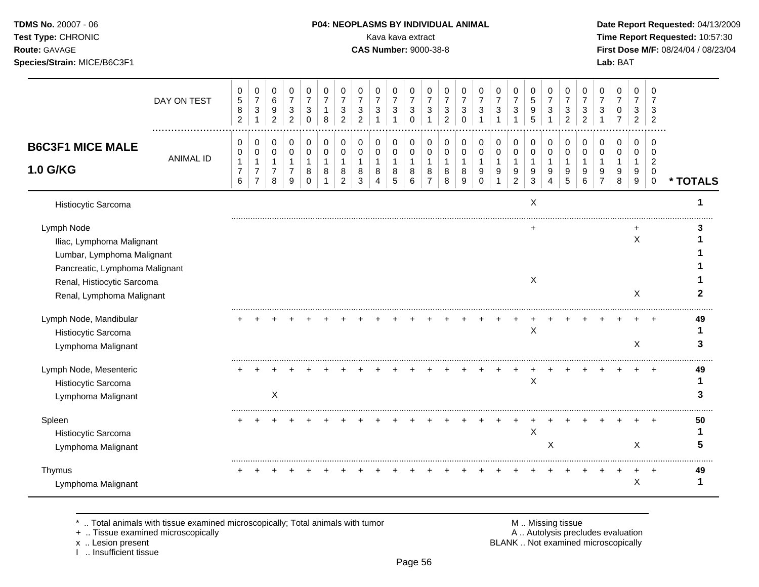| <b>TDMS No. 20007 - 06</b>  | <b>P04: NEOPLASMS BY INDIVIDUAL ANIMAL</b> | Date Repo         |
|-----------------------------|--------------------------------------------|-------------------|
| <b>Test Type: CHRONIC</b>   | Kava kava extract                          | Time Rep          |
| <b>Route: GAVAGE</b>        | <b>CAS Number: 9000-38-8</b>               | <b>First Dose</b> |
| Species/Strain: MICE/B6C3F1 |                                            | <b>Lab:</b> BAT   |

Kava kava extract **Time Report Requested:** 10:57:30 **CAS Number:** 9000-38-8 **First Dose M/F:** 08/24/04 / 08/23/04

|                                                                                                                                                                    | DAY ON TEST      | 0<br>$\,$ 5 $\,$<br>8<br>$\overline{2}$       | $\pmb{0}$<br>$\overline{7}$<br>$\ensuremath{\mathsf{3}}$<br>1    | 0<br>$\,6\,$<br>9<br>$\overline{c}$           | 0<br>$\overline{7}$<br>3<br>2                           | 0<br>$\overline{7}$<br>3<br>$\mathbf 0$          | 0<br>$\overline{7}$<br>8            | 0<br>$\overline{7}$<br>3<br>$\overline{2}$              | 0<br>$\overline{7}$<br>3<br>$\overline{2}$ | 0<br>$\overline{7}$<br>3        | 0<br>$\overline{7}$<br>3 | 0<br>$\overline{7}$<br>3<br>$\mathbf 0$ | 0<br>$\overline{7}$<br>3<br>$\mathbf{1}$                | 0<br>$\overline{7}$<br>3<br>$\overline{2}$     | 0<br>$\overline{7}$<br>3<br>$\Omega$ | 0<br>$\overline{7}$<br>3                          | 0<br>$\overline{7}$<br>3            | 0<br>$\overline{7}$<br>$\mathbf{3}$<br>1                        | 0<br>5<br>9<br>5                                        | 0<br>$\overline{7}$<br>3<br>1            | 0<br>$\overline{7}$<br>3<br>$\overline{2}$ | 0<br>$\overline{7}$<br>3<br>$\overline{2}$ | 0<br>$\overline{7}$<br>3           | 0<br>$\overline{7}$<br>0   | 0<br>$\overline{7}$<br>3<br>2    | 0<br>$\overline{7}$<br>3<br>$\overline{2}$             |          |
|--------------------------------------------------------------------------------------------------------------------------------------------------------------------|------------------|-----------------------------------------------|------------------------------------------------------------------|-----------------------------------------------|---------------------------------------------------------|--------------------------------------------------|-------------------------------------|---------------------------------------------------------|--------------------------------------------|---------------------------------|--------------------------|-----------------------------------------|---------------------------------------------------------|------------------------------------------------|--------------------------------------|---------------------------------------------------|-------------------------------------|-----------------------------------------------------------------|---------------------------------------------------------|------------------------------------------|--------------------------------------------|--------------------------------------------|------------------------------------|----------------------------|----------------------------------|--------------------------------------------------------|----------|
| <b>B6C3F1 MICE MALE</b><br><b>1.0 G/KG</b>                                                                                                                         | <b>ANIMAL ID</b> | 0<br>0<br>$\mathbf{1}$<br>$\overline{7}$<br>6 | 0<br>$\,0\,$<br>$\mathbf{1}$<br>$\overline{7}$<br>$\overline{7}$ | 0<br>0<br>$\mathbf{1}$<br>$\overline{7}$<br>8 | 0<br>$\pmb{0}$<br>$\overline{1}$<br>$\overline{7}$<br>9 | 0<br>$\mathbf 0$<br>$\mathbf 1$<br>8<br>$\Omega$ | 0<br>$\pmb{0}$<br>$\mathbf{1}$<br>8 | 0<br>$\mathbf 0$<br>$\mathbf{1}$<br>8<br>$\overline{2}$ | 0<br>0<br>1<br>8<br>3                      | 0<br>$\mathbf 0$<br>1<br>8<br>4 | 0<br>0<br>1<br>8<br>5    | 0<br>$\pmb{0}$<br>$\mathbf 1$<br>8<br>6 | 0<br>$\mathbf 0$<br>$\mathbf{1}$<br>8<br>$\overline{7}$ | 0<br>$\pmb{0}$<br>$\mathbf{1}$<br>8<br>$\,8\,$ | 0<br>0<br>$\mathbf{1}$<br>8<br>9     | 0<br>$\mathbf 0$<br>$\mathbf{1}$<br>9<br>$\Omega$ | 0<br>$\pmb{0}$<br>$\mathbf{1}$<br>9 | 0<br>$\mathsf{O}\xspace$<br>$\mathbf{1}$<br>9<br>$\overline{c}$ | 0<br>$\mathsf 0$<br>$\mathbf{1}$<br>9<br>$\mathfrak{S}$ | 0<br>$\pmb{0}$<br>$\mathbf{1}$<br>9<br>4 | 0<br>$\mathbf 0$<br>1<br>9<br>5            | 0<br>0<br>$\mathbf 1$<br>9<br>6            | 0<br>0<br>1<br>9<br>$\overline{7}$ | 0<br>$\mathsf 0$<br>9<br>8 | 0<br>0<br>$\mathbf{1}$<br>9<br>9 | 0<br>$\mathbf 0$<br>$\overline{c}$<br>0<br>$\mathbf 0$ | * TOTALS |
| Histiocytic Sarcoma                                                                                                                                                |                  |                                               |                                                                  |                                               |                                                         |                                                  |                                     |                                                         |                                            |                                 |                          |                                         |                                                         |                                                |                                      |                                                   |                                     |                                                                 | X                                                       |                                          |                                            |                                            |                                    |                            |                                  |                                                        |          |
| Lymph Node<br>Iliac, Lymphoma Malignant<br>Lumbar, Lymphoma Malignant<br>Pancreatic, Lymphoma Malignant<br>Renal, Histiocytic Sarcoma<br>Renal, Lymphoma Malignant |                  |                                               |                                                                  |                                               |                                                         |                                                  |                                     |                                                         |                                            |                                 |                          |                                         |                                                         |                                                |                                      |                                                   |                                     |                                                                 | $\ddot{}$<br>X                                          |                                          |                                            |                                            |                                    |                            | $\sf X$<br>X                     |                                                        |          |
| Lymph Node, Mandibular<br>Histiocytic Sarcoma<br>Lymphoma Malignant                                                                                                |                  |                                               |                                                                  |                                               |                                                         |                                                  |                                     |                                                         |                                            |                                 |                          |                                         |                                                         |                                                |                                      |                                                   |                                     |                                                                 | X                                                       |                                          |                                            |                                            |                                    |                            | X                                |                                                        | 49       |
| Lymph Node, Mesenteric<br>Histiocytic Sarcoma<br>Lymphoma Malignant                                                                                                |                  |                                               |                                                                  | X                                             |                                                         |                                                  |                                     |                                                         |                                            |                                 |                          |                                         |                                                         |                                                |                                      |                                                   |                                     |                                                                 | X                                                       |                                          |                                            |                                            |                                    |                            |                                  |                                                        | 49<br>3  |
| Spleen<br>Histiocytic Sarcoma<br>Lymphoma Malignant                                                                                                                |                  |                                               |                                                                  |                                               |                                                         |                                                  |                                     |                                                         |                                            |                                 |                          |                                         |                                                         |                                                |                                      |                                                   |                                     |                                                                 | X                                                       | $\boldsymbol{\mathsf{X}}$                |                                            |                                            |                                    |                            | $\boldsymbol{\mathsf{X}}$        |                                                        | 50       |
| Thymus<br>Lymphoma Malignant                                                                                                                                       |                  |                                               |                                                                  |                                               |                                                         |                                                  |                                     |                                                         |                                            |                                 |                          |                                         |                                                         |                                                |                                      |                                                   |                                     |                                                                 |                                                         |                                          |                                            |                                            |                                    |                            | X                                |                                                        | 49       |

\* .. Total animals with tissue examined microscopically; Total animals with tumor **M** metally more than M .. Missing tissue<br>  $\blacksquare$  Tissue examined microscopically

+ .. Tissue examined microscopically

x .. Lesion present<br>I .. Insufficient tissue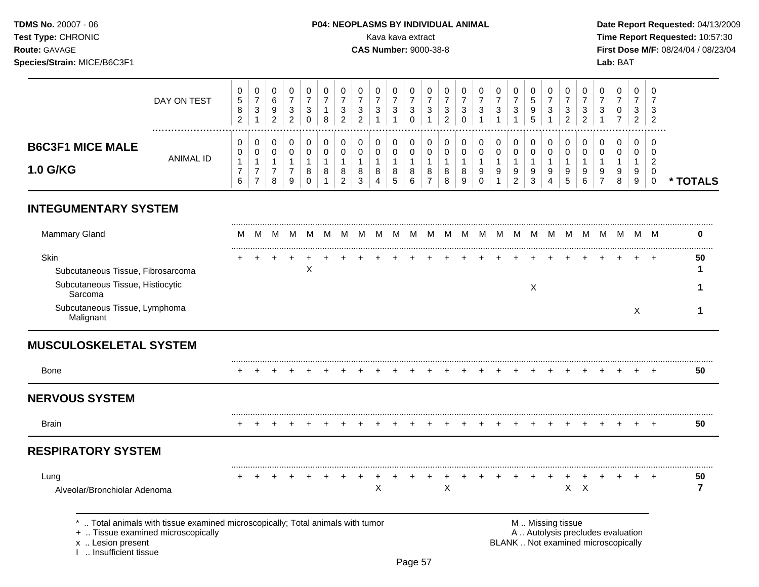## **TDMS No.** 20007 - 06 **P04: NEOPLASMS BY INDIVIDUAL ANIMAL** Date Report Requested: 04/13/2009

**Test Type:** CHRONIC **Transfer CHRONIC** Kava Rava extract Kava extract **Time Report Requested:** 10:57:30 **Route:** GAVAGE **CAS Number:** 9000-38-8 **First Dose M/F:** 08/24/04 / 08/23/04

|                                            | DAY ON TEST | v<br><sub>5</sub><br>8<br>2 | 0<br>-<br>3 | U<br>6<br>9<br>ົ<br>$\epsilon$ | 3<br>2 | 0<br>3<br>0      | 8 | ◠<br>J<br>c<br>▃             | U<br>3<br>ົ      | 0<br>3           | 3                | - 3 | P | υ<br>◠<br>ັ      | u<br>3           | ν<br>3 | $\sim$<br>دت | v<br>3                       | ◡<br>9<br>Đ | U<br>3           | U<br>ີ<br>◡<br>ົ<br>∼ | 3<br>∼ | 0<br>3                       |        | 0<br>3<br>ົ<br>$\epsilon$ | $\overline{\mathbf{0}}$<br>-3<br>-2 |               |
|--------------------------------------------|-------------|-----------------------------|-------------|--------------------------------|--------|------------------|---|------------------------------|------------------|------------------|------------------|-----|---|------------------|------------------|--------|--------------|------------------------------|-------------|------------------|-----------------------|--------|------------------------------|--------|---------------------------|-------------------------------------|---------------|
| <b>B6C3F1 MICE MALE</b><br><b>1.0 G/KG</b> | ANIMAL ID   | v<br>v<br>6                 | 0<br>0<br>- | U<br>U<br>8                    | 9      | 0<br>0<br>8<br>0 | 8 | С<br>С<br>8<br>ົ<br><u>_</u> | 0<br>υ<br>8<br>3 | 0<br>0<br>8<br>4 | 8<br>$5^{\circ}$ | b   | 8 | 0<br>0<br>8<br>8 | u<br>υ<br>8<br>9 | 9      | $\Omega$     | v<br>v<br>9<br>⌒<br><u>_</u> | 9<br>3      | 0<br>0<br>9<br>4 | 0<br>0<br>9<br>G      | 6      | 0<br>0<br>9<br>$\rightarrow$ | റ<br>8 | 0<br>U<br>9<br>9          | - 0<br>0<br>0<br>J.                 | <b>FOTALS</b> |

# **INTEGUMENTARY SYSTEM**

| Mammary Gland                               | м | M | M | M | M | - M |  |  | M M M M M | - M | M M M | M | M | M | M |  | M            | M |    |
|---------------------------------------------|---|---|---|---|---|-----|--|--|-----------|-----|-------|---|---|---|---|--|--------------|---|----|
| Skin<br>Subcutaneous Tissue, Fibrosarcoma   |   |   | X |   |   |     |  |  |           |     |       |   |   |   |   |  |              |   | 50 |
| Subcutaneous Tissue, Histiocytic<br>Sarcoma |   |   |   |   |   |     |  |  |           |     |       |   |   |   |   |  |              |   |    |
| Subcutaneous Tissue, Lymphoma               |   |   |   |   |   |     |  |  |           |     |       |   |   |   |   |  | $\checkmark$ |   |    |

# **MUSCULOSKELETAL SYSTEM**

| Bone                                                                                                                                    |  |  |  |  |   |  |   |  |  |                                                                                               |   |   |  |  | 50 |
|-----------------------------------------------------------------------------------------------------------------------------------------|--|--|--|--|---|--|---|--|--|-----------------------------------------------------------------------------------------------|---|---|--|--|----|
| <b>NERVOUS SYSTEM</b>                                                                                                                   |  |  |  |  |   |  |   |  |  |                                                                                               |   |   |  |  |    |
| Brain                                                                                                                                   |  |  |  |  |   |  |   |  |  |                                                                                               |   |   |  |  | 50 |
| <b>RESPIRATORY SYSTEM</b>                                                                                                               |  |  |  |  |   |  |   |  |  |                                                                                               |   |   |  |  |    |
| Lung<br>Alveolar/Bronchiolar Adenoma                                                                                                    |  |  |  |  | ∧ |  | X |  |  |                                                                                               | X | X |  |  | 50 |
| Total animals with tissue examined microscopically; Total animals with tumor<br>+  Tissue examined microscopically<br>x  Lesion present |  |  |  |  |   |  |   |  |  | M  Missing tissue<br>A  Autolysis precludes evaluation<br>BLANK  Not examined microscopically |   |   |  |  |    |

I .. Insufficient tissue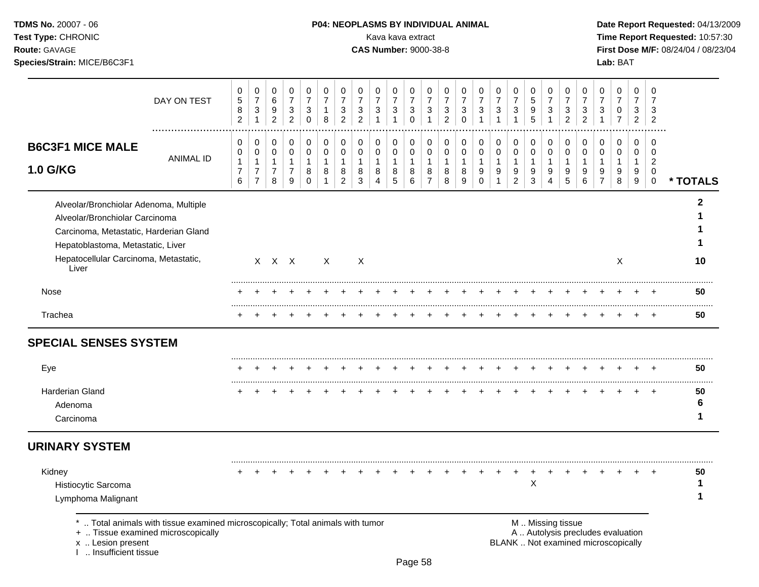| <b>TDMS No. 20007 - 06</b>  | <b>P04: NEOPLASMS BY INDIVIDUAL ANIMAL</b> | Date Repo         |
|-----------------------------|--------------------------------------------|-------------------|
| <b>Test Type: CHRONIC</b>   | Kava kava extract                          | Time Rep          |
| <b>Route: GAVAGE</b>        | <b>CAS Number: 9000-38-8</b>               | <b>First Dose</b> |
| Species/Strain: MICE/B6C3F1 |                                            | <b>Lab:</b> BAT   |

I .. Insufficient tissue

## **P04: NEOPLASMS BY INDIVIDUAL ANIMAL Date Report Requested: 04/13/2009**

Kava kava extract **Time Report Requested:** 10:57:30 **CAS Number:** 9000-38-8 **First Dose M/F:** 08/24/04 / 08/23/04

|                                                                                                                                                                                                           | DAY ON TEST                                                                  | 0<br>$\,$ 5 $\,$<br>$\bf 8$<br>$\overline{c}$   | 0<br>$\overline{7}$<br>$\ensuremath{\mathsf{3}}$<br>1                  | 0<br>6<br>$\boldsymbol{9}$<br>$\overline{c}$ | 0<br>$\overline{7}$<br>$\mathbf{3}$<br>$\overline{2}$           | 0<br>$\overline{7}$<br>3<br>0        | 0<br>$\overline{7}$<br>1<br>8            | 0<br>$\overline{7}$<br>3<br>$\overline{2}$   | 0<br>$\overline{7}$<br>3<br>$\overline{2}$ | 0<br>$\overline{7}$<br>3<br>1   | 0<br>$\overline{7}$<br>3<br>$\mathbf{1}$ | 0<br>$\boldsymbol{7}$<br>$\ensuremath{\mathsf{3}}$<br>$\mathbf 0$ | 0<br>$\overline{7}$<br>3<br>$\mathbf{1}$              | 0<br>$\boldsymbol{7}$<br>3<br>$\overline{a}$   | 0<br>$\overline{7}$<br>3<br>$\mathbf 0$      | 0<br>$\overline{7}$<br>3<br>1                      | 0<br>$\overline{7}$<br>3<br>$\overline{1}$         | 0<br>$\overline{7}$<br>$\ensuremath{\mathsf{3}}$<br>$\mathbf{1}$ | 0<br>$\sqrt{5}$<br>9<br>5                           | 0<br>$\overline{7}$<br>3<br>1            | 0<br>$\overline{7}$<br>3<br>$\overline{2}$ | 0<br>$\overline{7}$<br>3<br>$\overline{c}$ | 0<br>$\overline{7}$<br>3<br>1                                            | 0<br>$\overline{7}$<br>0<br>$\overline{7}$ | 0<br>$\overline{7}$<br>3<br>$\overline{c}$                | $\Omega$<br>$\overline{7}$<br>3<br>$\overline{c}$                |                    |
|-----------------------------------------------------------------------------------------------------------------------------------------------------------------------------------------------------------|------------------------------------------------------------------------------|-------------------------------------------------|------------------------------------------------------------------------|----------------------------------------------|-----------------------------------------------------------------|--------------------------------------|------------------------------------------|----------------------------------------------|--------------------------------------------|---------------------------------|------------------------------------------|-------------------------------------------------------------------|-------------------------------------------------------|------------------------------------------------|----------------------------------------------|----------------------------------------------------|----------------------------------------------------|------------------------------------------------------------------|-----------------------------------------------------|------------------------------------------|--------------------------------------------|--------------------------------------------|--------------------------------------------------------------------------|--------------------------------------------|-----------------------------------------------------------|------------------------------------------------------------------|--------------------|
| <b>B6C3F1 MICE MALE</b><br>1.0 G/KG                                                                                                                                                                       | <b>ANIMAL ID</b>                                                             | 0<br>0<br>$\mathbf{1}$<br>$\boldsymbol{7}$<br>6 | 0<br>$\mathbf 0$<br>$\mathbf{1}$<br>$\boldsymbol{7}$<br>$\overline{7}$ | 0<br>0<br>$\mathbf 1$<br>$\overline{7}$<br>8 | 0<br>$\mathsf{O}\xspace$<br>$\mathbf{1}$<br>$\overline{7}$<br>9 | 0<br>$\pmb{0}$<br>1<br>8<br>$\Omega$ | 0<br>$\pmb{0}$<br>$\mathbf{1}$<br>8<br>1 | 0<br>$\mathbf 0$<br>1<br>8<br>$\overline{2}$ | 0<br>0<br>1<br>8<br>3                      | 0<br>$\mathbf 0$<br>1<br>8<br>Δ | 0<br>$\pmb{0}$<br>1<br>8<br>5            | 0<br>$\mathsf 0$<br>$\mathbf{1}$<br>8<br>6                        | 0<br>$\pmb{0}$<br>$\mathbf{1}$<br>8<br>$\overline{7}$ | 0<br>$\pmb{0}$<br>$\mathbf{1}$<br>8<br>$\,8\,$ | 0<br>$\mathbf 0$<br>$\overline{1}$<br>8<br>9 | 0<br>$\pmb{0}$<br>$\mathbf{1}$<br>9<br>$\mathbf 0$ | 0<br>$\pmb{0}$<br>$\mathbf{1}$<br>$\boldsymbol{9}$ | 0<br>$\mathsf{O}$<br>$\mathbf 1$<br>9<br>$\overline{c}$          | 0<br>$\pmb{0}$<br>$\mathbf{1}$<br>9<br>$\mathbf{3}$ | 0<br>$\pmb{0}$<br>$\mathbf{1}$<br>9<br>4 | 0<br>$\mathbf 0$<br>1<br>9<br>5            | $\pmb{0}$<br>$\mathbf 0$<br>-1<br>9<br>6   | 0<br>$\mathbf 0$<br>1<br>9<br>$\overline{7}$                             | 0<br>$\mathbf 0$<br>1<br>9<br>8            | 0<br>$\mathbf 0$<br>$\mathbf{1}$<br>9<br>$\boldsymbol{9}$ | 0<br>$\mathbf 0$<br>$\overline{2}$<br>$\mathbf 0$<br>$\mathbf 0$ | * TOTALS           |
| Alveolar/Bronchiolar Adenoma, Multiple<br>Alveolar/Bronchiolar Carcinoma<br>Carcinoma, Metastatic, Harderian Gland<br>Hepatoblastoma, Metastatic, Liver<br>Hepatocellular Carcinoma, Metastatic,<br>Liver |                                                                              |                                                 |                                                                        | X X X                                        |                                                                 |                                      | $\times$                                 |                                              | X                                          |                                 |                                          |                                                                   |                                                       |                                                |                                              |                                                    |                                                    |                                                                  |                                                     |                                          |                                            |                                            |                                                                          | X                                          |                                                           |                                                                  | $\mathbf{2}$<br>10 |
| Nose                                                                                                                                                                                                      |                                                                              |                                                 |                                                                        |                                              |                                                                 |                                      |                                          |                                              |                                            |                                 |                                          |                                                                   |                                                       |                                                |                                              |                                                    |                                                    |                                                                  |                                                     |                                          |                                            |                                            |                                                                          |                                            |                                                           |                                                                  | 50                 |
| Trachea                                                                                                                                                                                                   |                                                                              |                                                 |                                                                        |                                              |                                                                 |                                      |                                          |                                              |                                            |                                 |                                          |                                                                   |                                                       |                                                |                                              |                                                    |                                                    |                                                                  |                                                     |                                          |                                            |                                            |                                                                          |                                            |                                                           |                                                                  | 50                 |
| <b>SPECIAL SENSES SYSTEM</b>                                                                                                                                                                              |                                                                              |                                                 |                                                                        |                                              |                                                                 |                                      |                                          |                                              |                                            |                                 |                                          |                                                                   |                                                       |                                                |                                              |                                                    |                                                    |                                                                  |                                                     |                                          |                                            |                                            |                                                                          |                                            |                                                           |                                                                  |                    |
| Eye                                                                                                                                                                                                       |                                                                              |                                                 |                                                                        |                                              |                                                                 |                                      |                                          |                                              |                                            |                                 |                                          |                                                                   |                                                       |                                                |                                              |                                                    |                                                    |                                                                  |                                                     |                                          |                                            |                                            |                                                                          |                                            |                                                           |                                                                  | 50                 |
| Harderian Gland<br>Adenoma<br>Carcinoma                                                                                                                                                                   |                                                                              |                                                 |                                                                        |                                              |                                                                 |                                      |                                          |                                              |                                            |                                 |                                          |                                                                   |                                                       |                                                |                                              |                                                    |                                                    |                                                                  |                                                     |                                          |                                            |                                            |                                                                          |                                            |                                                           |                                                                  | 50<br>6<br>1       |
| <b>URINARY SYSTEM</b>                                                                                                                                                                                     |                                                                              |                                                 |                                                                        |                                              |                                                                 |                                      |                                          |                                              |                                            |                                 |                                          |                                                                   |                                                       |                                                |                                              |                                                    |                                                    |                                                                  |                                                     |                                          |                                            |                                            |                                                                          |                                            |                                                           |                                                                  |                    |
| Kidney<br>Histiocytic Sarcoma<br>Lymphoma Malignant                                                                                                                                                       |                                                                              |                                                 |                                                                        |                                              |                                                                 |                                      |                                          |                                              |                                            |                                 |                                          |                                                                   |                                                       |                                                |                                              |                                                    |                                                    |                                                                  | +<br>X                                              |                                          |                                            |                                            |                                                                          |                                            |                                                           |                                                                  | 50<br>1<br>1       |
| +  Tissue examined microscopically<br>x  Lesion present                                                                                                                                                   | Total animals with tissue examined microscopically; Total animals with tumor |                                                 |                                                                        |                                              |                                                                 |                                      |                                          |                                              |                                            |                                 |                                          |                                                                   |                                                       |                                                |                                              |                                                    |                                                    |                                                                  | M  Missing tissue                                   |                                          |                                            |                                            | A  Autolysis precludes evaluation<br>BLANK  Not examined microscopically |                                            |                                                           |                                                                  |                    |

Page 58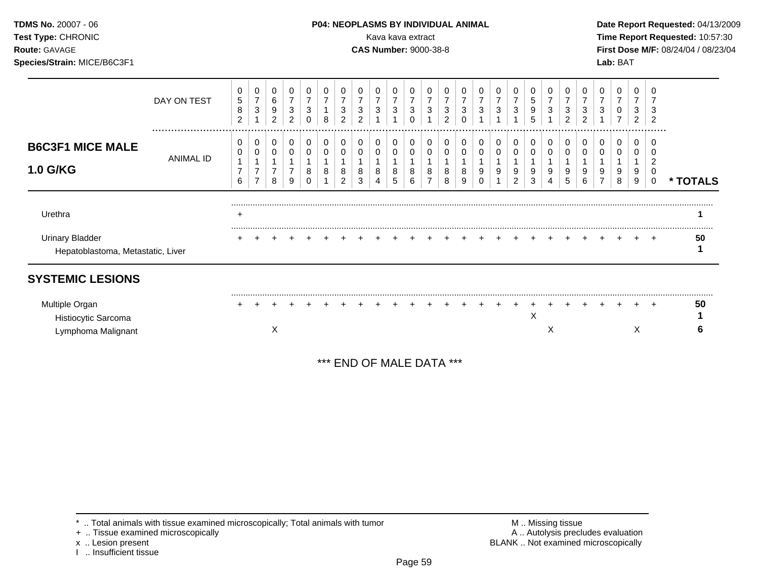| <b>TDMS No. 20007 - 06</b> |  |
|----------------------------|--|
| <b>Test Type: CHRONIC</b>  |  |
|                            |  |

Kava kava extract **Time Report Requested:** 10:57:30 **Route:** GAVAGE **CAS Number:** 9000-38-8 **First Dose M/F:** 08/24/04 / 08/23/04 **Species/Strain:** MICE/B6C3F1 **Lab:** BAT

|                                                             | DAY ON TEST   | 0<br>$\,$ 5 $\,$<br>$\bf 8$<br>$\overline{2}$ | 0<br>$\overline{7}$<br>$\ensuremath{\mathsf{3}}$<br>$\overline{A}$ | 0<br>6<br>9<br>$\overline{2}$ | 0<br>3<br>$\overline{2}$ | 3<br>0                  | 8      | 3<br>2              | 0<br>3<br>$\overline{2}$ | 0<br>3           | 7<br>3      | 0<br>7<br>3<br>0 | 7<br>3                   | 3<br>$\overline{2}$ | 3<br>0      | 0<br>3                  | 7<br>$\ensuremath{\mathsf{3}}$ | 7<br>3                   | 5<br>9<br>5      | 3 | 3<br>$\overline{2}$ | $\overline{ }$<br>3<br>$\overline{2}$ | 0<br>$\overline{7}$<br>3      | $\mathbf 0$<br>⇁   | 3<br>2           | 0<br>3<br>$\overline{2}$                           |          |
|-------------------------------------------------------------|---------------|-----------------------------------------------|--------------------------------------------------------------------|-------------------------------|--------------------------|-------------------------|--------|---------------------|--------------------------|------------------|-------------|------------------|--------------------------|---------------------|-------------|-------------------------|--------------------------------|--------------------------|------------------|---|---------------------|---------------------------------------|-------------------------------|--------------------|------------------|----------------------------------------------------|----------|
| <b>B6C3F1 MICE MALE</b><br>1.0 G/KG                         | <br>ANIMAL ID | 0<br>0<br>$\overline{7}$<br>6                 | 0<br>0<br>$\overline{7}$<br>$\overline{7}$                         | 0<br>0<br>7<br>8              | 0<br>0<br>9              | 0<br>$\Omega$<br>8<br>0 | 0<br>8 | 8<br>$\overline{2}$ | 0<br>0<br>8<br>3         | 0<br>0<br>8<br>4 | 0<br>8<br>5 | 0<br>0<br>8<br>6 | 0<br>8<br>$\overline{ }$ | 8                   | 0<br>8<br>9 | 0<br>0<br>9<br>$\Omega$ | 0<br>0<br>9                    | 0<br>9<br>$\overline{2}$ | 0<br>0<br>9<br>3 | 0 | 0<br>9<br>5         | 0<br>0<br>9<br>6                      | 0<br>0<br>9<br>$\overline{7}$ | $\Omega$<br>9<br>8 | 0<br>0<br>9<br>9 | <br>$\Omega$<br>0<br>$\overline{2}$<br>$\mathbf 0$ | * TOTALS |
| Urethra                                                     |               | +                                             |                                                                    |                               |                          |                         |        |                     |                          |                  |             |                  |                          |                     |             |                         |                                |                          |                  |   |                     |                                       |                               |                    |                  |                                                    |          |
| <b>Urinary Bladder</b><br>Hepatoblastoma, Metastatic, Liver |               |                                               |                                                                    |                               |                          |                         |        |                     |                          |                  |             |                  |                          |                     |             |                         |                                |                          |                  |   |                     |                                       |                               |                    |                  | $\div$                                             | 50       |
| <b>SYSTEMIC LESIONS</b>                                     |               |                                               |                                                                    |                               |                          |                         |        |                     |                          |                  |             |                  |                          |                     |             |                         |                                |                          |                  |   |                     |                                       |                               |                    |                  |                                                    |          |
| Multiple Organ<br>Histiocytic Sarcoma                       |               |                                               |                                                                    |                               |                          |                         |        |                     |                          |                  |             |                  |                          |                     |             |                         |                                |                          | х                |   |                     |                                       |                               |                    |                  |                                                    | 50       |
| Lymphoma Malignant                                          |               |                                               |                                                                    | X                             |                          |                         |        |                     |                          |                  |             |                  |                          |                     |             |                         |                                |                          |                  | X |                     |                                       |                               |                    | X                |                                                    | 6        |

\*\*\* END OF MALE DATA \*\*\*

\* .. Total animals with tissue examined microscopically; Total animals with tumor <br>
+ .. Tissue examined microscopically<br>
+ .. Tissue examined microscopically

+ .. Tissue examined microscopically

x .. Lesion present<br>I .. Insufficient tissue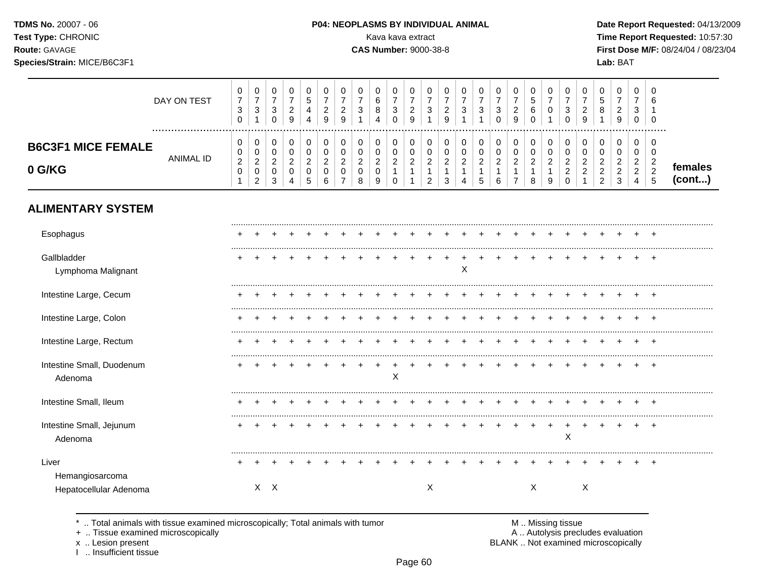TDMS No. 20007 - 06 Test Type: CHRONIC Route: GAVAGE Species/Strain: MICE/B6C3F1

#### P04: NEOPLASMS BY INDIVIDUAL ANIMAL

Kava kava extract

**CAS Number: 9000-38-8** 

Date Report Requested: 04/13/2009 Time Report Requested: 10:57:30 First Dose M/F: 08/24/04 / 08/23/04 Lab: BAT

|                           | DAY ON TEST | U<br>$\overline{\phantom{a}}$<br>$\sim$<br>Ĵ<br>U | $\mathbf{0}$<br>$\sim$<br>J. | υ<br>3      | £.<br>g        | U<br>∽<br>J<br>4              | 0<br><sup>o</sup><br><u>_</u><br>9 | U<br>$\sim$<br>O | U<br>ົ<br>చ      | 4 | v<br>3<br>ν   | _<br>9 | 0<br>3 | υ<br><u>_</u><br>9 | 3 | 0<br>3 | v<br><sup>o</sup><br>ັ | J<br>ി<br>∠<br>9 | U<br>∽<br>IJ<br>6<br>v | U.<br>0 | 3                         | င့ | 0<br>∽<br>N<br>8 | 0<br>◠<br><u>.</u><br>9  | υ<br>ാ<br>ັບ<br>◡       | U<br>b<br>U |                  |
|---------------------------|-------------|---------------------------------------------------|------------------------------|-------------|----------------|-------------------------------|------------------------------------|------------------|------------------|---|---------------|--------|--------|--------------------|---|--------|------------------------|------------------|------------------------|---------|---------------------------|----|------------------|--------------------------|-------------------------|-------------|------------------|
| <b>B6C3F1 MICE FEMALE</b> | ANIMAL ID   | U<br>U                                            | 0<br>0                       | υ           |                | U                             | 0<br>C<br>υ                        |                  | 0                |   | U<br>U        |        | 0<br>U | υ                  |   | 0<br>0 | v                      | 0                | ν<br>U                 |         |                           |    | 0                | 0<br>0                   | v<br>u                  |             |                  |
| 0 G/KG                    |             | $\sim$<br><u>_</u><br>U                           | $\sim$<br>_<br>0<br>ົ        | ◠<br>υ<br>◠ | $\overline{ }$ | υ<br>$\overline{\phantom{a}}$ | <sup>o</sup><br>υ<br>⌒<br>ь        | _                | c<br>$\sim$<br>8 |   | ⌒<br><u>.</u> |        | റ<br>റ | ົ                  |   | ີ<br>đ | <sup>o</sup><br>ี      | ີ<br>∸           | ◠<br>8                 | a       | ີ<br><u>.</u><br><u>.</u> |    | ◠<br>$\sim$      | ◠<br><u>_</u><br>C.<br>ບ | ົ<br>_<br>◠<br><u>_</u> |             | temales<br>cont) |

# **ALIMENTARY SYSTEM**

| Esophagus                                          |   |            |  |  |  |   |   |   |  |   |   |   |  |  |
|----------------------------------------------------|---|------------|--|--|--|---|---|---|--|---|---|---|--|--|
| Gallbladder<br>Lymphoma Malignant                  |   |            |  |  |  |   |   | X |  |   |   |   |  |  |
| Intestine Large, Cecum                             | ٠ |            |  |  |  |   |   |   |  |   |   |   |  |  |
| Intestine Large, Colon                             | ٠ |            |  |  |  |   |   |   |  |   |   |   |  |  |
| Intestine Large, Rectum                            |   |            |  |  |  |   |   |   |  |   |   |   |  |  |
| Intestine Small, Duodenum<br>Adenoma               |   |            |  |  |  | X |   |   |  |   |   |   |  |  |
| Intestine Small, Ileum                             |   |            |  |  |  |   |   |   |  |   |   |   |  |  |
| Intestine Small, Jejunum<br>Adenoma                |   |            |  |  |  |   |   |   |  |   | X |   |  |  |
| Liver<br>Hemangiosarcoma<br>Hepatocellular Adenoma |   | $X \times$ |  |  |  |   | X |   |  | X |   | X |  |  |
|                                                    |   |            |  |  |  |   |   |   |  |   |   |   |  |  |

\* .. Total animals with tissue examined microscopically; Total animals with tumor

+ .. Tissue examined microscopically

x .. Lesion present

1 .. Insufficient tissue

M .. Missing tissue<br>A .. Autolysis precludes evaluation BLANK .. Not examined microscopically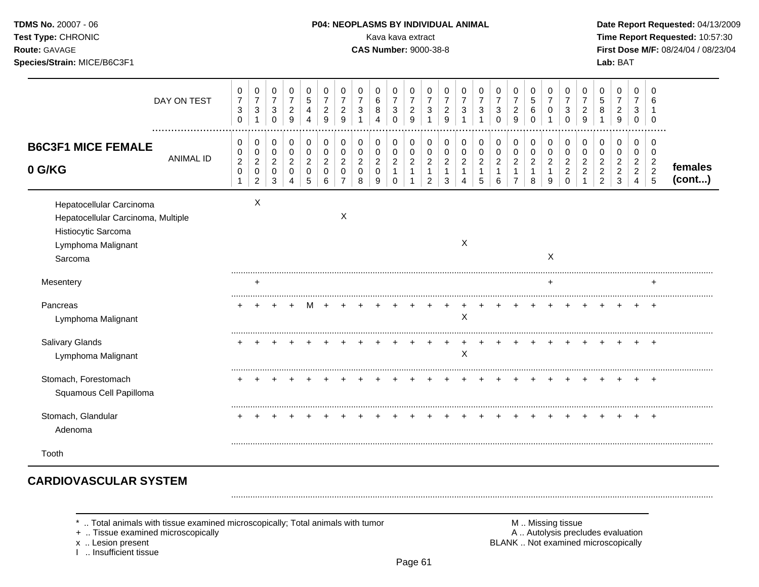| <b>TDMS No. 20007 - 06</b> |
|----------------------------|
| <b>Test Type: CHRONIC</b>  |
|                            |

Kava kava extract **Time Report Requested:** 10:57:30 **Route:** GAVAGE **CAS Number:** 9000-38-8 **First Dose M/F:** 08/24/04 / 08/23/04 **Species/Strain:** MICE/B6C3F1 **Lab:** BAT

|                                                                                                                        | DAY ON TEST<br>  | 0<br>$\overline{7}$<br>$\ensuremath{\mathsf{3}}$<br>$\mathbf 0$ | $\mathbf 0$<br>$\overline{7}$<br>$\sqrt{3}$                     | 0<br>$\overline{7}$<br>$\sqrt{3}$<br>$\Omega$        | 0<br>$\overline{\mathbf{7}}$<br>$\boldsymbol{2}$<br>9        | 0<br>$\overline{5}$<br>4<br>4                        | $\pmb{0}$<br>$\overline{7}$<br>$\boldsymbol{2}$<br>9 | 0<br>$\overline{7}$<br>$\overline{2}$<br>9 | 0<br>$\overline{7}$<br>3           | 0<br>6<br>8<br>Δ                                       | 0<br>$\overline{7}$<br>3<br>$\Omega$                | 0<br>$\overline{7}$<br>$\sqrt{2}$<br>$\overline{9}$ | 0<br>$\overline{7}$<br>$\ensuremath{\mathsf{3}}$<br>1                | 0<br>$\overline{7}$<br>$\overline{c}$<br>9 | 0<br>$\overline{7}$<br>3<br>1             | 0<br>$\overline{7}$<br>3     | 0<br>$\overline{7}$<br>3<br>$\Omega$    | 0<br>$\overline{7}$<br>$\overline{c}$<br>9   | 0<br>$\sqrt{5}$<br>6<br>$\Omega$           | 0<br>$\overline{7}$<br>$\mathbf 0$                      | 0<br>$\overline{7}$<br>3<br>$\Omega$                             | 0<br>$\overline{7}$<br>$\overline{\mathbf{c}}$<br>9 | 0<br>5<br>8                                                  | 0<br>$\overline{7}$<br>$\overline{c}$<br>9             | 0<br>$\overline{7}$<br>3<br>0                   | $\Omega$<br>6<br>$\Omega$                            |                   |
|------------------------------------------------------------------------------------------------------------------------|------------------|-----------------------------------------------------------------|-----------------------------------------------------------------|------------------------------------------------------|--------------------------------------------------------------|------------------------------------------------------|------------------------------------------------------|--------------------------------------------|------------------------------------|--------------------------------------------------------|-----------------------------------------------------|-----------------------------------------------------|----------------------------------------------------------------------|--------------------------------------------|-------------------------------------------|------------------------------|-----------------------------------------|----------------------------------------------|--------------------------------------------|---------------------------------------------------------|------------------------------------------------------------------|-----------------------------------------------------|--------------------------------------------------------------|--------------------------------------------------------|-------------------------------------------------|------------------------------------------------------|-------------------|
| <b>B6C3F1 MICE FEMALE</b><br>0 G/KG                                                                                    | <b>ANIMAL ID</b> | 0<br>0<br>$\boldsymbol{2}$<br>$\pmb{0}$                         | 0<br>$\pmb{0}$<br>$\overline{c}$<br>$\pmb{0}$<br>$\overline{2}$ | 0<br>$\pmb{0}$<br>$\overline{2}$<br>$\mathbf 0$<br>3 | $\pmb{0}$<br>$\pmb{0}$<br>$\overline{c}$<br>$\mathbf 0$<br>4 | 0<br>$\pmb{0}$<br>$\overline{c}$<br>$\mathbf 0$<br>5 | 0<br>$\pmb{0}$<br>$\overline{c}$<br>$\mathbf 0$<br>6 | 0<br>$\Omega$<br>$\overline{2}$            | 0<br>0<br>$\overline{c}$<br>0<br>8 | 0<br>$\mathbf 0$<br>$\overline{c}$<br>$\mathbf 0$<br>9 | 0<br>$\mathbf 0$<br>$\overline{2}$<br>1<br>$\Omega$ | 0<br>$\pmb{0}$<br>$\overline{c}$                    | 0<br>$\mathbf 0$<br>$\overline{c}$<br>$\mathbf{1}$<br>$\overline{2}$ | 0<br>$\pmb{0}$<br>$\overline{c}$<br>3      | 0<br>$\Omega$<br>$\overline{c}$<br>1<br>4 | 0<br>$\Omega$<br>2<br>1<br>5 | 0<br>$\mathbf 0$<br>$\overline{c}$<br>6 | 0<br>$\mathsf 0$<br>$\overline{2}$<br>1<br>7 | 0<br>$\pmb{0}$<br>$\overline{c}$<br>1<br>8 | 0<br>$\mathbf 0$<br>$\overline{c}$<br>$\mathbf{1}$<br>9 | 0<br>$\mathbf 0$<br>$\overline{c}$<br>$\overline{c}$<br>$\Omega$ | 0<br>$\Omega$<br>$\overline{2}$<br>$\overline{c}$   | 0<br>0<br>$\overline{2}$<br>$\overline{2}$<br>$\overline{2}$ | 0<br>$\Omega$<br>$\overline{2}$<br>$\overline{c}$<br>3 | 0<br>0<br>$\overline{c}$<br>$\overline{2}$<br>4 | 0<br>0<br>$\begin{array}{c} 2 \\ 2 \\ 5 \end{array}$ | females<br>(cont) |
| Hepatocellular Carcinoma<br>Hepatocellular Carcinoma, Multiple<br>Histiocytic Sarcoma<br>Lymphoma Malignant<br>Sarcoma |                  |                                                                 | $\boldsymbol{\mathsf{X}}$                                       |                                                      |                                                              |                                                      |                                                      | X                                          |                                    |                                                        |                                                     |                                                     |                                                                      |                                            | $\times$                                  |                              |                                         |                                              |                                            | X                                                       |                                                                  |                                                     |                                                              |                                                        |                                                 |                                                      |                   |
| Mesentery                                                                                                              |                  |                                                                 | $\ddot{}$                                                       |                                                      |                                                              |                                                      |                                                      |                                            |                                    |                                                        |                                                     |                                                     |                                                                      |                                            |                                           |                              |                                         |                                              |                                            |                                                         |                                                                  |                                                     |                                                              |                                                        |                                                 |                                                      |                   |
| Pancreas<br>Lymphoma Malignant                                                                                         |                  |                                                                 |                                                                 |                                                      |                                                              |                                                      |                                                      |                                            |                                    |                                                        |                                                     |                                                     |                                                                      |                                            | X                                         |                              |                                         |                                              |                                            |                                                         |                                                                  |                                                     |                                                              |                                                        |                                                 | $\ddot{}$                                            |                   |
| <b>Salivary Glands</b><br>Lymphoma Malignant                                                                           |                  |                                                                 |                                                                 |                                                      |                                                              |                                                      |                                                      |                                            |                                    |                                                        |                                                     |                                                     |                                                                      |                                            | X                                         |                              |                                         |                                              |                                            |                                                         |                                                                  |                                                     |                                                              |                                                        |                                                 | $+$                                                  |                   |
| Stomach, Forestomach<br>Squamous Cell Papilloma                                                                        |                  |                                                                 |                                                                 |                                                      |                                                              |                                                      |                                                      |                                            |                                    |                                                        |                                                     |                                                     |                                                                      |                                            |                                           |                              |                                         |                                              |                                            |                                                         |                                                                  |                                                     |                                                              |                                                        |                                                 | $\ddot{}$                                            |                   |
| Stomach, Glandular<br>Adenoma                                                                                          |                  |                                                                 |                                                                 |                                                      |                                                              |                                                      |                                                      |                                            |                                    |                                                        |                                                     |                                                     |                                                                      |                                            |                                           |                              |                                         |                                              |                                            |                                                         |                                                                  |                                                     |                                                              |                                                        |                                                 | $\overline{+}$                                       |                   |
| Tooth                                                                                                                  |                  |                                                                 |                                                                 |                                                      |                                                              |                                                      |                                                      |                                            |                                    |                                                        |                                                     |                                                     |                                                                      |                                            |                                           |                              |                                         |                                              |                                            |                                                         |                                                                  |                                                     |                                                              |                                                        |                                                 |                                                      |                   |

# **CARDIOVASCULAR SYSTEM**

\* .. Total animals with tissue examined microscopically; Total animals with tumor <br>
+ .. Tissue examined microscopically<br>
+ .. Tissue examined microscopically

+ .. Tissue examined microscopically

I .. Insufficient tissue

x .. Lesion present **BLANK** .. Not examined microscopically

.........................................................................................................................................................................................................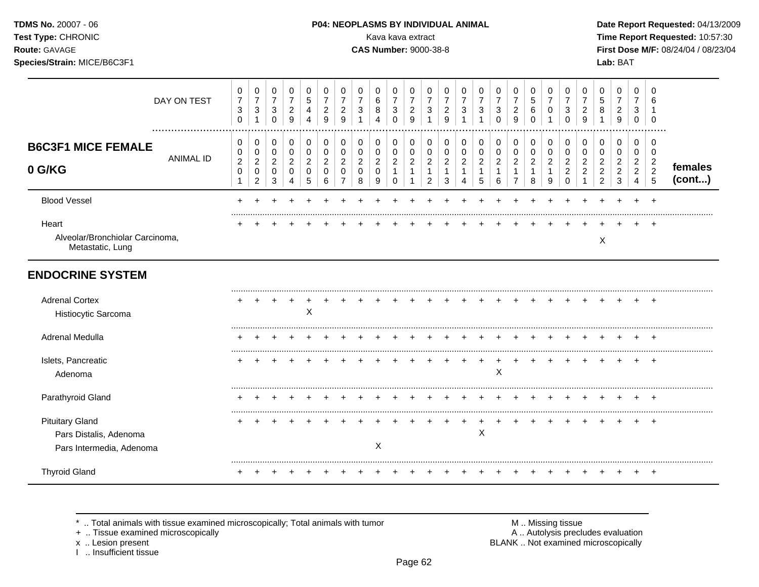## **TDMS No.** 20007 - 06 **P04: NEOPLASMS BY INDIVIDUAL ANIMAL** Date Report Requested: 04/13/2009

**Test Type:** CHRONIC **Transfer CHRONIC Report Requested:** 10:57:30 **Route:** GAVAGE **CAS Number:** 9000-38-8 **First Dose M/F:** 08/24/04 / 08/23/04 **Species/Strain:** MICE/B6C3F1 **Lab:** BAT

|                                                                              | DAY ON TEST      | 0<br>$\boldsymbol{7}$<br>$\sqrt{3}$<br>$\mathbf 0$ | 0<br>$\boldsymbol{7}$<br>$\mathbf{3}$<br>1                          | 0<br>$\boldsymbol{7}$<br>$\sqrt{3}$<br>$\pmb{0}$         | 0<br>$\overline{7}$<br>$\overline{2}$<br>9          | 0<br>5<br>4<br>$\boldsymbol{\Lambda}$        | 0<br>$\overline{7}$<br>$\overline{2}$<br>9             | 0<br>$\overline{7}$<br>$\overline{c}$<br>9                        | 0<br>$\overline{7}$<br>3<br>1                                  | 0<br>$\,6$<br>8<br>$\boldsymbol{\Lambda}$                           | 0<br>$\overline{7}$<br>$\mathbf{3}$<br>$\Omega$   | 0<br>$\overline{7}$<br>$\overline{c}$<br>9           | 0<br>$\overline{7}$<br>$\mathbf{3}$                        | 0<br>$\overline{7}$<br>$\boldsymbol{2}$<br>9 | 0<br>$\overline{7}$<br>3                  | 0<br>$\boldsymbol{7}$<br>$\mathbf{3}$        | 0<br>$\boldsymbol{7}$<br>$\mathbf{3}$<br>$\Omega$       | 0<br>$\overline{7}$<br>$\overline{c}$<br>9                           | 0<br>$\sqrt{5}$<br>6<br>$\Omega$           | 0<br>$\overline{7}$<br>0                                | 0<br>$\overline{7}$<br>3<br>$\Omega$                   | 0<br>$\overline{7}$<br>$\sqrt{2}$<br>9               | 0<br>$\,$ 5 $\,$<br>8                                        | 0<br>$\overline{7}$<br>$\boldsymbol{2}$<br>$\boldsymbol{9}$        | 0<br>$\overline{7}$<br>$\mathbf{3}$<br>$\mathbf 0$                     | 0<br>6<br>0                                                   |                   |
|------------------------------------------------------------------------------|------------------|----------------------------------------------------|---------------------------------------------------------------------|----------------------------------------------------------|-----------------------------------------------------|----------------------------------------------|--------------------------------------------------------|-------------------------------------------------------------------|----------------------------------------------------------------|---------------------------------------------------------------------|---------------------------------------------------|------------------------------------------------------|------------------------------------------------------------|----------------------------------------------|-------------------------------------------|----------------------------------------------|---------------------------------------------------------|----------------------------------------------------------------------|--------------------------------------------|---------------------------------------------------------|--------------------------------------------------------|------------------------------------------------------|--------------------------------------------------------------|--------------------------------------------------------------------|------------------------------------------------------------------------|---------------------------------------------------------------|-------------------|
| <b>B6C3F1 MICE FEMALE</b><br>0 G/KG                                          | <b>ANIMAL ID</b> | 0<br>0<br>$\sqrt{2}$<br>$\mathbf 0$<br>-1          | 0<br>$\mathbf 0$<br>$\overline{c}$<br>$\mathbf 0$<br>$\overline{c}$ | 0<br>$\mathbf 0$<br>$\boldsymbol{2}$<br>$\mathbf 0$<br>3 | 0<br>$\mathbf 0$<br>$\overline{2}$<br>$\Omega$<br>4 | 0<br>$\mathbf 0$<br>$\overline{c}$<br>0<br>5 | 0<br>$\mathbf 0$<br>$\overline{2}$<br>$\mathbf 0$<br>6 | 0<br>$\pmb{0}$<br>$\overline{c}$<br>$\mathbf 0$<br>$\overline{7}$ | 0<br>$\mathsf{O}\xspace$<br>$\overline{2}$<br>$\mathbf 0$<br>8 | 0<br>$\pmb{0}$<br>$\overline{a}$<br>$\mathbf 0$<br>$\boldsymbol{9}$ | 0<br>$\pmb{0}$<br>$\sqrt{2}$<br>$\mathbf{1}$<br>0 | 0<br>$\mathbf 0$<br>$\boldsymbol{2}$<br>$\mathbf{1}$ | 0<br>$\mathbf 0$<br>$\overline{2}$<br>-1<br>$\overline{2}$ | 0<br>0<br>$\overline{c}$<br>1<br>3           | 0<br>$\mathbf 0$<br>$\boldsymbol{2}$<br>Δ | 0<br>$\mathbf 0$<br>$\overline{a}$<br>1<br>5 | 0<br>$\mathsf 0$<br>$\overline{c}$<br>$\mathbf{1}$<br>6 | 0<br>$\mathbf 0$<br>$\overline{2}$<br>$\mathbf{1}$<br>$\overline{7}$ | 0<br>$\pmb{0}$<br>$\overline{c}$<br>1<br>8 | 0<br>$\mathbf 0$<br>$\overline{2}$<br>$\mathbf{1}$<br>9 | 0<br>0<br>$\overline{2}$<br>$\overline{2}$<br>$\Omega$ | 0<br>$\mathbf 0$<br>$\overline{2}$<br>$\overline{2}$ | 0<br>0<br>$\overline{c}$<br>$\overline{c}$<br>$\overline{2}$ | 0<br>$\pmb{0}$<br>$\overline{c}$<br>$\overline{c}$<br>$\mathbf{3}$ | 0<br>$\mathbf 0$<br>$\overline{c}$<br>$\overline{2}$<br>$\overline{4}$ | 0<br>$\mathbf 0$<br>$\boldsymbol{2}$<br>$\boldsymbol{2}$<br>5 | females<br>(cont) |
| <b>Blood Vessel</b>                                                          |                  |                                                    |                                                                     |                                                          |                                                     |                                              |                                                        |                                                                   |                                                                |                                                                     |                                                   |                                                      |                                                            |                                              |                                           |                                              |                                                         |                                                                      |                                            |                                                         |                                                        |                                                      |                                                              |                                                                    |                                                                        |                                                               |                   |
| Heart<br>Alveolar/Bronchiolar Carcinoma,<br>Metastatic, Lung                 |                  |                                                    |                                                                     |                                                          |                                                     |                                              |                                                        |                                                                   |                                                                |                                                                     |                                                   |                                                      |                                                            |                                              |                                           |                                              |                                                         |                                                                      |                                            |                                                         |                                                        |                                                      | X                                                            |                                                                    |                                                                        |                                                               |                   |
| <b>ENDOCRINE SYSTEM</b>                                                      |                  |                                                    |                                                                     |                                                          |                                                     |                                              |                                                        |                                                                   |                                                                |                                                                     |                                                   |                                                      |                                                            |                                              |                                           |                                              |                                                         |                                                                      |                                            |                                                         |                                                        |                                                      |                                                              |                                                                    |                                                                        |                                                               |                   |
| <b>Adrenal Cortex</b><br>Histiocytic Sarcoma                                 |                  |                                                    |                                                                     |                                                          |                                                     | X                                            |                                                        |                                                                   |                                                                |                                                                     |                                                   |                                                      |                                                            |                                              |                                           |                                              |                                                         |                                                                      |                                            |                                                         |                                                        |                                                      |                                                              |                                                                    |                                                                        | $\div$                                                        |                   |
| Adrenal Medulla                                                              |                  |                                                    |                                                                     |                                                          |                                                     |                                              |                                                        |                                                                   |                                                                |                                                                     |                                                   |                                                      |                                                            |                                              |                                           |                                              |                                                         |                                                                      |                                            |                                                         |                                                        |                                                      |                                                              |                                                                    |                                                                        |                                                               |                   |
| Islets, Pancreatic<br>Adenoma                                                |                  |                                                    |                                                                     |                                                          |                                                     |                                              |                                                        |                                                                   |                                                                |                                                                     |                                                   |                                                      |                                                            |                                              |                                           | $\div$                                       | +<br>Χ                                                  |                                                                      |                                            |                                                         |                                                        |                                                      |                                                              |                                                                    |                                                                        |                                                               |                   |
| Parathyroid Gland                                                            |                  |                                                    |                                                                     |                                                          |                                                     |                                              |                                                        |                                                                   |                                                                |                                                                     |                                                   |                                                      |                                                            |                                              |                                           |                                              |                                                         |                                                                      |                                            |                                                         |                                                        |                                                      |                                                              |                                                                    |                                                                        |                                                               |                   |
| <b>Pituitary Gland</b><br>Pars Distalis, Adenoma<br>Pars Intermedia, Adenoma |                  |                                                    |                                                                     |                                                          |                                                     |                                              |                                                        |                                                                   |                                                                | X                                                                   |                                                   |                                                      |                                                            |                                              |                                           | X                                            |                                                         |                                                                      |                                            |                                                         |                                                        |                                                      |                                                              |                                                                    |                                                                        | $\ddot{}$                                                     |                   |
| <b>Thyroid Gland</b>                                                         |                  |                                                    |                                                                     |                                                          |                                                     |                                              |                                                        |                                                                   |                                                                |                                                                     |                                                   |                                                      |                                                            |                                              |                                           |                                              |                                                         |                                                                      |                                            |                                                         |                                                        |                                                      |                                                              |                                                                    |                                                                        | $\overline{+}$                                                |                   |

+ .. Tissue examined microscopically<br>x .. Lesion present

I .. Insufficient tissue

\* .. Total animals with tissue examined microscopically; Total animals with tumor M .. Missing tissue M .. Missing tissue<br>
+ .. Tissue examined microscopically BLANK .. Not examined microscopically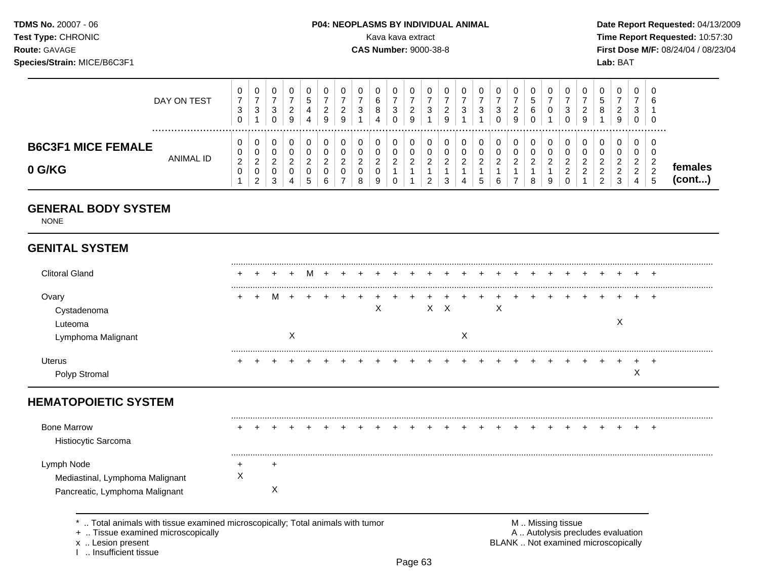## **TDMS No.** 20007 - 06 **P04: NEOPLASMS BY INDIVIDUAL ANIMAL** Date Report Requested: 04/13/2009

**Test Type:** CHRONIC **Transfer CHRONIC** Kava Rava extract Kava extract **Time Report Requested:** 10:57:30 **Route:** GAVAGE **CAS Number:** 9000-38-8 **First Dose M/F:** 08/24/04 / 08/23/04

|                                     | DAY ON TEST | ີ      | 0<br>3                              | 0<br>2<br>ັ                     | u<br>2<br>9 | $\sim$<br>4 | ν<br><u>.</u><br>9 | $\overline{\phantom{a}}$ | 0<br>6<br>8<br>4                  | 0<br>ີ<br>◡<br>0             | u<br><u>.</u> | 3 | v<br>3                       | $\overline{\phantom{a}}$ | 0<br>3<br>0                            | U<br><u>_</u><br>9           | O  | v<br><u>_</u><br>9      | v<br>J<br>8 | 0<br>ົ<br><u>_</u><br>9                       | U<br>◡<br>U                                          | - ს<br>- O |                   |
|-------------------------------------|-------------|--------|-------------------------------------|---------------------------------|-------------|-------------|--------------------|--------------------------|-----------------------------------|------------------------------|---------------|---|------------------------------|--------------------------|----------------------------------------|------------------------------|----|-------------------------|-------------|-----------------------------------------------|------------------------------------------------------|------------|-------------------|
| <b>B6C3F1 MICE FEMALE</b><br>0 G/KG | ANIMAL ID   | $\sim$ | 0<br>0<br>$\sqrt{2}$<br>_<br>0<br>ີ | 0<br>υ<br>◠<br>_<br>υ<br>◠<br>ັ | ◠<br>▃      |             | ν<br>⌒<br><u>_</u> |                          | 0<br>0<br>ີ<br><u>.</u><br>0<br>9 | 0<br>0<br>ົ<br><u>_</u><br>◡ | <u>.</u>      |   | U<br>u<br>ົ<br><u>_</u><br>4 | $\sim$                   | 0<br>0<br>ົ<br><u>_</u><br>$\sim$<br>6 | U<br>υ<br>$\sim$<br><u>_</u> | -9 | v<br>⌒<br>_<br><u>_</u> |             | 0<br>0<br>ົ<br><u>_</u><br>ົ<br><u>_</u><br>3 | U<br>U<br>$\sim$<br><u>_</u><br>ົ<br>$\epsilon$<br>4 |            | temales<br>(cont) |

## **GENERAL BODY SYSTEM**

NONE

# **GENITAL SYSTEM**

| <b>Clitoral Gland</b>                                                                                              |   |   |                |  |  |   |  |            |   |   |  |                                     |  |   |                                   |        |
|--------------------------------------------------------------------------------------------------------------------|---|---|----------------|--|--|---|--|------------|---|---|--|-------------------------------------|--|---|-----------------------------------|--------|
| Ovary                                                                                                              |   |   |                |  |  |   |  |            |   |   |  |                                     |  |   |                                   | $\div$ |
| Cystadenoma                                                                                                        |   |   |                |  |  | X |  | $X \times$ |   | X |  |                                     |  |   |                                   |        |
| Luteoma                                                                                                            |   |   |                |  |  |   |  |            |   |   |  |                                     |  | X |                                   |        |
| Lymphoma Malignant                                                                                                 |   |   | $\pmb{\times}$ |  |  |   |  |            | X |   |  |                                     |  |   |                                   |        |
| Uterus                                                                                                             |   |   |                |  |  |   |  |            |   |   |  |                                     |  |   |                                   | +      |
| Polyp Stromal                                                                                                      |   |   |                |  |  |   |  |            |   |   |  |                                     |  |   | X                                 |        |
| <b>Bone Marrow</b><br>Histiocytic Sarcoma                                                                          |   |   |                |  |  |   |  |            |   |   |  |                                     |  |   |                                   | ÷      |
| Lymph Node                                                                                                         |   | ٠ |                |  |  |   |  |            |   |   |  |                                     |  |   |                                   |        |
| Mediastinal, Lymphoma Malignant                                                                                    | х |   |                |  |  |   |  |            |   |   |  |                                     |  |   |                                   |        |
| Pancreatic, Lymphoma Malignant                                                                                     |   | X |                |  |  |   |  |            |   |   |  |                                     |  |   |                                   |        |
| Total animals with tissue examined microscopically; Total animals with tumor<br>+  Tissue examined microscopically |   |   |                |  |  |   |  |            |   |   |  | M  Missing tissue                   |  |   | A  Autolysis precludes evaluation |        |
| x  Lesion present                                                                                                  |   |   |                |  |  |   |  |            |   |   |  | BLANK  Not examined microscopically |  |   |                                   |        |

I .. Insufficient tissue

Page 63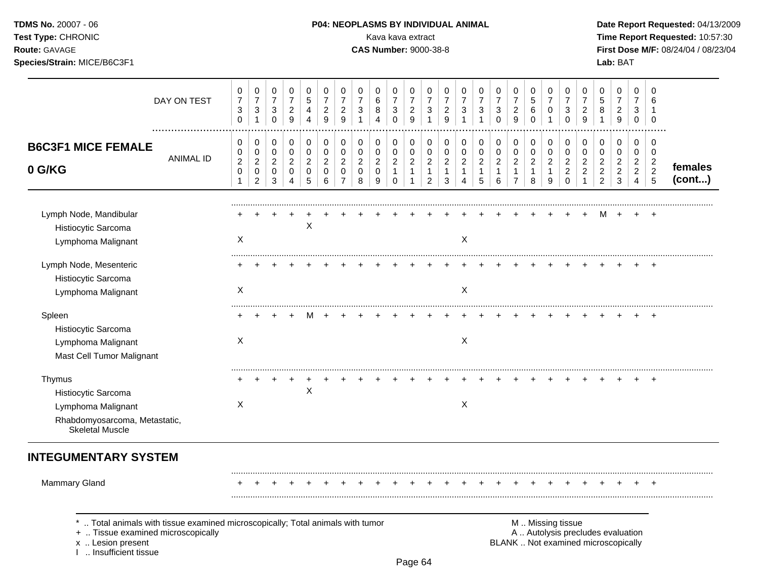## **TDMS No.** 20007 - 06 **P04: NEOPLASMS BY INDIVIDUAL ANIMAL** Date Report Requested: 04/13/2009

**Test Type:** CHRONIC **Transfer CHRONIC Report Requested:** 10:57:30 **Route:** GAVAGE **CAS Number:** 9000-38-8 **First Dose M/F:** 08/24/04 / 08/23/04 **Species/Strain:** MICE/B6C3F1 **Lab:** BAT

| DAY ON TEST                                                                                                                                                    | 0<br>$\boldsymbol{7}$<br>$\ensuremath{\mathsf{3}}$<br>$\mathbf 0$ | $\pmb{0}$<br>$\boldsymbol{7}$<br>$\ensuremath{\mathsf{3}}$<br>$\overline{1}$ | $\mathbf 0$<br>$\overline{7}$<br>$\mathbf{3}$<br>$\mathbf 0$ | $\,0\,$<br>$\boldsymbol{7}$<br>$\overline{c}$<br>9                | $\pmb{0}$<br>$\,$ 5 $\,$<br>$\overline{4}$<br>$\overline{4}$     | $\pmb{0}$<br>$\boldsymbol{7}$<br>$\overline{c}$<br>9           | $\pmb{0}$<br>$\overline{7}$<br>$\overline{c}$<br>9                          | 0<br>$\overline{7}$<br>$\sqrt{3}$<br>$\mathbf{1}$    | $\pmb{0}$<br>$\,6\,$<br>8<br>$\overline{4}$                               | $\,0\,$<br>$\overline{7}$<br>$\mathbf{3}$<br>$\Omega$             | $\,0\,$<br>$\boldsymbol{7}$<br>$\overline{c}$<br>9                         | $\pmb{0}$<br>$\boldsymbol{7}$<br>$\mathbf{3}$<br>$\overline{1}$                | $\pmb{0}$<br>$\boldsymbol{7}$<br>$\overline{c}$<br>9  | 0<br>$\overline{7}$<br>$\sqrt{3}$                                      | 0<br>$\overline{7}$<br>$\ensuremath{\mathsf{3}}$        | $\pmb{0}$<br>$\boldsymbol{7}$<br>$\mathsf 3$<br>$\mathbf 0$   | $\pmb{0}$<br>$\boldsymbol{7}$<br>$\overline{a}$<br>9               | 0<br>5<br>$\,6$<br>$\mathbf 0$                                         | $\mathbf 0$<br>$\overline{7}$<br>$\pmb{0}$<br>$\mathbf{1}$    | 0<br>$\overline{7}$<br>$\ensuremath{\mathsf{3}}$<br>$\Omega$     | 0<br>$\overline{7}$<br>$\overline{c}$<br>9                       | 0<br>$\,$ 5 $\,$<br>$\bf 8$                                              | $\pmb{0}$<br>$\boldsymbol{7}$<br>$\sqrt{2}$<br>$\boldsymbol{9}$ | $\pmb{0}$<br>$\overline{7}$<br>3<br>$\mathbf 0$                        | 0<br>6<br>-1<br>$\mathbf 0$                               |                   |
|----------------------------------------------------------------------------------------------------------------------------------------------------------------|-------------------------------------------------------------------|------------------------------------------------------------------------------|--------------------------------------------------------------|-------------------------------------------------------------------|------------------------------------------------------------------|----------------------------------------------------------------|-----------------------------------------------------------------------------|------------------------------------------------------|---------------------------------------------------------------------------|-------------------------------------------------------------------|----------------------------------------------------------------------------|--------------------------------------------------------------------------------|-------------------------------------------------------|------------------------------------------------------------------------|---------------------------------------------------------|---------------------------------------------------------------|--------------------------------------------------------------------|------------------------------------------------------------------------|---------------------------------------------------------------|------------------------------------------------------------------|------------------------------------------------------------------|--------------------------------------------------------------------------|-----------------------------------------------------------------|------------------------------------------------------------------------|-----------------------------------------------------------|-------------------|
| <b>B6C3F1 MICE FEMALE</b><br><b>ANIMAL ID</b><br>0 G/KG                                                                                                        | 0<br>$\mathbf 0$<br>$\overline{c}$<br>$\pmb{0}$<br>$\mathbf{1}$   | 0<br>$\mathbf 0$<br>$\boldsymbol{2}$<br>$\pmb{0}$<br>$\overline{c}$          | 0<br>$\mathbf 0$<br>$\overline{2}$<br>$\mathbf 0$<br>3       | $\pmb{0}$<br>$\mathbf 0$<br>$\overline{c}$<br>0<br>$\overline{4}$ | $\mathbf 0$<br>$\mathbf 0$<br>$\overline{2}$<br>$\mathbf 0$<br>5 | $\mathbf 0$<br>$\pmb{0}$<br>$\overline{2}$<br>$\mathbf 0$<br>6 | $\pmb{0}$<br>$\mathbf 0$<br>$\overline{2}$<br>$\mathbf 0$<br>$\overline{7}$ | 0<br>$\pmb{0}$<br>$\overline{2}$<br>$\mathbf 0$<br>8 | $\pmb{0}$<br>$\pmb{0}$<br>$\overline{2}$<br>$\pmb{0}$<br>$\boldsymbol{9}$ | 0<br>$\mathbf 0$<br>$\overline{2}$<br>$\mathbf{1}$<br>$\mathbf 0$ | $\pmb{0}$<br>$\pmb{0}$<br>$\boldsymbol{2}$<br>$\mathbf{1}$<br>$\mathbf{1}$ | $\mathbf 0$<br>$\mathbf 0$<br>$\overline{2}$<br>$\mathbf{1}$<br>$\overline{c}$ | 0<br>$\pmb{0}$<br>$\overline{2}$<br>$\mathbf{1}$<br>3 | 0<br>$\mathbf 0$<br>$\boldsymbol{2}$<br>$\mathbf{1}$<br>$\overline{4}$ | 0<br>$\mathbf 0$<br>$\overline{2}$<br>$\mathbf{1}$<br>5 | $\pmb{0}$<br>$\pmb{0}$<br>$\overline{c}$<br>$\mathbf{1}$<br>6 | 0<br>$\pmb{0}$<br>$\overline{2}$<br>$\mathbf{1}$<br>$\overline{7}$ | $\boldsymbol{0}$<br>$\pmb{0}$<br>$\boldsymbol{2}$<br>$\mathbf{1}$<br>8 | $\mathbf 0$<br>$\mathbf 0$<br>$\sqrt{2}$<br>$\mathbf{1}$<br>9 | 0<br>$\mathbf 0$<br>$\overline{2}$<br>$\overline{c}$<br>$\Omega$ | 0<br>$\mathbf 0$<br>$\overline{2}$<br>$\sqrt{2}$<br>$\mathbf{1}$ | 0<br>$\mathbf 0$<br>$\overline{2}$<br>$\overline{c}$<br>$\overline{2}$   | $\pmb{0}$<br>0<br>$\overline{c}$<br>$\frac{2}{3}$               | 0<br>$\mathbf 0$<br>$\overline{2}$<br>$\overline{2}$<br>$\overline{4}$ | 0<br>$\mathbf 0$<br>$\overline{2}$<br>$\overline{c}$<br>5 | females<br>(cont) |
| Lymph Node, Mandibular<br>Histiocytic Sarcoma<br>Lymphoma Malignant                                                                                            | X                                                                 |                                                                              |                                                              |                                                                   | Χ                                                                |                                                                |                                                                             |                                                      |                                                                           |                                                                   |                                                                            |                                                                                |                                                       | $\pmb{\times}$                                                         |                                                         |                                                               |                                                                    |                                                                        |                                                               |                                                                  |                                                                  | м                                                                        |                                                                 |                                                                        | $\overline{ }$                                            |                   |
| Lymph Node, Mesenteric<br>Histiocytic Sarcoma<br>Lymphoma Malignant                                                                                            | X                                                                 |                                                                              |                                                              |                                                                   |                                                                  |                                                                |                                                                             |                                                      |                                                                           |                                                                   |                                                                            |                                                                                |                                                       | $\mathsf{X}$                                                           |                                                         |                                                               |                                                                    |                                                                        |                                                               |                                                                  |                                                                  |                                                                          |                                                                 |                                                                        |                                                           |                   |
| Spleen<br>Histiocytic Sarcoma<br>Lymphoma Malignant<br>Mast Cell Tumor Malignant                                                                               | X                                                                 |                                                                              |                                                              |                                                                   | м                                                                |                                                                |                                                                             |                                                      |                                                                           |                                                                   |                                                                            |                                                                                |                                                       | $\sf X$                                                                |                                                         |                                                               |                                                                    |                                                                        |                                                               |                                                                  |                                                                  |                                                                          |                                                                 |                                                                        |                                                           |                   |
| Thymus<br>Histiocytic Sarcoma<br>Lymphoma Malignant<br>Rhabdomyosarcoma, Metastatic,<br><b>Skeletal Muscle</b>                                                 | +<br>X                                                            | ÷                                                                            |                                                              |                                                                   | X                                                                |                                                                |                                                                             |                                                      |                                                                           |                                                                   |                                                                            |                                                                                |                                                       | $\mathsf{X}$                                                           |                                                         |                                                               |                                                                    |                                                                        |                                                               |                                                                  |                                                                  |                                                                          |                                                                 |                                                                        | $\div$                                                    |                   |
| <b>INTEGUMENTARY SYSTEM</b>                                                                                                                                    |                                                                   |                                                                              |                                                              |                                                                   |                                                                  |                                                                |                                                                             |                                                      |                                                                           |                                                                   |                                                                            |                                                                                |                                                       |                                                                        |                                                         |                                                               |                                                                    |                                                                        |                                                               |                                                                  |                                                                  |                                                                          |                                                                 |                                                                        |                                                           |                   |
| <b>Mammary Gland</b>                                                                                                                                           |                                                                   |                                                                              |                                                              |                                                                   |                                                                  |                                                                |                                                                             |                                                      |                                                                           |                                                                   |                                                                            |                                                                                |                                                       |                                                                        |                                                         |                                                               |                                                                    |                                                                        |                                                               |                                                                  |                                                                  |                                                                          |                                                                 | +                                                                      | $\overline{ }$                                            |                   |
| Total animals with tissue examined microscopically; Total animals with tumor<br>+  Tissue examined microscopically<br>x  Lesion present<br>Insufficient tissue |                                                                   |                                                                              |                                                              |                                                                   |                                                                  |                                                                |                                                                             |                                                      |                                                                           |                                                                   |                                                                            |                                                                                |                                                       |                                                                        |                                                         |                                                               |                                                                    |                                                                        |                                                               | M  Missing tissue                                                |                                                                  | A  Autolysis precludes evaluation<br>BLANK  Not examined microscopically |                                                                 |                                                                        |                                                           |                   |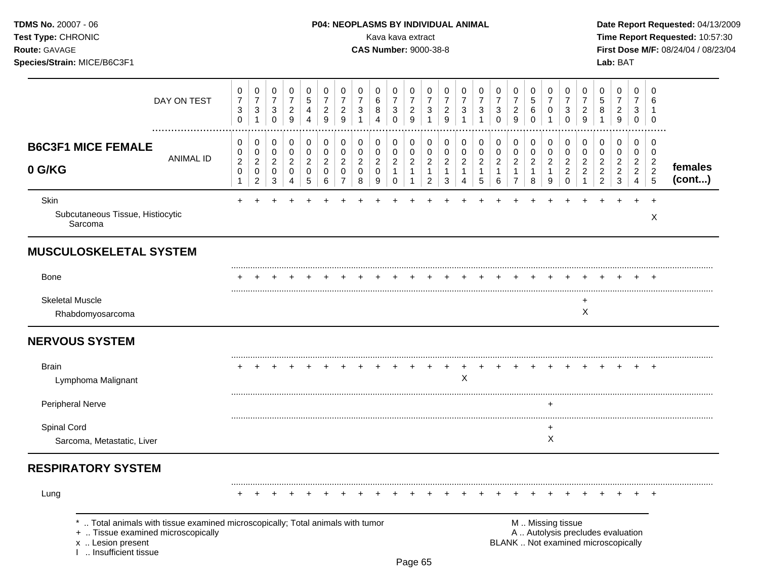## **TDMS No.** 20007 - 06 **P04: NEOPLASMS BY INDIVIDUAL ANIMAL** Date Report Requested: 04/13/2009

**Test Type:** CHRONIC **Transfer CHRONIC Report Requested:** 10:57:30 **Route:** GAVAGE **CAS Number:** 9000-38-8 **First Dose M/F:** 08/24/04 / 08/23/04 **Species/Strain:** MICE/B6C3F1 **Lab:** BAT

|                                                                                                                                                                   | DAY ON TEST      | 0<br>$\overline{7}$<br>$\ensuremath{\mathsf{3}}$<br>$\mathbf 0$ | 0<br>$\boldsymbol{7}$<br>$\ensuremath{\mathsf{3}}$<br>$\mathbf{1}$ | 0<br>$\boldsymbol{7}$<br>$\ensuremath{\mathsf{3}}$<br>$\mathbf 0$      | 0<br>$\boldsymbol{7}$<br>$\boldsymbol{2}$<br>9  | 0<br>$\overline{5}$<br>4<br>4                          | 0<br>$\overline{7}$<br>$\overline{c}$<br>9   | 0<br>$\overline{7}$<br>$\overline{c}$<br>9                | 0<br>$\overline{7}$<br>$\sqrt{3}$            | 0<br>6<br>8<br>4                                            | 0<br>$\boldsymbol{7}$<br>$\ensuremath{\mathsf{3}}$<br>$\Omega$ | 0<br>$\boldsymbol{7}$<br>$\sqrt{2}$<br>9                       | 0<br>$\boldsymbol{7}$<br>3<br>$\mathbf{1}$                 | 0<br>$\boldsymbol{7}$<br>$\overline{c}$<br>9             | 0<br>$\overline{7}$<br>3<br>1                                        | 0<br>$\overline{7}$<br>3<br>1                          | 0<br>$\boldsymbol{7}$<br>$\sqrt{3}$<br>$\Omega$           | 0<br>$\boldsymbol{7}$<br>$\overline{c}$<br>9                         | 0<br>$\sqrt{5}$<br>6<br>$\mathbf 0$                     | 0<br>$\overline{7}$<br>0<br>$\mathbf{1}$                | 0<br>$\boldsymbol{7}$<br>3<br>$\mathbf 0$               | 0<br>$\boldsymbol{7}$<br>$\boldsymbol{2}$<br>9                     | 0<br>$\sqrt{5}$<br>8<br>1                                                | 0<br>$\boldsymbol{7}$<br>$\overline{c}$<br>$\boldsymbol{9}$        | 0<br>$\boldsymbol{7}$<br>$\sqrt{3}$<br>$\mathbf 0$           | 0<br>6<br>1<br>$\mathbf 0$                                     |                   |
|-------------------------------------------------------------------------------------------------------------------------------------------------------------------|------------------|-----------------------------------------------------------------|--------------------------------------------------------------------|------------------------------------------------------------------------|-------------------------------------------------|--------------------------------------------------------|----------------------------------------------|-----------------------------------------------------------|----------------------------------------------|-------------------------------------------------------------|----------------------------------------------------------------|----------------------------------------------------------------|------------------------------------------------------------|----------------------------------------------------------|----------------------------------------------------------------------|--------------------------------------------------------|-----------------------------------------------------------|----------------------------------------------------------------------|---------------------------------------------------------|---------------------------------------------------------|---------------------------------------------------------|--------------------------------------------------------------------|--------------------------------------------------------------------------|--------------------------------------------------------------------|--------------------------------------------------------------|----------------------------------------------------------------|-------------------|
| <b>B6C3F1 MICE FEMALE</b><br>0 G/KG                                                                                                                               | <b>ANIMAL ID</b> | 0<br>0<br>$\overline{c}$<br>$\mathsf{O}\xspace$<br>1            | 0<br>$\pmb{0}$<br>$\overline{a}$<br>$\mathbf 0$<br>$\overline{c}$  | 0<br>$\boldsymbol{0}$<br>$\overline{c}$<br>$\mathsf 0$<br>$\mathbf{3}$ | 0<br>0<br>$\overline{c}$<br>0<br>$\overline{4}$ | 0<br>$\mathbf 0$<br>$\overline{2}$<br>$\mathbf 0$<br>5 | 0<br>0<br>$\overline{c}$<br>$\mathbf 0$<br>6 | 0<br>0<br>$\overline{c}$<br>$\mathbf 0$<br>$\overline{7}$ | 0<br>0<br>$\sqrt{2}$<br>$\pmb{0}$<br>$\,8\,$ | 0<br>$\boldsymbol{0}$<br>$\overline{c}$<br>$\mathbf 0$<br>9 | 0<br>$\pmb{0}$<br>$\overline{a}$<br>$\mathbf{1}$<br>0          | 0<br>$\mathbf 0$<br>$\sqrt{2}$<br>$\mathbf{1}$<br>$\mathbf{1}$ | 0<br>0<br>$\overline{c}$<br>$\mathbf{1}$<br>$\overline{a}$ | 0<br>0<br>$\overline{2}$<br>$\mathbf{1}$<br>$\mathbf{3}$ | 0<br>$\mathbf 0$<br>$\overline{c}$<br>$\mathbf{1}$<br>$\overline{4}$ | 0<br>0<br>$\overline{c}$<br>$\mathbf{1}$<br>$\sqrt{5}$ | 0<br>$\mathbf 0$<br>$\sqrt{2}$<br>$\mathbf{1}$<br>$\,6\,$ | 0<br>$\mathbf 0$<br>$\overline{c}$<br>$\mathbf{1}$<br>$\overline{7}$ | 0<br>$\mathbf 0$<br>$\overline{2}$<br>$\mathbf{1}$<br>8 | 0<br>$\mathbf 0$<br>$\overline{c}$<br>$\mathbf{1}$<br>9 | 0<br>0<br>$\overline{c}$<br>$\overline{a}$<br>$\pmb{0}$ | 0<br>$\mathbf 0$<br>$\boldsymbol{2}$<br>$\sqrt{2}$<br>$\mathbf{1}$ | 0<br>0<br>$\overline{c}$<br>$\overline{c}$<br>$\overline{c}$             | 0<br>$\pmb{0}$<br>$\boldsymbol{2}$<br>$\sqrt{2}$<br>$\mathfrak{Z}$ | 0<br>0<br>$\overline{2}$<br>$\overline{2}$<br>$\overline{4}$ | 0<br>0<br>$\overline{c}$<br>$\boldsymbol{2}$<br>$\overline{5}$ | females<br>(cont) |
| Skin<br>Subcutaneous Tissue, Histiocytic<br>Sarcoma                                                                                                               |                  |                                                                 |                                                                    |                                                                        |                                                 |                                                        |                                              |                                                           |                                              |                                                             |                                                                |                                                                |                                                            |                                                          |                                                                      |                                                        |                                                           |                                                                      |                                                         |                                                         |                                                         |                                                                    |                                                                          |                                                                    |                                                              | $\ddot{}$<br>X                                                 |                   |
| <b>MUSCULOSKELETAL SYSTEM</b>                                                                                                                                     |                  |                                                                 |                                                                    |                                                                        |                                                 |                                                        |                                              |                                                           |                                              |                                                             |                                                                |                                                                |                                                            |                                                          |                                                                      |                                                        |                                                           |                                                                      |                                                         |                                                         |                                                         |                                                                    |                                                                          |                                                                    |                                                              |                                                                |                   |
| <b>Bone</b>                                                                                                                                                       |                  |                                                                 |                                                                    |                                                                        |                                                 |                                                        |                                              |                                                           |                                              |                                                             |                                                                |                                                                |                                                            |                                                          |                                                                      |                                                        |                                                           |                                                                      |                                                         |                                                         |                                                         |                                                                    |                                                                          |                                                                    |                                                              |                                                                |                   |
| <b>Skeletal Muscle</b><br>Rhabdomyosarcoma                                                                                                                        |                  |                                                                 |                                                                    |                                                                        |                                                 |                                                        |                                              |                                                           |                                              |                                                             |                                                                |                                                                |                                                            |                                                          |                                                                      |                                                        |                                                           |                                                                      |                                                         |                                                         |                                                         | ÷<br>X                                                             |                                                                          |                                                                    |                                                              |                                                                |                   |
| <b>NERVOUS SYSTEM</b>                                                                                                                                             |                  |                                                                 |                                                                    |                                                                        |                                                 |                                                        |                                              |                                                           |                                              |                                                             |                                                                |                                                                |                                                            |                                                          |                                                                      |                                                        |                                                           |                                                                      |                                                         |                                                         |                                                         |                                                                    |                                                                          |                                                                    |                                                              |                                                                |                   |
| <b>Brain</b><br>Lymphoma Malignant                                                                                                                                |                  |                                                                 |                                                                    |                                                                        |                                                 |                                                        |                                              |                                                           |                                              |                                                             |                                                                |                                                                |                                                            |                                                          | X                                                                    |                                                        |                                                           |                                                                      |                                                         |                                                         |                                                         |                                                                    |                                                                          |                                                                    |                                                              | $\div$                                                         |                   |
| Peripheral Nerve                                                                                                                                                  |                  |                                                                 |                                                                    |                                                                        |                                                 |                                                        |                                              |                                                           |                                              |                                                             |                                                                |                                                                |                                                            |                                                          |                                                                      |                                                        |                                                           |                                                                      |                                                         |                                                         |                                                         |                                                                    |                                                                          |                                                                    |                                                              |                                                                |                   |
| Spinal Cord<br>Sarcoma, Metastatic, Liver                                                                                                                         |                  |                                                                 |                                                                    |                                                                        |                                                 |                                                        |                                              |                                                           |                                              |                                                             |                                                                |                                                                |                                                            |                                                          |                                                                      |                                                        |                                                           |                                                                      |                                                         | X                                                       |                                                         |                                                                    |                                                                          |                                                                    |                                                              |                                                                |                   |
| <b>RESPIRATORY SYSTEM</b>                                                                                                                                         |                  |                                                                 |                                                                    |                                                                        |                                                 |                                                        |                                              |                                                           |                                              |                                                             |                                                                |                                                                |                                                            |                                                          |                                                                      |                                                        |                                                           |                                                                      |                                                         |                                                         |                                                         |                                                                    |                                                                          |                                                                    |                                                              |                                                                |                   |
| Lung                                                                                                                                                              |                  |                                                                 |                                                                    |                                                                        |                                                 |                                                        |                                              |                                                           |                                              |                                                             |                                                                |                                                                |                                                            |                                                          |                                                                      |                                                        |                                                           |                                                                      |                                                         |                                                         |                                                         |                                                                    |                                                                          |                                                                    |                                                              |                                                                |                   |
| Total animals with tissue examined microscopically; Total animals with tumor<br>+  Tissue examined microscopically<br>x  Lesion present<br>1  Insufficient tissue |                  |                                                                 |                                                                    |                                                                        |                                                 |                                                        |                                              |                                                           |                                              |                                                             |                                                                |                                                                |                                                            |                                                          |                                                                      |                                                        |                                                           |                                                                      |                                                         | M  Missing tissue                                       |                                                         |                                                                    | A  Autolysis precludes evaluation<br>BLANK  Not examined microscopically |                                                                    |                                                              |                                                                |                   |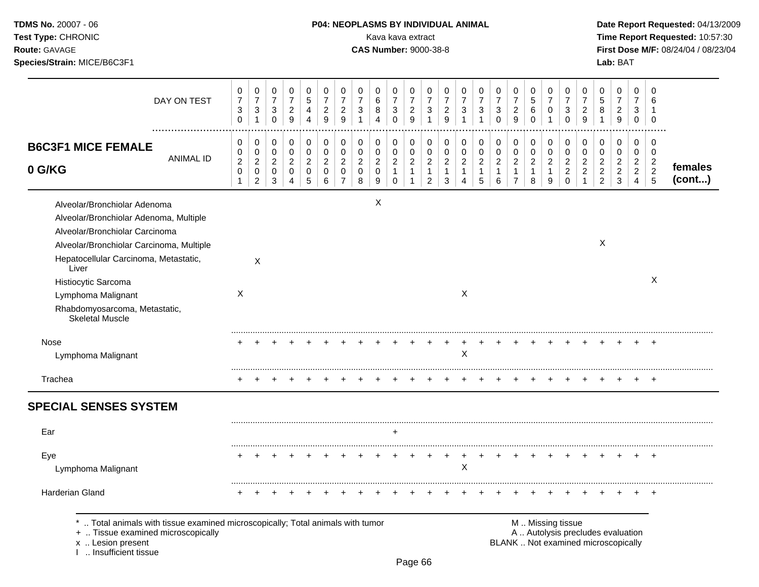| <b>TDMS No. 20007 - 06</b> |
|----------------------------|
| <b>Test Type: CHRONIC</b>  |
| <b>Route: GAVAGE</b>       |

## **P04: NEOPLASMS BY INDIVIDUAL ANIMAL Date Report Requested:** 04/13/2009

**Kava kava extract CHRONIC CHRONIC CHRONIC Time Report Requested:** 10:57:30 **CAS Number:** 9000-38-8 **First Dose M/F:** 08/24/04 / 08/23/04

|                                                                                                                                                                                                        | DAY ON TEST | 0<br>$\boldsymbol{7}$<br>3<br>$\mathbf 0$ | 0<br>$\boldsymbol{7}$<br>3<br>$\mathbf{1}$                | 0<br>$\overline{7}$<br>$\sqrt{3}$<br>$\mathbf 0$                  | 0<br>$\overline{7}$<br>$\boldsymbol{2}$<br>$\boldsymbol{9}$       | 0<br>$\,$ 5 $\,$<br>4<br>$\overline{4}$                         | 0<br>$\overline{7}$<br>$\overline{2}$<br>9 | 0<br>$\overline{7}$<br>$\overline{2}$<br>9                | 0<br>$\overline{7}$<br>3<br>1                                | 0<br>6<br>8<br>4                                                 | 0<br>$\boldsymbol{7}$<br>$\mathbf{3}$<br>$\mathbf 0$ | 0<br>$\overline{7}$<br>$\boldsymbol{2}$<br>9   | 0<br>$\overline{7}$<br>3<br>$\mathbf{1}$                           | 0<br>7<br>$\overline{2}$<br>$\boldsymbol{9}$                         | 0<br>$\overline{7}$<br>3<br>1                | 0<br>$\overline{7}$<br>$\sqrt{3}$<br>$\mathbf{1}$         | 0<br>$\boldsymbol{7}$<br>$\sqrt{3}$<br>$\mathbf 0$              | 0<br>7<br>$\overline{2}$<br>9                                      | 0<br>$\,$ 5 $\,$<br>6<br>$\mathbf 0$         | 0<br>7<br>$\mathbf 0$<br>1                            | 0<br>7<br>3<br>$\Omega$                         | 0<br>7<br>$\overline{2}$<br>9                              | 0<br>5<br>8                                                              | 0<br>$\overline{7}$<br>$\sqrt{2}$<br>9                             | 0<br>7<br>3<br>$\mathbf 0$                                             | 0<br>6<br>-1<br>0                             |                   |
|--------------------------------------------------------------------------------------------------------------------------------------------------------------------------------------------------------|-------------|-------------------------------------------|-----------------------------------------------------------|-------------------------------------------------------------------|-------------------------------------------------------------------|-----------------------------------------------------------------|--------------------------------------------|-----------------------------------------------------------|--------------------------------------------------------------|------------------------------------------------------------------|------------------------------------------------------|------------------------------------------------|--------------------------------------------------------------------|----------------------------------------------------------------------|----------------------------------------------|-----------------------------------------------------------|-----------------------------------------------------------------|--------------------------------------------------------------------|----------------------------------------------|-------------------------------------------------------|-------------------------------------------------|------------------------------------------------------------|--------------------------------------------------------------------------|--------------------------------------------------------------------|------------------------------------------------------------------------|-----------------------------------------------|-------------------|
| <b>B6C3F1 MICE FEMALE</b><br>0 G/KG                                                                                                                                                                    | ANIMAL ID   | 0<br>0<br>$\overline{c}$<br>0<br>1        | 0<br>0<br>$\overline{c}$<br>$\mathsf 0$<br>$\overline{c}$ | 0<br>$\pmb{0}$<br>$\boldsymbol{2}$<br>$\mathbf 0$<br>$\mathbf{3}$ | 0<br>$\mathbf 0$<br>$\overline{c}$<br>$\pmb{0}$<br>$\overline{4}$ | 0<br>$\mathbf 0$<br>$\overline{c}$<br>$\mathbf 0$<br>$\sqrt{5}$ | 0<br>$\pmb{0}$<br>$\overline{2}$<br>0<br>6 | 0<br>$\mathbf 0$<br>$\overline{2}$<br>0<br>$\overline{7}$ | $\pmb{0}$<br>$\pmb{0}$<br>$\overline{2}$<br>$\mathbf 0$<br>8 | 0<br>$\mathbf 0$<br>$\overline{2}$<br>$\mathbf 0$<br>$\mathsf g$ | 0<br>$\pmb{0}$<br>$\overline{c}$<br>1<br>$\mathbf 0$ | 0<br>$\mathbf 0$<br>$\boldsymbol{2}$<br>1<br>1 | 0<br>$\pmb{0}$<br>$\overline{c}$<br>$\mathbf{1}$<br>$\overline{2}$ | 0<br>$\mathbf 0$<br>$\boldsymbol{2}$<br>$\mathbf{1}$<br>$\mathbf{3}$ | 0<br>$\mathbf 0$<br>$\overline{c}$<br>1<br>4 | $\,0\,$<br>$\,0\,$<br>$\overline{c}$<br>$\mathbf{1}$<br>5 | $\pmb{0}$<br>$\pmb{0}$<br>$\sqrt{2}$<br>$\mathbf{1}$<br>$\,6\,$ | 0<br>$\pmb{0}$<br>$\overline{c}$<br>$\mathbf{1}$<br>$\overline{7}$ | 0<br>$\pmb{0}$<br>$\boldsymbol{2}$<br>1<br>8 | 0<br>$\pmb{0}$<br>$\overline{c}$<br>$\mathbf{1}$<br>9 | 0<br>0<br>$\overline{2}$<br>$\overline{c}$<br>0 | 0<br>$\mathbf 0$<br>$\overline{2}$<br>$\overline{c}$<br>-1 | 0<br>$\mathbf 0$<br>$\overline{c}$<br>$\boldsymbol{2}$<br>$\overline{2}$ | 0<br>$\pmb{0}$<br>$\overline{c}$<br>$\overline{c}$<br>$\mathbf{3}$ | 0<br>$\mathbf 0$<br>$\overline{a}$<br>$\overline{a}$<br>$\overline{4}$ | 0<br>0<br>$\sqrt{2}$<br>$\boldsymbol{2}$<br>5 | females<br>(cont) |
| Alveolar/Bronchiolar Adenoma<br>Alveolar/Bronchiolar Adenoma, Multiple<br>Alveolar/Bronchiolar Carcinoma<br>Alveolar/Bronchiolar Carcinoma, Multiple<br>Hepatocellular Carcinoma, Metastatic,<br>Liver |             |                                           | X                                                         |                                                                   |                                                                   |                                                                 |                                            |                                                           |                                                              | X                                                                |                                                      |                                                |                                                                    |                                                                      |                                              |                                                           |                                                                 |                                                                    |                                              |                                                       |                                                 |                                                            | X                                                                        |                                                                    |                                                                        |                                               |                   |
| Histiocytic Sarcoma<br>Lymphoma Malignant<br>Rhabdomyosarcoma, Metastatic,<br><b>Skeletal Muscle</b>                                                                                                   |             | X                                         |                                                           |                                                                   |                                                                   |                                                                 |                                            |                                                           |                                                              |                                                                  |                                                      |                                                |                                                                    |                                                                      | X                                            |                                                           |                                                                 |                                                                    |                                              |                                                       |                                                 |                                                            |                                                                          |                                                                    |                                                                        | X                                             |                   |
| Nose<br>Lymphoma Malignant                                                                                                                                                                             |             |                                           |                                                           |                                                                   |                                                                   |                                                                 |                                            |                                                           |                                                              |                                                                  |                                                      |                                                |                                                                    |                                                                      | X                                            |                                                           |                                                                 |                                                                    |                                              |                                                       |                                                 |                                                            |                                                                          |                                                                    |                                                                        |                                               |                   |
| Trachea                                                                                                                                                                                                |             |                                           |                                                           |                                                                   |                                                                   |                                                                 |                                            |                                                           |                                                              |                                                                  |                                                      |                                                |                                                                    |                                                                      |                                              |                                                           |                                                                 |                                                                    |                                              |                                                       |                                                 |                                                            |                                                                          |                                                                    |                                                                        |                                               |                   |
| <b>SPECIAL SENSES SYSTEM</b>                                                                                                                                                                           |             |                                           |                                                           |                                                                   |                                                                   |                                                                 |                                            |                                                           |                                                              |                                                                  |                                                      |                                                |                                                                    |                                                                      |                                              |                                                           |                                                                 |                                                                    |                                              |                                                       |                                                 |                                                            |                                                                          |                                                                    |                                                                        |                                               |                   |
| Ear                                                                                                                                                                                                    |             |                                           |                                                           |                                                                   |                                                                   |                                                                 |                                            |                                                           |                                                              |                                                                  | ÷                                                    |                                                |                                                                    |                                                                      |                                              |                                                           |                                                                 |                                                                    |                                              |                                                       |                                                 |                                                            |                                                                          |                                                                    |                                                                        |                                               |                   |
| Eye<br>Lymphoma Malignant                                                                                                                                                                              |             |                                           |                                                           |                                                                   |                                                                   |                                                                 |                                            |                                                           |                                                              |                                                                  |                                                      |                                                |                                                                    |                                                                      | X                                            |                                                           |                                                                 |                                                                    |                                              |                                                       |                                                 |                                                            |                                                                          |                                                                    |                                                                        |                                               |                   |
| Harderian Gland                                                                                                                                                                                        |             |                                           |                                                           |                                                                   |                                                                   |                                                                 |                                            |                                                           |                                                              |                                                                  |                                                      |                                                |                                                                    |                                                                      |                                              |                                                           |                                                                 |                                                                    |                                              |                                                       |                                                 |                                                            |                                                                          |                                                                    |                                                                        |                                               |                   |
| Total animals with tissue examined microscopically; Total animals with tumor<br>+  Tissue examined microscopically<br>x  Lesion present<br>1  Insufficient tissue                                      |             |                                           |                                                           |                                                                   |                                                                   |                                                                 |                                            |                                                           |                                                              |                                                                  |                                                      |                                                |                                                                    |                                                                      |                                              |                                                           |                                                                 |                                                                    |                                              |                                                       | M  Missing tissue                               |                                                            | A  Autolysis precludes evaluation<br>BLANK  Not examined microscopically |                                                                    |                                                                        |                                               |                   |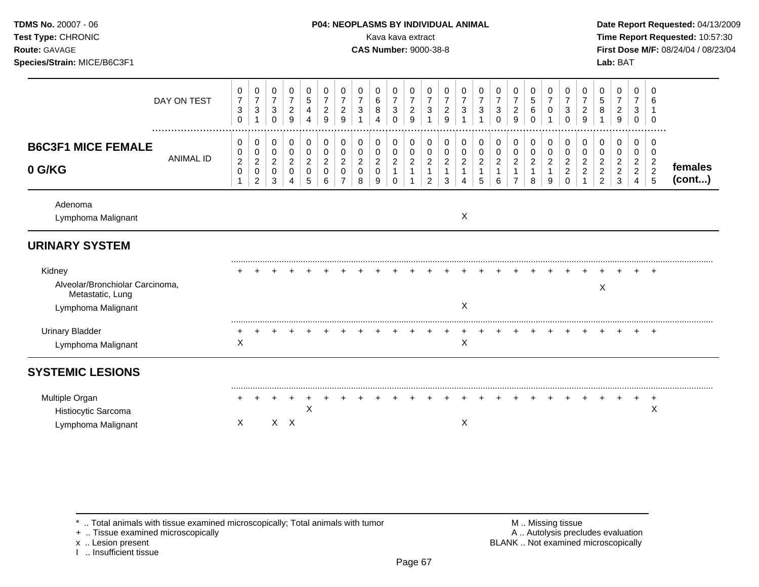| Test Type: CHRONIC<br>Route: GAVAGE<br>Species/Strain: MICE/B6C3F1                  |                  |                                                                 |                                                                   |                                          |                                                                   |                                                |                                                        |                                                             |                                                             |                                    | Kava kava extract                                    |                                                          | <b>CAS Number: 9000-38-8</b>                                       |                                                       |                                                                 |                                               |                                                                        |                                                            |                                                      |                                                         |                                                              |                                                           |                                                                             | Lab: BAT                                                  |                                                 |                                                           | Time Report Requested: 10:57:30<br>First Dose M/F: 08/24/04 / 08/23/04 |
|-------------------------------------------------------------------------------------|------------------|-----------------------------------------------------------------|-------------------------------------------------------------------|------------------------------------------|-------------------------------------------------------------------|------------------------------------------------|--------------------------------------------------------|-------------------------------------------------------------|-------------------------------------------------------------|------------------------------------|------------------------------------------------------|----------------------------------------------------------|--------------------------------------------------------------------|-------------------------------------------------------|-----------------------------------------------------------------|-----------------------------------------------|------------------------------------------------------------------------|------------------------------------------------------------|------------------------------------------------------|---------------------------------------------------------|--------------------------------------------------------------|-----------------------------------------------------------|-----------------------------------------------------------------------------|-----------------------------------------------------------|-------------------------------------------------|-----------------------------------------------------------|------------------------------------------------------------------------|
|                                                                                     | DAY ON TEST      | 0<br>$\overline{7}$<br>$\ensuremath{\mathsf{3}}$<br>$\mathbf 0$ | 0<br>$\overline{7}$<br>$\mathbf{3}$                               | 0<br>$\overline{7}$<br>$\mathbf{3}$<br>0 | $\pmb{0}$<br>$\overline{7}$<br>$\overline{c}$<br>$\boldsymbol{9}$ | 0<br>$5\,$<br>$\overline{4}$<br>$\overline{4}$ | $\pmb{0}$<br>$\overline{7}$<br>$\boldsymbol{2}$<br>9   | $\pmb{0}$<br>$\overline{7}$<br>$\overline{c}$<br>$9\,$      | $\pmb{0}$<br>$\overline{7}$<br>$\mathbf{3}$<br>$\mathbf{1}$ | 0<br>$\,6\,$<br>8<br>4             | 0<br>$\overline{7}$<br>3<br>$\mathbf 0$              | $\begin{array}{c} 0 \\ 7 \end{array}$<br>$\sqrt{2}$<br>9 | $\pmb{0}$<br>$\overline{7}$<br>$\mathsf 3$                         | $\pmb{0}$<br>$\overline{7}$<br>$\overline{2}$<br>9    | $\pmb{0}$<br>$\overline{7}$<br>3                                | 0<br>$\overline{7}$<br>$\mathbf{3}$           | $\mathbf 0$<br>$\overline{7}$<br>$\ensuremath{\mathsf{3}}$<br>$\Omega$ | 0<br>$\overline{7}$<br>$\overline{c}$<br>9                 | $\mathbf 0$<br>$\overline{5}$<br>$\,6\,$<br>$\Omega$ | 0<br>$\overline{7}$<br>0<br>$\mathbf{1}$                | 0<br>$\overline{7}$<br>3<br>$\mathbf 0$                      | 0<br>$\overline{7}$<br>$\overline{c}$<br>$\boldsymbol{9}$ | 0<br>$\sqrt{5}$<br>$\bf8$<br>$\mathbf{1}$                                   | 0<br>$\overline{7}$<br>$\overline{c}$<br>$\boldsymbol{9}$ | 0<br>7<br>3<br>$\mathbf 0$                      | 0<br>6<br>$\overline{1}$<br>$\mathbf 0$                   |                                                                        |
| <b>B6C3F1 MICE FEMALE</b><br>0 G/KG                                                 | <b>ANIMAL ID</b> | 0<br>0<br>$\boldsymbol{2}$<br>$\mathbf 0$<br>1                  | 0<br>$\pmb{0}$<br>$\overline{c}$<br>$\mathsf 0$<br>$\overline{2}$ | 0<br>0<br>$\overline{2}$<br>0<br>3       | 0<br>$\pmb{0}$<br>$\overline{c}$<br>$\pmb{0}$<br>4                | 0<br>0<br>$\overline{2}$<br>$\mathbf 0$<br>5   | 0<br>$\mathbf 0$<br>$\overline{c}$<br>$\mathbf 0$<br>6 | 0<br>$\,0\,$<br>$\sqrt{2}$<br>$\mathbf 0$<br>$\overline{7}$ | 0<br>$\mathbf 0$<br>$\overline{2}$<br>$\pmb{0}$<br>8        | 0<br>0<br>$\overline{a}$<br>0<br>9 | 0<br>0<br>$\overline{a}$<br>$\mathbf{1}$<br>$\Omega$ | $\pmb{0}$<br>$\pmb{0}$<br>$\overline{2}$<br>$\mathbf{1}$ | 0<br>$\pmb{0}$<br>$\overline{2}$<br>$\mathbf{1}$<br>$\overline{2}$ | 0<br>$\pmb{0}$<br>$\overline{2}$<br>$\mathbf{1}$<br>3 | 0<br>$\pmb{0}$<br>$\overline{2}$<br>1<br>$\boldsymbol{\Lambda}$ | 0<br>0<br>$\overline{c}$<br>$\mathbf{1}$<br>5 | 0<br>$\pmb{0}$<br>$\boldsymbol{2}$<br>$\mathbf{1}$<br>6                | 0<br>0<br>$\overline{2}$<br>$\mathbf{1}$<br>$\overline{7}$ | 0<br>0<br>$\overline{2}$<br>$\mathbf{1}$<br>8        | 0<br>$\mathbf 0$<br>$\overline{2}$<br>$\mathbf{1}$<br>9 | 0<br>$\mathbf 0$<br>$\sqrt{2}$<br>$\overline{c}$<br>$\Omega$ | 0<br>0<br>$\overline{2}$<br>$\overline{2}$                | 0<br>$\boldsymbol{0}$<br>$\overline{2}$<br>$\overline{2}$<br>$\overline{2}$ | 0<br>0<br>$\overline{c}$<br>$\overline{c}$<br>$\sqrt{3}$  | 0<br>0<br>$\overline{2}$<br>$\overline{a}$<br>4 | $\mathbf 0$<br>0<br>$\overline{c}$<br>$\overline{2}$<br>5 | females<br>(cont)                                                      |
| Adenoma<br>Lymphoma Malignant                                                       |                  |                                                                 |                                                                   |                                          |                                                                   |                                                |                                                        |                                                             |                                                             |                                    |                                                      |                                                          |                                                                    |                                                       | X                                                               |                                               |                                                                        |                                                            |                                                      |                                                         |                                                              |                                                           |                                                                             |                                                           |                                                 |                                                           |                                                                        |
| <b>URINARY SYSTEM</b>                                                               |                  |                                                                 |                                                                   |                                          |                                                                   |                                                |                                                        |                                                             |                                                             |                                    |                                                      |                                                          |                                                                    |                                                       |                                                                 |                                               |                                                                        |                                                            |                                                      |                                                         |                                                              |                                                           |                                                                             |                                                           |                                                 |                                                           |                                                                        |
| Kidney<br>Alveolar/Bronchiolar Carcinoma,<br>Metastatic, Lung<br>Lymphoma Malignant |                  |                                                                 |                                                                   |                                          |                                                                   |                                                |                                                        |                                                             |                                                             |                                    |                                                      |                                                          |                                                                    |                                                       | $\boldsymbol{\mathsf{X}}$                                       |                                               |                                                                        |                                                            |                                                      |                                                         |                                                              |                                                           | X                                                                           |                                                           |                                                 |                                                           |                                                                        |
| <b>Urinary Bladder</b><br>Lymphoma Malignant                                        |                  | X                                                               |                                                                   |                                          |                                                                   |                                                |                                                        |                                                             |                                                             |                                    |                                                      |                                                          |                                                                    |                                                       | $\times$                                                        |                                               |                                                                        |                                                            |                                                      |                                                         |                                                              |                                                           |                                                                             |                                                           | $+$ $-$                                         | $+$                                                       |                                                                        |
| <b>SYSTEMIC LESIONS</b>                                                             |                  |                                                                 |                                                                   |                                          |                                                                   |                                                |                                                        |                                                             |                                                             |                                    |                                                      |                                                          |                                                                    |                                                       |                                                                 |                                               |                                                                        |                                                            |                                                      |                                                         |                                                              |                                                           |                                                                             |                                                           |                                                 |                                                           |                                                                        |
| Multiple Organ<br>Histiocytic Sarcoma<br>Lymphoma Malignant                         |                  | $\times$                                                        |                                                                   |                                          | $X$ $X$                                                           | X                                              |                                                        |                                                             |                                                             |                                    |                                                      |                                                          |                                                                    |                                                       | X                                                               |                                               |                                                                        |                                                            |                                                      |                                                         |                                                              |                                                           |                                                                             |                                                           |                                                 | $\overline{+}$<br>Χ                                       |                                                                        |

**TDMS No.** 20007 - 06 **P04: NEOPLASMS BY INDIVIDUAL ANIMAL Date Report Requested:** 04/13/2009

 $*$  .. Total animals with tissue examined microscopically; Total animals with tumor  $\blacksquare$  M .. Missing tissue

x .. Lesion present<br>I .. Insufficient tissue

+ .. Tissue examined microscopically  $\blacksquare$  A .. Autolysis precludes evaluation M .. Missing tissue<br>A .. Autolysis precludes evaluation<br>BLANK .. Not examined microscopically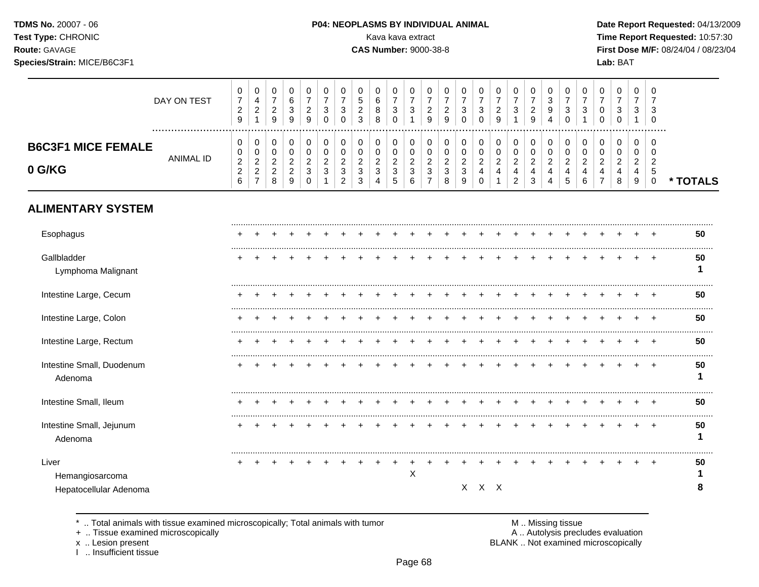TDMS No. 20007 - 06 Test Type: CHRONIC Route: GAVAGE

Species/Strain: MICE/B6C3F1

#### P04: NEOPLASMS BY INDIVIDUAL ANIMAL

Kava kava extract

CAS Number: 9000-38-8

 $\overline{\phantom{a}}$ 

Date Report Requested: 04/13/2009 Time Report Requested: 10:57:30 First Dose M/F: 08/24/04 / 08/23/04 Lab: BAT

|                                      | DAY ON TEST      | 0<br>$\overline{7}$<br>$\overline{c}$<br>$9\,$            | 0<br>$\overline{4}$<br>$\overline{2}$<br>$\mathbf{1}$        | 0<br>$\boldsymbol{7}$<br>$\overline{a}$<br>$\boldsymbol{9}$ | $\mathbf 0$<br>$\,6$<br>$\sqrt{3}$<br>9           | 0<br>7<br>$\overline{c}$<br>9                       | 0<br>7<br>3<br>$\mathbf 0$    | 0<br>$\overline{7}$<br>3<br>$\Omega$                      | $\mathbf 0$<br>$\sqrt{5}$<br>$\overline{c}$<br>3                 | 0<br>$\,6\,$<br>8<br>8                                    | 0<br>$\boldsymbol{7}$<br>$\mathbf{3}$<br>$\mathbf 0$    | 0<br>$\overline{7}$<br>3<br>1            | 0<br>7<br>$\overline{c}$<br>9                   | 0<br>$\overline{7}$<br>$\overline{c}$<br>$\boldsymbol{9}$              | 0<br>$\overline{7}$<br>3<br>$\Omega$                             | 0<br>$\overline{7}$<br>3<br>$\mathbf{0}$           | $\pmb{0}$<br>$\overline{7}$<br>$\sqrt{2}$<br>$\overline{9}$ | 0<br>$\overline{7}$<br>3<br>$\mathbf{1}$                                    | 0<br>$\overline{7}$<br>$\overline{2}$<br>9 | 0<br>3<br>9<br>4                   | 0<br>$\overline{7}$<br>3<br>$\Omega$ | 0<br>$\overline{7}$<br>3                     | 0<br>$\overline{7}$<br>0<br>$\Omega$            | 0<br>$\overline{7}$<br>3<br>$\mathbf 0$      | $\mathbf 0$<br>$\overline{7}$<br>3<br>1      | 0<br>7<br>3<br>0                                                       |          |
|--------------------------------------|------------------|-----------------------------------------------------------|--------------------------------------------------------------|-------------------------------------------------------------|---------------------------------------------------|-----------------------------------------------------|-------------------------------|-----------------------------------------------------------|------------------------------------------------------------------|-----------------------------------------------------------|---------------------------------------------------------|------------------------------------------|-------------------------------------------------|------------------------------------------------------------------------|------------------------------------------------------------------|----------------------------------------------------|-------------------------------------------------------------|-----------------------------------------------------------------------------|--------------------------------------------|------------------------------------|--------------------------------------|----------------------------------------------|-------------------------------------------------|----------------------------------------------|----------------------------------------------|------------------------------------------------------------------------|----------|
| <b>B6C3F1 MICE FEMALE</b><br>0 G/KG  | <b>ANIMAL ID</b> | 0<br>0<br>$\boldsymbol{2}$<br>$\boldsymbol{2}$<br>$\,6\,$ | 0<br>0<br>$\overline{c}$<br>$\overline{c}$<br>$\overline{7}$ | 0<br>$\mathbf 0$<br>$\overline{c}$<br>$\overline{a}$<br>8   | 0<br>$\mathbf 0$<br>$\sqrt{2}$<br>$\sqrt{2}$<br>9 | 0<br>$\pmb{0}$<br>$\boldsymbol{2}$<br>3<br>$\Omega$ | 0<br>0<br>$\overline{c}$<br>3 | 0<br>$\mathbf 0$<br>$\overline{c}$<br>3<br>$\overline{c}$ | 0<br>$\pmb{0}$<br>$\overline{c}$<br>$\mathbf{3}$<br>$\mathbf{3}$ | 0<br>$\mathbf 0$<br>$\overline{c}$<br>$\mathfrak{Z}$<br>4 | 0<br>$\mathsf 0$<br>$\overline{c}$<br>$\mathbf{3}$<br>5 | 0<br>$\mathbf 0$<br>$\sqrt{2}$<br>3<br>6 | 0<br>0<br>$\overline{c}$<br>3<br>$\overline{7}$ | 0<br>$\mathbf 0$<br>$\boldsymbol{2}$<br>$\ensuremath{\mathsf{3}}$<br>8 | 0<br>$\mathbf 0$<br>$\overline{\mathbf{c}}$<br>$\mathbf{3}$<br>9 | 0<br>0<br>$\overline{\mathbf{c}}$<br>4<br>$\Omega$ | 0<br>$\mathbf 0$<br>$\sqrt{2}$<br>$\overline{a}$            | 0<br>$\mathbf 0$<br>$\sqrt{2}$<br>$\overline{\mathbf{4}}$<br>$\overline{c}$ | 0<br>$\mathbf 0$<br>$\sqrt{2}$<br>4<br>3   | 0<br>0<br>$\overline{c}$<br>4<br>4 | 0<br>0<br>$\overline{c}$<br>4<br>5   | 0<br>$\mathbf 0$<br>$\overline{c}$<br>4<br>6 | 0<br>0<br>$\overline{c}$<br>4<br>$\overline{7}$ | 0<br>$\mathbf 0$<br>$\overline{c}$<br>4<br>8 | 0<br>$\mathbf 0$<br>$\overline{2}$<br>4<br>9 | $\Omega$<br>$\mathbf 0$<br>$\overline{c}$<br>$\sqrt{5}$<br>$\mathbf 0$ | * TOTALS |
| <b>ALIMENTARY SYSTEM</b>             |                  |                                                           |                                                              |                                                             |                                                   |                                                     |                               |                                                           |                                                                  |                                                           |                                                         |                                          |                                                 |                                                                        |                                                                  |                                                    |                                                             |                                                                             |                                            |                                    |                                      |                                              |                                                 |                                              |                                              |                                                                        |          |
| Esophagus                            |                  |                                                           |                                                              |                                                             |                                                   |                                                     |                               |                                                           |                                                                  |                                                           |                                                         |                                          |                                                 |                                                                        |                                                                  |                                                    |                                                             |                                                                             |                                            |                                    |                                      |                                              |                                                 |                                              |                                              |                                                                        | 50       |
| Gallbladder<br>Lymphoma Malignant    |                  |                                                           |                                                              |                                                             |                                                   |                                                     |                               |                                                           |                                                                  |                                                           |                                                         |                                          |                                                 |                                                                        |                                                                  |                                                    |                                                             |                                                                             |                                            |                                    |                                      |                                              |                                                 |                                              |                                              |                                                                        | 50<br>1  |
| Intestine Large, Cecum               |                  |                                                           |                                                              |                                                             |                                                   |                                                     |                               |                                                           |                                                                  |                                                           |                                                         |                                          |                                                 |                                                                        |                                                                  |                                                    |                                                             |                                                                             |                                            |                                    |                                      |                                              |                                                 |                                              |                                              |                                                                        | 50       |
| Intestine Large, Colon               |                  |                                                           |                                                              |                                                             |                                                   |                                                     |                               |                                                           |                                                                  |                                                           |                                                         |                                          |                                                 |                                                                        |                                                                  |                                                    |                                                             |                                                                             |                                            |                                    |                                      |                                              |                                                 |                                              |                                              |                                                                        | 50       |
| Intestine Large, Rectum              |                  |                                                           |                                                              |                                                             |                                                   |                                                     |                               |                                                           |                                                                  |                                                           |                                                         |                                          |                                                 |                                                                        |                                                                  |                                                    |                                                             |                                                                             |                                            |                                    |                                      |                                              |                                                 |                                              |                                              |                                                                        | 50       |
| Intestine Small, Duodenum<br>Adenoma |                  |                                                           |                                                              |                                                             |                                                   |                                                     |                               |                                                           |                                                                  |                                                           |                                                         |                                          |                                                 |                                                                        |                                                                  |                                                    |                                                             |                                                                             |                                            |                                    |                                      |                                              |                                                 |                                              |                                              |                                                                        | 50<br>1  |
| Intestine Small, Ileum               |                  |                                                           |                                                              |                                                             |                                                   |                                                     |                               |                                                           |                                                                  |                                                           |                                                         |                                          |                                                 |                                                                        |                                                                  |                                                    |                                                             |                                                                             |                                            |                                    |                                      |                                              |                                                 |                                              |                                              |                                                                        | 50<br>   |
| Intestine Small, Jejunum<br>Adenoma  |                  |                                                           |                                                              |                                                             |                                                   |                                                     |                               |                                                           |                                                                  |                                                           |                                                         |                                          |                                                 |                                                                        |                                                                  |                                                    |                                                             |                                                                             |                                            |                                    |                                      |                                              |                                                 |                                              |                                              |                                                                        | 50<br>1  |
| Liver<br>Hemangiosarcoma             |                  |                                                           |                                                              |                                                             |                                                   |                                                     |                               |                                                           |                                                                  |                                                           |                                                         | X                                        |                                                 |                                                                        |                                                                  |                                                    |                                                             |                                                                             |                                            |                                    |                                      |                                              |                                                 |                                              |                                              |                                                                        | 50<br>1  |
| Hepatocellular Adenoma               |                  |                                                           |                                                              |                                                             |                                                   |                                                     |                               |                                                           |                                                                  |                                                           |                                                         |                                          |                                                 |                                                                        |                                                                  | $X$ $X$ $X$                                        |                                                             |                                                                             |                                            |                                    |                                      |                                              |                                                 |                                              |                                              |                                                                        | 8        |

.. Total animals with tissue examined microscopically; Total animals with tumor  $\star$ 

 $\top$ □

+ .. Tissue examined microscopically

x .. Lesion present<br>I .. Insufficient tissue

M .. Missing tissue

A .. Autolysis precludes evaluation

 $\top$  $\overline{\phantom{a}}$ □  $\overline{\phantom{a}}$  $\overline{\phantom{a}}$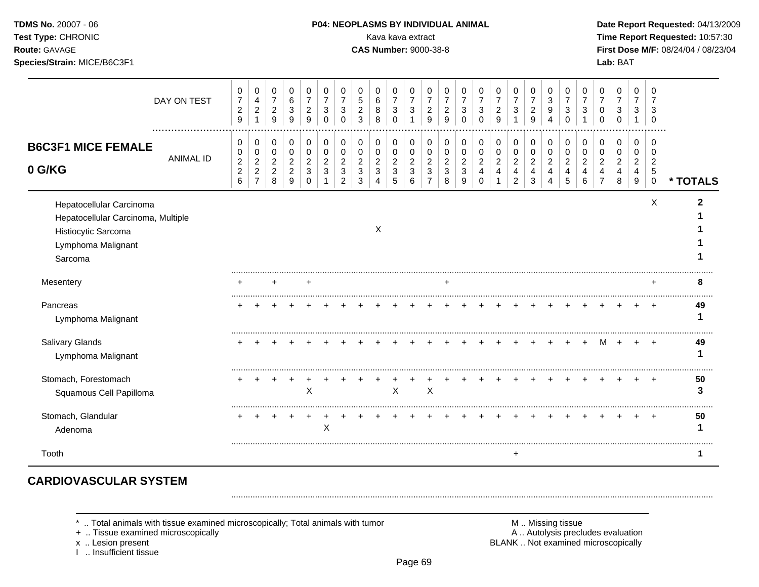| <b>TDMS No. 20007 - 06</b> |  |
|----------------------------|--|
| Test Type: CHRONIC         |  |

Kava kava extract **Time Report Requested:** 10:57:30 **Route:** GAVAGE **CAS Number:** 9000-38-8 **First Dose M/F:** 08/24/04 / 08/23/04 **Species/Strain:** MICE/B6C3F1 **Lab:** BAT

|                                                                                                                        | DAY ON TEST      | 0<br>$\boldsymbol{7}$<br>$\overline{c}$<br>9                 | 0<br>$\overline{4}$<br>$\overline{2}$<br>$\mathbf{1}$            | 0<br>$\overline{7}$<br>$\boldsymbol{2}$<br>9              | 0<br>$\,6\,$<br>3<br>9                                  | 0<br>$\overline{7}$<br>$\overline{c}$<br>9        | 0<br>3<br>$\Omega$         | 0<br>7<br>3<br>$\Omega$            | 0<br>$\sqrt{5}$<br>$\overline{c}$<br>3       | 0<br>$\,6\,$<br>8<br>8                     | 0<br>$\boldsymbol{7}$<br>$\mathbf{3}$<br>$\Omega$ | 0<br>$\boldsymbol{7}$<br>$\sqrt{3}$<br>1                | 0<br>$\overline{7}$<br>$\overline{c}$<br>9              | 0<br>$\overline{7}$<br>$\overline{2}$<br>9 | 0<br>$\overline{7}$<br>3<br>$\Omega$ | 0<br>$\overline{7}$<br>3<br>$\Omega$              | 0<br>7<br>$\overline{c}$<br>9 | 0<br>$\boldsymbol{7}$<br>$\mathbf{3}$                     | 0<br>$\overline{7}$<br>$\sqrt{2}$<br>9          | 0<br>$\ensuremath{\mathsf{3}}$<br>9<br>4                  | 0<br>$\overline{7}$<br>3<br>$\Omega$ | 0<br>$\overline{7}$<br>3           | 0<br>$\overline{7}$<br>0<br>$\Omega$                   | 0<br>$\overline{7}$<br>3<br>$\Omega$ | 0<br>$\overline{7}$<br>3           | $\Omega$<br>$\Omega$                                                 |          |
|------------------------------------------------------------------------------------------------------------------------|------------------|--------------------------------------------------------------|------------------------------------------------------------------|-----------------------------------------------------------|---------------------------------------------------------|---------------------------------------------------|----------------------------|------------------------------------|----------------------------------------------|--------------------------------------------|---------------------------------------------------|---------------------------------------------------------|---------------------------------------------------------|--------------------------------------------|--------------------------------------|---------------------------------------------------|-------------------------------|-----------------------------------------------------------|-------------------------------------------------|-----------------------------------------------------------|--------------------------------------|------------------------------------|--------------------------------------------------------|--------------------------------------|------------------------------------|----------------------------------------------------------------------|----------|
| <b>B6C3F1 MICE FEMALE</b><br>0 G/KG                                                                                    | <b>ANIMAL ID</b> | 0<br>0<br>$\overline{c}$<br>$\overline{2}$<br>$6\phantom{a}$ | 0<br>$\pmb{0}$<br>$\overline{2}$<br>$\sqrt{2}$<br>$\overline{7}$ | 0<br>$\pmb{0}$<br>$\boldsymbol{2}$<br>$\overline{c}$<br>8 | 0<br>$\pmb{0}$<br>$\overline{c}$<br>$\overline{c}$<br>9 | 0<br>$\pmb{0}$<br>$\overline{c}$<br>3<br>$\Omega$ | 0<br>$\mathbf 0$<br>2<br>3 | 0<br>0<br>$\overline{2}$<br>3<br>2 | 0<br>$\mathbf 0$<br>$\overline{c}$<br>3<br>3 | 0<br>$\pmb{0}$<br>$\overline{c}$<br>3<br>4 | 0<br>$\boldsymbol{0}$<br>$\overline{c}$<br>3<br>5 | 0<br>$\pmb{0}$<br>$\boldsymbol{2}$<br>$\mathbf{3}$<br>6 | 0<br>$\pmb{0}$<br>$\overline{c}$<br>3<br>$\overline{7}$ | 0<br>$\mathbf 0$<br>$\sqrt{2}$<br>3<br>8   | 0<br>0<br>$\overline{c}$<br>3<br>9   | 0<br>$\pmb{0}$<br>$\overline{2}$<br>4<br>$\Omega$ | 0<br>0<br>$\overline{a}$<br>4 | 0<br>$\pmb{0}$<br>$\boldsymbol{2}$<br>4<br>$\overline{2}$ | 0<br>$\overline{0}$<br>$\overline{c}$<br>4<br>3 | 0<br>$\pmb{0}$<br>$\boldsymbol{2}$<br>$\overline{4}$<br>4 | 0<br>0<br>$\overline{c}$<br>4<br>5   | 0<br>0<br>$\overline{c}$<br>4<br>6 | 0<br>$\Omega$<br>$\overline{c}$<br>4<br>$\overline{ }$ | 0<br>0<br>$\overline{a}$<br>4<br>8   | 0<br>0<br>$\overline{c}$<br>4<br>9 | $\Omega$<br>$\Omega$<br>$\overline{c}$<br>$\mathbf 5$<br>$\mathbf 0$ | * TOTALS |
| Hepatocellular Carcinoma<br>Hepatocellular Carcinoma, Multiple<br>Histiocytic Sarcoma<br>Lymphoma Malignant<br>Sarcoma |                  |                                                              |                                                                  |                                                           |                                                         |                                                   |                            |                                    |                                              | Χ                                          |                                                   |                                                         |                                                         |                                            |                                      |                                                   |                               |                                                           |                                                 |                                                           |                                      |                                    |                                                        |                                      |                                    | X                                                                    | 2        |
| Mesentery                                                                                                              |                  |                                                              |                                                                  |                                                           |                                                         | ÷                                                 |                            |                                    |                                              |                                            |                                                   |                                                         |                                                         |                                            |                                      |                                                   |                               |                                                           |                                                 |                                                           |                                      |                                    |                                                        |                                      |                                    |                                                                      |          |
| Pancreas<br>Lymphoma Malignant                                                                                         |                  |                                                              |                                                                  |                                                           |                                                         |                                                   |                            |                                    |                                              |                                            |                                                   |                                                         |                                                         |                                            |                                      |                                                   |                               |                                                           |                                                 |                                                           |                                      |                                    |                                                        |                                      |                                    | $\div$                                                               | 49       |
| Salivary Glands<br>Lymphoma Malignant                                                                                  |                  |                                                              |                                                                  |                                                           |                                                         |                                                   |                            |                                    |                                              |                                            |                                                   |                                                         |                                                         |                                            |                                      |                                                   |                               |                                                           |                                                 |                                                           |                                      |                                    | M                                                      |                                      | $\ddot{}$                          |                                                                      | 49       |
| Stomach, Forestomach<br>Squamous Cell Papilloma                                                                        |                  |                                                              |                                                                  |                                                           |                                                         | $\sf X$                                           |                            |                                    |                                              |                                            | $\mathsf X$                                       |                                                         | X                                                       |                                            |                                      |                                                   |                               |                                                           |                                                 |                                                           |                                      |                                    |                                                        |                                      |                                    |                                                                      | 50<br>3  |
| Stomach, Glandular<br>Adenoma                                                                                          |                  |                                                              |                                                                  |                                                           |                                                         |                                                   | X                          |                                    |                                              |                                            |                                                   |                                                         |                                                         |                                            |                                      |                                                   |                               |                                                           |                                                 |                                                           |                                      |                                    |                                                        |                                      |                                    |                                                                      | 50       |
| Tooth                                                                                                                  |                  |                                                              |                                                                  |                                                           |                                                         |                                                   |                            |                                    |                                              |                                            |                                                   |                                                         |                                                         |                                            |                                      |                                                   |                               | +                                                         |                                                 |                                                           |                                      |                                    |                                                        |                                      |                                    |                                                                      |          |

# **CARDIOVASCULAR SYSTEM**

\* .. Total animals with tissue examined microscopically; Total animals with tumor **M** . Missing tissue M .. Missing tissue<br>
A .. Tissue examined microscopically by the state of the state of the many control of the state of

+ .. Tissue examined microscopically

I .. Insufficient tissue

x .. Lesion present **BLANK** .. Not examined microscopically

.........................................................................................................................................................................................................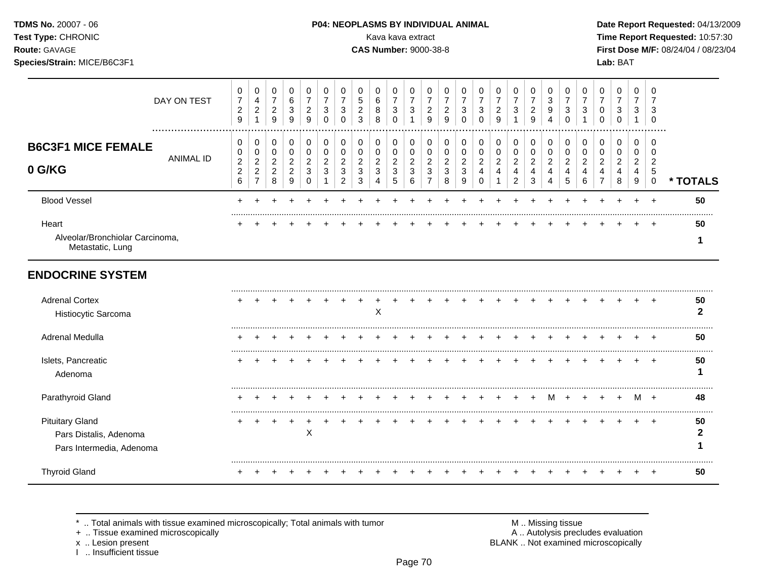## **TDMS No.** 20007 - 06 **P04: NEOPLASMS BY INDIVIDUAL ANIMAL** Date Report Requested: 04/13/2009

**Test Type:** CHRONIC Kava kava extract **Time Report Requested:** 10:57:30 **Route:** GAVAGE **CAS Number:** 9000-38-8 **First Dose M/F:** 08/24/04 / 08/23/04 **Species/Strain:** MICE/B6C3F1 **Lab:** BAT

| DAY ON TEST                                                                  | 0<br>$\boldsymbol{7}$<br>$\sqrt{2}$<br>$\overline{9}$ | 0<br>4<br>$\overline{c}$<br>$\overline{1}$                   | 0<br>$\overline{7}$<br>$\boldsymbol{2}$<br>9                  | 0<br>$\,6$<br>$\sqrt{3}$<br>9                | 0<br>$\overline{7}$<br>$\overline{2}$<br>9   | 0<br>$\overline{7}$<br>3<br>$\Omega$ | 0<br>$\overline{7}$<br>$\mathbf{3}$<br>$\Omega$                          | 0<br>$\sqrt{5}$<br>$\boldsymbol{2}$<br>$\overline{3}$             | 0<br>$\,6$<br>$\bf 8$<br>8                            | 0<br>$\overline{7}$<br>$\sqrt{3}$<br>$\Omega$ | 0<br>$\overline{7}$<br>3<br>1              | 0<br>$\overline{7}$<br>$\overline{2}$<br>9                 | $\overline{7}$<br>$\overline{c}$<br>9 | 0<br>$\overline{7}$<br>3<br>$\Omega$         | 0<br>$\overline{7}$<br>3<br>$\Omega$                 | 0<br>$\overline{7}$<br>$\overline{c}$<br>9      | 0<br>$\boldsymbol{7}$<br>$\ensuremath{\mathsf{3}}$<br>$\mathbf{1}$              | 0<br>$\overline{7}$<br>$\overline{c}$<br>9 | 0<br>$\sqrt{3}$<br>9<br>4                    | 0<br>$\overline{7}$<br>3<br>$\Omega$ | 0<br>$\overline{7}$<br>3                               | 0<br>7<br>0<br>$\Omega$                         | 0<br>$\overline{7}$<br>3<br>$\mathbf 0$      | 0<br>$\overline{7}$<br>3<br>1                          | 0<br>7<br>3<br>$\Omega$                                              |                    |
|------------------------------------------------------------------------------|-------------------------------------------------------|--------------------------------------------------------------|---------------------------------------------------------------|----------------------------------------------|----------------------------------------------|--------------------------------------|--------------------------------------------------------------------------|-------------------------------------------------------------------|-------------------------------------------------------|-----------------------------------------------|--------------------------------------------|------------------------------------------------------------|---------------------------------------|----------------------------------------------|------------------------------------------------------|-------------------------------------------------|---------------------------------------------------------------------------------|--------------------------------------------|----------------------------------------------|--------------------------------------|--------------------------------------------------------|-------------------------------------------------|----------------------------------------------|--------------------------------------------------------|----------------------------------------------------------------------|--------------------|
| <b>B6C3F1 MICE FEMALE</b><br><b>ANIMAL ID</b><br>0 G/KG                      | 0<br>0<br>$\sqrt{2}$<br>$\sqrt{2}$<br>$\,6\,$         | 0<br>0<br>$\overline{c}$<br>$\overline{2}$<br>$\overline{7}$ | 0<br>$\mathbf 0$<br>$\boldsymbol{2}$<br>$\boldsymbol{2}$<br>8 | 0<br>$\mathbf 0$<br>$\overline{c}$<br>2<br>9 | 0<br>$\mathbf 0$<br>$\overline{c}$<br>3<br>0 | 0<br>$\mathbf 0$<br>2<br>3           | $\pmb{0}$<br>$\pmb{0}$<br>$\overline{c}$<br>$\sqrt{3}$<br>$\overline{c}$ | 0<br>$\mathbf 0$<br>$\overline{2}$<br>$\mathbf 3$<br>$\mathbf{3}$ | 0<br>$\pmb{0}$<br>$\boldsymbol{2}$<br>$\sqrt{3}$<br>4 | 0<br>$\mathbf 0$<br>$\sqrt{2}$<br>3<br>5      | 0<br>$\pmb{0}$<br>$\overline{c}$<br>3<br>6 | 0<br>0<br>$\overline{c}$<br>$\mathbf{3}$<br>$\overline{7}$ | 0<br>0<br>$\overline{c}$<br>3<br>8    | 0<br>$\mathbf 0$<br>$\overline{c}$<br>3<br>9 | 0<br>$\pmb{0}$<br>$\overline{c}$<br>4<br>$\mathbf 0$ | 0<br>$\mathsf{O}\xspace$<br>$\overline{c}$<br>4 | 0<br>$\pmb{0}$<br>$\boldsymbol{2}$<br>$\overline{\mathbf{4}}$<br>$\overline{c}$ | 0<br>$\pmb{0}$<br>$\overline{c}$<br>4<br>3 | 0<br>$\mathbf 0$<br>$\overline{2}$<br>4<br>4 | 0<br>0<br>$\overline{c}$<br>5        | $\mathbf 0$<br>$\mathbf 0$<br>$\overline{2}$<br>4<br>6 | 0<br>0<br>$\overline{c}$<br>4<br>$\overline{7}$ | 0<br>$\mathbf 0$<br>$\overline{c}$<br>4<br>8 | $\mathbf 0$<br>$\mathbf 0$<br>$\overline{c}$<br>4<br>9 | $\Omega$<br>$\mathbf 0$<br>$\overline{c}$<br>$\sqrt{5}$<br>$\pmb{0}$ | * TOTALS           |
| <b>Blood Vessel</b>                                                          |                                                       |                                                              |                                                               |                                              |                                              |                                      |                                                                          |                                                                   |                                                       |                                               |                                            |                                                            |                                       |                                              |                                                      |                                                 |                                                                                 |                                            |                                              |                                      |                                                        |                                                 |                                              |                                                        |                                                                      | 50                 |
| Heart<br>Alveolar/Bronchiolar Carcinoma,<br>Metastatic, Lung                 |                                                       |                                                              |                                                               |                                              |                                              |                                      |                                                                          |                                                                   |                                                       |                                               |                                            |                                                            |                                       |                                              |                                                      |                                                 |                                                                                 |                                            |                                              |                                      |                                                        |                                                 |                                              |                                                        | $\ddot{}$                                                            | 50<br>1            |
| <b>ENDOCRINE SYSTEM</b>                                                      |                                                       |                                                              |                                                               |                                              |                                              |                                      |                                                                          |                                                                   |                                                       |                                               |                                            |                                                            |                                       |                                              |                                                      |                                                 |                                                                                 |                                            |                                              |                                      |                                                        |                                                 |                                              |                                                        |                                                                      |                    |
| <b>Adrenal Cortex</b><br>Histiocytic Sarcoma                                 |                                                       |                                                              |                                                               |                                              |                                              |                                      |                                                                          |                                                                   | X                                                     |                                               |                                            |                                                            |                                       |                                              |                                                      |                                                 |                                                                                 |                                            |                                              |                                      |                                                        |                                                 |                                              |                                                        |                                                                      | 50<br>$\mathbf{2}$ |
| Adrenal Medulla                                                              |                                                       |                                                              |                                                               |                                              |                                              |                                      |                                                                          |                                                                   |                                                       |                                               |                                            |                                                            |                                       |                                              |                                                      |                                                 |                                                                                 |                                            |                                              |                                      |                                                        |                                                 |                                              |                                                        |                                                                      | 50                 |
| Islets, Pancreatic<br>Adenoma                                                |                                                       |                                                              |                                                               |                                              |                                              |                                      |                                                                          |                                                                   |                                                       |                                               |                                            |                                                            |                                       |                                              |                                                      |                                                 |                                                                                 |                                            |                                              |                                      |                                                        |                                                 |                                              |                                                        |                                                                      | 50                 |
| Parathyroid Gland                                                            |                                                       |                                                              |                                                               |                                              |                                              |                                      |                                                                          |                                                                   |                                                       |                                               |                                            |                                                            |                                       |                                              |                                                      |                                                 |                                                                                 |                                            |                                              |                                      |                                                        |                                                 |                                              | M                                                      | <b>+</b>                                                             | 48                 |
| <b>Pituitary Gland</b><br>Pars Distalis, Adenoma<br>Pars Intermedia, Adenoma |                                                       |                                                              |                                                               |                                              | X                                            |                                      |                                                                          |                                                                   |                                                       |                                               |                                            |                                                            |                                       |                                              |                                                      |                                                 |                                                                                 |                                            |                                              |                                      |                                                        |                                                 |                                              |                                                        |                                                                      | 50<br>$\mathbf{2}$ |
| <b>Thyroid Gland</b>                                                         |                                                       |                                                              |                                                               |                                              |                                              |                                      |                                                                          |                                                                   |                                                       |                                               |                                            |                                                            |                                       |                                              |                                                      |                                                 |                                                                                 |                                            |                                              |                                      |                                                        |                                                 |                                              |                                                        | $\pm$                                                                | 50                 |

+ .. Tissue examined microscopically

x .. Lesion present<br>I .. Insufficient tissue

\* .. Total animals with tissue examined microscopically; Total animals with tumor M .. Missing tissue M .. Missing tissue<br>
+ .. Tissue examined microscopically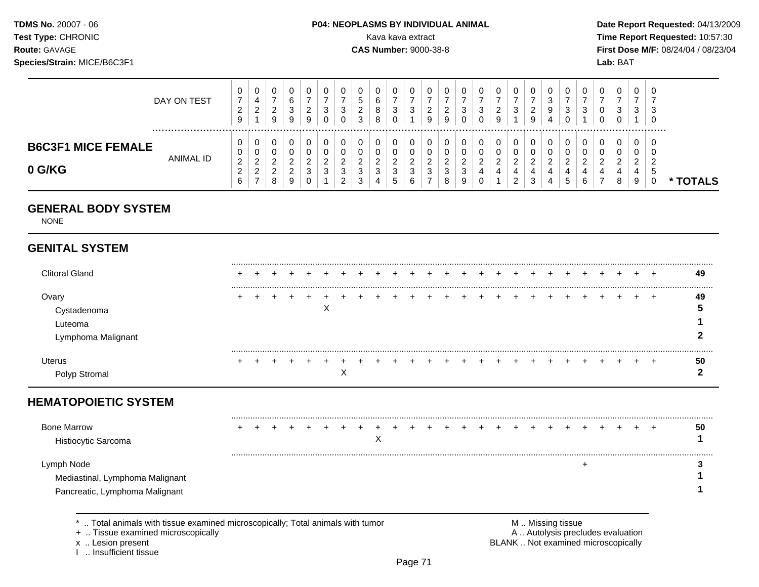#### **TDMS No.** 20007 - 06 **P04: NEOPLASMS BY INDIVIDUAL ANIMAL Date Report Requested:** 04/13/2009

**Test Type:** CHRONIC Kava kava extract **Time Report Requested:** 10:57:30 **Route:** GAVAGE **CAS Number:** 9000-38-8 **First Dose M/F:** 08/24/04 / 08/23/04

|                           | DAY ON TEST | $\mathbf 0$<br>$\overline{\phantom{a}}$<br>$\sqrt{2}$<br><u>_</u><br>9 | 0<br>ົ<br>$\sim$                         | 0<br>-<br>ົ<br><u>_</u><br>9               | c<br>9  | U<br><u>_</u><br>9 | 0<br>ົ<br>ັ<br>0  |                    | 0<br>ა<br>ົ<br><u>_</u><br>3 | ⌒<br>ь<br>8<br>8                        | ບ<br>◠<br>J<br>υ | P      | _<br>a | ν<br>ົ<br><u>_</u><br>9      | ົ<br>$\overline{\phantom{a}}$ | 0<br>3<br>0             | U<br>ົ<br><u>_</u><br>9 | <u>_</u><br>9 | O<br>◠<br>ບ<br>9<br>4 | J<br>u | 0<br>-<br>3             | υ<br>3<br>U             | v<br>3      | 0<br>۰J |               |
|---------------------------|-------------|------------------------------------------------------------------------|------------------------------------------|--------------------------------------------|---------|--------------------|-------------------|--------------------|------------------------------|-----------------------------------------|------------------|--------|--------|------------------------------|-------------------------------|-------------------------|-------------------------|---------------|-----------------------|--------|-------------------------|-------------------------|-------------|---------|---------------|
| <b>B6C3F1 MICE FEMALE</b> |             | U<br>U                                                                 | 0<br>0                                   | 0                                          |         | U                  | 0<br>C<br>υ       |                    | 0<br>0                       | ν                                       | U<br>ບ           | ν<br>u |        | ν<br>U                       |                               | 0<br>0                  | U<br>0                  |               | 0<br>0                | u      | 0<br>0                  | U<br>U                  | ◡<br>ν      |         |               |
| 0 G/KG                    | ANIMAL ID   | ົ<br><u>.</u><br>$\sqrt{2}$<br><u>_</u><br>6                           | ົ<br><u>.</u><br>$\sim$<br><u>_</u><br>- | ◠<br><u>_</u><br>$\sim$<br>$\epsilon$<br>8 | _<br>္၀ | _<br>ົ<br>ۍ<br>0   | <sup>o</sup><br>ັ | <u>_</u><br>ت<br>∼ | c<br><u>.</u><br>3<br>3      | ⌒<br><u>_</u><br><sup>o</sup><br>ັ<br>4 | ▃<br>◠<br>J<br>đ | J<br>O | ັ      | ົ<br><u>_</u><br>າ<br>◡<br>8 | C.<br>_<br>$\sim$<br>J<br>9   | ົ<br><u>.</u><br>4<br>0 | <u>.</u><br>4           | đ             | 4                     | _      | ⌒<br><u>.</u><br>4<br>6 | ີ<br><u>.</u><br>4<br>8 | ◠<br>4<br>Y | u       | <b>TOTALS</b> |

## **GENERAL BODY SYSTEM**

NONE

# **GENITAL SYSTEM**

| <b>Clitoral Gland</b>                                 |  |  |   |   |  |  |  |  |  |  |  |  | ÷ | 49 |
|-------------------------------------------------------|--|--|---|---|--|--|--|--|--|--|--|--|---|----|
| Ovary<br>Cystadenoma<br>Luteoma<br>Lymphoma Malignant |  |  | ∧ |   |  |  |  |  |  |  |  |  | ÷ | 49 |
| Uterus<br>Polyp Stromal                               |  |  |   | ⌒ |  |  |  |  |  |  |  |  | ÷ | 50 |

# **HEMATOPOIETIC SYSTEM**

| <b>Bone Marrow</b>              |  |  |  |  |  |  |  |  |  |  |  |  | 50 |
|---------------------------------|--|--|--|--|--|--|--|--|--|--|--|--|----|
| Histiocytic Sarcoma             |  |  |  |  |  |  |  |  |  |  |  |  |    |
|                                 |  |  |  |  |  |  |  |  |  |  |  |  |    |
| Lymph Node                      |  |  |  |  |  |  |  |  |  |  |  |  |    |
| Mediastinal, Lymphoma Malignant |  |  |  |  |  |  |  |  |  |  |  |  |    |
| Pancreatic, Lymphoma Malignant  |  |  |  |  |  |  |  |  |  |  |  |  |    |
|                                 |  |  |  |  |  |  |  |  |  |  |  |  |    |

\* .. Total animals with tissue examined microscopically; Total animals with tumor <br>
+ .. Tissue examined microscopically<br>
+ .. Tissue examined microscopically

+ .. Tissue examined microscopically

I .. Insufficient tissue

x .. Lesion present **BLANK** .. Not examined microscopically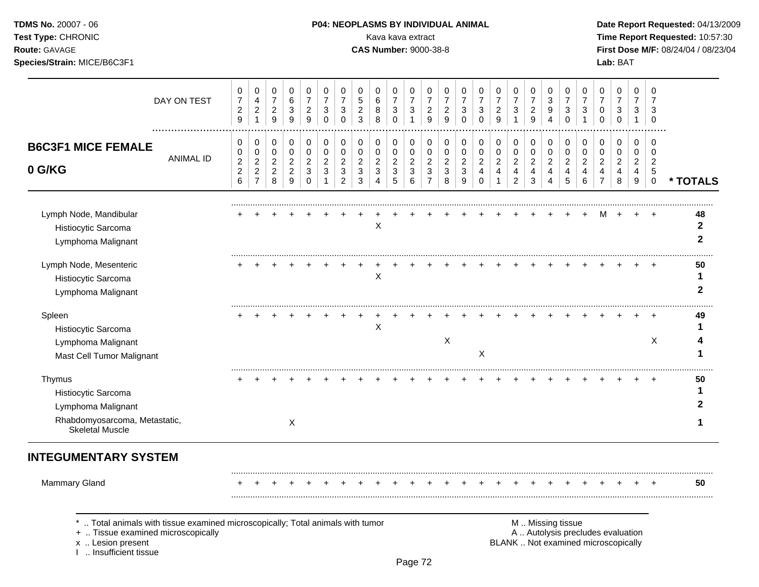**TDMS No.** 20007 - 06 **P04: NEOPLASMS BY INDIVIDUAL ANIMAL** Date Report Requested: 04/13/2009 **Test Type:** CHRONIC **Transfer CHRONIC** Kava Rava extract Kava extract **Time Report Requested:** 10:57:30 **Route:** GAVAGE **CAS Number:** 9000-38-8 **First Dose M/F:** 08/24/04 / 08/23/04 **Species/Strain:** MICE/B6C3F1 **Lab:** BAT

| DAY ON TEST                                                                                                                                                    | 0<br>$\overline{7}$<br>$\overline{c}$<br>9                       | 0<br>4<br>$\sqrt{2}$<br>$\mathbf{1}$                             | 0<br>$\overline{7}$<br>$\overline{a}$<br>$\boldsymbol{9}$ | $\mathbf 0$<br>$\,6\,$<br>$\mathbf{3}$<br>9                          | 0<br>$\overline{7}$<br>$\overline{2}$<br>9                          | 0<br>$\overline{7}$<br>3<br>$\mathbf 0$                              | 0<br>$\overline{7}$<br>3<br>$\Omega$                                                | 0<br>5<br>$\overline{c}$<br>$\mathbf{3}$               | 0<br>6<br>8<br>8                            | 0<br>$\overline{7}$<br>$\sqrt{3}$<br>$\mathbf 0$      | 0<br>$\overline{7}$<br>$\mathbf{3}$<br>$\mathbf{1}$        | 0<br>$\overline{7}$<br>$\overline{2}$<br>9                       | 0<br>$\boldsymbol{7}$<br>$\overline{c}$<br>9         | 0<br>$\overline{7}$<br>$\mathbf{3}$<br>$\Omega$     | 0<br>$\overline{7}$<br>$\mathbf{3}$<br>$\Omega$                | 0<br>$\overline{7}$<br>$\overline{c}$<br>9            | 0<br>$\overline{7}$<br>3<br>$\mathbf{1}$                                 | 0<br>$\overline{7}$<br>$\overline{2}$<br>9                | 0<br>$\sqrt{3}$<br>9<br>$\overline{4}$                    | 0<br>$\overline{7}$<br>3<br>$\mathbf 0$               | 0<br>$\overline{7}$<br>$\sqrt{3}$<br>$\mathbf{1}$                             | 0<br>$\overline{7}$<br>$\mathbf 0$<br>$\mathbf 0$                        | 0<br>$\overline{7}$<br>3<br>$\mathbf 0$ | $\mathbf 0$<br>$\overline{7}$<br>$\mathbf{3}$<br>$\mathbf{1}$    | 0<br>7<br>3<br>$\mathbf 0$                                                    |                                  |
|----------------------------------------------------------------------------------------------------------------------------------------------------------------|------------------------------------------------------------------|------------------------------------------------------------------|-----------------------------------------------------------|----------------------------------------------------------------------|---------------------------------------------------------------------|----------------------------------------------------------------------|-------------------------------------------------------------------------------------|--------------------------------------------------------|---------------------------------------------|-------------------------------------------------------|------------------------------------------------------------|------------------------------------------------------------------|------------------------------------------------------|-----------------------------------------------------|----------------------------------------------------------------|-------------------------------------------------------|--------------------------------------------------------------------------|-----------------------------------------------------------|-----------------------------------------------------------|-------------------------------------------------------|-------------------------------------------------------------------------------|--------------------------------------------------------------------------|-----------------------------------------|------------------------------------------------------------------|-------------------------------------------------------------------------------|----------------------------------|
| .<br><b>B6C3F1 MICE FEMALE</b><br><b>ANIMAL ID</b><br>0 G/KG                                                                                                   | 0<br>0<br>$\boldsymbol{2}$<br>$\boldsymbol{2}$<br>$6\phantom{a}$ | 0<br>0<br>$\boldsymbol{2}$<br>$\boldsymbol{2}$<br>$\overline{7}$ | 0<br>0<br>$\overline{a}$<br>$\overline{a}$<br>8           | 0<br>$\mathbf 0$<br>$\sqrt{2}$<br>$\boldsymbol{2}$<br>$\overline{9}$ | 0<br>$\mathbf 0$<br>$\overline{c}$<br>$\mathfrak{S}$<br>$\mathbf 0$ | 0<br>$\mathsf 0$<br>$\overline{c}$<br>$\mathfrak{S}$<br>$\mathbf{1}$ | 0<br>$\mathbf 0$<br>$\boldsymbol{2}$<br>$\ensuremath{\mathsf{3}}$<br>$\overline{2}$ | 0<br>$\mathbf 0$<br>$\overline{a}$<br>$\mathsf 3$<br>3 | 0<br>0<br>$\overline{c}$<br>$\sqrt{3}$<br>4 | 0<br>$\mathsf 0$<br>$\overline{c}$<br>$\sqrt{3}$<br>5 | 0<br>$\pmb{0}$<br>$\boldsymbol{2}$<br>$\mathsf 3$<br>$\,6$ | 0<br>$\pmb{0}$<br>$\sqrt{2}$<br>$\mathfrak{Z}$<br>$\overline{7}$ | 0<br>$\pmb{0}$<br>$\overline{2}$<br>$\mathsf 3$<br>8 | 0<br>$\pmb{0}$<br>$\overline{c}$<br>$\sqrt{3}$<br>9 | 0<br>$\pmb{0}$<br>$\overline{c}$<br>$\overline{4}$<br>$\Omega$ | 0<br>$\pmb{0}$<br>$\overline{c}$<br>4<br>$\mathbf{1}$ | 0<br>$\mathsf 0$<br>$\overline{c}$<br>$\overline{4}$<br>$\boldsymbol{2}$ | 0<br>$\mathbf 0$<br>$\overline{c}$<br>$\overline{4}$<br>3 | 0<br>$\pmb{0}$<br>$\boldsymbol{2}$<br>$\overline{4}$<br>4 | 0<br>$\mathbf 0$<br>$\sqrt{2}$<br>$\overline{4}$<br>5 | 0<br>$\pmb{0}$<br>$\overline{c}$<br>$\overline{\mathbf{4}}$<br>$6\phantom{1}$ | 0<br>$\pmb{0}$<br>$\sqrt{2}$<br>$\overline{4}$<br>$\overline{7}$         | 0<br>0<br>$\overline{c}$<br>4<br>8      | 0<br>0<br>$\boldsymbol{2}$<br>$\overline{4}$<br>$\boldsymbol{9}$ | $\mathbf 0$<br>$\mathbf 0$<br>$\overline{2}$<br>$\overline{5}$<br>$\mathbf 0$ | * TOTALS                         |
| Lymph Node, Mandibular<br>Histiocytic Sarcoma<br>Lymphoma Malignant                                                                                            |                                                                  |                                                                  |                                                           |                                                                      |                                                                     |                                                                      |                                                                                     |                                                        | $\pmb{\times}$                              |                                                       |                                                            |                                                                  |                                                      |                                                     |                                                                |                                                       |                                                                          |                                                           |                                                           |                                                       |                                                                               |                                                                          |                                         |                                                                  |                                                                               | 48<br>$\mathbf 2$<br>$\mathbf 2$ |
| Lymph Node, Mesenteric<br>Histiocytic Sarcoma<br>Lymphoma Malignant                                                                                            |                                                                  |                                                                  |                                                           |                                                                      |                                                                     |                                                                      |                                                                                     |                                                        | $\mathsf X$                                 |                                                       |                                                            |                                                                  |                                                      |                                                     |                                                                |                                                       |                                                                          |                                                           |                                                           |                                                       |                                                                               |                                                                          |                                         |                                                                  |                                                                               | 50<br>1<br>$\mathbf{2}$          |
| Spleen<br>Histiocytic Sarcoma<br>Lymphoma Malignant<br>Mast Cell Tumor Malignant                                                                               |                                                                  |                                                                  |                                                           |                                                                      |                                                                     |                                                                      |                                                                                     |                                                        | Χ                                           |                                                       |                                                            |                                                                  | X                                                    |                                                     | $\boldsymbol{\mathsf{X}}$                                      |                                                       |                                                                          |                                                           |                                                           |                                                       |                                                                               |                                                                          |                                         |                                                                  | Χ                                                                             | 49<br>1<br>4<br>1                |
| Thymus<br>Histiocytic Sarcoma<br>Lymphoma Malignant<br>Rhabdomyosarcoma, Metastatic,<br><b>Skeletal Muscle</b>                                                 |                                                                  |                                                                  |                                                           | $\times$                                                             |                                                                     |                                                                      |                                                                                     |                                                        |                                             |                                                       |                                                            |                                                                  |                                                      |                                                     |                                                                |                                                       |                                                                          |                                                           |                                                           |                                                       |                                                                               |                                                                          |                                         |                                                                  |                                                                               | 50<br>1<br>2<br>1                |
| <b>INTEGUMENTARY SYSTEM</b>                                                                                                                                    |                                                                  |                                                                  |                                                           |                                                                      |                                                                     |                                                                      |                                                                                     |                                                        |                                             |                                                       |                                                            |                                                                  |                                                      |                                                     |                                                                |                                                       |                                                                          |                                                           |                                                           |                                                       |                                                                               |                                                                          |                                         |                                                                  |                                                                               |                                  |
| Mammary Gland                                                                                                                                                  |                                                                  |                                                                  |                                                           |                                                                      |                                                                     |                                                                      |                                                                                     |                                                        |                                             |                                                       | ٠                                                          |                                                                  |                                                      |                                                     | +                                                              | ÷                                                     |                                                                          |                                                           |                                                           |                                                       |                                                                               | ÷                                                                        |                                         |                                                                  | $\ddot{}$                                                                     | 50                               |
| Total animals with tissue examined microscopically; Total animals with tumor<br>+  Tissue examined microscopically<br>x  Lesion present<br>Insufficient tissue |                                                                  |                                                                  |                                                           |                                                                      |                                                                     |                                                                      |                                                                                     |                                                        |                                             |                                                       |                                                            |                                                                  |                                                      |                                                     |                                                                |                                                       |                                                                          |                                                           | M  Missing tissue                                         |                                                       |                                                                               | A  Autolysis precludes evaluation<br>BLANK  Not examined microscopically |                                         |                                                                  |                                                                               |                                  |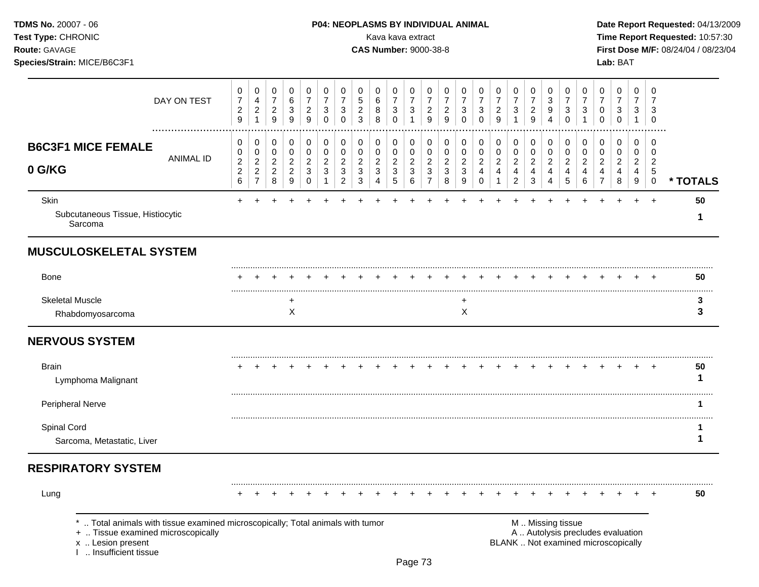**Test Type:** CHRONIC **Transfer CHRONIC** Kava **Report Requested:** 10:57:30 **Route:** GAVAGE **CAS Number:** 9000-38-8 **First Dose M/F:** 08/24/04 / 08/23/04 **Species/Strain:** MICE/B6C3F1 **Lab:** BAT

|                                                            | DAY ON TEST                                                                                                        | 0<br>$\boldsymbol{7}$<br>$\boldsymbol{2}$<br>$9\,$ | 0<br>4<br>$\sqrt{2}$<br>$\mathbf{1}$                                             | 0<br>$\overline{7}$<br>$\boldsymbol{2}$<br>$\boldsymbol{9}$ | 0<br>$\,6\,$<br>$\ensuremath{\mathsf{3}}$<br>9                       | 0<br>$\overline{7}$<br>$\boldsymbol{2}$<br>$9\,$                          | 0<br>$\overline{7}$<br>3<br>$\pmb{0}$                   | 0<br>$\overline{7}$<br>$\sqrt{3}$<br>$\mathbf 0$                               | 0<br>$\overline{5}$<br>$\boldsymbol{2}$<br>3                       | 0<br>$\,6\,$<br>$\bf8$<br>8                                      | 0<br>$\overline{7}$<br>$\ensuremath{\mathsf{3}}$<br>$\mathsf 0$               | 0<br>$\overline{\mathbf{7}}$<br>$\ensuremath{\mathsf{3}}$<br>$\mathbf{1}$ | 0<br>$\overline{7}$<br>$\boldsymbol{2}$<br>$\boldsymbol{9}$          | 0<br>$\overline{7}$<br>$\overline{\mathbf{c}}$<br>9   | 0<br>$\overline{7}$<br>$\ensuremath{\mathsf{3}}$<br>$\pmb{0}$      | 0<br>$\overline{7}$<br>3<br>$\Omega$                   | 0<br>$\overline{7}$<br>$\boldsymbol{2}$<br>9                       | 0<br>$\overline{7}$<br>$\ensuremath{\mathsf{3}}$<br>$\overline{1}$     | 0<br>$\overline{\mathbf{7}}$<br>$\overline{c}$<br>9                  | 0<br>$\sqrt{3}$<br>9<br>$\overline{4}$                  | 0<br>$\overline{7}$<br>3<br>$\pmb{0}$                     | 0<br>$\overline{7}$<br>$\ensuremath{\mathsf{3}}$<br>$\mathbf{1}$ | 0<br>$\overline{7}$<br>0<br>$\Omega$                                     | 0<br>$\overline{7}$<br>$\ensuremath{\mathsf{3}}$<br>$\pmb{0}$ | 0<br>$\overline{7}$<br>$\sqrt{3}$<br>$\overline{1}$       | 0<br>$\overline{7}$<br>3<br>$\Omega$                             |          |
|------------------------------------------------------------|--------------------------------------------------------------------------------------------------------------------|----------------------------------------------------|----------------------------------------------------------------------------------|-------------------------------------------------------------|----------------------------------------------------------------------|---------------------------------------------------------------------------|---------------------------------------------------------|--------------------------------------------------------------------------------|--------------------------------------------------------------------|------------------------------------------------------------------|-------------------------------------------------------------------------------|---------------------------------------------------------------------------|----------------------------------------------------------------------|-------------------------------------------------------|--------------------------------------------------------------------|--------------------------------------------------------|--------------------------------------------------------------------|------------------------------------------------------------------------|----------------------------------------------------------------------|---------------------------------------------------------|-----------------------------------------------------------|------------------------------------------------------------------|--------------------------------------------------------------------------|---------------------------------------------------------------|-----------------------------------------------------------|------------------------------------------------------------------|----------|
| <b>B6C3F1 MICE FEMALE</b><br>0 G/KG                        | <b>ANIMAL ID</b>                                                                                                   | 0<br>0<br>$\boldsymbol{2}$<br>$\overline{c}$<br>6  | $\pmb{0}$<br>$\pmb{0}$<br>$\boldsymbol{2}$<br>$\boldsymbol{2}$<br>$\overline{7}$ | 0<br>$\pmb{0}$<br>$\overline{2}$<br>$\sqrt{2}$<br>$\bf8$    | 0<br>$\mathsf 0$<br>$\overline{2}$<br>$\sqrt{2}$<br>$\boldsymbol{9}$ | 0<br>$\mathsf{O}\xspace$<br>$\overline{2}$<br>$\mathbf{3}$<br>$\mathbf 0$ | 0<br>$\mathbf 0$<br>$\overline{c}$<br>$\mathbf{3}$<br>1 | $\mathbf 0$<br>$\mathbf 0$<br>$\overline{2}$<br>$\mathbf{3}$<br>$\overline{2}$ | 0<br>$\mathbf 0$<br>$\overline{c}$<br>$\mathbf{3}$<br>$\mathbf{3}$ | 0<br>$\pmb{0}$<br>$\overline{c}$<br>$\sqrt{3}$<br>$\overline{4}$ | 0<br>$\pmb{0}$<br>$\boldsymbol{2}$<br>$\ensuremath{\mathsf{3}}$<br>$\sqrt{5}$ | 0<br>$\mathsf 0$<br>$\overline{2}$<br>$\mathbf{3}$<br>6                   | 0<br>$\mathbf 0$<br>$\boldsymbol{2}$<br>$\sqrt{3}$<br>$\overline{7}$ | 0<br>$\mathbf 0$<br>$\overline{c}$<br>$\sqrt{3}$<br>8 | 0<br>$\mathbf 0$<br>$\sqrt{2}$<br>$\mathbf{3}$<br>$\boldsymbol{9}$ | 0<br>$\mathbf 0$<br>$\overline{c}$<br>4<br>$\mathbf 0$ | 0<br>$\pmb{0}$<br>$\overline{c}$<br>$\overline{4}$<br>$\mathbf{1}$ | 0<br>$\mathbf 0$<br>$\overline{2}$<br>$\overline{4}$<br>$\overline{2}$ | 0<br>$\mathsf 0$<br>$\overline{2}$<br>$\overline{4}$<br>$\mathbf{3}$ | 0<br>$\pmb{0}$<br>$\overline{c}$<br>$\overline{4}$<br>4 | 0<br>$\mathbf 0$<br>$\overline{c}$<br>$\overline{4}$<br>5 | 0<br>$\mathbf 0$<br>$\overline{c}$<br>4<br>6                     | 0<br>$\mathbf 0$<br>$\overline{2}$<br>$\overline{4}$<br>$\overline{7}$   | 0<br>0<br>$\overline{c}$<br>4<br>8                            | $\mathbf 0$<br>0<br>$\overline{2}$<br>$\overline{4}$<br>9 | $\Omega$<br>0<br>$\overline{2}$<br>$\overline{5}$<br>$\mathbf 0$ | * TOTALS |
| <b>Skin</b><br>Subcutaneous Tissue, Histiocytic<br>Sarcoma |                                                                                                                    |                                                    |                                                                                  |                                                             |                                                                      |                                                                           |                                                         |                                                                                |                                                                    |                                                                  |                                                                               |                                                                           |                                                                      |                                                       |                                                                    |                                                        |                                                                    |                                                                        |                                                                      |                                                         |                                                           |                                                                  |                                                                          |                                                               |                                                           | $+$                                                              | 50<br>1  |
| <b>MUSCULOSKELETAL SYSTEM</b>                              |                                                                                                                    |                                                    |                                                                                  |                                                             |                                                                      |                                                                           |                                                         |                                                                                |                                                                    |                                                                  |                                                                               |                                                                           |                                                                      |                                                       |                                                                    |                                                        |                                                                    |                                                                        |                                                                      |                                                         |                                                           |                                                                  |                                                                          |                                                               |                                                           |                                                                  |          |
| <b>Bone</b>                                                |                                                                                                                    |                                                    |                                                                                  |                                                             |                                                                      |                                                                           |                                                         |                                                                                |                                                                    |                                                                  |                                                                               |                                                                           |                                                                      |                                                       |                                                                    |                                                        |                                                                    |                                                                        |                                                                      |                                                         |                                                           |                                                                  |                                                                          |                                                               |                                                           |                                                                  | 50       |
| <b>Skeletal Muscle</b><br>Rhabdomyosarcoma                 |                                                                                                                    |                                                    |                                                                                  |                                                             | +<br>X                                                               |                                                                           |                                                         |                                                                                |                                                                    |                                                                  |                                                                               |                                                                           |                                                                      |                                                       | ÷<br>$\mathsf X$                                                   |                                                        |                                                                    |                                                                        |                                                                      |                                                         |                                                           |                                                                  |                                                                          |                                                               |                                                           |                                                                  | 3<br>3   |
| <b>NERVOUS SYSTEM</b>                                      |                                                                                                                    |                                                    |                                                                                  |                                                             |                                                                      |                                                                           |                                                         |                                                                                |                                                                    |                                                                  |                                                                               |                                                                           |                                                                      |                                                       |                                                                    |                                                        |                                                                    |                                                                        |                                                                      |                                                         |                                                           |                                                                  |                                                                          |                                                               |                                                           |                                                                  |          |
| <b>Brain</b><br>Lymphoma Malignant                         |                                                                                                                    |                                                    |                                                                                  |                                                             |                                                                      |                                                                           |                                                         |                                                                                |                                                                    |                                                                  |                                                                               |                                                                           |                                                                      |                                                       |                                                                    |                                                        |                                                                    |                                                                        |                                                                      |                                                         |                                                           |                                                                  |                                                                          |                                                               |                                                           |                                                                  | 50<br>1  |
| Peripheral Nerve                                           |                                                                                                                    |                                                    |                                                                                  |                                                             |                                                                      |                                                                           |                                                         |                                                                                |                                                                    |                                                                  |                                                                               |                                                                           |                                                                      |                                                       |                                                                    |                                                        |                                                                    |                                                                        |                                                                      |                                                         |                                                           |                                                                  |                                                                          |                                                               |                                                           |                                                                  |          |
| Spinal Cord<br>Sarcoma, Metastatic, Liver                  |                                                                                                                    |                                                    |                                                                                  |                                                             |                                                                      |                                                                           |                                                         |                                                                                |                                                                    |                                                                  |                                                                               |                                                                           |                                                                      |                                                       |                                                                    |                                                        |                                                                    |                                                                        |                                                                      |                                                         |                                                           |                                                                  |                                                                          |                                                               |                                                           |                                                                  |          |
| <b>RESPIRATORY SYSTEM</b>                                  |                                                                                                                    |                                                    |                                                                                  |                                                             |                                                                      |                                                                           |                                                         |                                                                                |                                                                    |                                                                  |                                                                               |                                                                           |                                                                      |                                                       |                                                                    |                                                        |                                                                    |                                                                        |                                                                      |                                                         |                                                           |                                                                  |                                                                          |                                                               |                                                           |                                                                  |          |
| Lung                                                       |                                                                                                                    |                                                    |                                                                                  |                                                             |                                                                      |                                                                           |                                                         |                                                                                |                                                                    |                                                                  |                                                                               |                                                                           |                                                                      |                                                       |                                                                    |                                                        |                                                                    |                                                                        |                                                                      |                                                         |                                                           |                                                                  |                                                                          |                                                               |                                                           |                                                                  | 50       |
| x  Lesion present<br>I  Insufficient tissue                | Total animals with tissue examined microscopically; Total animals with tumor<br>+  Tissue examined microscopically |                                                    |                                                                                  |                                                             |                                                                      |                                                                           |                                                         |                                                                                |                                                                    |                                                                  |                                                                               |                                                                           |                                                                      |                                                       |                                                                    |                                                        |                                                                    |                                                                        | M  Missing tissue                                                    |                                                         |                                                           |                                                                  | A  Autolysis precludes evaluation<br>BLANK  Not examined microscopically |                                                               |                                                           |                                                                  |          |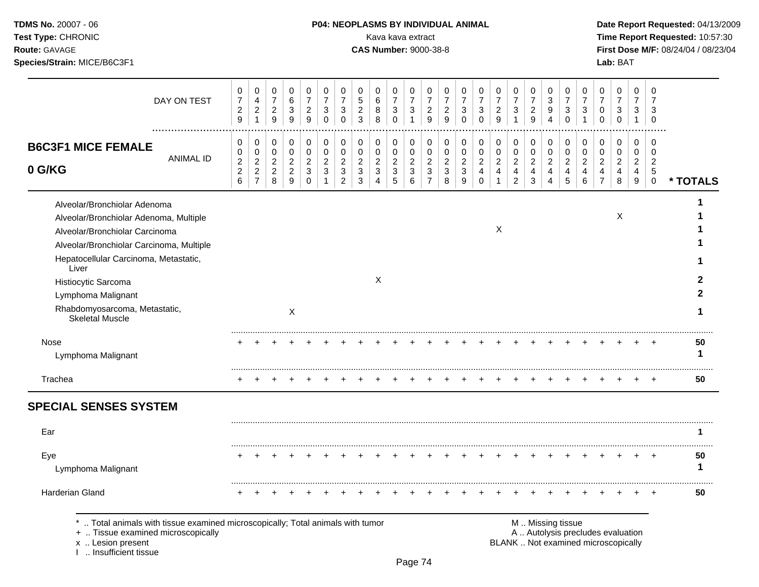| <b>TDMS No. 20007 - 06</b> |
|----------------------------|
| Test Type: CHRONIC         |
| <b>DAMALOMMOT</b>          |

**Kava kava extract CHRONIC CHRONIC CHRONIC Time Report Requested:** 10:57:30 **Route:** GAVAGE **CAS Number:** 9000-38-8 **First Dose M/F:** 08/24/04 / 08/23/04 **Species/Strain:** MICE/B6C3F1 **Lab:** BAT

|                                                                                                                                                                   | DAY ON TEST      | 0<br>$\boldsymbol{7}$<br>$\boldsymbol{2}$<br>$9\,$ | 0<br>4<br>$\overline{c}$<br>$\mathbf{1}$  | 0<br>$\boldsymbol{7}$<br>$\sqrt{2}$<br>$\boldsymbol{9}$ | 0<br>6<br>3<br>9                 | 0<br>$\overline{7}$<br>$\boldsymbol{2}$<br>$\boldsymbol{9}$ | 0<br>$\overline{7}$<br>3<br>$\pmb{0}$        | 0<br>$\overline{7}$<br>3<br>$\Omega$       | 0<br>$\sqrt{5}$<br>$\boldsymbol{2}$<br>3 | 0<br>$\,6\,$<br>8<br>8             | 0<br>$\overline{7}$<br>$\ensuremath{\mathsf{3}}$<br>$\pmb{0}$ | 0<br>$\overline{7}$<br>$\ensuremath{\mathsf{3}}$<br>-1 | 0<br>$\overline{7}$<br>$\overline{c}$<br>9 | 0<br>$\overline{7}$<br>$\overline{c}$<br>$\boldsymbol{9}$ | 0<br>$\overline{7}$<br>3<br>$\Omega$ | 0<br>$\overline{7}$<br>$\ensuremath{\mathsf{3}}$<br>$\mathbf 0$ | 0<br>$\overline{7}$<br>$\overline{c}$<br>$\boldsymbol{9}$ | 0<br>$\overline{7}$<br>3<br>$\mathbf{1}$ | 0<br>$\overline{7}$<br>$\boldsymbol{2}$<br>$\boldsymbol{9}$ | 0<br>$\sqrt{3}$<br>9<br>$\overline{4}$       | 0<br>$\overline{7}$<br>3<br>$\Omega$ | 0<br>$\overline{7}$<br>3                     | 0<br>$\overline{7}$<br>0<br>$\pmb{0}$                                    | 0<br>$\boldsymbol{7}$<br>$\ensuremath{\mathsf{3}}$<br>$\mathsf{O}\xspace$ | 0<br>$\overline{7}$<br>3<br>$\mathbf{1}$     | 0<br>7<br>3<br>$\mathbf 0$                      |              |
|-------------------------------------------------------------------------------------------------------------------------------------------------------------------|------------------|----------------------------------------------------|-------------------------------------------|---------------------------------------------------------|----------------------------------|-------------------------------------------------------------|----------------------------------------------|--------------------------------------------|------------------------------------------|------------------------------------|---------------------------------------------------------------|--------------------------------------------------------|--------------------------------------------|-----------------------------------------------------------|--------------------------------------|-----------------------------------------------------------------|-----------------------------------------------------------|------------------------------------------|-------------------------------------------------------------|----------------------------------------------|--------------------------------------|----------------------------------------------|--------------------------------------------------------------------------|---------------------------------------------------------------------------|----------------------------------------------|-------------------------------------------------|--------------|
| <b>B6C3F1 MICE FEMALE</b>                                                                                                                                         | <b>ANIMAL ID</b> | 0<br>0<br>$\overline{c}$                           | 0<br>0<br>$\overline{c}$                  | $\mathbf 0$<br>$\mathbf 0$<br>$\sqrt{2}$                | 0<br>$\pmb{0}$<br>$\overline{c}$ | $\pmb{0}$<br>$\pmb{0}$<br>$\overline{c}$                    | $\mathbf 0$<br>$\mathbf 0$<br>$\overline{c}$ | $\pmb{0}$<br>$\mathbf 0$<br>$\overline{c}$ | 0<br>$\mathbf 0$<br>$\overline{c}$       | 0<br>$\mathbf 0$<br>$\overline{c}$ | 0<br>0<br>$\overline{c}$                                      | 0<br>$\mathbf 0$<br>$\boldsymbol{2}$                   | 0<br>$\mathbf 0$<br>$\overline{c}$         | 0<br>$\mathbf 0$<br>$\boldsymbol{2}$                      | 0<br>$\mathbf 0$<br>$\overline{c}$   | 0<br>$\pmb{0}$<br>$\overline{c}$                                | 0<br>$\pmb{0}$<br>$\overline{c}$                          | 0<br>$\mathbf 0$<br>$\boldsymbol{2}$     | $\pmb{0}$<br>$\pmb{0}$<br>$\overline{c}$                    | $\mathbf 0$<br>$\mathbf 0$<br>$\overline{c}$ | 0<br>$\mathbf 0$<br>$\overline{c}$   | $\mathbf 0$<br>$\mathbf 0$<br>$\overline{c}$ | 0<br>0<br>$\overline{2}$                                                 | 0<br>$\mathbf 0$<br>$\overline{2}$                                        | $\mathbf 0$<br>$\mathbf 0$<br>$\overline{2}$ | $\mathbf 0$<br>$\overline{0}$<br>$\overline{2}$ |              |
| 0 G/KG                                                                                                                                                            |                  | $\boldsymbol{2}$<br>6                              | $\overline{\mathbf{c}}$<br>$\overline{7}$ | $\sqrt{2}$<br>$\,8\,$                                   | $\boldsymbol{2}$<br>9            | $\mathbf{3}$<br>$\pmb{0}$                                   | $\mathbf{3}$<br>1                            | $\sqrt{3}$<br>$\overline{c}$               | $\sqrt{3}$<br>3                          | $\mathbf{3}$<br>$\overline{4}$     | $\sqrt{3}$<br>5                                               | $\mathbf{3}$<br>6                                      | $\sqrt{3}$<br>$\overline{7}$               | $\ensuremath{\mathsf{3}}$<br>8                            | $\sqrt{3}$<br>9                      | $\overline{4}$<br>$\mathbf 0$                                   | 4<br>$\mathbf 1$                                          | $\overline{4}$<br>$\overline{c}$         | $\overline{4}$<br>$\mathbf{3}$                              | $\overline{4}$<br>4                          | $\overline{4}$<br>5                  | 4<br>6                                       | 4<br>$\overline{7}$                                                      | $\overline{4}$<br>8                                                       | 4<br>$\boldsymbol{9}$                        | 5<br>$\mathbf 0$                                | * TOTALS     |
| Alveolar/Bronchiolar Adenoma                                                                                                                                      |                  |                                                    |                                           |                                                         |                                  |                                                             |                                              |                                            |                                          |                                    |                                                               |                                                        |                                            |                                                           |                                      |                                                                 |                                                           |                                          |                                                             |                                              |                                      |                                              |                                                                          |                                                                           |                                              |                                                 | 1            |
| Alveolar/Bronchiolar Adenoma, Multiple                                                                                                                            |                  |                                                    |                                           |                                                         |                                  |                                                             |                                              |                                            |                                          |                                    |                                                               |                                                        |                                            |                                                           |                                      |                                                                 |                                                           |                                          |                                                             |                                              |                                      |                                              |                                                                          | X                                                                         |                                              |                                                 |              |
| Alveolar/Bronchiolar Carcinoma                                                                                                                                    |                  |                                                    |                                           |                                                         |                                  |                                                             |                                              |                                            |                                          |                                    |                                                               |                                                        |                                            |                                                           |                                      |                                                                 | X                                                         |                                          |                                                             |                                              |                                      |                                              |                                                                          |                                                                           |                                              |                                                 |              |
| Alveolar/Bronchiolar Carcinoma, Multiple                                                                                                                          |                  |                                                    |                                           |                                                         |                                  |                                                             |                                              |                                            |                                          |                                    |                                                               |                                                        |                                            |                                                           |                                      |                                                                 |                                                           |                                          |                                                             |                                              |                                      |                                              |                                                                          |                                                                           |                                              |                                                 |              |
| Hepatocellular Carcinoma, Metastatic,<br>Liver                                                                                                                    |                  |                                                    |                                           |                                                         |                                  |                                                             |                                              |                                            |                                          |                                    |                                                               |                                                        |                                            |                                                           |                                      |                                                                 |                                                           |                                          |                                                             |                                              |                                      |                                              |                                                                          |                                                                           |                                              |                                                 |              |
| Histiocytic Sarcoma                                                                                                                                               |                  |                                                    |                                           |                                                         |                                  |                                                             |                                              |                                            |                                          | X                                  |                                                               |                                                        |                                            |                                                           |                                      |                                                                 |                                                           |                                          |                                                             |                                              |                                      |                                              |                                                                          |                                                                           |                                              |                                                 | 2            |
| Lymphoma Malignant                                                                                                                                                |                  |                                                    |                                           |                                                         |                                  |                                                             |                                              |                                            |                                          |                                    |                                                               |                                                        |                                            |                                                           |                                      |                                                                 |                                                           |                                          |                                                             |                                              |                                      |                                              |                                                                          |                                                                           |                                              |                                                 | $\mathbf{2}$ |
| Rhabdomyosarcoma, Metastatic,<br><b>Skeletal Muscle</b>                                                                                                           |                  |                                                    |                                           |                                                         | X                                |                                                             |                                              |                                            |                                          |                                    |                                                               |                                                        |                                            |                                                           |                                      |                                                                 |                                                           |                                          |                                                             |                                              |                                      |                                              |                                                                          |                                                                           |                                              |                                                 | 1            |
| Nose                                                                                                                                                              |                  |                                                    |                                           |                                                         |                                  |                                                             |                                              |                                            |                                          |                                    |                                                               |                                                        |                                            |                                                           |                                      |                                                                 |                                                           |                                          |                                                             |                                              |                                      |                                              |                                                                          |                                                                           |                                              |                                                 | 50           |
| Lymphoma Malignant                                                                                                                                                |                  |                                                    |                                           |                                                         |                                  |                                                             |                                              |                                            |                                          |                                    |                                                               |                                                        |                                            |                                                           |                                      |                                                                 |                                                           |                                          |                                                             |                                              |                                      |                                              |                                                                          |                                                                           |                                              |                                                 | 1            |
| Trachea                                                                                                                                                           |                  |                                                    |                                           |                                                         |                                  |                                                             |                                              |                                            |                                          |                                    |                                                               |                                                        |                                            |                                                           |                                      |                                                                 |                                                           |                                          |                                                             |                                              |                                      |                                              |                                                                          |                                                                           |                                              |                                                 | 50           |
| <b>SPECIAL SENSES SYSTEM</b>                                                                                                                                      |                  |                                                    |                                           |                                                         |                                  |                                                             |                                              |                                            |                                          |                                    |                                                               |                                                        |                                            |                                                           |                                      |                                                                 |                                                           |                                          |                                                             |                                              |                                      |                                              |                                                                          |                                                                           |                                              |                                                 |              |
| Ear                                                                                                                                                               |                  |                                                    |                                           |                                                         |                                  |                                                             |                                              |                                            |                                          |                                    |                                                               |                                                        |                                            |                                                           |                                      |                                                                 |                                                           |                                          |                                                             |                                              |                                      |                                              |                                                                          |                                                                           |                                              |                                                 | 1            |
| Eye                                                                                                                                                               |                  |                                                    |                                           |                                                         |                                  |                                                             |                                              |                                            |                                          |                                    |                                                               |                                                        |                                            |                                                           |                                      |                                                                 |                                                           |                                          |                                                             |                                              |                                      |                                              |                                                                          |                                                                           |                                              |                                                 | <br>50       |
| Lymphoma Malignant                                                                                                                                                |                  |                                                    |                                           |                                                         |                                  |                                                             |                                              |                                            |                                          |                                    |                                                               |                                                        |                                            |                                                           |                                      |                                                                 |                                                           |                                          |                                                             |                                              |                                      |                                              |                                                                          |                                                                           |                                              |                                                 | 1            |
| Harderian Gland                                                                                                                                                   |                  |                                                    |                                           |                                                         |                                  |                                                             |                                              |                                            |                                          |                                    |                                                               |                                                        |                                            |                                                           |                                      |                                                                 |                                                           |                                          |                                                             |                                              |                                      |                                              |                                                                          |                                                                           |                                              |                                                 | 50           |
| Total animals with tissue examined microscopically; Total animals with tumor<br>+  Tissue examined microscopically<br>x  Lesion present<br>I  Insufficient tissue |                  |                                                    |                                           |                                                         |                                  |                                                             |                                              |                                            |                                          |                                    |                                                               |                                                        |                                            |                                                           |                                      |                                                                 |                                                           |                                          |                                                             |                                              | M  Missing tissue                    |                                              | A  Autolysis precludes evaluation<br>BLANK  Not examined microscopically |                                                                           |                                              |                                                 |              |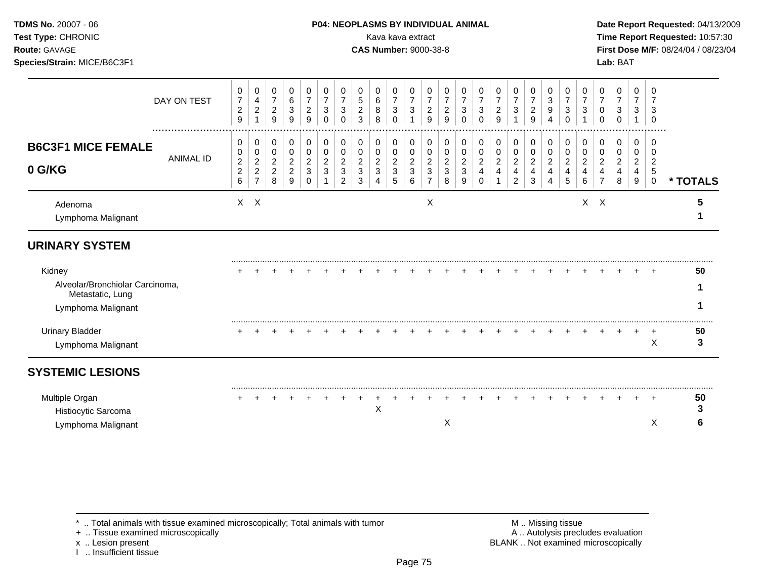| <b>TDMS No. 20007 - 06</b> |  |
|----------------------------|--|
| <b>Test Type: CHRONIC</b>  |  |

Kava kava extract **Time Report Requested:** 10:57:30 **Route:** GAVAGE **CAS Number:** 9000-38-8 **First Dose M/F:** 08/24/04 / 08/23/04 **Species/Strain:** MICE/B6C3F1 **Lab:** BAT

|                                                     | DAY ON TEST      | 0<br>$\overline{7}$<br>$\boldsymbol{2}$<br>9         | 0<br>$\overline{4}$<br>$\overline{2}$<br>$\mathbf{1}$ | $\mathbf 0$<br>$\boldsymbol{7}$<br>$\boldsymbol{2}$<br>$\overline{9}$ | $\pmb{0}$<br>6<br>$\sqrt{3}$<br>9     | 0<br>$\overline{7}$<br>$\boldsymbol{2}$<br>$\boldsymbol{9}$ | 0<br>7<br>3<br>$\Omega$ | 0<br>$\overline{7}$<br>3<br>0         | 0<br>$\sqrt{5}$<br>$\overline{c}$<br>3 | 0<br>$\,6$<br>8<br>8     | 0<br>$\boldsymbol{7}$<br>$\sqrt{3}$<br>$\Omega$ | 0<br>$\overline{7}$<br>$\ensuremath{\mathsf{3}}$<br>$\overline{ }$ | 0<br>$\sqrt{2}$<br>9 | 0<br>7<br>$\overline{2}$<br>9 | 0<br>$\overline{7}$<br>$\mathbf{3}$<br>$\Omega$ | 0<br>$\overline{7}$<br>$\mathbf{3}$<br>$\Omega$ | 0<br>$\overline{7}$<br>$\overline{c}$<br>9 | 0<br>$\overline{7}$<br>$\sqrt{3}$<br>$\overline{\mathbf{1}}$ | 0<br>$\overline{7}$<br>$\overline{c}$<br>9 | 0<br>$\sqrt{3}$<br>9<br>$\overline{4}$  | 0<br>7<br>3<br>$\Omega$  | 0<br>$\overline{7}$<br>3 | 0<br>7<br>0                           | 0<br>$\overline{7}$<br>3<br>$\Omega$ | $\mathbf 0$<br>$\overline{7}$<br>3              | O<br>$\Omega$         |          |
|-----------------------------------------------------|------------------|------------------------------------------------------|-------------------------------------------------------|-----------------------------------------------------------------------|---------------------------------------|-------------------------------------------------------------|-------------------------|---------------------------------------|----------------------------------------|--------------------------|-------------------------------------------------|--------------------------------------------------------------------|----------------------|-------------------------------|-------------------------------------------------|-------------------------------------------------|--------------------------------------------|--------------------------------------------------------------|--------------------------------------------|-----------------------------------------|--------------------------|--------------------------|---------------------------------------|--------------------------------------|-------------------------------------------------|-----------------------|----------|
| <b>B6C3F1 MICE FEMALE</b>                           | <b>ANIMAL ID</b> | 0<br>0                                               | 0<br>0                                                | $\mathbf 0$<br>$\mathsf{O}\xspace$                                    | 0<br>$\pmb{0}$                        | 0<br>$\mathbf 0$                                            | 0<br>$\mathbf 0$        | 0<br>$\mathbf 0$                      | 0<br>$\mathbf 0$                       | 0<br>0                   | 0<br>$\mathsf{O}\xspace$                        | 0<br>$\mathbf 0$                                                   | 0<br>$\mathbf 0$     | 0<br>$\mathbf 0$              | 0<br>0                                          | 0<br>$\mathbf 0$                                | 0<br>$\mathsf 0$                           | 0<br>$\mathsf{O}\xspace$                                     | 0<br>$\mathbf 0$                           | 0<br>$\mathbf 0$                        | 0<br>$\mathbf 0$         | 0<br>0                   | 0<br>$\mathbf 0$                      | 0<br>0                               | $\mathbf 0$<br>$\mathbf 0$                      | 0<br>$\Omega$         |          |
| 0 G/KG                                              |                  | $\boldsymbol{2}$<br>$\overline{c}$<br>$6\phantom{1}$ | $\begin{array}{c} 2 \\ 2 \\ 7 \end{array}$            | $\sqrt{2}$<br>$\sqrt{2}$<br>8                                         | $\overline{c}$<br>$\overline{c}$<br>9 | $\overline{c}$<br>$\sqrt{3}$<br>$\Omega$                    | $\overline{2}$<br>3     | $\overline{2}$<br>3<br>$\overline{2}$ | $\overline{c}$<br>$\mathbf{3}$<br>3    | $\overline{c}$<br>3<br>4 | $\sqrt{2}$<br>$\sqrt{3}$<br>5                   | $\overline{c}$<br>$\mathbf{3}$<br>6                                | $\overline{c}$<br>3  | $\overline{c}$<br>3<br>8      | $\overline{c}$<br>3<br>9                        | $\overline{2}$<br>$\overline{4}$<br>$\Omega$    | $\overline{c}$<br>$\overline{\mathbf{4}}$  | $\sqrt{2}$<br>$\overline{\mathbf{4}}$<br>$\overline{c}$      | $\overline{c}$<br>$\overline{4}$<br>3      | $\boldsymbol{2}$<br>$\overline{4}$<br>Δ | $\overline{c}$<br>4<br>5 | $\overline{c}$<br>4<br>6 | $\overline{c}$<br>4<br>$\overline{7}$ | $\overline{c}$<br>4<br>8             | $\overline{c}$<br>$\overline{4}$<br>$\mathsf g$ | 2<br>5<br>$\mathbf 0$ | * TOTALS |
| Adenoma<br>Lymphoma Malignant                       |                  |                                                      | $X$ $X$                                               |                                                                       |                                       |                                                             |                         |                                       |                                        |                          |                                                 |                                                                    | X                    |                               |                                                 |                                                 |                                            |                                                              |                                            |                                         |                          |                          | $X$ $X$                               |                                      |                                                 |                       | 5        |
| <b>URINARY SYSTEM</b>                               |                  |                                                      |                                                       |                                                                       |                                       |                                                             |                         |                                       |                                        |                          |                                                 |                                                                    |                      |                               |                                                 |                                                 |                                            |                                                              |                                            |                                         |                          |                          |                                       |                                      |                                                 |                       |          |
| Kidney                                              |                  |                                                      |                                                       |                                                                       |                                       |                                                             |                         |                                       |                                        |                          |                                                 |                                                                    |                      |                               |                                                 |                                                 |                                            |                                                              |                                            |                                         |                          |                          |                                       |                                      |                                                 |                       | 50       |
| Alveolar/Bronchiolar Carcinoma,<br>Metastatic, Lung |                  |                                                      |                                                       |                                                                       |                                       |                                                             |                         |                                       |                                        |                          |                                                 |                                                                    |                      |                               |                                                 |                                                 |                                            |                                                              |                                            |                                         |                          |                          |                                       |                                      |                                                 |                       |          |
| Lymphoma Malignant                                  |                  |                                                      |                                                       |                                                                       |                                       |                                                             |                         |                                       |                                        |                          |                                                 |                                                                    |                      |                               |                                                 |                                                 |                                            |                                                              |                                            |                                         |                          |                          |                                       |                                      |                                                 |                       |          |
| <b>Urinary Bladder</b><br>Lymphoma Malignant        |                  |                                                      |                                                       |                                                                       |                                       |                                                             |                         |                                       |                                        |                          |                                                 |                                                                    |                      |                               |                                                 |                                                 |                                            |                                                              |                                            |                                         |                          |                          |                                       |                                      | $\ddot{}$                                       | $\ddot{}$<br>X        | 50<br>3  |
| <b>SYSTEMIC LESIONS</b>                             |                  |                                                      |                                                       |                                                                       |                                       |                                                             |                         |                                       |                                        |                          |                                                 |                                                                    |                      |                               |                                                 |                                                 |                                            |                                                              |                                            |                                         |                          |                          |                                       |                                      |                                                 |                       |          |
| Multiple Organ                                      |                  |                                                      |                                                       |                                                                       |                                       |                                                             |                         |                                       |                                        | Χ                        |                                                 |                                                                    |                      |                               |                                                 |                                                 |                                            |                                                              |                                            |                                         |                          |                          |                                       |                                      |                                                 | $+$                   | 50<br>3  |
| Histiocytic Sarcoma<br>Lymphoma Malignant           |                  |                                                      |                                                       |                                                                       |                                       |                                                             |                         |                                       |                                        |                          |                                                 |                                                                    |                      | X                             |                                                 |                                                 |                                            |                                                              |                                            |                                         |                          |                          |                                       |                                      |                                                 | X                     |          |

\* .. Total animals with tissue examined microscopically; Total animals with tumor **M** metally more than M .. Missing tissue<br>  $\blacksquare$  Tissue examined microscopically

+ .. Tissue examined microscopically

x .. Lesion present<br>I .. Insufficient tissue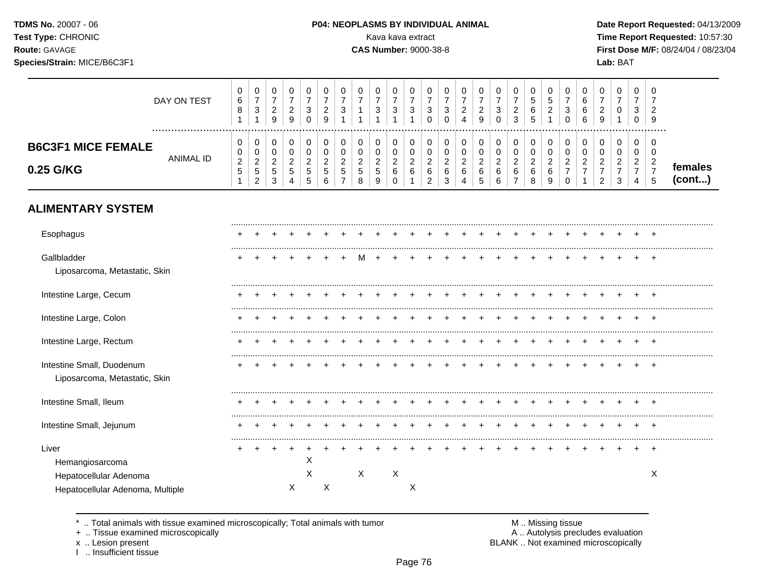#### **Species/Strain:** MICE/B6C3F1 **Lab:** BAT

## **TDMS No.** 20007 - 06 **P04: NEOPLASMS BY INDIVIDUAL ANIMAL** Date Report Requested: 04/13/2009

 $\overline{\phantom{a}}$ 

**Test Type:** CHRONIC Kava kava extract **Time Report Requested:** 10:57:30 **Route:** GAVAGE **CAS Number:** 9000-38-8 **First Dose M/F:** 08/24/04 / 08/23/04

 $\overline{\phantom{a}}$ 

 $\top$  $\overline{\phantom{a}}$  $\overline{\phantom{a}}$  $\top$ 

|                                                            | DAY ON TEST<br>  | 0<br>$\,6$<br>8<br>$\mathbf{1}$               | 0<br>$\overline{7}$<br>$\ensuremath{\mathsf{3}}$                    | 0<br>$\overline{7}$<br>$\overline{c}$<br>9          | $\pmb{0}$<br>$\overline{7}$<br>$\sqrt{2}$<br>9      | 0<br>$\overline{7}$<br>$\sqrt{3}$<br>$\Omega$             | 0<br>$\overline{7}$<br>$\overline{c}$<br>9 | 0<br>$\overline{7}$<br>3<br>$\overline{1}$                | 0<br>$\overline{7}$<br>1           | 0<br>$\overline{7}$<br>3                  | 0<br>$\overline{7}$<br>3                            | 0<br>$\overline{7}$<br>3            | 0<br>$\overline{7}$<br>3<br>$\Omega$         | 0<br>$\overline{7}$<br>3<br>$\Omega$         | 0<br>$\overline{7}$<br>$\overline{2}$<br>4   | 0<br>$\overline{7}$<br>$\overline{\mathbf{c}}$<br>9 | 0<br>$\overline{7}$<br>3<br>$\Omega$      | 0<br>$\overline{7}$<br>$\overline{c}$<br>$\overline{3}$ | 0<br>5<br>6<br>5                                   | 0<br>5<br>$\boldsymbol{2}$                 | 0<br>$\overline{7}$<br>3<br>$\Omega$                             | 0<br>$\,6\,$<br>6<br>6                             | 0<br>$\overline{7}$<br>$\overline{c}$<br>9                             | 0<br>$\overline{7}$<br>0                        | 0<br>$\overline{7}$<br>3<br>0                          | 0<br>$\overline{2}$<br>9                    |                   |
|------------------------------------------------------------|------------------|-----------------------------------------------|---------------------------------------------------------------------|-----------------------------------------------------|-----------------------------------------------------|-----------------------------------------------------------|--------------------------------------------|-----------------------------------------------------------|------------------------------------|-------------------------------------------|-----------------------------------------------------|-------------------------------------|----------------------------------------------|----------------------------------------------|----------------------------------------------|-----------------------------------------------------|-------------------------------------------|---------------------------------------------------------|----------------------------------------------------|--------------------------------------------|------------------------------------------------------------------|----------------------------------------------------|------------------------------------------------------------------------|-------------------------------------------------|--------------------------------------------------------|---------------------------------------------|-------------------|
| <b>B6C3F1 MICE FEMALE</b><br>0.25 G/KG                     | <b>ANIMAL ID</b> | 0<br>0<br>$\overline{c}$<br>5<br>$\mathbf{1}$ | 0<br>$\mathbf 0$<br>$\overline{c}$<br>$\mathbf 5$<br>$\overline{2}$ | 0<br>$\pmb{0}$<br>$\overline{c}$<br>$\sqrt{5}$<br>3 | 0<br>$\pmb{0}$<br>$\overline{c}$<br>$\sqrt{5}$<br>4 | 0<br>$\pmb{0}$<br>$\boldsymbol{2}$<br>$\overline{5}$<br>5 | 0<br>$\pmb{0}$<br>$\overline{c}$<br>5<br>6 | 0<br>$\mathbf 0$<br>$\overline{2}$<br>5<br>$\overline{7}$ | 0<br>0<br>$\overline{2}$<br>5<br>8 | 0<br>$\Omega$<br>$\overline{c}$<br>5<br>9 | 0<br>$\mathsf 0$<br>$\overline{2}$<br>6<br>$\Omega$ | 0<br>$\mathbf 0$<br>$\sqrt{2}$<br>6 | 0<br>$\mathbf 0$<br>$\overline{2}$<br>6<br>2 | 0<br>$\mathbf 0$<br>$\overline{2}$<br>6<br>3 | 0<br>$\mathbf 0$<br>$\overline{2}$<br>6<br>4 | 0<br>$\mathbf 0$<br>$\overline{2}$<br>6<br>5        | 0<br>$\Omega$<br>$\overline{2}$<br>6<br>6 | 0<br>$\mathbf 0$<br>$\overline{2}$<br>6                 | 0<br>$\mathbf 0$<br>$\overline{a}$<br>$\,6\,$<br>8 | 0<br>$\pmb{0}$<br>$\overline{c}$<br>6<br>9 | 0<br>$\mathbf 0$<br>$\overline{2}$<br>$\overline{7}$<br>$\Omega$ | 0<br>$\pmb{0}$<br>$\overline{c}$<br>$\overline{7}$ | 0<br>$\mathbf 0$<br>$\overline{2}$<br>$\overline{7}$<br>$\overline{2}$ | 0<br>0<br>$\overline{2}$<br>$\overline{7}$<br>3 | 0<br>$\Omega$<br>$\overline{2}$<br>$\overline{7}$<br>Δ | 0<br>0<br>$\sqrt{2}$<br>$\overline{7}$<br>5 | females<br>(cont) |
| <b>ALIMENTARY SYSTEM</b>                                   |                  |                                               |                                                                     |                                                     |                                                     |                                                           |                                            |                                                           |                                    |                                           |                                                     |                                     |                                              |                                              |                                              |                                                     |                                           |                                                         |                                                    |                                            |                                                                  |                                                    |                                                                        |                                                 |                                                        |                                             |                   |
| Esophagus                                                  |                  |                                               |                                                                     |                                                     |                                                     |                                                           |                                            |                                                           |                                    |                                           |                                                     |                                     |                                              |                                              |                                              |                                                     |                                           |                                                         |                                                    |                                            |                                                                  |                                                    |                                                                        |                                                 |                                                        |                                             |                   |
| Gallbladder<br>Liposarcoma, Metastatic, Skin               |                  |                                               |                                                                     |                                                     |                                                     |                                                           |                                            |                                                           |                                    |                                           |                                                     |                                     |                                              |                                              |                                              |                                                     |                                           |                                                         |                                                    |                                            |                                                                  |                                                    |                                                                        |                                                 |                                                        |                                             |                   |
| Intestine Large, Cecum                                     |                  |                                               |                                                                     |                                                     |                                                     |                                                           |                                            |                                                           |                                    |                                           |                                                     |                                     |                                              |                                              |                                              |                                                     |                                           |                                                         |                                                    |                                            |                                                                  |                                                    |                                                                        |                                                 |                                                        |                                             |                   |
| Intestine Large, Colon                                     |                  |                                               |                                                                     |                                                     |                                                     |                                                           |                                            |                                                           |                                    |                                           |                                                     |                                     |                                              |                                              |                                              |                                                     |                                           |                                                         |                                                    |                                            |                                                                  |                                                    |                                                                        |                                                 |                                                        |                                             |                   |
| Intestine Large, Rectum                                    |                  |                                               |                                                                     |                                                     |                                                     |                                                           |                                            |                                                           |                                    |                                           |                                                     |                                     |                                              |                                              |                                              |                                                     |                                           |                                                         |                                                    |                                            |                                                                  |                                                    |                                                                        |                                                 |                                                        |                                             |                   |
| Intestine Small, Duodenum<br>Liposarcoma, Metastatic, Skin |                  |                                               |                                                                     |                                                     |                                                     |                                                           |                                            |                                                           |                                    |                                           |                                                     |                                     |                                              |                                              |                                              |                                                     |                                           |                                                         |                                                    |                                            |                                                                  |                                                    |                                                                        |                                                 |                                                        |                                             |                   |
| Intestine Small, Ileum                                     |                  |                                               |                                                                     |                                                     |                                                     |                                                           |                                            |                                                           |                                    |                                           |                                                     |                                     |                                              |                                              |                                              |                                                     |                                           |                                                         |                                                    |                                            |                                                                  |                                                    |                                                                        |                                                 |                                                        |                                             |                   |
| Intestine Small, Jejunum                                   |                  |                                               |                                                                     |                                                     |                                                     |                                                           |                                            |                                                           |                                    |                                           |                                                     |                                     |                                              |                                              |                                              |                                                     |                                           |                                                         |                                                    |                                            |                                                                  |                                                    |                                                                        |                                                 |                                                        | +                                           |                   |
| Liver<br>Hemangiosarcoma<br>Hepatocellular Adenoma         |                  |                                               |                                                                     |                                                     | X                                                   | X<br>$\pmb{\times}$                                       | Χ                                          |                                                           | X                                  |                                           | $\mathsf X$                                         | X                                   |                                              |                                              |                                              |                                                     |                                           |                                                         |                                                    |                                            |                                                                  |                                                    |                                                                        |                                                 |                                                        | $\overline{ }$<br>X                         |                   |
| Hepatocellular Adenoma, Multiple                           |                  |                                               |                                                                     |                                                     |                                                     |                                                           |                                            |                                                           |                                    |                                           |                                                     |                                     |                                              |                                              |                                              |                                                     |                                           |                                                         |                                                    |                                            |                                                                  |                                                    |                                                                        |                                                 |                                                        |                                             |                   |

\* .. Total animals with tissue examined microscopically; Total animals with tumor **M** metal metal M .. Missing tissue<br>
+ .. Tissue examined microscopically by the matric of the matrice of the matrice of the M .. Autolysis

 $\top$  $\overline{\phantom{a}}$ 

+ .. Tissue examined microscopically

x .. Lesion present<br>I .. Insufficient tissue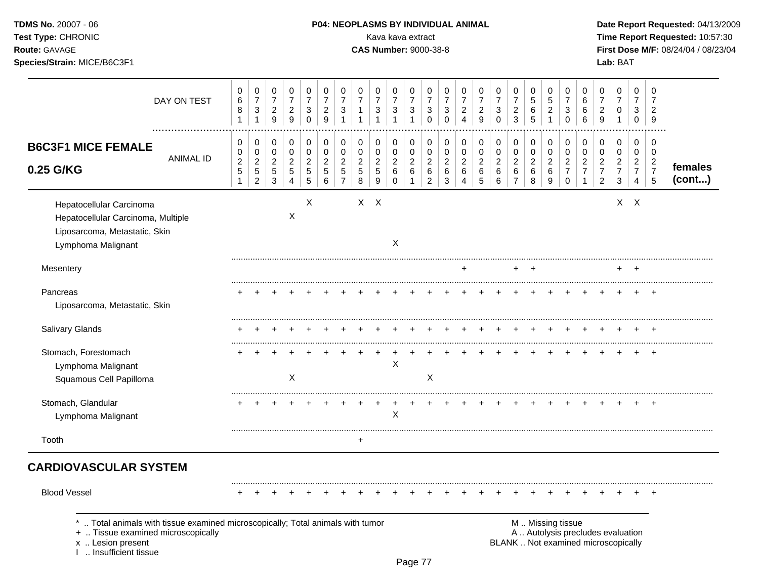| Route: GAVAGE<br>Species/Strain: MICE/B6C3F1                                                                          |                                                                              |                                               |                                                                  |                                            |                                                     |                       |                                              |                                                           |                                    |                          |                                    |                                           | <b>CAS Number: 9000-38-8</b>                     |                                                  |                          |                                    |                                        |                                    |                                    |                                          |                                    |                                                     |                                                                          | Lab: BAT                           |                                                 |                                                 | First Dose M/F: 08/24/04 / 08/23/04 |
|-----------------------------------------------------------------------------------------------------------------------|------------------------------------------------------------------------------|-----------------------------------------------|------------------------------------------------------------------|--------------------------------------------|-----------------------------------------------------|-----------------------|----------------------------------------------|-----------------------------------------------------------|------------------------------------|--------------------------|------------------------------------|-------------------------------------------|--------------------------------------------------|--------------------------------------------------|--------------------------|------------------------------------|----------------------------------------|------------------------------------|------------------------------------|------------------------------------------|------------------------------------|-----------------------------------------------------|--------------------------------------------------------------------------|------------------------------------|-------------------------------------------------|-------------------------------------------------|-------------------------------------|
|                                                                                                                       | DAY ON TEST                                                                  | 0<br>6<br>8<br>$\mathbf{1}$                   | 0<br>$\overline{7}$<br>$\ensuremath{\mathsf{3}}$<br>$\mathbf{1}$ | 0<br>$\overline{7}$<br>$\overline{c}$<br>9 | 0<br>$\overline{7}$<br>$\overline{\mathbf{c}}$<br>9 | 0<br>3<br>$\mathbf 0$ | 0<br>$\overline{7}$<br>$\overline{c}$<br>9   | 0<br>$\overline{7}$<br>$\mathbf{3}$<br>$\mathbf{1}$       | 0<br>7<br>$\mathbf{1}$<br>1        | 0<br>$\overline{7}$<br>3 | 0<br>3                             | $\pmb{0}$<br>$\overline{7}$<br>$\sqrt{3}$ | 0<br>$\overline{7}$<br>$\sqrt{3}$<br>$\mathbf 0$ | 0<br>$\overline{7}$<br>$\sqrt{3}$<br>$\mathbf 0$ | 0<br>$\overline{c}$<br>4 | 0<br>7<br>$\overline{c}$<br>9      | 0<br>7<br>3<br>$\mathbf 0$             | 0<br>$\overline{c}$<br>$\sqrt{3}$  | 0<br>5<br>6<br>$\overline{5}$      | 0<br>5<br>$\overline{c}$<br>$\mathbf{1}$ | 0<br>3<br>$\mathbf 0$              | 0<br>6<br>6<br>6                                    | 0<br>$\boldsymbol{7}$<br>$\overline{\mathbf{c}}$<br>$\boldsymbol{9}$     | 0<br>7<br>0                        | 0<br>7<br>3<br>0                                | 0<br>$\overline{2}$<br>9                        |                                     |
| <b>B6C3F1 MICE FEMALE</b><br>0.25 G/KG                                                                                | <b>ANIMAL ID</b>                                                             | 0<br>0<br>$\overline{c}$<br>5<br>$\mathbf{1}$ | 0<br>0<br>$\overline{c}$<br>$\,$ 5 $\,$<br>$\overline{c}$        | 0<br>0<br>$\overline{a}$<br>5<br>3         | 0<br>$\,0\,$<br>$\overline{c}$<br>5<br>4            | 0<br>0<br>2<br>5<br>5 | 0<br>$\mathbf 0$<br>$\overline{2}$<br>5<br>6 | 0<br>0<br>$\overline{c}$<br>$\mathbf 5$<br>$\overline{7}$ | 0<br>0<br>$\overline{2}$<br>5<br>8 | 0<br>0<br>2<br>5<br>9    | 0<br>0<br>$\overline{2}$<br>6<br>0 | 0<br>$\pmb{0}$<br>$\overline{c}$<br>6     | 0<br>0<br>$\overline{c}$<br>6<br>$\overline{2}$  | 0<br>$\mathbf 0$<br>$\overline{2}$<br>6<br>3     | 0<br>0<br>2<br>6<br>4    | 0<br>0<br>$\overline{2}$<br>6<br>5 | 0<br>0<br>$\overline{c}$<br>$\,6$<br>6 | 0<br>0<br>$\overline{c}$<br>6<br>7 | 0<br>0<br>$\overline{c}$<br>6<br>8 | 0<br>0<br>$\overline{2}$<br>6<br>9       | 0<br>0<br>$\overline{c}$<br>7<br>0 | 0<br>0<br>$\overline{\mathbf{c}}$<br>$\overline{7}$ | 0<br>0<br>$\overline{2}$<br>$\overline{7}$<br>$\overline{a}$             | 0<br>0<br>$\overline{c}$<br>7<br>3 | 0<br>0<br>$\overline{2}$<br>$\overline{7}$<br>4 | 0<br>0<br>$\overline{2}$<br>$\overline{7}$<br>5 | females<br>(cont)                   |
| Hepatocellular Carcinoma<br>Hepatocellular Carcinoma, Multiple<br>Liposarcoma, Metastatic, Skin<br>Lymphoma Malignant |                                                                              |                                               |                                                                  |                                            | X                                                   | X                     |                                              |                                                           |                                    | X X                      | Χ                                  |                                           |                                                  |                                                  |                          |                                    |                                        |                                    |                                    |                                          |                                    |                                                     |                                                                          |                                    | $X$ $X$                                         |                                                 |                                     |
| Mesentery                                                                                                             |                                                                              |                                               |                                                                  |                                            |                                                     |                       |                                              |                                                           |                                    |                          |                                    |                                           |                                                  |                                                  | ÷                        |                                    |                                        | +                                  | $\overline{+}$                     |                                          |                                    |                                                     |                                                                          |                                    | $\pm$                                           |                                                 |                                     |
| Pancreas<br>Liposarcoma, Metastatic, Skin                                                                             |                                                                              |                                               |                                                                  |                                            |                                                     |                       |                                              |                                                           |                                    |                          |                                    |                                           |                                                  |                                                  |                          |                                    |                                        |                                    |                                    |                                          |                                    |                                                     |                                                                          |                                    |                                                 |                                                 |                                     |
| Salivary Glands                                                                                                       |                                                                              |                                               |                                                                  |                                            |                                                     |                       |                                              |                                                           |                                    |                          |                                    |                                           |                                                  |                                                  |                          |                                    |                                        |                                    |                                    |                                          |                                    |                                                     |                                                                          |                                    |                                                 |                                                 |                                     |
| Stomach, Forestomach<br>Lymphoma Malignant<br>Squamous Cell Papilloma                                                 |                                                                              |                                               |                                                                  |                                            | Χ                                                   |                       |                                              |                                                           |                                    | +                        | $\pmb{\times}$                     |                                           | Χ                                                |                                                  |                          |                                    |                                        |                                    |                                    |                                          |                                    |                                                     |                                                                          |                                    |                                                 |                                                 |                                     |
| Stomach, Glandular<br>Lymphoma Malignant                                                                              |                                                                              |                                               |                                                                  |                                            |                                                     |                       |                                              |                                                           |                                    |                          | X                                  |                                           |                                                  |                                                  |                          |                                    |                                        |                                    |                                    |                                          |                                    |                                                     |                                                                          |                                    |                                                 |                                                 |                                     |
| Tooth                                                                                                                 |                                                                              |                                               |                                                                  |                                            |                                                     |                       |                                              |                                                           | $\ddot{}$                          |                          |                                    |                                           |                                                  |                                                  |                          |                                    |                                        |                                    |                                    |                                          |                                    |                                                     |                                                                          |                                    |                                                 |                                                 |                                     |
| <b>CARDIOVASCULAR SYSTEM</b>                                                                                          |                                                                              |                                               |                                                                  |                                            |                                                     |                       |                                              |                                                           |                                    |                          |                                    |                                           |                                                  |                                                  |                          |                                    |                                        |                                    |                                    |                                          |                                    |                                                     |                                                                          |                                    |                                                 |                                                 |                                     |
| <b>Blood Vessel</b>                                                                                                   |                                                                              |                                               |                                                                  |                                            |                                                     |                       |                                              |                                                           |                                    |                          |                                    |                                           | $+$                                              |                                                  | $\pm$                    |                                    | $\pm$                                  |                                    |                                    |                                          |                                    |                                                     |                                                                          |                                    |                                                 | ÷                                               |                                     |
| +  Tissue examined microscopically<br>x  Lesion present<br>Insufficient tissue                                        | Total animals with tissue examined microscopically; Total animals with tumor |                                               |                                                                  |                                            |                                                     |                       |                                              |                                                           |                                    |                          |                                    |                                           |                                                  |                                                  |                          |                                    |                                        |                                    | M  Missing tissue                  |                                          |                                    |                                                     | A  Autolysis precludes evaluation<br>BLANK  Not examined microscopically |                                    |                                                 |                                                 |                                     |

**TDMS No.** 20007 - 06 **P04: NEOPLASMS BY INDIVIDUAL ANIMAL** Date Report Requested: 04/13/2009 **Test Type:** CHRONIC **Transfer CHRONIC Report Requested:** 10:57:30

## Page 77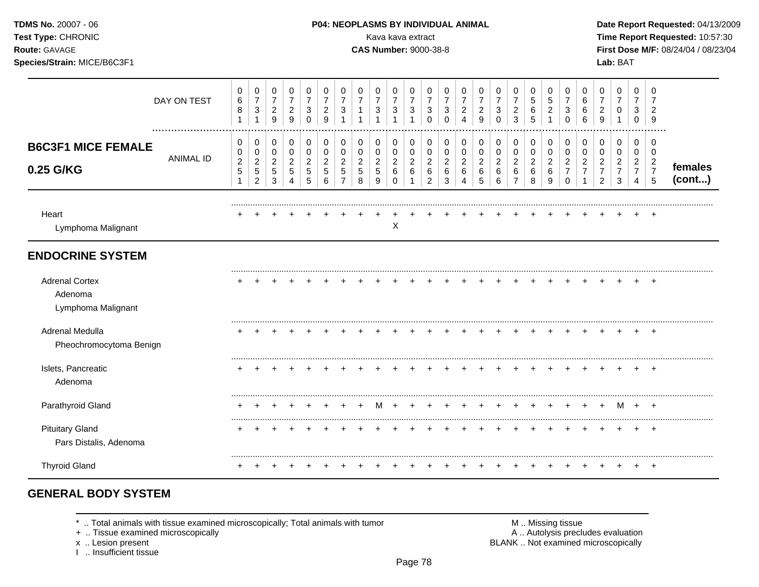| <b>FDMS No.</b> 20007 - 06 |  |
|----------------------------|--|
| Fest Type: CHRONIC         |  |
| <b>Route:</b> GAVAGE       |  |

Kava kava extract **Time Report Requested:** 10:57:30 **Route:** GAVAGE **CAS Number:** 9000-38-8 **First Dose M/F:** 08/24/04 / 08/23/04 **Species/Strain:** MICE/B6C3F1 **Lab:** BAT

|                                                        | DAY ON TEST      | 0<br>6<br>8<br>$\mathbf{1}$             | 0<br>$\overline{7}$<br>$\mathbf{3}$<br>$\mathbf{1}$              | 0<br>$\overline{7}$<br>$\overline{a}$<br>9          | 0<br>$\overline{7}$<br>$\overline{c}$<br>$\boldsymbol{9}$ | 0<br>7<br>$\mathbf{3}$<br>$\Omega$             | 0<br>7<br>$\overline{c}$<br>9        | 0<br>7<br>3                                    | 0<br>$\overline{7}$                | 0<br>$\overline{7}$<br>$\mathbf{3}$                 | 0<br>$\overline{7}$<br>$\mathbf{3}$<br>1                    | 0<br>$\overline{7}$<br>3<br>1              | 0<br>$\overline{7}$<br>$\sqrt{3}$<br>$\mathbf 0$            | 0<br>$\overline{7}$<br>3<br>$\Omega$ | 0<br>7<br>$\overline{c}$<br>$\overline{4}$   | 0<br>$\overline{7}$<br>$\overline{c}$<br>9 | 0<br>$\overline{7}$<br>$\ensuremath{\mathsf{3}}$<br>$\mathbf 0$ | 0<br>$\boldsymbol{7}$<br>$\overline{c}$<br>3                    | 0<br>$\mathbf 5$<br>$\,6$<br>5             | 0<br>5<br>$\overline{2}$                       | 0<br>$\overline{7}$<br>3<br>$\Omega$                             | 0<br>6<br>6<br>6                                     | 0<br>7<br>$\overline{2}$<br>9                   | 0<br>$\overline{7}$<br>0                        | 0<br>7<br>3<br>0                                                    | 0<br>$\overline{7}$<br>$\overline{c}$<br>9<br>.                    |                   |
|--------------------------------------------------------|------------------|-----------------------------------------|------------------------------------------------------------------|-----------------------------------------------------|-----------------------------------------------------------|------------------------------------------------|--------------------------------------|------------------------------------------------|------------------------------------|-----------------------------------------------------|-------------------------------------------------------------|--------------------------------------------|-------------------------------------------------------------|--------------------------------------|----------------------------------------------|--------------------------------------------|-----------------------------------------------------------------|-----------------------------------------------------------------|--------------------------------------------|------------------------------------------------|------------------------------------------------------------------|------------------------------------------------------|-------------------------------------------------|-------------------------------------------------|---------------------------------------------------------------------|--------------------------------------------------------------------|-------------------|
| <b>B6C3F1 MICE FEMALE</b><br>0.25 G/KG                 | <b>ANIMAL ID</b> | 0<br>0<br>$\sqrt{2}$<br>$\sqrt{5}$<br>1 | 0<br>$\pmb{0}$<br>$\overline{c}$<br>$\sqrt{5}$<br>$\overline{2}$ | 0<br>$\pmb{0}$<br>$\overline{c}$<br>$\sqrt{5}$<br>3 | $\mathbf 0$<br>$\pmb{0}$<br>$\overline{c}$<br>5<br>4      | $\pmb{0}$<br>$\pmb{0}$<br>$\sqrt{2}$<br>5<br>5 | 0<br>0<br>$\boldsymbol{2}$<br>5<br>6 | 0<br>$\pmb{0}$<br>$\overline{c}$<br>$\sqrt{5}$ | 0<br>0<br>$\overline{2}$<br>5<br>8 | 0<br>$\pmb{0}$<br>$\overline{c}$<br>$\sqrt{5}$<br>9 | $\pmb{0}$<br>$\pmb{0}$<br>$\boldsymbol{2}$<br>6<br>$\Omega$ | 0<br>$\pmb{0}$<br>$\overline{c}$<br>6<br>1 | $\pmb{0}$<br>$\pmb{0}$<br>$\sqrt{2}$<br>6<br>$\overline{2}$ | 0<br>0<br>$\boldsymbol{2}$<br>6<br>3 | 0<br>$\pmb{0}$<br>$\boldsymbol{2}$<br>6<br>4 | 0<br>$\pmb{0}$<br>$\overline{c}$<br>6<br>5 | 0<br>$\pmb{0}$<br>$\overline{c}$<br>6<br>6                      | $\pmb{0}$<br>$\pmb{0}$<br>$\overline{c}$<br>6<br>$\overline{7}$ | 0<br>$\pmb{0}$<br>$\overline{c}$<br>6<br>8 | $\pmb{0}$<br>$\pmb{0}$<br>$\sqrt{2}$<br>6<br>9 | 0<br>$\pmb{0}$<br>$\boldsymbol{2}$<br>$\overline{7}$<br>$\Omega$ | 0<br>$\mathbf 0$<br>$\overline{c}$<br>$\overline{7}$ | 0<br>0<br>$\overline{c}$<br>$\overline{7}$<br>2 | 0<br>0<br>$\overline{c}$<br>$\overline{7}$<br>3 | $\mathbf 0$<br>$\mathbf 0$<br>$\overline{c}$<br>$\overline{7}$<br>4 | 0<br>$\mathbf 0$<br>$\overline{\mathbf{c}}$<br>$\overline{7}$<br>5 | females<br>(cont) |
| Heart<br>Lymphoma Malignant                            |                  |                                         |                                                                  |                                                     |                                                           |                                                |                                      |                                                |                                    |                                                     | X                                                           |                                            |                                                             |                                      |                                              |                                            |                                                                 |                                                                 |                                            |                                                |                                                                  |                                                      |                                                 |                                                 |                                                                     | $\pm$                                                              |                   |
| <b>ENDOCRINE SYSTEM</b>                                |                  |                                         |                                                                  |                                                     |                                                           |                                                |                                      |                                                |                                    |                                                     |                                                             |                                            |                                                             |                                      |                                              |                                            |                                                                 |                                                                 |                                            |                                                |                                                                  |                                                      |                                                 |                                                 |                                                                     |                                                                    |                   |
| <b>Adrenal Cortex</b><br>Adenoma<br>Lymphoma Malignant |                  |                                         |                                                                  |                                                     |                                                           |                                                |                                      |                                                |                                    |                                                     |                                                             |                                            |                                                             |                                      |                                              |                                            |                                                                 |                                                                 |                                            |                                                |                                                                  |                                                      |                                                 |                                                 |                                                                     | $\div$                                                             |                   |
| Adrenal Medulla<br>Pheochromocytoma Benign             |                  |                                         |                                                                  |                                                     |                                                           |                                                |                                      |                                                |                                    |                                                     |                                                             |                                            |                                                             |                                      |                                              |                                            |                                                                 |                                                                 |                                            |                                                |                                                                  |                                                      |                                                 |                                                 |                                                                     | $\div$                                                             |                   |
| Islets, Pancreatic<br>Adenoma                          |                  |                                         |                                                                  |                                                     |                                                           |                                                |                                      |                                                |                                    |                                                     |                                                             |                                            |                                                             |                                      |                                              |                                            |                                                                 |                                                                 |                                            |                                                |                                                                  |                                                      |                                                 |                                                 |                                                                     | $\pm$                                                              |                   |
| Parathyroid Gland                                      |                  |                                         |                                                                  |                                                     |                                                           |                                                |                                      |                                                |                                    | M                                                   |                                                             |                                            |                                                             |                                      |                                              |                                            |                                                                 |                                                                 |                                            |                                                |                                                                  |                                                      |                                                 | M                                               | $^{+}$                                                              | $\pm$                                                              |                   |
| <b>Pituitary Gland</b><br>Pars Distalis, Adenoma       |                  |                                         |                                                                  |                                                     |                                                           |                                                |                                      |                                                |                                    |                                                     |                                                             |                                            |                                                             |                                      |                                              |                                            |                                                                 |                                                                 |                                            |                                                |                                                                  |                                                      |                                                 |                                                 | $\ddot{}$                                                           | $\overline{+}$                                                     |                   |
| <b>Thyroid Gland</b>                                   |                  |                                         |                                                                  |                                                     |                                                           |                                                |                                      |                                                |                                    |                                                     |                                                             |                                            |                                                             |                                      |                                              |                                            |                                                                 |                                                                 |                                            |                                                |                                                                  |                                                      |                                                 |                                                 |                                                                     | $\div$                                                             |                   |

# **GENERAL BODY SYSTEM**

 $^*$  .. Total animals with tissue examined microscopically; Total animals with tumor  $\blacksquare$  M .. Missing tissue

x .. Lesion present<br>I .. Insufficient tissue

+ .. Tissue examined microscopically  $\blacksquare$  A .. Autolysis precludes evaluation M .. Missing tissue<br>A .. Autolysis precludes evaluation<br>BLANK .. Not examined microscopically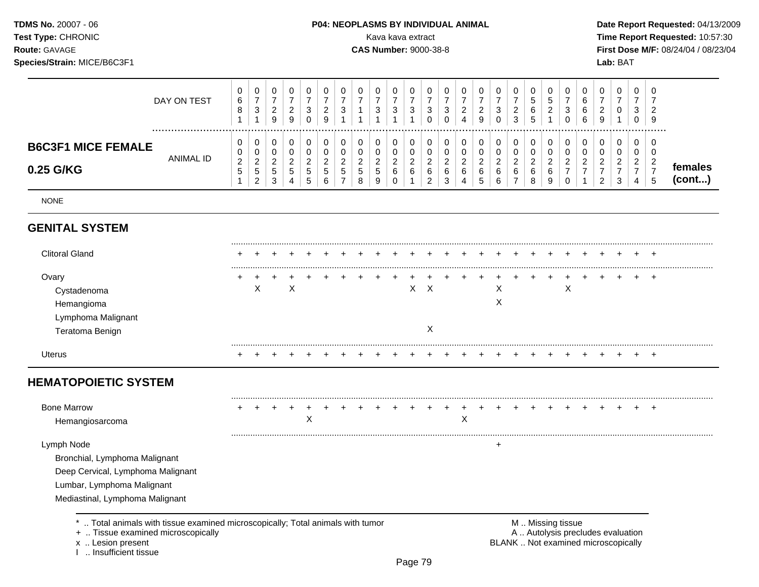| <b>TDMS No. 20007 - 06</b> |  |
|----------------------------|--|
| <b>Test Type: CHRONIC</b>  |  |
| <b>Route: GAVAGE</b>       |  |

#### **Species/Strain:** MICE/B6C3F1 **Lab:** BAT

Kava kava extract **Time Report Requested:** 10:57:30 **CAS Number:** 9000-38-8 **First Dose M/F:** 08/24/04 / 08/23/04

|                                                                                                                                                   | DAY ON TEST      | 0<br>$\,6$<br>8<br>1          | 0<br>$\boldsymbol{7}$<br>3<br>1                           | 0<br>$\boldsymbol{7}$<br>$\overline{2}$<br>9  | 0<br>$\overline{7}$<br>$\sqrt{2}$<br>9                           | 0<br>$\overline{7}$<br>3<br>$\Omega$         | 0<br>$\overline{7}$<br>$\overline{c}$<br>9 | 0<br>$\overline{7}$<br>3 | 0<br>$\overline{7}$<br>-1                  | 0<br>$\overline{7}$<br>3<br>$\overline{1}$  | 0<br>$\boldsymbol{7}$<br>3<br>1                      | 0<br>$\overline{7}$<br>3<br>1 | 0<br>7<br>3<br>0                   | 0<br>$\overline{7}$<br>3<br>0      | 0<br>$\overline{7}$<br>$\overline{c}$<br>4 | 0<br>$\overline{7}$<br>$\overline{c}$<br>9 | 0<br>$\overline{7}$<br>3<br>$\Omega$ | 0<br>$\overline{7}$<br>$\overline{c}$<br>3      | 0<br>5<br>6<br>5                           | 0<br>5<br>$\overline{2}$<br>1 | 0<br>7<br>3<br>$\Omega$      | 0<br>6<br>6<br>6                                | 0<br>$\overline{7}$<br>$\overline{2}$<br>9      | $\pmb{0}$<br>$\overline{7}$<br>0<br>1           | 0<br>$\overline{7}$<br>3<br>0                   | 0<br>$\overline{7}$<br>$\overline{c}$<br>9      |                   |
|---------------------------------------------------------------------------------------------------------------------------------------------------|------------------|-------------------------------|-----------------------------------------------------------|-----------------------------------------------|------------------------------------------------------------------|----------------------------------------------|--------------------------------------------|--------------------------|--------------------------------------------|---------------------------------------------|------------------------------------------------------|-------------------------------|------------------------------------|------------------------------------|--------------------------------------------|--------------------------------------------|--------------------------------------|-------------------------------------------------|--------------------------------------------|-------------------------------|------------------------------|-------------------------------------------------|-------------------------------------------------|-------------------------------------------------|-------------------------------------------------|-------------------------------------------------|-------------------|
| <b>B6C3F1 MICE FEMALE</b><br>0.25 G/KG                                                                                                            | <b>ANIMAL ID</b> | 0<br>0<br>$\overline{c}$<br>5 | 0<br>0<br>$\overline{c}$<br>$\,$ 5 $\,$<br>$\overline{c}$ | 0<br>0<br>$\overline{c}$<br>5<br>$\mathbf{3}$ | $\mathbf 0$<br>$\mathbf 0$<br>$\overline{c}$<br>$\,$ 5 $\,$<br>4 | 0<br>$\mathbf 0$<br>$\overline{2}$<br>5<br>5 | 0<br>$\mathbf 0$<br>2<br>5<br>6            | 0<br>0<br>5              | 0<br>$\pmb{0}$<br>$\overline{2}$<br>5<br>8 | 0<br>0<br>$\overline{2}$<br>$\sqrt{5}$<br>9 | 0<br>$\mathbf 0$<br>$\overline{c}$<br>6<br>$\pmb{0}$ | 0<br>0<br>2<br>6<br>1         | 0<br>0<br>2<br>6<br>$\overline{c}$ | 0<br>0<br>$\overline{c}$<br>6<br>3 | 0<br>0<br>$\overline{2}$<br>6<br>Δ         | 0<br>0<br>$\overline{a}$<br>$\,6$<br>5     | 0<br>0<br>$\overline{2}$<br>6<br>6   | 0<br>0<br>$\overline{c}$<br>6<br>$\overline{7}$ | 0<br>$\pmb{0}$<br>$\overline{c}$<br>6<br>8 | 0<br>0<br>2<br>6<br>9         | 0<br>0<br>2<br>7<br>$\Omega$ | 0<br>0<br>$\overline{2}$<br>$\overline{7}$<br>1 | 0<br>0<br>$\overline{2}$<br>7<br>$\overline{2}$ | 0<br>0<br>$\overline{a}$<br>$\overline{7}$<br>3 | 0<br>0<br>$\overline{2}$<br>$\overline{7}$<br>4 | 0<br>0<br>$\overline{a}$<br>$\overline{7}$<br>5 | females<br>(cont) |
| <b>NONE</b>                                                                                                                                       |                  |                               |                                                           |                                               |                                                                  |                                              |                                            |                          |                                            |                                             |                                                      |                               |                                    |                                    |                                            |                                            |                                      |                                                 |                                            |                               |                              |                                                 |                                                 |                                                 |                                                 |                                                 |                   |
| <b>GENITAL SYSTEM</b>                                                                                                                             |                  |                               |                                                           |                                               |                                                                  |                                              |                                            |                          |                                            |                                             |                                                      |                               |                                    |                                    |                                            |                                            |                                      |                                                 |                                            |                               |                              |                                                 |                                                 |                                                 |                                                 |                                                 |                   |
| <b>Clitoral Gland</b>                                                                                                                             |                  |                               |                                                           |                                               |                                                                  |                                              |                                            |                          |                                            |                                             |                                                      |                               |                                    |                                    |                                            |                                            |                                      |                                                 |                                            |                               |                              |                                                 |                                                 |                                                 |                                                 |                                                 |                   |
| Ovary<br>Cystadenoma<br>Hemangioma<br>Lymphoma Malignant<br>Teratoma Benign                                                                       |                  |                               | Χ                                                         |                                               | $\boldsymbol{\mathsf{X}}$                                        |                                              |                                            |                          |                                            |                                             |                                                      | $\pmb{\times}$                | $\boldsymbol{\mathsf{X}}$<br>X     |                                    |                                            |                                            | $\mathsf X$<br>X                     |                                                 |                                            |                               | X                            |                                                 |                                                 |                                                 |                                                 |                                                 |                   |
| <b>Uterus</b>                                                                                                                                     |                  |                               |                                                           |                                               |                                                                  |                                              |                                            |                          |                                            |                                             |                                                      |                               |                                    |                                    |                                            |                                            |                                      |                                                 |                                            |                               |                              |                                                 |                                                 |                                                 |                                                 |                                                 |                   |
| <b>HEMATOPOIETIC SYSTEM</b>                                                                                                                       |                  |                               |                                                           |                                               |                                                                  |                                              |                                            |                          |                                            |                                             |                                                      |                               |                                    |                                    |                                            |                                            |                                      |                                                 |                                            |                               |                              |                                                 |                                                 |                                                 |                                                 |                                                 |                   |
| <b>Bone Marrow</b><br>Hemangiosarcoma                                                                                                             |                  |                               | ٠                                                         | $\ddot{}$                                     | $\overline{ }$                                                   | $\div$<br>Χ                                  |                                            |                          |                                            |                                             |                                                      |                               |                                    |                                    | Χ                                          |                                            |                                      |                                                 |                                            |                               |                              |                                                 |                                                 |                                                 |                                                 | $^{+}$                                          |                   |
| Lymph Node<br>Bronchial, Lymphoma Malignant<br>Deep Cervical, Lymphoma Malignant<br>Lumbar, Lymphoma Malignant<br>Mediastinal, Lymphoma Malignant |                  |                               |                                                           |                                               |                                                                  |                                              |                                            |                          |                                            |                                             |                                                      |                               |                                    |                                    |                                            |                                            | +                                    |                                                 |                                            |                               |                              |                                                 |                                                 |                                                 |                                                 |                                                 |                   |

+ .. Tissue examined microscopically

x .. Lesion present<br>I .. Insufficient tissue

.. Total animals with tissue examined microscopically; Total animals with tumor **Machinal and M .. Missing tissue**<br>A .. Autolysis precludes evaluation .. And Microscopically and the scopically; Total animals with tumor of BLANK .. Not examined microscopically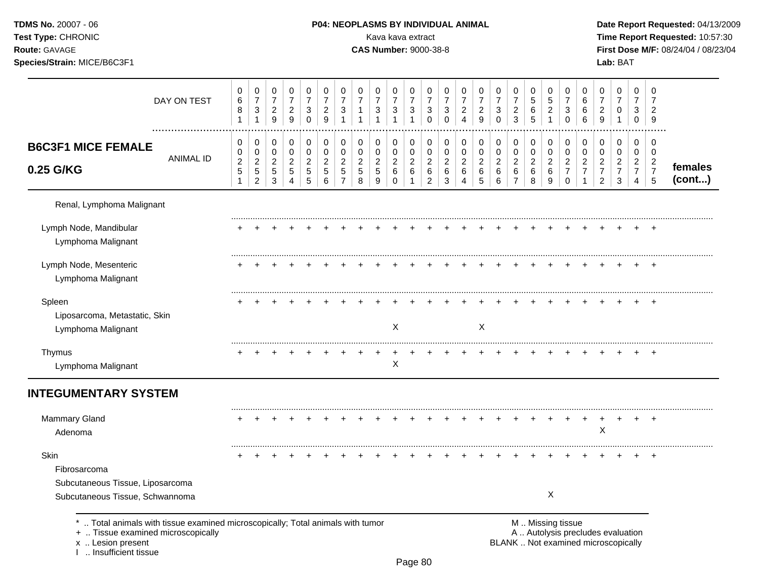| <b>TDMS No. 20007 - 06</b><br>Test Type: CHRONIC<br>Route: GAVAGE<br>Species/Strain: MICE/B6C3F1 |                      |                                         |                                                 |                                                           |                                                              |                                                                 |                                                      |                               |                                                   | <b>P04: NEOPLASMS BY INDIVIDUAL ANIMAL</b><br>Kava kava extract<br><b>CAS Number: 9000-38-8</b> |                                                     |                                                   |                                                                 |                                                              |                                                               |                                              |                                                                                         |                                              |                                         |                                                            |                                      |                              | Lab: BAT                                              |                                                                 |                                             |                                                       | Date Report Requested: 04/13/2009<br>Time Report Requested: 10:57:30<br>First Dose M/F: 08/24/04 / 08/23/04 |
|--------------------------------------------------------------------------------------------------|----------------------|-----------------------------------------|-------------------------------------------------|-----------------------------------------------------------|--------------------------------------------------------------|-----------------------------------------------------------------|------------------------------------------------------|-------------------------------|---------------------------------------------------|-------------------------------------------------------------------------------------------------|-----------------------------------------------------|---------------------------------------------------|-----------------------------------------------------------------|--------------------------------------------------------------|---------------------------------------------------------------|----------------------------------------------|-----------------------------------------------------------------------------------------|----------------------------------------------|-----------------------------------------|------------------------------------------------------------|--------------------------------------|------------------------------|-------------------------------------------------------|-----------------------------------------------------------------|---------------------------------------------|-------------------------------------------------------|-------------------------------------------------------------------------------------------------------------|
|                                                                                                  | DAY ON TEST          | 0<br>6<br>8<br>$\mathbf{1}$             | 0<br>$\overline{7}$<br>3                        | 0<br>$\overline{7}$<br>$\overline{c}$<br>$\boldsymbol{9}$ | 0<br>$\overline{7}$<br>$\boldsymbol{2}$<br>$\boldsymbol{9}$  | 0<br>$\overline{7}$<br>$\ensuremath{\mathsf{3}}$<br>$\mathbf 0$ | 0<br>$\overline{7}$<br>$\boldsymbol{2}$<br>9         | 0<br>$\overline{7}$<br>3      | 0<br>$\overline{7}$<br>$\overline{1}$             | $\mathbf 0$<br>$\overline{7}$<br>$\ensuremath{\mathsf{3}}$                                      | 0<br>$\overline{7}$<br>$\ensuremath{\mathsf{3}}$    | 0<br>$\overline{7}$<br>$\ensuremath{\mathsf{3}}$  | 0<br>$\overline{7}$<br>$\ensuremath{\mathsf{3}}$<br>$\mathbf 0$ | 0<br>$\overline{7}$<br>$\ensuremath{\mathsf{3}}$<br>$\Omega$ | $\mathbf 0$<br>$\overline{7}$<br>$\sqrt{2}$<br>$\overline{4}$ | 0<br>$\overline{7}$<br>$\boldsymbol{2}$<br>9 | $\boldsymbol{0}$<br>$\overline{\mathbf{7}}$<br>$\ensuremath{\mathsf{3}}$<br>$\mathbf 0$ | 0<br>$\overline{7}$<br>$\boldsymbol{2}$<br>3 | $\pmb{0}$<br>$\sqrt{5}$<br>$\,6\,$<br>5 | $\pmb{0}$<br>$\,$ 5 $\,$<br>$\sqrt{2}$                     | 0<br>$\overline{7}$<br>3<br>$\Omega$ | 0<br>$\,6\,$<br>$\,6\,$<br>6 | 0<br>$\overline{7}$<br>$\sqrt{2}$<br>$\boldsymbol{9}$ | $\pmb{0}$<br>$\overline{7}$<br>0                                | 0<br>$\overline{7}$<br>3<br>$\mathbf 0$     | 0<br>$\overline{7}$<br>2<br>9                         |                                                                                                             |
| <b>B6C3F1 MICE FEMALE</b><br>0.25 G/KG                                                           | <br><b>ANIMAL ID</b> | 0<br>0<br>$\overline{c}$<br>$\,$ 5 $\,$ | 0<br>0<br>$\overline{c}$<br>5<br>$\overline{c}$ | 0<br>$\mathbf 0$<br>$\overline{2}$<br>$\sqrt{5}$<br>3     | 0<br>$\mathbf 0$<br>$\overline{2}$<br>$\sqrt{5}$<br>$\Delta$ | 0<br>$\pmb{0}$<br>$\boldsymbol{2}$<br>$\mathbf 5$<br>5          | 0<br>$\pmb{0}$<br>$\overline{2}$<br>$\mathbf 5$<br>6 | 0<br>0<br>$\overline{2}$<br>5 | 0<br>$\mathsf 0$<br>$\sqrt{2}$<br>$\sqrt{5}$<br>8 | $\pmb{0}$<br>$\pmb{0}$<br>$\boldsymbol{2}$<br>$\sqrt{5}$<br>9                                   | 0<br>$\pmb{0}$<br>$\boldsymbol{2}$<br>6<br>$\Omega$ | $\pmb{0}$<br>$\pmb{0}$<br>$\overline{c}$<br>$\,6$ | 0<br>$\pmb{0}$<br>$\boldsymbol{2}$<br>6<br>$\overline{c}$       | 0<br>$\mathbf 0$<br>$\sqrt{2}$<br>6<br>3                     | 0<br>0<br>$\overline{2}$<br>$\,6$<br>Δ                        | 0<br>$\pmb{0}$<br>$\overline{c}$<br>6<br>5   | $\pmb{0}$<br>$\pmb{0}$<br>$\sqrt{2}$<br>$\,6$<br>6                                      | 0<br>$\mathbf 0$<br>$\overline{2}$<br>6      | 0<br>$\pmb{0}$<br>$\sqrt{2}$<br>6<br>8  | $\pmb{0}$<br>$\mathsf 0$<br>$\overline{2}$<br>$\,6\,$<br>9 | 0<br>0<br>$\overline{c}$<br>$\Omega$ | 0<br>0<br>$\overline{c}$     | 0<br>$\pmb{0}$<br>$\boldsymbol{2}$<br>$\overline{2}$  | $\pmb{0}$<br>$\pmb{0}$<br>$\overline{2}$<br>$\overline{7}$<br>3 | 0<br>0<br>$\sqrt{2}$<br>$\overline{7}$<br>4 | 0<br>$\mathbf 0$<br>$\sqrt{2}$<br>$\overline{7}$<br>5 | females<br>(cont)                                                                                           |
| Renal, Lymphoma Malignant                                                                        |                      |                                         |                                                 |                                                           |                                                              |                                                                 |                                                      |                               |                                                   |                                                                                                 |                                                     |                                                   |                                                                 |                                                              |                                                               |                                              |                                                                                         |                                              |                                         |                                                            |                                      |                              |                                                       |                                                                 |                                             |                                                       |                                                                                                             |
| Lymph Node, Mandibular<br>Lymphoma Malignant                                                     |                      |                                         |                                                 |                                                           |                                                              |                                                                 |                                                      |                               |                                                   |                                                                                                 |                                                     |                                                   |                                                                 |                                                              |                                                               |                                              |                                                                                         |                                              |                                         |                                                            |                                      |                              |                                                       |                                                                 |                                             | $^+$                                                  |                                                                                                             |
| Lymph Node, Mesenteric<br>Lymphoma Malignant                                                     |                      |                                         |                                                 |                                                           |                                                              |                                                                 |                                                      |                               |                                                   |                                                                                                 |                                                     |                                                   |                                                                 |                                                              |                                                               |                                              |                                                                                         |                                              |                                         |                                                            |                                      |                              |                                                       |                                                                 |                                             | +                                                     |                                                                                                             |
| Spleen<br>Liposarcoma, Metastatic, Skin<br>Lymphoma Malignant                                    |                      |                                         |                                                 |                                                           |                                                              |                                                                 |                                                      |                               |                                                   |                                                                                                 | X                                                   |                                                   |                                                                 |                                                              |                                                               | X                                            |                                                                                         |                                              |                                         |                                                            |                                      |                              |                                                       |                                                                 |                                             |                                                       |                                                                                                             |
| Thymus<br>Lymphoma Malignant                                                                     |                      |                                         |                                                 |                                                           |                                                              |                                                                 |                                                      |                               |                                                   |                                                                                                 | X                                                   |                                                   |                                                                 |                                                              |                                                               |                                              |                                                                                         |                                              |                                         |                                                            |                                      |                              |                                                       |                                                                 |                                             | +                                                     |                                                                                                             |

# **INTEGUMENTARY SYSTEM**

| <b>Mammary Gland</b><br>Adenoma                                                                                    |  |  |  |  |  |  |  |  |  |   |                   |  |                                   |  |  |  |
|--------------------------------------------------------------------------------------------------------------------|--|--|--|--|--|--|--|--|--|---|-------------------|--|-----------------------------------|--|--|--|
| Skin                                                                                                               |  |  |  |  |  |  |  |  |  |   |                   |  |                                   |  |  |  |
| Fibrosarcoma<br>Subcutaneous Tissue, Liposarcoma                                                                   |  |  |  |  |  |  |  |  |  |   |                   |  |                                   |  |  |  |
| Subcutaneous Tissue, Schwannoma                                                                                    |  |  |  |  |  |  |  |  |  | ⌒ |                   |  |                                   |  |  |  |
| Total animals with tissue examined microscopically; Total animals with tumor<br>+  Tissue examined microscopically |  |  |  |  |  |  |  |  |  |   | M  Missing tissue |  | A  Autolysis precludes evaluation |  |  |  |

x .. Lesion present<br>I .. Insufficient tissue

BLANK .. Not examined microscopically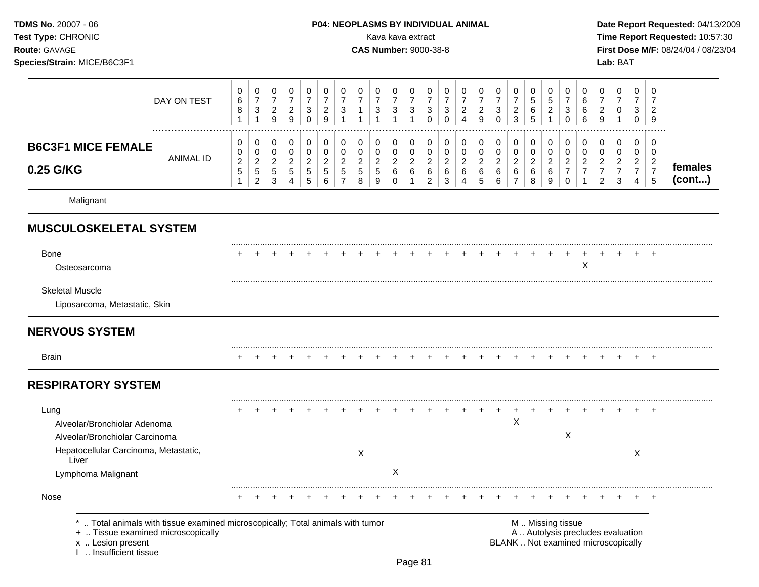| <b>TDMS No. 20007 - 06</b><br>Test Type: CHRONIC<br>Route: GAVAGE<br>Species/Strain: MICE/B6C3F1                                           |                  |                                        |                               |                                                  |                                                                    |                                         |                                            |                                                 |                               |                               |                                                  | Kava kava extract<br><b>CAS Number: 9000-38-8</b> |                                         |                               | P04: NEOPLASMS BY INDIVIDUAL ANIMAL                     |                                                |                                         |                               |                                                  |                                       |                                                    |                                        |                                                                          | Lab: BAT                                   |                                            |                                            | Date Report Requested: 04/13/2009<br>Time Report Requested: 10:57:30<br>First Dose M/F: 08/24/04 / 08/23/04 |
|--------------------------------------------------------------------------------------------------------------------------------------------|------------------|----------------------------------------|-------------------------------|--------------------------------------------------|--------------------------------------------------------------------|-----------------------------------------|--------------------------------------------|-------------------------------------------------|-------------------------------|-------------------------------|--------------------------------------------------|---------------------------------------------------|-----------------------------------------|-------------------------------|---------------------------------------------------------|------------------------------------------------|-----------------------------------------|-------------------------------|--------------------------------------------------|---------------------------------------|----------------------------------------------------|----------------------------------------|--------------------------------------------------------------------------|--------------------------------------------|--------------------------------------------|--------------------------------------------|-------------------------------------------------------------------------------------------------------------|
|                                                                                                                                            | DAY ON TEST      | 0<br>6<br>8<br>$\mathbf{1}$            | 0<br>$\boldsymbol{7}$<br>3    | 0<br>$\boldsymbol{7}$<br>$\overline{c}$<br>9     | 0<br>$\overline{7}$<br>$\overline{\mathbf{c}}$<br>$\boldsymbol{9}$ | 0<br>$\overline{7}$<br>3<br>$\mathbf 0$ | 0<br>$\overline{7}$<br>$\overline{c}$<br>9 | 0<br>$\boldsymbol{7}$<br>3<br>$\mathbf{1}$      | 0<br>$\overline{7}$<br>1      | 0<br>7<br>3                   | 0<br>$\overline{7}$<br>$\ensuremath{\mathsf{3}}$ | 0<br>$\boldsymbol{7}$<br>3<br>$\mathbf{1}$        | 0<br>$\overline{7}$<br>3<br>$\mathbf 0$ | 0<br>7<br>3<br>$\mathbf 0$    | 0<br>$\overline{7}$<br>$\overline{c}$<br>$\overline{4}$ | 0<br>$\overline{7}$<br>$\overline{c}$<br>$9\,$ | 0<br>$\overline{7}$<br>3<br>$\mathbf 0$ | 0<br>7<br>2<br>3              | 0<br>5<br>6<br>5                                 | 0<br>5<br>$\overline{c}$              | 0<br>$\boldsymbol{7}$<br>$\sqrt{3}$<br>0           | 0<br>6<br>6<br>6                       | 0<br>7<br>2<br>9                                                         | 0<br>$\overline{7}$<br>0                   | 0<br>$\overline{7}$<br>3<br>0              | 0<br>7<br>$\overline{c}$<br>9              |                                                                                                             |
| <b>B6C3F1 MICE FEMALE</b><br>0.25 G/KG                                                                                                     | <b>ANIMAL ID</b> | 0<br>0<br>$\overline{\mathbf{c}}$<br>5 | 0<br>0<br>$\overline{c}$<br>5 | 0<br>$\mathbf 0$<br>$\overline{c}$<br>$\sqrt{5}$ | 0<br>0<br>$\overline{\mathbf{c}}$<br>5                             | 0<br>0<br>$\overline{\mathbf{c}}$<br>5  | 0<br>$\pmb{0}$<br>$\overline{2}$<br>5      | 0<br>$\pmb{0}$<br>$\overline{c}$<br>$\mathbf 5$ | 0<br>0<br>$\overline{c}$<br>5 | 0<br>0<br>$\overline{a}$<br>5 | 0<br>$\mathsf 0$<br>$\overline{c}$<br>$\,6$      | 0<br>$\mathbf 0$<br>$\overline{a}$<br>6           | 0<br>$\mathbf 0$<br>$\overline{c}$<br>6 | 0<br>0<br>$\overline{a}$<br>6 | 0<br>0<br>$\overline{c}$<br>6                           | 0<br>$\pmb{0}$<br>$\overline{c}$<br>6          | 0<br>0<br>$\overline{c}$<br>6           | 0<br>0<br>$\overline{c}$<br>6 | 0<br>$\mathbf 0$<br>$\overline{\mathbf{c}}$<br>6 | 0<br>$\pmb{0}$<br>$\overline{c}$<br>6 | 0<br>$\pmb{0}$<br>$\overline{c}$<br>$\overline{7}$ | 0<br>0<br>$\overline{\mathbf{c}}$<br>7 | 0<br>0<br>2<br>7                                                         | 0<br>0<br>$\overline{2}$<br>$\overline{7}$ | 0<br>0<br>$\overline{a}$<br>$\overline{7}$ | 0<br>0<br>$\overline{c}$<br>$\overline{7}$ | females                                                                                                     |
| Malignant                                                                                                                                  |                  | 1                                      | $\overline{c}$                | 3                                                | 4                                                                  | 5                                       | 6                                          | $\overline{7}$                                  | 8                             | 9                             | $\mathbf 0$                                      | $\overline{1}$                                    | $\overline{2}$                          | 3                             | 4                                                       | 5                                              | 6                                       | $\overline{7}$                | 8                                                | 9                                     | $\mathbf 0$                                        |                                        | $\overline{2}$                                                           | 3                                          | 4                                          | 5                                          | (cont)                                                                                                      |
| <b>MUSCULOSKELETAL SYSTEM</b>                                                                                                              |                  |                                        |                               |                                                  |                                                                    |                                         |                                            |                                                 |                               |                               |                                                  |                                                   |                                         |                               |                                                         |                                                |                                         |                               |                                                  |                                       |                                                    |                                        |                                                                          |                                            |                                            |                                            |                                                                                                             |
| Bone<br>Osteosarcoma                                                                                                                       |                  |                                        |                               |                                                  |                                                                    |                                         |                                            |                                                 |                               |                               |                                                  |                                                   |                                         |                               |                                                         |                                                |                                         |                               |                                                  |                                       |                                                    | $\ddot{}$<br>X                         |                                                                          |                                            |                                            |                                            |                                                                                                             |
| <b>Skeletal Muscle</b><br>Liposarcoma, Metastatic, Skin                                                                                    |                  |                                        |                               |                                                  |                                                                    |                                         |                                            |                                                 |                               |                               |                                                  |                                                   |                                         |                               |                                                         |                                                |                                         |                               |                                                  |                                       |                                                    |                                        |                                                                          |                                            |                                            |                                            |                                                                                                             |
| <b>NERVOUS SYSTEM</b>                                                                                                                      |                  |                                        |                               |                                                  |                                                                    |                                         |                                            |                                                 |                               |                               |                                                  |                                                   |                                         |                               |                                                         |                                                |                                         |                               |                                                  |                                       |                                                    |                                        |                                                                          |                                            |                                            |                                            |                                                                                                             |
| <b>Brain</b>                                                                                                                               |                  |                                        |                               |                                                  |                                                                    |                                         |                                            |                                                 |                               |                               |                                                  |                                                   |                                         |                               |                                                         |                                                |                                         |                               |                                                  |                                       |                                                    |                                        |                                                                          |                                            |                                            |                                            |                                                                                                             |
| <b>RESPIRATORY SYSTEM</b>                                                                                                                  |                  |                                        |                               |                                                  |                                                                    |                                         |                                            |                                                 |                               |                               |                                                  |                                                   |                                         |                               |                                                         |                                                |                                         |                               |                                                  |                                       |                                                    |                                        |                                                                          |                                            |                                            |                                            |                                                                                                             |
| Lung<br>Alveolar/Bronchiolar Adenoma<br>Alveolar/Bronchiolar Carcinoma                                                                     |                  |                                        |                               |                                                  |                                                                    |                                         |                                            |                                                 |                               |                               |                                                  |                                                   |                                         |                               |                                                         |                                                |                                         | X                             |                                                  |                                       | X                                                  |                                        |                                                                          |                                            |                                            | $\ddot{}$                                  |                                                                                                             |
| Hepatocellular Carcinoma, Metastatic,<br>Liver<br>Lymphoma Malignant                                                                       |                  |                                        |                               |                                                  |                                                                    |                                         |                                            |                                                 | X                             |                               | X                                                |                                                   |                                         |                               |                                                         |                                                |                                         |                               |                                                  |                                       |                                                    |                                        |                                                                          |                                            | X                                          |                                            |                                                                                                             |
| Nose                                                                                                                                       |                  |                                        |                               |                                                  |                                                                    |                                         |                                            |                                                 |                               |                               |                                                  |                                                   |                                         |                               |                                                         |                                                |                                         |                               |                                                  |                                       |                                                    |                                        |                                                                          |                                            |                                            |                                            |                                                                                                             |
| *  Total animals with tissue examined microscopically; Total animals with tumor<br>+  Tissue examined microscopically<br>x  Lesion present |                  |                                        |                               |                                                  |                                                                    |                                         |                                            |                                                 |                               |                               |                                                  |                                                   |                                         |                               |                                                         |                                                |                                         |                               |                                                  | M  Missing tissue                     |                                                    |                                        | A  Autolysis precludes evaluation<br>BLANK  Not examined microscopically |                                            |                                            |                                            |                                                                                                             |

x .. Lesion present<br>I .. Insufficient tissue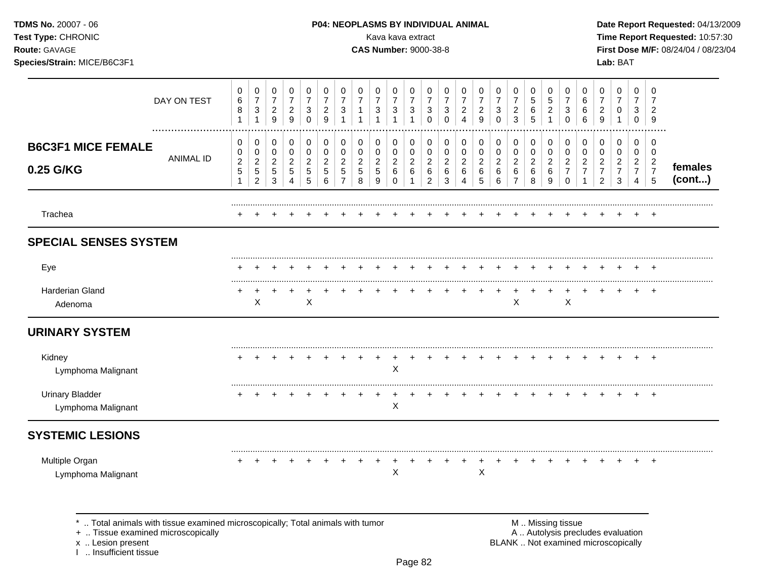| <b>TDMS No. 20007 - 06</b>  |
|-----------------------------|
| <b>Test Type: CHRONIC</b>   |
| <b>Route: GAVAGE</b>        |
| Species/Strain: MICE/B6C3F1 |
|                             |
|                             |

#### P04: NEOPLASMS BY INDIVIDUAL ANIMAL

Kava kava extract

**CAS Number: 9000-38-8** 

Date Report Requested: 04/13/2009 Time Report Requested: 10:57:30 First Dose M/F: 08/24/04 / 08/23/04 Lab: BAT

|                                                         | DAY ON TEST                                                                  | 0<br>6<br>8<br>$\mathbf{1}$          | 0<br>$\overline{7}$<br>3<br>$\mathbf{1}$                  | $\pmb{0}$<br>$\overline{7}$<br>$\overline{c}$<br>9 | $\mathbf 0$<br>$\overline{7}$<br>$\overline{2}$<br>9   | 0<br>$\overline{7}$<br>3<br>$\Omega$ | 0<br>$\overline{7}$<br>$\overline{c}$<br>9 | 0<br>$\overline{7}$<br>$\ensuremath{\mathsf{3}}$<br>$\overline{1}$ | $\pmb{0}$<br>$\overline{7}$<br>$\mathbf{1}$<br>$\overline{1}$ | $\pmb{0}$<br>$\overline{7}$<br>$\sqrt{3}$<br>$\overline{1}$ | 0<br>$\overline{7}$<br>$\sqrt{3}$<br>$\mathbf{1}$ | 0<br>$\overline{7}$<br>$\mathbf{3}$<br>1 | 0<br>$\overline{7}$<br>3<br>$\Omega$            | 0<br>$\overline{7}$<br>3<br>$\Omega$ | 0<br>$\overline{7}$<br>$\overline{2}$<br>$\boldsymbol{\Lambda}$ | 0<br>$\overline{7}$<br>$\overline{c}$<br>9 | $\pmb{0}$<br>$\overline{7}$<br>$\mathbf 3$<br>$\Omega$ | 0<br>$\overline{7}$<br>$\overline{c}$<br>3                | 0<br>5<br>6<br>5                           | $\mathbf 0$<br>5<br>$\overline{c}$<br>$\overline{1}$   | 0<br>$\overline{7}$<br>3<br>$\Omega$                             | $\,0\,$<br>6<br>6<br>6                               | $\pmb{0}$<br>$\overline{7}$<br>$\overline{c}$<br>9                 | $\pmb{0}$<br>$\overline{7}$<br>0<br>$\mathbf{1}$ | $\mathbf 0$<br>$\overline{7}$<br>3<br>$\mathbf 0$         | 0<br>$\overline{7}$<br>2<br>9                                             |                   |
|---------------------------------------------------------|------------------------------------------------------------------------------|--------------------------------------|-----------------------------------------------------------|----------------------------------------------------|--------------------------------------------------------|--------------------------------------|--------------------------------------------|--------------------------------------------------------------------|---------------------------------------------------------------|-------------------------------------------------------------|---------------------------------------------------|------------------------------------------|-------------------------------------------------|--------------------------------------|-----------------------------------------------------------------|--------------------------------------------|--------------------------------------------------------|-----------------------------------------------------------|--------------------------------------------|--------------------------------------------------------|------------------------------------------------------------------|------------------------------------------------------|--------------------------------------------------------------------|--------------------------------------------------|-----------------------------------------------------------|---------------------------------------------------------------------------|-------------------|
| <b>B6C3F1 MICE FEMALE</b><br>0.25 G/KG                  | <b>ANIMAL ID</b>                                                             | 0<br>0<br>$\boldsymbol{2}$<br>5<br>1 | 0<br>0<br>$\overline{2}$<br>$\,$ 5 $\,$<br>$\overline{c}$ | 0<br>0<br>$\overline{a}$<br>5<br>3                 | $\mathbf 0$<br>$\mathbf 0$<br>$\overline{2}$<br>5<br>4 | 0<br>$\mathbf 0$<br>2<br>5<br>5      | 0<br>0<br>$\overline{2}$<br>5<br>6         | 0<br>0<br>$\overline{c}$<br>5<br>$\overline{7}$                    | $\pmb{0}$<br>0<br>$\overline{c}$<br>5<br>8                    | 0<br>$\mathbf 0$<br>$\sqrt{2}$<br>$\,$ 5 $\,$<br>9          | 0<br>0<br>$\overline{2}$<br>6<br>$\Omega$         | 0<br>0<br>$\overline{c}$<br>6            | 0<br>0<br>$\overline{2}$<br>6<br>$\overline{2}$ | 0<br>0<br>$\overline{c}$<br>6<br>3   | 0<br>0<br>$\overline{2}$<br>6<br>$\boldsymbol{\Lambda}$         | 0<br>0<br>$\overline{2}$<br>6<br>5         | 0<br>$\mathbf 0$<br>$\sqrt{2}$<br>6<br>6               | 0<br>$\mathbf 0$<br>$\overline{c}$<br>6<br>$\overline{7}$ | 0<br>$\pmb{0}$<br>$\overline{c}$<br>6<br>8 | 0<br>0<br>$\overline{c}$<br>6<br>9                     | 0<br>$\mathbf 0$<br>$\overline{c}$<br>$\overline{7}$<br>$\Omega$ | 0<br>$\mathbf 0$<br>$\overline{c}$<br>$\overline{7}$ | 0<br>$\mathbf 0$<br>$\sqrt{2}$<br>$\overline{7}$<br>$\overline{c}$ | 0<br>0<br>$\overline{a}$<br>$\overline{7}$<br>3  | 0<br>$\mathbf 0$<br>$\overline{2}$<br>$\overline{7}$<br>4 | $\overline{0}$<br>$\overline{0}$<br>$\overline{2}$<br>$\overline{7}$<br>5 | females<br>(cont) |
| Trachea                                                 |                                                                              |                                      |                                                           |                                                    |                                                        |                                      |                                            |                                                                    |                                                               |                                                             |                                                   |                                          |                                                 |                                      |                                                                 |                                            |                                                        |                                                           |                                            |                                                        |                                                                  |                                                      |                                                                    |                                                  |                                                           |                                                                           |                   |
| <b>SPECIAL SENSES SYSTEM</b>                            |                                                                              |                                      |                                                           |                                                    |                                                        |                                      |                                            |                                                                    |                                                               |                                                             |                                                   |                                          |                                                 |                                      |                                                                 |                                            |                                                        |                                                           |                                            |                                                        |                                                                  |                                                      |                                                                    |                                                  |                                                           |                                                                           |                   |
| Eye                                                     |                                                                              |                                      |                                                           |                                                    |                                                        |                                      |                                            |                                                                    |                                                               |                                                             |                                                   |                                          |                                                 |                                      |                                                                 |                                            |                                                        |                                                           |                                            |                                                        |                                                                  |                                                      |                                                                    |                                                  |                                                           |                                                                           |                   |
| Harderian Gland<br>Adenoma                              |                                                                              |                                      | $\div$<br>X                                               |                                                    |                                                        | X                                    |                                            |                                                                    |                                                               |                                                             |                                                   |                                          |                                                 |                                      |                                                                 |                                            | $\ddot{}$                                              | X                                                         |                                            |                                                        | X                                                                |                                                      | $\div$                                                             |                                                  | $\div$                                                    | $\pm$                                                                     |                   |
| <b>URINARY SYSTEM</b>                                   |                                                                              |                                      |                                                           |                                                    |                                                        |                                      |                                            |                                                                    |                                                               |                                                             |                                                   |                                          |                                                 |                                      |                                                                 |                                            |                                                        |                                                           |                                            |                                                        |                                                                  |                                                      |                                                                    |                                                  |                                                           |                                                                           |                   |
| Kidney<br>Lymphoma Malignant                            |                                                                              |                                      |                                                           |                                                    |                                                        |                                      |                                            |                                                                    |                                                               |                                                             | X                                                 |                                          |                                                 |                                      |                                                                 |                                            |                                                        |                                                           |                                            |                                                        |                                                                  |                                                      |                                                                    |                                                  |                                                           | $\pm$                                                                     |                   |
| <b>Urinary Bladder</b><br>Lymphoma Malignant            |                                                                              |                                      |                                                           |                                                    |                                                        |                                      |                                            |                                                                    |                                                               |                                                             | X                                                 |                                          |                                                 |                                      |                                                                 |                                            |                                                        |                                                           |                                            |                                                        |                                                                  |                                                      |                                                                    |                                                  | $\div$                                                    | $^{+}$                                                                    |                   |
| <b>SYSTEMIC LESIONS</b>                                 |                                                                              |                                      |                                                           |                                                    |                                                        |                                      |                                            |                                                                    |                                                               |                                                             |                                                   |                                          |                                                 |                                      |                                                                 |                                            |                                                        |                                                           |                                            |                                                        |                                                                  |                                                      |                                                                    |                                                  |                                                           |                                                                           |                   |
| Multiple Organ<br>Lymphoma Malignant                    |                                                                              |                                      |                                                           |                                                    |                                                        |                                      |                                            |                                                                    |                                                               |                                                             | X                                                 |                                          |                                                 |                                      |                                                                 | X                                          | $\ddot{}$                                              |                                                           |                                            |                                                        |                                                                  |                                                      |                                                                    |                                                  |                                                           |                                                                           |                   |
| +  Tissue examined microscopically<br>x  Lesion present | Total animals with tissue examined microscopically; Total animals with tumor |                                      |                                                           |                                                    |                                                        |                                      |                                            |                                                                    |                                                               |                                                             |                                                   |                                          |                                                 |                                      |                                                                 |                                            |                                                        | BLANK  Not examined microscopically                       |                                            | M  Missing tissue<br>A  Autolysis precludes evaluation |                                                                  |                                                      |                                                                    |                                                  |                                                           |                                                                           |                   |

Page 82

x .. Lesion present<br>I .. Insufficient tissue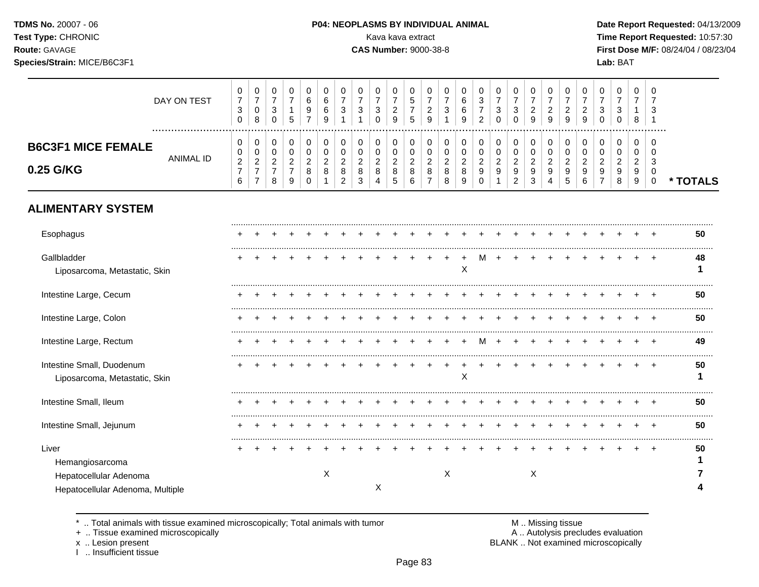**Test Type:** CHRONIC **TEST CHRONIC Test Type:** CHRONIC **Time Report Requested:** 10:57:30 **Route:** GAVAGE **CAS Number:** 9000-38-8 **First Dose M/F:** 08/24/04 / 08/23/04 **Species/Strain:** MICE/B6C3F1 **Lab:** BAT

#### DAY ON TEST  $\overline{7}$   $\overline{7}$   $\overline{7}$   $\overline{7}$   $\overline{7}$   $\overline{7}$   $\overline{7}$   $\overline{7}$   $\overline{7}$   $\bar{7}$   $\overline{7}$   $\overline{7}$   $\overline{7}$  ................................................................................................................................................................. **B6C3F1 MICE FEMALE** ANIMAL ID **0.25 G/KG \* TOTALS**

## **ALIMENTARY SYSTEM**

| Esophagus                        |  |  |   |  |   |  |   |   |  |   |  |  |  | 50 |
|----------------------------------|--|--|---|--|---|--|---|---|--|---|--|--|--|----|
| Gallbladder                      |  |  |   |  |   |  |   |   |  |   |  |  |  | 48 |
| Liposarcoma, Metastatic, Skin    |  |  |   |  |   |  |   | х |  |   |  |  |  |    |
| Intestine Large, Cecum           |  |  |   |  |   |  |   |   |  |   |  |  |  | 50 |
| Intestine Large, Colon           |  |  |   |  |   |  |   |   |  |   |  |  |  | 50 |
| Intestine Large, Rectum          |  |  |   |  |   |  |   |   |  |   |  |  |  | 49 |
| Intestine Small, Duodenum        |  |  |   |  |   |  |   |   |  |   |  |  |  | 50 |
| Liposarcoma, Metastatic, Skin    |  |  |   |  |   |  |   | х |  |   |  |  |  |    |
| Intestine Small, Ileum           |  |  |   |  |   |  |   |   |  |   |  |  |  | 50 |
| Intestine Small, Jejunum         |  |  |   |  |   |  |   |   |  |   |  |  |  | 50 |
| Liver                            |  |  |   |  |   |  |   |   |  |   |  |  |  | 50 |
| Hemangiosarcoma                  |  |  |   |  |   |  |   |   |  |   |  |  |  |    |
| Hepatocellular Adenoma           |  |  | X |  | Х |  | X |   |  | X |  |  |  |    |
| Hepatocellular Adenoma, Multiple |  |  |   |  |   |  |   |   |  |   |  |  |  |    |

\* .. Total animals with tissue examined microscopically; Total animals with tumor  $\blacksquare$  M .. Missing tissue<br>A .. Autolysis precting the microscopically

I .. Insufficient tissue

A .. Autolysis precludes evaluation

x .. Lesion present **BLANK** .. Not examined microscopically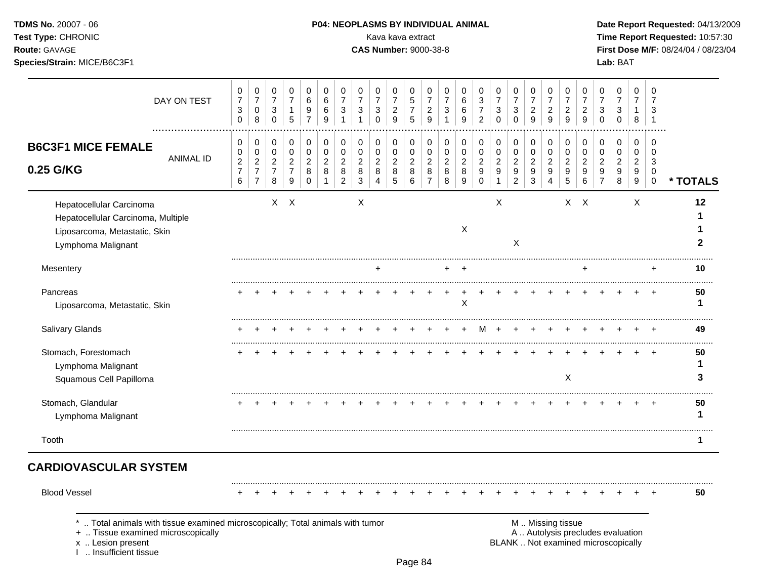**Test Type:** CHRONIC **Transfer CHRONIC** Kava **Report Requested:** 10:57:30 **Route:** GAVAGE **CAS Number:** 9000-38-8 **First Dose M/F:** 08/24/04 / 08/23/04 **Species/Strain:** MICE/B6C3F1 **Lab:** BAT

|                                                                                                                       | DAY ON TEST                                                                  | 0<br>$\overline{7}$<br>$\ensuremath{\mathsf{3}}$<br>$\pmb{0}$     | 0<br>$\overline{7}$<br>$\mathbf 0$<br>8                              | 0<br>$\overline{7}$<br>3<br>$\mathbf 0$                             | 0<br>$\overline{7}$<br>$\mathbf 1$<br>$\overline{5}$                  | $\mathbf 0$<br>6<br>9<br>$\overline{7}$             | 0<br>6<br>6<br>9                                     | 0<br>$\overline{7}$<br>3<br>1                                       | 0<br>$\overline{7}$<br>3<br>$\mathbf{1}$                | 0<br>$\overline{7}$<br>3<br>$\mathbf 0$      | 0<br>$\overline{7}$<br>$\overline{c}$<br>$9\,$               | 0<br>$\sqrt{5}$<br>$\overline{7}$<br>5               | 0<br>$\overline{7}$<br>$\overline{c}$<br>9                          | 0<br>$\overline{7}$<br>3<br>1                          | 0<br>6<br>6<br>9                             | 0<br>$\mathbf{3}$<br>$\overline{7}$<br>$\overline{c}$  | 0<br>$\overline{7}$<br>3<br>$\mathbf 0$               | $\mathbf 0$<br>$\overline{7}$<br>3<br>$\mathbf 0$                   | 0<br>$\overline{7}$<br>$\overline{c}$<br>9           | 0<br>$\overline{7}$<br>$\overline{c}$<br>9                          | 0<br>$\overline{7}$<br>$\overline{c}$<br>9   | 0<br>$\overline{7}$<br>$\overline{c}$<br>$\boldsymbol{9}$ | 0<br>$\overline{7}$<br>$\mathbf{3}$<br>$\mathbf 0$                       | 0<br>$\overline{7}$<br>3<br>0                | $\Omega$<br>$\overline{7}$<br>1<br>8                | $\mathbf 0$<br>$\overline{7}$<br>3<br>$\overline{1}$ |                   |
|-----------------------------------------------------------------------------------------------------------------------|------------------------------------------------------------------------------|-------------------------------------------------------------------|----------------------------------------------------------------------|---------------------------------------------------------------------|-----------------------------------------------------------------------|-----------------------------------------------------|------------------------------------------------------|---------------------------------------------------------------------|---------------------------------------------------------|----------------------------------------------|--------------------------------------------------------------|------------------------------------------------------|---------------------------------------------------------------------|--------------------------------------------------------|----------------------------------------------|--------------------------------------------------------|-------------------------------------------------------|---------------------------------------------------------------------|------------------------------------------------------|---------------------------------------------------------------------|----------------------------------------------|-----------------------------------------------------------|--------------------------------------------------------------------------|----------------------------------------------|-----------------------------------------------------|------------------------------------------------------|-------------------|
| <b>B6C3F1 MICE FEMALE</b><br>0.25 G/KG                                                                                | <b>ANIMAL ID</b>                                                             | $\pmb{0}$<br>$\pmb{0}$<br>$\overline{2}$<br>$\boldsymbol{7}$<br>6 | 0<br>$\pmb{0}$<br>$\overline{2}$<br>$\overline{7}$<br>$\overline{7}$ | $\mathbf 0$<br>$\mathsf 0$<br>$\overline{2}$<br>$\overline{7}$<br>8 | $\mathbf 0$<br>$\mathbf 0$<br>$\boldsymbol{2}$<br>$\overline{7}$<br>9 | $\mathbf 0$<br>$\mathbf 0$<br>2<br>8<br>$\mathbf 0$ | $\pmb{0}$<br>0<br>$\overline{2}$<br>8<br>$\mathbf 1$ | $\mathbf 0$<br>$\mathbf 0$<br>$\overline{2}$<br>8<br>$\overline{2}$ | 0<br>$\mathbf 0$<br>$\overline{2}$<br>8<br>$\mathbf{3}$ | 0<br>$\mathbf 0$<br>$\overline{2}$<br>8<br>4 | 0<br>$\mathbf 0$<br>$\boldsymbol{2}$<br>8<br>$5\phantom{.0}$ | $\mathbf 0$<br>$\pmb{0}$<br>$\overline{2}$<br>8<br>6 | $\mathbf 0$<br>$\mathbf 0$<br>$\overline{2}$<br>8<br>$\overline{7}$ | $\mathbf 0$<br>$\mathbf 0$<br>$\overline{2}$<br>8<br>8 | 0<br>$\mathbf 0$<br>$\overline{c}$<br>8<br>9 | 0<br>$\mathbf 0$<br>$\overline{2}$<br>9<br>$\mathbf 0$ | 0<br>$\pmb{0}$<br>$\overline{a}$<br>9<br>$\mathbf{1}$ | $\mathbf 0$<br>$\mathbf 0$<br>$\sqrt{2}$<br>$9\,$<br>$\overline{2}$ | $\mathbf 0$<br>$\pmb{0}$<br>$\overline{2}$<br>9<br>3 | $\mathbf 0$<br>$\mathbf 0$<br>$\overline{2}$<br>9<br>$\overline{4}$ | 0<br>$\mathbf 0$<br>$\overline{2}$<br>9<br>5 | 0<br>$\mathbf 0$<br>$\overline{2}$<br>9<br>$\,6\,$        | 0<br>$\mathbf 0$<br>$\overline{c}$<br>$\boldsymbol{9}$<br>$\overline{7}$ | 0<br>$\mathbf 0$<br>$\overline{c}$<br>9<br>8 | $\Omega$<br>$\mathbf 0$<br>$\overline{2}$<br>9<br>9 | $\Omega$<br>$\Omega$<br>3<br>0<br>$\mathbf 0$        | * TOTALS          |
| Hepatocellular Carcinoma<br>Hepatocellular Carcinoma, Multiple<br>Liposarcoma, Metastatic, Skin<br>Lymphoma Malignant |                                                                              |                                                                   |                                                                      |                                                                     | $X$ $X$                                                               |                                                     |                                                      |                                                                     | X                                                       |                                              |                                                              |                                                      |                                                                     |                                                        | X                                            |                                                        | X                                                     | X                                                                   |                                                      |                                                                     |                                              | $X$ $X$                                                   |                                                                          |                                              | X                                                   |                                                      | 12<br>$\mathbf 2$ |
| Mesentery                                                                                                             |                                                                              |                                                                   |                                                                      |                                                                     |                                                                       |                                                     |                                                      |                                                                     |                                                         | $\pm$                                        |                                                              |                                                      |                                                                     | ÷                                                      |                                              |                                                        |                                                       |                                                                     |                                                      |                                                                     |                                              | ÷                                                         |                                                                          |                                              |                                                     | ÷                                                    | 10                |
| Pancreas<br>Liposarcoma, Metastatic, Skin                                                                             |                                                                              |                                                                   |                                                                      |                                                                     |                                                                       |                                                     |                                                      |                                                                     |                                                         |                                              |                                                              |                                                      |                                                                     |                                                        | X                                            |                                                        |                                                       |                                                                     |                                                      |                                                                     |                                              |                                                           |                                                                          |                                              |                                                     |                                                      | 50<br>1           |
| Salivary Glands                                                                                                       |                                                                              |                                                                   |                                                                      |                                                                     |                                                                       |                                                     |                                                      |                                                                     |                                                         |                                              |                                                              |                                                      |                                                                     |                                                        |                                              | M                                                      |                                                       |                                                                     |                                                      |                                                                     |                                              |                                                           |                                                                          |                                              |                                                     |                                                      | 49                |
| Stomach, Forestomach<br>Lymphoma Malignant<br>Squamous Cell Papilloma                                                 |                                                                              |                                                                   |                                                                      |                                                                     |                                                                       |                                                     |                                                      |                                                                     |                                                         |                                              |                                                              |                                                      |                                                                     |                                                        |                                              |                                                        |                                                       |                                                                     |                                                      |                                                                     | $\mathsf X$                                  |                                                           |                                                                          |                                              |                                                     |                                                      | 50<br>1<br>3      |
| Stomach, Glandular<br>Lymphoma Malignant                                                                              |                                                                              |                                                                   |                                                                      |                                                                     |                                                                       |                                                     |                                                      |                                                                     |                                                         |                                              |                                                              |                                                      |                                                                     |                                                        |                                              |                                                        |                                                       |                                                                     |                                                      |                                                                     |                                              |                                                           |                                                                          |                                              |                                                     |                                                      | 50<br>1           |
| Tooth                                                                                                                 |                                                                              |                                                                   |                                                                      |                                                                     |                                                                       |                                                     |                                                      |                                                                     |                                                         |                                              |                                                              |                                                      |                                                                     |                                                        |                                              |                                                        |                                                       |                                                                     |                                                      |                                                                     |                                              |                                                           |                                                                          |                                              |                                                     |                                                      | 1                 |
| <b>CARDIOVASCULAR SYSTEM</b>                                                                                          |                                                                              |                                                                   |                                                                      |                                                                     |                                                                       |                                                     |                                                      |                                                                     |                                                         |                                              |                                                              |                                                      |                                                                     |                                                        |                                              |                                                        |                                                       |                                                                     |                                                      |                                                                     |                                              |                                                           |                                                                          |                                              |                                                     |                                                      |                   |
| <b>Blood Vessel</b>                                                                                                   |                                                                              |                                                                   |                                                                      |                                                                     |                                                                       |                                                     |                                                      |                                                                     |                                                         |                                              |                                                              |                                                      |                                                                     |                                                        |                                              |                                                        |                                                       |                                                                     |                                                      |                                                                     |                                              |                                                           |                                                                          |                                              |                                                     |                                                      | 50                |
| +  Tissue examined microscopically<br>x  Lesion present<br>I  Insufficient tissue                                     | Total animals with tissue examined microscopically; Total animals with tumor |                                                                   |                                                                      |                                                                     |                                                                       |                                                     |                                                      |                                                                     |                                                         |                                              |                                                              |                                                      |                                                                     |                                                        |                                              |                                                        |                                                       |                                                                     |                                                      | M  Missing tissue                                                   |                                              |                                                           | A  Autolysis precludes evaluation<br>BLANK  Not examined microscopically |                                              |                                                     |                                                      |                   |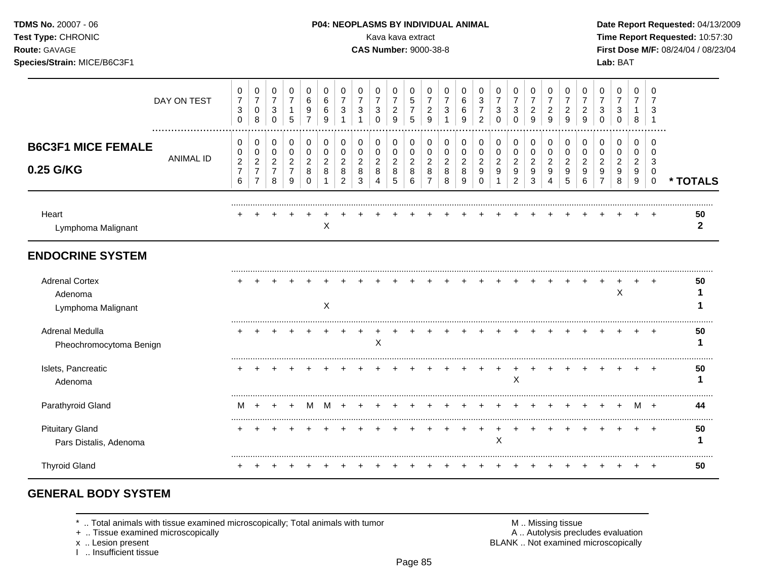| <b>TDMS No. 20007 - 06</b> |  |
|----------------------------|--|
| <b>Test Type: CHRONIC</b>  |  |

**Transfer CHRONIC** CHRONIC CONSERVITED MANUSIC REPORTS A REPORT RESERVED A REPORT RESERVED A REPORT REQUESTED: 10:57:30 **Route:** GAVAGE **CAS Number:** 9000-38-8 **First Dose M/F:** 08/24/04 / 08/23/04 **Species/Strain:** MICE/B6C3F1 **Lab:** BAT

|                                                        | DAY ON TEST      | 0<br>$\overline{7}$<br>$\sqrt{3}$<br>$\pmb{0}$ | 0<br>$\overline{7}$<br>$\mathbf 0$<br>8                      | 0<br>$\boldsymbol{7}$<br>$\mathbf{3}$<br>$\mathbf 0$           | 0<br>$\boldsymbol{7}$<br>1<br>5                                   | 0<br>$\,6$<br>9<br>$\overline{7}$                 | 0<br>6<br>6<br>9                                | 0<br>$\overline{7}$<br>3           | 0<br>$\overline{7}$<br>3 | 0<br>$\overline{7}$<br>3<br>$\Omega$ | 0<br>$\overline{7}$<br>$\overline{2}$<br>9 | 0<br>$\mathbf 5$<br>7<br>5                     | 0<br>$\overline{7}$<br>$\overline{c}$<br>$\boldsymbol{9}$ | 0<br>$\overline{7}$<br>3           | 0<br>6<br>6<br>9                     | 0<br>3<br>2                                       | 0<br>$\overline{7}$<br>3<br>$\Omega$ | 0<br>$\overline{7}$<br>$\sqrt{3}$<br>$\Omega$       | 0<br>$\boldsymbol{7}$<br>$\overline{c}$<br>9 | 0<br>$\overline{7}$<br>$\overline{c}$<br>9   | 0<br>$\overline{7}$<br>$\overline{c}$<br>9 | 0<br>$\overline{7}$<br>2<br>9      | 0<br>$\overline{7}$<br>3<br>$\Omega$ | 0<br>$\overline{7}$<br>3<br>0      | 0<br>$\overline{7}$<br>8           | 0<br>$\overline{7}$<br>3               |                    |
|--------------------------------------------------------|------------------|------------------------------------------------|--------------------------------------------------------------|----------------------------------------------------------------|-------------------------------------------------------------------|---------------------------------------------------|-------------------------------------------------|------------------------------------|--------------------------|--------------------------------------|--------------------------------------------|------------------------------------------------|-----------------------------------------------------------|------------------------------------|--------------------------------------|---------------------------------------------------|--------------------------------------|-----------------------------------------------------|----------------------------------------------|----------------------------------------------|--------------------------------------------|------------------------------------|--------------------------------------|------------------------------------|------------------------------------|----------------------------------------|--------------------|
| <b>B6C3F1 MICE FEMALE</b><br>0.25 G/KG                 | <b>ANIMAL ID</b> | 0<br>0<br>$\sqrt{2}$<br>$\overline{7}$<br>6    | 0<br>0<br>$\overline{a}$<br>$\overline{7}$<br>$\overline{7}$ | 0<br>$\boldsymbol{0}$<br>$\overline{c}$<br>$\overline{7}$<br>8 | $\pmb{0}$<br>$\pmb{0}$<br>$\boldsymbol{2}$<br>$\overline{7}$<br>9 | 0<br>$\pmb{0}$<br>$\overline{c}$<br>8<br>$\Omega$ | $\pmb{0}$<br>$\mathbf 0$<br>$\overline{2}$<br>8 | 0<br>0<br>$\overline{c}$<br>8<br>2 | 0<br>0<br>2<br>8<br>3    | 0<br>0<br>$\overline{c}$<br>8<br>4   | 0<br>$\pmb{0}$<br>$\overline{c}$<br>8<br>5 | 0<br>$\mathbf 0$<br>$\boldsymbol{2}$<br>8<br>6 | 0<br>$\pmb{0}$<br>$\boldsymbol{2}$<br>8<br>$\overline{7}$ | 0<br>0<br>$\overline{c}$<br>8<br>8 | 0<br>0<br>$\boldsymbol{2}$<br>8<br>9 | 0<br>$\pmb{0}$<br>$\overline{c}$<br>9<br>$\Omega$ | 0<br>0<br>$\overline{c}$<br>9<br>1   | 0<br>$\pmb{0}$<br>$\sqrt{2}$<br>9<br>$\overline{2}$ | 0<br>$\pmb{0}$<br>$\boldsymbol{2}$<br>9<br>3 | 0<br>$\pmb{0}$<br>$\boldsymbol{2}$<br>9<br>4 | 0<br>0<br>$\overline{2}$<br>9<br>5         | 0<br>0<br>$\overline{c}$<br>9<br>6 | $\mathbf 0$<br>0<br>2<br>9           | 0<br>0<br>$\overline{2}$<br>9<br>8 | 0<br>0<br>$\overline{a}$<br>9<br>9 | $\Omega$<br>0<br>3<br>0<br>$\mathbf 0$ | * TOTALS           |
| Heart<br>Lymphoma Malignant                            |                  |                                                |                                                              |                                                                |                                                                   |                                                   | X                                               |                                    |                          |                                      |                                            |                                                |                                                           |                                    |                                      |                                                   |                                      |                                                     |                                              |                                              |                                            |                                    |                                      |                                    |                                    |                                        | 50<br>$\mathbf{2}$ |
| <b>ENDOCRINE SYSTEM</b>                                |                  |                                                |                                                              |                                                                |                                                                   |                                                   |                                                 |                                    |                          |                                      |                                            |                                                |                                                           |                                    |                                      |                                                   |                                      |                                                     |                                              |                                              |                                            |                                    |                                      |                                    |                                    |                                        |                    |
| <b>Adrenal Cortex</b><br>Adenoma<br>Lymphoma Malignant |                  |                                                |                                                              |                                                                |                                                                   |                                                   | X                                               |                                    |                          |                                      |                                            |                                                |                                                           |                                    |                                      |                                                   |                                      |                                                     |                                              |                                              |                                            |                                    |                                      | Χ                                  |                                    |                                        | 50                 |
| Adrenal Medulla<br>Pheochromocytoma Benign             |                  |                                                |                                                              |                                                                |                                                                   |                                                   |                                                 |                                    |                          | X                                    |                                            |                                                |                                                           |                                    |                                      |                                                   |                                      |                                                     |                                              |                                              |                                            |                                    |                                      |                                    |                                    |                                        | 50                 |
| Islets, Pancreatic<br>Adenoma                          |                  |                                                |                                                              |                                                                |                                                                   |                                                   |                                                 |                                    |                          |                                      |                                            |                                                |                                                           |                                    |                                      |                                                   |                                      | X                                                   |                                              |                                              |                                            |                                    |                                      |                                    |                                    |                                        | 50                 |
| Parathyroid Gland                                      |                  | м                                              |                                                              |                                                                |                                                                   | М                                                 | M                                               |                                    |                          |                                      |                                            |                                                |                                                           |                                    |                                      |                                                   |                                      |                                                     |                                              |                                              |                                            |                                    |                                      |                                    |                                    | M +                                    | 44                 |
| <b>Pituitary Gland</b><br>Pars Distalis, Adenoma       |                  |                                                |                                                              |                                                                |                                                                   |                                                   |                                                 |                                    |                          |                                      |                                            |                                                |                                                           |                                    |                                      |                                                   | X                                    |                                                     |                                              |                                              |                                            |                                    |                                      |                                    |                                    | $\overline{1}$                         | 50                 |
| <b>Thyroid Gland</b>                                   |                  |                                                |                                                              |                                                                |                                                                   |                                                   |                                                 |                                    |                          |                                      |                                            |                                                |                                                           |                                    |                                      |                                                   |                                      |                                                     |                                              |                                              |                                            |                                    |                                      |                                    |                                    | $\overline{1}$                         | 50                 |

# **GENERAL BODY SYSTEM**

 $^*$  .. Total animals with tissue examined microscopically; Total animals with tumor  $\blacksquare$  M .. Missing tissue

+ .. Tissue examined microscopically  $\blacksquare$  A .. Autolysis precludes evaluation

x .. Lesion present<br>I .. Insufficient tissue

M .. Missing tissue<br>A .. Autolysis precludes evaluation<br>BLANK .. Not examined microscopically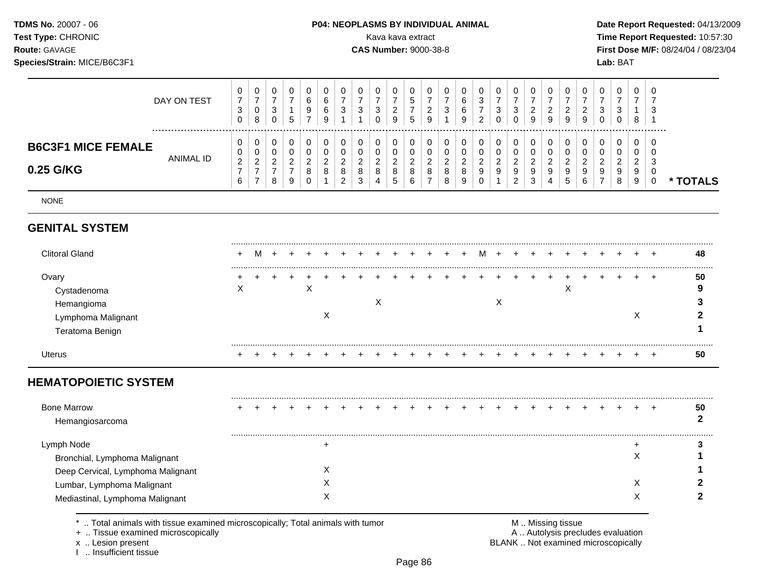**Test Type:** CHRONIC **Transfer CHRONIC Report Requested:** 10:57:30 **Route:** GAVAGE **CAS Number:** 9000-38-8 **First Dose M/F:** 08/24/04 / 08/23/04 **Species/Strain:** MICE/B6C3F1 **Lab:** BAT

|                                        | DAY ON TEST | 7<br>3<br>$\mathbf 0$    | 0<br>$\overline{ }$<br>0<br>8           | 0<br>$\overline{ }$<br>3<br>0      | $\mathbf 0$<br>$\overline{\phantom{a}}$<br>5 | 0<br>6<br>9<br>⇁      | 6<br>6<br>9           | -<br>3                | $\overline{ }$<br>3<br>и   | ⇁<br>3<br>0           | 0<br>⇁<br>2<br>9      | ა<br>$\overline{ }$<br>5             | ⇁<br>2<br>9                                     | $\overline{\phantom{0}}$<br>3<br>-4 | 6<br>6<br>9                           | 0<br>3<br>⇁<br>2           | 0<br>$\overline{ }$<br>3<br>0 | $\overline{ }$<br>3<br>0           | $\overline{ }$<br>2<br>9 | ົ<br>▴<br>9      | 2<br>9           | v<br>⇁<br>າ<br>▵<br>9                | –<br>3<br>0                             | 0<br>–<br>3<br>0      | 7<br>8                            | 0<br>3<br>.           |          |
|----------------------------------------|-------------|--------------------------|-----------------------------------------|------------------------------------|----------------------------------------------|-----------------------|-----------------------|-----------------------|----------------------------|-----------------------|-----------------------|--------------------------------------|-------------------------------------------------|-------------------------------------|---------------------------------------|----------------------------|-------------------------------|------------------------------------|--------------------------|------------------|------------------|--------------------------------------|-----------------------------------------|-----------------------|-----------------------------------|-----------------------|----------|
| <b>B6C3F1 MICE FEMALE</b><br>0.25 G/KG | ANIMAL ID   | $\overline{2}$<br>⇁<br>6 | 0<br>0<br>ົ<br>∠<br>⇁<br>$\overline{ }$ | 0<br>0<br>2<br>$\overline{ }$<br>8 | 0<br>0<br>2<br>$\overline{ }$<br>9           | 0<br>0<br>2<br>8<br>0 | 0<br>0<br>ົ<br>∠<br>8 | ◠<br>∠<br>8<br>ົ<br>∠ | υ<br>υ<br>ົ<br>▵<br>8<br>3 | 0<br>ົ<br>∠<br>8<br>4 | 0<br>0<br>2<br>8<br>5 | 0<br>0<br>ົ<br>∠<br>8<br>$\sim$<br>O | 0<br>0<br>$\overline{2}$<br>8<br>$\overline{ }$ | 0<br>0<br>$\overline{c}$<br>8<br>8  | $\sqrt{2}$<br>∠<br>$\Omega$<br>Ö<br>9 | 0<br>0<br>◠<br>∠<br>9<br>0 | 0<br>0<br>2<br>9              | 0<br>0<br>2<br>9<br>$\overline{c}$ | 0<br>0<br>2<br>9<br>3    | ◠<br>▵<br>9<br>4 | ົ<br>∠<br>9<br>5 | 0<br>0<br>ົ<br>∼<br>9<br>$\sim$<br>b | 0<br>0<br>ົ<br>∠<br>9<br>$\overline{ }$ | 0<br>0<br>2<br>9<br>8 | 0<br>$\Omega$<br>ົ<br>∠<br>9<br>9 | 0<br>0<br>3<br>0<br>0 | * TOTALS |
| <b>NONE</b>                            |             |                          |                                         |                                    |                                              |                       |                       |                       |                            |                       |                       |                                      |                                                 |                                     |                                       |                            |                               |                                    |                          |                  |                  |                                      |                                         |                       |                                   |                       |          |
| <b>GENITAL SYSTEM</b>                  |             |                          |                                         |                                    |                                              |                       |                       |                       |                            |                       |                       |                                      |                                                 |                                     |                                       |                            |                               |                                    |                          |                  |                  |                                      |                                         |                       |                                   |                       |          |
| <b>Clitoral Gland</b>                  |             | $+$                      | M                                       | $\div$                             |                                              |                       |                       |                       |                            |                       |                       |                                      |                                                 |                                     |                                       | м                          |                               |                                    |                          |                  |                  |                                      |                                         |                       |                                   | ÷                     | 48       |

| Ovary              | ÷ |  |                        |  |   |  |  |  |  |  |        |  |  | <b>+</b> | 50 |
|--------------------|---|--|------------------------|--|---|--|--|--|--|--|--------|--|--|----------|----|
| Cystadenoma        | ⌒ |  | $\checkmark$<br>$\sim$ |  |   |  |  |  |  |  | v<br>⌒ |  |  |          |    |
| Hemangioma         |   |  |                        |  | ⌒ |  |  |  |  |  |        |  |  |          |    |
| Lymphoma Malignant |   |  |                        |  |   |  |  |  |  |  |        |  |  |          |    |
| Teratoma Benign    |   |  |                        |  |   |  |  |  |  |  |        |  |  |          |    |
|                    |   |  |                        |  |   |  |  |  |  |  |        |  |  |          |    |
| Uterus             |   |  |                        |  |   |  |  |  |  |  |        |  |  |          | 50 |

# **HEMATOPOIETIC SYSTEM**

| <b>Bone Marrow</b><br>Hemangiosarcoma |  |  |  |  |  |  |  |  |  |  |  |  | 50 |
|---------------------------------------|--|--|--|--|--|--|--|--|--|--|--|--|----|
| Lymph Node                            |  |  |  |  |  |  |  |  |  |  |  |  |    |
| Bronchial, Lymphoma Malignant         |  |  |  |  |  |  |  |  |  |  |  |  |    |
| Deep Cervical, Lymphoma Malignant     |  |  |  |  |  |  |  |  |  |  |  |  |    |
| Lumbar, Lymphoma Malignant            |  |  |  |  |  |  |  |  |  |  |  |  |    |
| Mediastinal, Lymphoma Malignant       |  |  |  |  |  |  |  |  |  |  |  |  |    |

\* .. Total animals with tissue examined microscopically; Total animals with tumor **M** metally more than M .. Missing tissue<br>  $\blacksquare$  Tissue examined microscopically

+ .. Tissue examined microscopically

I .. Insufficient tissue

x .. Lesion present **BLANK** .. Not examined microscopically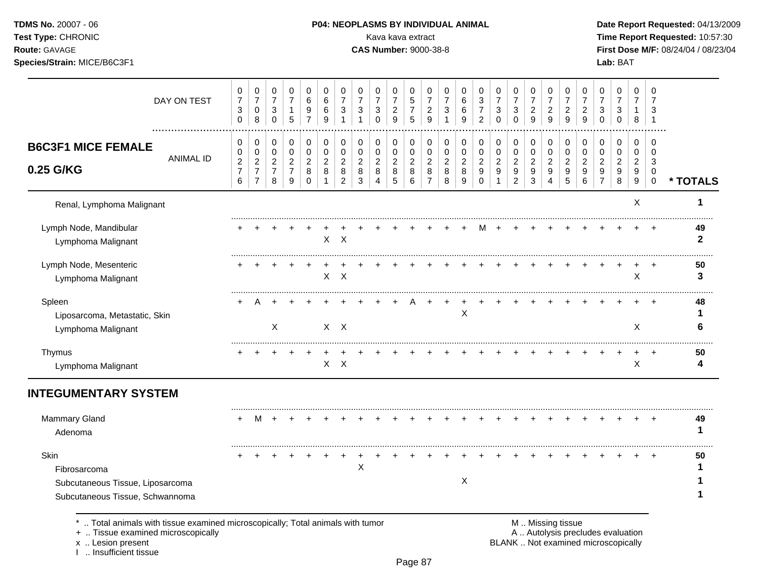**Test Type:** CHRONIC **Transfer CHRONIC** Kava Rava extract Kava extract **Time Report Requested:** 10:57:30 **Route:** GAVAGE **CAS Number:** 9000-38-8 **First Dose M/F:** 08/24/04 / 08/23/04 **Species/Strain:** MICE/B6C3F1 **Lab:** BAT

| DAY ON TEST                                                                                 | 0<br>$\overline{7}$<br>3<br>$\mathbf 0$         | 0<br>$\overline{7}$<br>0<br>8                                      | 0<br>$\overline{7}$<br>3<br>$\mathbf 0$         | 0<br>$\overline{7}$<br>$\mathbf{1}$<br>5                  | $\mathbf 0$<br>6<br>9<br>$\overline{7}$             | 0<br>6<br>6<br>9                                      | 0<br>$\overline{7}$<br>3<br>$\mathbf{1}$                  | 0<br>$\overline{7}$<br>3<br>1      | 0<br>$\overline{7}$<br>3<br>$\Omega$         | 0<br>$\overline{7}$<br>$\sqrt{2}$<br>9       | 0<br>$\sqrt{5}$<br>$\overline{7}$<br>5 | 0<br>$\overline{7}$<br>$\overline{c}$<br>9            | 0<br>$\overline{7}$<br>3<br>1      | 0<br>6<br>6<br>9                                   | 0<br>3<br>$\overline{7}$<br>$\overline{2}$          | 0<br>$\overline{7}$<br>3<br>$\Omega$          | 0<br>$\overline{7}$<br>3<br>$\Omega$                  | 0<br>$\overline{7}$<br>$\overline{c}$<br>9   | 0<br>$\overline{7}$<br>$\overline{c}$<br>9 | 0<br>$\overline{7}$<br>$\overline{2}$<br>9 | 0<br>$\overline{7}$<br>$\overline{a}$<br>$\overline{9}$ | $\Omega$<br>$\overline{7}$<br>3<br>$\Omega$  | 0<br>$\overline{7}$<br>3<br>$\mathbf 0$ | 0<br>$\overline{7}$<br>8           | 0<br>$\overline{7}$<br>3<br>$\mathbf 1$ |                    |
|---------------------------------------------------------------------------------------------|-------------------------------------------------|--------------------------------------------------------------------|-------------------------------------------------|-----------------------------------------------------------|-----------------------------------------------------|-------------------------------------------------------|-----------------------------------------------------------|------------------------------------|----------------------------------------------|----------------------------------------------|----------------------------------------|-------------------------------------------------------|------------------------------------|----------------------------------------------------|-----------------------------------------------------|-----------------------------------------------|-------------------------------------------------------|----------------------------------------------|--------------------------------------------|--------------------------------------------|---------------------------------------------------------|----------------------------------------------|-----------------------------------------|------------------------------------|-----------------------------------------|--------------------|
| <b>B6C3F1 MICE FEMALE</b><br><b>ANIMAL ID</b><br>0.25 G/KG                                  | 0<br>0<br>$\overline{c}$<br>$\overline{7}$<br>6 | 0<br>$\mathbf 0$<br>$\sqrt{2}$<br>$\overline{7}$<br>$\overline{7}$ | 0<br>0<br>$\overline{c}$<br>$\overline{7}$<br>8 | 0<br>$\pmb{0}$<br>$\boldsymbol{2}$<br>$\overline{7}$<br>9 | 0<br>$\mathbf 0$<br>$\overline{2}$<br>8<br>$\Omega$ | 0<br>$\pmb{0}$<br>$\overline{c}$<br>8<br>$\mathbf{1}$ | 0<br>$\mathbf 0$<br>$\overline{2}$<br>8<br>$\overline{c}$ | 0<br>0<br>$\overline{2}$<br>8<br>3 | 0<br>$\mathbf 0$<br>$\overline{2}$<br>8<br>4 | 0<br>$\mathbf 0$<br>$\overline{2}$<br>8<br>5 | 0<br>0<br>$\overline{2}$<br>8<br>6     | 0<br>$\mathbf 0$<br>$\sqrt{2}$<br>8<br>$\overline{7}$ | 0<br>0<br>$\overline{2}$<br>8<br>8 | 0<br>$\mathbf 0$<br>$\overline{2}$<br>$\,8\,$<br>9 | 0<br>$\mathbf 0$<br>$\overline{2}$<br>9<br>$\Omega$ | 0<br>0<br>$\overline{c}$<br>9<br>$\mathbf{1}$ | 0<br>$\mathbf 0$<br>$\sqrt{2}$<br>$9\,$<br>$\sqrt{2}$ | 0<br>$\mathbf 0$<br>$\overline{c}$<br>9<br>3 | 0<br>0<br>$\overline{c}$<br>9<br>4         | 0<br>0<br>$\overline{2}$<br>9<br>5         | 0<br>0<br>$\overline{2}$<br>9<br>6                      | 0<br>$\mathbf 0$<br>2<br>9<br>$\overline{7}$ | 0<br>0<br>$\overline{2}$<br>9<br>8      | 0<br>0<br>$\overline{2}$<br>9<br>9 | 0<br>$\Omega$<br>3<br>0<br>$\mathbf 0$  | * TOTALS           |
| Renal, Lymphoma Malignant                                                                   |                                                 |                                                                    |                                                 |                                                           |                                                     |                                                       |                                                           |                                    |                                              |                                              |                                        |                                                       |                                    |                                                    |                                                     |                                               |                                                       |                                              |                                            |                                            |                                                         |                                              |                                         | X                                  |                                         | 1                  |
| Lymph Node, Mandibular<br>Lymphoma Malignant                                                |                                                 |                                                                    |                                                 |                                                           |                                                     | X                                                     | $\mathsf{X}$                                              |                                    |                                              |                                              |                                        |                                                       |                                    |                                                    |                                                     |                                               |                                                       |                                              |                                            |                                            |                                                         |                                              |                                         |                                    |                                         | 49<br>$\mathbf{2}$ |
| Lymph Node, Mesenteric<br>Lymphoma Malignant                                                |                                                 |                                                                    |                                                 |                                                           |                                                     | $\mathsf{X}$                                          | $\times$                                                  |                                    |                                              |                                              |                                        |                                                       |                                    |                                                    |                                                     |                                               |                                                       |                                              |                                            |                                            |                                                         |                                              |                                         | $\mathsf X$                        |                                         | 50<br>3            |
| Spleen<br>Liposarcoma, Metastatic, Skin<br>Lymphoma Malignant                               |                                                 |                                                                    | X                                               |                                                           |                                                     | $X$ $X$                                               |                                                           |                                    |                                              |                                              |                                        |                                                       |                                    | Χ                                                  |                                                     |                                               |                                                       |                                              |                                            |                                            |                                                         |                                              |                                         | X                                  |                                         | 48<br>1<br>հ       |
| Thymus<br>Lymphoma Malignant                                                                |                                                 |                                                                    |                                                 |                                                           |                                                     | $X$ $X$                                               |                                                           |                                    |                                              |                                              |                                        |                                                       |                                    |                                                    |                                                     |                                               |                                                       |                                              |                                            |                                            |                                                         |                                              |                                         | $\ddot{}$<br>Χ                     |                                         | 50<br>4            |
| <b>INTEGUMENTARY SYSTEM</b>                                                                 |                                                 |                                                                    |                                                 |                                                           |                                                     |                                                       |                                                           |                                    |                                              |                                              |                                        |                                                       |                                    |                                                    |                                                     |                                               |                                                       |                                              |                                            |                                            |                                                         |                                              |                                         |                                    |                                         |                    |
| Mammary Gland<br>Adenoma                                                                    | $\ddot{}$                                       | M                                                                  | $\overline{+}$                                  |                                                           |                                                     |                                                       |                                                           |                                    |                                              |                                              |                                        |                                                       |                                    |                                                    |                                                     |                                               |                                                       |                                              |                                            |                                            |                                                         |                                              |                                         |                                    |                                         | 49<br>1            |
| Skin<br>Fibrosarcoma<br>Subcutaneous Tissue, Liposarcoma<br>Subcutaneous Tissue, Schwannoma |                                                 |                                                                    |                                                 |                                                           |                                                     |                                                       |                                                           | X                                  |                                              |                                              |                                        |                                                       |                                    | X                                                  |                                                     |                                               |                                                       |                                              |                                            |                                            |                                                         |                                              |                                         |                                    |                                         | 50                 |

x .. Lesion present<br>I .. Insufficient tissue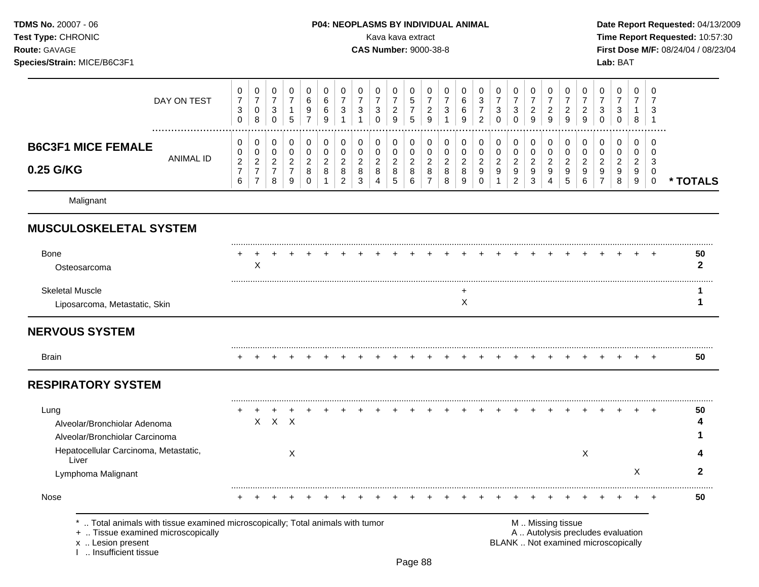| <b>TDMS No. 20007 - 06</b> |  |
|----------------------------|--|
| <b>Test Type: CHRONIC</b>  |  |
| <b>Route: GAVAGE</b>       |  |

## **Species/Strain:** MICE/B6C3F1 **Lab:** BAT

## **P04: NEOPLASMS BY INDIVIDUAL ANIMAL Date Report Requested:** 04/13/2009

Kava kava extract **Time Report Requested:** 10:57:30 **CAS Number:** 9000-38-8 **First Dose M/F:** 08/24/04 / 08/23/04

| DAY ON TEST                                                                                                                                    |                  | 0<br>$\overline{7}$<br>3<br>$\mathbf 0$           | 0<br>$\overline{7}$<br>0<br>8                                | 0<br>$\overline{7}$<br>3<br>$\mathbf 0$               | 0<br>$\overline{7}$<br>$\mathbf{1}$<br>$\sqrt{5}$             | 0<br>6<br>9<br>$\overline{7}$                            | 0<br>6<br>6<br>9                              | 0<br>$\overline{7}$<br>3<br>$\mathbf{1}$                  | 0<br>$\overline{7}$<br>$\mathbf{3}$<br>1     | 0<br>$\overline{7}$<br>3<br>$\Omega$ | 0<br>$\overline{7}$<br>$\overline{2}$<br>9 | 0<br>5<br>$\boldsymbol{7}$<br>5                | 0<br>$\overline{7}$<br>$\overline{2}$<br>9      | 0<br>$\overline{7}$<br>3<br>$\mathbf{1}$ | 0<br>6<br>6<br>9                   | 0<br>3<br>7<br>$\overline{2}$                | 0<br>$\overline{7}$<br>3<br>$\Omega$       | 0<br>$\overline{7}$<br>3<br>$\Omega$                    | 0<br>$\overline{7}$<br>$\overline{2}$<br>9 | 0<br>$\overline{7}$<br>$\overline{c}$<br>9 | 0<br>$\overline{7}$<br>$\overline{2}$<br>9             | 0<br>$\overline{7}$<br>$\overline{c}$<br>9             | 0<br>$\overline{7}$<br>3<br>$\Omega$                                   | 0<br>$\overline{7}$<br>$\mathbf{3}$<br>$\mathbf 0$            | 0<br>7<br>$\mathbf{1}$<br>8                                           | 0<br>7<br>3<br>$\mathbf{1}$                       |                    |
|------------------------------------------------------------------------------------------------------------------------------------------------|------------------|---------------------------------------------------|--------------------------------------------------------------|-------------------------------------------------------|---------------------------------------------------------------|----------------------------------------------------------|-----------------------------------------------|-----------------------------------------------------------|----------------------------------------------|--------------------------------------|--------------------------------------------|------------------------------------------------|-------------------------------------------------|------------------------------------------|------------------------------------|----------------------------------------------|--------------------------------------------|---------------------------------------------------------|--------------------------------------------|--------------------------------------------|--------------------------------------------------------|--------------------------------------------------------|------------------------------------------------------------------------|---------------------------------------------------------------|-----------------------------------------------------------------------|---------------------------------------------------|--------------------|
| <b>B6C3F1 MICE FEMALE</b><br>0.25 G/KG                                                                                                         | <b>ANIMAL ID</b> | 0<br>0<br>$\boldsymbol{2}$<br>$\overline{7}$<br>6 | 0<br>0<br>$\overline{2}$<br>$\overline{7}$<br>$\overline{7}$ | 0<br>$\,0\,$<br>$\overline{c}$<br>$\overline{7}$<br>8 | $\pmb{0}$<br>$\pmb{0}$<br>$\sqrt{2}$<br>$\boldsymbol{7}$<br>9 | 0<br>$\mathbf 0$<br>$\boldsymbol{2}$<br>8<br>$\mathbf 0$ | 0<br>$\pmb{0}$<br>$\boldsymbol{2}$<br>8<br>-1 | 0<br>$\mathbf 0$<br>$\overline{2}$<br>8<br>$\overline{c}$ | 0<br>$\mathbf 0$<br>$\overline{2}$<br>8<br>3 | 0<br>0<br>$\overline{2}$<br>8<br>4   | 0<br>0<br>$\overline{2}$<br>8<br>5         | 0<br>0<br>$\overline{2}$<br>$\bf 8$<br>$\,6\,$ | 0<br>0<br>$\overline{2}$<br>8<br>$\overline{7}$ | 0<br>0<br>$\overline{2}$<br>8<br>8       | 0<br>0<br>$\overline{2}$<br>8<br>9 | 0<br>0<br>$\overline{c}$<br>9<br>$\mathbf 0$ | 0<br>$\pmb{0}$<br>$\overline{2}$<br>9<br>1 | 0<br>$\pmb{0}$<br>$\overline{2}$<br>9<br>$\overline{2}$ | 0<br>$\pmb{0}$<br>$\overline{2}$<br>9<br>3 | 0<br>$\pmb{0}$<br>$\overline{2}$<br>9<br>4 | 0<br>0<br>$\overline{c}$<br>9<br>5                     | $\mathbf 0$<br>$\mathbf 0$<br>$\overline{2}$<br>9<br>6 | 0<br>$\pmb{0}$<br>$\overline{c}$<br>$\boldsymbol{9}$<br>$\overline{7}$ | 0<br>$\mathbf 0$<br>$\sqrt{2}$<br>$\boldsymbol{9}$<br>$\,8\,$ | $\mathbf 0$<br>$\mathbf 0$<br>$\overline{2}$<br>9<br>$\boldsymbol{9}$ | $\mathbf 0$<br>$\mathbf 0$<br>3<br>0<br>$\pmb{0}$ | * TOTALS           |
| Malignant                                                                                                                                      |                  |                                                   |                                                              |                                                       |                                                               |                                                          |                                               |                                                           |                                              |                                      |                                            |                                                |                                                 |                                          |                                    |                                              |                                            |                                                         |                                            |                                            |                                                        |                                                        |                                                                        |                                                               |                                                                       |                                                   |                    |
| <b>MUSCULOSKELETAL SYSTEM</b>                                                                                                                  |                  |                                                   |                                                              |                                                       |                                                               |                                                          |                                               |                                                           |                                              |                                      |                                            |                                                |                                                 |                                          |                                    |                                              |                                            |                                                         |                                            |                                            |                                                        |                                                        |                                                                        |                                                               |                                                                       |                                                   |                    |
| Bone<br>Osteosarcoma                                                                                                                           |                  |                                                   | х                                                            |                                                       |                                                               |                                                          |                                               |                                                           |                                              |                                      |                                            |                                                |                                                 |                                          |                                    |                                              |                                            |                                                         |                                            |                                            |                                                        |                                                        |                                                                        |                                                               |                                                                       |                                                   | 50<br>$\mathbf{2}$ |
| <b>Skeletal Muscle</b><br>Liposarcoma, Metastatic, Skin                                                                                        |                  |                                                   |                                                              |                                                       |                                                               |                                                          |                                               |                                                           |                                              |                                      |                                            |                                                |                                                 |                                          | $\mathsf{X}$                       |                                              |                                            |                                                         |                                            |                                            |                                                        |                                                        |                                                                        |                                                               |                                                                       |                                                   | 1                  |
| <b>NERVOUS SYSTEM</b>                                                                                                                          |                  |                                                   |                                                              |                                                       |                                                               |                                                          |                                               |                                                           |                                              |                                      |                                            |                                                |                                                 |                                          |                                    |                                              |                                            |                                                         |                                            |                                            |                                                        |                                                        |                                                                        |                                                               |                                                                       |                                                   |                    |
| Brain                                                                                                                                          |                  |                                                   |                                                              |                                                       |                                                               |                                                          |                                               |                                                           |                                              |                                      |                                            |                                                |                                                 |                                          |                                    |                                              |                                            |                                                         |                                            |                                            |                                                        |                                                        |                                                                        |                                                               |                                                                       | +                                                 | 50                 |
| <b>RESPIRATORY SYSTEM</b>                                                                                                                      |                  |                                                   |                                                              |                                                       |                                                               |                                                          |                                               |                                                           |                                              |                                      |                                            |                                                |                                                 |                                          |                                    |                                              |                                            |                                                         |                                            |                                            |                                                        |                                                        |                                                                        |                                                               |                                                                       |                                                   |                    |
| Lung<br>Alveolar/Bronchiolar Adenoma<br>Alveolar/Bronchiolar Carcinoma<br>Hepatocellular Carcinoma, Metastatic,<br>Liver<br>Lymphoma Malignant |                  |                                                   |                                                              | $X$ $X$ $X$                                           | $\times$                                                      |                                                          |                                               |                                                           |                                              |                                      |                                            |                                                |                                                 |                                          |                                    |                                              |                                            |                                                         |                                            |                                            |                                                        | X                                                      |                                                                        |                                                               | X                                                                     |                                                   | 50<br>4<br>2       |
| Nose<br>Total animals with tissue examined microscopically; Total animals with tumor<br>+  Tissue examined microscopically                     |                  |                                                   |                                                              |                                                       |                                                               |                                                          |                                               |                                                           |                                              |                                      |                                            |                                                |                                                 |                                          |                                    |                                              |                                            |                                                         |                                            |                                            | M  Missing tissue<br>A  Autolysis precludes evaluation |                                                        |                                                                        |                                                               |                                                                       |                                                   | 50                 |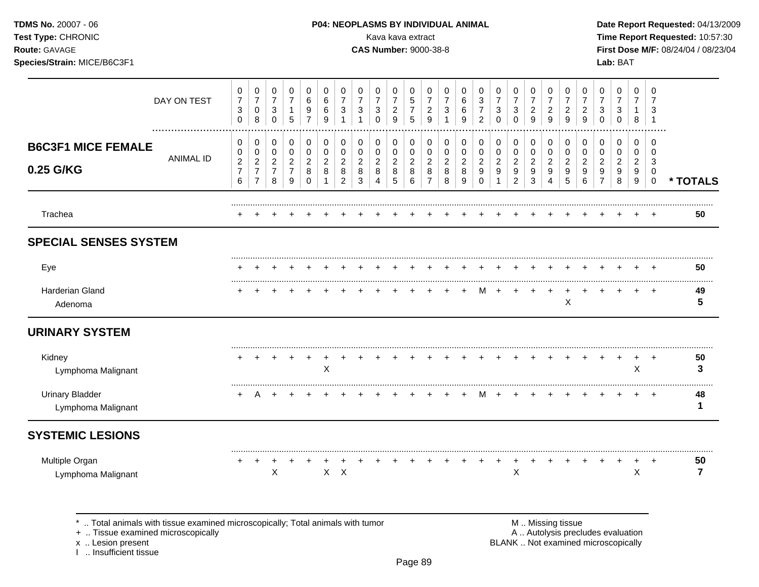| <b>TDMS No. 20007 - 06</b> |  |
|----------------------------|--|
| <b>Test Type: CHRONIC</b>  |  |

Species/Strain: MICE/B6C3F1

Route: GAVAGE

#### P04: NEOPLASMS BY INDIVIDUAL ANIMAL

Kava kava extract

**CAS Number: 9000-38-8** 

Date Report Requested: 04/13/2009 Time Report Requested: 10:57:30 First Dose M/F: 08/24/04 / 08/23/04 Lab: BAT

|                                              | DAY ON TEST                                                                     | 0<br>$\overline{7}$<br>3<br>$\mathbf 0$                 | $\mathbf 0$<br>$\overline{7}$<br>0<br>$\,8\,$                | 0<br>$\overline{7}$<br>3<br>$\mathbf 0$                             | 0<br>$\overline{7}$<br>$\mathbf{1}$<br>5                          | 0<br>6<br>9<br>$\overline{7}$                                 | 0<br>6<br>6<br>9                        | 0<br>$\overline{7}$<br>3                               | 0<br>$\overline{7}$<br>3                             | 0<br>$\overline{7}$<br>$\sqrt{3}$<br>$\Omega$ | 0<br>$\overline{7}$<br>$\boldsymbol{2}$<br>9                    | 0<br>$\sqrt{5}$<br>$\boldsymbol{7}$<br>5        | 0<br>$\overline{7}$<br>$\overline{c}$<br>9                          | 0<br>$\overline{7}$<br>3<br>1                | 0<br>6<br>6<br>9                   | 0<br>3<br>$\overline{7}$<br>$\overline{2}$      | 0<br>$\overline{7}$<br>$\mathbf{3}$<br>$\Omega$        | 0<br>$\overline{7}$<br>3<br>$\Omega$                    | 0<br>$\boldsymbol{7}$<br>$\overline{2}$<br>9 | 0<br>$\overline{7}$<br>$\overline{a}$<br>9           | 0<br>$\overline{7}$<br>$\overline{c}$<br>9             | 0<br>$\overline{7}$<br>$\overline{a}$<br>9 | 0<br>$\overline{7}$<br>3<br>$\Omega$                                | 0<br>$\overline{7}$<br>3<br>$\mathbf 0$                | 0<br>$\overline{7}$<br>-1<br>8                    | 0<br>$\overline{7}$<br>3<br>$\mathbf{1}$         |          |
|----------------------------------------------|---------------------------------------------------------------------------------|---------------------------------------------------------|--------------------------------------------------------------|---------------------------------------------------------------------|-------------------------------------------------------------------|---------------------------------------------------------------|-----------------------------------------|--------------------------------------------------------|------------------------------------------------------|-----------------------------------------------|-----------------------------------------------------------------|-------------------------------------------------|---------------------------------------------------------------------|----------------------------------------------|------------------------------------|-------------------------------------------------|--------------------------------------------------------|---------------------------------------------------------|----------------------------------------------|------------------------------------------------------|--------------------------------------------------------|--------------------------------------------|---------------------------------------------------------------------|--------------------------------------------------------|---------------------------------------------------|--------------------------------------------------|----------|
| <b>B6C3F1 MICE FEMALE</b><br>0.25 G/KG       | <b>ANIMAL ID</b>                                                                | $\pmb{0}$<br>0<br>$\overline{c}$<br>$\overline{7}$<br>6 | 0<br>0<br>$\overline{2}$<br>$\overline{7}$<br>$\overline{7}$ | $\mathbf 0$<br>$\mathbf 0$<br>$\overline{2}$<br>$\overline{7}$<br>8 | $\mathbf 0$<br>$\pmb{0}$<br>$\overline{2}$<br>$\overline{7}$<br>9 | $\mathbf 0$<br>$\pmb{0}$<br>$\boldsymbol{2}$<br>8<br>$\Omega$ | $\mathbf 0$<br>0<br>$\overline{2}$<br>8 | $\mathbf 0$<br>$\mathbf 0$<br>$\overline{2}$<br>8<br>2 | $\pmb{0}$<br>$\mathbf 0$<br>$\overline{c}$<br>8<br>3 | 0<br>0<br>$\overline{2}$<br>$\bf 8$<br>4      | $\mathbf 0$<br>$\mathbf 0$<br>$\overline{c}$<br>8<br>$\sqrt{5}$ | $\Omega$<br>$\,0\,$<br>$\overline{2}$<br>8<br>6 | $\mathbf 0$<br>$\pmb{0}$<br>$\boldsymbol{2}$<br>8<br>$\overline{7}$ | $\mathbf 0$<br>0<br>$\overline{2}$<br>8<br>8 | 0<br>0<br>$\overline{c}$<br>8<br>9 | 0<br>$\mathbf 0$<br>$\sqrt{2}$<br>9<br>$\Omega$ | 0<br>$\mathbf 0$<br>$\overline{a}$<br>$\boldsymbol{9}$ | 0<br>$\pmb{0}$<br>$\overline{c}$<br>9<br>$\overline{2}$ | 0<br>$\pmb{0}$<br>$\overline{2}$<br>9<br>3   | $\mathbf 0$<br>$\pmb{0}$<br>$\overline{2}$<br>9<br>4 | $\mathbf 0$<br>$\mathbf 0$<br>$\overline{2}$<br>9<br>5 | 0<br>0<br>$\overline{2}$<br>9<br>6         | $\mathbf 0$<br>$\mathbf 0$<br>$\overline{2}$<br>9<br>$\overline{7}$ | $\mathbf 0$<br>$\mathbf 0$<br>$\overline{2}$<br>9<br>8 | 0<br>0<br>$\overline{2}$<br>9<br>$\boldsymbol{9}$ | $\Omega$<br>$\mathbf 0$<br>3<br>0<br>$\mathbf 0$ | * TOTALS |
| Trachea                                      |                                                                                 |                                                         |                                                              |                                                                     |                                                                   |                                                               |                                         |                                                        |                                                      |                                               |                                                                 |                                                 |                                                                     |                                              |                                    |                                                 |                                                        |                                                         |                                              |                                                      |                                                        |                                            |                                                                     |                                                        |                                                   |                                                  | 50       |
| <b>SPECIAL SENSES SYSTEM</b>                 |                                                                                 |                                                         |                                                              |                                                                     |                                                                   |                                                               |                                         |                                                        |                                                      |                                               |                                                                 |                                                 |                                                                     |                                              |                                    |                                                 |                                                        |                                                         |                                              |                                                      |                                                        |                                            |                                                                     |                                                        |                                                   |                                                  |          |
| Eye                                          |                                                                                 |                                                         |                                                              |                                                                     |                                                                   |                                                               |                                         |                                                        |                                                      |                                               |                                                                 |                                                 |                                                                     |                                              |                                    |                                                 |                                                        |                                                         |                                              |                                                      |                                                        |                                            |                                                                     |                                                        |                                                   |                                                  | 50       |
| Harderian Gland<br>Adenoma                   |                                                                                 |                                                         |                                                              |                                                                     |                                                                   |                                                               |                                         |                                                        |                                                      |                                               |                                                                 |                                                 |                                                                     |                                              |                                    | м                                               | $\overline{+}$                                         | $\div$                                                  |                                              | $\overline{ }$                                       | $\times$                                               |                                            |                                                                     |                                                        |                                                   | $\div$                                           | 49<br>5  |
| <b>URINARY SYSTEM</b>                        |                                                                                 |                                                         |                                                              |                                                                     |                                                                   |                                                               |                                         |                                                        |                                                      |                                               |                                                                 |                                                 |                                                                     |                                              |                                    |                                                 |                                                        |                                                         |                                              |                                                      |                                                        |                                            |                                                                     |                                                        |                                                   |                                                  |          |
| Kidney<br>Lymphoma Malignant                 |                                                                                 |                                                         |                                                              |                                                                     |                                                                   |                                                               | $\mathsf X$                             |                                                        |                                                      |                                               |                                                                 |                                                 |                                                                     |                                              |                                    |                                                 |                                                        |                                                         |                                              |                                                      |                                                        |                                            |                                                                     |                                                        | ٠<br>$\mathsf X$                                  |                                                  | 50<br>3  |
| <b>Urinary Bladder</b><br>Lymphoma Malignant |                                                                                 |                                                         | A                                                            | $\overline{ }$                                                      |                                                                   |                                                               |                                         |                                                        |                                                      |                                               |                                                                 |                                                 |                                                                     |                                              | $\div$                             | м                                               | $\div$                                                 |                                                         |                                              |                                                      |                                                        |                                            |                                                                     |                                                        |                                                   |                                                  | 48<br>1  |
| <b>SYSTEMIC LESIONS</b>                      |                                                                                 |                                                         |                                                              |                                                                     |                                                                   |                                                               |                                         |                                                        |                                                      |                                               |                                                                 |                                                 |                                                                     |                                              |                                    |                                                 |                                                        |                                                         |                                              |                                                      |                                                        |                                            |                                                                     |                                                        |                                                   |                                                  |          |
| Multiple Organ<br>Lymphoma Malignant         |                                                                                 |                                                         |                                                              | X                                                                   |                                                                   |                                                               |                                         | $X$ $X$                                                |                                                      |                                               |                                                                 |                                                 |                                                                     |                                              |                                    |                                                 |                                                        | $\boldsymbol{\mathsf{X}}$                               |                                              |                                                      |                                                        |                                            |                                                                     |                                                        | $\mathsf X$                                       |                                                  | 50<br>7  |
|                                              | *  Total animals with tissue examined microscopically; Total animals with tumor |                                                         |                                                              |                                                                     |                                                                   |                                                               |                                         |                                                        |                                                      |                                               |                                                                 |                                                 |                                                                     |                                              |                                    |                                                 |                                                        |                                                         |                                              | M  Missing tissue                                    |                                                        |                                            |                                                                     |                                                        |                                                   |                                                  |          |

+ .. Tissue examined microscopically

x .. Lesion present<br>I .. Insufficient tissue

M .. Missing tissue<br>A .. Autolysis precludes evaluation BLANK .. Not examined microscopically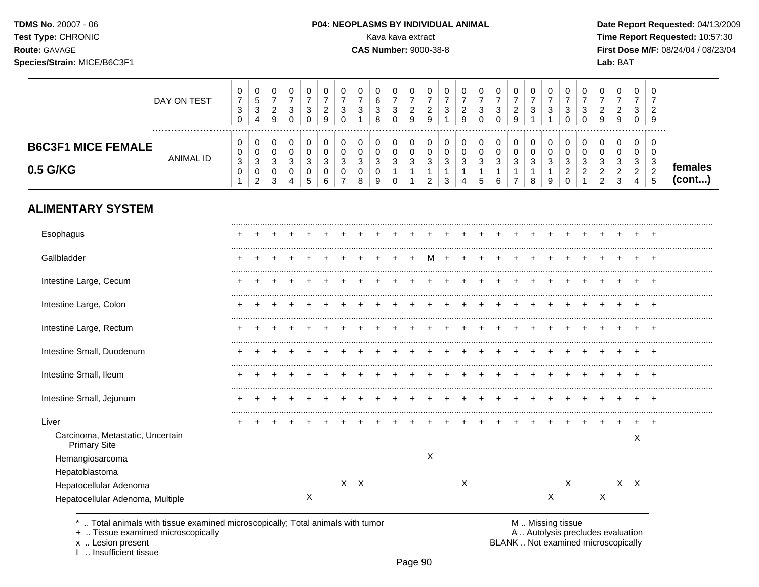**Test Type:** CHRONIC **Transfer CHRONIC** Kava Rava extract Kava extract **Time Report Requested:** 10:57:30 **Route:** GAVAGE **CAS Number:** 9000-38-8 **First Dose M/F:** 08/24/04 / 08/23/04 **Species/Strain:** MICE/B6C3F1 **Lab:** BAT

|                                       | DAY ON TEST | 0<br>$\rightarrow$<br>3<br>$\sim$<br>U | $\mathbf{0}$<br>5<br>3<br>4 | 0<br>◠<br><u>_</u><br>9 | đ | υ<br>З | υ<br>◠<br><u>_</u><br>9    | u<br>-2<br>J      | ν<br>3      | 6<br>3<br>8  | υ<br>3<br>0 | ∼<br>9 | U<br><u>.</u><br>9 | 0<br>ີ<br>ັ      | u<br><u>.</u><br>9 | U<br>3      | ົ      | U<br>ົ<br>$\epsilon$<br>9 | v<br>3 | 0<br>3      | 0<br>3                      | 3 | 0<br>ົ<br><u>_</u><br>9 | <u>_</u><br>9          | U<br>3<br>0      | 0<br>9              |         |
|---------------------------------------|-------------|----------------------------------------|-----------------------------|-------------------------|---|--------|----------------------------|-------------------|-------------|--------------|-------------|--------|--------------------|------------------|--------------------|-------------|--------|---------------------------|--------|-------------|-----------------------------|---|-------------------------|------------------------|------------------|---------------------|---------|
| <b>B6C3F1 MICE FEMALE</b><br>0.5 G/KG | ANIMAL ID   | U<br>0<br>3<br>U                       | $\mathbf{0}$<br>0<br>3<br>0 | ົ<br>J                  | ◠ | 0<br>c | 0<br>C<br>υ<br>◠<br>ັ<br>υ | u<br>u<br>-2<br>J | υ<br>ີ<br>J | $\sim$<br>دت | 0<br>υ<br>3 | ີ<br>đ | U<br>0<br>3        | 0<br>0<br>ີ<br>ັ | U<br>U<br>З        | 0<br>3      | $\sim$ | U<br>v<br>3               | 3      | 0<br>0<br>3 | 0<br>0<br>3<br><sup>o</sup> | J | 0<br>0<br>3<br>◠        | v<br><sup>o</sup><br>J | 0<br>U<br>ີ<br>J | 0<br>- U<br>-3<br>ົ | temales |
|                                       |             |                                        | ົ<br>∠                      | 3                       |   | ∽      | 6                          | u<br>-            | 8           | 9            |             |        |                    | ົ                |                    | $\mathbf b$ |        |                           | 8      | 9           | <u>_</u>                    | ∼ | <u>.</u><br>ົ           | <u>_</u><br>$\sim$     | <u>.</u><br>4    | ්ට                  | (cont)  |

# **ALIMENTARY SYSTEM**

\* .. Total animals with tissue examined microscopically; Total animals with tumor <br>
+ .. Tissue examined microscopically<br>
+ .. Tissue examined microscopically

+ .. Tissue examined microscopically

I .. Insufficient tissue

x .. Lesion present **BLANK** .. Not examined microscopically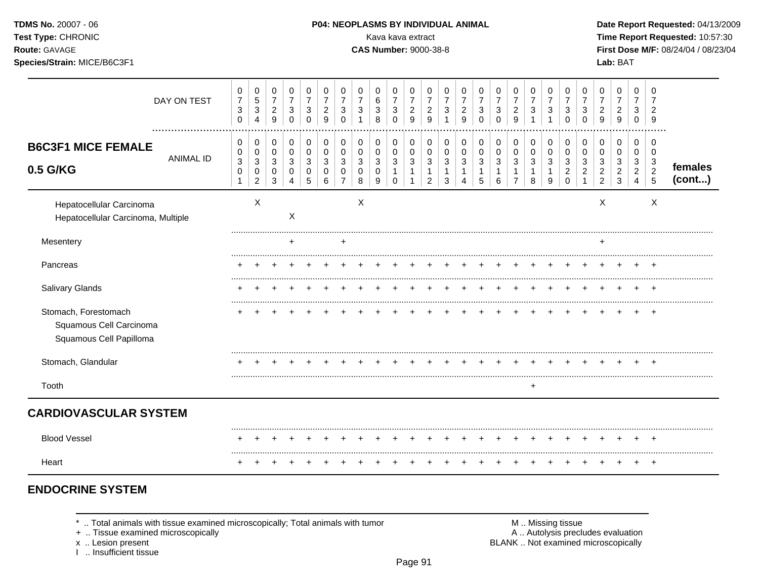| <b>TDMS No. 20007 - 06</b> |  |
|----------------------------|--|
| Test Type: CHRONIC         |  |

**Time Report Requested:** 10:57:30 **Route:** GAVAGE **CAS Number:** 9000-38-8 **First Dose M/F:** 08/24/04 / 08/23/04 **Species/Strain:** MICE/B6C3F1 **Lab:** BAT

|                                                                            | DAY ON TEST      | 0<br>$\overline{7}$<br>$\sqrt{3}$<br>$\Omega$ | $\mathbf 0$<br>$\sqrt{5}$<br>$\sqrt{3}$<br>$\overline{4}$ | 0<br>$\overline{7}$<br>$\sqrt{2}$<br>9     | 0<br>$\overline{7}$<br>$\mathbf{3}$<br>$\Omega$ | 0<br>$\overline{7}$<br>3<br>$\Omega$ | 0<br>$\overline{7}$<br>$\overline{2}$<br>9        | 0<br>$\overline{7}$<br>3<br>$\Omega$ | 0<br>$\overline{7}$<br>$\mathbf{3}$               | 0<br>6<br>3<br>8              | 0<br>$\overline{7}$<br>$\sqrt{3}$<br>$\Omega$              | 0<br>$\overline{7}$<br>$\overline{a}$<br>9 | 0<br>$\overline{7}$<br>$\overline{2}$<br>9 | 0<br>$\overline{7}$<br>3<br>$\overline{1}$ | 0<br>$\overline{7}$<br>$\overline{c}$<br>9 | 0<br>$\overline{7}$<br>$\mathbf{3}$<br>$\Omega$ | 0<br>$\overline{7}$<br>3<br>$\Omega$   | 0<br>$\overline{7}$<br>$\overline{2}$<br>9              | 0<br>$\overline{7}$<br>3   | 0<br>$\overline{7}$<br>3   | 0<br>$\overline{7}$<br>3<br>$\Omega$                | 0<br>$\overline{7}$<br>$\mathbf{3}$<br>$\Omega$ | 0<br>$\overline{7}$<br>$\overline{2}$<br>9            | 0<br>$\boldsymbol{7}$<br>$\overline{2}$<br>9                     | 0<br>$\overline{7}$<br>3<br>$\mathbf 0$                    | 0<br>$\overline{7}$<br>$\overline{2}$<br>9 |                   |
|----------------------------------------------------------------------------|------------------|-----------------------------------------------|-----------------------------------------------------------|--------------------------------------------|-------------------------------------------------|--------------------------------------|---------------------------------------------------|--------------------------------------|---------------------------------------------------|-------------------------------|------------------------------------------------------------|--------------------------------------------|--------------------------------------------|--------------------------------------------|--------------------------------------------|-------------------------------------------------|----------------------------------------|---------------------------------------------------------|----------------------------|----------------------------|-----------------------------------------------------|-------------------------------------------------|-------------------------------------------------------|------------------------------------------------------------------|------------------------------------------------------------|--------------------------------------------|-------------------|
| <b>B6C3F1 MICE FEMALE</b><br>0.5 G/KG                                      | <b>ANIMAL ID</b> | 0<br>0<br>$\sqrt{3}$<br>$\mathbf 0$           | 0<br>$\pmb{0}$<br>$\sqrt{3}$<br>0<br>$\boldsymbol{2}$     | 0<br>$\mathbf 0$<br>$\mathbf{3}$<br>0<br>3 | 0<br>$\pmb{0}$<br>3<br>0<br>4                   | 0<br>$\Omega$<br>3<br>0<br>5         | 0<br>$\mathbf 0$<br>$\mathbf{3}$<br>$\Omega$<br>6 | 0<br>$\mathbf 0$<br>3<br>$\Omega$    | 0<br>$\mathsf{O}\xspace$<br>3<br>$\mathbf 0$<br>8 | 0<br>$\pmb{0}$<br>3<br>0<br>9 | 0<br>$\mathbf 0$<br>$\sqrt{3}$<br>$\mathbf{1}$<br>$\Omega$ | 0<br>$\mathbf 0$<br>3                      | 0<br>0<br>3<br>2                           | 0<br>$\mathbf 0$<br>3<br>3                 | 0<br>$\mathbf 0$<br>3<br>Δ                 | 0<br>$\mathsf 0$<br>3<br>1<br>5                 | 0<br>$\pmb{0}$<br>$\sqrt{3}$<br>1<br>6 | 0<br>$\mathbf 0$<br>$\mathbf{3}$<br>1<br>$\overline{7}$ | 0<br>$\mathbf 0$<br>3<br>8 | 0<br>$\mathbf 0$<br>3<br>9 | 0<br>$\mathbf 0$<br>3<br>$\overline{c}$<br>$\Omega$ | 0<br>$\pmb{0}$<br>3<br>$\overline{c}$           | 0<br>$\mathbf 0$<br>3<br>$\sqrt{2}$<br>$\overline{2}$ | 0<br>$\mathbf 0$<br>$\sqrt{3}$<br>$\overline{c}$<br>$\mathbf{3}$ | 0<br>0<br>$\mathbf{3}$<br>$\overline{2}$<br>$\overline{4}$ | $\Omega$<br>0<br>3<br>$\overline{c}$<br>5  | females<br>(cont) |
| Hepatocellular Carcinoma<br>Hepatocellular Carcinoma, Multiple             |                  |                                               | X                                                         |                                            | X                                               |                                      |                                                   |                                      | X                                                 |                               |                                                            |                                            |                                            |                                            |                                            |                                                 |                                        |                                                         |                            |                            |                                                     |                                                 | X                                                     |                                                                  |                                                            | X                                          |                   |
| Mesentery                                                                  |                  |                                               |                                                           |                                            | $\div$                                          |                                      |                                                   | $\ddot{}$                            |                                                   |                               |                                                            |                                            |                                            |                                            |                                            |                                                 |                                        |                                                         |                            |                            |                                                     |                                                 | $\ddot{}$                                             |                                                                  |                                                            |                                            |                   |
| Pancreas                                                                   |                  |                                               |                                                           |                                            |                                                 |                                      |                                                   |                                      |                                                   |                               |                                                            |                                            |                                            |                                            |                                            |                                                 |                                        |                                                         |                            |                            |                                                     |                                                 |                                                       |                                                                  |                                                            |                                            |                   |
| Salivary Glands                                                            |                  |                                               |                                                           |                                            |                                                 |                                      |                                                   |                                      |                                                   |                               |                                                            |                                            |                                            |                                            |                                            |                                                 |                                        |                                                         |                            |                            |                                                     |                                                 |                                                       |                                                                  |                                                            |                                            |                   |
| Stomach, Forestomach<br>Squamous Cell Carcinoma<br>Squamous Cell Papilloma |                  |                                               |                                                           |                                            |                                                 |                                      |                                                   |                                      |                                                   |                               |                                                            |                                            |                                            |                                            |                                            |                                                 |                                        |                                                         |                            |                            |                                                     |                                                 |                                                       |                                                                  |                                                            |                                            |                   |
| Stomach, Glandular                                                         |                  |                                               |                                                           |                                            |                                                 |                                      |                                                   |                                      |                                                   |                               |                                                            |                                            |                                            |                                            |                                            |                                                 |                                        |                                                         |                            |                            |                                                     |                                                 |                                                       |                                                                  |                                                            |                                            |                   |
| Tooth                                                                      |                  |                                               |                                                           |                                            |                                                 |                                      |                                                   |                                      |                                                   |                               |                                                            |                                            |                                            |                                            |                                            |                                                 |                                        |                                                         | $\ddot{}$                  |                            |                                                     |                                                 |                                                       |                                                                  |                                                            |                                            |                   |
| <b>CARDIOVASCULAR SYSTEM</b>                                               |                  |                                               |                                                           |                                            |                                                 |                                      |                                                   |                                      |                                                   |                               |                                                            |                                            |                                            |                                            |                                            |                                                 |                                        |                                                         |                            |                            |                                                     |                                                 |                                                       |                                                                  |                                                            |                                            |                   |
| <b>Blood Vessel</b>                                                        |                  |                                               |                                                           |                                            |                                                 |                                      |                                                   |                                      |                                                   |                               |                                                            |                                            |                                            |                                            |                                            |                                                 |                                        |                                                         |                            |                            |                                                     |                                                 |                                                       |                                                                  |                                                            |                                            |                   |
| Heart                                                                      |                  | ٠                                             |                                                           |                                            |                                                 |                                      |                                                   |                                      |                                                   |                               |                                                            |                                            |                                            |                                            |                                            |                                                 |                                        |                                                         |                            |                            |                                                     |                                                 |                                                       |                                                                  |                                                            | $\pm$                                      |                   |

## **ENDOCRINE SYSTEM**

\* .. Total animals with tissue examined microscopically; Total animals with tumor **M** metal metal M .. Missing tissue<br>  $\blacksquare$  A .. Autolysis precludes evaluation<br>
A .. Autolysis precludes evaluation

+ .. Tissue examined microscopically

x .. Lesion present<br>I .. Insufficient tissue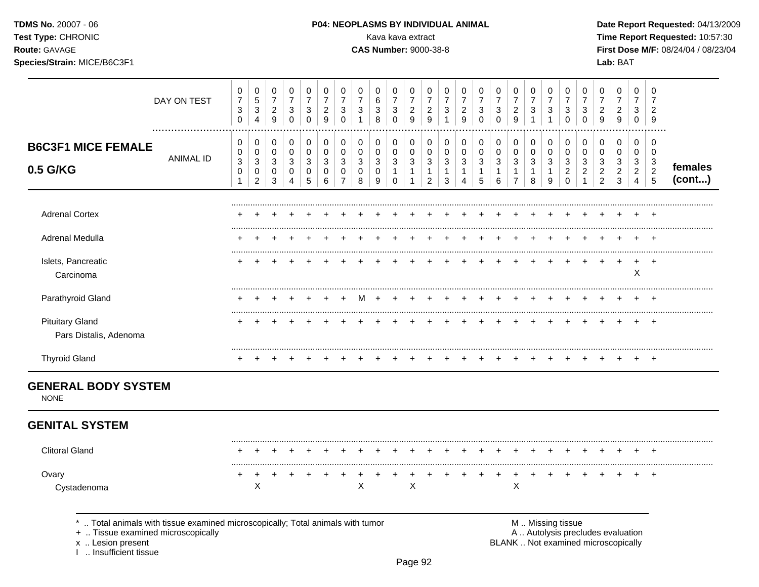| <b>TDMS No. 20007 - 06</b> |  |
|----------------------------|--|
| Tost Tyno: CHRONIC         |  |

**Test Type:** CHRONIC **Transfer CHRONIC** Kava **Rava kava extract** Kava kava extract **Time Report Requested:** 10:57:30 **Route:** GAVAGE **CAS Number:** 9000-38-8 **First Dose M/F:** 08/24/04 / 08/23/04 **Species/Strain:** MICE/B6C3F1 **Lab:** BAT

|                                                  | DAY ON TEST                                                                  | 0<br>$\overline{7}$<br>3<br>$\mathbf 0$    | 0<br>$\,$ 5 $\,$<br>$\ensuremath{\mathsf{3}}$<br>$\overline{4}$                        | 0<br>$\boldsymbol{7}$<br>$\overline{2}$<br>$\overline{9}$             | 0<br>$\overline{7}$<br>3<br>$\mathbf 0$            | 0<br>$\overline{7}$<br>3<br>$\mathbf 0$ | 0<br>$\overline{7}$<br>$\overline{2}$<br>$\mathsf g$ | 0<br>$\overline{7}$<br>$\mathbf{3}$<br>$\mathbf 0$            | 0<br>$\overline{7}$<br>3<br>$\mathbf{1}$ | 0<br>$\,6\,$<br>$\sqrt{3}$<br>8                            | 0<br>$\overline{7}$<br>3<br>$\mathbf 0$                     | 0<br>$\overline{7}$<br>$\overline{c}$<br>9                           | 0<br>$\overline{7}$<br>$\overline{a}$<br>9                               | 0<br>$\overline{7}$<br>3<br>$\mathbf{1}$                                              | 0<br>$\overline{7}$<br>$\overline{c}$<br>9                                          | 0<br>$\overline{7}$<br>3<br>$\Omega$                | 0<br>$\overline{7}$<br>$\mathbf{3}$<br>$\mathbf 0$              | 0<br>$\boldsymbol{7}$<br>$\overline{a}$<br>9        | 0<br>$\overline{7}$<br>3<br>$\mathbf{1}$          | 0<br>$\overline{7}$<br>3<br>$\mathbf{1}$ | 0<br>$\overline{7}$<br>3<br>$\mathbf 0$                                   | 0<br>$\overline{7}$<br>$\mathbf{3}$<br>$\Omega$                          | 0<br>$\overline{7}$<br>$\overline{c}$<br>$\overline{9}$                 | 0<br>$\overline{7}$<br>$\sqrt{2}$<br>9                                   | 0<br>$\overline{7}$<br>3<br>$\mathbf 0$                           | 0<br>7<br>$\overline{2}$<br>9                                     |                   |
|--------------------------------------------------|------------------------------------------------------------------------------|--------------------------------------------|----------------------------------------------------------------------------------------|-----------------------------------------------------------------------|----------------------------------------------------|-----------------------------------------|------------------------------------------------------|---------------------------------------------------------------|------------------------------------------|------------------------------------------------------------|-------------------------------------------------------------|----------------------------------------------------------------------|--------------------------------------------------------------------------|---------------------------------------------------------------------------------------|-------------------------------------------------------------------------------------|-----------------------------------------------------|-----------------------------------------------------------------|-----------------------------------------------------|---------------------------------------------------|------------------------------------------|---------------------------------------------------------------------------|--------------------------------------------------------------------------|-------------------------------------------------------------------------|--------------------------------------------------------------------------|-------------------------------------------------------------------|-------------------------------------------------------------------|-------------------|
| <b>B6C3F1 MICE FEMALE</b><br>0.5 G/KG            | <b>ANIMAL ID</b>                                                             | 0<br>$\mathsf 0$<br>3<br>0<br>$\mathbf{1}$ | $\pmb{0}$<br>$\mathbf 0$<br>$\ensuremath{\mathsf{3}}$<br>$\mathbf 0$<br>$\overline{2}$ | $\pmb{0}$<br>$\pmb{0}$<br>$\mathbf{3}$<br>$\mathbf 0$<br>$\mathbf{3}$ | $\mathbf 0$<br>$\pmb{0}$<br>$\mathbf{3}$<br>0<br>4 | $\pmb{0}$<br>$\pmb{0}$<br>3<br>0<br>5   | $\pmb{0}$<br>$\pmb{0}$<br>$\mathbf{3}$<br>0<br>6     | $\pmb{0}$<br>$\pmb{0}$<br>$\mathbf{3}$<br>0<br>$\overline{7}$ | 0<br>0<br>3<br>0<br>8                    | $\pmb{0}$<br>$\mathbf 0$<br>$\sqrt{3}$<br>$\mathbf 0$<br>9 | 0<br>$\pmb{0}$<br>$\sqrt{3}$<br>$\mathbf{1}$<br>$\mathbf 0$ | $\pmb{0}$<br>$\pmb{0}$<br>$\sqrt{3}$<br>$\mathbf{1}$<br>$\mathbf{1}$ | $\pmb{0}$<br>$\pmb{0}$<br>$\mathbf{3}$<br>$\mathbf{1}$<br>$\overline{2}$ | $\pmb{0}$<br>$\mathbf 0$<br>$\ensuremath{\mathsf{3}}$<br>$\mathbf{1}$<br>$\mathbf{3}$ | $\,0\,$<br>$\pmb{0}$<br>$\ensuremath{\mathsf{3}}$<br>$\mathbf{1}$<br>$\overline{4}$ | 0<br>$\mathsf 0$<br>$\sqrt{3}$<br>$\mathbf{1}$<br>5 | $\pmb{0}$<br>$\pmb{0}$<br>$\sqrt{3}$<br>$\mathbf{1}$<br>$\,6\,$ | 0<br>$\pmb{0}$<br>$\sqrt{3}$<br>1<br>$\overline{7}$ | 0<br>$\pmb{0}$<br>$\sqrt{3}$<br>$\mathbf{1}$<br>8 | $\pmb{0}$<br>$\mathbf 0$<br>3<br>1<br>9  | $\pmb{0}$<br>$\mathbf 0$<br>$\mathbf{3}$<br>$\overline{c}$<br>$\mathbf 0$ | $\pmb{0}$<br>$\pmb{0}$<br>$\mathbf{3}$<br>$\overline{c}$<br>$\mathbf{1}$ | 0<br>0<br>$\ensuremath{\mathsf{3}}$<br>$\overline{c}$<br>$\overline{2}$ | $\pmb{0}$<br>$\mathbf 0$<br>$\sqrt{3}$<br>$\overline{2}$<br>$\mathbf{3}$ | $\pmb{0}$<br>$\mathbf 0$<br>3<br>$\overline{2}$<br>$\overline{4}$ | $\mathbf 0$<br>$\mathbf 0$<br>3<br>$\boldsymbol{2}$<br>$\sqrt{5}$ | females<br>(cont) |
| <b>Adrenal Cortex</b>                            |                                                                              |                                            |                                                                                        |                                                                       |                                                    |                                         |                                                      |                                                               |                                          |                                                            |                                                             |                                                                      |                                                                          |                                                                                       |                                                                                     |                                                     |                                                                 |                                                     |                                                   |                                          |                                                                           |                                                                          |                                                                         |                                                                          |                                                                   |                                                                   |                   |
| Adrenal Medulla                                  |                                                                              |                                            |                                                                                        |                                                                       |                                                    |                                         |                                                      |                                                               |                                          |                                                            |                                                             |                                                                      |                                                                          |                                                                                       |                                                                                     |                                                     |                                                                 |                                                     |                                                   |                                          |                                                                           |                                                                          |                                                                         |                                                                          |                                                                   |                                                                   |                   |
| Islets, Pancreatic<br>Carcinoma                  |                                                                              |                                            |                                                                                        |                                                                       |                                                    |                                         |                                                      |                                                               |                                          |                                                            |                                                             |                                                                      |                                                                          |                                                                                       |                                                                                     |                                                     |                                                                 |                                                     |                                                   |                                          |                                                                           |                                                                          |                                                                         |                                                                          | $\sf X$                                                           |                                                                   |                   |
| Parathyroid Gland                                |                                                                              |                                            |                                                                                        |                                                                       |                                                    |                                         |                                                      |                                                               | M                                        |                                                            |                                                             |                                                                      |                                                                          |                                                                                       |                                                                                     |                                                     |                                                                 |                                                     |                                                   |                                          |                                                                           |                                                                          |                                                                         |                                                                          |                                                                   |                                                                   |                   |
| <b>Pituitary Gland</b><br>Pars Distalis, Adenoma |                                                                              |                                            |                                                                                        |                                                                       |                                                    |                                         |                                                      |                                                               |                                          |                                                            |                                                             |                                                                      |                                                                          |                                                                                       |                                                                                     |                                                     |                                                                 |                                                     |                                                   |                                          |                                                                           |                                                                          |                                                                         |                                                                          |                                                                   | $\ddot{}$                                                         |                   |
| <b>Thyroid Gland</b>                             |                                                                              |                                            |                                                                                        |                                                                       |                                                    |                                         |                                                      |                                                               |                                          |                                                            |                                                             |                                                                      |                                                                          |                                                                                       |                                                                                     |                                                     |                                                                 |                                                     |                                                   |                                          |                                                                           |                                                                          |                                                                         |                                                                          |                                                                   |                                                                   |                   |
| <b>GENERAL BODY SYSTEM</b><br><b>NONE</b>        |                                                                              |                                            |                                                                                        |                                                                       |                                                    |                                         |                                                      |                                                               |                                          |                                                            |                                                             |                                                                      |                                                                          |                                                                                       |                                                                                     |                                                     |                                                                 |                                                     |                                                   |                                          |                                                                           |                                                                          |                                                                         |                                                                          |                                                                   |                                                                   |                   |
| <b>GENITAL SYSTEM</b>                            |                                                                              |                                            |                                                                                        |                                                                       |                                                    |                                         |                                                      |                                                               |                                          |                                                            |                                                             |                                                                      |                                                                          |                                                                                       |                                                                                     |                                                     |                                                                 |                                                     |                                                   |                                          |                                                                           |                                                                          |                                                                         |                                                                          |                                                                   |                                                                   |                   |
| <b>Clitoral Gland</b>                            |                                                                              |                                            |                                                                                        |                                                                       |                                                    |                                         |                                                      |                                                               |                                          |                                                            |                                                             |                                                                      |                                                                          |                                                                                       |                                                                                     |                                                     |                                                                 |                                                     |                                                   |                                          |                                                                           |                                                                          |                                                                         |                                                                          |                                                                   |                                                                   |                   |
| Ovary<br>Cystadenoma                             |                                                                              | +                                          | $\cdot$<br>X                                                                           |                                                                       |                                                    |                                         |                                                      |                                                               | +<br>X                                   |                                                            |                                                             | X                                                                    |                                                                          |                                                                                       |                                                                                     |                                                     | $\ddot{}$                                                       | +<br>$\mathsf X$                                    | $\ddot{}$                                         |                                          |                                                                           |                                                                          |                                                                         | $\ddot{}$                                                                | $\div$                                                            | $^{+}$                                                            |                   |
| $\star$<br>+  Tissue examined microscopically    | Total animals with tissue examined microscopically; Total animals with tumor |                                            |                                                                                        |                                                                       |                                                    |                                         |                                                      |                                                               |                                          |                                                            |                                                             |                                                                      |                                                                          |                                                                                       |                                                                                     |                                                     |                                                                 |                                                     |                                                   | M  Missing tissue                        |                                                                           |                                                                          | A  Autolysis precludes evaluation                                       |                                                                          |                                                                   |                                                                   |                   |

x .. Lesion present<br>I .. Insufficient tissue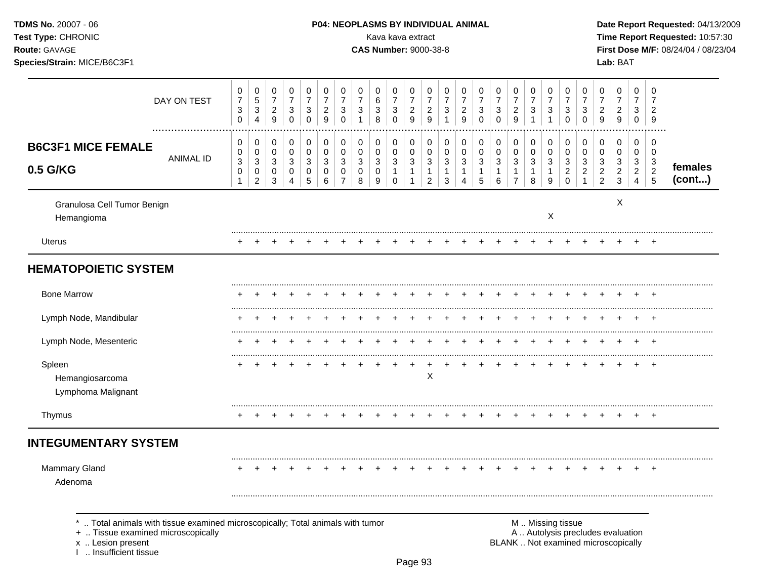| <b>TDMS No. 20007 - 06</b><br>Test Type: CHRONIC<br>Route: GAVAGE<br>Species/Strain: MICE/B6C3F1                                                                         |                  |                                                |                                                   |                                              |                               |                               |                                            |                                                  |                               | P04: NEOPLASMS BY INDIVIDUAL ANIMAL<br>Kava kava extract<br><b>CAS Number: 9000-38-8</b> |                                         |                                            |                                            |                                          |                                                     |                               |                                                |                               |                          |                          |                                                    |                                                  |                                                                          | Lab: BAT                                                  |                                         |                                              | Date Report Requested: 04/13/2009<br>Time Report Requested: 10:57:30<br>First Dose M/F: 08/24/04 / 08/23/04 |
|--------------------------------------------------------------------------------------------------------------------------------------------------------------------------|------------------|------------------------------------------------|---------------------------------------------------|----------------------------------------------|-------------------------------|-------------------------------|--------------------------------------------|--------------------------------------------------|-------------------------------|------------------------------------------------------------------------------------------|-----------------------------------------|--------------------------------------------|--------------------------------------------|------------------------------------------|-----------------------------------------------------|-------------------------------|------------------------------------------------|-------------------------------|--------------------------|--------------------------|----------------------------------------------------|--------------------------------------------------|--------------------------------------------------------------------------|-----------------------------------------------------------|-----------------------------------------|----------------------------------------------|-------------------------------------------------------------------------------------------------------------|
|                                                                                                                                                                          | DAY ON TEST<br>  | 0<br>$\boldsymbol{7}$<br>3<br>$\mathbf 0$      | 0<br>$\sqrt{5}$<br>$\ensuremath{\mathsf{3}}$<br>4 | 0<br>$\boldsymbol{7}$<br>$\overline{a}$<br>9 | 0<br>$\overline{7}$<br>3<br>0 | 0<br>$\overline{7}$<br>3<br>0 | 0<br>$\overline{7}$<br>$\overline{c}$<br>9 | 0<br>$\overline{7}$<br>$\sqrt{3}$<br>$\mathbf 0$ | 0<br>$\overline{7}$<br>3<br>1 | 0<br>6<br>$\mathbf{3}$<br>8                                                              | 0<br>$\overline{7}$<br>3<br>$\mathbf 0$ | 0<br>$\overline{7}$<br>$\overline{c}$<br>9 | 0<br>$\overline{7}$<br>$\overline{c}$<br>9 | 0<br>$\overline{7}$<br>3<br>$\mathbf{1}$ | 0<br>$\overline{7}$<br>$\overline{\mathbf{c}}$<br>9 | 0<br>$\overline{7}$<br>3<br>0 | 0<br>$\boldsymbol{7}$<br>3<br>$\mathbf 0$      | 0<br>$\overline{7}$<br>2<br>9 | 0<br>$\overline{7}$<br>3 | 0<br>$\overline{7}$<br>3 | 0<br>$\boldsymbol{7}$<br>$\sqrt{3}$<br>$\mathbf 0$ | 0<br>$\overline{7}$<br>$\sqrt{3}$<br>$\mathbf 0$ | 0<br>7<br>$\overline{c}$<br>9                                            | 0<br>$\overline{7}$<br>$\overline{c}$<br>$\boldsymbol{9}$ | 0<br>$\overline{7}$<br>3<br>$\mathbf 0$ | 0<br>$\overline{7}$<br>$\overline{2}$<br>9   |                                                                                                             |
| <b>B6C3F1 MICE FEMALE</b>                                                                                                                                                | <b>ANIMAL ID</b> | 0<br>0                                         | 0<br>0                                            | 0<br>$\mathbf 0$                             | 0<br>$\pmb{0}$                | 0<br>0                        | $\pmb{0}$<br>$\pmb{0}$                     | 0<br>$\mathsf 0$                                 | 0<br>$\pmb{0}$                | 0<br>0                                                                                   | 0<br>$\mathbf 0$                        | 0<br>$\mathbf 0$                           | 0<br>$\pmb{0}$                             | 0<br>$\pmb{0}$                           | 0<br>$\pmb{0}$                                      | 0<br>$\mathbf 0$              | 0<br>$\pmb{0}$                                 | 0<br>0                        | 0<br>0                   | 0<br>$\pmb{0}$           | 0<br>$\pmb{0}$                                     | $\boldsymbol{0}$<br>$\pmb{0}$                    | 0<br>0                                                                   | 0<br>0                                                    | 0<br>$\mathbf 0$                        | 0<br>0                                       |                                                                                                             |
| 0.5 G/KG                                                                                                                                                                 |                  | $\ensuremath{\mathsf{3}}$<br>0<br>$\mathbf{1}$ | 3<br>0<br>$\overline{2}$                          | 3<br>0<br>3                                  | 3<br>0<br>4                   | 3<br>0<br>5                   | $\sqrt{3}$<br>0<br>6                       | $\sqrt{3}$<br>0<br>$\overline{7}$                | $\sqrt{3}$<br>0<br>8          | $\mathbf{3}$<br>0<br>9                                                                   | $\sqrt{3}$<br>-1<br>$\Omega$            | 3<br>1<br>-1                               | $\sqrt{3}$<br>1<br>$\overline{2}$          | 3<br>1<br>3                              | 3<br>Δ                                              | 3<br>5                        | $\ensuremath{\mathsf{3}}$<br>$\mathbf{1}$<br>6 | 3<br>1<br>$\overline{7}$      | 3<br>1<br>8              | 3<br>1<br>9              | 3<br>$\overline{c}$<br>$\mathbf 0$                 | $\sqrt{3}$<br>2                                  | 3<br>$\overline{2}$<br>2                                                 | 3<br>$\overline{c}$<br>3                                  | 3<br>$\overline{a}$<br>$\overline{4}$   | $\mathbf{3}$<br>$\sqrt{2}$<br>$\overline{5}$ | females<br>(cont)                                                                                           |
| Granulosa Cell Tumor Benign<br>Hemangioma                                                                                                                                |                  |                                                |                                                   |                                              |                               |                               |                                            |                                                  |                               |                                                                                          |                                         |                                            |                                            |                                          |                                                     |                               |                                                |                               |                          | X                        |                                                    |                                                  |                                                                          | X                                                         |                                         |                                              |                                                                                                             |
| <b>Uterus</b>                                                                                                                                                            |                  |                                                |                                                   |                                              |                               |                               |                                            |                                                  |                               |                                                                                          |                                         |                                            |                                            |                                          |                                                     |                               |                                                |                               |                          |                          |                                                    |                                                  |                                                                          |                                                           |                                         | $\overline{+}$                               |                                                                                                             |
| <b>HEMATOPOIETIC SYSTEM</b>                                                                                                                                              |                  |                                                |                                                   |                                              |                               |                               |                                            |                                                  |                               |                                                                                          |                                         |                                            |                                            |                                          |                                                     |                               |                                                |                               |                          |                          |                                                    |                                                  |                                                                          |                                                           |                                         |                                              |                                                                                                             |
| <b>Bone Marrow</b>                                                                                                                                                       |                  |                                                |                                                   |                                              |                               |                               |                                            |                                                  |                               |                                                                                          |                                         |                                            |                                            |                                          |                                                     |                               |                                                |                               |                          |                          |                                                    |                                                  |                                                                          |                                                           |                                         | $\pm$                                        |                                                                                                             |
| Lymph Node, Mandibular                                                                                                                                                   |                  |                                                |                                                   |                                              |                               |                               |                                            |                                                  |                               |                                                                                          |                                         |                                            |                                            |                                          |                                                     |                               |                                                |                               |                          |                          |                                                    |                                                  |                                                                          |                                                           |                                         | $\overline{+}$                               |                                                                                                             |
| Lymph Node, Mesenteric                                                                                                                                                   |                  |                                                |                                                   |                                              |                               |                               |                                            |                                                  |                               |                                                                                          |                                         |                                            |                                            |                                          |                                                     |                               |                                                |                               |                          |                          |                                                    |                                                  |                                                                          |                                                           |                                         | $\pm$                                        |                                                                                                             |
| Spleen<br>Hemangiosarcoma<br>Lymphoma Malignant                                                                                                                          |                  |                                                |                                                   |                                              |                               |                               |                                            |                                                  |                               |                                                                                          |                                         |                                            | Χ                                          |                                          |                                                     |                               |                                                |                               |                          |                          |                                                    |                                                  |                                                                          |                                                           |                                         | $\overline{+}$                               |                                                                                                             |
| Thymus                                                                                                                                                                   |                  |                                                |                                                   | $\pm$                                        | $\ddot{}$                     |                               |                                            |                                                  |                               |                                                                                          |                                         |                                            |                                            |                                          |                                                     |                               |                                                |                               |                          | $\pm$                    | $\pm$                                              | $\pm$                                            |                                                                          |                                                           |                                         | $\overline{+}$                               |                                                                                                             |
| <b>INTEGUMENTARY SYSTEM</b>                                                                                                                                              |                  |                                                |                                                   |                                              |                               |                               |                                            |                                                  |                               |                                                                                          |                                         |                                            |                                            |                                          |                                                     |                               |                                                |                               |                          |                          |                                                    |                                                  |                                                                          |                                                           |                                         |                                              |                                                                                                             |
| <b>Mammary Gland</b><br>Adenoma                                                                                                                                          |                  |                                                |                                                   |                                              |                               |                               |                                            |                                                  |                               |                                                                                          |                                         |                                            |                                            |                                          |                                                     |                               |                                                |                               |                          |                          |                                                    |                                                  |                                                                          |                                                           |                                         |                                              |                                                                                                             |
| *  Total animals with tissue examined microscopically; Total animals with tumor<br>+  Tissue examined microscopically<br>x  Lesion present<br><b>Insufficient tissue</b> |                  |                                                |                                                   |                                              |                               |                               |                                            |                                                  |                               |                                                                                          |                                         |                                            |                                            |                                          |                                                     |                               |                                                |                               |                          |                          | M  Missing tissue                                  |                                                  | A  Autolysis precludes evaluation<br>BLANK  Not examined microscopically |                                                           |                                         |                                              |                                                                                                             |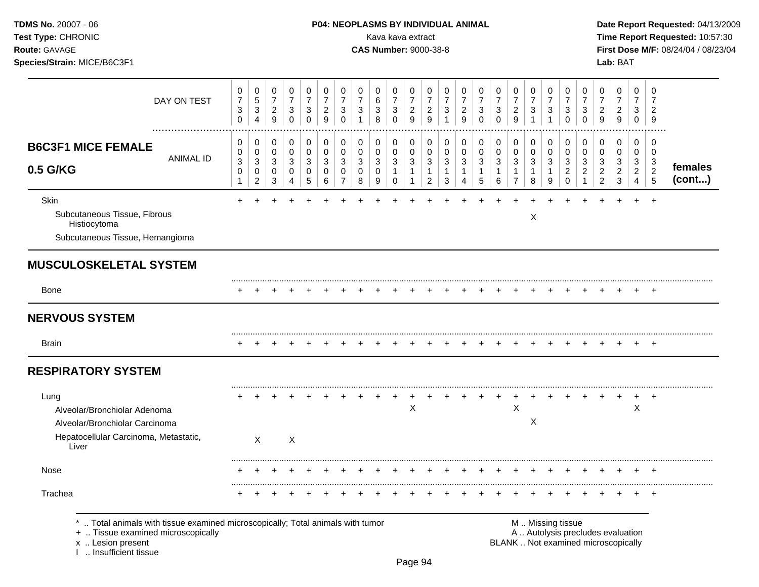| <b>TDMS No. 20007 - 06</b> |  |
|----------------------------|--|
| Test Type: CHRONIC         |  |

Kava kava extract **Time Report Requested:** 10:57:30 **Route:** GAVAGE **CAS Number:** 9000-38-8 **First Dose M/F:** 08/24/04 / 08/23/04 **Species/Strain:** MICE/B6C3F1 **Lab:** BAT

| DAY ON TEST                                                                                                                                                       | 0<br>$\boldsymbol{7}$<br>3<br>$\mathbf 0$ | 0<br>$\sqrt{5}$<br>$\sqrt{3}$<br>$\overline{4}$       | 0<br>$\boldsymbol{7}$<br>$\overline{c}$<br>$\overline{9}$ | 0<br>$\overline{7}$<br>$\sqrt{3}$<br>$\mathbf 0$   | 0<br>$\overline{7}$<br>3<br>$\mathbf 0$      | 0<br>$\overline{7}$<br>$\overline{2}$<br>$\boldsymbol{9}$ | 0<br>$\overline{7}$<br>3<br>$\mathbf 0$                | 0<br>$\overline{7}$<br>3<br>1                        | 0<br>6<br>3<br>8                          | 0<br>$\overline{7}$<br>3<br>$\mathbf 0$                                    | 0<br>$\overline{7}$<br>$\overline{c}$<br>9                                    | 0<br>$\overline{7}$<br>$\overline{c}$<br>$\mathsf g$  | 0<br>$\overline{7}$<br>3<br>1                                      | 0<br>$\overline{7}$<br>$\boldsymbol{2}$<br>9 | 0<br>$\overline{7}$<br>3<br>$\mathbf 0$            | 0<br>$\overline{7}$<br>3<br>$\mathbf 0$ | 0<br>$\overline{7}$<br>$\overline{c}$<br>9                                    | 0<br>$\overline{7}$<br>$\sqrt{3}$<br>1              | 0<br>$\overline{7}$<br>3<br>$\mathbf{1}$ | 0<br>$\overline{7}$<br>3<br>$\mathbf 0$    | 0<br>$\overline{7}$<br>3<br>$\Omega$                    | 0<br>$\overline{7}$<br>$\overline{c}$<br>9                               | 0<br>$\overline{7}$<br>$\overline{c}$<br>$\boldsymbol{9}$ | 0<br>$\overline{7}$<br>3<br>$\mathbf 0$                | $\mathbf 0$<br>$\overline{7}$<br>$\overline{\mathbf{c}}$<br>9 |                   |
|-------------------------------------------------------------------------------------------------------------------------------------------------------------------|-------------------------------------------|-------------------------------------------------------|-----------------------------------------------------------|----------------------------------------------------|----------------------------------------------|-----------------------------------------------------------|--------------------------------------------------------|------------------------------------------------------|-------------------------------------------|----------------------------------------------------------------------------|-------------------------------------------------------------------------------|-------------------------------------------------------|--------------------------------------------------------------------|----------------------------------------------|----------------------------------------------------|-----------------------------------------|-------------------------------------------------------------------------------|-----------------------------------------------------|------------------------------------------|--------------------------------------------|---------------------------------------------------------|--------------------------------------------------------------------------|-----------------------------------------------------------|--------------------------------------------------------|---------------------------------------------------------------|-------------------|
| <b>B6C3F1 MICE FEMALE</b><br>ANIMAL ID<br>0.5 G/KG                                                                                                                | 0<br>0<br>$\sqrt{3}$<br>$\mathbf 0$<br>1  | 0<br>0<br>$\mathbf{3}$<br>$\pmb{0}$<br>$\overline{c}$ | 0<br>$\mathbf 0$<br>3<br>$\mathbf 0$<br>$\mathbf{3}$      | 0<br>$\mathbf 0$<br>$\sqrt{3}$<br>$\mathbf 0$<br>4 | $\,0\,$<br>$\,0\,$<br>$\mathbf{3}$<br>0<br>5 | $\pmb{0}$<br>$\mathbf 0$<br>3<br>0<br>6                   | 0<br>$\mathbf 0$<br>3<br>$\mathbf 0$<br>$\overline{7}$ | 0<br>$\mathbf 0$<br>$\mathbf{3}$<br>$\mathbf 0$<br>8 | 0<br>$\mathbf 0$<br>3<br>$\mathbf 0$<br>9 | 0<br>$\pmb{0}$<br>$\ensuremath{\mathsf{3}}$<br>$\mathbf{1}$<br>$\mathbf 0$ | 0<br>$\mathbf 0$<br>$\ensuremath{\mathsf{3}}$<br>$\mathbf{1}$<br>$\mathbf{1}$ | 0<br>$\pmb{0}$<br>3<br>$\mathbf{1}$<br>$\overline{c}$ | 0<br>$\mathbf 0$<br>$\mathbf{3}$<br>$\overline{1}$<br>$\mathbf{3}$ | 0<br>$\pmb{0}$<br>3<br>$\mathbf{1}$<br>4     | 0<br>$\mathbf 0$<br>$\sqrt{3}$<br>$\mathbf 1$<br>5 | 0<br>0<br>3<br>$\mathbf{1}$<br>6        | 0<br>$\pmb{0}$<br>$\ensuremath{\mathsf{3}}$<br>$\mathbf{1}$<br>$\overline{7}$ | 0<br>$\mathbf 0$<br>$\sqrt{3}$<br>$\mathbf{1}$<br>8 | 0<br>$\pmb{0}$<br>3<br>$\mathbf{1}$<br>9 | 0<br>0<br>3<br>$\overline{2}$<br>$\pmb{0}$ | 0<br>$\mathbf 0$<br>$\mathbf{3}$<br>$\overline{2}$<br>1 | 0<br>0<br>$\mathbf{3}$<br>$\overline{c}$<br>$\overline{c}$               | 0<br>$\mathbf 0$<br>3<br>$\overline{2}$<br>$\mathbf{3}$   | 0<br>$\mathbf 0$<br>$\mathsf 3$<br>$\overline{2}$<br>4 | $\mathbf 0$<br>0<br>3<br>$\overline{2}$<br>$\overline{5}$     | females<br>(cont) |
| <b>Skin</b><br>Subcutaneous Tissue, Fibrous<br>Histiocytoma<br>Subcutaneous Tissue, Hemangioma                                                                    |                                           |                                                       |                                                           |                                                    |                                              |                                                           |                                                        |                                                      |                                           |                                                                            |                                                                               |                                                       |                                                                    |                                              |                                                    |                                         |                                                                               | X                                                   |                                          |                                            |                                                         |                                                                          |                                                           |                                                        | $+$                                                           |                   |
| <b>MUSCULOSKELETAL SYSTEM</b>                                                                                                                                     |                                           |                                                       |                                                           |                                                    |                                              |                                                           |                                                        |                                                      |                                           |                                                                            |                                                                               |                                                       |                                                                    |                                              |                                                    |                                         |                                                                               |                                                     |                                          |                                            |                                                         |                                                                          |                                                           |                                                        |                                                               |                   |
| Bone                                                                                                                                                              |                                           |                                                       |                                                           |                                                    |                                              |                                                           |                                                        |                                                      |                                           |                                                                            |                                                                               |                                                       |                                                                    |                                              |                                                    |                                         |                                                                               |                                                     |                                          |                                            |                                                         |                                                                          |                                                           |                                                        | $\div$                                                        |                   |
| <b>NERVOUS SYSTEM</b>                                                                                                                                             |                                           |                                                       |                                                           |                                                    |                                              |                                                           |                                                        |                                                      |                                           |                                                                            |                                                                               |                                                       |                                                                    |                                              |                                                    |                                         |                                                                               |                                                     |                                          |                                            |                                                         |                                                                          |                                                           |                                                        |                                                               |                   |
| <b>Brain</b>                                                                                                                                                      |                                           |                                                       |                                                           |                                                    |                                              |                                                           |                                                        |                                                      |                                           |                                                                            |                                                                               |                                                       |                                                                    |                                              |                                                    |                                         |                                                                               |                                                     |                                          |                                            |                                                         |                                                                          |                                                           |                                                        |                                                               |                   |
| <b>RESPIRATORY SYSTEM</b>                                                                                                                                         |                                           |                                                       |                                                           |                                                    |                                              |                                                           |                                                        |                                                      |                                           |                                                                            |                                                                               |                                                       |                                                                    |                                              |                                                    |                                         |                                                                               |                                                     |                                          |                                            |                                                         |                                                                          |                                                           |                                                        |                                                               |                   |
| Lung<br>Alveolar/Bronchiolar Adenoma<br>Alveolar/Bronchiolar Carcinoma<br>Hepatocellular Carcinoma, Metastatic,<br>Liver                                          |                                           | $\times$                                              |                                                           | X                                                  |                                              |                                                           |                                                        |                                                      |                                           |                                                                            | X                                                                             |                                                       |                                                                    |                                              |                                                    |                                         | X                                                                             | X                                                   |                                          |                                            |                                                         |                                                                          |                                                           | X                                                      |                                                               |                   |
| Nose                                                                                                                                                              |                                           |                                                       |                                                           |                                                    |                                              |                                                           |                                                        |                                                      |                                           |                                                                            |                                                                               | ÷                                                     |                                                                    |                                              |                                                    |                                         |                                                                               |                                                     |                                          |                                            |                                                         | ٠                                                                        | $\ddot{}$                                                 | $\ddot{}$                                              | $^{+}$                                                        |                   |
| Trachea                                                                                                                                                           |                                           |                                                       |                                                           |                                                    |                                              |                                                           |                                                        |                                                      |                                           |                                                                            |                                                                               |                                                       |                                                                    |                                              |                                                    |                                         |                                                                               |                                                     |                                          |                                            |                                                         |                                                                          |                                                           |                                                        |                                                               |                   |
| Total animals with tissue examined microscopically; Total animals with tumor<br>+  Tissue examined microscopically<br>x  Lesion present<br>1  Insufficient tissue |                                           |                                                       |                                                           |                                                    |                                              |                                                           |                                                        |                                                      |                                           |                                                                            |                                                                               |                                                       |                                                                    |                                              |                                                    |                                         |                                                                               |                                                     | M  Missing tissue                        |                                            |                                                         | A  Autolysis precludes evaluation<br>BLANK  Not examined microscopically |                                                           |                                                        |                                                               |                   |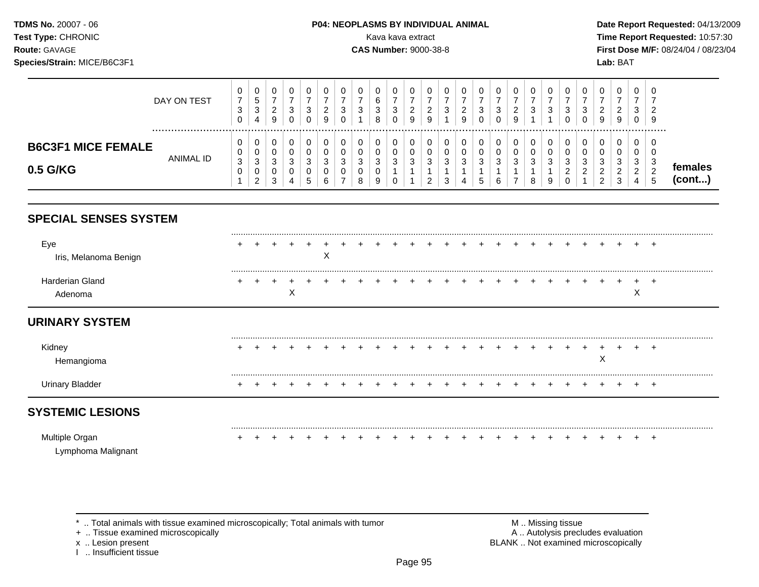| <b>TDMS No. 20007 - 06</b>  |
|-----------------------------|
| <b>Test Type: CHRONIC</b>   |
| <b>Route: GAVAGE</b>        |
| Species/Strain: MICE/B6C3F1 |

#### P04: NEOPLASMS BY INDIVIDUAL ANIMAL

Kava kava extract

CAS Number: 9000-38-8

Date Report Requested: 04/13/2009 Time Report Requested: 10:57:30 First Dose M/F: 08/24/04 / 08/23/04 Lab: BAT

|                                       | DAY ON TEST | 0<br>$\rightarrow$<br>3<br>0 | 0<br>∽<br>نٽ<br>3<br>4                                      | U<br>ົ<br><u>_</u><br>9    | າ<br>N               | U<br>3<br>0                | 0<br>ົ<br>_<br>9                | ັ | U<br>3 | $\sim$<br>8  | u<br>ว<br>◡<br>U | 9      | 0<br>◠<br><u>_</u><br>9 | υ<br>J                 | 9 | 0<br>3<br>0       | ີ<br>ັ<br>$\sim$<br>U      | <u>_</u><br>9    | ν<br>3           | 3                     | 3                   | <b>پ</b> | 0<br><u>_</u><br>9      | 0<br><u>_</u><br>9              | υ<br>າ<br>ັບ<br>v                  | U<br>9       |                   |
|---------------------------------------|-------------|------------------------------|-------------------------------------------------------------|----------------------------|----------------------|----------------------------|---------------------------------|---|--------|--------------|------------------|--------|-------------------------|------------------------|---|-------------------|----------------------------|------------------|------------------|-----------------------|---------------------|----------|-------------------------|---------------------------------|------------------------------------|--------------|-------------------|
| <b>B6C3F1 MICE FEMALE</b><br>0.5 G/KG | ANIMAL ID   | U<br>0<br>3<br>U             | $\mathbf{0}$<br>0<br>$\sim$<br>C<br>υ<br>$\sim$<br><u>_</u> | υ<br>ົ<br>ັ<br>υ<br>◠<br>◡ | $\sqrt{2}$<br>J<br>4 | U<br>O<br>3<br>O<br>∽<br>J | 0<br>υ<br>ົ<br>ັ<br>C<br>υ<br>6 | u | 3<br>8 | <sup>o</sup> | υ<br>v<br>3      | ⌒<br>ں | 0<br>0<br>3<br>◠        | U<br>υ<br>ົ<br>J.<br>◠ | 3 | 0<br>0<br>3<br>b. | ◡<br>$\sim$<br>ັ<br>$\sim$ | 0<br>J<br>≏<br>J | U<br>ν<br>3<br>8 | υ<br>U<br>◠<br>د<br>9 | ົ<br>J.<br><u>_</u> | 3        | 0<br>З<br><u>_</u><br>◠ | U<br>0<br>ົ<br>ັ<br>_<br>◠<br>ັ | υ<br>ັບ<br>3<br>◠<br><u>_</u><br>4 | U<br>-3<br>- | temales<br>(cont) |

# **SPECIAL SENSES SYSTEM**

| Eye<br>Iris, Melanoma Benign         |  |   | Х |  |  |  |  |  |  |  |   |   |       |  |
|--------------------------------------|--|---|---|--|--|--|--|--|--|--|---|---|-------|--|
| Harderian Gland<br>Adenoma           |  | Χ |   |  |  |  |  |  |  |  |   | X |       |  |
| <b>URINARY SYSTEM</b>                |  |   |   |  |  |  |  |  |  |  |   |   |       |  |
| Kidney<br>Hemangioma                 |  |   |   |  |  |  |  |  |  |  | Х |   | $\pm$ |  |
| <b>Urinary Bladder</b>               |  |   |   |  |  |  |  |  |  |  |   |   | $\pm$ |  |
| <b>SYSTEMIC LESIONS</b>              |  |   |   |  |  |  |  |  |  |  |   |   |       |  |
| Multiple Organ<br>Lymphoma Malignant |  |   |   |  |  |  |  |  |  |  |   |   |       |  |

\* .. Total animals with tissue examined microscopically; Total animals with tumor + .. Tissue examined microscopically

x .. Lesion present<br>I .. Insufficient tissue

M .. Missing tissue<br>A .. Autolysis precludes evaluation BLANK .. Not examined microscopically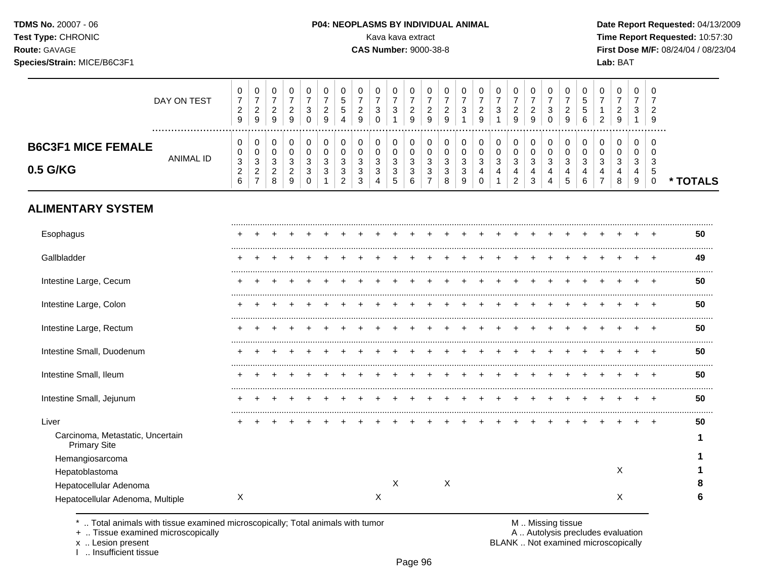**Test Type:** CHRONIC **Transfer CHRONIC Report Requested:** 10:57:30 **Route:** GAVAGE **CAS Number:** 9000-38-8 **First Dose M/F:** 08/24/04 / 08/23/04 **Species/Strain:** MICE/B6C3F1 **Lab:** BAT

|                           | DAY ON TEST | v           | U                     | U                     | 0                  | 0           |        | 0<br>G      |                  | 0      |             | 0                  | υ           |             | 0<br>-      | v                | 0      | U           | 0                |        |                  | 0<br>đ      | υ                  | 0                  | υ      | O      |          |
|---------------------------|-------------|-------------|-----------------------|-----------------------|--------------------|-------------|--------|-------------|------------------|--------|-------------|--------------------|-------------|-------------|-------------|------------------|--------|-------------|------------------|--------|------------------|-------------|--------------------|--------------------|--------|--------|----------|
|                           |             | 9           | ົ<br>$\sim$<br>9      | ົ<br><u>_</u><br>9    | റ<br><u>_</u><br>9 | 3<br>0      | ∼<br>9 | 5<br>4      | <u>_</u><br>9    | 3<br>U | 3           | ົ<br><u>_</u><br>9 | ົ<br>∼<br>9 | ົ<br>▵<br>9 | 3           | ົ<br>$\sim$<br>9 | 3      | ົ<br>▵<br>9 | ົ<br>$\sim$<br>9 | 3<br>0 | 9                | ∽<br>ັ<br>6 | $\sim$<br><u>.</u> | ົ<br><u>_</u><br>9 | 3      | 9      |          |
| <b>B6C3F1 MICE FEMALE</b> |             |             | U<br>C<br>U           |                       | 0<br>0             | 0<br>0      |        | 0<br>0      | υ                | 0<br>U |             | 0<br>0             | υ<br>υ      |             | 0<br>0      | υ                | 0<br>0 | U<br>υ      | 0<br>0           | 0      |                  | 0<br>0      | U.                 | C<br>U             | υ<br>ν | O<br>U |          |
| 0.5 G/KG                  | ANIMAL ID   | ົ<br>د<br>6 | 3<br>$\sim$<br>∼<br>⇁ | 3<br>$\sim$<br>_<br>8 | 3<br>ົ<br>▵<br>9   | 3<br>ີ<br>ت | ت      | 3<br>3<br>ົ | ົ<br>ົ<br>ت<br>3 | 3<br>3 | ີ<br>J<br>3 | 3<br>3             | 3<br>3      | 3<br>3<br>8 | 3<br>3<br>9 | 3<br>4<br>$\sim$ | 3<br>4 | 3<br>4<br>ົ | 3                | 3<br>4 | $\sqrt{2}$<br>×. | 3<br>6      | ົ<br>ບ<br>4        | 3<br>4             | 3<br>4 | Ð      | * TOTALS |
|                           |             |             |                       |                       |                    | 0           |        | ∠           |                  | 4      | G           | 6                  |             |             |             | υ                |        | ▵           | 3                | 4      | M                |             |                    | 8                  | 9      |        |          |

## **ALIMENTARY SYSTEM**

| Esophagus                                               |   |  |  |  |   |   |  |   |  |  |  |  |   |  | 50 |
|---------------------------------------------------------|---|--|--|--|---|---|--|---|--|--|--|--|---|--|----|
| Gallbladder                                             |   |  |  |  |   |   |  |   |  |  |  |  |   |  | 49 |
| Intestine Large, Cecum                                  |   |  |  |  |   |   |  |   |  |  |  |  |   |  | 50 |
| Intestine Large, Colon                                  |   |  |  |  |   |   |  |   |  |  |  |  |   |  | 50 |
| Intestine Large, Rectum                                 |   |  |  |  |   |   |  |   |  |  |  |  |   |  | 50 |
| Intestine Small, Duodenum                               |   |  |  |  |   |   |  |   |  |  |  |  |   |  | 50 |
| Intestine Small, Ileum                                  |   |  |  |  |   |   |  |   |  |  |  |  |   |  | 50 |
| Intestine Small, Jejunum                                |   |  |  |  |   |   |  |   |  |  |  |  |   |  | 50 |
| Liver                                                   |   |  |  |  |   |   |  |   |  |  |  |  |   |  | 50 |
| Carcinoma, Metastatic, Uncertain<br><b>Primary Site</b> |   |  |  |  |   |   |  |   |  |  |  |  |   |  |    |
| Hemangiosarcoma                                         |   |  |  |  |   |   |  |   |  |  |  |  |   |  |    |
| Hepatoblastoma                                          |   |  |  |  |   |   |  |   |  |  |  |  | X |  |    |
| Hepatocellular Adenoma                                  |   |  |  |  |   | X |  | X |  |  |  |  |   |  | 8  |
| Hepatocellular Adenoma, Multiple                        | X |  |  |  | X |   |  |   |  |  |  |  | X |  |    |

\* .. Total animals with tissue examined microscopically; Total animals with tumor M .. Missing tissue M .. Missing tissue<br>
+ .. Tissue examined microscopically

+ .. Tissue examined microscopically

x .. Lesion present<br>I .. Insufficient tissue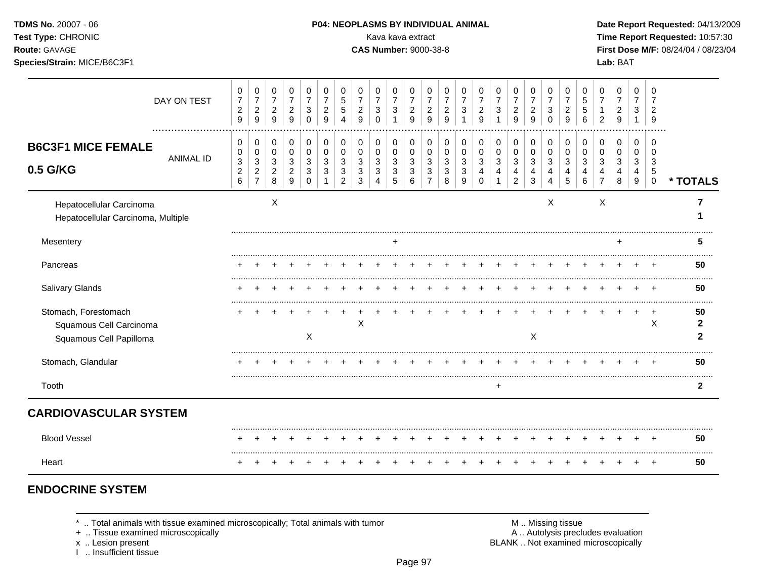| <b>TDMS No. 20007 - 06</b> |  |
|----------------------------|--|
| <b>Test Tyne: CHRONIC</b>  |  |

**Test Type:** CHRONIC **Transfer CHRONIC Report Requested:** 10:57:30 **Route:** GAVAGE **CAS Number:** 9000-38-8 **First Dose M/F:** 08/24/04 / 08/23/04 **Species/Strain:** MICE/B6C3F1 **Lab:** BAT

| DAY ON TEST                                                    | 0<br>$\boldsymbol{7}$<br>$\boldsymbol{2}$<br>$\overline{9}$    | 0<br>$\overline{7}$<br>$\overline{c}$<br>$\overline{9}$                   | 0<br>$\overline{7}$<br>$\overline{2}$<br>9                           | 0<br>$\overline{7}$<br>$\overline{2}$<br>9            | 0<br>7<br>3<br>$\Omega$                | 0<br>2<br>9           | 0<br>$\mathbf 5$<br>5<br>Δ                 | 0<br>$\overline{7}$<br>$\overline{c}$<br>9 | 0<br>$\overline{7}$<br>$\sqrt{3}$<br>$\Omega$ | 0<br>$\overline{7}$<br>$\ensuremath{\mathsf{3}}$ | 0<br>$\overline{7}$<br>$\overline{c}$<br>9 | 0<br>7<br>$\overline{2}$<br>9 | $\Omega$<br>7<br>$\overline{2}$<br>9 | 0<br>$\overline{7}$<br>3 | 0<br>$\overline{7}$<br>$\overline{c}$<br>9 | 0<br>$\overline{7}$<br>$\sqrt{3}$<br>$\overline{1}$ | 0<br>$\overline{7}$<br>$\overline{a}$<br>9              | 0<br>$\overline{7}$<br>$\overline{c}$<br>9 | 0<br>7<br>3<br>$\Omega$ | $\Omega$<br>2<br>9    | 0<br>5<br>5<br>6 | 0<br>$\overline{7}$<br>$\mathcal{P}$  | 0<br>$\overline{7}$<br>$\overline{c}$<br>9 | 0<br>$\overline{7}$<br>3 | $\Omega$<br>9                                 |                         |
|----------------------------------------------------------------|----------------------------------------------------------------|---------------------------------------------------------------------------|----------------------------------------------------------------------|-------------------------------------------------------|----------------------------------------|-----------------------|--------------------------------------------|--------------------------------------------|-----------------------------------------------|--------------------------------------------------|--------------------------------------------|-------------------------------|--------------------------------------|--------------------------|--------------------------------------------|-----------------------------------------------------|---------------------------------------------------------|--------------------------------------------|-------------------------|-----------------------|------------------|---------------------------------------|--------------------------------------------|--------------------------|-----------------------------------------------|-------------------------|
| <b>B6C3F1 MICE FEMALE</b><br><b>ANIMAL ID</b>                  | 0<br>0<br>$\ensuremath{\mathsf{3}}$<br>$\overline{c}$<br>$\,6$ | 0<br>0<br>$\ensuremath{\mathsf{3}}$<br>$\boldsymbol{2}$<br>$\overline{7}$ | 0<br>$\mathbf 0$<br>$\ensuremath{\mathsf{3}}$<br>$\overline{c}$<br>8 | 0<br>$\mathbf 0$<br>$\sqrt{3}$<br>$\overline{2}$<br>9 | 0<br>$\mathbf 0$<br>3<br>3<br>$\Omega$ | 0<br>$\mathbf 0$<br>3 | 0<br>$\pmb{0}$<br>3<br>3<br>$\overline{2}$ | 0<br>$\pmb{0}$<br>3<br>3<br>3              | 0<br>0<br>3<br>3<br>4                         | 0<br>$\mathbf 0$<br>$\mathbf{3}$<br>3<br>5       | 0<br>$\mathbf 0$<br>3<br>3<br>6            | 0<br>0<br>3<br>3              | 0<br>0<br>3<br>3<br>8                | 0<br>0<br>3<br>3<br>9    | 0<br>$\pmb{0}$<br>3<br>4<br>$\Omega$       | 0<br>$\pmb{0}$<br>3<br>4                            | 0<br>$\mathbf 0$<br>$\mathbf{3}$<br>4<br>$\overline{2}$ | 0<br>$\mathbf 0$<br>3<br>4<br>3            | 0<br>0<br>3<br>4        | 0<br>0<br>3<br>4<br>5 | 0<br>0<br>3<br>6 | 0<br>$\pmb{0}$<br>3<br>$\overline{7}$ | 0<br>0<br>3<br>4<br>8                      | 0<br>0<br>3<br>4<br>9    | $\Omega$<br>$\Omega$<br>3<br>5<br>$\mathbf 0$ | * TOTALS                |
| Hepatocellular Carcinoma<br>Hepatocellular Carcinoma, Multiple |                                                                |                                                                           | X                                                                    |                                                       |                                        |                       |                                            |                                            |                                               |                                                  |                                            |                               |                                      |                          |                                            |                                                     |                                                         |                                            | X                       |                       |                  | $\times$                              |                                            |                          |                                               |                         |
|                                                                |                                                                |                                                                           |                                                                      |                                                       |                                        |                       |                                            |                                            |                                               | $\ddot{}$                                        |                                            |                               |                                      |                          |                                            |                                                     |                                                         |                                            |                         |                       |                  |                                       | $\ddot{}$                                  |                          |                                               | 5                       |
|                                                                |                                                                |                                                                           |                                                                      |                                                       |                                        |                       |                                            |                                            |                                               |                                                  |                                            |                               |                                      |                          |                                            |                                                     |                                                         |                                            |                         |                       |                  |                                       |                                            |                          |                                               | 50                      |
|                                                                |                                                                |                                                                           |                                                                      |                                                       |                                        |                       |                                            |                                            |                                               |                                                  |                                            |                               |                                      |                          |                                            |                                                     |                                                         |                                            |                         |                       |                  |                                       |                                            |                          |                                               | 50                      |
| Squamous Cell Carcinoma<br>Squamous Cell Papilloma             |                                                                |                                                                           |                                                                      |                                                       | $\boldsymbol{\mathsf{X}}$              |                       |                                            | X                                          |                                               |                                                  |                                            |                               |                                      |                          |                                            |                                                     |                                                         | X                                          |                         |                       |                  |                                       |                                            |                          | $\ddot{}$<br>X                                | 50<br>$\mathbf{2}$<br>2 |
|                                                                |                                                                |                                                                           |                                                                      |                                                       |                                        |                       |                                            |                                            |                                               |                                                  |                                            |                               |                                      |                          |                                            |                                                     |                                                         |                                            |                         |                       |                  |                                       |                                            |                          |                                               | 50                      |
|                                                                |                                                                |                                                                           |                                                                      |                                                       |                                        |                       |                                            |                                            |                                               |                                                  |                                            |                               |                                      |                          |                                            | ٠                                                   |                                                         |                                            |                         |                       |                  |                                       |                                            |                          |                                               | $\mathbf{2}$            |
| <b>CARDIOVASCULAR SYSTEM</b>                                   |                                                                |                                                                           |                                                                      |                                                       |                                        |                       |                                            |                                            |                                               |                                                  |                                            |                               |                                      |                          |                                            |                                                     |                                                         |                                            |                         |                       |                  |                                       |                                            |                          |                                               |                         |
|                                                                |                                                                |                                                                           |                                                                      |                                                       |                                        |                       |                                            |                                            |                                               |                                                  |                                            |                               |                                      |                          |                                            |                                                     |                                                         |                                            |                         |                       |                  |                                       |                                            |                          |                                               | 50                      |
|                                                                |                                                                |                                                                           |                                                                      |                                                       |                                        |                       |                                            |                                            |                                               |                                                  |                                            |                               |                                      |                          |                                            |                                                     |                                                         |                                            |                         |                       |                  |                                       |                                            |                          |                                               | 50                      |
|                                                                |                                                                |                                                                           |                                                                      |                                                       |                                        |                       |                                            |                                            |                                               |                                                  |                                            |                               |                                      |                          |                                            |                                                     |                                                         |                                            |                         |                       |                  |                                       |                                            |                          |                                               |                         |

## **ENDOCRINE SYSTEM**

\* .. Total animals with tissue examined microscopically; Total animals with tumor <br>
+ .. Tissue examined microscopically<br>
+ .. Tissue examined microscopically

+ .. Tissue examined microscopically

x .. Lesion present<br>I .. Insufficient tissue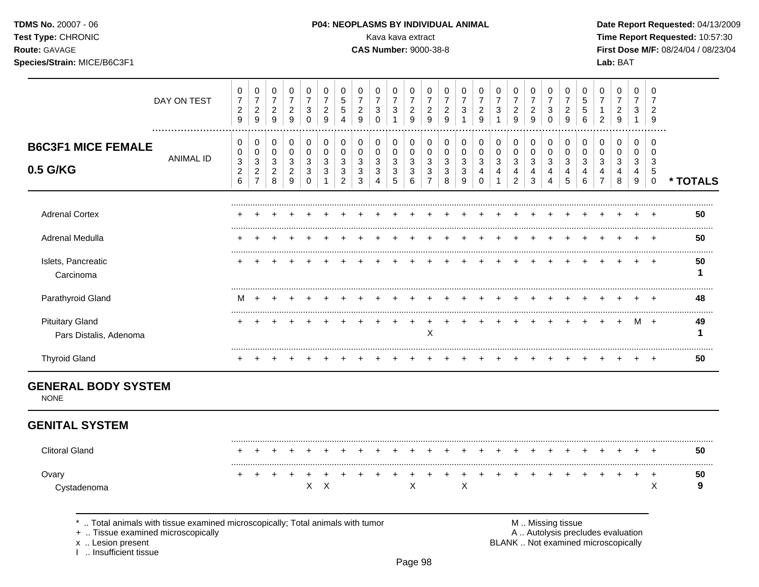**Species/Strain:** MICE/B6C3F1 **Lab:** BAT

**Test Type:** CHRONIC Kava kava extract **Time Report Requested:** 10:57:30 **Route:** GAVAGE **CAS Number:** 9000-38-8 **First Dose M/F:** 08/24/04 / 08/23/04

|                                                  | DAY ON TEST      | 0<br>$\overline{7}$<br>$\boldsymbol{2}$<br>9  | 0<br>$\overline{7}$<br>$\overline{c}$<br>9      | 0<br>$\overline{7}$<br>$\overline{c}$<br>9    | 0<br>7<br>2<br>9      | 0<br>3<br>0           | 0<br>2<br>9      | 0<br>5<br>5      | 0<br>$\overline{c}$<br>9 | 0<br>$\overline{7}$<br>3<br>$\Omega$ | 0<br>7<br>3           | 0<br>$\overline{7}$<br>$\overline{2}$<br>9 | 0<br>$\overline{c}$<br>9 | 0<br>2<br>9           | 3                | 0<br>2<br>9             | 0<br>3           | 0<br>$\overline{7}$<br>$\overline{2}$<br>9 | 0<br>$\overline{7}$<br>2<br>9 | 0<br>7<br>3<br>O      | 0<br>2<br>9      | 0<br>5<br>5<br>հ | 0<br>2      | 0<br>2<br>9           | 0<br>$\overline{7}$<br>3 | O<br>$\overline{c}$<br>9                    |          |
|--------------------------------------------------|------------------|-----------------------------------------------|-------------------------------------------------|-----------------------------------------------|-----------------------|-----------------------|------------------|------------------|--------------------------|--------------------------------------|-----------------------|--------------------------------------------|--------------------------|-----------------------|------------------|-------------------------|------------------|--------------------------------------------|-------------------------------|-----------------------|------------------|------------------|-------------|-----------------------|--------------------------|---------------------------------------------|----------|
| <b>B6C3F1 MICE FEMALE</b><br>0.5 G/KG            | <b>ANIMAL ID</b> | 0<br>0<br>$\mathbf{3}$<br>$\overline{c}$<br>6 | 0<br>0<br>3<br>$\overline{c}$<br>$\overline{ }$ | 0<br>0<br>$\mathbf{3}$<br>$\overline{c}$<br>8 | 0<br>0<br>3<br>2<br>9 | 0<br>0<br>3<br>3<br>0 | 0<br>0<br>3<br>3 | 0<br>3<br>3<br>2 | 0<br>0<br>3<br>3<br>3    | 0<br>0<br>3<br>3                     | 0<br>0<br>3<br>3<br>5 | 0<br>0<br>3<br>3<br>6                      | 0<br>0<br>3<br>3         | 0<br>0<br>3<br>3<br>8 | 0<br>3<br>3<br>9 | 0<br>0<br>3<br>$\Omega$ | 0<br>0<br>3<br>4 | 0<br>0<br>3<br>4<br>$\overline{2}$         | 0<br>0<br>3<br>4<br>3         | 0<br>0<br>3<br>4<br>4 | 0<br>0<br>3<br>5 | 0<br>3<br>6      | 0<br>0<br>3 | 0<br>0<br>3<br>4<br>8 | 0<br>0<br>3<br>4<br>9    | .<br>$\Omega$<br>0<br>3<br>5<br>$\mathbf 0$ | * TOTALS |
| <b>Adrenal Cortex</b>                            |                  |                                               |                                                 |                                               |                       |                       |                  |                  |                          |                                      |                       |                                            |                          |                       |                  |                         |                  |                                            |                               |                       |                  |                  |             |                       |                          |                                             | 50       |
| <b>Adrenal Medulla</b>                           |                  |                                               |                                                 |                                               |                       |                       |                  |                  |                          |                                      |                       |                                            |                          |                       |                  |                         |                  |                                            |                               |                       |                  |                  |             |                       |                          |                                             | 50       |
| Islets, Pancreatic<br>Carcinoma                  |                  |                                               |                                                 |                                               |                       |                       |                  |                  |                          |                                      |                       |                                            |                          |                       |                  |                         |                  |                                            |                               |                       |                  |                  |             |                       |                          |                                             | 50       |
| Parathyroid Gland                                |                  | M                                             |                                                 |                                               |                       |                       |                  |                  |                          |                                      |                       |                                            |                          |                       |                  |                         |                  |                                            |                               |                       |                  |                  |             |                       |                          |                                             | 48       |
| <b>Pituitary Gland</b><br>Pars Distalis, Adenoma |                  |                                               |                                                 |                                               |                       |                       |                  |                  |                          |                                      |                       |                                            | Х                        |                       |                  |                         |                  |                                            |                               |                       |                  |                  |             | $\ddot{}$             | M +                      |                                             | 49       |
| <b>Thyroid Gland</b>                             |                  |                                               |                                                 |                                               |                       |                       |                  |                  |                          |                                      |                       |                                            |                          |                       |                  |                         |                  |                                            |                               |                       |                  |                  |             |                       |                          | $\div$                                      | 50       |

## **GENERAL BODY SYSTEM**

NONE

# **GENITAL SYSTEM**

| <b>Clitoral Gland</b> |  |  |  |  |  |  |  |  |  |  |  |  | 50 |
|-----------------------|--|--|--|--|--|--|--|--|--|--|--|--|----|
|                       |  |  |  |  |  |  |  |  |  |  |  |  | 50 |

\* .. Total animals with tissue examined microscopically; Total animals with tumor <br>
+ .. Tissue examined microscopically<br>
+ .. Tissue examined microscopically

+ .. Tissue examined microscopically

I .. Insufficient tissue

x .. Lesion present **BLANK** .. Not examined microscopically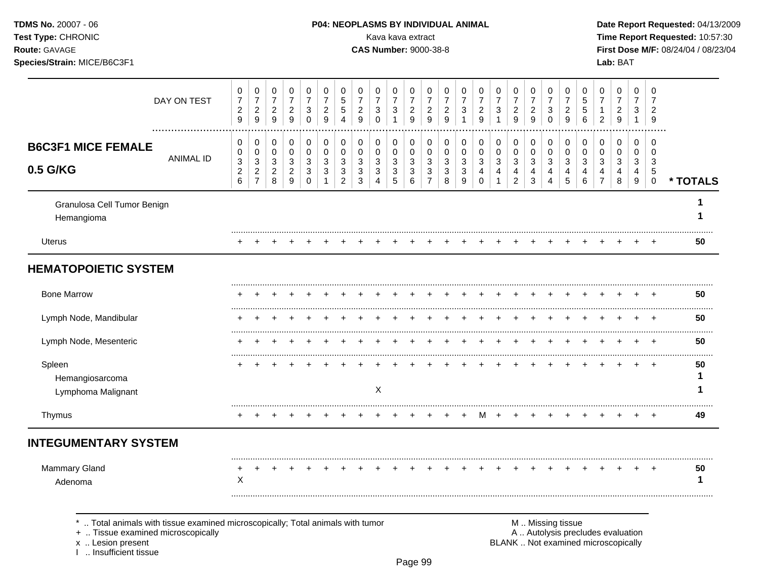| <b>TDMS No. 20007 - 06</b> |  |
|----------------------------|--|
| Test Type: CHRONIC         |  |

Kava kava extract **Time Report Requested:** 10:57:30 **Route:** GAVAGE **CAS Number:** 9000-38-8 **First Dose M/F:** 08/24/04 / 08/23/04 **Species/Strain:** MICE/B6C3F1 **Lab:** BAT

| DAY ON TEST                                                                                                                                                       | 0<br>$\overline{7}$<br>$\boldsymbol{2}$<br>$9\,$                        | 0<br>$\overline{7}$<br>$\boldsymbol{2}$<br>$\boldsymbol{9}$               | 0<br>$\overline{7}$<br>$\sqrt{2}$<br>$\boldsymbol{9}$     | 0<br>$\overline{7}$<br>$\overline{c}$<br>$\boldsymbol{9}$ | 0<br>$\overline{7}$<br>3<br>$\mathbf 0$                           | 0<br>$\overline{7}$<br>$\overline{c}$<br>9 | 0<br>5<br>$\,$ 5 $\,$<br>4                    | 0<br>$\overline{7}$<br>$\overline{c}$<br>9 | 0<br>$\overline{7}$<br>3<br>$\mathbf 0$ | 0<br>$\overline{7}$<br>$\sqrt{3}$<br>$\overline{1}$ | 0<br>$\overline{7}$<br>$\overline{c}$<br>9    | 0<br>$\overline{7}$<br>$\overline{c}$<br>$\boldsymbol{9}$            | 0<br>$\overline{7}$<br>$\overline{c}$<br>9    | 0<br>$\overline{7}$<br>3<br>1                           | 0<br>$\overline{7}$<br>$\overline{c}$<br>9 | 0<br>$\overline{7}$<br>3<br>$\mathbf{1}$                         | 0<br>$\overline{7}$<br>$\sqrt{2}$<br>$\overline{9}$                | 0<br>$\overline{7}$<br>$\overline{c}$<br>9 | 0<br>$\overline{7}$<br>3<br>$\mathbf 0$    | 0<br>$\overline{7}$<br>$\overline{c}$<br>$\boldsymbol{9}$ | 0<br>5<br>$\,$ 5 $\,$<br>6      | 0<br>$\overline{7}$<br>1<br>$\overline{c}$                               | 0<br>$\overline{7}$<br>$\overline{c}$<br>$\boldsymbol{9}$ | 0<br>$\overline{7}$<br>3<br>$\mathbf{1}$               | $\Omega$<br>$\overline{7}$<br>2<br>9                          |          |
|-------------------------------------------------------------------------------------------------------------------------------------------------------------------|-------------------------------------------------------------------------|---------------------------------------------------------------------------|-----------------------------------------------------------|-----------------------------------------------------------|-------------------------------------------------------------------|--------------------------------------------|-----------------------------------------------|--------------------------------------------|-----------------------------------------|-----------------------------------------------------|-----------------------------------------------|----------------------------------------------------------------------|-----------------------------------------------|---------------------------------------------------------|--------------------------------------------|------------------------------------------------------------------|--------------------------------------------------------------------|--------------------------------------------|--------------------------------------------|-----------------------------------------------------------|---------------------------------|--------------------------------------------------------------------------|-----------------------------------------------------------|--------------------------------------------------------|---------------------------------------------------------------|----------|
| <b>B6C3F1 MICE FEMALE</b><br><b>ANIMAL ID</b><br>0.5 G/KG                                                                                                         | 0<br>0<br>$\ensuremath{\mathsf{3}}$<br>$\overline{c}$<br>$6\phantom{1}$ | 0<br>0<br>$\ensuremath{\mathsf{3}}$<br>$\boldsymbol{2}$<br>$\overline{7}$ | 0<br>$\mathbf 0$<br>$\mathbf{3}$<br>$\sqrt{2}$<br>$\,8\,$ | 0<br>0<br>3<br>$\sqrt{2}$<br>9                            | 0<br>$\mathbf 0$<br>3<br>$\ensuremath{\mathsf{3}}$<br>$\mathbf 0$ | 0<br>$\mathbf 0$<br>3<br>3<br>1            | 0<br>0<br>3<br>$\mathbf{3}$<br>$\overline{2}$ | 0<br>$\mathbf 0$<br>3<br>$\sqrt{3}$<br>3   | 0<br>0<br>3<br>3<br>$\overline{4}$      | 0<br>$\mathbf 0$<br>3<br>$\sqrt{3}$<br>5            | 0<br>0<br>3<br>$\ensuremath{\mathsf{3}}$<br>6 | 0<br>$\mathbf 0$<br>3<br>$\ensuremath{\mathsf{3}}$<br>$\overline{7}$ | 0<br>0<br>3<br>$\ensuremath{\mathsf{3}}$<br>8 | 0<br>$\mathbf 0$<br>3<br>$\ensuremath{\mathsf{3}}$<br>9 | 0<br>$\mathbf 0$<br>3<br>4<br>$\Omega$     | 0<br>0<br>$\,$ 3 $\,$<br>$\overline{\mathbf{4}}$<br>$\mathbf{1}$ | 0<br>$\mathbf 0$<br>$\sqrt{3}$<br>$\overline{4}$<br>$\overline{2}$ | 0<br>0<br>3<br>$\overline{4}$<br>3         | 0<br>$\mathbf 0$<br>$\mathbf{3}$<br>4<br>4 | 0<br>0<br>3<br>4<br>5                                     | $\mathbf 0$<br>0<br>3<br>4<br>6 | 0<br>$\mathbf 0$<br>3<br>4<br>$\overline{7}$                             | 0<br>$\mathbf 0$<br>3<br>4<br>8                           | $\mathbf 0$<br>$\mathbf 0$<br>3<br>$\overline{4}$<br>9 | $\Omega$<br>$\mathbf 0$<br>3<br>$\overline{5}$<br>$\mathbf 0$ | * TOTALS |
| Granulosa Cell Tumor Benign<br>Hemangioma                                                                                                                         |                                                                         |                                                                           |                                                           |                                                           |                                                                   |                                            |                                               |                                            |                                         |                                                     |                                               |                                                                      |                                               |                                                         |                                            |                                                                  |                                                                    |                                            |                                            |                                                           |                                 |                                                                          |                                                           |                                                        |                                                               |          |
| Uterus                                                                                                                                                            |                                                                         |                                                                           |                                                           |                                                           |                                                                   |                                            |                                               |                                            |                                         |                                                     |                                               |                                                                      |                                               |                                                         |                                            |                                                                  |                                                                    |                                            |                                            |                                                           |                                 |                                                                          |                                                           |                                                        |                                                               | 50       |
| <b>HEMATOPOIETIC SYSTEM</b>                                                                                                                                       |                                                                         |                                                                           |                                                           |                                                           |                                                                   |                                            |                                               |                                            |                                         |                                                     |                                               |                                                                      |                                               |                                                         |                                            |                                                                  |                                                                    |                                            |                                            |                                                           |                                 |                                                                          |                                                           |                                                        |                                                               |          |
| <b>Bone Marrow</b>                                                                                                                                                |                                                                         |                                                                           |                                                           |                                                           |                                                                   |                                            |                                               |                                            |                                         |                                                     |                                               |                                                                      |                                               |                                                         |                                            |                                                                  |                                                                    |                                            |                                            |                                                           |                                 |                                                                          |                                                           |                                                        |                                                               | 50       |
| Lymph Node, Mandibular                                                                                                                                            |                                                                         |                                                                           |                                                           |                                                           |                                                                   |                                            |                                               |                                            |                                         |                                                     |                                               |                                                                      |                                               |                                                         |                                            |                                                                  |                                                                    |                                            |                                            |                                                           |                                 |                                                                          |                                                           |                                                        |                                                               | 50       |
| Lymph Node, Mesenteric                                                                                                                                            |                                                                         |                                                                           |                                                           |                                                           |                                                                   |                                            |                                               |                                            |                                         |                                                     |                                               |                                                                      |                                               |                                                         |                                            |                                                                  |                                                                    |                                            |                                            |                                                           |                                 |                                                                          |                                                           |                                                        |                                                               | 50       |
| Spleen<br>Hemangiosarcoma<br>Lymphoma Malignant                                                                                                                   |                                                                         |                                                                           |                                                           |                                                           |                                                                   |                                            |                                               |                                            | X                                       |                                                     |                                               |                                                                      |                                               |                                                         |                                            |                                                                  |                                                                    |                                            |                                            |                                                           |                                 |                                                                          |                                                           |                                                        |                                                               | 50<br>1  |
| Thymus                                                                                                                                                            |                                                                         |                                                                           |                                                           |                                                           |                                                                   |                                            |                                               |                                            |                                         |                                                     |                                               |                                                                      |                                               |                                                         |                                            |                                                                  |                                                                    |                                            |                                            |                                                           |                                 |                                                                          |                                                           |                                                        |                                                               | 49       |
| <b>INTEGUMENTARY SYSTEM</b>                                                                                                                                       |                                                                         |                                                                           |                                                           |                                                           |                                                                   |                                            |                                               |                                            |                                         |                                                     |                                               |                                                                      |                                               |                                                         |                                            |                                                                  |                                                                    |                                            |                                            |                                                           |                                 |                                                                          |                                                           |                                                        |                                                               |          |
| Mammary Gland<br>Adenoma                                                                                                                                          | X                                                                       |                                                                           |                                                           |                                                           |                                                                   |                                            |                                               |                                            |                                         |                                                     |                                               |                                                                      |                                               |                                                         |                                            |                                                                  |                                                                    |                                            |                                            |                                                           |                                 |                                                                          |                                                           | $\div$                                                 | $^{+}$                                                        | 50<br>1  |
| Total animals with tissue examined microscopically; Total animals with tumor<br>+  Tissue examined microscopically<br>x  Lesion present<br>1  Insufficient tissue |                                                                         |                                                                           |                                                           |                                                           |                                                                   |                                            |                                               |                                            |                                         |                                                     |                                               |                                                                      |                                               |                                                         |                                            |                                                                  |                                                                    | M  Missing tissue                          |                                            |                                                           |                                 | A  Autolysis precludes evaluation<br>BLANK  Not examined microscopically |                                                           |                                                        |                                                               |          |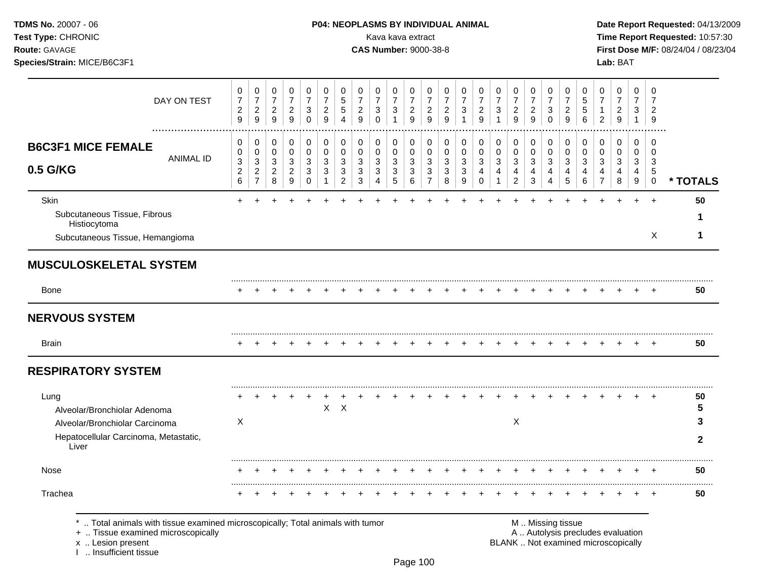**Test Type:** CHRONIC **Transfer CHRONIC** Kava Rava extract Kava extract **Time Report Requested:** 10:57:30 **Route:** GAVAGE **CAS Number:** 9000-38-8 **First Dose M/F:** 08/24/04 / 08/23/04 **Species/Strain:** MICE/B6C3F1 **Lab:** BAT

| DAY ON TEST                                                                                                                                                       | 0<br>$\overline{7}$<br>$\overline{c}$ | 0<br>$\overline{7}$<br>$\overline{c}$            | 0<br>$\overline{7}$<br>$\overline{2}$ | $\pmb{0}$<br>$\overline{7}$<br>$\overline{c}$ | 0<br>$\overline{7}$<br>$\sqrt{3}$ | 0<br>$\overline{7}$<br>$\overline{2}$ | 0<br>5<br>5                | 0<br>$\overline{7}$<br>$\overline{c}$ | 0<br>$\overline{7}$<br>3 | 0<br>$\overline{7}$<br>$\mathbf{3}$ | 0<br>$\overline{7}$<br>$\overline{c}$ | 0<br>$\overline{7}$<br>$\overline{2}$        | 0<br>$\overline{7}$<br>$\overline{c}$ | $\mathbf 0$<br>7<br>3                          | 0<br>$\overline{7}$<br>$\overline{c}$ | 0<br>$\overline{7}$<br>3            | 0<br>$\overline{7}$<br>$\overline{2}$ | 0<br>$\overline{7}$<br>$\overline{2}$ | $\mathbf 0$<br>$\overline{7}$<br>3 | 0<br>$\overline{7}$<br>$\overline{c}$ | 0<br>5<br>$\sqrt{5}$ | 0<br>$\overline{7}$<br>1            | 0<br>$\overline{7}$<br>$\overline{c}$ | 0<br>$\overline{7}$<br>3          | 0<br>$\overline{7}$<br>$\overline{2}$         |          |
|-------------------------------------------------------------------------------------------------------------------------------------------------------------------|---------------------------------------|--------------------------------------------------|---------------------------------------|-----------------------------------------------|-----------------------------------|---------------------------------------|----------------------------|---------------------------------------|--------------------------|-------------------------------------|---------------------------------------|----------------------------------------------|---------------------------------------|------------------------------------------------|---------------------------------------|-------------------------------------|---------------------------------------|---------------------------------------|------------------------------------|---------------------------------------|----------------------|-------------------------------------|---------------------------------------|-----------------------------------|-----------------------------------------------|----------|
|                                                                                                                                                                   | 9                                     | 9                                                | $\overline{9}$                        | 9                                             | $\mathbf 0$                       | 9                                     | 4                          | 9                                     | $\Omega$                 | $\mathbf{1}$                        | 9                                     | 9                                            | 9                                     | -1                                             | 9                                     |                                     | 9                                     | 9                                     | $\Omega$                           | 9                                     | 6                    | $\overline{2}$                      | 9                                     | $\mathbf{1}$                      | 9                                             |          |
| <b>B6C3F1 MICE FEMALE</b>                                                                                                                                         | 0<br>0                                | 0<br>0                                           | 0<br>$\mathbf 0$                      | $\pmb{0}$<br>0                                | 0<br>0                            | 0<br>0                                | $\mathbf 0$<br>$\mathbf 0$ | 0<br>$\mathbf 0$                      | 0<br>$\mathbf 0$         | 0<br>0                              | 0<br>0                                | 0<br>$\mathbf 0$                             | 0<br>$\mathbf 0$                      | 0<br>0                                         | 0<br>$\mathbf 0$                      | 0<br>$\mathbf 0$                    | 0<br>0                                | 0<br>$\mathbf 0$                      | 0<br>$\mathbf 0$                   | 0<br>$\mathbf 0$                      | 0<br>0               | 0<br>$\mathbf 0$                    | 0<br>0                                | 0<br>0                            | 0<br>$\mathbf 0$                              |          |
| <b>ANIMAL ID</b><br>0.5 G/KG                                                                                                                                      | 3<br>$\overline{c}$<br>6              | $\sqrt{3}$<br>$\boldsymbol{2}$<br>$\overline{7}$ | 3<br>$\overline{2}$<br>8              | 3<br>$\overline{c}$<br>$\boldsymbol{9}$       | 3<br>$\sqrt{3}$<br>$\pmb{0}$      | 3<br>3<br>1                           | 3<br>3<br>$\overline{c}$   | 3<br>$\mathbf{3}$<br>3                | 3<br>$\mathbf{3}$<br>4   | 3<br>$\mathbf{3}$<br>$\sqrt{5}$     | 3<br>$\sqrt{3}$<br>$\,6\,$            | $\mathbf{3}$<br>$\sqrt{3}$<br>$\overline{7}$ | 3<br>$\mathbf{3}$<br>8                | $\mathbf{3}$<br>$\sqrt{3}$<br>$\boldsymbol{9}$ | 3<br>4<br>$\boldsymbol{0}$            | 3<br>$\overline{4}$<br>$\mathbf{1}$ | 3<br>4<br>$\overline{c}$              | 3<br>$\overline{\mathbf{4}}$<br>3     | $\mathbf{3}$<br>4<br>4             | 3<br>4<br>5                           | 3<br>4<br>$\,6\,$    | 3<br>4<br>$\overline{7}$            | 3<br>$\overline{4}$<br>8              | $\mathbf{3}$<br>4<br>$9\,$        | $\mathbf{3}$<br>$\overline{5}$<br>$\mathbf 0$ | * TOTALS |
| Skin                                                                                                                                                              |                                       |                                                  |                                       |                                               |                                   |                                       |                            |                                       |                          |                                     |                                       |                                              |                                       |                                                |                                       |                                     |                                       |                                       |                                    |                                       |                      |                                     |                                       |                                   | $\ddot{}$                                     | 50       |
| Subcutaneous Tissue, Fibrous<br>Histiocytoma                                                                                                                      |                                       |                                                  |                                       |                                               |                                   |                                       |                            |                                       |                          |                                     |                                       |                                              |                                       |                                                |                                       |                                     |                                       |                                       |                                    |                                       |                      |                                     |                                       |                                   |                                               | 1        |
| Subcutaneous Tissue, Hemangioma                                                                                                                                   |                                       |                                                  |                                       |                                               |                                   |                                       |                            |                                       |                          |                                     |                                       |                                              |                                       |                                                |                                       |                                     |                                       |                                       |                                    |                                       |                      |                                     |                                       |                                   | X                                             | 1        |
| <b>MUSCULOSKELETAL SYSTEM</b>                                                                                                                                     |                                       |                                                  |                                       |                                               |                                   |                                       |                            |                                       |                          |                                     |                                       |                                              |                                       |                                                |                                       |                                     |                                       |                                       |                                    |                                       |                      |                                     |                                       |                                   |                                               |          |
| Bone                                                                                                                                                              |                                       |                                                  |                                       |                                               |                                   |                                       |                            |                                       |                          |                                     |                                       |                                              |                                       |                                                |                                       |                                     |                                       |                                       |                                    |                                       |                      |                                     |                                       |                                   |                                               | 50       |
| <b>NERVOUS SYSTEM</b>                                                                                                                                             |                                       |                                                  |                                       |                                               |                                   |                                       |                            |                                       |                          |                                     |                                       |                                              |                                       |                                                |                                       |                                     |                                       |                                       |                                    |                                       |                      |                                     |                                       |                                   |                                               |          |
| <b>Brain</b>                                                                                                                                                      |                                       |                                                  |                                       |                                               |                                   |                                       |                            |                                       |                          |                                     |                                       |                                              |                                       |                                                |                                       |                                     |                                       |                                       |                                    |                                       |                      |                                     |                                       |                                   |                                               | 50       |
| <b>RESPIRATORY SYSTEM</b>                                                                                                                                         |                                       |                                                  |                                       |                                               |                                   |                                       |                            |                                       |                          |                                     |                                       |                                              |                                       |                                                |                                       |                                     |                                       |                                       |                                    |                                       |                      |                                     |                                       |                                   |                                               |          |
| Lung                                                                                                                                                              |                                       |                                                  |                                       |                                               |                                   |                                       |                            |                                       |                          |                                     |                                       |                                              |                                       |                                                |                                       |                                     |                                       |                                       |                                    |                                       |                      |                                     |                                       |                                   |                                               | 50       |
| Alveolar/Bronchiolar Adenoma<br>Alveolar/Bronchiolar Carcinoma                                                                                                    | X                                     |                                                  |                                       |                                               |                                   |                                       | $X$ $X$                    |                                       |                          |                                     |                                       |                                              |                                       |                                                |                                       |                                     | X                                     |                                       |                                    |                                       |                      |                                     |                                       |                                   |                                               | 5<br>3   |
| Hepatocellular Carcinoma, Metastatic,<br>Liver                                                                                                                    |                                       |                                                  |                                       |                                               |                                   |                                       |                            |                                       |                          |                                     |                                       |                                              |                                       |                                                |                                       |                                     |                                       |                                       |                                    |                                       |                      |                                     |                                       |                                   |                                               | 2        |
| Nose                                                                                                                                                              |                                       |                                                  |                                       |                                               |                                   |                                       |                            |                                       |                          |                                     |                                       |                                              |                                       |                                                |                                       |                                     |                                       |                                       |                                    |                                       |                      |                                     |                                       |                                   |                                               | 50       |
| Trachea                                                                                                                                                           |                                       |                                                  |                                       |                                               |                                   |                                       |                            |                                       |                          |                                     |                                       |                                              |                                       |                                                |                                       |                                     |                                       |                                       |                                    |                                       |                      |                                     |                                       |                                   |                                               | 50       |
| Total animals with tissue examined microscopically; Total animals with tumor<br>+  Tissue examined microscopically<br>x  Lesion present<br>I  Insufficient tissue |                                       |                                                  |                                       |                                               |                                   |                                       |                            |                                       |                          |                                     |                                       |                                              |                                       |                                                |                                       |                                     |                                       |                                       |                                    | M  Missing tissue                     |                      | BLANK  Not examined microscopically |                                       | A  Autolysis precludes evaluation |                                               |          |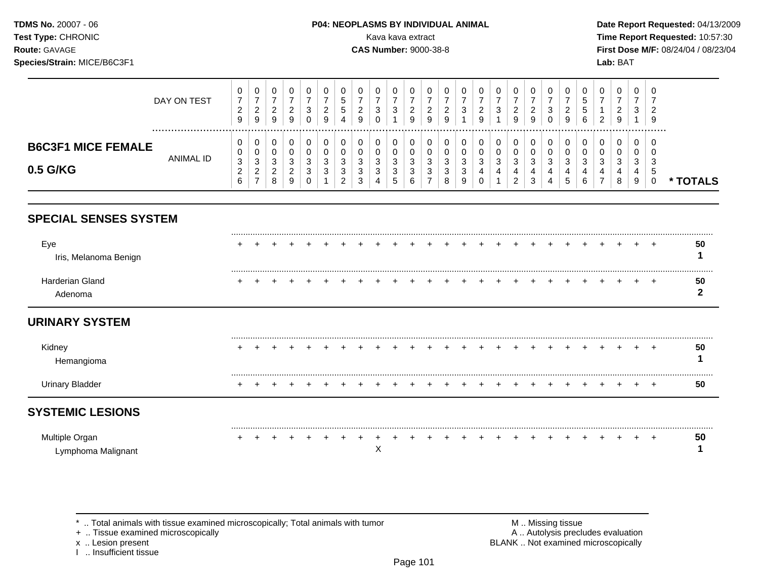| <b>TDMS No. 20007 - 06</b>  | <b>P04: NEOPLASMS BY INDIVIDUAL ANIMAL</b> | Date Rep         |
|-----------------------------|--------------------------------------------|------------------|
| <b>Test Type: CHRONIC</b>   | Kava kava extract                          | <b>Time Rep</b>  |
| <b>Route: GAVAGE</b>        | <b>CAS Number: 9000-38-8</b>               | <b>First Dos</b> |
| Species/Strain: MICE/B6C3F1 |                                            | <b>Lab:</b> BAT  |

**Time Report Requested:** 10:57:30 **CAS Number:** 9000-38-8 **First Dose M/F:** 08/24/04 / 08/23/04

|                                                              | DAY ON TEST          | 0<br>$\overline{7}$<br>$\overline{2}$<br>9 | υ<br>$\overline{ }$<br>$\overline{\mathbf{c}}$<br>9 | 0<br>⇁<br>2<br>9                    | 0<br>⇁<br>$\overline{2}$<br>9 | 0<br>⇁<br>3<br>⌒                | 0<br>$\overline{2}$<br>9 | 0<br>5<br>$5\phantom{.0}$<br>4 | $\overline{2}$<br>9 | 0<br>3<br>0           | 0<br>⇁<br>3           | 0<br>2<br>9           | っ<br>∠<br>9      | 2<br>9      | 0<br>3           | 0<br>⇁<br>$\overline{2}$<br>9  | 0<br>-<br>3      | 0<br>$\overline{ }$<br>$\overline{2}$<br>9 | $\mathbf 0$<br>$\overline{2}$<br>9 | 0<br>3<br>0           | 0<br>⇁<br>2<br>9      | 0<br>đ<br>5<br>6 | -<br>ົ      | 0<br>⇁<br>2<br>9      | 0<br>3                | 0<br>-<br>ົ<br>∠<br>-9  |          |
|--------------------------------------------------------------|----------------------|--------------------------------------------|-----------------------------------------------------|-------------------------------------|-------------------------------|---------------------------------|--------------------------|--------------------------------|---------------------|-----------------------|-----------------------|-----------------------|------------------|-------------|------------------|--------------------------------|------------------|--------------------------------------------|------------------------------------|-----------------------|-----------------------|------------------|-------------|-----------------------|-----------------------|-------------------------|----------|
| <b>B6C3F1 MICE FEMALE</b><br>0.5 G/KG                        | <br><b>ANIMAL ID</b> | 0<br>0<br>3<br>$\overline{2}$<br>6         | v<br>υ<br>3<br>ົ<br>▵<br>$\overline{ }$             | 0<br>0<br>3<br>ົ<br>$\epsilon$<br>8 | 0<br>0<br>3<br>2<br>9         | $\mathbf 0$<br>U<br>3<br>3<br>⌒ | 0<br>0<br>3<br>3         | 0<br>3<br>3<br>$\overline{c}$  | 3<br>3<br>3         | 0<br>0<br>3<br>3<br>4 | 0<br>0<br>3<br>3<br>5 | 0<br>0<br>3<br>3<br>6 | υ<br>3<br>3<br>⇁ | 3<br>3<br>8 | 0<br>3<br>3<br>9 | 0<br>3<br>4<br>$\sqrt{2}$<br>U | 0<br>0<br>3<br>4 | 0<br>0<br>3<br>4<br>$\overline{2}$         | 0<br>3<br>4<br>3                   | 0<br>0<br>3<br>4<br>4 | 0<br>0<br>3<br>4<br>5 | O<br>3<br>4<br>6 | 3<br>4<br>⇁ | 0<br>0<br>3<br>4<br>8 | 0<br>0<br>3<br>4<br>9 | 0<br>0<br>3<br>ა<br>- U | * TOTALS |
| <b>SPECIAL SENSES SYSTEM</b><br>Eye<br>Iris, Melanoma Benign |                      | ÷                                          |                                                     |                                     |                               |                                 |                          |                                |                     |                       |                       |                       |                  |             |                  |                                |                  |                                            |                                    |                       |                       |                  |             |                       |                       | $\div$                  | 50       |

| 1110, 1110101101110000111911 |  |  |  |  |  |  |  |  |  |  |  |  |  |
|------------------------------|--|--|--|--|--|--|--|--|--|--|--|--|--|
|                              |  |  |  |  |  |  |  |  |  |  |  |  |  |
|                              |  |  |  |  |  |  |  |  |  |  |  |  |  |

# **URINARY SYSTEM**

| Kidney<br>Hemangioma | $\pm$ .      |  |  |  |  |  |  |  |  |  |  |  |  | 50 |
|----------------------|--------------|--|--|--|--|--|--|--|--|--|--|--|--|----|
| Urinary Bladder      | $\leftarrow$ |  |  |  |  |  |  |  |  |  |  |  |  | 50 |

# **SYSTEMIC LESIONS**

+ .. Tissue examined microscopically<br>x .. Lesion present

I .. Insufficient tissue

\* .. Total animals with tissue examined microscopically; Total animals with tumor <br>
+ .. Tissue examined microscopically<br>
+ .. Tissue examined microscopically BLANK .. Not examined microscopically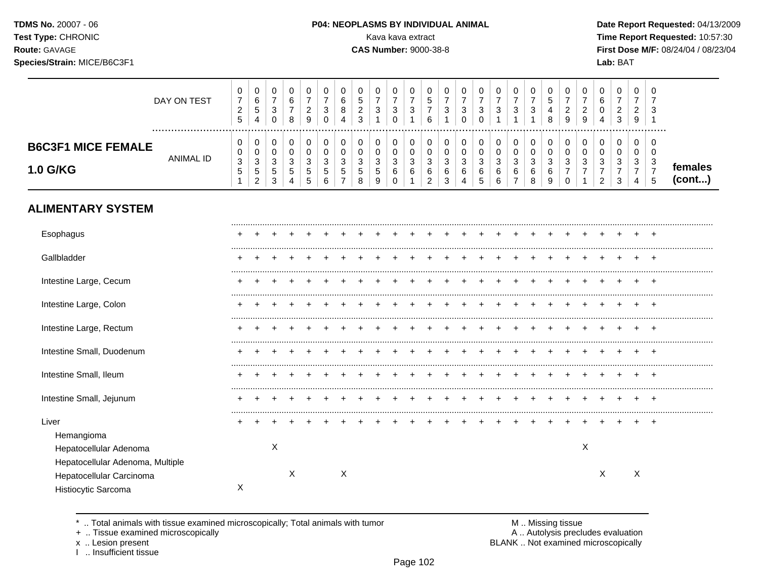| <b>TDMS No. 20007 - 06</b>  |
|-----------------------------|
| <b>Test Type: CHRONIC</b>   |
| <b>Route: GAVAGE</b>        |
| Species/Strain: MICE/B6C3F1 |

#### P04: NEOPLASMS BY INDIVIDUAL ANIMAL

Kava kava extract

**CAS Number: 9000-38-8** 

Date Report Requested: 04/13/2009 Time Report Requested: 10:57:30 First Dose M/F: 08/24/04 / 08/23/04 Lab: BAT

|                                              | DAY ON TEST | 0<br><u>_</u><br>.5 | ◡<br>6<br>'5<br>4 | v<br>3<br>◡      | 8               | 0<br>ി<br><u>.</u><br>9 | 0<br>ີ<br>ັ |   | $\sim$<br><u>_</u><br>3 | v<br>າ<br>ັ<br>u | చ | Ü<br>đ<br>⌒<br>6      | U<br>ັ      | U<br>◠<br>చ       | <sup>o</sup> | 0<br>3      | v<br>3      | 0<br>5<br>8 | υ<br><u>_</u><br>9 |   | 6<br>0<br>4 | v<br>∼<br>$\sim$<br>ت | 0<br>ി<br><u>_</u><br>9 | 0<br>3                    |         |
|----------------------------------------------|-------------|---------------------|-------------------|------------------|-----------------|-------------------------|-------------|---|-------------------------|------------------|---|-----------------------|-------------|-------------------|--------------|-------------|-------------|-------------|--------------------|---|-------------|-----------------------|-------------------------|---------------------------|---------|
| <b>B6C3F1 MICE FEMALE</b><br><b>1.0 G/KG</b> | ANIMAL ID   | U<br>3              | $\sim$<br>J       | v<br>v<br>◠<br>◡ | $\sqrt{2}$<br>N | 0<br>0<br>ີ<br>J        | v<br>ົ<br>ັ | N | $\sim$<br>ູບ            | v<br>v<br>っ<br>J | J | 0<br>U<br>3<br>$\sim$ | υ<br>ົ<br>ت | 0<br>0<br>◠<br>ູບ | $\sim$       | U<br>ີ<br>ບ | $\sim$<br>J | υ<br>3<br>⌒ | ν<br>ົ<br>◡        | J | O<br>◠<br>◡ | <sup>o</sup>          | U<br>◠<br>J             | 0<br>U<br>$\sqrt{2}$<br>చ | temales |
|                                              |             | ີວ                  | '5                | $5^{\circ}$<br>ັ | <u>5</u>        | ა<br>J                  | ≎           |   | G<br>O                  | 6                |   | 6<br>ີ                | 6<br>◠      | 6<br>IJ           |              | 6           | 8           | 6<br>9      |                    |   |             | n                     |                         |                           | (cont)  |

# **ALIMENTARY SYSTEM**

| Esophagus                                                                                                     |   |   |   |  |   |  |  |  |  |  |  |   |   |   |  |
|---------------------------------------------------------------------------------------------------------------|---|---|---|--|---|--|--|--|--|--|--|---|---|---|--|
| Gallbladder                                                                                                   |   |   |   |  |   |  |  |  |  |  |  |   |   |   |  |
| Intestine Large, Cecum                                                                                        |   |   |   |  |   |  |  |  |  |  |  |   |   |   |  |
| Intestine Large, Colon                                                                                        |   |   |   |  |   |  |  |  |  |  |  |   |   |   |  |
| Intestine Large, Rectum                                                                                       |   |   |   |  |   |  |  |  |  |  |  |   |   |   |  |
| Intestine Small, Duodenum                                                                                     |   |   |   |  |   |  |  |  |  |  |  |   |   |   |  |
| Intestine Small, Ileum                                                                                        |   |   |   |  |   |  |  |  |  |  |  |   |   |   |  |
| Intestine Small, Jejunum                                                                                      |   |   |   |  |   |  |  |  |  |  |  |   |   |   |  |
| Liver<br>Hemangioma                                                                                           |   | Χ |   |  |   |  |  |  |  |  |  | X |   |   |  |
| Hepatocellular Adenoma<br>Hepatocellular Adenoma, Multiple<br>Hepatocellular Carcinoma<br>Histiocytic Sarcoma | Χ |   | Χ |  | Χ |  |  |  |  |  |  |   | Χ | Χ |  |

\* .. Total animals with tissue examined microscopically; Total animals with tumor

+ .. Tissue examined microscopically

x .. Lesion present<br>I .. Insufficient tissue

M .. Missing tissue<br>A .. Autolysis precludes evaluation BLANK .. Not examined microscopically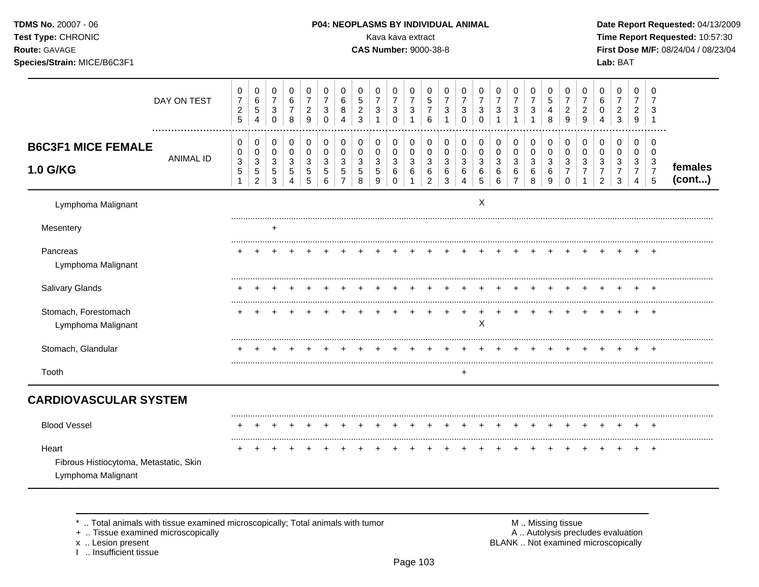| TDMS No. 20007 - 06<br>Test Type: CHRONIC<br>Route: GAVAGE<br>Species/Strain: MICE/B6C3F1 |                  | <b>P04: NEOPLASMS BY INDIVIDUAL ANIMAL</b><br>Kava kava extract<br><b>CAS Number: 9000-38-8</b><br>$\mathbf 0$<br>$\boldsymbol{0}$<br>$\mathbf 0$<br>$\mathbf 0$<br>$\boldsymbol{0}$<br>$\boldsymbol{0}$<br>$\pmb{0}$<br>$\mathbf 0$<br>$\mathbf 0$<br>$\mathbf 0$<br>$\mathbf 0$<br>$\boldsymbol{0}$<br>$\pmb{0}$<br>$\pmb{0}$<br>$\boldsymbol{0}$<br>$\pmb{0}$<br>0<br>0<br>$\boldsymbol{0}$<br>$\,$ 5 $\,$<br>5<br>$\overline{7}$<br>$\,6$<br>$\boldsymbol{7}$<br>$\,6$<br>$\boldsymbol{7}$<br>$\,6\,$<br>$\overline{7}$<br>$\boldsymbol{7}$<br>$\sqrt{5}$<br>$\boldsymbol{7}$<br>$\boldsymbol{7}$<br>$\boldsymbol{7}$<br>$\overline{7}$<br>$\overline{7}$<br>$\overline{7}$<br>$\overline{7}$<br>$\overline{7}$ |                                                                |                                          |                                    |                               |                                                         |                                                                  |                                                             |                                          |                                                                             |                                            |                                                         |                                             |                                           |                        |                                                       |                                    | Lab: BAT                    |                              |                                                      | Date Report Requested: 04/13/2009<br>Time Report Requested: 10:57:30<br>First Dose M/F: 08/24/04 / 08/23/04 |                                                                      |                                                                         |                                                        |                                                                                |                   |
|-------------------------------------------------------------------------------------------|------------------|---------------------------------------------------------------------------------------------------------------------------------------------------------------------------------------------------------------------------------------------------------------------------------------------------------------------------------------------------------------------------------------------------------------------------------------------------------------------------------------------------------------------------------------------------------------------------------------------------------------------------------------------------------------------------------------------------------------------|----------------------------------------------------------------|------------------------------------------|------------------------------------|-------------------------------|---------------------------------------------------------|------------------------------------------------------------------|-------------------------------------------------------------|------------------------------------------|-----------------------------------------------------------------------------|--------------------------------------------|---------------------------------------------------------|---------------------------------------------|-------------------------------------------|------------------------|-------------------------------------------------------|------------------------------------|-----------------------------|------------------------------|------------------------------------------------------|-------------------------------------------------------------------------------------------------------------|----------------------------------------------------------------------|-------------------------------------------------------------------------|--------------------------------------------------------|--------------------------------------------------------------------------------|-------------------|
|                                                                                           | DAY ON TEST      | $\overline{c}$<br>5                                                                                                                                                                                                                                                                                                                                                                                                                                                                                                                                                                                                                                                                                                 | $\sqrt{5}$<br>$\overline{4}$                                   | $\ensuremath{\mathsf{3}}$<br>$\mathbf 0$ | $\boldsymbol{7}$<br>8              | $\overline{c}$<br>9           | $\ensuremath{\mathsf{3}}$<br>$\mathbf 0$                | $\bf 8$<br>$\overline{4}$                                        | $\sqrt{2}$<br>$\overline{3}$                                | $\mathbf{3}$<br>$\mathbf{1}$             | $\ensuremath{\mathsf{3}}$<br>$\mathbf 0$                                    | $\ensuremath{\mathsf{3}}$<br>$\mathbf{1}$  | $\boldsymbol{7}$<br>6                                   | 3<br>$\mathbf{1}$                           | $\sqrt{3}$<br>$\Omega$                    | $\sqrt{3}$<br>$\Omega$ | $\ensuremath{\mathsf{3}}$<br>$\mathbf{1}$             | 3<br>$\mathbf{1}$                  | 3<br>1                      | $\overline{\mathbf{4}}$<br>8 | 0<br>$\boldsymbol{7}$<br>$\overline{c}$<br>9         | $\pmb{0}$<br>$\boldsymbol{7}$<br>$\sqrt{2}$<br>$\overline{9}$                                               | 0<br>$\,6\,$<br>0<br>$\overline{4}$                                  | $\mathsf{O}\xspace$<br>$\overline{7}$<br>$\overline{c}$<br>$\mathbf{3}$ | $\mathbf 0$<br>$\overline{7}$<br>$\overline{2}$<br>9   | $\mathbf 0$<br>$\overline{7}$<br>$\mathbf{3}$<br>$\overline{1}$                |                   |
| <b>B6C3F1 MICE FEMALE</b><br>1.0 G/KG                                                     | <b>ANIMAL ID</b> | 0<br>0<br>$\ensuremath{\mathsf{3}}$<br>$\mathbf 5$<br>$\mathbf{1}$                                                                                                                                                                                                                                                                                                                                                                                                                                                                                                                                                                                                                                                  | 0<br>$\pmb{0}$<br>$\mathbf{3}$<br>$\sqrt{5}$<br>$\overline{2}$ | 0<br>0<br>3<br>5<br>3                    | 0<br>0<br>3<br>5<br>$\overline{4}$ | $\pmb{0}$<br>0<br>3<br>5<br>5 | $\pmb{0}$<br>$\pmb{0}$<br>$\sqrt{3}$<br>$\sqrt{5}$<br>6 | $\mathbf 0$<br>0<br>$\mathbf{3}$<br>$\sqrt{5}$<br>$\overline{7}$ | $\mathbf 0$<br>$\mathbf 0$<br>$\sqrt{3}$<br>$\sqrt{5}$<br>8 | $\mathbf 0$<br>0<br>3<br>$\sqrt{5}$<br>9 | $\mathbf 0$<br>$\mathbf 0$<br>$\ensuremath{\mathsf{3}}$<br>6<br>$\mathbf 0$ | 0<br>$\mathbf 0$<br>3<br>6<br>$\mathbf{1}$ | 0<br>$\mathbf 0$<br>$\mathbf{3}$<br>6<br>$\overline{2}$ | $\pmb{0}$<br>$\mathbf 0$<br>3<br>$\,6$<br>3 | $\mathbf 0$<br>$\mathbf 0$<br>3<br>6<br>4 | 0<br>0<br>3<br>6<br>5  | 0<br>$\pmb{0}$<br>$\ensuremath{\mathsf{3}}$<br>6<br>6 | 0<br>0<br>3<br>6<br>$\overline{7}$ | 0<br>0<br>3<br>$\,6\,$<br>8 | 0<br>0<br>3<br>6<br>9        | $\pmb{0}$<br>$\pmb{0}$<br>3<br>$\boldsymbol{7}$<br>0 | $\pmb{0}$<br>$\pmb{0}$<br>3<br>$\overline{7}$<br>1                                                          | $\mathbf 0$<br>0<br>$\mathbf{3}$<br>$\overline{7}$<br>$\overline{2}$ | $\mathbf 0$<br>$\mathbf 0$<br>$\sqrt{3}$<br>$\overline{7}$<br>3         | $\mathbf 0$<br>$\mathbf 0$<br>3<br>$\overline{7}$<br>4 | $\mathbf 0$<br>$\mathbf 0$<br>$\mathbf{3}$<br>$\overline{7}$<br>$\overline{5}$ | females<br>(cont) |
| Lymphoma Malignant                                                                        |                  |                                                                                                                                                                                                                                                                                                                                                                                                                                                                                                                                                                                                                                                                                                                     |                                                                |                                          |                                    |                               |                                                         |                                                                  |                                                             |                                          |                                                                             |                                            |                                                         |                                             |                                           | Χ                      |                                                       |                                    |                             |                              |                                                      |                                                                                                             |                                                                      |                                                                         |                                                        |                                                                                |                   |
| Mesentery                                                                                 |                  |                                                                                                                                                                                                                                                                                                                                                                                                                                                                                                                                                                                                                                                                                                                     |                                                                | $\ddot{}$                                |                                    |                               |                                                         |                                                                  |                                                             |                                          |                                                                             |                                            |                                                         |                                             |                                           |                        |                                                       |                                    |                             |                              |                                                      |                                                                                                             |                                                                      |                                                                         |                                                        |                                                                                |                   |
| Pancreas<br>Lymphoma Malignant                                                            |                  |                                                                                                                                                                                                                                                                                                                                                                                                                                                                                                                                                                                                                                                                                                                     |                                                                |                                          |                                    |                               |                                                         |                                                                  |                                                             |                                          |                                                                             |                                            |                                                         |                                             |                                           |                        |                                                       |                                    |                             |                              |                                                      |                                                                                                             |                                                                      |                                                                         |                                                        | $\pm$                                                                          |                   |
| Salivary Glands                                                                           |                  |                                                                                                                                                                                                                                                                                                                                                                                                                                                                                                                                                                                                                                                                                                                     |                                                                |                                          |                                    |                               |                                                         |                                                                  |                                                             |                                          |                                                                             |                                            |                                                         |                                             |                                           |                        |                                                       |                                    |                             |                              |                                                      |                                                                                                             |                                                                      |                                                                         |                                                        |                                                                                |                   |
| Stomach, Forestomach<br>Lymphoma Malignant                                                |                  |                                                                                                                                                                                                                                                                                                                                                                                                                                                                                                                                                                                                                                                                                                                     |                                                                |                                          |                                    |                               |                                                         |                                                                  |                                                             |                                          |                                                                             |                                            |                                                         |                                             |                                           | $\pmb{\times}$         |                                                       |                                    |                             |                              |                                                      |                                                                                                             |                                                                      |                                                                         |                                                        | $\div$                                                                         |                   |
| Stomach, Glandular                                                                        |                  |                                                                                                                                                                                                                                                                                                                                                                                                                                                                                                                                                                                                                                                                                                                     | ÷                                                              | $\ddot{}$                                | ٠                                  |                               |                                                         |                                                                  |                                                             |                                          |                                                                             | ÷                                          | +                                                       | ÷                                           |                                           | $\div$                 |                                                       | ٠                                  |                             | $\ddot{}$                    | $\ddot{}$                                            | $\ddot{}$                                                                                                   |                                                                      |                                                                         | $\ddot{}$                                              | $\overline{+}$                                                                 |                   |
| Tooth                                                                                     |                  |                                                                                                                                                                                                                                                                                                                                                                                                                                                                                                                                                                                                                                                                                                                     |                                                                |                                          |                                    |                               |                                                         |                                                                  |                                                             |                                          |                                                                             |                                            |                                                         |                                             | $\ddot{}$                                 |                        |                                                       |                                    |                             |                              |                                                      |                                                                                                             |                                                                      |                                                                         |                                                        |                                                                                |                   |
| <b>CARDIOVASCULAR SYSTEM</b>                                                              |                  |                                                                                                                                                                                                                                                                                                                                                                                                                                                                                                                                                                                                                                                                                                                     |                                                                |                                          |                                    |                               |                                                         |                                                                  |                                                             |                                          |                                                                             |                                            |                                                         |                                             |                                           |                        |                                                       |                                    |                             |                              |                                                      |                                                                                                             |                                                                      |                                                                         |                                                        |                                                                                |                   |
| <b>Blood Vessel</b>                                                                       |                  |                                                                                                                                                                                                                                                                                                                                                                                                                                                                                                                                                                                                                                                                                                                     |                                                                |                                          |                                    |                               |                                                         |                                                                  |                                                             |                                          |                                                                             |                                            |                                                         |                                             |                                           |                        |                                                       |                                    |                             | $\,^+$                       | $\ddot{}$                                            | $\ddot{}$                                                                                                   |                                                                      |                                                                         |                                                        | $\overline{+}$                                                                 |                   |
| Heart<br>Fibrous Histiocytoma, Metastatic, Skin<br>Lymphoma Malignant                     |                  |                                                                                                                                                                                                                                                                                                                                                                                                                                                                                                                                                                                                                                                                                                                     |                                                                |                                          |                                    |                               |                                                         |                                                                  |                                                             |                                          |                                                                             |                                            |                                                         |                                             |                                           |                        |                                                       |                                    |                             |                              |                                                      |                                                                                                             |                                                                      |                                                                         |                                                        | $\overline{+}$                                                                 |                   |

 $*$  .. Total animals with tissue examined microscopically; Total animals with tumor  $\blacksquare$  M .. Missing tissue

x .. Lesion present<br>I .. Insufficient tissue

+ .. Tissue examined microscopically  $\blacksquare$  A .. Autolysis precludes evaluation M .. Missing tissue<br>A .. Autolysis precludes evaluation<br>BLANK .. Not examined microscopically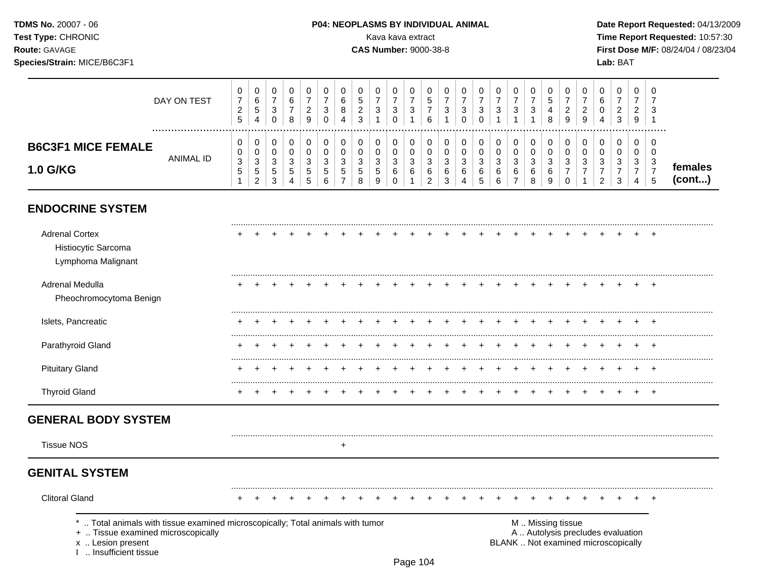| <b>TDMS No.</b> 20007 - 06  | <b>P04: NEOPLASMS BY INDIVIDUAL ANIMAL</b> | Date Rep         |
|-----------------------------|--------------------------------------------|------------------|
| Test Type: CHRONIC_         | Kava kava extract                          | <b>Time Rep</b>  |
| <b>Route: GAVAGE</b>        | <b>CAS Number: 9000-38-8</b>               | <b>First Dos</b> |
| Species/Strain: MICE/B6C3F1 |                                            | <b>Lab: BAT</b>  |

## **TDMS No.** 20007 - 06 **P04: NEOPLASMS BY INDIVIDUAL ANIMAL** Date Report Requested: 04/13/2009

**Test Type:** CHRONIC **Transfer CHRONIC** Kava **Rava kava extract** Kava kava extract **Time Report Requested:** 10:57:30 **Route:** GAVAGE **CAS Number:** 9000-38-8 **First Dose M/F:** 08/24/04 / 08/23/04

 $\overline{\phantom{a}}$ 

 $\overline{\phantom{a}}$ 

| DAY ON TEST                                                                                                                                                          | 0<br>$\boldsymbol{7}$<br>$\overline{c}$<br>$\sqrt{5}$                      | $\,0\,$<br>$\,6\,$<br>$\sqrt{5}$<br>$\overline{4}$                                 | $\mathbf 0$<br>$\overline{7}$<br>$\ensuremath{\mathsf{3}}$<br>$\mathbf 0$              | 0<br>6<br>$\overline{7}$<br>8                                                      | 0<br>$\overline{7}$<br>$\boldsymbol{2}$<br>$\boldsymbol{9}$ | 0<br>$\overline{7}$<br>$\mathbf{3}$<br>$\Omega$ | 0<br>$\,6\,$<br>8<br>$\overline{4}$                   | 0<br>$\sqrt{5}$<br>$\overline{c}$<br>3                | 0<br>$\overline{7}$<br>$\mathbf{3}$<br>$\mathbf{1}$ | 0<br>$\overline{7}$<br>$\ensuremath{\mathsf{3}}$<br>$\Omega$      | 0<br>$\overline{7}$<br>$\mathbf{3}$<br>$\mathbf{1}$ | 0<br>5<br>$\boldsymbol{7}$<br>$\,6\,$                              | 0<br>$\overline{7}$<br>3<br>$\mathbf 1$                             | 0<br>$\overline{7}$<br>3<br>$\Omega$   | 0<br>$\overline{7}$<br>$\mathbf{3}$<br>$\Omega$           | 0<br>$\overline{7}$<br>$\mathbf{3}$<br>$\mathbf{1}$   | 0<br>$\overline{7}$<br>$\mathbf{3}$<br>$\mathbf{1}$                                  | 0<br>$\overline{7}$<br>$\sqrt{3}$<br>$\mathbf{1}$     | 0<br>5<br>$\overline{4}$<br>8   | 0<br>$\overline{7}$<br>$\overline{c}$<br>9           | 0<br>$\overline{7}$<br>$\overline{c}$<br>9                               | 0<br>6<br>$\pmb{0}$<br>$\overline{4}$                                           | 0<br>$\overline{7}$<br>$\overline{\mathbf{c}}$<br>$\mathbf{3}$ | 0<br>7<br>$\overline{2}$<br>9                             | 0<br>7<br>3<br>$\overline{1}$                                        |                   |
|----------------------------------------------------------------------------------------------------------------------------------------------------------------------|----------------------------------------------------------------------------|------------------------------------------------------------------------------------|----------------------------------------------------------------------------------------|------------------------------------------------------------------------------------|-------------------------------------------------------------|-------------------------------------------------|-------------------------------------------------------|-------------------------------------------------------|-----------------------------------------------------|-------------------------------------------------------------------|-----------------------------------------------------|--------------------------------------------------------------------|---------------------------------------------------------------------|----------------------------------------|-----------------------------------------------------------|-------------------------------------------------------|--------------------------------------------------------------------------------------|-------------------------------------------------------|---------------------------------|------------------------------------------------------|--------------------------------------------------------------------------|---------------------------------------------------------------------------------|----------------------------------------------------------------|-----------------------------------------------------------|----------------------------------------------------------------------|-------------------|
| <b>B6C3F1 MICE FEMALE</b><br><b>ANIMAL ID</b><br>1.0 G/KG                                                                                                            | 0<br>$\pmb{0}$<br>$\ensuremath{\mathsf{3}}$<br>$\mathbf 5$<br>$\mathbf{1}$ | $\,0\,$<br>$\pmb{0}$<br>$\ensuremath{\mathsf{3}}$<br>$\mathbf 5$<br>$\overline{2}$ | $\mathbf 0$<br>$\mathbf 0$<br>$\ensuremath{\mathsf{3}}$<br>$\,$ 5 $\,$<br>$\mathbf{3}$ | $\,0\,$<br>$\pmb{0}$<br>$\ensuremath{\mathsf{3}}$<br>$\,$ 5 $\,$<br>$\overline{4}$ | 0<br>$\pmb{0}$<br>$\sqrt{3}$<br>$\,$ 5 $\,$<br>5            | 0<br>$\mathbf 0$<br>$\mathbf{3}$<br>5<br>6      | 0<br>$\pmb{0}$<br>$\mathbf{3}$<br>5<br>$\overline{7}$ | 0<br>$\mathbf 0$<br>$\sqrt{3}$<br>$\overline{5}$<br>8 | 0<br>$\pmb{0}$<br>$\sqrt{3}$<br>$\mathbf 5$<br>9    | 0<br>$\mathbf 0$<br>$\ensuremath{\mathsf{3}}$<br>6<br>$\mathbf 0$ | 0<br>$\pmb{0}$<br>$\mathsf 3$<br>6<br>$\mathbf{1}$  | 0<br>$\pmb{0}$<br>$\ensuremath{\mathsf{3}}$<br>6<br>$\overline{c}$ | 0<br>$\mathsf{O}\xspace$<br>$\mathbf{3}$<br>$\,6\,$<br>$\mathbf{3}$ | 0<br>$\pmb{0}$<br>$\sqrt{3}$<br>6<br>4 | 0<br>$\pmb{0}$<br>$\ensuremath{\mathsf{3}}$<br>$\,6$<br>5 | 0<br>$\pmb{0}$<br>$\mathbf{3}$<br>6<br>$6\phantom{1}$ | $\mathbf 0$<br>$\mathsf 0$<br>$\ensuremath{\mathsf{3}}$<br>$\,6\,$<br>$\overline{7}$ | 0<br>$\pmb{0}$<br>$\ensuremath{\mathsf{3}}$<br>6<br>8 | 0<br>$\mathbf 0$<br>3<br>6<br>9 | 0<br>$\pmb{0}$<br>3<br>$\overline{7}$<br>$\mathbf 0$ | 0<br>$\pmb{0}$<br>$\sqrt{3}$<br>$\overline{7}$<br>1                      | 0<br>$\pmb{0}$<br>$\ensuremath{\mathsf{3}}$<br>$\overline{7}$<br>$\overline{2}$ | 0<br>$\mathbf 0$<br>$\sqrt{3}$<br>$\overline{7}$<br>3          | 0<br>$\mathbf 0$<br>3<br>$\overline{7}$<br>$\overline{4}$ | 0<br>$\mathbf 0$<br>$\mathbf{3}$<br>$\overline{7}$<br>$\overline{5}$ | females<br>(cont) |
| <b>ENDOCRINE SYSTEM</b>                                                                                                                                              |                                                                            |                                                                                    |                                                                                        |                                                                                    |                                                             |                                                 |                                                       |                                                       |                                                     |                                                                   |                                                     |                                                                    |                                                                     |                                        |                                                           |                                                       |                                                                                      |                                                       |                                 |                                                      |                                                                          |                                                                                 |                                                                |                                                           |                                                                      |                   |
| <b>Adrenal Cortex</b><br>Histiocytic Sarcoma<br>Lymphoma Malignant                                                                                                   |                                                                            |                                                                                    |                                                                                        |                                                                                    |                                                             |                                                 |                                                       |                                                       |                                                     |                                                                   |                                                     |                                                                    |                                                                     |                                        |                                                           |                                                       |                                                                                      |                                                       |                                 |                                                      |                                                                          |                                                                                 |                                                                |                                                           |                                                                      |                   |
| <b>Adrenal Medulla</b><br>Pheochromocytoma Benign                                                                                                                    |                                                                            |                                                                                    |                                                                                        |                                                                                    |                                                             |                                                 |                                                       |                                                       |                                                     |                                                                   |                                                     |                                                                    |                                                                     |                                        |                                                           |                                                       |                                                                                      |                                                       |                                 |                                                      |                                                                          |                                                                                 |                                                                |                                                           | $\overline{+}$                                                       |                   |
| Islets, Pancreatic                                                                                                                                                   |                                                                            |                                                                                    |                                                                                        |                                                                                    |                                                             |                                                 |                                                       |                                                       |                                                     |                                                                   |                                                     |                                                                    |                                                                     |                                        |                                                           |                                                       |                                                                                      |                                                       |                                 |                                                      |                                                                          |                                                                                 |                                                                |                                                           |                                                                      |                   |
| Parathyroid Gland                                                                                                                                                    |                                                                            |                                                                                    |                                                                                        |                                                                                    |                                                             |                                                 |                                                       |                                                       |                                                     |                                                                   |                                                     |                                                                    |                                                                     |                                        |                                                           |                                                       |                                                                                      |                                                       |                                 |                                                      |                                                                          |                                                                                 |                                                                |                                                           |                                                                      |                   |
| <b>Pituitary Gland</b>                                                                                                                                               |                                                                            |                                                                                    |                                                                                        |                                                                                    |                                                             |                                                 |                                                       |                                                       |                                                     |                                                                   |                                                     |                                                                    |                                                                     |                                        |                                                           |                                                       |                                                                                      |                                                       |                                 |                                                      |                                                                          |                                                                                 |                                                                |                                                           | $\div$                                                               |                   |
| <b>Thyroid Gland</b>                                                                                                                                                 |                                                                            |                                                                                    |                                                                                        |                                                                                    |                                                             |                                                 |                                                       |                                                       |                                                     |                                                                   |                                                     |                                                                    |                                                                     |                                        |                                                           |                                                       |                                                                                      |                                                       |                                 |                                                      |                                                                          |                                                                                 |                                                                |                                                           | $\overline{+}$                                                       |                   |
| <b>GENERAL BODY SYSTEM</b>                                                                                                                                           |                                                                            |                                                                                    |                                                                                        |                                                                                    |                                                             |                                                 |                                                       |                                                       |                                                     |                                                                   |                                                     |                                                                    |                                                                     |                                        |                                                           |                                                       |                                                                                      |                                                       |                                 |                                                      |                                                                          |                                                                                 |                                                                |                                                           |                                                                      |                   |
| <b>Tissue NOS</b>                                                                                                                                                    |                                                                            |                                                                                    |                                                                                        |                                                                                    |                                                             |                                                 | $\ddot{}$                                             |                                                       |                                                     |                                                                   |                                                     |                                                                    |                                                                     |                                        |                                                           |                                                       |                                                                                      |                                                       |                                 |                                                      |                                                                          |                                                                                 |                                                                |                                                           |                                                                      |                   |
| <b>GENITAL SYSTEM</b>                                                                                                                                                |                                                                            |                                                                                    |                                                                                        |                                                                                    |                                                             |                                                 |                                                       |                                                       |                                                     |                                                                   |                                                     |                                                                    |                                                                     |                                        |                                                           |                                                       |                                                                                      |                                                       |                                 |                                                      |                                                                          |                                                                                 |                                                                |                                                           |                                                                      |                   |
| <b>Clitoral Gland</b>                                                                                                                                                |                                                                            |                                                                                    |                                                                                        |                                                                                    |                                                             |                                                 |                                                       |                                                       |                                                     |                                                                   |                                                     |                                                                    |                                                                     |                                        |                                                           |                                                       |                                                                                      |                                                       |                                 |                                                      |                                                                          |                                                                                 |                                                                |                                                           |                                                                      |                   |
| *  Total animals with tissue examined microscopically; Total animals with tumor<br>+  Tissue examined microscopically<br>x  Lesion present<br>1  Insufficient tissue |                                                                            |                                                                                    |                                                                                        |                                                                                    |                                                             |                                                 |                                                       |                                                       |                                                     |                                                                   |                                                     |                                                                    |                                                                     |                                        |                                                           |                                                       |                                                                                      |                                                       | M  Missing tissue               |                                                      | A  Autolysis precludes evaluation<br>BLANK  Not examined microscopically |                                                                                 |                                                                |                                                           |                                                                      |                   |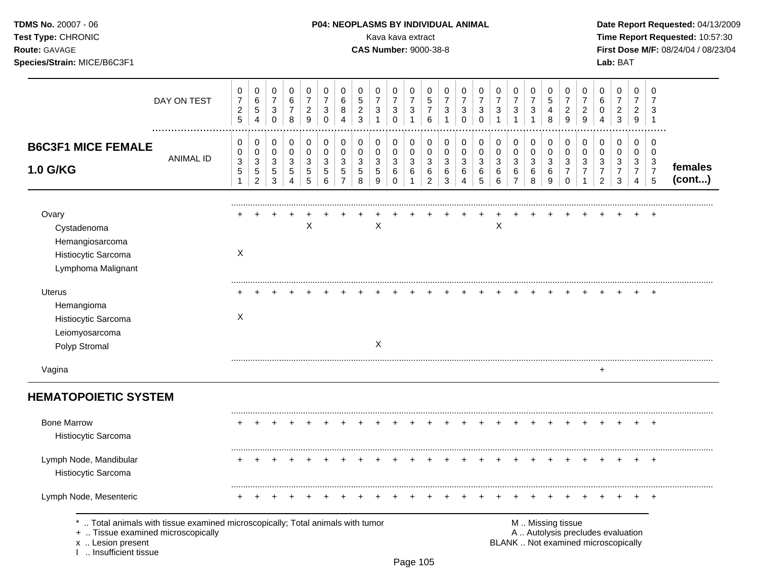| <b>TDMS No. 20007 - 06</b>                              |  |  |
|---------------------------------------------------------|--|--|
| $\tau$ $\tau$ $\sim$ $\sim$ $\sim$ $\sim$ $\sim$ $\sim$ |  |  |

**Test Type:** CHRONIC **Transfer CHRONIC Kava Report Requested:** 10:57:30 **Route:** GAVAGE **CAS Number:** 9000-38-8 **First Dose M/F:** 08/24/04 / 08/23/04 **Species/Strain:** MICE/B6C3F1 **Lab:** BAT

|                                                                                       | DAY ON TEST                                                                  | 0<br>$\boldsymbol{7}$<br>$\overline{c}$<br>$\overline{5}$         | $\mathbf 0$<br>$\,6\,$<br>$\,$ 5 $\,$<br>$\overline{4}$      | 0<br>$\boldsymbol{7}$<br>$\sqrt{3}$<br>$\Omega$ | $\mathbf 0$<br>$\,6\,$<br>$\boldsymbol{7}$<br>8 | 0<br>$\overline{7}$<br>$\boldsymbol{2}$<br>$\overline{9}$ | 0<br>$\overline{7}$<br>$\sqrt{3}$<br>$\pmb{0}$ | $\mathbf 0$<br>6<br>8<br>4                            | 0<br>$\,$ 5 $\,$<br>$\sqrt{2}$<br>$\mathbf{3}$ | 0<br>$\overline{7}$<br>$\ensuremath{\mathsf{3}}$<br>$\overline{1}$ | 0<br>$\boldsymbol{7}$<br>$\sqrt{3}$<br>$\Omega$ | 0<br>$\overline{7}$<br>$\sqrt{3}$<br>$\mathbf{1}$ | 0<br>$\sqrt{5}$<br>$\boldsymbol{7}$<br>$\,6$ | 0<br>$\overline{7}$<br>3<br>$\mathbf{1}$ | $\mathbf 0$<br>$\overline{7}$<br>3<br>$\Omega$ | 0<br>$\overline{7}$<br>$\ensuremath{\mathsf{3}}$<br>$\Omega$ | 0<br>$\boldsymbol{7}$<br>$\sqrt{3}$<br>$\overline{1}$ | $\mathbf 0$<br>$\boldsymbol{7}$<br>3<br>$\mathbf{1}$    | $\mathbf 0$<br>$\overline{7}$<br>$\ensuremath{\mathsf{3}}$<br>$\mathbf{1}$ | 0<br>$\sqrt{5}$<br>4<br>8             | 0<br>$\boldsymbol{7}$<br>$\overline{\mathbf{c}}$<br>9 | $\mathbf 0$<br>$\overline{7}$<br>$\boldsymbol{2}$<br>9 | $\mathbf 0$<br>$\,6$<br>$\pmb{0}$<br>$\overline{A}$                      | 0<br>$\overline{7}$<br>$\sqrt{2}$<br>3 | $\mathbf 0$<br>$\overline{7}$<br>$\overline{2}$<br>9    | $\pmb{0}$<br>$\overline{7}$<br>3<br>$\mathbf 1$ |                   |
|---------------------------------------------------------------------------------------|------------------------------------------------------------------------------|-------------------------------------------------------------------|--------------------------------------------------------------|-------------------------------------------------|-------------------------------------------------|-----------------------------------------------------------|------------------------------------------------|-------------------------------------------------------|------------------------------------------------|--------------------------------------------------------------------|-------------------------------------------------|---------------------------------------------------|----------------------------------------------|------------------------------------------|------------------------------------------------|--------------------------------------------------------------|-------------------------------------------------------|---------------------------------------------------------|----------------------------------------------------------------------------|---------------------------------------|-------------------------------------------------------|--------------------------------------------------------|--------------------------------------------------------------------------|----------------------------------------|---------------------------------------------------------|-------------------------------------------------|-------------------|
| <b>B6C3F1 MICE FEMALE</b><br>1.0 G/KG                                                 | <b>ANIMAL ID</b>                                                             | 0<br>0<br>$\ensuremath{\mathsf{3}}$<br>$\sqrt{5}$<br>$\mathbf{1}$ | 0<br>$\pmb{0}$<br>$\sqrt{3}$<br>$\sqrt{5}$<br>$\overline{2}$ | 0<br>0<br>3<br>$\sqrt{5}$<br>3                  | 0<br>$\mathbf 0$<br>3<br>$\sqrt{5}$<br>4        | 0<br>$\mathbf 0$<br>3<br>5<br>5                           | $\pmb{0}$<br>0<br>3<br>5<br>6                  | 0<br>$\mathbf 0$<br>3<br>$\sqrt{5}$<br>$\overline{7}$ | 0<br>$\mathbf 0$<br>3<br>$\sqrt{5}$<br>8       | 0<br>$\mathbf 0$<br>3<br>$\sqrt{5}$<br>9                           | 0<br>0<br>3<br>6<br>$\mathbf 0$                 | 0<br>$\mathbf 0$<br>3<br>$\,6$<br>1               | 0<br>0<br>3<br>$\,6$<br>$\overline{c}$       | 0<br>0<br>3<br>$\,6\,$<br>3              | 0<br>$\mathbf 0$<br>3<br>6<br>4                | 0<br>0<br>3<br>6<br>5                                        | 0<br>$\mathbf 0$<br>$\mathbf{3}$<br>$\,6\,$<br>6      | 0<br>$\mathbf 0$<br>$\mathbf{3}$<br>6<br>$\overline{7}$ | $\pmb{0}$<br>$\mathbf 0$<br>3<br>6<br>8                                    | 0<br>$\mathbf 0$<br>3<br>$\,6\,$<br>9 | 0<br>0<br>3<br>$\overline{7}$<br>$\mathbf 0$          | 0<br>$\mathbf 0$<br>3<br>$\overline{7}$                | 0<br>0<br>3<br>$\overline{7}$<br>2                                       | 0<br>0<br>3<br>$\overline{7}$<br>3     | 0<br>$\mathbf 0$<br>$\mathbf{3}$<br>$\overline{7}$<br>4 | 0<br>0<br>3<br>$\overline{7}$<br>$\overline{5}$ | females<br>(cont) |
| Ovary<br>Cystadenoma<br>Hemangiosarcoma<br>Histiocytic Sarcoma<br>Lymphoma Malignant  |                                                                              | X                                                                 |                                                              |                                                 |                                                 | X                                                         |                                                |                                                       |                                                | Χ                                                                  |                                                 |                                                   |                                              |                                          |                                                |                                                              | X                                                     |                                                         |                                                                            |                                       |                                                       |                                                        |                                                                          |                                        |                                                         |                                                 |                   |
| <b>Uterus</b><br>Hemangioma<br>Histiocytic Sarcoma<br>Leiomyosarcoma<br>Polyp Stromal |                                                                              | $\times$                                                          |                                                              |                                                 |                                                 |                                                           |                                                |                                                       |                                                | $\times$                                                           |                                                 |                                                   |                                              |                                          |                                                |                                                              |                                                       |                                                         |                                                                            |                                       |                                                       |                                                        |                                                                          |                                        |                                                         |                                                 |                   |
| Vagina                                                                                |                                                                              |                                                                   |                                                              |                                                 |                                                 |                                                           |                                                |                                                       |                                                |                                                                    |                                                 |                                                   |                                              |                                          |                                                |                                                              |                                                       |                                                         |                                                                            |                                       |                                                       |                                                        | +                                                                        |                                        |                                                         |                                                 |                   |
| <b>HEMATOPOIETIC SYSTEM</b>                                                           |                                                                              |                                                                   |                                                              |                                                 |                                                 |                                                           |                                                |                                                       |                                                |                                                                    |                                                 |                                                   |                                              |                                          |                                                |                                                              |                                                       |                                                         |                                                                            |                                       |                                                       |                                                        |                                                                          |                                        |                                                         |                                                 |                   |
| <b>Bone Marrow</b><br>Histiocytic Sarcoma                                             |                                                                              |                                                                   |                                                              |                                                 |                                                 |                                                           |                                                |                                                       |                                                |                                                                    |                                                 |                                                   |                                              |                                          |                                                |                                                              |                                                       |                                                         |                                                                            |                                       |                                                       |                                                        |                                                                          |                                        |                                                         |                                                 |                   |
| Lymph Node, Mandibular<br>Histiocytic Sarcoma                                         |                                                                              |                                                                   |                                                              |                                                 |                                                 |                                                           |                                                |                                                       |                                                |                                                                    |                                                 |                                                   |                                              |                                          |                                                |                                                              |                                                       |                                                         |                                                                            |                                       |                                                       |                                                        |                                                                          |                                        |                                                         | $\ddot{}$                                       |                   |
| Lymph Node, Mesenteric                                                                |                                                                              |                                                                   |                                                              |                                                 |                                                 |                                                           |                                                |                                                       |                                                |                                                                    |                                                 |                                                   |                                              |                                          |                                                |                                                              |                                                       |                                                         |                                                                            |                                       |                                                       |                                                        |                                                                          |                                        |                                                         |                                                 |                   |
| +  Tissue examined microscopically<br>x  Lesion present<br>I. Insufficient tissue     | Total animals with tissue examined microscopically; Total animals with tumor |                                                                   |                                                              |                                                 |                                                 |                                                           |                                                |                                                       |                                                |                                                                    |                                                 |                                                   |                                              |                                          |                                                |                                                              |                                                       |                                                         |                                                                            | M  Missing tissue                     |                                                       |                                                        | A  Autolysis precludes evaluation<br>BLANK  Not examined microscopically |                                        |                                                         |                                                 |                   |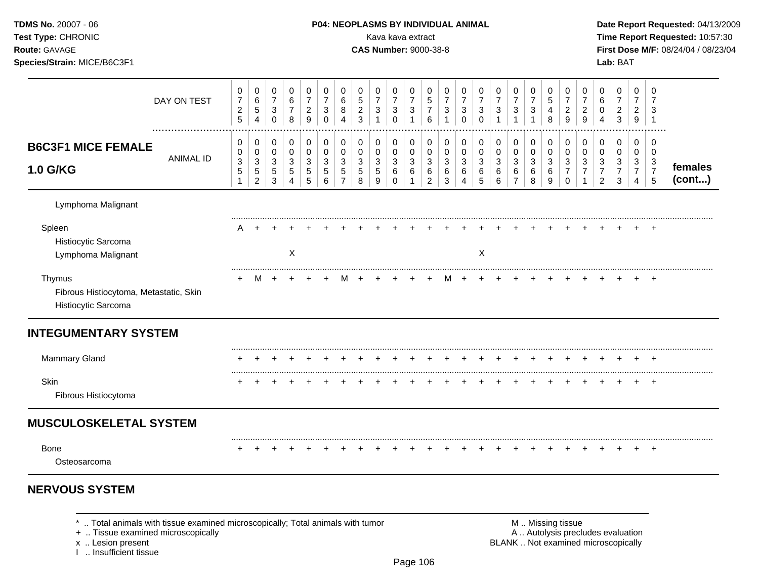| TDMS No. 20007 - 06<br>Test Type: CHRONIC<br>Route: GAVAGE<br>Species/Strain: MICE/B6C3F1 | <b>P04: NEOPLASMS BY INDIVIDUAL ANIMAL</b><br>Kava kava extract<br><b>CAS Number: 9000-38-8</b> |                                                                                     |                                                                           |                                                                         |                                                                                         |                                                                                           |                                                                |                                                    |                                   |                                                                               |                                                                              |                                                                          |                                            |                                                   |                                                         | Date Report Requested: 04/13/2009<br>Time Report Requested: 10:57:30<br>First Dose M/F: 08/24/04 / 08/23/04<br>Lab: BAT |                                              |                                          |                                                                       |                                                                                          |                                                                                |                                                 |                                                              |                                                           |                                                   |                   |
|-------------------------------------------------------------------------------------------|-------------------------------------------------------------------------------------------------|-------------------------------------------------------------------------------------|---------------------------------------------------------------------------|-------------------------------------------------------------------------|-----------------------------------------------------------------------------------------|-------------------------------------------------------------------------------------------|----------------------------------------------------------------|----------------------------------------------------|-----------------------------------|-------------------------------------------------------------------------------|------------------------------------------------------------------------------|--------------------------------------------------------------------------|--------------------------------------------|---------------------------------------------------|---------------------------------------------------------|-------------------------------------------------------------------------------------------------------------------------|----------------------------------------------|------------------------------------------|-----------------------------------------------------------------------|------------------------------------------------------------------------------------------|--------------------------------------------------------------------------------|-------------------------------------------------|--------------------------------------------------------------|-----------------------------------------------------------|---------------------------------------------------|-------------------|
| DAY ON TEST                                                                               | $\boldsymbol{0}$<br>$\overline{7}$<br>$\overline{c}$<br>5                                       | $\pmb{0}$<br>$\,6$<br>$\sqrt{5}$<br>$\overline{4}$                                  | $\pmb{0}$<br>$\boldsymbol{7}$<br>$\ensuremath{\mathsf{3}}$<br>$\mathbf 0$ | $\mathbf 0$<br>$\,6\,$<br>$\boldsymbol{7}$<br>8                         | $\mathbf 0$<br>$\overline{7}$<br>$\sqrt{2}$<br>$\boldsymbol{9}$                         | $\mathbf 0$<br>$\boldsymbol{7}$<br>$\sqrt{3}$<br>$\mathbf 0$                              | $\mathbf 0$<br>6<br>8<br>$\overline{4}$                        | 0<br>$\mathbf 5$<br>$\overline{a}$<br>$\mathbf{3}$ | 0<br>$\overline{7}$<br>$\sqrt{3}$ | 0<br>$\overline{7}$<br>$\ensuremath{\mathsf{3}}$<br>$\mathbf 0$               | $\mathbf 0$<br>$\boldsymbol{7}$<br>$\mathbf{3}$<br>1                         | $\pmb{0}$<br>$\sqrt{5}$<br>$\overline{7}$<br>$6\phantom{1}6$             | 0<br>$\overline{7}$<br>3<br>1              | $\mathbf 0$<br>$\overline{7}$<br>3<br>$\mathbf 0$ | 0<br>$\overline{7}$<br>3<br>$\Omega$                    | 0<br>$\boldsymbol{7}$<br>$\mathbf{3}$<br>$\mathbf{1}$                                                                   | 0<br>$\boldsymbol{7}$<br>3<br>$\mathbf{1}$   | 0<br>$\overline{7}$<br>3<br>$\mathbf{1}$ | 0<br>$\sqrt{5}$<br>4<br>8                                             | $\mathbf 0$<br>$\overline{7}$<br>$\overline{c}$<br>9                                     | 0<br>$\overline{7}$<br>$\overline{c}$<br>9                                     | 0<br>6<br>0<br>$\overline{4}$                   | $\Omega$<br>$\overline{7}$<br>$\overline{c}$<br>$\mathbf{3}$ | 0<br>$\overline{7}$<br>$\overline{2}$<br>$\boldsymbol{9}$ | $\Omega$<br>$\overline{7}$<br>3<br>$\overline{1}$ |                   |
| <b>B6C3F1 MICE FEMALE</b><br><b>ANIMAL ID</b><br>1.0 G/KG                                 | 0<br>0<br>$\ensuremath{\mathsf{3}}$<br>$\sqrt{5}$<br>$\mathbf{1}$                               | $\pmb{0}$<br>$\pmb{0}$<br>$\ensuremath{\mathsf{3}}$<br>$\sqrt{5}$<br>$\overline{2}$ | $\pmb{0}$<br>0<br>$\sqrt{3}$<br>$\,$ 5 $\,$<br>3                          | $\mathbf 0$<br>$\mathsf{O}\xspace$<br>3<br>$\sqrt{5}$<br>$\overline{4}$ | $\mathbf 0$<br>$\mathbf 0$<br>$\ensuremath{\mathsf{3}}$<br>$\sqrt{5}$<br>$5\phantom{1}$ | $\mathbf 0$<br>$\mathbf 0$<br>$\ensuremath{\mathsf{3}}$<br>$\mathbf 5$<br>$6\phantom{1}6$ | 0<br>$\mathbf 0$<br>$\sqrt{3}$<br>$\sqrt{5}$<br>$\overline{7}$ | 0<br>$\mathbf 0$<br>3<br>5<br>8                    | 0<br>0<br>3<br>5<br>9             | $\pmb{0}$<br>$\pmb{0}$<br>$\ensuremath{\mathsf{3}}$<br>$\,6\,$<br>$\mathbf 0$ | $\mathbf 0$<br>$\mathbf 0$<br>$\ensuremath{\mathsf{3}}$<br>6<br>$\mathbf{1}$ | 0<br>$\pmb{0}$<br>$\ensuremath{\mathsf{3}}$<br>$\,6\,$<br>$\overline{2}$ | 0<br>$\mathbf 0$<br>3<br>6<br>$\mathbf{3}$ | $\mathbf 0$<br>$\pmb{0}$<br>$\sqrt{3}$<br>6<br>4  | 0<br>$\mathbf 0$<br>$\ensuremath{\mathsf{3}}$<br>6<br>5 | 0<br>$\mathbf 0$<br>$\ensuremath{\mathsf{3}}$<br>6<br>6                                                                 | 0<br>$\mathbf 0$<br>3<br>6<br>$\overline{7}$ | 0<br>0<br>3<br>$\,6$<br>8                | $\pmb{0}$<br>$\mathbf 0$<br>$\ensuremath{\mathsf{3}}$<br>$\,6\,$<br>9 | $\mathbf 0$<br>$\mathbf 0$<br>$\ensuremath{\mathsf{3}}$<br>$\overline{7}$<br>$\mathbf 0$ | 0<br>$\mathsf{O}\xspace$<br>$\ensuremath{\mathsf{3}}$<br>$\boldsymbol{7}$<br>1 | 0<br>0<br>3<br>$\overline{7}$<br>$\overline{c}$ | $\pmb{0}$<br>$\pmb{0}$<br>3<br>$\overline{7}$<br>3           | $\mathbf 0$<br>0<br>3<br>$\overline{7}$<br>$\overline{4}$ | 0<br>$\overline{0}$<br>3<br>$\overline{7}$<br>5   | females<br>(cont) |
| Lymphoma Malignant                                                                        |                                                                                                 |                                                                                     |                                                                           |                                                                         |                                                                                         |                                                                                           |                                                                |                                                    |                                   |                                                                               |                                                                              |                                                                          |                                            |                                                   |                                                         |                                                                                                                         |                                              |                                          |                                                                       |                                                                                          |                                                                                |                                                 |                                                              |                                                           |                                                   |                   |
| Spleen<br>Histiocytic Sarcoma<br>Lymphoma Malignant                                       | A                                                                                               | $\ddot{}$                                                                           |                                                                           | $\boldsymbol{\mathsf{X}}$                                               |                                                                                         |                                                                                           |                                                                |                                                    |                                   |                                                                               |                                                                              |                                                                          |                                            |                                                   | X                                                       |                                                                                                                         |                                              |                                          |                                                                       |                                                                                          |                                                                                |                                                 |                                                              |                                                           |                                                   |                   |
| Thymus<br>Fibrous Histiocytoma, Metastatic, Skin<br>Histiocytic Sarcoma                   | $+$                                                                                             | M                                                                                   | $+$                                                                       | $\pm$                                                                   |                                                                                         | $\div$                                                                                    | M                                                              |                                                    |                                   | $\pm$                                                                         | $+$                                                                          | $+$                                                                      |                                            |                                                   | $\pm$                                                   |                                                                                                                         | $+$                                          |                                          | $\div$                                                                |                                                                                          |                                                                                |                                                 |                                                              |                                                           | $+$                                               |                   |
| <b>INTEGUMENTARY SYSTEM</b>                                                               |                                                                                                 |                                                                                     |                                                                           |                                                                         |                                                                                         |                                                                                           |                                                                |                                                    |                                   |                                                                               |                                                                              |                                                                          |                                            |                                                   |                                                         |                                                                                                                         |                                              |                                          |                                                                       |                                                                                          |                                                                                |                                                 |                                                              |                                                           |                                                   |                   |
| <b>Mammary Gland</b>                                                                      |                                                                                                 |                                                                                     |                                                                           |                                                                         |                                                                                         |                                                                                           |                                                                |                                                    |                                   |                                                                               |                                                                              |                                                                          |                                            |                                                   |                                                         |                                                                                                                         |                                              |                                          |                                                                       |                                                                                          |                                                                                |                                                 |                                                              |                                                           |                                                   |                   |
| Skin<br>Fibrous Histiocytoma                                                              | $\pm$                                                                                           | $\div$                                                                              |                                                                           |                                                                         |                                                                                         |                                                                                           |                                                                |                                                    |                                   | $\pm$                                                                         | $\pm$                                                                        | $\pm$                                                                    | $\div$                                     |                                                   |                                                         |                                                                                                                         | $\pm$                                        |                                          | +                                                                     | $\pm$                                                                                    | $\div$                                                                         | ÷                                               |                                                              | $\pm$                                                     | $+$                                               |                   |
| <b>MUSCULOSKELETAL SYSTEM</b>                                                             |                                                                                                 |                                                                                     |                                                                           |                                                                         |                                                                                         |                                                                                           |                                                                |                                                    |                                   |                                                                               |                                                                              |                                                                          |                                            |                                                   |                                                         |                                                                                                                         |                                              |                                          |                                                                       |                                                                                          |                                                                                |                                                 |                                                              |                                                           |                                                   |                   |
| <b>Bone</b><br>Osteosarcoma                                                               |                                                                                                 |                                                                                     |                                                                           |                                                                         |                                                                                         |                                                                                           |                                                                |                                                    |                                   |                                                                               |                                                                              |                                                                          |                                            |                                                   |                                                         |                                                                                                                         |                                              |                                          |                                                                       |                                                                                          |                                                                                |                                                 |                                                              |                                                           |                                                   |                   |

 $*$  .. Total animals with tissue examined microscopically; Total animals with tumor  $\blacksquare$  M .. Missing tissue

x .. Lesion present<br>I .. Insufficient tissue

+ .. Tissue examined microscopically  $\blacksquare$  A .. Autolysis precludes evaluation M .. Missing tissue<br>A .. Autolysis precludes evaluation<br>BLANK .. Not examined microscopically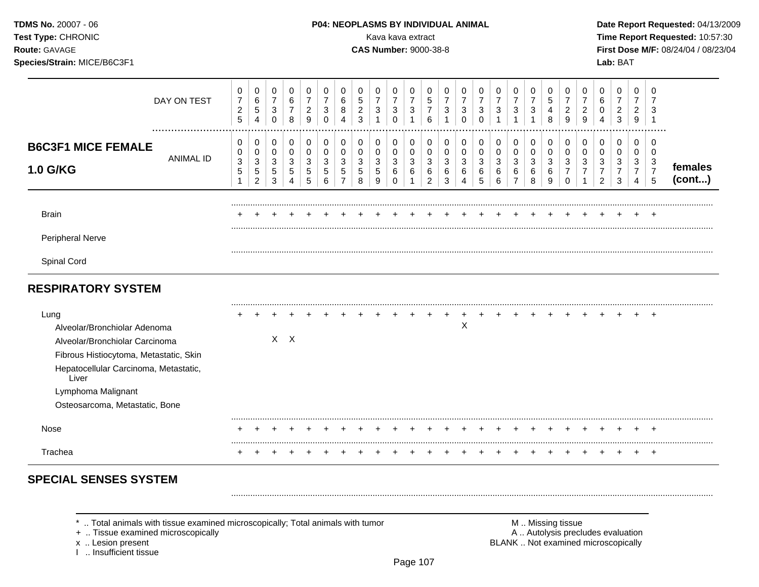| <b>TDMS No. 20007 - 06</b><br>Test Type: CHRONIC<br>Route: GAVAGE<br>Species/Strain: MICE/B6C3F1                                                          |                                                             | P04: NEOPLASMS BY INDIVIDUAL ANIMAL<br>Kava kava extract<br><b>CAS Number: 9000-38-8</b> |                                                    |                                 |                                                           |                                                  |                                                        |                                                       |                                                       |                                                            |                                          |                                                |                                 |                                          |                                                    |                                                                    | Date Report Requested: 04/13/2009<br>Time Report Requested: 10:57:30<br>First Dose M/F: 08/24/04 / 08/23/04<br>Lab: BAT |                               |                                          |                                                        |                                                       |                                                 |                                                       |                                                           |                                                  |                   |
|-----------------------------------------------------------------------------------------------------------------------------------------------------------|-------------------------------------------------------------|------------------------------------------------------------------------------------------|----------------------------------------------------|---------------------------------|-----------------------------------------------------------|--------------------------------------------------|--------------------------------------------------------|-------------------------------------------------------|-------------------------------------------------------|------------------------------------------------------------|------------------------------------------|------------------------------------------------|---------------------------------|------------------------------------------|----------------------------------------------------|--------------------------------------------------------------------|-------------------------------------------------------------------------------------------------------------------------|-------------------------------|------------------------------------------|--------------------------------------------------------|-------------------------------------------------------|-------------------------------------------------|-------------------------------------------------------|-----------------------------------------------------------|--------------------------------------------------|-------------------|
| DAY ON TEST                                                                                                                                               | 0<br>$\boldsymbol{7}$<br>$\boldsymbol{2}$<br>$\overline{5}$ | 0<br>$\,6$<br>5<br>$\overline{4}$                                                        | 0<br>$\boldsymbol{7}$<br>$\mathbf{3}$<br>$\pmb{0}$ | 0<br>6<br>$\overline{7}$<br>8   | 0<br>$\overline{7}$<br>$\overline{c}$<br>$\boldsymbol{9}$ | 0<br>$\overline{7}$<br>$\sqrt{3}$<br>$\mathbf 0$ | 0<br>$\,6\,$<br>8<br>4                                 | 0<br>$\sqrt{5}$<br>$\frac{2}{3}$                      | 0<br>$\overline{7}$<br>$\mathbf{3}$<br>$\overline{1}$ | $\mathbf 0$<br>$\overline{7}$<br>$\sqrt{3}$<br>$\mathbf 0$ | 0<br>$\overline{7}$<br>3<br>$\mathbf{1}$ | 0<br>$\sqrt{5}$<br>$\overline{7}$<br>6         | 0<br>$\overline{7}$<br>3        | 0<br>$\overline{7}$<br>3<br>$\mathbf 0$  | 0<br>$\overline{7}$<br>$\mathbf{3}$<br>$\mathbf 0$ | 0<br>$\overline{7}$<br>$\ensuremath{\mathsf{3}}$<br>$\overline{1}$ | 0<br>$\overline{7}$<br>3                                                                                                | 0<br>$\overline{7}$<br>3<br>1 | 0<br>$\sqrt{5}$<br>$\overline{4}$<br>8   | 0<br>$\overline{7}$<br>$\boldsymbol{2}$<br>$\mathsf g$ | 0<br>$\overline{7}$<br>$\sqrt{2}$<br>$\boldsymbol{9}$ | 0<br>6<br>$\mathbf 0$<br>4                      | 0<br>$\overline{7}$<br>$\overline{c}$<br>$\mathbf{3}$ | 0<br>$\overline{7}$<br>$\overline{c}$<br>9                | $\mathbf 0$<br>7<br>3<br>$\overline{\mathbf{1}}$ |                   |
| <b>B6C3F1 MICE FEMALE</b><br><b>ANIMAL ID</b><br><b>1.0 G/KG</b>                                                                                          | 0<br>0<br>$\ensuremath{\mathsf{3}}$<br>5<br>1               | 0<br>0<br>$\mathbf{3}$<br>5<br>$\overline{c}$                                            | 0<br>$\pmb{0}$<br>$\sqrt{3}$<br>5<br>$\mathbf{3}$  | 0<br>$\mathbf 0$<br>3<br>5<br>4 | 0<br>0<br>3<br>5<br>5                                     | 0<br>0<br>$\ensuremath{\mathsf{3}}$<br>5<br>6    | 0<br>0<br>$\mathbf{3}$<br>$\sqrt{5}$<br>$\overline{7}$ | 0<br>$\mathbf 0$<br>$\sqrt{3}$<br>$\overline{5}$<br>8 | 0<br>0<br>3<br>5<br>9                                 | 0<br>$\mathbf 0$<br>$\sqrt{3}$<br>6<br>$\mathbf 0$         | 0<br>0<br>3<br>6<br>$\mathbf 1$          | 0<br>$\mathbf 0$<br>3<br>6<br>$\boldsymbol{2}$ | 0<br>$\mathbf 0$<br>3<br>6<br>3 | 0<br>$\mathbf 0$<br>$\sqrt{3}$<br>6<br>4 | 0<br>0<br>$\mathbf{3}$<br>6<br>5                   | 0<br>$\pmb{0}$<br>$\sqrt{3}$<br>6<br>$\,6\,$                       | 0<br>$\mathbf 0$<br>3<br>6<br>$\overline{7}$                                                                            | 0<br>0<br>3<br>6<br>8         | 0<br>$\mathbf 0$<br>$\sqrt{3}$<br>6<br>9 | 0<br>0<br>$\sqrt{3}$<br>$\overline{7}$<br>$\pmb{0}$    | 0<br>$\mathbf 0$<br>$\sqrt{3}$<br>$\overline{7}$<br>1 | 0<br>0<br>3<br>$\overline{7}$<br>$\overline{c}$ | 0<br>$\mathbf 0$<br>3<br>$\overline{7}$<br>3          | 0<br>$\mathbf 0$<br>3<br>$\overline{7}$<br>$\overline{4}$ | 0<br>$\mathbf 0$<br>3<br>$\overline{7}$<br>5     | females<br>(cont) |
| <b>Brain</b>                                                                                                                                              |                                                             |                                                                                          |                                                    |                                 |                                                           |                                                  |                                                        |                                                       |                                                       |                                                            |                                          |                                                |                                 |                                          |                                                    |                                                                    |                                                                                                                         |                               |                                          |                                                        |                                                       |                                                 |                                                       |                                                           |                                                  |                   |
| <b>Peripheral Nerve</b>                                                                                                                                   |                                                             |                                                                                          |                                                    |                                 |                                                           |                                                  |                                                        |                                                       |                                                       |                                                            |                                          |                                                |                                 |                                          |                                                    |                                                                    |                                                                                                                         |                               |                                          |                                                        |                                                       |                                                 |                                                       |                                                           |                                                  |                   |
| Spinal Cord                                                                                                                                               |                                                             |                                                                                          |                                                    |                                 |                                                           |                                                  |                                                        |                                                       |                                                       |                                                            |                                          |                                                |                                 |                                          |                                                    |                                                                    |                                                                                                                         |                               |                                          |                                                        |                                                       |                                                 |                                                       |                                                           |                                                  |                   |
| <b>RESPIRATORY SYSTEM</b>                                                                                                                                 |                                                             |                                                                                          |                                                    |                                 |                                                           |                                                  |                                                        |                                                       |                                                       |                                                            |                                          |                                                |                                 |                                          |                                                    |                                                                    |                                                                                                                         |                               |                                          |                                                        |                                                       |                                                 |                                                       |                                                           |                                                  |                   |
| Lung<br>Alveolar/Bronchiolar Adenoma<br>Alveolar/Bronchiolar Carcinoma<br>Fibrous Histiocytoma, Metastatic, Skin<br>Hepatocellular Carcinoma, Metastatic, |                                                             |                                                                                          |                                                    | $X$ $X$                         |                                                           |                                                  |                                                        |                                                       |                                                       |                                                            |                                          |                                                | $\ddot{}$                       | $\boldsymbol{\mathsf{X}}$                | $\div$                                             |                                                                    |                                                                                                                         |                               |                                          |                                                        |                                                       |                                                 |                                                       |                                                           |                                                  |                   |
| Liver<br>Lymphoma Malignant<br>Osteosarcoma, Metastatic, Bone                                                                                             |                                                             |                                                                                          |                                                    |                                 |                                                           |                                                  |                                                        |                                                       |                                                       |                                                            |                                          |                                                |                                 |                                          |                                                    |                                                                    |                                                                                                                         |                               |                                          |                                                        |                                                       |                                                 |                                                       |                                                           |                                                  |                   |
| Nose<br>Trachea                                                                                                                                           |                                                             |                                                                                          |                                                    |                                 |                                                           |                                                  |                                                        |                                                       |                                                       |                                                            |                                          |                                                |                                 |                                          |                                                    |                                                                    |                                                                                                                         |                               |                                          |                                                        |                                                       |                                                 |                                                       |                                                           | $\div$                                           |                   |

# **SPECIAL SENSES SYSTEM**

\* .. Total animals with tissue examined microscopically; Total animals with tumor

+ .. Tissue examined microscopically

x .. Lesion present

I .. Insufficient tissue

M .. Missing tissue A .. Autolysis precludes evaluation BLANK .. Not examined microscopically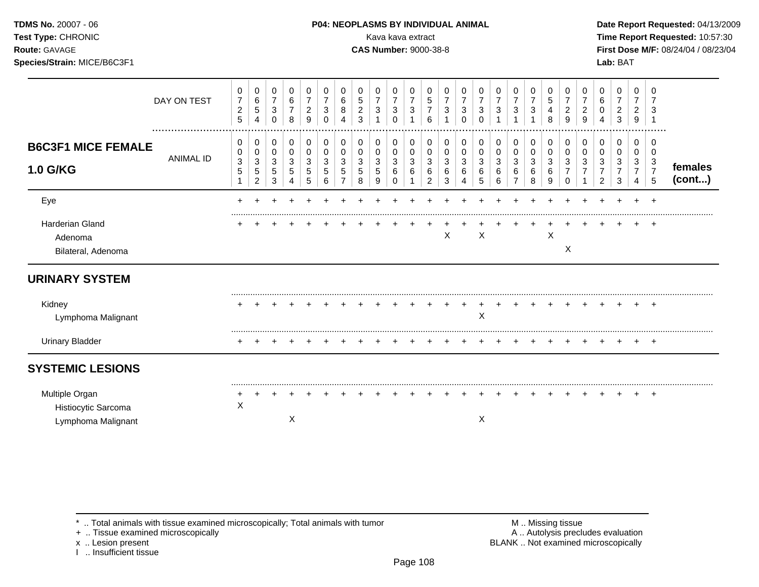| <b>TDMS No. 20007 - 06</b> |  |
|----------------------------|--|
| Test Tyne: CHRONIC         |  |

**Test Type:** CHRONIC **Transfer CHRONIC Report Requested:** 10:57:30 **Route:** GAVAGE **CAS Number:** 9000-38-8 **First Dose M/F:** 08/24/04 / 08/23/04 **Species/Strain:** MICE/B6C3F1 **Lab:** BAT

\* .. Total animals with tissue examined microscopically; Total animals with tumor <br>
+ .. Tissue examined microscopically<br>
+ .. Tissue examined microscopically

+ .. Tissue examined microscopically

x .. Lesion present<br>I .. Insufficient tissue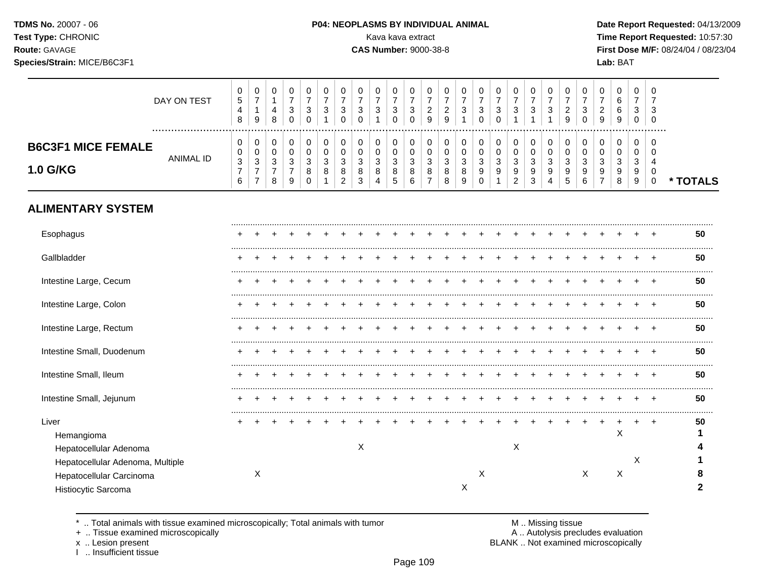## **Species/Strain:** MICE/B6C3F1 **Lab:** BAT

## **TDMS No.** 20007 - 06 **P04: NEOPLASMS BY INDIVIDUAL ANIMAL** Date Report Requested: 04/13/2009

**Test Type:** CHRONIC Kava kava extract **Time Report Requested:** 10:57:30 **Route:** GAVAGE **CAS Number:** 9000-38-8 **First Dose M/F:** 08/24/04 / 08/23/04

|                                                                                   | DAY ON TEST      | $\pmb{0}$<br>$\,$ 5 $\,$<br>$\overline{\mathbf{4}}$<br>8 | $\,0\,$<br>$\overline{7}$<br>$\mathbf{1}$<br>9                       | 0<br>$\mathbf{1}$<br>$\overline{4}$<br>8     | 0<br>$\overline{7}$<br>$\mathbf{3}$<br>$\Omega$                   | 0<br>$\overline{7}$<br>3<br>$\Omega$          | 0<br>$\overline{7}$<br>3          | 0<br>$\overline{7}$<br>3<br>$\Omega$      | 0<br>$\overline{7}$<br>3<br>$\Omega$             | 0<br>$\overline{7}$<br>3                   | $\pmb{0}$<br>$\overline{7}$<br>3<br>$\Omega$ | 0<br>$\overline{7}$<br>$\sqrt{3}$<br>$\Omega$ | 0<br>$\overline{7}$<br>$\overline{c}$<br>9 | 0<br>$\overline{7}$<br>$\overline{c}$<br>$\boldsymbol{9}$ | 0<br>$\overline{7}$<br>3                           | $\,0\,$<br>$\overline{7}$<br>3<br>$\Omega$ | $\pmb{0}$<br>$\overline{7}$<br>3<br>$\Omega$ | $\mathbf 0$<br>$\overline{7}$<br>$\sqrt{3}$           | 0<br>$\overline{7}$<br>$\sqrt{3}$                   | 0<br>$\overline{7}$<br>3                           | 0<br>$\overline{7}$<br>$\overline{a}$<br>9 | 0<br>$\overline{7}$<br>3<br>$\Omega$ | 0<br>$\overline{7}$<br>$\overline{\mathbf{c}}$<br>9 | 0<br>6<br>6<br>9              | 0<br>$\overline{7}$<br>3<br>$\mathbf 0$ | 0<br>7<br>3<br>$\Omega$                                 |          |
|-----------------------------------------------------------------------------------|------------------|----------------------------------------------------------|----------------------------------------------------------------------|----------------------------------------------|-------------------------------------------------------------------|-----------------------------------------------|-----------------------------------|-------------------------------------------|--------------------------------------------------|--------------------------------------------|----------------------------------------------|-----------------------------------------------|--------------------------------------------|-----------------------------------------------------------|----------------------------------------------------|--------------------------------------------|----------------------------------------------|-------------------------------------------------------|-----------------------------------------------------|----------------------------------------------------|--------------------------------------------|--------------------------------------|-----------------------------------------------------|-------------------------------|-----------------------------------------|---------------------------------------------------------|----------|
| <b>B6C3F1 MICE FEMALE</b><br><b>1.0 G/KG</b>                                      | <b>ANIMAL ID</b> | $\pmb{0}$<br>0<br>$\mathbf{3}$<br>$\overline{7}$<br>6    | 0<br>$\mathbf 0$<br>$\mathbf{3}$<br>$\overline{7}$<br>$\overline{7}$ | 0<br>$\mathbf 0$<br>3<br>$\overline{7}$<br>8 | $\mathbf 0$<br>$\mathbf 0$<br>$\mathbf{3}$<br>$\overline{7}$<br>9 | $\mathbf 0$<br>$\Omega$<br>3<br>8<br>$\Omega$ | $\mathbf 0$<br>$\Omega$<br>3<br>8 | 0<br>$\Omega$<br>3<br>8<br>$\overline{2}$ | 0<br>$\Omega$<br>$\sqrt{3}$<br>8<br>$\mathbf{3}$ | 0<br>$\mathbf 0$<br>$\mathbf{3}$<br>8<br>4 | 0<br>$\mathbf 0$<br>$\mathbf{3}$<br>8<br>5   | 0<br>$\mathbf 0$<br>$\mathbf{3}$<br>8<br>6    | 0<br>$\pmb{0}$<br>3<br>8<br>$\overline{7}$ | $\mathbf 0$<br>$\mathbf 0$<br>$\mathbf{3}$<br>8<br>8      | $\pmb{0}$<br>$\mathbf 0$<br>$\mathbf{3}$<br>8<br>9 | 0<br>$\Omega$<br>3<br>$9\,$<br>$\Omega$    | 0<br>$\pmb{0}$<br>3<br>9                     | 0<br>$\mathbf 0$<br>$\sqrt{3}$<br>9<br>$\overline{c}$ | 0<br>$\mathbf 0$<br>$\mathbf{3}$<br>9<br>$\sqrt{3}$ | $\pmb{0}$<br>$\mathbf 0$<br>$\mathbf{3}$<br>9<br>4 | $\pmb{0}$<br>$\mathbf 0$<br>3<br>9<br>5    | 0<br>0<br>3<br>9<br>6                | $\mathbf 0$<br>$\Omega$<br>3<br>9                   | 0<br>$\Omega$<br>3<br>9<br>8  | $\mathbf 0$<br>$\Omega$<br>3<br>9<br>9  | $\Omega$<br>$\Omega$<br>4<br>$\mathbf 0$<br>$\mathbf 0$ | * TOTALS |
| <b>ALIMENTARY SYSTEM</b>                                                          |                  |                                                          |                                                                      |                                              |                                                                   |                                               |                                   |                                           |                                                  |                                            |                                              |                                               |                                            |                                                           |                                                    |                                            |                                              |                                                       |                                                     |                                                    |                                            |                                      |                                                     |                               |                                         |                                                         |          |
| Esophagus                                                                         |                  |                                                          |                                                                      |                                              |                                                                   |                                               |                                   |                                           |                                                  |                                            |                                              |                                               |                                            |                                                           |                                                    |                                            |                                              |                                                       |                                                     |                                                    |                                            |                                      |                                                     |                               |                                         |                                                         | 50       |
| Gallbladder                                                                       |                  |                                                          |                                                                      |                                              |                                                                   |                                               |                                   |                                           |                                                  |                                            |                                              |                                               |                                            |                                                           |                                                    |                                            |                                              |                                                       |                                                     |                                                    |                                            |                                      |                                                     |                               |                                         |                                                         | 50       |
| Intestine Large, Cecum                                                            |                  |                                                          |                                                                      |                                              |                                                                   |                                               |                                   |                                           |                                                  |                                            |                                              |                                               |                                            |                                                           |                                                    |                                            |                                              |                                                       |                                                     |                                                    |                                            |                                      |                                                     |                               |                                         |                                                         | 50       |
| Intestine Large, Colon                                                            |                  |                                                          |                                                                      |                                              |                                                                   |                                               |                                   |                                           |                                                  |                                            |                                              |                                               |                                            |                                                           |                                                    |                                            |                                              |                                                       |                                                     |                                                    |                                            |                                      |                                                     |                               |                                         |                                                         | 50       |
| Intestine Large, Rectum                                                           |                  |                                                          |                                                                      |                                              |                                                                   |                                               |                                   |                                           |                                                  |                                            |                                              |                                               |                                            |                                                           |                                                    |                                            |                                              |                                                       |                                                     |                                                    |                                            |                                      |                                                     |                               |                                         |                                                         | 50       |
| Intestine Small, Duodenum                                                         |                  |                                                          |                                                                      |                                              |                                                                   |                                               |                                   |                                           |                                                  |                                            |                                              |                                               |                                            |                                                           |                                                    |                                            |                                              |                                                       |                                                     |                                                    |                                            |                                      |                                                     |                               |                                         |                                                         | 50       |
| Intestine Small, Ileum                                                            |                  |                                                          |                                                                      |                                              |                                                                   |                                               |                                   |                                           |                                                  |                                            |                                              |                                               |                                            |                                                           |                                                    |                                            |                                              |                                                       |                                                     |                                                    |                                            |                                      |                                                     |                               |                                         |                                                         | 50       |
| Intestine Small, Jejunum                                                          |                  |                                                          |                                                                      |                                              |                                                                   |                                               |                                   |                                           |                                                  |                                            |                                              |                                               |                                            |                                                           |                                                    |                                            |                                              |                                                       |                                                     |                                                    |                                            |                                      |                                                     |                               |                                         |                                                         | 50       |
| Liver<br>Hemangioma<br>Hepatocellular Adenoma<br>Hepatocellular Adenoma, Multiple |                  |                                                          | X                                                                    |                                              |                                                                   |                                               |                                   |                                           | X                                                |                                            |                                              |                                               |                                            |                                                           |                                                    | X                                          |                                              | X                                                     |                                                     |                                                    |                                            | X                                    |                                                     | $\ddot{}$<br>X<br>$\mathsf X$ | X                                       |                                                         | 50       |
| Hepatocellular Carcinoma<br>Histiocytic Sarcoma                                   |                  |                                                          |                                                                      |                                              |                                                                   |                                               |                                   |                                           |                                                  |                                            |                                              |                                               |                                            |                                                           | X                                                  |                                            |                                              |                                                       |                                                     |                                                    |                                            |                                      |                                                     |                               |                                         |                                                         | 2        |

\* .. Total animals with tissue examined microscopically; Total animals with tumor M .. Missing tissue M .. Missing tissue<br>A .. Autolysis precludes evaluation<br>A .. Autolysis precludes evaluation

+ .. Tissue examined microscopically

x .. Lesion present<br>I .. Insufficient tissue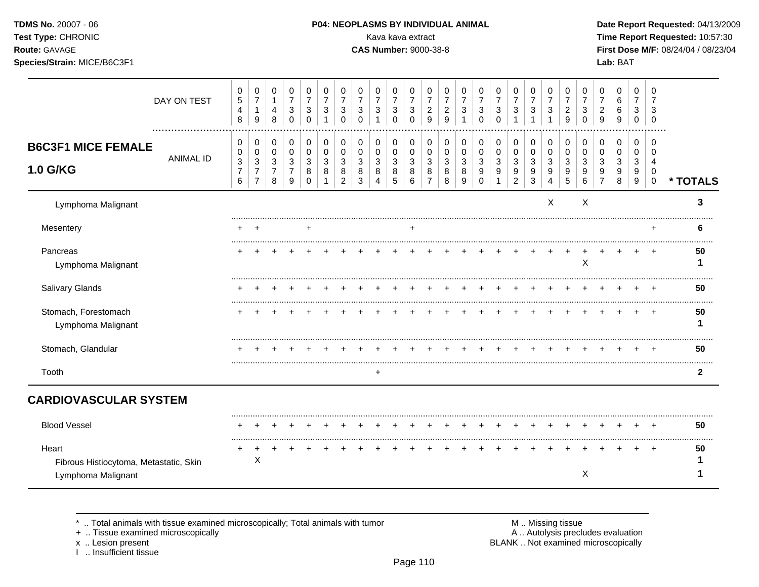| <b>TDMS No. 20007 - 06</b> |
|----------------------------|
| Toot Tuno: CUDONIIC        |

**Test Type:** CHRONIC **Transfer CHRONIC Report Requested:** 10:57:30 **Route:** GAVAGE **CAS Number:** 9000-38-8 **First Dose M/F:** 08/24/04 / 08/23/04 **Species/Strain:** MICE/B6C3F1 **Lab:** BAT

|                                                                       | DAY ON TEST      | 0<br>$\sqrt{5}$<br>$\overline{4}$<br>$\bf8$   | 0<br>$\overline{7}$<br>$\mathbf{1}$<br>$\boldsymbol{9}$      | 0<br>$\mathbf{1}$<br>$\overline{4}$<br>8            | 0<br>$\overline{7}$<br>$\mathbf{3}$<br>$\pmb{0}$        | 0<br>$\overline{7}$<br>$\sqrt{3}$<br>$\mathbf 0$ | 0<br>$\overline{7}$<br>3<br>1 | 0<br>$\overline{7}$<br>3<br>$\mathbf 0$                 | 0<br>$\overline{7}$<br>3<br>$\Omega$ | 0<br>$\overline{7}$<br>$\mathbf{3}$ | 0<br>$\overline{7}$<br>$\ensuremath{\mathsf{3}}$<br>$\mathbf 0$ | 0<br>$\overline{7}$<br>$\mathbf{3}$<br>$\mathbf 0$ | 0<br>$\overline{7}$<br>$\boldsymbol{2}$<br>$\boldsymbol{9}$ | 0<br>$\overline{7}$<br>$\overline{c}$<br>9 | 0<br>$\overline{7}$<br>3         | 0<br>$\overline{7}$<br>3<br>$\Omega$              | 0<br>$\overline{7}$<br>3<br>$\Omega$       | 0<br>$\overline{7}$<br>$\mathbf{3}$                   | 0<br>$\overline{7}$<br>$\sqrt{3}$<br>1     | 0<br>$\overline{7}$<br>3                 | 0<br>$\overline{2}$<br>9        | 0<br>7<br>3<br>$\Omega$ | 0<br>$\overline{2}$<br>9 | 0<br>6<br>6<br>9      | 0<br>$\overline{7}$<br>3<br>$\mathbf 0$ | $\Omega$<br>7<br>3<br>0                                    |              |
|-----------------------------------------------------------------------|------------------|-----------------------------------------------|--------------------------------------------------------------|-----------------------------------------------------|---------------------------------------------------------|--------------------------------------------------|-------------------------------|---------------------------------------------------------|--------------------------------------|-------------------------------------|-----------------------------------------------------------------|----------------------------------------------------|-------------------------------------------------------------|--------------------------------------------|----------------------------------|---------------------------------------------------|--------------------------------------------|-------------------------------------------------------|--------------------------------------------|------------------------------------------|---------------------------------|-------------------------|--------------------------|-----------------------|-----------------------------------------|------------------------------------------------------------|--------------|
| <b>B6C3F1 MICE FEMALE</b><br>1.0 G/KG                                 | <b>ANIMAL ID</b> | 0<br>0<br>$\sqrt{3}$<br>$\boldsymbol{7}$<br>6 | 0<br>0<br>$\mathbf{3}$<br>$\boldsymbol{7}$<br>$\overline{7}$ | 0<br>$\pmb{0}$<br>$\sqrt{3}$<br>$\overline{7}$<br>8 | 0<br>$\mathbf 0$<br>$\mathbf{3}$<br>$\overline{7}$<br>9 | 0<br>$\pmb{0}$<br>$\sqrt{3}$<br>8<br>$\Omega$    | 0<br>$\mathbf 0$<br>3<br>8    | 0<br>$\mathbf 0$<br>$\mathbf{3}$<br>8<br>$\overline{2}$ | 0<br>0<br>3<br>8<br>3                | 0<br>0<br>3<br>8<br>4               | 0<br>0<br>3<br>8<br>5                                           | 0<br>0<br>$\mathbf{3}$<br>8<br>6                   | 0<br>0<br>3<br>8<br>$\overline{7}$                          | 0<br>$\mathbf 0$<br>$\mathbf{3}$<br>8<br>8 | 0<br>0<br>$\mathbf{3}$<br>8<br>9 | 0<br>$\mathbf 0$<br>$\mathbf{3}$<br>9<br>$\Omega$ | 0<br>0<br>$\mathbf{3}$<br>$\boldsymbol{9}$ | 0<br>$\pmb{0}$<br>$\mathbf{3}$<br>9<br>$\overline{2}$ | 0<br>$\mathbf 0$<br>$\mathbf{3}$<br>9<br>3 | 0<br>$\mathbf 0$<br>$\sqrt{3}$<br>9<br>4 | 0<br>$\mathbf 0$<br>3<br>9<br>5 | 0<br>0<br>3<br>9<br>6   | 0<br>$\Omega$<br>3<br>9  | 0<br>0<br>3<br>9<br>8 | 0<br>0<br>3<br>9<br>9                   | $\Omega$<br>$\Omega$<br>$\overline{4}$<br>0<br>$\mathbf 0$ | * TOTALS     |
| Lymphoma Malignant                                                    |                  |                                               |                                                              |                                                     |                                                         |                                                  |                               |                                                         |                                      |                                     |                                                                 |                                                    |                                                             |                                            |                                  |                                                   |                                            |                                                       |                                            | X                                        |                                 | X                       |                          |                       |                                         |                                                            | 3            |
| Mesentery                                                             |                  |                                               |                                                              |                                                     |                                                         |                                                  |                               |                                                         |                                      |                                     |                                                                 |                                                    |                                                             |                                            |                                  |                                                   |                                            |                                                       |                                            |                                          |                                 |                         |                          |                       |                                         |                                                            | 6            |
| Pancreas<br>Lymphoma Malignant                                        |                  |                                               |                                                              |                                                     |                                                         |                                                  |                               |                                                         |                                      |                                     |                                                                 |                                                    |                                                             |                                            |                                  |                                                   |                                            |                                                       |                                            |                                          |                                 | X                       |                          |                       |                                         |                                                            | 50<br>1      |
| Salivary Glands                                                       |                  |                                               |                                                              |                                                     |                                                         |                                                  |                               |                                                         |                                      |                                     |                                                                 |                                                    |                                                             |                                            |                                  |                                                   |                                            |                                                       |                                            |                                          |                                 |                         |                          |                       |                                         |                                                            | 50           |
| Stomach, Forestomach<br>Lymphoma Malignant                            |                  |                                               |                                                              |                                                     |                                                         |                                                  |                               |                                                         |                                      |                                     |                                                                 |                                                    |                                                             |                                            |                                  |                                                   |                                            |                                                       |                                            |                                          |                                 |                         |                          |                       |                                         |                                                            | 50           |
| Stomach, Glandular                                                    |                  |                                               |                                                              |                                                     |                                                         |                                                  |                               |                                                         |                                      |                                     |                                                                 |                                                    |                                                             |                                            |                                  |                                                   |                                            |                                                       |                                            |                                          |                                 |                         |                          |                       |                                         |                                                            | 50           |
| Tooth                                                                 |                  |                                               |                                                              |                                                     |                                                         |                                                  |                               |                                                         |                                      | $\ddot{}$                           |                                                                 |                                                    |                                                             |                                            |                                  |                                                   |                                            |                                                       |                                            |                                          |                                 |                         |                          |                       |                                         |                                                            | $\mathbf{2}$ |
| <b>CARDIOVASCULAR SYSTEM</b>                                          |                  |                                               |                                                              |                                                     |                                                         |                                                  |                               |                                                         |                                      |                                     |                                                                 |                                                    |                                                             |                                            |                                  |                                                   |                                            |                                                       |                                            |                                          |                                 |                         |                          |                       |                                         |                                                            |              |
| <b>Blood Vessel</b>                                                   |                  |                                               |                                                              |                                                     |                                                         |                                                  |                               |                                                         |                                      |                                     |                                                                 |                                                    |                                                             |                                            |                                  |                                                   |                                            |                                                       |                                            |                                          |                                 |                         |                          |                       |                                         | $\overline{ }$                                             | 50           |
| Heart<br>Fibrous Histiocytoma, Metastatic, Skin<br>Lymphoma Malignant |                  |                                               | X                                                            |                                                     |                                                         |                                                  |                               |                                                         |                                      |                                     |                                                                 |                                                    |                                                             |                                            |                                  |                                                   |                                            |                                                       |                                            |                                          |                                 | $\boldsymbol{X}$        |                          |                       |                                         |                                                            | 50           |

\* .. Total animals with tissue examined microscopically; Total animals with tumor <br>
+ .. Tissue examined microscopically<br>
+ .. Tissue examined microscopically

+ .. Tissue examined microscopically

x .. Lesion present<br>I .. Insufficient tissue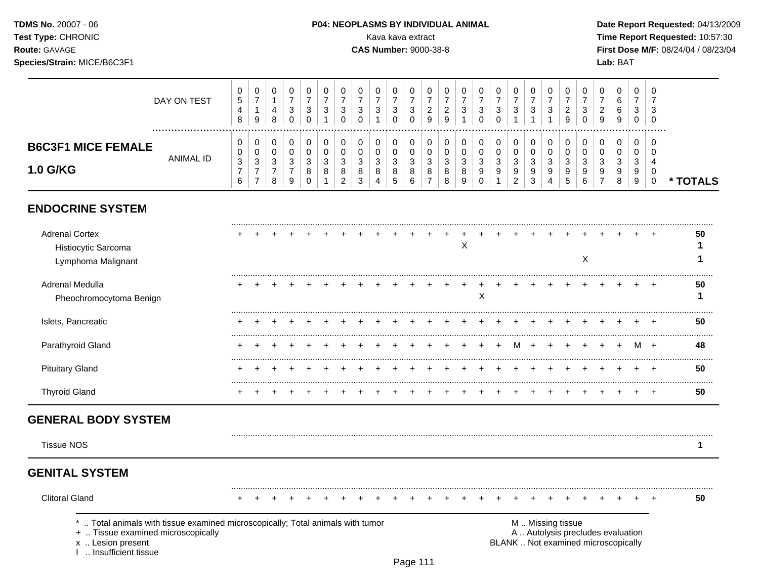**Species/Strain:** MICE/B6C3F1 **Lab:** BAT

## **TDMS No.** 20007 - 06 **P04: NEOPLASMS BY INDIVIDUAL ANIMAL** Date Report Requested: 04/13/2009

**Test Type:** CHRONIC **Transfer CHRONIC** Kava Rava extract Kava extract **Time Report Requested:** 10:57:30 **Route:** GAVAGE **CAS Number:** 9000-38-8 **First Dose M/F:** 08/24/04 / 08/23/04

|                                                                                | DAY ON TEST                                                                  | 0<br>5<br>4<br>8                                  | 0<br>$\overline{7}$<br>1<br>9                                           | 0<br>$\mathbf{1}$<br>$\overline{4}$<br>$\bf 8$                    | 0<br>$\overline{7}$<br>3<br>$\mathbf 0$               | 0<br>$\overline{7}$<br>3<br>$\pmb{0}$                        | 0<br>$\overline{7}$<br>3<br>$\mathbf{1}$ | 0<br>$\overline{7}$<br>3<br>$\mathbf 0$                 | 0<br>$\overline{7}$<br>3<br>$\mathbf 0$    | 0<br>$\overline{7}$<br>3<br>$\mathbf{1}$     | 0<br>$\overline{7}$<br>3<br>$\mathbf 0$ | 0<br>$\overline{7}$<br>3<br>$\mathbf 0$        | 0<br>$\overline{7}$<br>$\overline{c}$<br>9            | 0<br>$\overline{7}$<br>$\overline{c}$<br>9 | 0<br>$\overline{7}$<br>3<br>$\overline{1}$ | 0<br>$\overline{7}$<br>3<br>$\mathbf 0$                                | 0<br>$\overline{7}$<br>$\ensuremath{\mathsf{3}}$<br>$\mathbf 0$    | 0<br>$\overline{7}$<br>3<br>$\mathbf{1}$                               | 0<br>$\overline{7}$<br>$\ensuremath{\mathsf{3}}$<br>$\mathbf{1}$         | 0<br>$\overline{7}$<br>3<br>$\overline{1}$ | 0<br>$\overline{7}$<br>$\boldsymbol{2}$<br>9 | 0<br>$\overline{7}$<br>3<br>$\mathbf 0$              | 0<br>$\overline{7}$<br>$\boldsymbol{2}$<br>9 | 0<br>6<br>$\,6\,$<br>$\boldsymbol{9}$                                    | $\mathbf 0$<br>$\overline{7}$<br>$\mathbf{3}$<br>$\pmb{0}$ | $\mathbf 0$<br>$\overline{7}$<br>3<br>$\overline{0}$ |              |
|--------------------------------------------------------------------------------|------------------------------------------------------------------------------|---------------------------------------------------|-------------------------------------------------------------------------|-------------------------------------------------------------------|-------------------------------------------------------|--------------------------------------------------------------|------------------------------------------|---------------------------------------------------------|--------------------------------------------|----------------------------------------------|-----------------------------------------|------------------------------------------------|-------------------------------------------------------|--------------------------------------------|--------------------------------------------|------------------------------------------------------------------------|--------------------------------------------------------------------|------------------------------------------------------------------------|--------------------------------------------------------------------------|--------------------------------------------|----------------------------------------------|------------------------------------------------------|----------------------------------------------|--------------------------------------------------------------------------|------------------------------------------------------------|------------------------------------------------------|--------------|
| <b>B6C3F1 MICE FEMALE</b><br>1.0 G/KG                                          | ANIMAL ID                                                                    | 0<br>0<br>$\mathbf{3}$<br>$\overline{7}$<br>$\,6$ | 0<br>0<br>$\ensuremath{\mathsf{3}}$<br>$\overline{7}$<br>$\overline{7}$ | $\pmb{0}$<br>$\pmb{0}$<br>$\sqrt{3}$<br>$\overline{7}$<br>$\,8\,$ | 0<br>$\mathbf 0$<br>$\sqrt{3}$<br>$\overline{7}$<br>9 | $\,0\,$<br>$\pmb{0}$<br>$\mathbf{3}$<br>$\bf 8$<br>$\pmb{0}$ | $\pmb{0}$<br>$\mathbf 0$<br>3<br>8<br>1  | 0<br>$\mathbf 0$<br>$\mathbf{3}$<br>8<br>$\overline{c}$ | 0<br>$\mathbf 0$<br>$\mathbf{3}$<br>8<br>3 | 0<br>$\mathbf 0$<br>3<br>8<br>$\overline{4}$ | 0<br>0<br>$\mathbf{3}$<br>8<br>5        | 0<br>$\pmb{0}$<br>$\mathbf{3}$<br>8<br>$\,6\,$ | 0<br>$\pmb{0}$<br>$\mathbf{3}$<br>8<br>$\overline{7}$ | 0<br>$\pmb{0}$<br>$\mathbf{3}$<br>8<br>8   | 0<br>$\mathbf 0$<br>$\mathbf{3}$<br>8<br>9 | 0<br>$\boldsymbol{0}$<br>$\mathbf{3}$<br>$\boldsymbol{9}$<br>$\pmb{0}$ | 0<br>$\pmb{0}$<br>$\mathbf{3}$<br>$\boldsymbol{9}$<br>$\mathbf{1}$ | 0<br>$\mathbf 0$<br>$\mathbf{3}$<br>$\boldsymbol{9}$<br>$\overline{c}$ | $\pmb{0}$<br>$\,0\,$<br>$\mathbf{3}$<br>$\boldsymbol{9}$<br>$\mathbf{3}$ | $\pmb{0}$<br>$\mathbf 0$<br>3<br>9<br>4    | 0<br>$\pmb{0}$<br>3<br>9<br>5                | 0<br>$\mathbf 0$<br>3<br>$\boldsymbol{9}$<br>$\,6\,$ | 0<br>0<br>3<br>9<br>$\overline{7}$           | 0<br>$\mathbf 0$<br>$\sqrt{3}$<br>$9\,$<br>8                             | $\mathbf 0$<br>0<br>$\mathbf{3}$<br>9<br>$\boldsymbol{9}$  | $\mathbf 0$<br>0<br>4<br>$\mathbf 0$<br>$\mathbf 0$  | * TOTALS     |
| <b>ENDOCRINE SYSTEM</b>                                                        |                                                                              |                                                   |                                                                         |                                                                   |                                                       |                                                              |                                          |                                                         |                                            |                                              |                                         |                                                |                                                       |                                            |                                            |                                                                        |                                                                    |                                                                        |                                                                          |                                            |                                              |                                                      |                                              |                                                                          |                                                            |                                                      |              |
| <b>Adrenal Cortex</b><br>Histiocytic Sarcoma<br>Lymphoma Malignant             |                                                                              |                                                   |                                                                         |                                                                   |                                                       |                                                              |                                          |                                                         |                                            |                                              |                                         |                                                |                                                       |                                            | X                                          |                                                                        |                                                                    |                                                                        |                                                                          |                                            |                                              | X                                                    |                                              |                                                                          |                                                            |                                                      | 50<br>1<br>1 |
| Adrenal Medulla<br>Pheochromocytoma Benign                                     |                                                                              |                                                   |                                                                         |                                                                   |                                                       |                                                              |                                          |                                                         |                                            |                                              |                                         |                                                |                                                       |                                            |                                            | $\mathsf X$                                                            |                                                                    |                                                                        |                                                                          |                                            |                                              |                                                      |                                              |                                                                          |                                                            |                                                      | 50<br>1      |
| Islets, Pancreatic                                                             |                                                                              |                                                   |                                                                         |                                                                   |                                                       |                                                              |                                          |                                                         |                                            |                                              |                                         |                                                |                                                       |                                            |                                            |                                                                        |                                                                    |                                                                        |                                                                          |                                            |                                              |                                                      |                                              |                                                                          |                                                            |                                                      | 50           |
| Parathyroid Gland                                                              |                                                                              |                                                   |                                                                         |                                                                   |                                                       |                                                              |                                          |                                                         |                                            |                                              |                                         |                                                |                                                       |                                            |                                            |                                                                        |                                                                    |                                                                        |                                                                          |                                            |                                              |                                                      |                                              |                                                                          | м                                                          | $\overline{+}$                                       | 48           |
| <b>Pituitary Gland</b>                                                         |                                                                              |                                                   |                                                                         |                                                                   |                                                       |                                                              |                                          |                                                         |                                            |                                              |                                         |                                                |                                                       |                                            |                                            |                                                                        |                                                                    |                                                                        |                                                                          |                                            |                                              |                                                      |                                              |                                                                          |                                                            |                                                      | 50           |
| <b>Thyroid Gland</b>                                                           |                                                                              |                                                   |                                                                         |                                                                   |                                                       |                                                              |                                          |                                                         |                                            |                                              |                                         |                                                |                                                       |                                            |                                            |                                                                        |                                                                    |                                                                        |                                                                          |                                            |                                              |                                                      |                                              |                                                                          |                                                            |                                                      | 50           |
| <b>GENERAL BODY SYSTEM</b>                                                     |                                                                              |                                                   |                                                                         |                                                                   |                                                       |                                                              |                                          |                                                         |                                            |                                              |                                         |                                                |                                                       |                                            |                                            |                                                                        |                                                                    |                                                                        |                                                                          |                                            |                                              |                                                      |                                              |                                                                          |                                                            |                                                      |              |
| <b>Tissue NOS</b>                                                              |                                                                              |                                                   |                                                                         |                                                                   |                                                       |                                                              |                                          |                                                         |                                            |                                              |                                         |                                                |                                                       |                                            |                                            |                                                                        |                                                                    |                                                                        |                                                                          |                                            |                                              |                                                      |                                              |                                                                          |                                                            |                                                      | 1            |
| <b>GENITAL SYSTEM</b>                                                          |                                                                              |                                                   |                                                                         |                                                                   |                                                       |                                                              |                                          |                                                         |                                            |                                              |                                         |                                                |                                                       |                                            |                                            |                                                                        |                                                                    |                                                                        |                                                                          |                                            |                                              |                                                      |                                              |                                                                          |                                                            |                                                      |              |
| <b>Clitoral Gland</b>                                                          |                                                                              |                                                   |                                                                         |                                                                   |                                                       |                                                              |                                          |                                                         |                                            |                                              |                                         |                                                |                                                       |                                            |                                            |                                                                        |                                                                    |                                                                        |                                                                          |                                            |                                              |                                                      |                                              |                                                                          |                                                            |                                                      | 50           |
| +  Tissue examined microscopically<br>x  Lesion present<br>Insufficient tissue | Total animals with tissue examined microscopically; Total animals with tumor |                                                   |                                                                         |                                                                   |                                                       |                                                              |                                          |                                                         |                                            |                                              |                                         |                                                |                                                       |                                            |                                            |                                                                        |                                                                    |                                                                        |                                                                          | M  Missing tissue                          |                                              |                                                      |                                              | A  Autolysis precludes evaluation<br>BLANK  Not examined microscopically |                                                            |                                                      |              |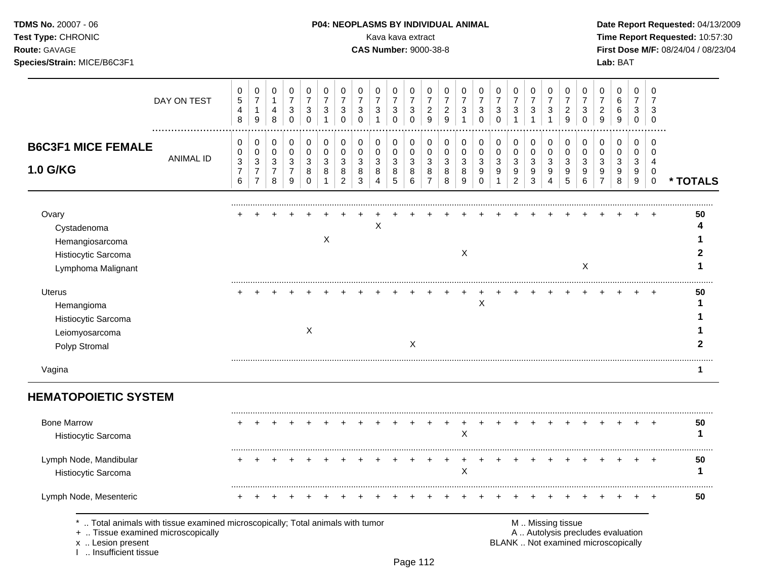|  | <b>TDMS No. 20007 - 06</b> |  |
|--|----------------------------|--|
|  |                            |  |

**Test Type:** CHRONIC **Transfer CHRONIC** Kava **Rava kava extract** Kava kava extract **Time Report Requested:** 10:57:30 **Route:** GAVAGE **CAS Number:** 9000-38-8 **First Dose M/F:** 08/24/04 / 08/23/04 **Species/Strain:** MICE/B6C3F1 **Lab:** BAT

|                                                                                                                                                                   | DAY ON TEST      | 0<br>$\,$ 5 $\,$<br>$\overline{4}$<br>8           | $\mathbf 0$<br>$\overline{7}$<br>$\mathbf{1}$<br>9                   | 0<br>$\mathbf{1}$<br>4<br>8                                          | 0<br>$\overline{7}$<br>$\ensuremath{\mathsf{3}}$<br>$\mathbf 0$ | 0<br>$\overline{7}$<br>3<br>$\mathbf 0$   | 0<br>$\overline{7}$<br>3<br>$\mathbf{1}$ | 0<br>$\overline{7}$<br>3<br>$\mathbf 0$ | 0<br>$\overline{7}$<br>3<br>$\mathbf 0$ | 0<br>$\overline{7}$<br>$\mathbf{3}$<br>1 | 0<br>$\overline{7}$<br>3<br>$\mathbf 0$ | 0<br>$\overline{7}$<br>3<br>$\mathbf 0$ | 0<br>$\overline{7}$<br>$\overline{c}$<br>9   | 0<br>$\overline{7}$<br>$\overline{\mathbf{c}}$<br>9 | 0<br>$\overline{7}$<br>3<br>1   | 0<br>$\overline{7}$<br>3<br>$\Omega$ | 0<br>$\overline{7}$<br>$\sqrt{3}$<br>$\mathbf 0$    | 0<br>$\overline{7}$<br>3<br>1                | 0<br>$\overline{7}$<br>3<br>$\mathbf{1}$ | 0<br>$\overline{7}$<br>3<br>$\mathbf{1}$               | 0<br>$\overline{7}$<br>$\overline{c}$<br>9 | 0<br>$\overline{7}$<br>3<br>$\mathbf 0$ | 0<br>$\overline{7}$<br>$\overline{c}$<br>9                               | 0<br>6<br>6<br>9      | 0<br>$\overline{7}$<br>3<br>0                        | 0<br>$\overline{7}$<br>3<br>$\mathbf 0$                       |                        |
|-------------------------------------------------------------------------------------------------------------------------------------------------------------------|------------------|---------------------------------------------------|----------------------------------------------------------------------|----------------------------------------------------------------------|-----------------------------------------------------------------|-------------------------------------------|------------------------------------------|-----------------------------------------|-----------------------------------------|------------------------------------------|-----------------------------------------|-----------------------------------------|----------------------------------------------|-----------------------------------------------------|---------------------------------|--------------------------------------|-----------------------------------------------------|----------------------------------------------|------------------------------------------|--------------------------------------------------------|--------------------------------------------|-----------------------------------------|--------------------------------------------------------------------------|-----------------------|------------------------------------------------------|---------------------------------------------------------------|------------------------|
| <b>B6C3F1 MICE FEMALE</b><br><b>1.0 G/KG</b>                                                                                                                      | <b>ANIMAL ID</b> | 0<br>$\,0\,$<br>$\sqrt{3}$<br>$\overline{7}$<br>6 | 0<br>$\mathbf 0$<br>$\mathbf{3}$<br>$\overline{7}$<br>$\overline{7}$ | 0<br>$\mathsf 0$<br>$\ensuremath{\mathsf{3}}$<br>$\overline{7}$<br>8 | 0<br>$\mathbf 0$<br>$\sqrt{3}$<br>$\overline{7}$<br>9           | 0<br>$\mathbf 0$<br>3<br>8<br>$\mathbf 0$ | $\pmb{0}$<br>$\mathbf 0$<br>3<br>8       | 0<br>$\mathbf 0$<br>3<br>8<br>2         | 0<br>0<br>3<br>8<br>3                   | 0<br>$\mathbf 0$<br>3<br>8<br>4          | 0<br>$\mathbf 0$<br>3<br>8<br>5         | 0<br>$\mathbf 0$<br>3<br>8<br>6         | 0<br>$\mathbf 0$<br>3<br>8<br>$\overline{7}$ | 0<br>0<br>3<br>8<br>8                               | 0<br>$\mathbf 0$<br>3<br>8<br>9 | 0<br>0<br>3<br>9<br>$\mathbf 0$      | 0<br>$\mathsf 0$<br>$\sqrt{3}$<br>9<br>$\mathbf{1}$ | 0<br>$\mathbf 0$<br>3<br>9<br>$\overline{c}$ | 0<br>$\pmb{0}$<br>3<br>9<br>3            | $\mathbf 0$<br>$\mathbf 0$<br>3<br>9<br>$\overline{4}$ | 0<br>$\mathbf 0$<br>3<br>9<br>5            | 0<br>$\mathbf 0$<br>3<br>9<br>6         | 0<br>$\mathbf 0$<br>3<br>9<br>$\overline{7}$                             | 0<br>0<br>3<br>9<br>8 | $\mathbf 0$<br>$\mathbf 0$<br>$\mathbf{3}$<br>9<br>9 | $\Omega$<br>0<br>$\overline{4}$<br>$\mathbf 0$<br>$\mathbf 0$ | * TOTALS               |
| Ovary<br>Cystadenoma<br>Hemangiosarcoma<br>Histiocytic Sarcoma<br>Lymphoma Malignant                                                                              |                  |                                                   |                                                                      |                                                                      |                                                                 |                                           | $\boldsymbol{\mathsf{X}}$                |                                         |                                         | X                                        |                                         |                                         |                                              |                                                     | $\times$                        |                                      |                                                     |                                              |                                          |                                                        |                                            | X                                       |                                                                          |                       |                                                      |                                                               | 50<br>Δ<br>2<br>1      |
| <b>Uterus</b><br>Hemangioma<br>Histiocytic Sarcoma<br>Leiomyosarcoma<br>Polyp Stromal                                                                             |                  |                                                   |                                                                      |                                                                      |                                                                 | $\boldsymbol{\mathsf{X}}$                 |                                          |                                         |                                         |                                          |                                         | X                                       |                                              |                                                     |                                 | $\mathsf X$                          |                                                     |                                              |                                          |                                                        |                                            |                                         |                                                                          |                       |                                                      |                                                               | 50<br>1<br>$\mathbf 2$ |
| Vagina                                                                                                                                                            |                  |                                                   |                                                                      |                                                                      |                                                                 |                                           |                                          |                                         |                                         |                                          |                                         |                                         |                                              |                                                     |                                 |                                      |                                                     |                                              |                                          |                                                        |                                            |                                         |                                                                          |                       |                                                      |                                                               | $\mathbf 1$            |
| <b>HEMATOPOIETIC SYSTEM</b>                                                                                                                                       |                  |                                                   |                                                                      |                                                                      |                                                                 |                                           |                                          |                                         |                                         |                                          |                                         |                                         |                                              |                                                     |                                 |                                      |                                                     |                                              |                                          |                                                        |                                            |                                         |                                                                          |                       |                                                      |                                                               |                        |
| <b>Bone Marrow</b><br>Histiocytic Sarcoma                                                                                                                         |                  |                                                   |                                                                      |                                                                      |                                                                 |                                           |                                          |                                         |                                         |                                          |                                         |                                         |                                              |                                                     | X                               |                                      |                                                     |                                              |                                          |                                                        |                                            |                                         |                                                                          |                       |                                                      | $\pm$                                                         | 50<br>$\mathbf 1$      |
| Lymph Node, Mandibular<br>Histiocytic Sarcoma                                                                                                                     |                  |                                                   |                                                                      |                                                                      |                                                                 |                                           |                                          |                                         |                                         |                                          |                                         |                                         |                                              |                                                     | Χ                               |                                      |                                                     |                                              |                                          |                                                        |                                            |                                         |                                                                          |                       |                                                      |                                                               | 50<br>1                |
| Lymph Node, Mesenteric                                                                                                                                            |                  |                                                   |                                                                      |                                                                      |                                                                 |                                           |                                          |                                         |                                         |                                          |                                         |                                         |                                              |                                                     |                                 |                                      |                                                     |                                              |                                          |                                                        |                                            |                                         |                                                                          |                       |                                                      |                                                               | 50                     |
| Total animals with tissue examined microscopically; Total animals with tumor<br>+  Tissue examined microscopically<br>x  Lesion present<br>I  Insufficient tissue |                  |                                                   |                                                                      |                                                                      |                                                                 |                                           |                                          |                                         |                                         |                                          |                                         |                                         |                                              |                                                     |                                 |                                      |                                                     |                                              |                                          | M  Missing tissue                                      |                                            |                                         | A  Autolysis precludes evaluation<br>BLANK  Not examined microscopically |                       |                                                      |                                                               |                        |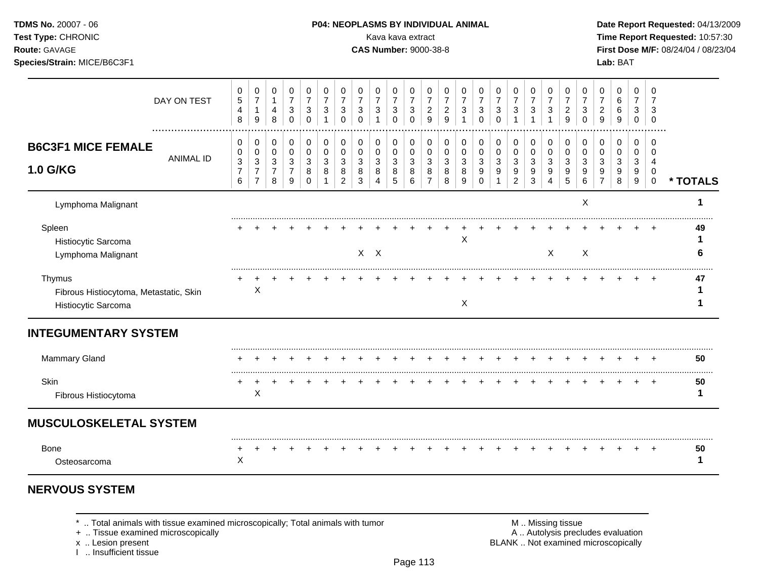| <b>TDMS No. 20007 - 06</b> |  |
|----------------------------|--|
| <b>Test Type: CHRONIC</b>  |  |

**Transference CHRONIC** CHRONIC CHRONIC CHRONIC CHRONIC Kava kava extract **Time Report Requested:** 10:57:30 **Route:** GAVAGE **CAS Number:** 9000-38-8 **First Dose M/F:** 08/24/04 / 08/23/04 **Species/Strain:** MICE/B6C3F1 **Lab:** BAT

|                                                                         | DAY ON TEST           | 0<br>$\,$ 5 $\,$<br>$\overline{4}$<br>8     | $\mathbf 0$<br>$\overline{7}$<br>$\mathbf{1}$<br>9                             | 0<br>$\mathbf{1}$<br>4<br>8     | 0<br>$\overline{7}$<br>$\sqrt{3}$<br>$\Omega$ | 0<br>$\overline{7}$<br>3<br>$\Omega$ | 0<br>$\overline{7}$<br>3 | 0<br>$\overline{7}$<br>3<br>$\Omega$         | 0<br>$\overline{7}$<br>$\mathbf{3}$<br>$\Omega$ | 0<br>$\overline{7}$<br>3        | 0<br>$\overline{7}$<br>$\sqrt{3}$<br>$\Omega$ | 0<br>$\overline{7}$<br>$\ensuremath{\mathsf{3}}$<br>$\Omega$ | 0<br>$\overline{7}$<br>$\overline{2}$<br>9 | 0<br>$\overline{7}$<br>$\overline{c}$<br>9 | 0<br>$\overline{7}$<br>$\sqrt{3}$<br>-1 | 0<br>$\overline{7}$<br>3<br>$\Omega$ | 0<br>$\overline{7}$<br>3<br>$\Omega$  | 0<br>$\boldsymbol{7}$<br>$\mathbf{3}$<br>$\mathbf{1}$ | 0<br>$\boldsymbol{7}$<br>3<br>1           | 0<br>$\overline{7}$<br>3     | 0<br>$\overline{7}$<br>$\overline{2}$<br>9 | 0<br>$\overline{7}$<br>3<br>$\Omega$ | 0<br>$\overline{7}$<br>$\overline{2}$<br>9 | 0<br>6<br>6<br>9      | 0<br>$\overline{7}$<br>3<br>$\Omega$ | 0<br>$\overline{7}$<br>3<br>$\Omega$   |          |
|-------------------------------------------------------------------------|-----------------------|---------------------------------------------|--------------------------------------------------------------------------------|---------------------------------|-----------------------------------------------|--------------------------------------|--------------------------|----------------------------------------------|-------------------------------------------------|---------------------------------|-----------------------------------------------|--------------------------------------------------------------|--------------------------------------------|--------------------------------------------|-----------------------------------------|--------------------------------------|---------------------------------------|-------------------------------------------------------|-------------------------------------------|------------------------------|--------------------------------------------|--------------------------------------|--------------------------------------------|-----------------------|--------------------------------------|----------------------------------------|----------|
| <b>B6C3F1 MICE FEMALE</b><br>1.0 G/KG                                   | .<br><b>ANIMAL ID</b> | 0<br>0<br>$\sqrt{3}$<br>$\overline{7}$<br>6 | $\pmb{0}$<br>$\mathbf 0$<br>$\mathbf{3}$<br>$\boldsymbol{7}$<br>$\overline{7}$ | 0<br>$\mathbf 0$<br>3<br>7<br>8 | 0<br>$\mathbf 0$<br>3<br>$\overline{7}$<br>9  | 0<br>$\Omega$<br>3<br>8<br>$\Omega$  | 0<br>$\Omega$<br>3<br>8  | 0<br>$\mathbf 0$<br>3<br>8<br>$\overline{2}$ | 0<br>$\mathbf 0$<br>3<br>8<br>3                 | 0<br>$\mathbf 0$<br>3<br>8<br>4 | 0<br>$\mathbf 0$<br>3<br>8<br>5               | 0<br>$\mathbf 0$<br>3<br>8<br>6                              | 0<br>$\Omega$<br>3<br>8<br>$\overline{7}$  | 0<br>0<br>3<br>8<br>8                      | 0<br>$\mathbf 0$<br>3<br>8<br>9         | 0<br>$\pmb{0}$<br>3<br>9<br>$\Omega$ | 0<br>$\mathbf 0$<br>$\mathbf{3}$<br>9 | 0<br>$\mathbf 0$<br>3<br>9<br>2                       | $\mathbf 0$<br>$\mathbf 0$<br>3<br>9<br>3 | 0<br>$\Omega$<br>3<br>9<br>4 | 0<br>0<br>3<br>9<br>5                      | 0<br>$\Omega$<br>3<br>9<br>6         | 0<br>$\mathbf 0$<br>3<br>9                 | 0<br>0<br>3<br>9<br>8 | 0<br>$\mathbf 0$<br>3<br>9<br>9      | 0<br>$\Omega$<br>4<br>0<br>$\mathbf 0$ | * TOTALS |
| Lymphoma Malignant                                                      |                       |                                             |                                                                                |                                 |                                               |                                      |                          |                                              |                                                 |                                 |                                               |                                                              |                                            |                                            |                                         |                                      |                                       |                                                       |                                           |                              |                                            | X                                    |                                            |                       |                                      |                                        | 1        |
| Spleen<br>Histiocytic Sarcoma<br>Lymphoma Malignant                     |                       |                                             |                                                                                |                                 |                                               |                                      |                          |                                              |                                                 | $X$ $X$                         |                                               |                                                              |                                            |                                            | Χ                                       |                                      |                                       |                                                       |                                           | $\mathsf{X}$                 |                                            | $\mathsf{X}$                         |                                            |                       |                                      | $\overline{ }$                         | 49<br>6  |
| Thymus<br>Fibrous Histiocytoma, Metastatic, Skin<br>Histiocytic Sarcoma |                       |                                             | Χ                                                                              |                                 |                                               |                                      |                          |                                              |                                                 |                                 |                                               |                                                              |                                            |                                            | $\mathsf{X}$                            |                                      |                                       |                                                       |                                           |                              |                                            |                                      |                                            |                       |                                      |                                        | 47       |
| <b>INTEGUMENTARY SYSTEM</b>                                             |                       |                                             |                                                                                |                                 |                                               |                                      |                          |                                              |                                                 |                                 |                                               |                                                              |                                            |                                            |                                         |                                      |                                       |                                                       |                                           |                              |                                            |                                      |                                            |                       |                                      |                                        |          |
| Mammary Gland                                                           |                       |                                             |                                                                                |                                 |                                               |                                      |                          |                                              |                                                 |                                 |                                               |                                                              |                                            |                                            |                                         |                                      |                                       |                                                       |                                           |                              |                                            |                                      |                                            |                       |                                      | $\div$                                 | 50       |
| Skin<br>Fibrous Histiocytoma                                            |                       | +                                           | ÷<br>X                                                                         |                                 |                                               |                                      |                          |                                              |                                                 |                                 |                                               |                                                              |                                            |                                            |                                         |                                      |                                       |                                                       |                                           |                              |                                            |                                      |                                            |                       |                                      | $\overline{1}$                         | 50<br>1  |
| <b>MUSCULOSKELETAL SYSTEM</b>                                           |                       |                                             |                                                                                |                                 |                                               |                                      |                          |                                              |                                                 |                                 |                                               |                                                              |                                            |                                            |                                         |                                      |                                       |                                                       |                                           |                              |                                            |                                      |                                            |                       |                                      |                                        |          |
| <b>Bone</b><br>Osteosarcoma                                             |                       | ÷<br>X                                      |                                                                                |                                 |                                               |                                      |                          |                                              |                                                 |                                 |                                               |                                                              |                                            |                                            |                                         |                                      |                                       |                                                       |                                           |                              |                                            |                                      |                                            |                       |                                      |                                        | 50<br>1  |

## **NERVOUS SYSTEM**

\* .. Total animals with tissue examined microscopically; Total animals with tumor <br>
+ .. Tissue examined microscopically<br>
+ .. Tissue examined microscopically

+ .. Tissue examined microscopically

x .. Lesion present<br>I .. Insufficient tissue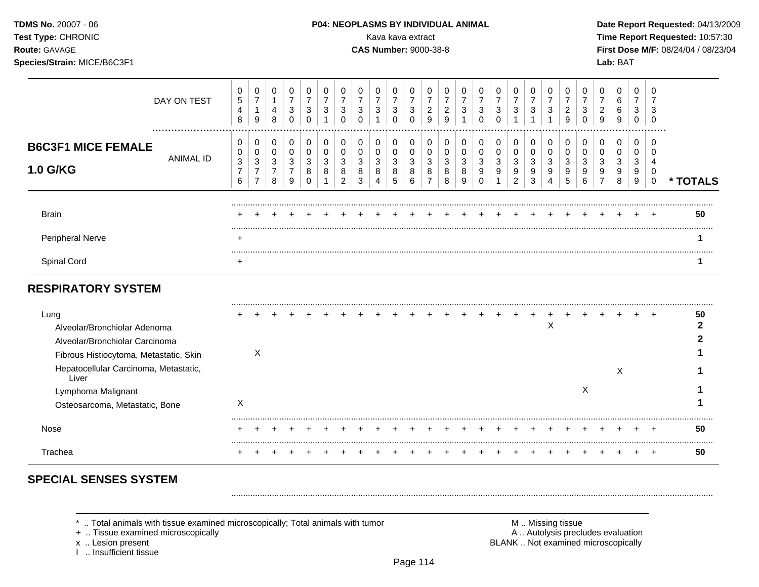| <b>TDMS No. 20007 - 06</b> |  |  |  |
|----------------------------|--|--|--|
|                            |  |  |  |

**Test Type:** CHRONIC **CHRONIC** CHRONIC **Report Requested:** 10:57:30 **Route:** GAVAGE **CAS Number:** 9000-38-8 **First Dose M/F:** 08/24/04 / 08/23/04 **Species/Strain:** MICE/B6C3F1 **Lab:** BAT

| DAY ON TEST                                                                              | 0<br>$\,$ 5 $\,$<br>4<br>8                  | 0<br>$\boldsymbol{7}$<br>1<br>9                           | 0<br>$\mathbf{1}$<br>4<br>8                          | 0<br>$\overline{7}$<br>$\mathbf{3}$<br>$\Omega$ | 0<br>$\overline{7}$<br>3<br>$\Omega$            | 0<br>$\overline{7}$<br>3           | 0<br>$\overline{7}$<br>3<br>$\Omega$      | $\Omega$<br>3<br>$\Omega$    | 0<br>$\overline{7}$<br>3                    | 0<br>$\overline{7}$<br>3<br>$\Omega$ | 0<br>$\overline{7}$<br>3<br>$\Omega$ | 0<br>$\overline{7}$<br>$\overline{c}$<br>9 | 0<br>$\overline{7}$<br>$\overline{2}$<br>9 | 0<br>$\overline{7}$<br>3 | 0<br>$\overline{7}$<br>3<br>$\Omega$ | 0<br>$\overline{7}$<br>3<br>$\Omega$ | 0<br>$\overline{7}$<br>$\mathbf{3}$                     | 0<br>$\overline{7}$<br>$\mathbf{3}$<br>1 | 0<br>$\overline{7}$<br>3<br>$\overline{ }$ | 0<br>$\overline{7}$<br>$\overline{2}$<br>9 | 0<br>$\overline{7}$<br>3<br>$\Omega$ | 0<br>$\overline{2}$<br>$\mathsf{Q}$ | $\Omega$<br>6<br>6<br>9      | 0<br>$\overline{7}$<br>3<br>$\Omega$           | 0<br>$\overline{7}$<br>3<br>$\Omega$   |          |
|------------------------------------------------------------------------------------------|---------------------------------------------|-----------------------------------------------------------|------------------------------------------------------|-------------------------------------------------|-------------------------------------------------|------------------------------------|-------------------------------------------|------------------------------|---------------------------------------------|--------------------------------------|--------------------------------------|--------------------------------------------|--------------------------------------------|--------------------------|--------------------------------------|--------------------------------------|---------------------------------------------------------|------------------------------------------|--------------------------------------------|--------------------------------------------|--------------------------------------|-------------------------------------|------------------------------|------------------------------------------------|----------------------------------------|----------|
| <b>B6C3F1 MICE FEMALE</b><br><b>ANIMAL ID</b><br><b>1.0 G/KG</b>                         | 0<br>0<br>$\sqrt{3}$<br>$\overline{7}$<br>6 | 0<br>$\mathbf 0$<br>3<br>$\overline{7}$<br>$\overline{7}$ | $\pmb{0}$<br>$\mathsf 0$<br>3<br>$\overline{7}$<br>8 | 0<br>$\pmb{0}$<br>3<br>$\overline{7}$<br>9      | 0<br>$\pmb{0}$<br>$\mathbf{3}$<br>8<br>$\Omega$ | $\pmb{0}$<br>$\mathbf 0$<br>3<br>8 | 0<br>$\Omega$<br>3<br>8<br>$\overline{2}$ | 0<br>$\Omega$<br>3<br>8<br>3 | 0<br>0<br>3<br>8<br>$\overline{\mathbf{4}}$ | 0<br>0<br>3<br>8<br>$\sqrt{5}$       | 0<br>$\mathbf 0$<br>3<br>8<br>6      | 0<br>$\pmb{0}$<br>3<br>8<br>$\overline{7}$ | 0<br>$\mathbf 0$<br>3<br>8<br>8            | 0<br>0<br>3<br>8<br>9    | 0<br>$\Omega$<br>3<br>9<br>$\Omega$  | 0<br>$\pmb{0}$<br>3<br>9             | 0<br>$\mathbf 0$<br>$\mathbf{3}$<br>9<br>$\overline{c}$ | 0<br>$\pmb{0}$<br>3<br>9<br>3            | $\,0\,$<br>$\pmb{0}$<br>3<br>9<br>4        | 0<br>$\mathbf 0$<br>3<br>9<br>5            | 0<br>0<br>3<br>9<br>6                | 0<br>$\Omega$<br>3<br>9             | 0<br>$\Omega$<br>3<br>9<br>8 | 0<br>$\mathbf 0$<br>3<br>9<br>$\boldsymbol{9}$ | 0<br>$\Omega$<br>4<br>0<br>$\mathbf 0$ | * TOTALS |
| <b>Brain</b>                                                                             |                                             |                                                           |                                                      |                                                 |                                                 |                                    |                                           |                              |                                             |                                      |                                      |                                            |                                            |                          |                                      |                                      |                                                         |                                          |                                            |                                            |                                      |                                     |                              |                                                |                                        | 50       |
| Peripheral Nerve                                                                         | $\ddot{}$                                   |                                                           |                                                      |                                                 |                                                 |                                    |                                           |                              |                                             |                                      |                                      |                                            |                                            |                          |                                      |                                      |                                                         |                                          |                                            |                                            |                                      |                                     |                              |                                                |                                        |          |
| Spinal Cord                                                                              |                                             |                                                           |                                                      |                                                 |                                                 |                                    |                                           |                              |                                             |                                      |                                      |                                            |                                            |                          |                                      |                                      |                                                         |                                          |                                            |                                            |                                      |                                     |                              |                                                |                                        |          |
| <b>RESPIRATORY SYSTEM</b>                                                                |                                             |                                                           |                                                      |                                                 |                                                 |                                    |                                           |                              |                                             |                                      |                                      |                                            |                                            |                          |                                      |                                      |                                                         |                                          |                                            |                                            |                                      |                                     |                              |                                                |                                        |          |
| Lung<br>Alveolar/Bronchiolar Adenoma<br>Alveolar/Bronchiolar Carcinoma                   |                                             |                                                           |                                                      |                                                 |                                                 |                                    |                                           |                              |                                             |                                      |                                      |                                            |                                            |                          |                                      |                                      |                                                         |                                          | X                                          |                                            |                                      |                                     |                              |                                                |                                        | 50<br>2  |
| Fibrous Histiocytoma, Metastatic, Skin<br>Hepatocellular Carcinoma, Metastatic,<br>Liver |                                             | X                                                         |                                                      |                                                 |                                                 |                                    |                                           |                              |                                             |                                      |                                      |                                            |                                            |                          |                                      |                                      |                                                         |                                          |                                            |                                            |                                      |                                     | X                            |                                                |                                        |          |
| Lymphoma Malignant<br>Osteosarcoma, Metastatic, Bone                                     | X                                           |                                                           |                                                      |                                                 |                                                 |                                    |                                           |                              |                                             |                                      |                                      |                                            |                                            |                          |                                      |                                      |                                                         |                                          |                                            |                                            | X                                    |                                     |                              |                                                |                                        |          |
|                                                                                          |                                             |                                                           |                                                      |                                                 |                                                 |                                    |                                           |                              |                                             |                                      |                                      |                                            |                                            |                          |                                      |                                      |                                                         |                                          |                                            |                                            |                                      |                                     |                              |                                                |                                        | 50       |
| <b>Nose</b>                                                                              |                                             |                                                           |                                                      |                                                 |                                                 |                                    |                                           |                              |                                             |                                      |                                      |                                            |                                            |                          |                                      |                                      |                                                         |                                          |                                            |                                            |                                      |                                     |                              |                                                |                                        |          |

# **SPECIAL SENSES SYSTEM**

\* .. Total animals with tissue examined microscopically; Total animals with tumor **M** . Missing tissue M .. Missing tissue<br>  $\blacksquare$  . Tissue examined microscopically<br>  $\blacksquare$  . Autolysis precludes evaluation

+ .. Tissue examined microscopically

I .. Insufficient tissue

x .. Lesion present **BLANK** .. Not examined microscopically

.........................................................................................................................................................................................................